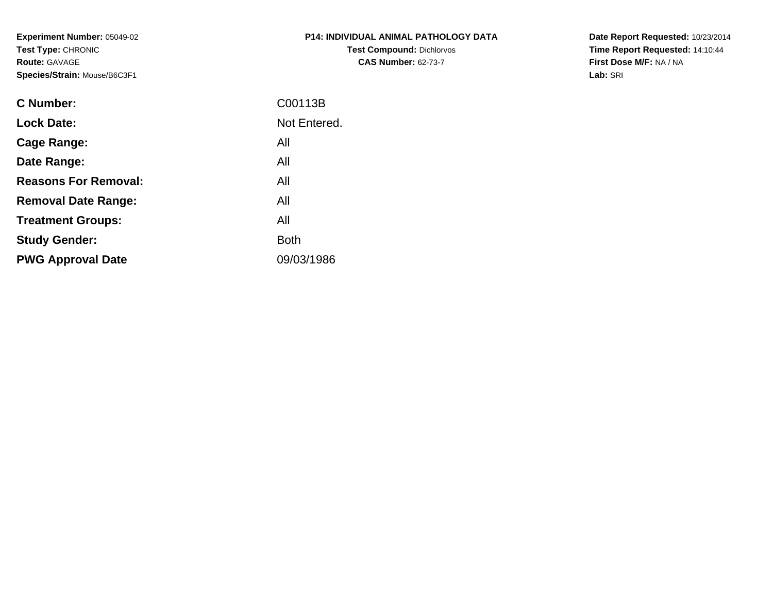**Experiment Number:** 05049-02**Test Type:** CHRONIC**Route:** GAVAGE**Species/Strain:** Mouse/B6C3F1

| <b>P14: INDIVIDUAL ANIMAL PATHOLOGY DATA</b> |
|----------------------------------------------|
| <b>Test Compound: Dichlorvos</b>             |
| <b>CAS Number: 62-73-7</b>                   |

**Date Report Requested:** 10/23/2014 **Time Report Requested:** 14:10:44**First Dose M/F:** NA / NA**Lab:** SRI

| <b>C</b> Number:            | C00113B      |
|-----------------------------|--------------|
| <b>Lock Date:</b>           | Not Entered. |
| Cage Range:                 | All          |
| Date Range:                 | All          |
| <b>Reasons For Removal:</b> | All          |
| <b>Removal Date Range:</b>  | All          |
| <b>Treatment Groups:</b>    | All          |
| <b>Study Gender:</b>        | <b>Both</b>  |
| <b>PWG Approval Date</b>    | 09/03/1986   |
|                             |              |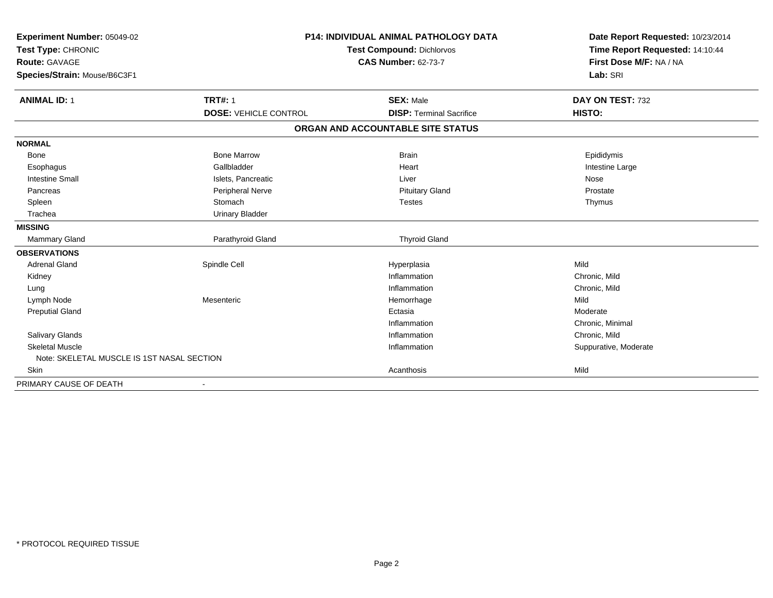| Experiment Number: 05049-02                | <b>P14: INDIVIDUAL ANIMAL PATHOLOGY DATA</b><br><b>Test Compound: Dichlorvos</b> |                                   | Date Report Requested: 10/23/2014 |
|--------------------------------------------|----------------------------------------------------------------------------------|-----------------------------------|-----------------------------------|
| Test Type: CHRONIC                         |                                                                                  |                                   | Time Report Requested: 14:10:44   |
| <b>Route: GAVAGE</b>                       |                                                                                  | <b>CAS Number: 62-73-7</b>        | First Dose M/F: NA / NA           |
| Species/Strain: Mouse/B6C3F1               |                                                                                  |                                   | Lab: SRI                          |
| <b>ANIMAL ID: 1</b>                        | <b>TRT#: 1</b>                                                                   | <b>SEX: Male</b>                  | DAY ON TEST: 732                  |
|                                            | <b>DOSE: VEHICLE CONTROL</b>                                                     | <b>DISP: Terminal Sacrifice</b>   | HISTO:                            |
|                                            |                                                                                  | ORGAN AND ACCOUNTABLE SITE STATUS |                                   |
| <b>NORMAL</b>                              |                                                                                  |                                   |                                   |
| Bone                                       | <b>Bone Marrow</b>                                                               | <b>Brain</b>                      | Epididymis                        |
| Esophagus                                  | Gallbladder                                                                      | Heart                             | Intestine Large                   |
| <b>Intestine Small</b>                     | Islets, Pancreatic                                                               | Liver                             | Nose                              |
| Pancreas                                   | Peripheral Nerve                                                                 | <b>Pituitary Gland</b>            | Prostate                          |
| Spleen                                     | Stomach                                                                          | <b>Testes</b>                     | Thymus                            |
| Trachea                                    | <b>Urinary Bladder</b>                                                           |                                   |                                   |
| <b>MISSING</b>                             |                                                                                  |                                   |                                   |
| <b>Mammary Gland</b>                       | Parathyroid Gland                                                                | <b>Thyroid Gland</b>              |                                   |
| <b>OBSERVATIONS</b>                        |                                                                                  |                                   |                                   |
| <b>Adrenal Gland</b>                       | Spindle Cell                                                                     | Hyperplasia                       | Mild                              |
| Kidney                                     |                                                                                  | Inflammation                      | Chronic, Mild                     |
| Lung                                       |                                                                                  | Inflammation                      | Chronic, Mild                     |
| Lymph Node                                 | Mesenteric                                                                       | Hemorrhage                        | Mild                              |
| <b>Preputial Gland</b>                     |                                                                                  | Ectasia                           | Moderate                          |
|                                            |                                                                                  | Inflammation                      | Chronic, Minimal                  |
| <b>Salivary Glands</b>                     |                                                                                  | Inflammation                      | Chronic, Mild                     |
| <b>Skeletal Muscle</b>                     |                                                                                  | Inflammation                      | Suppurative, Moderate             |
| Note: SKELETAL MUSCLE IS 1ST NASAL SECTION |                                                                                  |                                   |                                   |
| Skin                                       |                                                                                  | Acanthosis                        | Mild                              |
| PRIMARY CAUSE OF DEATH                     |                                                                                  |                                   |                                   |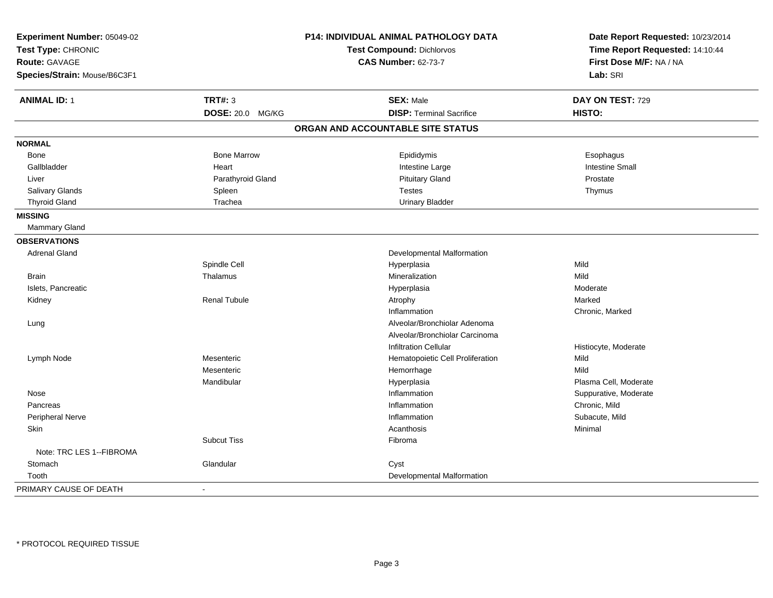| Experiment Number: 05049-02<br>Test Type: CHRONIC<br><b>Route: GAVAGE</b><br>Species/Strain: Mouse/B6C3F1 |                         | <b>P14: INDIVIDUAL ANIMAL PATHOLOGY DATA</b><br><b>Test Compound: Dichlorvos</b><br><b>CAS Number: 62-73-7</b> | Date Report Requested: 10/23/2014<br>Time Report Requested: 14:10:44<br>First Dose M/F: NA / NA<br>Lab: SRI |
|-----------------------------------------------------------------------------------------------------------|-------------------------|----------------------------------------------------------------------------------------------------------------|-------------------------------------------------------------------------------------------------------------|
|                                                                                                           |                         |                                                                                                                |                                                                                                             |
| <b>ANIMAL ID: 1</b>                                                                                       | <b>TRT#: 3</b>          | <b>SEX: Male</b>                                                                                               | DAY ON TEST: 729                                                                                            |
|                                                                                                           | <b>DOSE: 20.0 MG/KG</b> | <b>DISP: Terminal Sacrifice</b>                                                                                | HISTO:                                                                                                      |
|                                                                                                           |                         | ORGAN AND ACCOUNTABLE SITE STATUS                                                                              |                                                                                                             |
| <b>NORMAL</b>                                                                                             |                         |                                                                                                                |                                                                                                             |
| Bone                                                                                                      | <b>Bone Marrow</b>      | Epididymis                                                                                                     | Esophagus                                                                                                   |
| Gallbladder                                                                                               | Heart                   | Intestine Large                                                                                                | <b>Intestine Small</b>                                                                                      |
| Liver                                                                                                     | Parathyroid Gland       | <b>Pituitary Gland</b>                                                                                         | Prostate                                                                                                    |
| Salivary Glands                                                                                           | Spleen                  | <b>Testes</b>                                                                                                  | Thymus                                                                                                      |
| <b>Thyroid Gland</b>                                                                                      | Trachea                 | <b>Urinary Bladder</b>                                                                                         |                                                                                                             |
| <b>MISSING</b>                                                                                            |                         |                                                                                                                |                                                                                                             |
| Mammary Gland                                                                                             |                         |                                                                                                                |                                                                                                             |
| <b>OBSERVATIONS</b>                                                                                       |                         |                                                                                                                |                                                                                                             |
| <b>Adrenal Gland</b>                                                                                      |                         | Developmental Malformation                                                                                     |                                                                                                             |
|                                                                                                           | Spindle Cell            | Hyperplasia                                                                                                    | Mild                                                                                                        |
| <b>Brain</b>                                                                                              | Thalamus                | Mineralization                                                                                                 | Mild                                                                                                        |
| Islets, Pancreatic                                                                                        |                         | Hyperplasia                                                                                                    | Moderate                                                                                                    |
| Kidney                                                                                                    | <b>Renal Tubule</b>     | Atrophy                                                                                                        | Marked                                                                                                      |
|                                                                                                           |                         | Inflammation                                                                                                   | Chronic, Marked                                                                                             |
| Lung                                                                                                      |                         | Alveolar/Bronchiolar Adenoma                                                                                   |                                                                                                             |
|                                                                                                           |                         | Alveolar/Bronchiolar Carcinoma                                                                                 |                                                                                                             |
|                                                                                                           |                         | <b>Infiltration Cellular</b>                                                                                   | Histiocyte, Moderate                                                                                        |
| Lymph Node                                                                                                | Mesenteric              | Hematopoietic Cell Proliferation                                                                               | Mild                                                                                                        |
|                                                                                                           | Mesenteric              | Hemorrhage                                                                                                     | Mild                                                                                                        |
|                                                                                                           | Mandibular              | Hyperplasia                                                                                                    | Plasma Cell, Moderate                                                                                       |
| Nose                                                                                                      |                         | Inflammation                                                                                                   | Suppurative, Moderate                                                                                       |
| Pancreas                                                                                                  |                         | Inflammation                                                                                                   | Chronic, Mild                                                                                               |
| Peripheral Nerve                                                                                          |                         | Inflammation                                                                                                   | Subacute, Mild                                                                                              |
| Skin                                                                                                      |                         | Acanthosis                                                                                                     | Minimal                                                                                                     |
|                                                                                                           | <b>Subcut Tiss</b>      | Fibroma                                                                                                        |                                                                                                             |
| Note: TRC LES 1--FIBROMA                                                                                  |                         |                                                                                                                |                                                                                                             |
| Stomach                                                                                                   | Glandular               | Cyst                                                                                                           |                                                                                                             |
| Tooth                                                                                                     |                         | Developmental Malformation                                                                                     |                                                                                                             |
| PRIMARY CAUSE OF DEATH                                                                                    | $\blacksquare$          |                                                                                                                |                                                                                                             |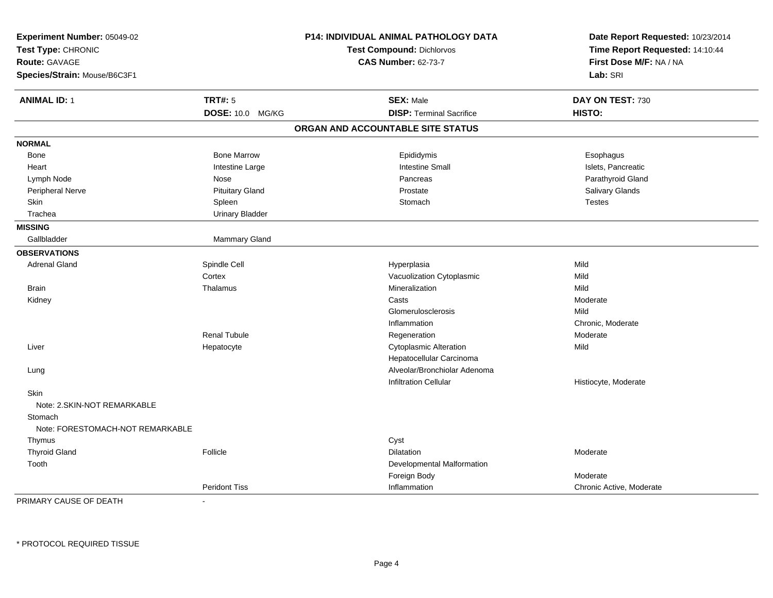| Experiment Number: 05049-02<br>Test Type: CHRONIC<br><b>Route: GAVAGE</b> |                         | P14: INDIVIDUAL ANIMAL PATHOLOGY DATA<br><b>Test Compound: Dichlorvos</b><br><b>CAS Number: 62-73-7</b> | Date Report Requested: 10/23/2014<br>Time Report Requested: 14:10:44<br>First Dose M/F: NA / NA |
|---------------------------------------------------------------------------|-------------------------|---------------------------------------------------------------------------------------------------------|-------------------------------------------------------------------------------------------------|
| Species/Strain: Mouse/B6C3F1                                              |                         |                                                                                                         | Lab: SRI                                                                                        |
| <b>ANIMAL ID: 1</b>                                                       | <b>TRT#: 5</b>          | <b>SEX: Male</b>                                                                                        | DAY ON TEST: 730                                                                                |
|                                                                           | <b>DOSE: 10.0 MG/KG</b> | <b>DISP: Terminal Sacrifice</b>                                                                         | HISTO:                                                                                          |
|                                                                           |                         | ORGAN AND ACCOUNTABLE SITE STATUS                                                                       |                                                                                                 |
| <b>NORMAL</b>                                                             |                         |                                                                                                         |                                                                                                 |
| Bone                                                                      | <b>Bone Marrow</b>      | Epididymis                                                                                              | Esophagus                                                                                       |
| Heart                                                                     | Intestine Large         | <b>Intestine Small</b>                                                                                  | Islets, Pancreatic                                                                              |
| Lymph Node                                                                | Nose                    | Pancreas                                                                                                | Parathyroid Gland                                                                               |
| Peripheral Nerve                                                          | <b>Pituitary Gland</b>  | Prostate                                                                                                | Salivary Glands                                                                                 |
| Skin                                                                      | Spleen                  | Stomach                                                                                                 | <b>Testes</b>                                                                                   |
| Trachea                                                                   | <b>Urinary Bladder</b>  |                                                                                                         |                                                                                                 |
| <b>MISSING</b>                                                            |                         |                                                                                                         |                                                                                                 |
| Gallbladder                                                               | Mammary Gland           |                                                                                                         |                                                                                                 |
| <b>OBSERVATIONS</b>                                                       |                         |                                                                                                         |                                                                                                 |
| <b>Adrenal Gland</b>                                                      | Spindle Cell            | Hyperplasia                                                                                             | Mild                                                                                            |
|                                                                           | Cortex                  | Vacuolization Cytoplasmic                                                                               | Mild                                                                                            |
| <b>Brain</b>                                                              | Thalamus                | Mineralization                                                                                          | Mild                                                                                            |
| Kidney                                                                    |                         | Casts                                                                                                   | Moderate                                                                                        |
|                                                                           |                         | Glomerulosclerosis                                                                                      | Mild                                                                                            |
|                                                                           |                         | Inflammation                                                                                            | Chronic, Moderate                                                                               |
|                                                                           | <b>Renal Tubule</b>     | Regeneration                                                                                            | Moderate                                                                                        |
| Liver                                                                     | Hepatocyte              | Cytoplasmic Alteration                                                                                  | Mild                                                                                            |
|                                                                           |                         | Hepatocellular Carcinoma                                                                                |                                                                                                 |
| Lung                                                                      |                         | Alveolar/Bronchiolar Adenoma                                                                            |                                                                                                 |
|                                                                           |                         | <b>Infiltration Cellular</b>                                                                            | Histiocyte, Moderate                                                                            |
| Skin<br>Note: 2.SKIN-NOT REMARKABLE                                       |                         |                                                                                                         |                                                                                                 |
| Stomach<br>Note: FORESTOMACH-NOT REMARKABLE                               |                         |                                                                                                         |                                                                                                 |
| Thymus                                                                    |                         | Cyst                                                                                                    |                                                                                                 |
| <b>Thyroid Gland</b>                                                      | Follicle                | <b>Dilatation</b>                                                                                       | Moderate                                                                                        |
| Tooth                                                                     |                         | Developmental Malformation                                                                              |                                                                                                 |
|                                                                           |                         | Foreign Body                                                                                            | Moderate                                                                                        |
|                                                                           | <b>Peridont Tiss</b>    | Inflammation                                                                                            | Chronic Active, Moderate                                                                        |

PRIMARY CAUSE OF DEATH-

\* PROTOCOL REQUIRED TISSUE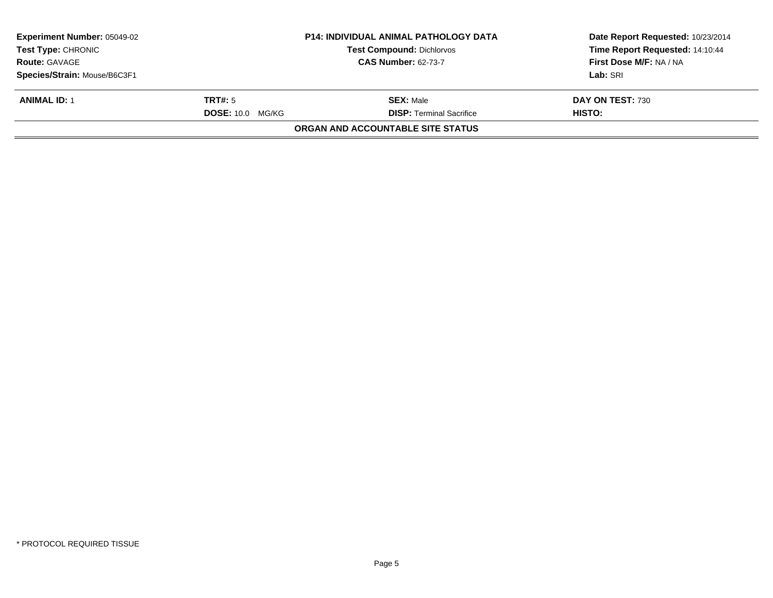| <b>Experiment Number: 05049-02</b><br>Test Type: CHRONIC<br><b>Route: GAVAGE</b> |                         | <b>P14: INDIVIDUAL ANIMAL PATHOLOGY DATA</b><br><b>Test Compound: Dichlorvos</b><br><b>CAS Number: 62-73-7</b> | Date Report Requested: 10/23/2014<br>Time Report Requested: 14:10:44<br>First Dose M/F: NA / NA |
|----------------------------------------------------------------------------------|-------------------------|----------------------------------------------------------------------------------------------------------------|-------------------------------------------------------------------------------------------------|
| Species/Strain: Mouse/B6C3F1                                                     |                         |                                                                                                                | Lab: SRI                                                                                        |
| <b>ANIMAL ID: 1</b>                                                              | TRT#: 5                 | <b>SEX:</b> Male                                                                                               | DAY ON TEST: 730                                                                                |
|                                                                                  | <b>DOSE: 10.0 MG/KG</b> | <b>DISP: Terminal Sacrifice</b>                                                                                | HISTO:                                                                                          |
|                                                                                  |                         | <b>ORGAN AND ACCOUNTABLE SITE STATUS</b>                                                                       |                                                                                                 |
|                                                                                  |                         |                                                                                                                |                                                                                                 |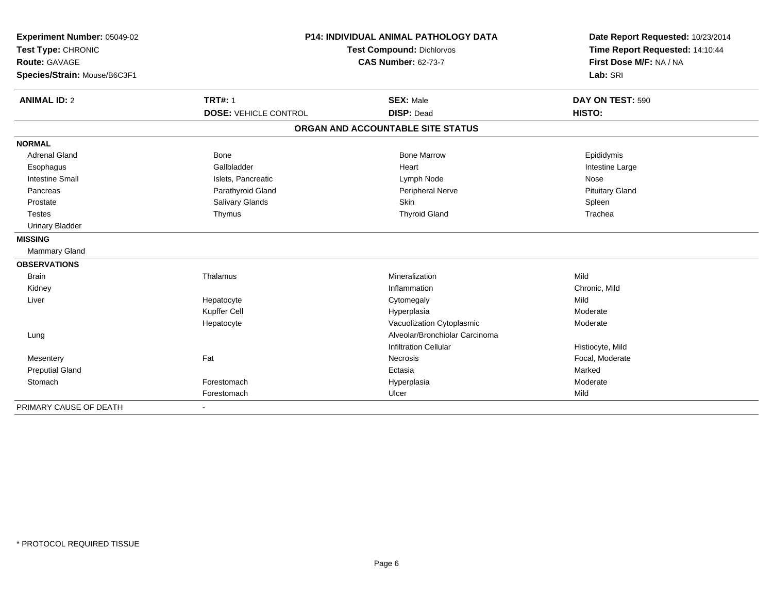| Experiment Number: 05049-02  | P14: INDIVIDUAL ANIMAL PATHOLOGY DATA |                                   | Date Report Requested: 10/23/2014                          |  |
|------------------------------|---------------------------------------|-----------------------------------|------------------------------------------------------------|--|
| Test Type: CHRONIC           |                                       | <b>Test Compound: Dichlorvos</b>  |                                                            |  |
| Route: GAVAGE                |                                       | <b>CAS Number: 62-73-7</b>        | Time Report Requested: 14:10:44<br>First Dose M/F: NA / NA |  |
| Species/Strain: Mouse/B6C3F1 |                                       |                                   | Lab: SRI                                                   |  |
| <b>ANIMAL ID: 2</b>          | <b>TRT#: 1</b>                        | <b>SEX: Male</b>                  | DAY ON TEST: 590                                           |  |
|                              | <b>DOSE: VEHICLE CONTROL</b>          | <b>DISP: Dead</b>                 | HISTO:                                                     |  |
|                              |                                       | ORGAN AND ACCOUNTABLE SITE STATUS |                                                            |  |
| <b>NORMAL</b>                |                                       |                                   |                                                            |  |
| <b>Adrenal Gland</b>         | Bone                                  | <b>Bone Marrow</b>                | Epididymis                                                 |  |
| Esophagus                    | Gallbladder                           | Heart                             | Intestine Large                                            |  |
| <b>Intestine Small</b>       | Islets, Pancreatic                    | Lymph Node                        | Nose                                                       |  |
| Pancreas                     | Parathyroid Gland                     | Peripheral Nerve                  | <b>Pituitary Gland</b>                                     |  |
| Prostate                     | Salivary Glands                       | <b>Skin</b>                       | Spleen                                                     |  |
| <b>Testes</b>                | Thymus                                | <b>Thyroid Gland</b>              | Trachea                                                    |  |
| <b>Urinary Bladder</b>       |                                       |                                   |                                                            |  |
| <b>MISSING</b>               |                                       |                                   |                                                            |  |
| Mammary Gland                |                                       |                                   |                                                            |  |
| <b>OBSERVATIONS</b>          |                                       |                                   |                                                            |  |
| <b>Brain</b>                 | Thalamus                              | Mineralization                    | Mild                                                       |  |
| Kidney                       |                                       | Inflammation                      | Chronic, Mild                                              |  |
| Liver                        | Hepatocyte                            | Cytomegaly                        | Mild                                                       |  |
|                              | Kupffer Cell                          | Hyperplasia                       | Moderate                                                   |  |
|                              | Hepatocyte                            | Vacuolization Cytoplasmic         | Moderate                                                   |  |
| Lung                         |                                       | Alveolar/Bronchiolar Carcinoma    |                                                            |  |
|                              |                                       | <b>Infiltration Cellular</b>      | Histiocyte, Mild                                           |  |
| Mesentery                    | Fat                                   | Necrosis                          | Focal, Moderate                                            |  |
| <b>Preputial Gland</b>       |                                       | Ectasia                           | Marked                                                     |  |
| Stomach                      | Forestomach                           | Hyperplasia                       | Moderate                                                   |  |
|                              | Forestomach                           | Ulcer                             | Mild                                                       |  |
| PRIMARY CAUSE OF DEATH       |                                       |                                   |                                                            |  |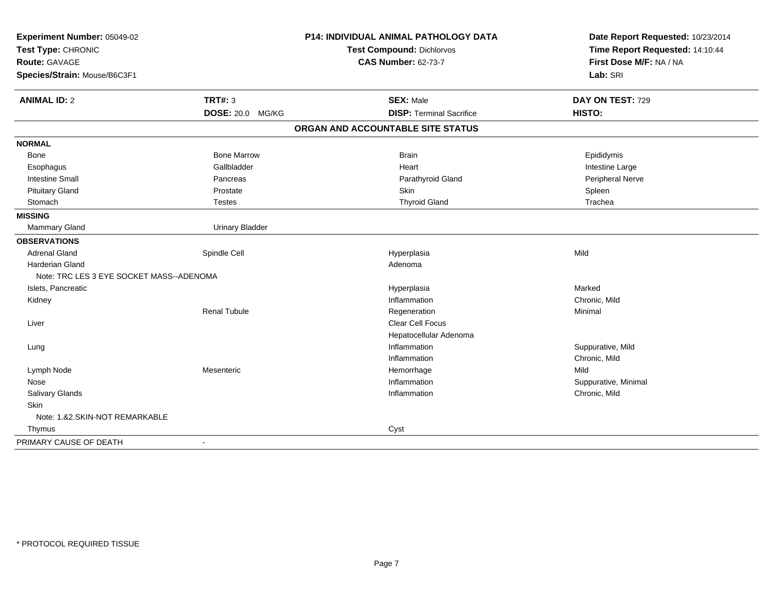| Experiment Number: 05049-02                |                         | P14: INDIVIDUAL ANIMAL PATHOLOGY DATA | Date Report Requested: 10/23/2014 |
|--------------------------------------------|-------------------------|---------------------------------------|-----------------------------------|
| Test Type: CHRONIC<br><b>Route: GAVAGE</b> |                         | <b>Test Compound: Dichlorvos</b>      | Time Report Requested: 14:10:44   |
|                                            |                         | <b>CAS Number: 62-73-7</b>            | First Dose M/F: NA / NA           |
| Species/Strain: Mouse/B6C3F1               |                         |                                       | Lab: SRI                          |
| <b>ANIMAL ID: 2</b>                        | <b>TRT#: 3</b>          | <b>SEX: Male</b>                      | DAY ON TEST: 729                  |
|                                            | <b>DOSE: 20.0 MG/KG</b> | <b>DISP: Terminal Sacrifice</b>       | HISTO:                            |
|                                            |                         | ORGAN AND ACCOUNTABLE SITE STATUS     |                                   |
| <b>NORMAL</b>                              |                         |                                       |                                   |
| Bone                                       | <b>Bone Marrow</b>      | <b>Brain</b>                          | Epididymis                        |
| Esophagus                                  | Gallbladder             | Heart                                 | Intestine Large                   |
| <b>Intestine Small</b>                     | Pancreas                | Parathyroid Gland                     | Peripheral Nerve                  |
| <b>Pituitary Gland</b>                     | Prostate                | Skin                                  | Spleen                            |
| Stomach                                    | <b>Testes</b>           | <b>Thyroid Gland</b>                  | Trachea                           |
| <b>MISSING</b>                             |                         |                                       |                                   |
| <b>Mammary Gland</b>                       | <b>Urinary Bladder</b>  |                                       |                                   |
| <b>OBSERVATIONS</b>                        |                         |                                       |                                   |
| <b>Adrenal Gland</b>                       | Spindle Cell            | Hyperplasia                           | Mild                              |
| <b>Harderian Gland</b>                     |                         | Adenoma                               |                                   |
| Note: TRC LES 3 EYE SOCKET MASS--ADENOMA   |                         |                                       |                                   |
| Islets, Pancreatic                         |                         | Hyperplasia                           | Marked                            |
| Kidney                                     |                         | Inflammation                          | Chronic, Mild                     |
|                                            | <b>Renal Tubule</b>     | Regeneration                          | Minimal                           |
| Liver                                      |                         | Clear Cell Focus                      |                                   |
|                                            |                         | Hepatocellular Adenoma                |                                   |
| Lung                                       |                         | Inflammation                          | Suppurative, Mild                 |
|                                            |                         | Inflammation                          | Chronic, Mild                     |
| Lymph Node                                 | Mesenteric              | Hemorrhage                            | Mild                              |
| Nose                                       |                         | Inflammation                          | Suppurative, Minimal              |
| <b>Salivary Glands</b>                     |                         | Inflammation                          | Chronic, Mild                     |
| Skin                                       |                         |                                       |                                   |
| Note: 1.&2.SKIN-NOT REMARKABLE             |                         |                                       |                                   |
| Thymus                                     |                         | Cyst                                  |                                   |
| PRIMARY CAUSE OF DEATH                     | $\sim$                  |                                       |                                   |
|                                            |                         |                                       |                                   |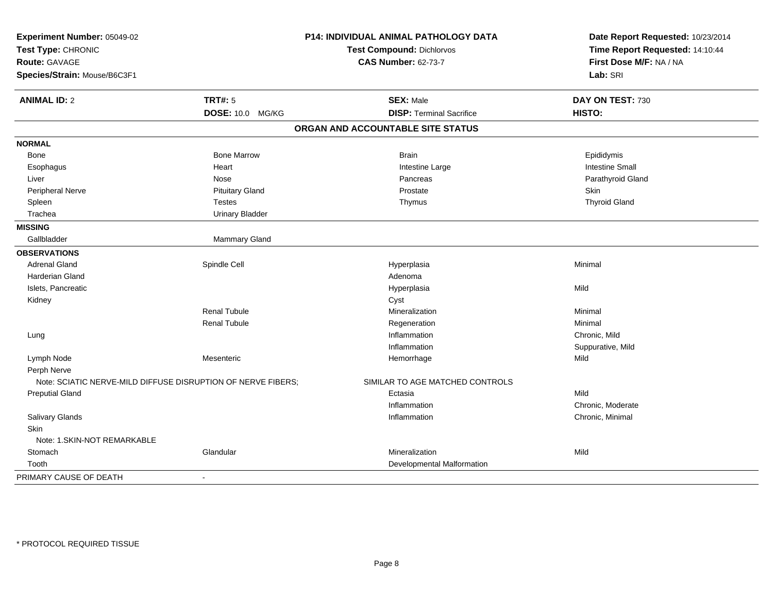| Experiment Number: 05049-02                                  |                         | P14: INDIVIDUAL ANIMAL PATHOLOGY DATA | Date Report Requested: 10/23/2014 |
|--------------------------------------------------------------|-------------------------|---------------------------------------|-----------------------------------|
| Test Type: CHRONIC                                           |                         | <b>Test Compound: Dichlorvos</b>      | Time Report Requested: 14:10:44   |
| <b>Route: GAVAGE</b>                                         |                         | <b>CAS Number: 62-73-7</b>            | First Dose M/F: NA / NA           |
| Species/Strain: Mouse/B6C3F1                                 |                         |                                       | Lab: SRI                          |
| <b>ANIMAL ID: 2</b>                                          | <b>TRT#: 5</b>          | <b>SEX: Male</b>                      | DAY ON TEST: 730                  |
|                                                              | <b>DOSE: 10.0 MG/KG</b> | <b>DISP: Terminal Sacrifice</b>       | HISTO:                            |
|                                                              |                         | ORGAN AND ACCOUNTABLE SITE STATUS     |                                   |
| <b>NORMAL</b>                                                |                         |                                       |                                   |
| <b>Bone</b>                                                  | <b>Bone Marrow</b>      | <b>Brain</b>                          | Epididymis                        |
| Esophagus                                                    | Heart                   | Intestine Large                       | <b>Intestine Small</b>            |
| Liver                                                        | Nose                    | Pancreas                              | Parathyroid Gland                 |
| Peripheral Nerve                                             | <b>Pituitary Gland</b>  | Prostate                              | Skin                              |
| Spleen                                                       | <b>Testes</b>           | Thymus                                | <b>Thyroid Gland</b>              |
| Trachea                                                      | <b>Urinary Bladder</b>  |                                       |                                   |
| <b>MISSING</b>                                               |                         |                                       |                                   |
| Gallbladder                                                  | Mammary Gland           |                                       |                                   |
| <b>OBSERVATIONS</b>                                          |                         |                                       |                                   |
| <b>Adrenal Gland</b>                                         | Spindle Cell            | Hyperplasia                           | Minimal                           |
| Harderian Gland                                              |                         | Adenoma                               |                                   |
| Islets, Pancreatic                                           |                         | Hyperplasia                           | Mild                              |
| Kidney                                                       |                         | Cyst                                  |                                   |
|                                                              | <b>Renal Tubule</b>     | Mineralization                        | Minimal                           |
|                                                              | <b>Renal Tubule</b>     | Regeneration                          | Minimal                           |
| Lung                                                         |                         | Inflammation                          | Chronic, Mild                     |
|                                                              |                         | Inflammation                          | Suppurative, Mild                 |
| Lymph Node                                                   | Mesenteric              | Hemorrhage                            | Mild                              |
| Perph Nerve                                                  |                         |                                       |                                   |
| Note: SCIATIC NERVE-MILD DIFFUSE DISRUPTION OF NERVE FIBERS; |                         | SIMILAR TO AGE MATCHED CONTROLS       |                                   |
| <b>Preputial Gland</b>                                       |                         | Ectasia                               | Mild                              |
|                                                              |                         | Inflammation                          | Chronic, Moderate                 |
| Salivary Glands                                              |                         | Inflammation                          | Chronic, Minimal                  |
| Skin                                                         |                         |                                       |                                   |
| Note: 1.SKIN-NOT REMARKABLE                                  |                         |                                       |                                   |
| Stomach                                                      | Glandular               | Mineralization                        | Mild                              |
| Tooth                                                        |                         | Developmental Malformation            |                                   |
| PRIMARY CAUSE OF DEATH                                       | $\blacksquare$          |                                       |                                   |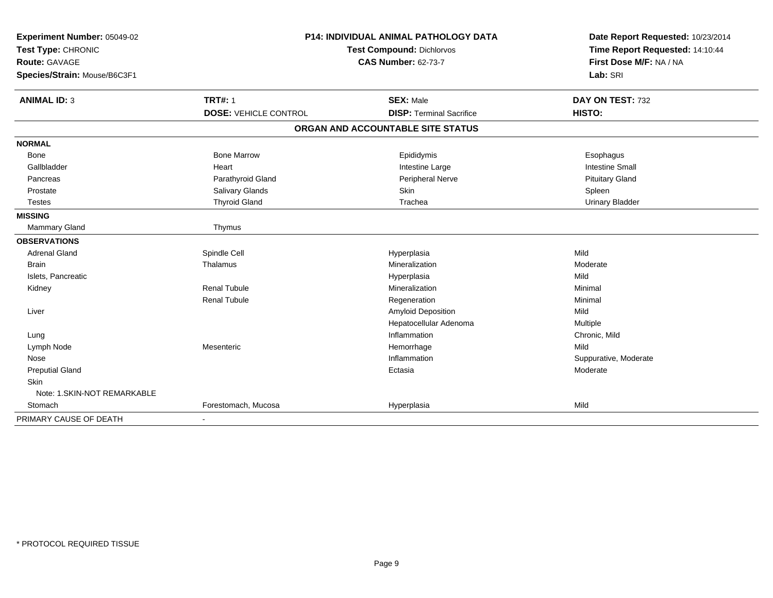| Experiment Number: 05049-02<br>Test Type: CHRONIC<br><b>Route: GAVAGE</b><br>Species/Strain: Mouse/B6C3F1 |                              | <b>P14: INDIVIDUAL ANIMAL PATHOLOGY DATA</b><br><b>Test Compound: Dichlorvos</b><br><b>CAS Number: 62-73-7</b> | Date Report Requested: 10/23/2014<br>Time Report Requested: 14:10:44<br>First Dose M/F: NA / NA<br>Lab: SRI |
|-----------------------------------------------------------------------------------------------------------|------------------------------|----------------------------------------------------------------------------------------------------------------|-------------------------------------------------------------------------------------------------------------|
| <b>ANIMAL ID: 3</b>                                                                                       | <b>TRT#: 1</b>               | <b>SEX: Male</b>                                                                                               | DAY ON TEST: 732                                                                                            |
|                                                                                                           | <b>DOSE: VEHICLE CONTROL</b> | <b>DISP: Terminal Sacrifice</b>                                                                                | HISTO:                                                                                                      |
|                                                                                                           |                              | ORGAN AND ACCOUNTABLE SITE STATUS                                                                              |                                                                                                             |
| <b>NORMAL</b>                                                                                             |                              |                                                                                                                |                                                                                                             |
| Bone                                                                                                      | <b>Bone Marrow</b>           | Epididymis                                                                                                     | Esophagus                                                                                                   |
| Gallbladder                                                                                               | Heart                        | Intestine Large                                                                                                | <b>Intestine Small</b>                                                                                      |
| Pancreas                                                                                                  | Parathyroid Gland            | Peripheral Nerve                                                                                               | <b>Pituitary Gland</b>                                                                                      |
| Prostate                                                                                                  | <b>Salivary Glands</b>       | Skin                                                                                                           | Spleen                                                                                                      |
| <b>Testes</b>                                                                                             | <b>Thyroid Gland</b>         | Trachea                                                                                                        | <b>Urinary Bladder</b>                                                                                      |
| <b>MISSING</b>                                                                                            |                              |                                                                                                                |                                                                                                             |
| Mammary Gland                                                                                             | Thymus                       |                                                                                                                |                                                                                                             |
| <b>OBSERVATIONS</b>                                                                                       |                              |                                                                                                                |                                                                                                             |
| <b>Adrenal Gland</b>                                                                                      | Spindle Cell                 | Hyperplasia                                                                                                    | Mild                                                                                                        |
| <b>Brain</b>                                                                                              | Thalamus                     | Mineralization                                                                                                 | Moderate                                                                                                    |
| Islets, Pancreatic                                                                                        |                              | Hyperplasia                                                                                                    | Mild                                                                                                        |
| Kidney                                                                                                    | <b>Renal Tubule</b>          | Mineralization                                                                                                 | Minimal                                                                                                     |
|                                                                                                           | <b>Renal Tubule</b>          | Regeneration                                                                                                   | Minimal                                                                                                     |
| Liver                                                                                                     |                              | Amyloid Deposition                                                                                             | Mild                                                                                                        |
|                                                                                                           |                              | Hepatocellular Adenoma                                                                                         | Multiple                                                                                                    |
| Lung                                                                                                      |                              | Inflammation                                                                                                   | Chronic, Mild                                                                                               |
| Lymph Node                                                                                                | Mesenteric                   | Hemorrhage                                                                                                     | Mild                                                                                                        |
| Nose                                                                                                      |                              | Inflammation                                                                                                   | Suppurative, Moderate                                                                                       |
| <b>Preputial Gland</b>                                                                                    |                              | Ectasia                                                                                                        | Moderate                                                                                                    |
| Skin                                                                                                      |                              |                                                                                                                |                                                                                                             |
| Note: 1.SKIN-NOT REMARKABLE                                                                               |                              |                                                                                                                |                                                                                                             |
| Stomach                                                                                                   | Forestomach, Mucosa          | Hyperplasia                                                                                                    | Mild                                                                                                        |
| PRIMARY CAUSE OF DEATH                                                                                    | $\overline{\phantom{a}}$     |                                                                                                                |                                                                                                             |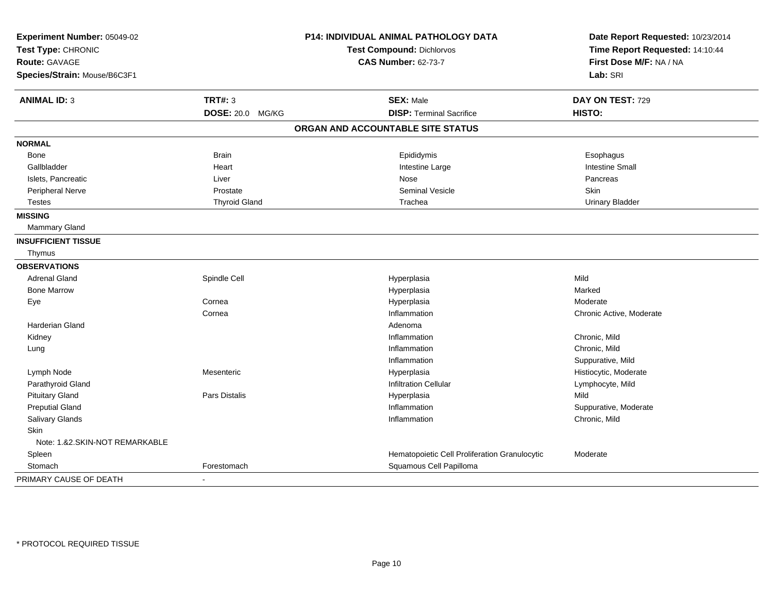| Experiment Number: 05049-02    |                      | P14: INDIVIDUAL ANIMAL PATHOLOGY DATA         | Date Report Requested: 10/23/2014 |
|--------------------------------|----------------------|-----------------------------------------------|-----------------------------------|
| Test Type: CHRONIC             |                      | Test Compound: Dichlorvos                     | Time Report Requested: 14:10:44   |
| <b>Route: GAVAGE</b>           |                      | <b>CAS Number: 62-73-7</b>                    | First Dose M/F: NA / NA           |
| Species/Strain: Mouse/B6C3F1   |                      |                                               | Lab: SRI                          |
| <b>ANIMAL ID: 3</b>            | <b>TRT#: 3</b>       | <b>SEX: Male</b>                              | DAY ON TEST: 729                  |
|                                | DOSE: 20.0 MG/KG     | <b>DISP: Terminal Sacrifice</b>               | HISTO:                            |
|                                |                      | ORGAN AND ACCOUNTABLE SITE STATUS             |                                   |
| <b>NORMAL</b>                  |                      |                                               |                                   |
| Bone                           | <b>Brain</b>         | Epididymis                                    | Esophagus                         |
| Gallbladder                    | Heart                | Intestine Large                               | <b>Intestine Small</b>            |
| Islets, Pancreatic             | Liver                | Nose                                          | Pancreas                          |
| Peripheral Nerve               | Prostate             | <b>Seminal Vesicle</b>                        | Skin                              |
| <b>Testes</b>                  | <b>Thyroid Gland</b> | Trachea                                       | <b>Urinary Bladder</b>            |
| <b>MISSING</b>                 |                      |                                               |                                   |
| Mammary Gland                  |                      |                                               |                                   |
| <b>INSUFFICIENT TISSUE</b>     |                      |                                               |                                   |
| Thymus                         |                      |                                               |                                   |
| <b>OBSERVATIONS</b>            |                      |                                               |                                   |
| <b>Adrenal Gland</b>           | Spindle Cell         | Hyperplasia                                   | Mild                              |
| <b>Bone Marrow</b>             |                      | Hyperplasia                                   | Marked                            |
| Eye                            | Cornea               | Hyperplasia                                   | Moderate                          |
|                                | Cornea               | Inflammation                                  | Chronic Active, Moderate          |
| <b>Harderian Gland</b>         |                      | Adenoma                                       |                                   |
| Kidney                         |                      | Inflammation                                  | Chronic, Mild                     |
| Lung                           |                      | Inflammation                                  | Chronic, Mild                     |
|                                |                      | Inflammation                                  | Suppurative, Mild                 |
| Lymph Node                     | Mesenteric           | Hyperplasia                                   | Histiocytic, Moderate             |
| Parathyroid Gland              |                      | <b>Infiltration Cellular</b>                  | Lymphocyte, Mild                  |
| <b>Pituitary Gland</b>         | Pars Distalis        | Hyperplasia                                   | Mild                              |
| <b>Preputial Gland</b>         |                      | Inflammation                                  | Suppurative, Moderate             |
| Salivary Glands                |                      | Inflammation                                  | Chronic, Mild                     |
| <b>Skin</b>                    |                      |                                               |                                   |
| Note: 1.&2.SKIN-NOT REMARKABLE |                      |                                               |                                   |
| Spleen                         |                      | Hematopoietic Cell Proliferation Granulocytic | Moderate                          |
| Stomach                        | Forestomach          | Squamous Cell Papilloma                       |                                   |
| PRIMARY CAUSE OF DEATH         |                      |                                               |                                   |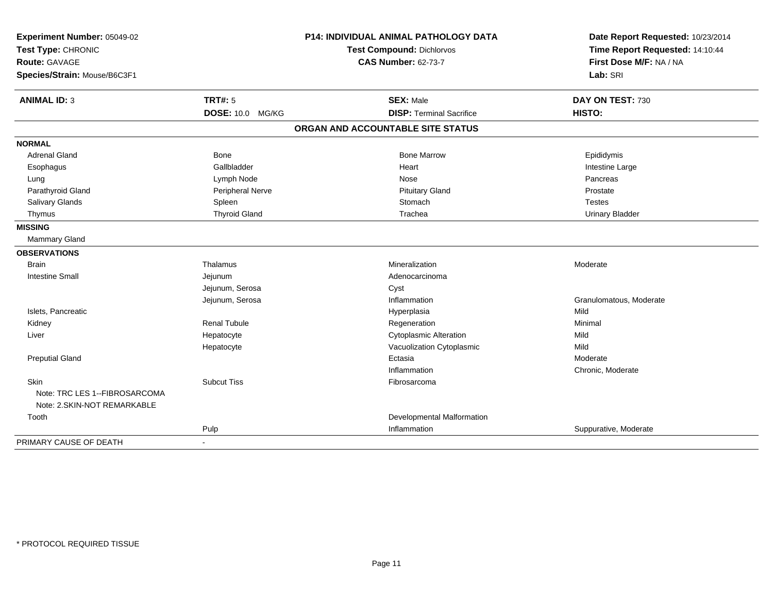| Experiment Number: 05049-02<br>Test Type: CHRONIC |                      | <b>P14: INDIVIDUAL ANIMAL PATHOLOGY DATA</b> | Date Report Requested: 10/23/2014 |
|---------------------------------------------------|----------------------|----------------------------------------------|-----------------------------------|
|                                                   |                      | <b>Test Compound: Dichlorvos</b>             | Time Report Requested: 14:10:44   |
| Route: GAVAGE                                     |                      | <b>CAS Number: 62-73-7</b>                   | First Dose M/F: NA / NA           |
| Species/Strain: Mouse/B6C3F1                      |                      |                                              | Lab: SRI                          |
| <b>ANIMAL ID: 3</b>                               | <b>TRT#: 5</b>       | <b>SEX: Male</b>                             | DAY ON TEST: 730                  |
|                                                   | DOSE: 10.0 MG/KG     | <b>DISP: Terminal Sacrifice</b>              | HISTO:                            |
|                                                   |                      | ORGAN AND ACCOUNTABLE SITE STATUS            |                                   |
| <b>NORMAL</b>                                     |                      |                                              |                                   |
| <b>Adrenal Gland</b>                              | <b>Bone</b>          | <b>Bone Marrow</b>                           | Epididymis                        |
| Esophagus                                         | Gallbladder          | Heart                                        | Intestine Large                   |
| Lung                                              | Lymph Node           | Nose                                         | Pancreas                          |
| Parathyroid Gland                                 | Peripheral Nerve     | <b>Pituitary Gland</b>                       | Prostate                          |
| Salivary Glands                                   | Spleen               | Stomach                                      | <b>Testes</b>                     |
| Thymus                                            | <b>Thyroid Gland</b> | Trachea                                      | <b>Urinary Bladder</b>            |
| <b>MISSING</b>                                    |                      |                                              |                                   |
| Mammary Gland                                     |                      |                                              |                                   |
| <b>OBSERVATIONS</b>                               |                      |                                              |                                   |
| <b>Brain</b>                                      | Thalamus             | Mineralization                               | Moderate                          |
| <b>Intestine Small</b>                            | Jejunum              | Adenocarcinoma                               |                                   |
|                                                   | Jejunum, Serosa      | Cyst                                         |                                   |
|                                                   | Jejunum, Serosa      | Inflammation                                 | Granulomatous, Moderate           |
| Islets, Pancreatic                                |                      | Hyperplasia                                  | Mild                              |
| Kidney                                            | <b>Renal Tubule</b>  | Regeneration                                 | Minimal                           |
| Liver                                             | Hepatocyte           | <b>Cytoplasmic Alteration</b>                | Mild                              |
|                                                   | Hepatocyte           | Vacuolization Cytoplasmic                    | Mild                              |
| <b>Preputial Gland</b>                            |                      | Ectasia                                      | Moderate                          |
|                                                   |                      | Inflammation                                 | Chronic, Moderate                 |
| Skin                                              | <b>Subcut Tiss</b>   | Fibrosarcoma                                 |                                   |
| Note: TRC LES 1--FIBROSARCOMA                     |                      |                                              |                                   |
| Note: 2. SKIN-NOT REMARKABLE                      |                      |                                              |                                   |
| Tooth                                             |                      | Developmental Malformation                   |                                   |
|                                                   | Pulp                 | Inflammation                                 | Suppurative, Moderate             |
| PRIMARY CAUSE OF DEATH                            |                      |                                              |                                   |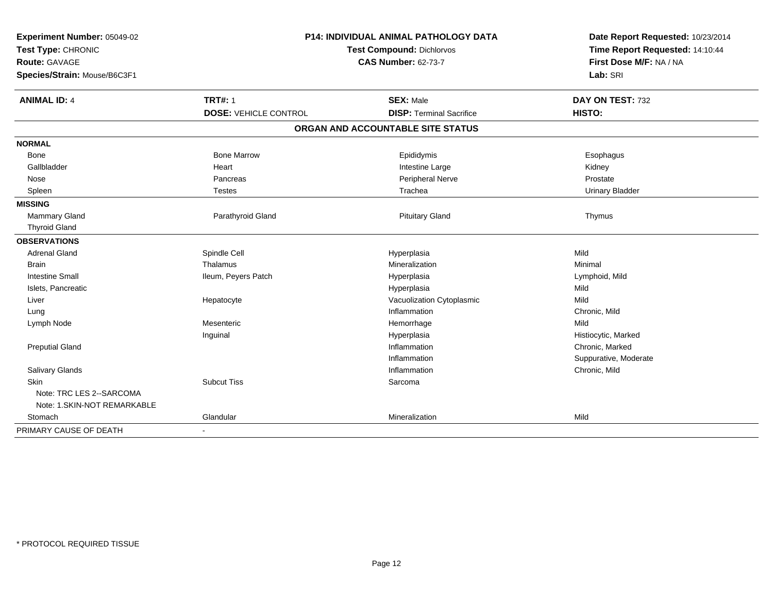| Experiment Number: 05049-02<br>Test Type: CHRONIC<br><b>Route: GAVAGE</b><br>Species/Strain: Mouse/B6C3F1 | P14: INDIVIDUAL ANIMAL PATHOLOGY DATA<br><b>Test Compound: Dichlorvos</b><br><b>CAS Number: 62-73-7</b> |                                                     | Date Report Requested: 10/23/2014<br>Time Report Requested: 14:10:44<br>First Dose M/F: NA / NA<br>Lab: SRI |
|-----------------------------------------------------------------------------------------------------------|---------------------------------------------------------------------------------------------------------|-----------------------------------------------------|-------------------------------------------------------------------------------------------------------------|
| <b>ANIMAL ID: 4</b>                                                                                       | <b>TRT#: 1</b><br><b>DOSE: VEHICLE CONTROL</b>                                                          | <b>SEX: Male</b><br><b>DISP: Terminal Sacrifice</b> | DAY ON TEST: 732<br>HISTO:                                                                                  |
|                                                                                                           |                                                                                                         | ORGAN AND ACCOUNTABLE SITE STATUS                   |                                                                                                             |
| <b>NORMAL</b>                                                                                             |                                                                                                         |                                                     |                                                                                                             |
| Bone                                                                                                      | <b>Bone Marrow</b>                                                                                      | Epididymis                                          | Esophagus                                                                                                   |
| Gallbladder                                                                                               | Heart                                                                                                   | Intestine Large                                     | Kidney                                                                                                      |
| Nose                                                                                                      | Pancreas                                                                                                | Peripheral Nerve                                    | Prostate                                                                                                    |
| Spleen                                                                                                    | <b>Testes</b>                                                                                           | Trachea                                             | <b>Urinary Bladder</b>                                                                                      |
| <b>MISSING</b>                                                                                            |                                                                                                         |                                                     |                                                                                                             |
| <b>Mammary Gland</b>                                                                                      | Parathyroid Gland                                                                                       | <b>Pituitary Gland</b>                              | Thymus                                                                                                      |
| <b>Thyroid Gland</b>                                                                                      |                                                                                                         |                                                     |                                                                                                             |
| <b>OBSERVATIONS</b>                                                                                       |                                                                                                         |                                                     |                                                                                                             |
| <b>Adrenal Gland</b>                                                                                      | Spindle Cell                                                                                            | Hyperplasia                                         | Mild                                                                                                        |
| <b>Brain</b>                                                                                              | Thalamus                                                                                                | Mineralization                                      | Minimal                                                                                                     |
| <b>Intestine Small</b>                                                                                    | Ileum, Peyers Patch                                                                                     | Hyperplasia                                         | Lymphoid, Mild                                                                                              |
| Islets, Pancreatic                                                                                        |                                                                                                         | Hyperplasia                                         | Mild                                                                                                        |
| Liver                                                                                                     | Hepatocyte                                                                                              | Vacuolization Cytoplasmic                           | Mild                                                                                                        |
| Lung                                                                                                      |                                                                                                         | Inflammation                                        | Chronic, Mild                                                                                               |
| Lymph Node                                                                                                | Mesenteric                                                                                              | Hemorrhage                                          | Mild                                                                                                        |
|                                                                                                           | Inguinal                                                                                                | Hyperplasia                                         | Histiocytic, Marked                                                                                         |
| <b>Preputial Gland</b>                                                                                    |                                                                                                         | Inflammation                                        | Chronic, Marked                                                                                             |
|                                                                                                           |                                                                                                         | Inflammation                                        | Suppurative, Moderate                                                                                       |
| Salivary Glands                                                                                           |                                                                                                         | Inflammation                                        | Chronic, Mild                                                                                               |
| Skin                                                                                                      | <b>Subcut Tiss</b>                                                                                      | Sarcoma                                             |                                                                                                             |
| Note: TRC LES 2--SARCOMA                                                                                  |                                                                                                         |                                                     |                                                                                                             |
| Note: 1.SKIN-NOT REMARKABLE                                                                               |                                                                                                         |                                                     |                                                                                                             |
| Stomach                                                                                                   | Glandular                                                                                               | Mineralization                                      | Mild                                                                                                        |
| PRIMARY CAUSE OF DEATH                                                                                    |                                                                                                         |                                                     |                                                                                                             |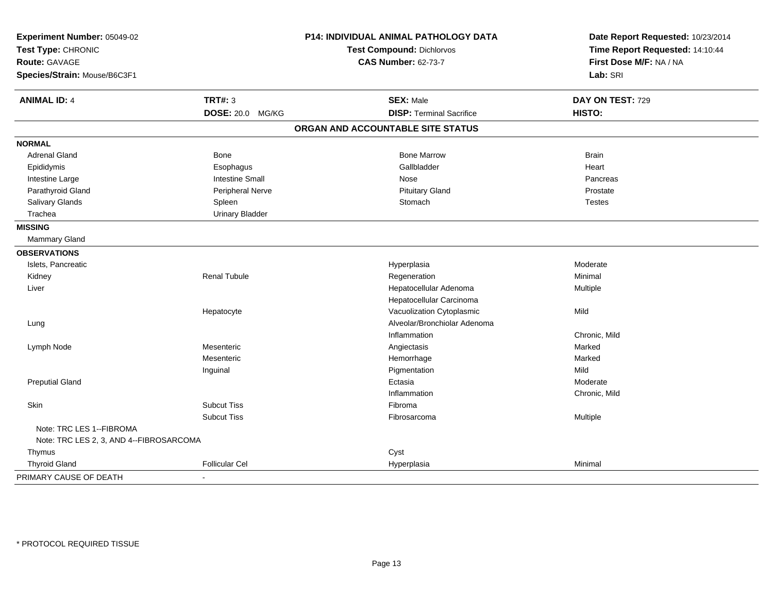| Experiment Number: 05049-02<br>Test Type: CHRONIC<br><b>Route: GAVAGE</b> |                        | P14: INDIVIDUAL ANIMAL PATHOLOGY DATA<br>Test Compound: Dichlorvos | Date Report Requested: 10/23/2014<br>Time Report Requested: 14:10:44 |
|---------------------------------------------------------------------------|------------------------|--------------------------------------------------------------------|----------------------------------------------------------------------|
|                                                                           |                        | <b>CAS Number: 62-73-7</b>                                         | First Dose M/F: NA / NA                                              |
|                                                                           |                        |                                                                    | Lab: SRI                                                             |
| Species/Strain: Mouse/B6C3F1                                              |                        |                                                                    |                                                                      |
| <b>ANIMAL ID: 4</b>                                                       | <b>TRT#: 3</b>         | <b>SEX: Male</b>                                                   | DAY ON TEST: 729                                                     |
|                                                                           | DOSE: 20.0 MG/KG       | <b>DISP: Terminal Sacrifice</b>                                    | HISTO:                                                               |
|                                                                           |                        | ORGAN AND ACCOUNTABLE SITE STATUS                                  |                                                                      |
| <b>NORMAL</b>                                                             |                        |                                                                    |                                                                      |
| <b>Adrenal Gland</b>                                                      | Bone                   | <b>Bone Marrow</b>                                                 | <b>Brain</b>                                                         |
| Epididymis                                                                | Esophagus              | Gallbladder                                                        | Heart                                                                |
| Intestine Large                                                           | <b>Intestine Small</b> | Nose                                                               | Pancreas                                                             |
| Parathyroid Gland                                                         | Peripheral Nerve       | <b>Pituitary Gland</b>                                             | Prostate                                                             |
| Salivary Glands                                                           | Spleen                 | Stomach                                                            | <b>Testes</b>                                                        |
| Trachea                                                                   | <b>Urinary Bladder</b> |                                                                    |                                                                      |
| <b>MISSING</b>                                                            |                        |                                                                    |                                                                      |
| Mammary Gland                                                             |                        |                                                                    |                                                                      |
| <b>OBSERVATIONS</b>                                                       |                        |                                                                    |                                                                      |
| Islets, Pancreatic                                                        |                        | Hyperplasia                                                        | Moderate                                                             |
| Kidney                                                                    | <b>Renal Tubule</b>    | Regeneration                                                       | Minimal                                                              |
| Liver                                                                     |                        | Hepatocellular Adenoma                                             | Multiple                                                             |
|                                                                           |                        | Hepatocellular Carcinoma                                           |                                                                      |
|                                                                           | Hepatocyte             | Vacuolization Cytoplasmic                                          | Mild                                                                 |
| Lung                                                                      |                        | Alveolar/Bronchiolar Adenoma                                       |                                                                      |
|                                                                           |                        | Inflammation                                                       | Chronic, Mild                                                        |
| Lymph Node                                                                | Mesenteric             | Angiectasis                                                        | Marked                                                               |
|                                                                           | Mesenteric             | Hemorrhage                                                         | Marked                                                               |
|                                                                           | Inguinal               | Pigmentation                                                       | Mild                                                                 |
| <b>Preputial Gland</b>                                                    |                        | Ectasia                                                            | Moderate                                                             |
|                                                                           |                        | Inflammation                                                       | Chronic, Mild                                                        |
| Skin                                                                      | <b>Subcut Tiss</b>     | Fibroma                                                            |                                                                      |
|                                                                           | <b>Subcut Tiss</b>     | Fibrosarcoma                                                       | Multiple                                                             |
| Note: TRC LES 1--FIBROMA                                                  |                        |                                                                    |                                                                      |
| Note: TRC LES 2, 3, AND 4--FIBROSARCOMA                                   |                        |                                                                    |                                                                      |
| Thymus                                                                    |                        | Cyst                                                               |                                                                      |
| <b>Thyroid Gland</b>                                                      | <b>Follicular Cel</b>  | Hyperplasia                                                        | Minimal                                                              |
| PRIMARY CAUSE OF DEATH                                                    |                        |                                                                    |                                                                      |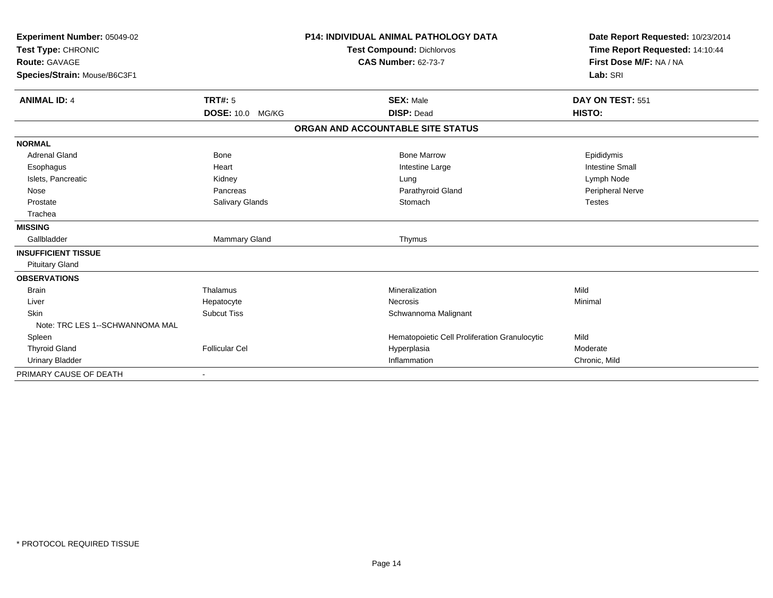| Experiment Number: 05049-02<br>Test Type: CHRONIC<br><b>Route: GAVAGE</b><br>Species/Strain: Mouse/B6C3F1 |                         | <b>P14: INDIVIDUAL ANIMAL PATHOLOGY DATA</b><br><b>Test Compound: Dichlorvos</b><br><b>CAS Number: 62-73-7</b> | Date Report Requested: 10/23/2014<br>Time Report Requested: 14:10:44<br>First Dose M/F: NA / NA<br>Lab: SRI |
|-----------------------------------------------------------------------------------------------------------|-------------------------|----------------------------------------------------------------------------------------------------------------|-------------------------------------------------------------------------------------------------------------|
| <b>ANIMAL ID: 4</b>                                                                                       | TRT#: 5                 | <b>SEX: Male</b>                                                                                               | DAY ON TEST: 551                                                                                            |
|                                                                                                           | <b>DOSE: 10.0 MG/KG</b> | <b>DISP: Dead</b>                                                                                              | HISTO:                                                                                                      |
|                                                                                                           |                         | ORGAN AND ACCOUNTABLE SITE STATUS                                                                              |                                                                                                             |
| <b>NORMAL</b>                                                                                             |                         |                                                                                                                |                                                                                                             |
| <b>Adrenal Gland</b>                                                                                      | <b>Bone</b>             | <b>Bone Marrow</b>                                                                                             | Epididymis                                                                                                  |
| Esophagus                                                                                                 | Heart                   | Intestine Large                                                                                                | <b>Intestine Small</b>                                                                                      |
| Islets, Pancreatic                                                                                        | Kidney                  | Lung                                                                                                           | Lymph Node                                                                                                  |
| Nose                                                                                                      | Pancreas                | Parathyroid Gland                                                                                              | Peripheral Nerve                                                                                            |
| Prostate                                                                                                  | Salivary Glands         | Stomach                                                                                                        | <b>Testes</b>                                                                                               |
| Trachea                                                                                                   |                         |                                                                                                                |                                                                                                             |
| <b>MISSING</b>                                                                                            |                         |                                                                                                                |                                                                                                             |
| Gallbladder                                                                                               | Mammary Gland           | Thymus                                                                                                         |                                                                                                             |
| <b>INSUFFICIENT TISSUE</b>                                                                                |                         |                                                                                                                |                                                                                                             |
| <b>Pituitary Gland</b>                                                                                    |                         |                                                                                                                |                                                                                                             |
| <b>OBSERVATIONS</b>                                                                                       |                         |                                                                                                                |                                                                                                             |
| <b>Brain</b>                                                                                              | Thalamus                | Mineralization                                                                                                 | Mild                                                                                                        |
| Liver                                                                                                     | Hepatocyte              | Necrosis                                                                                                       | Minimal                                                                                                     |
| Skin                                                                                                      | <b>Subcut Tiss</b>      | Schwannoma Malignant                                                                                           |                                                                                                             |
| Note: TRC LES 1--SCHWANNOMA MAL                                                                           |                         |                                                                                                                |                                                                                                             |
| Spleen                                                                                                    |                         | Hematopoietic Cell Proliferation Granulocytic                                                                  | Mild                                                                                                        |
| <b>Thyroid Gland</b>                                                                                      | <b>Follicular Cel</b>   | Hyperplasia                                                                                                    | Moderate                                                                                                    |
| <b>Urinary Bladder</b>                                                                                    |                         | Inflammation                                                                                                   | Chronic, Mild                                                                                               |
| PRIMARY CAUSE OF DEATH                                                                                    |                         |                                                                                                                |                                                                                                             |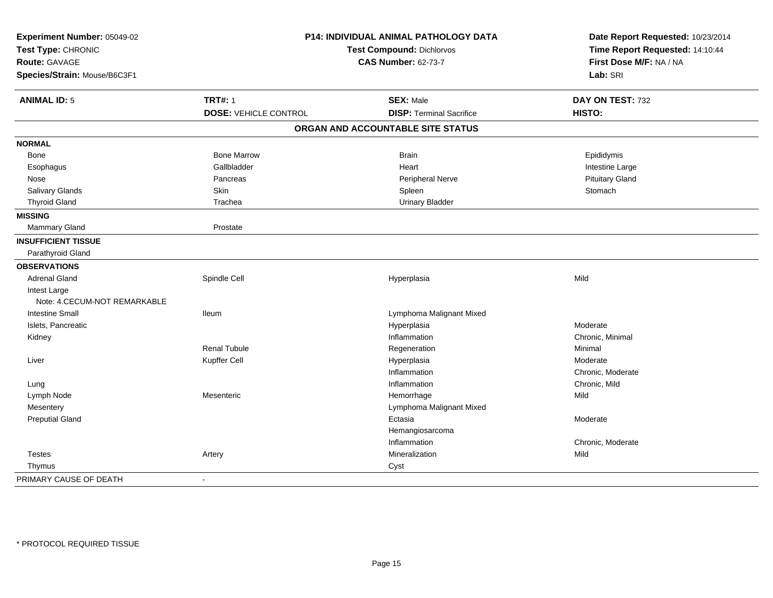| Experiment Number: 05049-02  | P14: INDIVIDUAL ANIMAL PATHOLOGY DATA |                                   | Date Report Requested: 10/23/2014                                      |
|------------------------------|---------------------------------------|-----------------------------------|------------------------------------------------------------------------|
| Test Type: CHRONIC           |                                       | <b>Test Compound: Dichlorvos</b>  | Time Report Requested: 14:10:44<br>First Dose M/F: NA / NA<br>Lab: SRI |
| <b>Route: GAVAGE</b>         |                                       | <b>CAS Number: 62-73-7</b>        |                                                                        |
| Species/Strain: Mouse/B6C3F1 |                                       |                                   |                                                                        |
| <b>ANIMAL ID: 5</b>          | <b>TRT#: 1</b>                        | <b>SEX: Male</b>                  | DAY ON TEST: 732                                                       |
|                              | <b>DOSE: VEHICLE CONTROL</b>          | <b>DISP: Terminal Sacrifice</b>   | HISTO:                                                                 |
|                              |                                       | ORGAN AND ACCOUNTABLE SITE STATUS |                                                                        |
| <b>NORMAL</b>                |                                       |                                   |                                                                        |
| Bone                         | <b>Bone Marrow</b>                    | <b>Brain</b>                      | Epididymis                                                             |
| Esophagus                    | Gallbladder                           | Heart                             | Intestine Large                                                        |
| Nose                         | Pancreas                              | Peripheral Nerve                  | <b>Pituitary Gland</b>                                                 |
| <b>Salivary Glands</b>       | Skin                                  | Spleen                            | Stomach                                                                |
| <b>Thyroid Gland</b>         | Trachea                               | <b>Urinary Bladder</b>            |                                                                        |
| <b>MISSING</b>               |                                       |                                   |                                                                        |
| Mammary Gland                | Prostate                              |                                   |                                                                        |
| <b>INSUFFICIENT TISSUE</b>   |                                       |                                   |                                                                        |
| Parathyroid Gland            |                                       |                                   |                                                                        |
| <b>OBSERVATIONS</b>          |                                       |                                   |                                                                        |
| <b>Adrenal Gland</b>         | Spindle Cell                          | Hyperplasia                       | Mild                                                                   |
| Intest Large                 |                                       |                                   |                                                                        |
| Note: 4.CECUM-NOT REMARKABLE |                                       |                                   |                                                                        |
| <b>Intestine Small</b>       | lleum                                 | Lymphoma Malignant Mixed          |                                                                        |
| Islets, Pancreatic           |                                       | Hyperplasia                       | Moderate                                                               |
| Kidney                       |                                       | Inflammation                      | Chronic, Minimal                                                       |
|                              | Renal Tubule                          | Regeneration                      | Minimal                                                                |
| Liver                        | Kupffer Cell                          | Hyperplasia                       | Moderate                                                               |
|                              |                                       | Inflammation                      | Chronic, Moderate                                                      |
| Lung                         |                                       | Inflammation                      | Chronic, Mild                                                          |
| Lymph Node                   | Mesenteric                            | Hemorrhage                        | Mild                                                                   |
| Mesentery                    |                                       | Lymphoma Malignant Mixed          |                                                                        |
| <b>Preputial Gland</b>       |                                       | Ectasia                           | Moderate                                                               |
|                              |                                       | Hemangiosarcoma                   |                                                                        |
|                              |                                       | Inflammation                      | Chronic, Moderate                                                      |
| <b>Testes</b>                | Artery                                | Mineralization                    | Mild                                                                   |
| Thymus                       |                                       | Cyst                              |                                                                        |
| PRIMARY CAUSE OF DEATH       | $\overline{\phantom{a}}$              |                                   |                                                                        |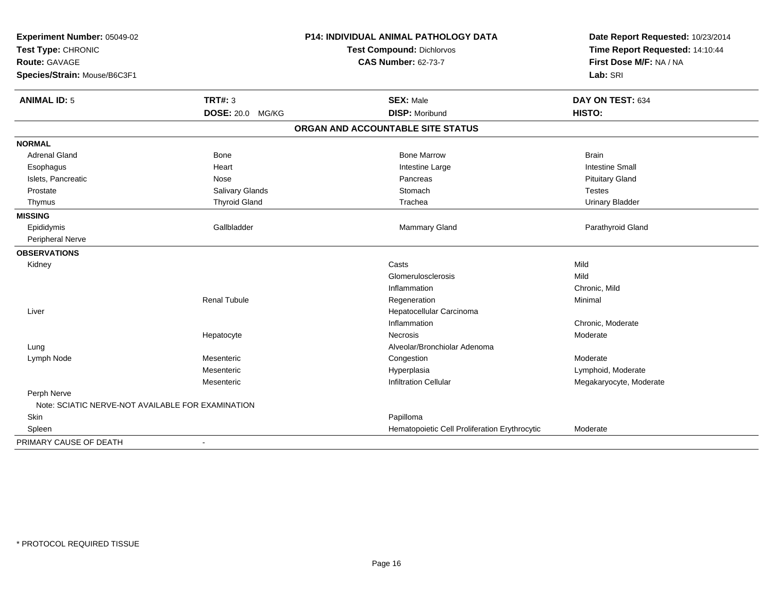| Experiment Number: 05049-02<br>Test Type: CHRONIC<br><b>Route: GAVAGE</b> |                         | <b>P14: INDIVIDUAL ANIMAL PATHOLOGY DATA</b>  | Date Report Requested: 10/23/2014<br>Time Report Requested: 14:10:44 |
|---------------------------------------------------------------------------|-------------------------|-----------------------------------------------|----------------------------------------------------------------------|
|                                                                           |                         | Test Compound: Dichlorvos                     |                                                                      |
|                                                                           |                         | <b>CAS Number: 62-73-7</b>                    | First Dose M/F: NA / NA                                              |
| Species/Strain: Mouse/B6C3F1                                              |                         |                                               | Lab: SRI                                                             |
| <b>ANIMAL ID: 5</b>                                                       | <b>TRT#: 3</b>          | <b>SEX: Male</b>                              | DAY ON TEST: 634                                                     |
|                                                                           | <b>DOSE: 20.0 MG/KG</b> | <b>DISP: Moribund</b>                         | HISTO:                                                               |
|                                                                           |                         | ORGAN AND ACCOUNTABLE SITE STATUS             |                                                                      |
| <b>NORMAL</b>                                                             |                         |                                               |                                                                      |
| Adrenal Gland                                                             | Bone                    | <b>Bone Marrow</b>                            | <b>Brain</b>                                                         |
| Esophagus                                                                 | Heart                   | Intestine Large                               | <b>Intestine Small</b>                                               |
| Islets, Pancreatic                                                        | Nose                    | Pancreas                                      | <b>Pituitary Gland</b>                                               |
| Prostate                                                                  | <b>Salivary Glands</b>  | Stomach                                       | <b>Testes</b>                                                        |
| Thymus                                                                    | <b>Thyroid Gland</b>    | Trachea                                       | <b>Urinary Bladder</b>                                               |
| <b>MISSING</b>                                                            |                         |                                               |                                                                      |
| Epididymis                                                                | Gallbladder             | Mammary Gland                                 | Parathyroid Gland                                                    |
| Peripheral Nerve                                                          |                         |                                               |                                                                      |
| <b>OBSERVATIONS</b>                                                       |                         |                                               |                                                                      |
| Kidney                                                                    |                         | Casts                                         | Mild                                                                 |
|                                                                           |                         | Glomerulosclerosis                            | Mild                                                                 |
|                                                                           |                         | Inflammation                                  | Chronic, Mild                                                        |
|                                                                           | <b>Renal Tubule</b>     | Regeneration                                  | Minimal                                                              |
| Liver                                                                     |                         | Hepatocellular Carcinoma                      |                                                                      |
|                                                                           |                         | Inflammation                                  | Chronic, Moderate                                                    |
|                                                                           | Hepatocyte              | Necrosis                                      | Moderate                                                             |
| Lung                                                                      |                         | Alveolar/Bronchiolar Adenoma                  |                                                                      |
| Lymph Node                                                                | Mesenteric              | Congestion                                    | Moderate                                                             |
|                                                                           | Mesenteric              | Hyperplasia                                   | Lymphoid, Moderate                                                   |
|                                                                           | Mesenteric              | <b>Infiltration Cellular</b>                  | Megakaryocyte, Moderate                                              |
| Perph Nerve<br>Note: SCIATIC NERVE-NOT AVAILABLE FOR EXAMINATION          |                         |                                               |                                                                      |
| Skin                                                                      |                         | Papilloma                                     |                                                                      |
| Spleen                                                                    |                         | Hematopoietic Cell Proliferation Erythrocytic | Moderate                                                             |
| PRIMARY CAUSE OF DEATH                                                    | $\blacksquare$          |                                               |                                                                      |
|                                                                           |                         |                                               |                                                                      |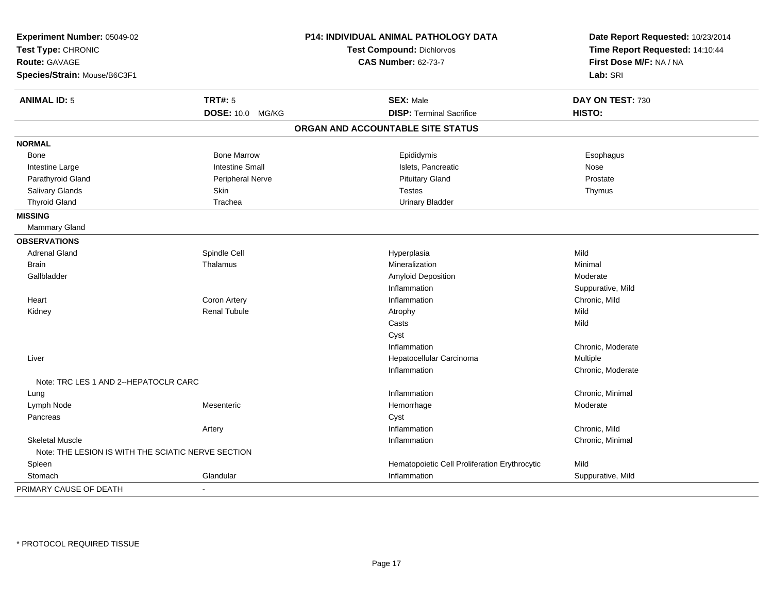| Experiment Number: 05049-02<br>Test Type: CHRONIC<br>Route: GAVAGE |                         | P14: INDIVIDUAL ANIMAL PATHOLOGY DATA         | Date Report Requested: 10/23/2014 |
|--------------------------------------------------------------------|-------------------------|-----------------------------------------------|-----------------------------------|
|                                                                    |                         | <b>Test Compound: Dichlorvos</b>              | Time Report Requested: 14:10:44   |
|                                                                    |                         | <b>CAS Number: 62-73-7</b>                    | First Dose M/F: NA / NA           |
| Species/Strain: Mouse/B6C3F1                                       |                         |                                               | Lab: SRI                          |
| <b>ANIMAL ID: 5</b>                                                | <b>TRT#: 5</b>          | <b>SEX: Male</b>                              | DAY ON TEST: 730                  |
|                                                                    | DOSE: 10.0 MG/KG        | <b>DISP: Terminal Sacrifice</b>               | HISTO:                            |
|                                                                    |                         | ORGAN AND ACCOUNTABLE SITE STATUS             |                                   |
| <b>NORMAL</b>                                                      |                         |                                               |                                   |
| Bone                                                               | <b>Bone Marrow</b>      | Epididymis                                    | Esophagus                         |
| Intestine Large                                                    | <b>Intestine Small</b>  | Islets, Pancreatic                            | Nose                              |
| Parathyroid Gland                                                  | <b>Peripheral Nerve</b> | <b>Pituitary Gland</b>                        | Prostate                          |
| Salivary Glands                                                    | Skin                    | <b>Testes</b>                                 | Thymus                            |
| <b>Thyroid Gland</b>                                               | Trachea                 | <b>Urinary Bladder</b>                        |                                   |
| <b>MISSING</b>                                                     |                         |                                               |                                   |
| Mammary Gland                                                      |                         |                                               |                                   |
| <b>OBSERVATIONS</b>                                                |                         |                                               |                                   |
| <b>Adrenal Gland</b>                                               | Spindle Cell            | Hyperplasia                                   | Mild                              |
| <b>Brain</b>                                                       | Thalamus                | Mineralization                                | Minimal                           |
| Gallbladder                                                        |                         | <b>Amyloid Deposition</b>                     | Moderate                          |
|                                                                    |                         | Inflammation                                  | Suppurative, Mild                 |
| Heart                                                              | Coron Artery            | Inflammation                                  | Chronic, Mild                     |
| Kidney                                                             | <b>Renal Tubule</b>     | Atrophy                                       | Mild                              |
|                                                                    |                         | Casts                                         | Mild                              |
|                                                                    |                         | Cyst                                          |                                   |
|                                                                    |                         | Inflammation                                  | Chronic, Moderate                 |
| Liver                                                              |                         | Hepatocellular Carcinoma                      | Multiple                          |
|                                                                    |                         | Inflammation                                  | Chronic, Moderate                 |
| Note: TRC LES 1 AND 2--HEPATOCLR CARC                              |                         |                                               |                                   |
| Lung                                                               |                         | Inflammation                                  | Chronic, Minimal                  |
| Lymph Node                                                         | Mesenteric              | Hemorrhage                                    | Moderate                          |
| Pancreas                                                           |                         | Cyst                                          |                                   |
|                                                                    | Artery                  | Inflammation                                  | Chronic, Mild                     |
| <b>Skeletal Muscle</b>                                             |                         | Inflammation                                  | Chronic, Minimal                  |
| Note: THE LESION IS WITH THE SCIATIC NERVE SECTION                 |                         |                                               |                                   |
| Spleen                                                             |                         | Hematopoietic Cell Proliferation Erythrocytic | Mild                              |
| Stomach                                                            | Glandular               | Inflammation                                  | Suppurative, Mild                 |
| PRIMARY CAUSE OF DEATH                                             | $\blacksquare$          |                                               |                                   |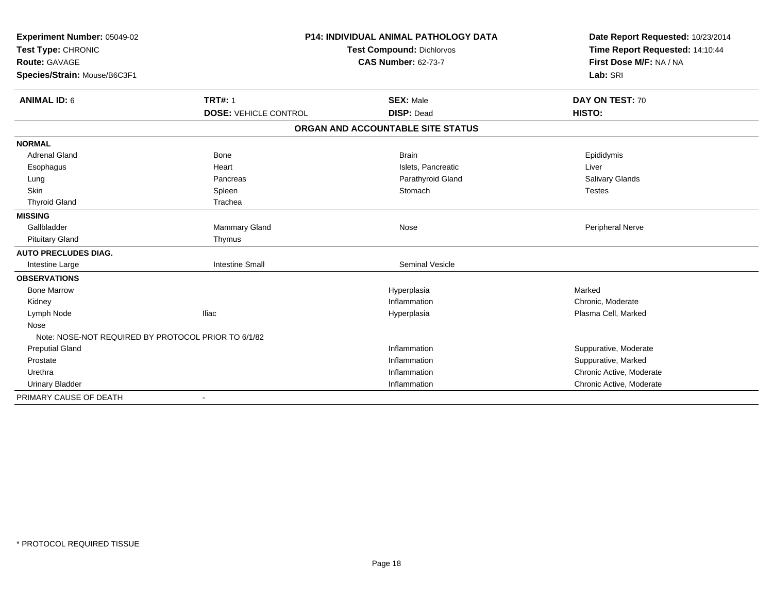| Experiment Number: 05049-02                         | <b>P14: INDIVIDUAL ANIMAL PATHOLOGY DATA</b><br><b>Test Compound: Dichlorvos</b> |                                   | Date Report Requested: 10/23/2014 |
|-----------------------------------------------------|----------------------------------------------------------------------------------|-----------------------------------|-----------------------------------|
| Test Type: CHRONIC                                  |                                                                                  |                                   | Time Report Requested: 14:10:44   |
| <b>Route: GAVAGE</b>                                |                                                                                  | <b>CAS Number: 62-73-7</b>        | First Dose M/F: NA / NA           |
| Species/Strain: Mouse/B6C3F1                        |                                                                                  |                                   | Lab: SRI                          |
| <b>ANIMAL ID: 6</b>                                 | <b>TRT#: 1</b>                                                                   | <b>SEX: Male</b>                  | DAY ON TEST: 70                   |
|                                                     | <b>DOSE: VEHICLE CONTROL</b>                                                     | <b>DISP: Dead</b>                 | HISTO:                            |
|                                                     |                                                                                  | ORGAN AND ACCOUNTABLE SITE STATUS |                                   |
| <b>NORMAL</b>                                       |                                                                                  |                                   |                                   |
| <b>Adrenal Gland</b>                                | <b>Bone</b>                                                                      | <b>Brain</b>                      | Epididymis                        |
| Esophagus                                           | Heart                                                                            | Islets, Pancreatic                | Liver                             |
| Lung                                                | Pancreas                                                                         | Parathyroid Gland                 | Salivary Glands                   |
| <b>Skin</b>                                         | Spleen                                                                           | Stomach                           | <b>Testes</b>                     |
| <b>Thyroid Gland</b>                                | Trachea                                                                          |                                   |                                   |
| <b>MISSING</b>                                      |                                                                                  |                                   |                                   |
| Gallbladder                                         | Mammary Gland                                                                    | Nose                              | Peripheral Nerve                  |
| <b>Pituitary Gland</b>                              | Thymus                                                                           |                                   |                                   |
| <b>AUTO PRECLUDES DIAG.</b>                         |                                                                                  |                                   |                                   |
| Intestine Large                                     | <b>Intestine Small</b>                                                           | <b>Seminal Vesicle</b>            |                                   |
| <b>OBSERVATIONS</b>                                 |                                                                                  |                                   |                                   |
| <b>Bone Marrow</b>                                  |                                                                                  | Hyperplasia                       | Marked                            |
| Kidney                                              |                                                                                  | Inflammation                      | Chronic, Moderate                 |
| Lymph Node                                          | <b>Iliac</b>                                                                     | Hyperplasia                       | Plasma Cell, Marked               |
| Nose                                                |                                                                                  |                                   |                                   |
| Note: NOSE-NOT REQUIRED BY PROTOCOL PRIOR TO 6/1/82 |                                                                                  |                                   |                                   |
| <b>Preputial Gland</b>                              |                                                                                  | Inflammation                      | Suppurative, Moderate             |
| Prostate                                            |                                                                                  | Inflammation                      | Suppurative, Marked               |
| Urethra                                             |                                                                                  | Inflammation                      | Chronic Active, Moderate          |
| <b>Urinary Bladder</b>                              |                                                                                  | Inflammation                      | Chronic Active, Moderate          |
| PRIMARY CAUSE OF DEATH                              | $\overline{\phantom{a}}$                                                         |                                   |                                   |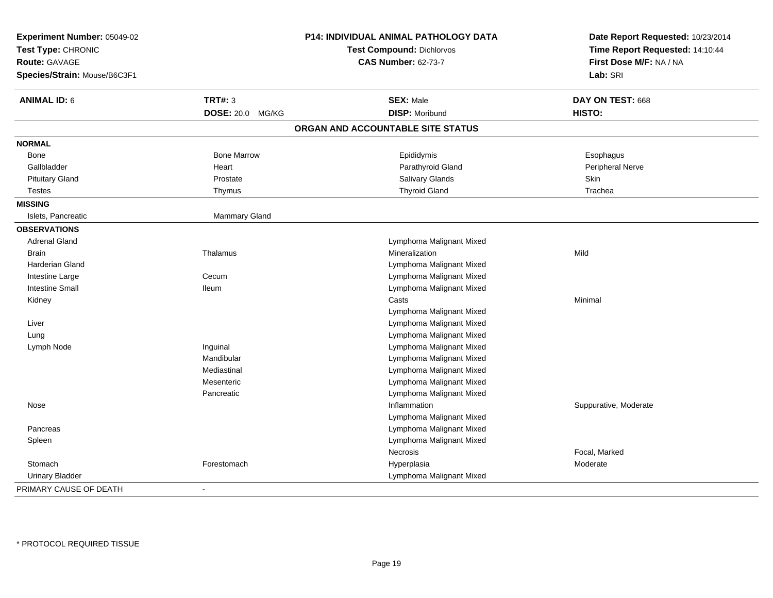| Experiment Number: 05049-02<br>Test Type: CHRONIC<br><b>Route: GAVAGE</b><br>Species/Strain: Mouse/B6C3F1 |                      | P14: INDIVIDUAL ANIMAL PATHOLOGY DATA<br>Test Compound: Dichlorvos<br><b>CAS Number: 62-73-7</b> | Date Report Requested: 10/23/2014<br>Time Report Requested: 14:10:44<br>First Dose M/F: NA / NA<br>Lab: SRI |
|-----------------------------------------------------------------------------------------------------------|----------------------|--------------------------------------------------------------------------------------------------|-------------------------------------------------------------------------------------------------------------|
| <b>ANIMAL ID: 6</b>                                                                                       | <b>TRT#: 3</b>       | <b>SEX: Male</b>                                                                                 | DAY ON TEST: 668                                                                                            |
|                                                                                                           | DOSE: 20.0 MG/KG     | <b>DISP: Moribund</b>                                                                            | HISTO:                                                                                                      |
|                                                                                                           |                      | ORGAN AND ACCOUNTABLE SITE STATUS                                                                |                                                                                                             |
| <b>NORMAL</b>                                                                                             |                      |                                                                                                  |                                                                                                             |
| Bone                                                                                                      | <b>Bone Marrow</b>   | Epididymis                                                                                       | Esophagus                                                                                                   |
| Gallbladder                                                                                               | Heart                | Parathyroid Gland                                                                                | Peripheral Nerve                                                                                            |
| <b>Pituitary Gland</b>                                                                                    | Prostate             | Salivary Glands                                                                                  | Skin                                                                                                        |
| <b>Testes</b>                                                                                             | Thymus               | <b>Thyroid Gland</b>                                                                             | Trachea                                                                                                     |
| <b>MISSING</b>                                                                                            |                      |                                                                                                  |                                                                                                             |
| Islets, Pancreatic                                                                                        | <b>Mammary Gland</b> |                                                                                                  |                                                                                                             |
| <b>OBSERVATIONS</b>                                                                                       |                      |                                                                                                  |                                                                                                             |
| <b>Adrenal Gland</b>                                                                                      |                      | Lymphoma Malignant Mixed                                                                         |                                                                                                             |
| Brain                                                                                                     | Thalamus             | Mineralization                                                                                   | Mild                                                                                                        |
| Harderian Gland                                                                                           |                      | Lymphoma Malignant Mixed                                                                         |                                                                                                             |
| Intestine Large                                                                                           | Cecum                | Lymphoma Malignant Mixed                                                                         |                                                                                                             |
| <b>Intestine Small</b>                                                                                    | lleum                | Lymphoma Malignant Mixed                                                                         |                                                                                                             |
| Kidney                                                                                                    |                      | Casts                                                                                            | Minimal                                                                                                     |
|                                                                                                           |                      | Lymphoma Malignant Mixed                                                                         |                                                                                                             |
| Liver                                                                                                     |                      | Lymphoma Malignant Mixed                                                                         |                                                                                                             |
| Lung                                                                                                      |                      | Lymphoma Malignant Mixed                                                                         |                                                                                                             |
| Lymph Node                                                                                                | Inguinal             | Lymphoma Malignant Mixed                                                                         |                                                                                                             |
|                                                                                                           | Mandibular           | Lymphoma Malignant Mixed                                                                         |                                                                                                             |
|                                                                                                           | Mediastinal          | Lymphoma Malignant Mixed                                                                         |                                                                                                             |
|                                                                                                           | Mesenteric           | Lymphoma Malignant Mixed                                                                         |                                                                                                             |
|                                                                                                           | Pancreatic           | Lymphoma Malignant Mixed                                                                         |                                                                                                             |
| Nose                                                                                                      |                      | Inflammation                                                                                     | Suppurative, Moderate                                                                                       |
|                                                                                                           |                      | Lymphoma Malignant Mixed                                                                         |                                                                                                             |
| Pancreas                                                                                                  |                      | Lymphoma Malignant Mixed                                                                         |                                                                                                             |
| Spleen                                                                                                    |                      | Lymphoma Malignant Mixed                                                                         |                                                                                                             |
|                                                                                                           |                      | <b>Necrosis</b>                                                                                  | Focal, Marked                                                                                               |
| Stomach                                                                                                   | Forestomach          | Hyperplasia                                                                                      | Moderate                                                                                                    |
| <b>Urinary Bladder</b>                                                                                    |                      | Lymphoma Malignant Mixed                                                                         |                                                                                                             |
| PRIMARY CAUSE OF DEATH                                                                                    | $\sim$               |                                                                                                  |                                                                                                             |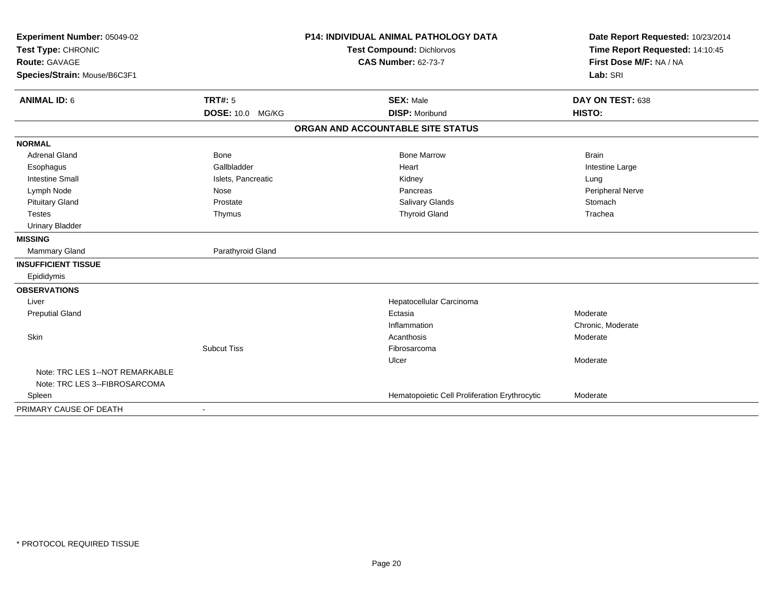| Experiment Number: 05049-02                |                          | <b>P14: INDIVIDUAL ANIMAL PATHOLOGY DATA</b>  | Date Report Requested: 10/23/2014 |
|--------------------------------------------|--------------------------|-----------------------------------------------|-----------------------------------|
| Test Type: CHRONIC<br><b>Route: GAVAGE</b> |                          | <b>Test Compound: Dichlorvos</b>              | Time Report Requested: 14:10:45   |
|                                            |                          | <b>CAS Number: 62-73-7</b>                    | First Dose M/F: NA / NA           |
| Species/Strain: Mouse/B6C3F1               |                          |                                               | Lab: SRI                          |
|                                            |                          |                                               |                                   |
| <b>ANIMAL ID: 6</b>                        | <b>TRT#: 5</b>           | <b>SEX: Male</b>                              | DAY ON TEST: 638                  |
|                                            | <b>DOSE: 10.0 MG/KG</b>  | <b>DISP: Moribund</b>                         | HISTO:                            |
|                                            |                          | ORGAN AND ACCOUNTABLE SITE STATUS             |                                   |
| <b>NORMAL</b>                              |                          |                                               |                                   |
| <b>Adrenal Gland</b>                       | <b>Bone</b>              | <b>Bone Marrow</b>                            | <b>Brain</b>                      |
| Esophagus                                  | Gallbladder              | Heart                                         | Intestine Large                   |
| <b>Intestine Small</b>                     | Islets, Pancreatic       | Kidney                                        | Lung                              |
| Lymph Node                                 | Nose                     | Pancreas                                      | Peripheral Nerve                  |
| <b>Pituitary Gland</b>                     | Prostate                 | Salivary Glands                               | Stomach                           |
| <b>Testes</b>                              | Thymus                   | <b>Thyroid Gland</b>                          | Trachea                           |
| <b>Urinary Bladder</b>                     |                          |                                               |                                   |
| <b>MISSING</b>                             |                          |                                               |                                   |
| <b>Mammary Gland</b>                       | Parathyroid Gland        |                                               |                                   |
| <b>INSUFFICIENT TISSUE</b>                 |                          |                                               |                                   |
| Epididymis                                 |                          |                                               |                                   |
| <b>OBSERVATIONS</b>                        |                          |                                               |                                   |
| Liver                                      |                          | Hepatocellular Carcinoma                      |                                   |
| <b>Preputial Gland</b>                     |                          | Ectasia                                       | Moderate                          |
|                                            |                          | Inflammation                                  | Chronic, Moderate                 |
| Skin                                       |                          | Acanthosis                                    | Moderate                          |
|                                            | <b>Subcut Tiss</b>       | Fibrosarcoma                                  |                                   |
|                                            |                          | Ulcer                                         | Moderate                          |
| Note: TRC LES 1--NOT REMARKABLE            |                          |                                               |                                   |
| Note: TRC LES 3--FIBROSARCOMA              |                          |                                               |                                   |
| Spleen                                     |                          | Hematopoietic Cell Proliferation Erythrocytic | Moderate                          |
| PRIMARY CAUSE OF DEATH                     | $\overline{\phantom{a}}$ |                                               |                                   |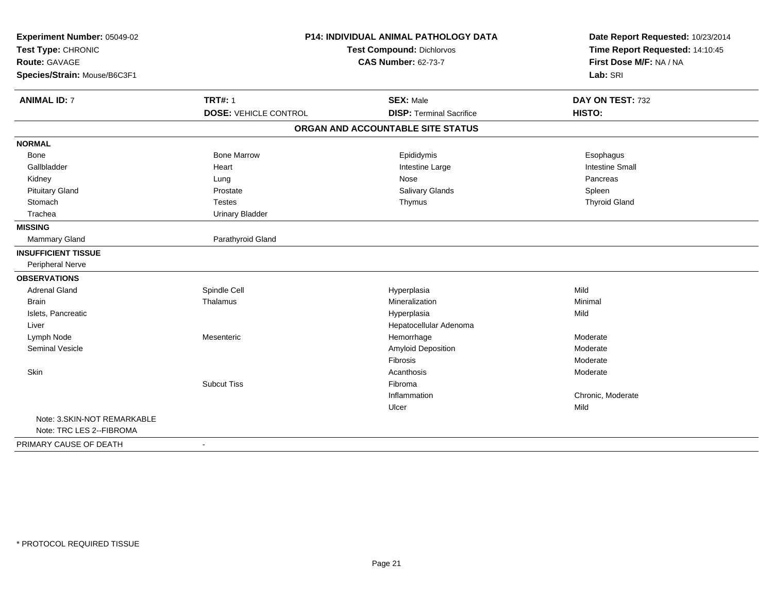| Experiment Number: 05049-02  |                                  | <b>P14: INDIVIDUAL ANIMAL PATHOLOGY DATA</b> | Date Report Requested: 10/23/2014 |
|------------------------------|----------------------------------|----------------------------------------------|-----------------------------------|
| Test Type: CHRONIC           | <b>Test Compound: Dichlorvos</b> |                                              | Time Report Requested: 14:10:45   |
| Route: GAVAGE                |                                  | <b>CAS Number: 62-73-7</b>                   | First Dose M/F: NA / NA           |
| Species/Strain: Mouse/B6C3F1 |                                  |                                              | Lab: SRI                          |
| <b>ANIMAL ID: 7</b>          | <b>TRT#: 1</b>                   | <b>SEX: Male</b>                             | DAY ON TEST: 732                  |
|                              | <b>DOSE: VEHICLE CONTROL</b>     | <b>DISP: Terminal Sacrifice</b>              | HISTO:                            |
|                              |                                  | ORGAN AND ACCOUNTABLE SITE STATUS            |                                   |
| <b>NORMAL</b>                |                                  |                                              |                                   |
| Bone                         | <b>Bone Marrow</b>               | Epididymis                                   | Esophagus                         |
| Gallbladder                  | Heart                            | Intestine Large                              | <b>Intestine Small</b>            |
| Kidney                       | Lung                             | Nose                                         | Pancreas                          |
| <b>Pituitary Gland</b>       | Prostate                         | Salivary Glands                              | Spleen                            |
| Stomach                      | <b>Testes</b>                    | Thymus                                       | <b>Thyroid Gland</b>              |
| Trachea                      | <b>Urinary Bladder</b>           |                                              |                                   |
| <b>MISSING</b>               |                                  |                                              |                                   |
| Mammary Gland                | Parathyroid Gland                |                                              |                                   |
| <b>INSUFFICIENT TISSUE</b>   |                                  |                                              |                                   |
| Peripheral Nerve             |                                  |                                              |                                   |
| <b>OBSERVATIONS</b>          |                                  |                                              |                                   |
| <b>Adrenal Gland</b>         | Spindle Cell                     | Hyperplasia                                  | Mild                              |
| <b>Brain</b>                 | Thalamus                         | Mineralization                               | Minimal                           |
| Islets, Pancreatic           |                                  | Hyperplasia                                  | Mild                              |
| Liver                        |                                  | Hepatocellular Adenoma                       |                                   |
| Lymph Node                   | Mesenteric                       | Hemorrhage                                   | Moderate                          |
| Seminal Vesicle              |                                  | Amyloid Deposition                           | Moderate                          |
|                              |                                  | Fibrosis                                     | Moderate                          |
| Skin                         |                                  | Acanthosis                                   | Moderate                          |
|                              | <b>Subcut Tiss</b>               | Fibroma                                      |                                   |
|                              |                                  | Inflammation                                 | Chronic, Moderate                 |
|                              |                                  | Ulcer                                        | Mild                              |
| Note: 3.SKIN-NOT REMARKABLE  |                                  |                                              |                                   |
| Note: TRC LES 2--FIBROMA     |                                  |                                              |                                   |
| PRIMARY CAUSE OF DEATH       | $\blacksquare$                   |                                              |                                   |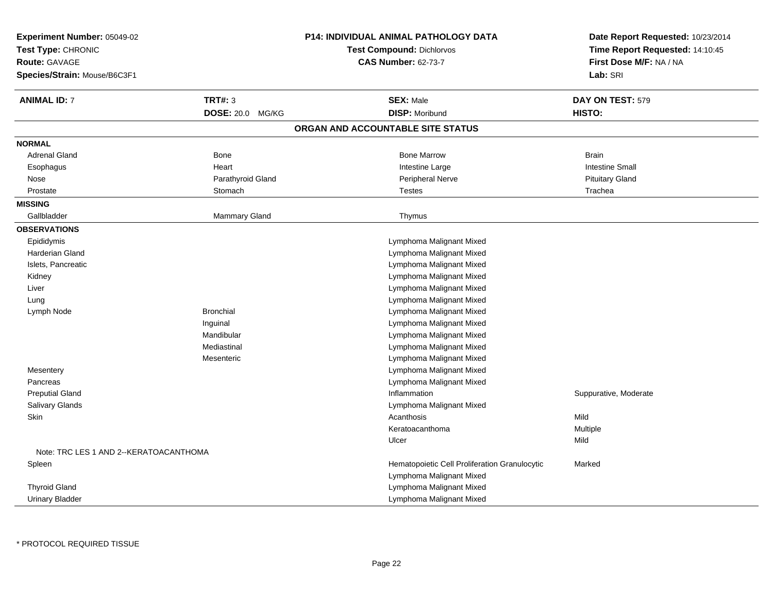| Experiment Number: 05049-02<br>Test Type: CHRONIC<br>Route: GAVAGE<br>Species/Strain: Mouse/B6C3F1 |                   | <b>P14: INDIVIDUAL ANIMAL PATHOLOGY DATA</b><br>Test Compound: Dichlorvos<br><b>CAS Number: 62-73-7</b> | Date Report Requested: 10/23/2014<br>Time Report Requested: 14:10:45<br>First Dose M/F: NA / NA<br>Lab: SRI |
|----------------------------------------------------------------------------------------------------|-------------------|---------------------------------------------------------------------------------------------------------|-------------------------------------------------------------------------------------------------------------|
| <b>ANIMAL ID: 7</b>                                                                                | <b>TRT#: 3</b>    | <b>SEX: Male</b>                                                                                        | DAY ON TEST: 579                                                                                            |
|                                                                                                    | DOSE: 20.0 MG/KG  | <b>DISP: Moribund</b>                                                                                   | HISTO:                                                                                                      |
|                                                                                                    |                   | ORGAN AND ACCOUNTABLE SITE STATUS                                                                       |                                                                                                             |
| <b>NORMAL</b>                                                                                      |                   |                                                                                                         |                                                                                                             |
| <b>Adrenal Gland</b>                                                                               | Bone              | <b>Bone Marrow</b>                                                                                      | <b>Brain</b>                                                                                                |
| Esophagus                                                                                          | Heart             | Intestine Large                                                                                         | <b>Intestine Small</b>                                                                                      |
| Nose                                                                                               | Parathyroid Gland | Peripheral Nerve                                                                                        | <b>Pituitary Gland</b>                                                                                      |
| Prostate                                                                                           | Stomach           | <b>Testes</b>                                                                                           | Trachea                                                                                                     |
| <b>MISSING</b>                                                                                     |                   |                                                                                                         |                                                                                                             |
| Gallbladder                                                                                        | Mammary Gland     | Thymus                                                                                                  |                                                                                                             |
| <b>OBSERVATIONS</b>                                                                                |                   |                                                                                                         |                                                                                                             |
| Epididymis                                                                                         |                   | Lymphoma Malignant Mixed                                                                                |                                                                                                             |
| Harderian Gland                                                                                    |                   | Lymphoma Malignant Mixed                                                                                |                                                                                                             |
| Islets, Pancreatic                                                                                 |                   | Lymphoma Malignant Mixed                                                                                |                                                                                                             |
| Kidney                                                                                             |                   | Lymphoma Malignant Mixed                                                                                |                                                                                                             |
| Liver                                                                                              |                   | Lymphoma Malignant Mixed                                                                                |                                                                                                             |
| Lung                                                                                               |                   | Lymphoma Malignant Mixed                                                                                |                                                                                                             |
| Lymph Node                                                                                         | <b>Bronchial</b>  | Lymphoma Malignant Mixed                                                                                |                                                                                                             |
|                                                                                                    | Inguinal          | Lymphoma Malignant Mixed                                                                                |                                                                                                             |
|                                                                                                    | Mandibular        | Lymphoma Malignant Mixed                                                                                |                                                                                                             |
|                                                                                                    | Mediastinal       | Lymphoma Malignant Mixed                                                                                |                                                                                                             |
|                                                                                                    | Mesenteric        | Lymphoma Malignant Mixed                                                                                |                                                                                                             |
| Mesentery                                                                                          |                   | Lymphoma Malignant Mixed                                                                                |                                                                                                             |
| Pancreas                                                                                           |                   | Lymphoma Malignant Mixed                                                                                |                                                                                                             |
| <b>Preputial Gland</b>                                                                             |                   | Inflammation                                                                                            | Suppurative, Moderate                                                                                       |
| Salivary Glands                                                                                    |                   | Lymphoma Malignant Mixed                                                                                |                                                                                                             |
| Skin                                                                                               |                   | Acanthosis                                                                                              | Mild                                                                                                        |
|                                                                                                    |                   | Keratoacanthoma                                                                                         | Multiple                                                                                                    |
|                                                                                                    |                   | Ulcer                                                                                                   | Mild                                                                                                        |
| Note: TRC LES 1 AND 2--KERATOACANTHOMA                                                             |                   |                                                                                                         |                                                                                                             |
| Spleen                                                                                             |                   | Hematopoietic Cell Proliferation Granulocytic                                                           | Marked                                                                                                      |
|                                                                                                    |                   | Lymphoma Malignant Mixed                                                                                |                                                                                                             |
| <b>Thyroid Gland</b>                                                                               |                   | Lymphoma Malignant Mixed                                                                                |                                                                                                             |
| <b>Urinary Bladder</b>                                                                             |                   | Lymphoma Malignant Mixed                                                                                |                                                                                                             |

\* PROTOCOL REQUIRED TISSUE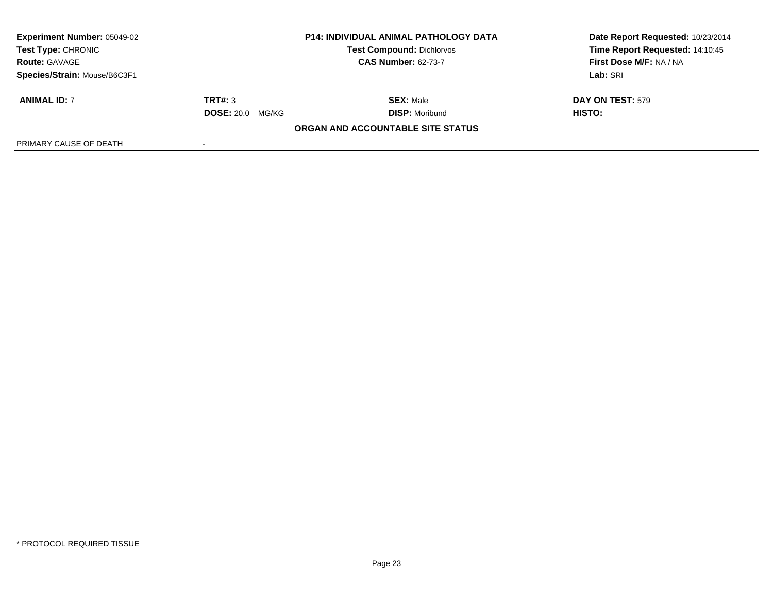| <b>Experiment Number: 05049-02</b>                                                                                  |                         | <b>P14: INDIVIDUAL ANIMAL PATHOLOGY DATA</b> | Date Report Requested: 10/23/2014 |
|---------------------------------------------------------------------------------------------------------------------|-------------------------|----------------------------------------------|-----------------------------------|
| <b>Test Type: CHRONIC</b><br><b>Test Compound: Dichlorvos</b><br><b>CAS Number: 62-73-7</b><br><b>Route: GAVAGE</b> |                         |                                              | Time Report Requested: 14:10:45   |
|                                                                                                                     |                         | First Dose M/F: NA / NA                      |                                   |
| Species/Strain: Mouse/B6C3F1                                                                                        |                         |                                              | Lab: SRI                          |
| <b>ANIMAL ID: 7</b>                                                                                                 | TRT#: 3                 | <b>SEX: Male</b>                             | <b>DAY ON TEST: 579</b>           |
|                                                                                                                     | <b>DOSE: 20.0 MG/KG</b> | <b>DISP: Moribund</b>                        | HISTO:                            |
|                                                                                                                     |                         | ORGAN AND ACCOUNTABLE SITE STATUS            |                                   |
| PRIMARY CAUSE OF DEATH                                                                                              |                         |                                              |                                   |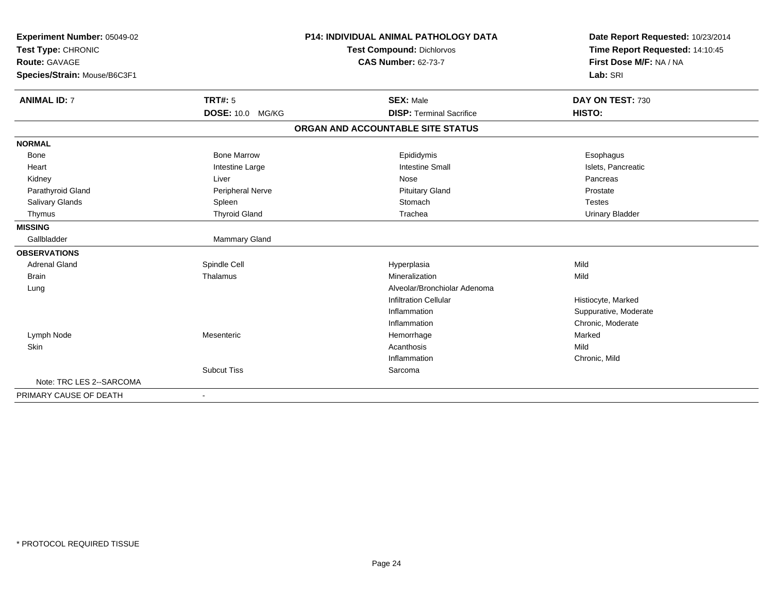| Experiment Number: 05049-02  |                          | <b>P14: INDIVIDUAL ANIMAL PATHOLOGY DATA</b> | Date Report Requested: 10/23/2014 |
|------------------------------|--------------------------|----------------------------------------------|-----------------------------------|
| Test Type: CHRONIC           |                          | Test Compound: Dichlorvos                    | Time Report Requested: 14:10:45   |
| Route: GAVAGE                |                          | <b>CAS Number: 62-73-7</b>                   | First Dose M/F: NA / NA           |
| Species/Strain: Mouse/B6C3F1 |                          |                                              | Lab: SRI                          |
|                              |                          |                                              |                                   |
| <b>ANIMAL ID: 7</b>          | <b>TRT#: 5</b>           | <b>SEX: Male</b>                             | DAY ON TEST: 730                  |
|                              | <b>DOSE: 10.0 MG/KG</b>  | <b>DISP: Terminal Sacrifice</b>              | HISTO:                            |
|                              |                          | ORGAN AND ACCOUNTABLE SITE STATUS            |                                   |
| <b>NORMAL</b>                |                          |                                              |                                   |
| Bone                         | <b>Bone Marrow</b>       | Epididymis                                   | Esophagus                         |
| Heart                        | Intestine Large          | <b>Intestine Small</b>                       | Islets, Pancreatic                |
| Kidney                       | Liver                    | Nose                                         | Pancreas                          |
| Parathyroid Gland            | Peripheral Nerve         | <b>Pituitary Gland</b>                       | Prostate                          |
| Salivary Glands              | Spleen                   | Stomach                                      | <b>Testes</b>                     |
| Thymus                       | <b>Thyroid Gland</b>     | Trachea                                      | <b>Urinary Bladder</b>            |
| <b>MISSING</b>               |                          |                                              |                                   |
| Gallbladder                  | <b>Mammary Gland</b>     |                                              |                                   |
| <b>OBSERVATIONS</b>          |                          |                                              |                                   |
| <b>Adrenal Gland</b>         | Spindle Cell             | Hyperplasia                                  | Mild                              |
| <b>Brain</b>                 | Thalamus                 | Mineralization                               | Mild                              |
| Lung                         |                          | Alveolar/Bronchiolar Adenoma                 |                                   |
|                              |                          | Infiltration Cellular                        | Histiocyte, Marked                |
|                              |                          | Inflammation                                 | Suppurative, Moderate             |
|                              |                          | Inflammation                                 | Chronic, Moderate                 |
| Lymph Node                   | Mesenteric               | Hemorrhage                                   | Marked                            |
| Skin                         |                          | Acanthosis                                   | Mild                              |
|                              |                          | Inflammation                                 | Chronic, Mild                     |
|                              | <b>Subcut Tiss</b>       | Sarcoma                                      |                                   |
| Note: TRC LES 2--SARCOMA     |                          |                                              |                                   |
| PRIMARY CAUSE OF DEATH       | $\overline{\phantom{a}}$ |                                              |                                   |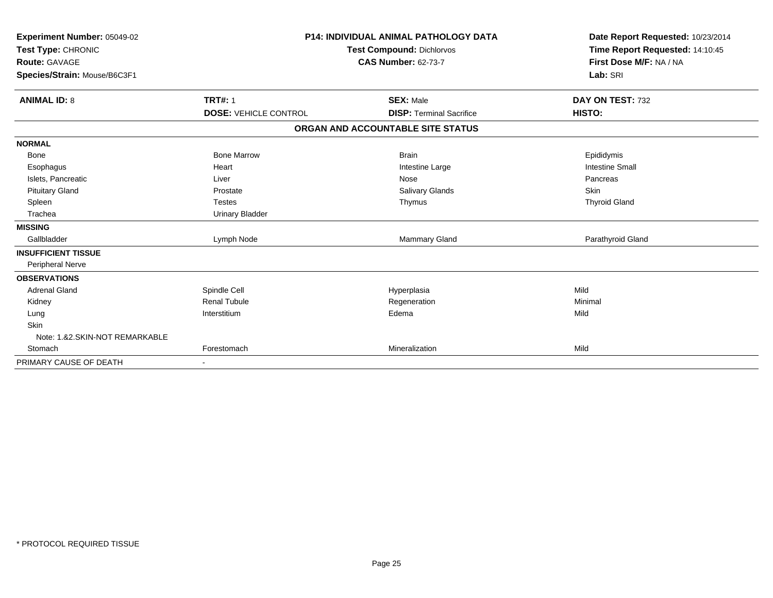| Experiment Number: 05049-02<br>Test Type: CHRONIC<br><b>Route: GAVAGE</b><br>Species/Strain: Mouse/B6C3F1 |                              | <b>P14: INDIVIDUAL ANIMAL PATHOLOGY DATA</b><br><b>Test Compound: Dichlorvos</b><br><b>CAS Number: 62-73-7</b> | Date Report Requested: 10/23/2014<br>Time Report Requested: 14:10:45<br>First Dose M/F: NA / NA<br>Lab: SRI |
|-----------------------------------------------------------------------------------------------------------|------------------------------|----------------------------------------------------------------------------------------------------------------|-------------------------------------------------------------------------------------------------------------|
|                                                                                                           |                              |                                                                                                                |                                                                                                             |
| <b>ANIMAL ID: 8</b>                                                                                       | <b>TRT#: 1</b>               | <b>SEX: Male</b>                                                                                               | DAY ON TEST: 732                                                                                            |
|                                                                                                           | <b>DOSE: VEHICLE CONTROL</b> | <b>DISP: Terminal Sacrifice</b>                                                                                | HISTO:                                                                                                      |
|                                                                                                           |                              | ORGAN AND ACCOUNTABLE SITE STATUS                                                                              |                                                                                                             |
| <b>NORMAL</b>                                                                                             |                              |                                                                                                                |                                                                                                             |
| Bone                                                                                                      | <b>Bone Marrow</b>           | <b>Brain</b>                                                                                                   | Epididymis                                                                                                  |
| Esophagus                                                                                                 | Heart                        | Intestine Large                                                                                                | <b>Intestine Small</b>                                                                                      |
| Islets, Pancreatic                                                                                        | Liver                        | Nose                                                                                                           | Pancreas                                                                                                    |
| <b>Pituitary Gland</b>                                                                                    | Prostate                     | <b>Salivary Glands</b>                                                                                         | <b>Skin</b>                                                                                                 |
| Spleen                                                                                                    | <b>Testes</b>                | Thymus                                                                                                         | <b>Thyroid Gland</b>                                                                                        |
| Trachea                                                                                                   | <b>Urinary Bladder</b>       |                                                                                                                |                                                                                                             |
| <b>MISSING</b>                                                                                            |                              |                                                                                                                |                                                                                                             |
| Gallbladder                                                                                               | Lymph Node                   | <b>Mammary Gland</b>                                                                                           | Parathyroid Gland                                                                                           |
| <b>INSUFFICIENT TISSUE</b>                                                                                |                              |                                                                                                                |                                                                                                             |
| Peripheral Nerve                                                                                          |                              |                                                                                                                |                                                                                                             |
| <b>OBSERVATIONS</b>                                                                                       |                              |                                                                                                                |                                                                                                             |
| <b>Adrenal Gland</b>                                                                                      | Spindle Cell                 | Hyperplasia                                                                                                    | Mild                                                                                                        |
| Kidney                                                                                                    | <b>Renal Tubule</b>          | Regeneration                                                                                                   | Minimal                                                                                                     |
| Lung                                                                                                      | Interstitium                 | Edema                                                                                                          | Mild                                                                                                        |
| <b>Skin</b>                                                                                               |                              |                                                                                                                |                                                                                                             |
| Note: 1.&2.SKIN-NOT REMARKABLE                                                                            |                              |                                                                                                                |                                                                                                             |
| Stomach                                                                                                   | Forestomach                  | Mineralization                                                                                                 | Mild                                                                                                        |
| PRIMARY CAUSE OF DEATH                                                                                    |                              |                                                                                                                |                                                                                                             |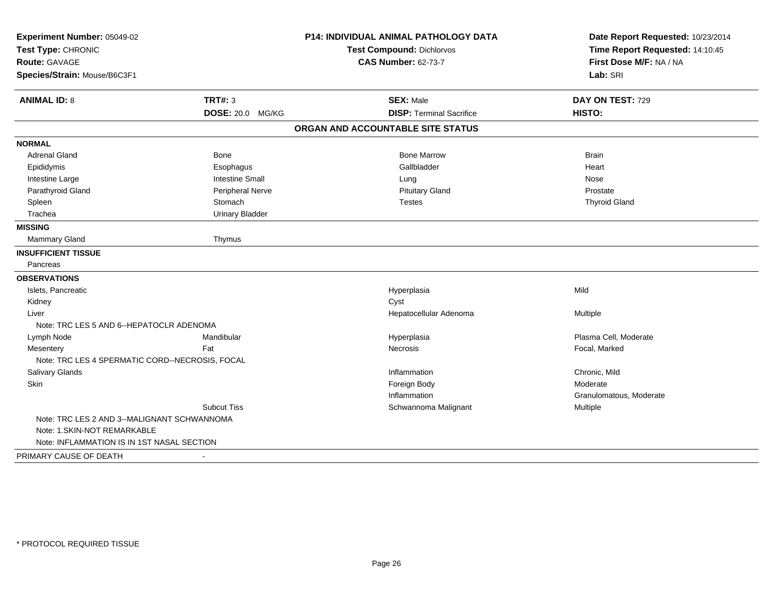| Experiment Number: 05049-02                     |                        | <b>P14: INDIVIDUAL ANIMAL PATHOLOGY DATA</b> | Date Report Requested: 10/23/2014                          |
|-------------------------------------------------|------------------------|----------------------------------------------|------------------------------------------------------------|
| Test Type: CHRONIC<br><b>Route: GAVAGE</b>      |                        | <b>Test Compound: Dichlorvos</b>             | Time Report Requested: 14:10:45<br>First Dose M/F: NA / NA |
|                                                 |                        | <b>CAS Number: 62-73-7</b>                   |                                                            |
| Species/Strain: Mouse/B6C3F1                    |                        |                                              | Lab: SRI                                                   |
| <b>ANIMAL ID: 8</b>                             | <b>TRT#: 3</b>         | <b>SEX: Male</b>                             | DAY ON TEST: 729                                           |
|                                                 | DOSE: 20.0 MG/KG       | <b>DISP: Terminal Sacrifice</b>              | HISTO:                                                     |
|                                                 |                        | ORGAN AND ACCOUNTABLE SITE STATUS            |                                                            |
| <b>NORMAL</b>                                   |                        |                                              |                                                            |
| <b>Adrenal Gland</b>                            | Bone                   | <b>Bone Marrow</b>                           | <b>Brain</b>                                               |
| Epididymis                                      | Esophagus              | Gallbladder                                  | Heart                                                      |
| Intestine Large                                 | <b>Intestine Small</b> | Lung                                         | Nose                                                       |
| Parathyroid Gland                               | Peripheral Nerve       | <b>Pituitary Gland</b>                       | Prostate                                                   |
| Spleen                                          | Stomach                | <b>Testes</b>                                | <b>Thyroid Gland</b>                                       |
| Trachea                                         | <b>Urinary Bladder</b> |                                              |                                                            |
| <b>MISSING</b>                                  |                        |                                              |                                                            |
| Mammary Gland                                   | Thymus                 |                                              |                                                            |
| <b>INSUFFICIENT TISSUE</b>                      |                        |                                              |                                                            |
| Pancreas                                        |                        |                                              |                                                            |
| <b>OBSERVATIONS</b>                             |                        |                                              |                                                            |
| Islets, Pancreatic                              |                        | Hyperplasia                                  | Mild                                                       |
| Kidney                                          |                        | Cyst                                         |                                                            |
| Liver                                           |                        | Hepatocellular Adenoma                       | Multiple                                                   |
| Note: TRC LES 5 AND 6--HEPATOCLR ADENOMA        |                        |                                              |                                                            |
| Lymph Node                                      | Mandibular             | Hyperplasia                                  | Plasma Cell, Moderate                                      |
| Mesentery                                       | Fat                    | Necrosis                                     | Focal, Marked                                              |
| Note: TRC LES 4 SPERMATIC CORD--NECROSIS, FOCAL |                        |                                              |                                                            |
| Salivary Glands                                 |                        | Inflammation                                 | Chronic, Mild                                              |
| Skin                                            |                        | Foreign Body                                 | Moderate                                                   |
|                                                 |                        | Inflammation                                 | Granulomatous, Moderate                                    |
|                                                 | <b>Subcut Tiss</b>     | Schwannoma Malignant                         | Multiple                                                   |
| Note: TRC LES 2 AND 3--MALIGNANT SCHWANNOMA     |                        |                                              |                                                            |
| Note: 1.SKIN-NOT REMARKABLE                     |                        |                                              |                                                            |
| Note: INFLAMMATION IS IN 1ST NASAL SECTION      |                        |                                              |                                                            |
| PRIMARY CAUSE OF DEATH                          | $\sim$                 |                                              |                                                            |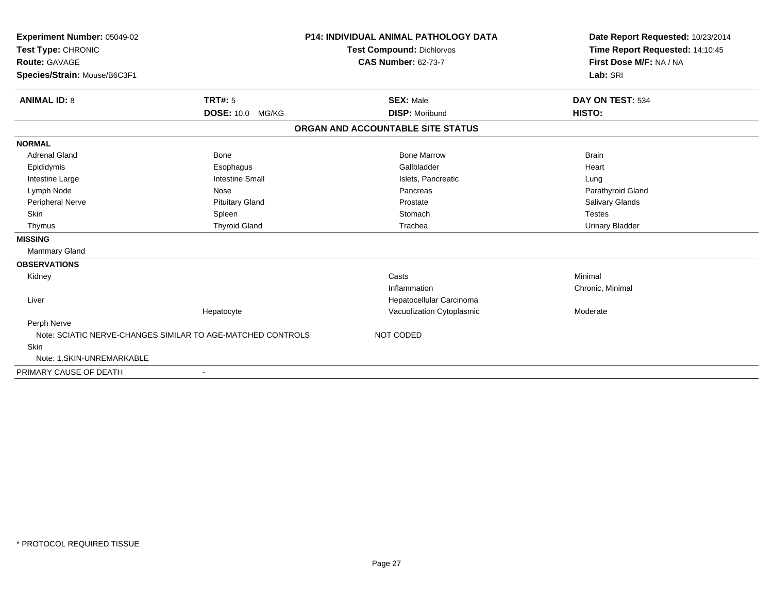| Experiment Number: 05049-02<br>Test Type: CHRONIC<br>Route: GAVAGE<br>Species/Strain: Mouse/B6C3F1 |                                                             | <b>P14: INDIVIDUAL ANIMAL PATHOLOGY DATA</b><br><b>Test Compound: Dichlorvos</b><br><b>CAS Number: 62-73-7</b> | Date Report Requested: 10/23/2014<br>Time Report Requested: 14:10:45<br>First Dose M/F: NA / NA<br>Lab: SRI |
|----------------------------------------------------------------------------------------------------|-------------------------------------------------------------|----------------------------------------------------------------------------------------------------------------|-------------------------------------------------------------------------------------------------------------|
| <b>ANIMAL ID: 8</b>                                                                                | <b>TRT#: 5</b><br>DOSE: 10.0 MG/KG                          | <b>SEX: Male</b><br><b>DISP: Moribund</b>                                                                      | DAY ON TEST: 534<br>HISTO:                                                                                  |
|                                                                                                    |                                                             | ORGAN AND ACCOUNTABLE SITE STATUS                                                                              |                                                                                                             |
| <b>NORMAL</b>                                                                                      |                                                             |                                                                                                                |                                                                                                             |
| <b>Adrenal Gland</b>                                                                               | <b>Bone</b>                                                 | <b>Bone Marrow</b>                                                                                             | <b>Brain</b>                                                                                                |
| Epididymis                                                                                         | Esophagus                                                   | Gallbladder                                                                                                    | Heart                                                                                                       |
| Intestine Large                                                                                    | <b>Intestine Small</b>                                      | Islets, Pancreatic                                                                                             | Lung                                                                                                        |
| Lymph Node                                                                                         | Nose                                                        | Pancreas                                                                                                       | Parathyroid Gland                                                                                           |
| Peripheral Nerve                                                                                   | <b>Pituitary Gland</b>                                      | Prostate                                                                                                       | Salivary Glands                                                                                             |
| <b>Skin</b>                                                                                        | Spleen                                                      | Stomach                                                                                                        | <b>Testes</b>                                                                                               |
| Thymus                                                                                             | <b>Thyroid Gland</b>                                        | Trachea                                                                                                        | <b>Urinary Bladder</b>                                                                                      |
| <b>MISSING</b>                                                                                     |                                                             |                                                                                                                |                                                                                                             |
| <b>Mammary Gland</b>                                                                               |                                                             |                                                                                                                |                                                                                                             |
| <b>OBSERVATIONS</b>                                                                                |                                                             |                                                                                                                |                                                                                                             |
| Kidney                                                                                             |                                                             | Casts                                                                                                          | Minimal                                                                                                     |
|                                                                                                    |                                                             | Inflammation                                                                                                   | Chronic, Minimal                                                                                            |
| Liver                                                                                              |                                                             | Hepatocellular Carcinoma                                                                                       |                                                                                                             |
|                                                                                                    | Hepatocyte                                                  | Vacuolization Cytoplasmic                                                                                      | Moderate                                                                                                    |
| Perph Nerve                                                                                        |                                                             |                                                                                                                |                                                                                                             |
|                                                                                                    | Note: SCIATIC NERVE-CHANGES SIMILAR TO AGE-MATCHED CONTROLS | NOT CODED                                                                                                      |                                                                                                             |
| Skin                                                                                               |                                                             |                                                                                                                |                                                                                                             |
| Note: 1.SKIN-UNREMARKABLE                                                                          |                                                             |                                                                                                                |                                                                                                             |
| PRIMARY CAUSE OF DEATH                                                                             | $\overline{\phantom{a}}$                                    |                                                                                                                |                                                                                                             |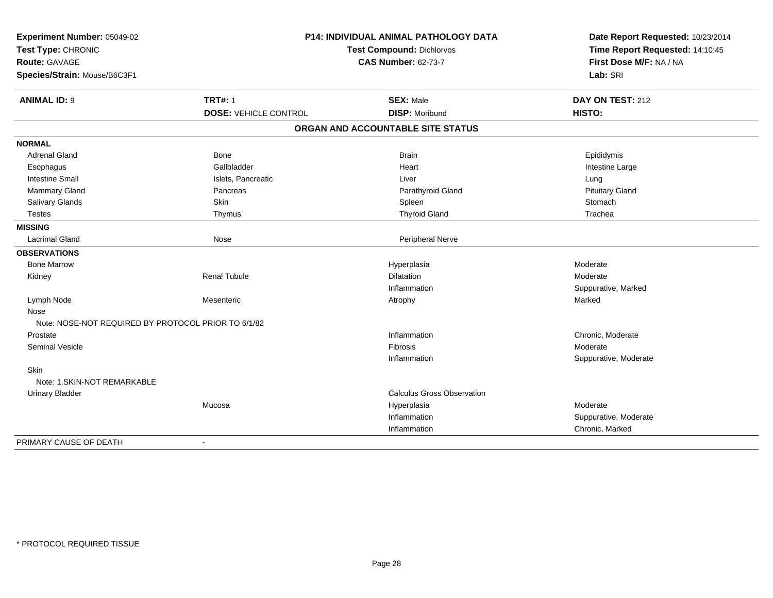| Experiment Number: 05049-02<br>Test Type: CHRONIC   |                              | <b>P14: INDIVIDUAL ANIMAL PATHOLOGY DATA</b><br>Test Compound: Dichlorvos | Date Report Requested: 10/23/2014<br>Time Report Requested: 14:10:45 |
|-----------------------------------------------------|------------------------------|---------------------------------------------------------------------------|----------------------------------------------------------------------|
| Route: GAVAGE                                       |                              | <b>CAS Number: 62-73-7</b>                                                | First Dose M/F: NA / NA                                              |
| Species/Strain: Mouse/B6C3F1                        |                              |                                                                           | Lab: SRI                                                             |
| <b>ANIMAL ID: 9</b>                                 | <b>TRT#: 1</b>               | <b>SEX: Male</b>                                                          | DAY ON TEST: 212                                                     |
|                                                     | <b>DOSE: VEHICLE CONTROL</b> | <b>DISP: Moribund</b>                                                     | HISTO:                                                               |
|                                                     |                              | ORGAN AND ACCOUNTABLE SITE STATUS                                         |                                                                      |
| <b>NORMAL</b>                                       |                              |                                                                           |                                                                      |
| <b>Adrenal Gland</b>                                | Bone                         | <b>Brain</b>                                                              | Epididymis                                                           |
| Esophagus                                           | Gallbladder                  | Heart                                                                     | Intestine Large                                                      |
| <b>Intestine Small</b>                              | Islets, Pancreatic           | Liver                                                                     | Lung                                                                 |
| <b>Mammary Gland</b>                                | Pancreas                     | Parathyroid Gland                                                         | <b>Pituitary Gland</b>                                               |
| Salivary Glands                                     | Skin                         | Spleen                                                                    | Stomach                                                              |
| <b>Testes</b>                                       | Thymus                       | <b>Thyroid Gland</b>                                                      | Trachea                                                              |
| <b>MISSING</b>                                      |                              |                                                                           |                                                                      |
| <b>Lacrimal Gland</b>                               | Nose                         | Peripheral Nerve                                                          |                                                                      |
| <b>OBSERVATIONS</b>                                 |                              |                                                                           |                                                                      |
| <b>Bone Marrow</b>                                  |                              | Hyperplasia                                                               | Moderate                                                             |
| Kidney                                              | <b>Renal Tubule</b>          | Dilatation                                                                | Moderate                                                             |
|                                                     |                              | Inflammation                                                              | Suppurative, Marked                                                  |
| Lymph Node                                          | Mesenteric                   | Atrophy                                                                   | Marked                                                               |
| Nose                                                |                              |                                                                           |                                                                      |
| Note: NOSE-NOT REQUIRED BY PROTOCOL PRIOR TO 6/1/82 |                              |                                                                           |                                                                      |
| Prostate                                            |                              | Inflammation                                                              | Chronic, Moderate                                                    |
| <b>Seminal Vesicle</b>                              |                              | <b>Fibrosis</b>                                                           | Moderate                                                             |
|                                                     |                              | Inflammation                                                              | Suppurative, Moderate                                                |
| Skin<br>Note: 1.SKIN-NOT REMARKABLE                 |                              |                                                                           |                                                                      |
| <b>Urinary Bladder</b>                              |                              | <b>Calculus Gross Observation</b>                                         |                                                                      |
|                                                     | Mucosa                       | Hyperplasia                                                               | Moderate                                                             |
|                                                     |                              | Inflammation                                                              | Suppurative, Moderate                                                |
|                                                     |                              | Inflammation                                                              | Chronic, Marked                                                      |
| PRIMARY CAUSE OF DEATH                              | $\sim$                       |                                                                           |                                                                      |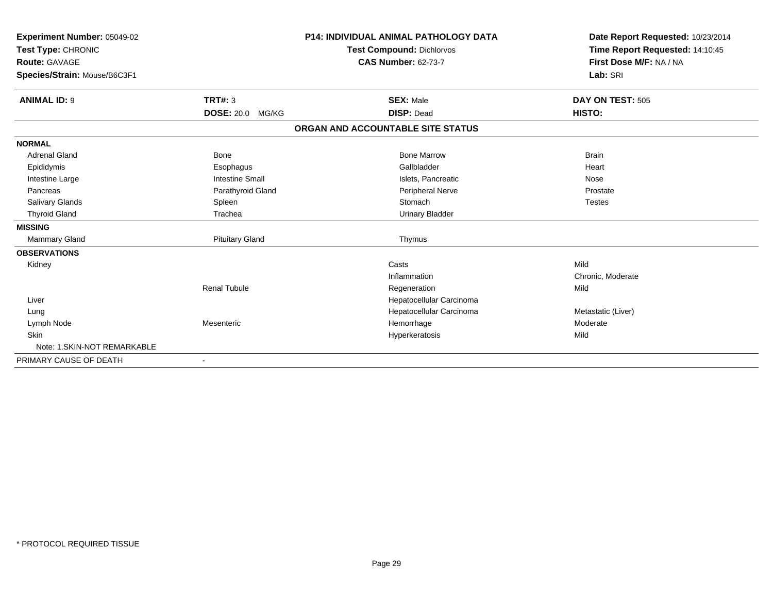| <b>Experiment Number: 05049-02</b><br>Test Type: CHRONIC<br><b>Route: GAVAGE</b><br>Species/Strain: Mouse/B6C3F1 |                        | <b>P14: INDIVIDUAL ANIMAL PATHOLOGY DATA</b><br><b>Test Compound: Dichlorvos</b><br><b>CAS Number: 62-73-7</b> | Date Report Requested: 10/23/2014<br>Time Report Requested: 14:10:45<br>First Dose M/F: NA / NA<br>Lab: SRI |
|------------------------------------------------------------------------------------------------------------------|------------------------|----------------------------------------------------------------------------------------------------------------|-------------------------------------------------------------------------------------------------------------|
| <b>ANIMAL ID: 9</b>                                                                                              | <b>TRT#: 3</b>         | <b>SEX: Male</b>                                                                                               | DAY ON TEST: 505                                                                                            |
|                                                                                                                  | DOSE: 20.0 MG/KG       | <b>DISP: Dead</b>                                                                                              | <b>HISTO:</b>                                                                                               |
|                                                                                                                  |                        | ORGAN AND ACCOUNTABLE SITE STATUS                                                                              |                                                                                                             |
| <b>NORMAL</b>                                                                                                    |                        |                                                                                                                |                                                                                                             |
| <b>Adrenal Gland</b>                                                                                             | <b>Bone</b>            | <b>Bone Marrow</b>                                                                                             | <b>Brain</b>                                                                                                |
| Epididymis                                                                                                       | Esophagus              | Gallbladder                                                                                                    | Heart                                                                                                       |
| Intestine Large                                                                                                  | <b>Intestine Small</b> | Islets, Pancreatic                                                                                             | Nose                                                                                                        |
| Pancreas                                                                                                         | Parathyroid Gland      | Peripheral Nerve                                                                                               | Prostate                                                                                                    |
| <b>Salivary Glands</b>                                                                                           | Spleen                 | Stomach                                                                                                        | <b>Testes</b>                                                                                               |
| <b>Thyroid Gland</b>                                                                                             | Trachea                | <b>Urinary Bladder</b>                                                                                         |                                                                                                             |
| <b>MISSING</b>                                                                                                   |                        |                                                                                                                |                                                                                                             |
| <b>Mammary Gland</b>                                                                                             | <b>Pituitary Gland</b> | Thymus                                                                                                         |                                                                                                             |
| <b>OBSERVATIONS</b>                                                                                              |                        |                                                                                                                |                                                                                                             |
| Kidney                                                                                                           |                        | Casts                                                                                                          | Mild                                                                                                        |
|                                                                                                                  |                        | Inflammation                                                                                                   | Chronic, Moderate                                                                                           |
|                                                                                                                  | <b>Renal Tubule</b>    | Regeneration                                                                                                   | Mild                                                                                                        |
| Liver                                                                                                            |                        | Hepatocellular Carcinoma                                                                                       |                                                                                                             |
| Lung                                                                                                             |                        | Hepatocellular Carcinoma                                                                                       | Metastatic (Liver)                                                                                          |
| Lymph Node                                                                                                       | Mesenteric             | Hemorrhage                                                                                                     | Moderate                                                                                                    |
| <b>Skin</b>                                                                                                      |                        | Hyperkeratosis                                                                                                 | Mild                                                                                                        |
| Note: 1. SKIN-NOT REMARKABLE                                                                                     |                        |                                                                                                                |                                                                                                             |
| PRIMARY CAUSE OF DEATH                                                                                           |                        |                                                                                                                |                                                                                                             |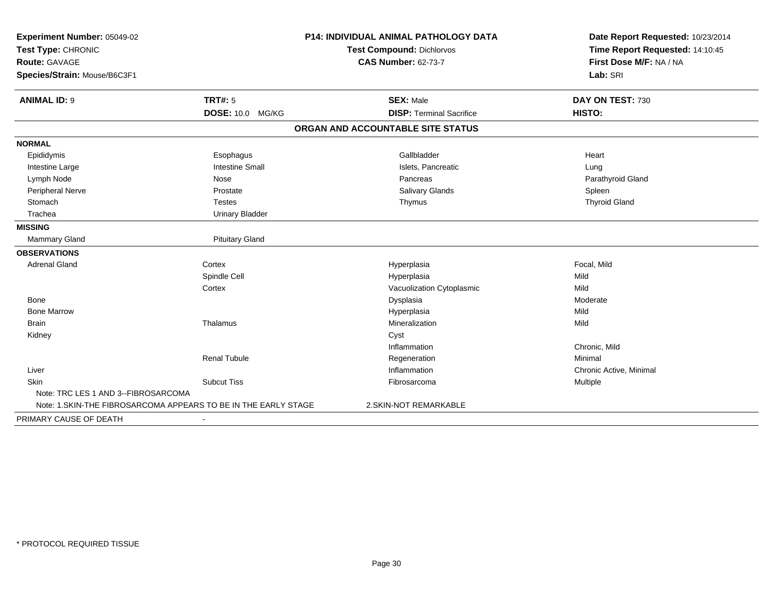| Experiment Number: 05049-02                                     |                         | <b>P14: INDIVIDUAL ANIMAL PATHOLOGY DATA</b> | Date Report Requested: 10/23/2014 |  |
|-----------------------------------------------------------------|-------------------------|----------------------------------------------|-----------------------------------|--|
| Test Type: CHRONIC                                              |                         | Test Compound: Dichlorvos                    | Time Report Requested: 14:10:45   |  |
| <b>Route: GAVAGE</b>                                            |                         | <b>CAS Number: 62-73-7</b>                   | First Dose M/F: NA / NA           |  |
| Species/Strain: Mouse/B6C3F1                                    |                         |                                              | Lab: SRI                          |  |
| <b>ANIMAL ID: 9</b>                                             | <b>TRT#: 5</b>          | <b>SEX: Male</b>                             | DAY ON TEST: 730                  |  |
|                                                                 | <b>DOSE: 10.0 MG/KG</b> | <b>DISP: Terminal Sacrifice</b>              | HISTO:                            |  |
|                                                                 |                         | ORGAN AND ACCOUNTABLE SITE STATUS            |                                   |  |
| <b>NORMAL</b>                                                   |                         |                                              |                                   |  |
| Epididymis                                                      | Esophagus               | Gallbladder                                  | Heart                             |  |
| Intestine Large                                                 | <b>Intestine Small</b>  | Islets, Pancreatic                           | Lung                              |  |
| Lymph Node                                                      | Nose                    | Pancreas                                     | Parathyroid Gland                 |  |
| Peripheral Nerve                                                | Prostate                | <b>Salivary Glands</b>                       | Spleen                            |  |
| Stomach                                                         | <b>Testes</b>           | Thymus                                       | <b>Thyroid Gland</b>              |  |
| Trachea                                                         | <b>Urinary Bladder</b>  |                                              |                                   |  |
| <b>MISSING</b>                                                  |                         |                                              |                                   |  |
| Mammary Gland                                                   | <b>Pituitary Gland</b>  |                                              |                                   |  |
| <b>OBSERVATIONS</b>                                             |                         |                                              |                                   |  |
| <b>Adrenal Gland</b>                                            | Cortex                  | Hyperplasia                                  | Focal, Mild                       |  |
|                                                                 | Spindle Cell            | Hyperplasia                                  | Mild                              |  |
|                                                                 | Cortex                  | Vacuolization Cytoplasmic                    | Mild                              |  |
| Bone                                                            |                         | Dysplasia                                    | Moderate                          |  |
| <b>Bone Marrow</b>                                              |                         | Hyperplasia                                  | Mild                              |  |
| <b>Brain</b>                                                    | Thalamus                | Mineralization                               | Mild                              |  |
| Kidney                                                          |                         | Cyst                                         |                                   |  |
|                                                                 |                         | Inflammation                                 | Chronic, Mild                     |  |
|                                                                 | <b>Renal Tubule</b>     | Regeneration                                 | Minimal                           |  |
| Liver                                                           |                         | Inflammation                                 | Chronic Active, Minimal           |  |
| Skin                                                            | <b>Subcut Tiss</b>      | Fibrosarcoma                                 | <b>Multiple</b>                   |  |
| Note: TRC LES 1 AND 3--FIBROSARCOMA                             |                         |                                              |                                   |  |
| Note: 1. SKIN-THE FIBROSARCOMA APPEARS TO BE IN THE EARLY STAGE |                         | 2.SKIN-NOT REMARKABLE                        |                                   |  |
| PRIMARY CAUSE OF DEATH                                          |                         |                                              |                                   |  |
|                                                                 |                         |                                              |                                   |  |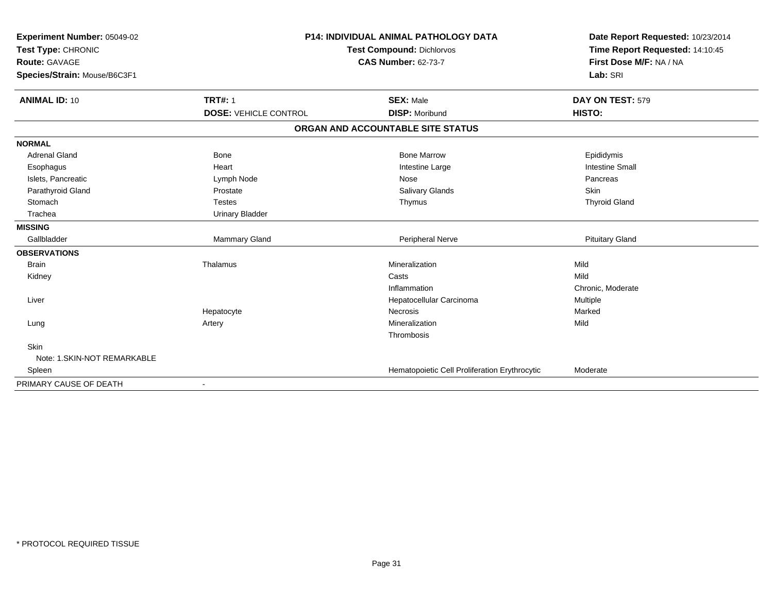| Experiment Number: 05049-02<br>Test Type: CHRONIC<br><b>Route: GAVAGE</b><br>Species/Strain: Mouse/B6C3F1 |                              | <b>P14: INDIVIDUAL ANIMAL PATHOLOGY DATA</b><br><b>Test Compound: Dichlorvos</b><br><b>CAS Number: 62-73-7</b> | Date Report Requested: 10/23/2014<br>Time Report Requested: 14:10:45<br>First Dose M/F: NA / NA<br>Lab: SRI |
|-----------------------------------------------------------------------------------------------------------|------------------------------|----------------------------------------------------------------------------------------------------------------|-------------------------------------------------------------------------------------------------------------|
| <b>ANIMAL ID: 10</b>                                                                                      | <b>TRT#: 1</b>               | <b>SEX: Male</b>                                                                                               | DAY ON TEST: 579                                                                                            |
|                                                                                                           | <b>DOSE: VEHICLE CONTROL</b> | <b>DISP: Moribund</b>                                                                                          | HISTO:                                                                                                      |
|                                                                                                           |                              | ORGAN AND ACCOUNTABLE SITE STATUS                                                                              |                                                                                                             |
| <b>NORMAL</b>                                                                                             |                              |                                                                                                                |                                                                                                             |
| <b>Adrenal Gland</b>                                                                                      | <b>Bone</b>                  | <b>Bone Marrow</b>                                                                                             | Epididymis                                                                                                  |
| Esophagus                                                                                                 | Heart                        | Intestine Large                                                                                                | <b>Intestine Small</b>                                                                                      |
| Islets, Pancreatic                                                                                        | Lymph Node                   | Nose                                                                                                           | Pancreas                                                                                                    |
| Parathyroid Gland                                                                                         | Prostate                     | Salivary Glands                                                                                                | <b>Skin</b>                                                                                                 |
| Stomach                                                                                                   | <b>Testes</b>                | Thymus                                                                                                         | <b>Thyroid Gland</b>                                                                                        |
| Trachea                                                                                                   | <b>Urinary Bladder</b>       |                                                                                                                |                                                                                                             |
| <b>MISSING</b>                                                                                            |                              |                                                                                                                |                                                                                                             |
| Gallbladder                                                                                               | Mammary Gland                | Peripheral Nerve                                                                                               | <b>Pituitary Gland</b>                                                                                      |
| <b>OBSERVATIONS</b>                                                                                       |                              |                                                                                                                |                                                                                                             |
| <b>Brain</b>                                                                                              | Thalamus                     | Mineralization                                                                                                 | Mild                                                                                                        |
| Kidney                                                                                                    |                              | Casts                                                                                                          | Mild                                                                                                        |
|                                                                                                           |                              | Inflammation                                                                                                   | Chronic, Moderate                                                                                           |
| Liver                                                                                                     |                              | Hepatocellular Carcinoma                                                                                       | Multiple                                                                                                    |
|                                                                                                           | Hepatocyte                   | Necrosis                                                                                                       | Marked                                                                                                      |
| Lung                                                                                                      | Artery                       | Mineralization                                                                                                 | Mild                                                                                                        |
|                                                                                                           |                              | Thrombosis                                                                                                     |                                                                                                             |
| Skin                                                                                                      |                              |                                                                                                                |                                                                                                             |
| Note: 1.SKIN-NOT REMARKABLE                                                                               |                              |                                                                                                                |                                                                                                             |
| Spleen                                                                                                    |                              | Hematopoietic Cell Proliferation Erythrocytic                                                                  | Moderate                                                                                                    |
| PRIMARY CAUSE OF DEATH                                                                                    |                              |                                                                                                                |                                                                                                             |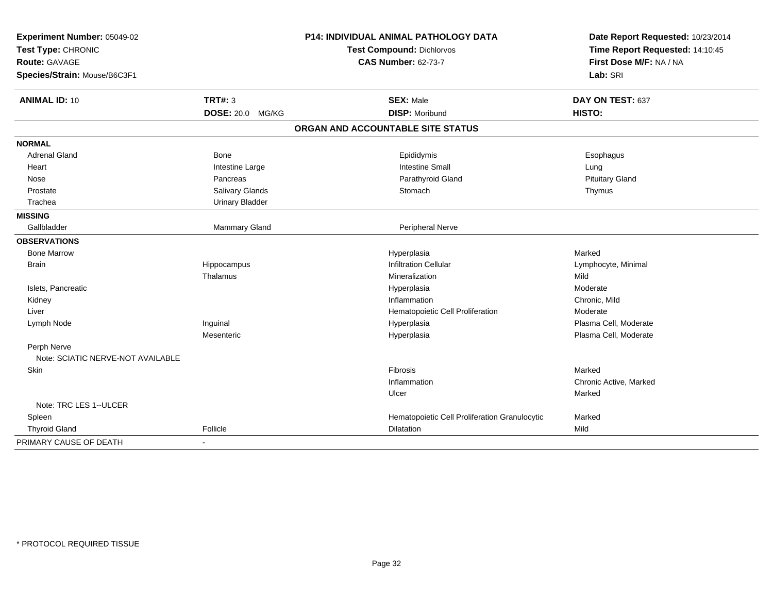| Experiment Number: 05049-02         |                        | <b>P14: INDIVIDUAL ANIMAL PATHOLOGY DATA</b>  | Date Report Requested: 10/23/2014                          |
|-------------------------------------|------------------------|-----------------------------------------------|------------------------------------------------------------|
| Test Type: CHRONIC<br>Route: GAVAGE |                        | Test Compound: Dichlorvos                     | Time Report Requested: 14:10:45<br>First Dose M/F: NA / NA |
|                                     |                        | <b>CAS Number: 62-73-7</b>                    |                                                            |
| Species/Strain: Mouse/B6C3F1        |                        |                                               | Lab: SRI                                                   |
| <b>ANIMAL ID: 10</b>                | <b>TRT#: 3</b>         | <b>SEX: Male</b>                              | DAY ON TEST: 637                                           |
|                                     | DOSE: 20.0 MG/KG       | <b>DISP: Moribund</b>                         | HISTO:                                                     |
|                                     |                        | ORGAN AND ACCOUNTABLE SITE STATUS             |                                                            |
| <b>NORMAL</b>                       |                        |                                               |                                                            |
| <b>Adrenal Gland</b>                | Bone                   | Epididymis                                    | Esophagus                                                  |
| Heart                               | Intestine Large        | <b>Intestine Small</b>                        | Lung                                                       |
| Nose                                | Pancreas               | Parathyroid Gland                             | <b>Pituitary Gland</b>                                     |
| Prostate                            | Salivary Glands        | Stomach                                       | Thymus                                                     |
| Trachea                             | <b>Urinary Bladder</b> |                                               |                                                            |
| <b>MISSING</b>                      |                        |                                               |                                                            |
| Gallbladder                         | Mammary Gland          | Peripheral Nerve                              |                                                            |
| <b>OBSERVATIONS</b>                 |                        |                                               |                                                            |
| <b>Bone Marrow</b>                  |                        | Hyperplasia                                   | Marked                                                     |
| <b>Brain</b>                        | Hippocampus            | <b>Infiltration Cellular</b>                  | Lymphocyte, Minimal                                        |
|                                     | Thalamus               | Mineralization                                | Mild                                                       |
| Islets, Pancreatic                  |                        | Hyperplasia                                   | Moderate                                                   |
| Kidney                              |                        | Inflammation                                  | Chronic, Mild                                              |
| Liver                               |                        | Hematopoietic Cell Proliferation              | Moderate                                                   |
| Lymph Node                          | Inguinal               | Hyperplasia                                   | Plasma Cell, Moderate                                      |
|                                     | Mesenteric             | Hyperplasia                                   | Plasma Cell, Moderate                                      |
| Perph Nerve                         |                        |                                               |                                                            |
| Note: SCIATIC NERVE-NOT AVAILABLE   |                        |                                               |                                                            |
| Skin                                |                        | Fibrosis                                      | Marked                                                     |
|                                     |                        | Inflammation                                  | Chronic Active, Marked                                     |
|                                     |                        | Ulcer                                         | Marked                                                     |
| Note: TRC LES 1--ULCER              |                        |                                               |                                                            |
| Spleen                              |                        | Hematopoietic Cell Proliferation Granulocytic | Marked                                                     |
| <b>Thyroid Gland</b>                | Follicle               | Dilatation                                    | Mild                                                       |
| PRIMARY CAUSE OF DEATH              | $\blacksquare$         |                                               |                                                            |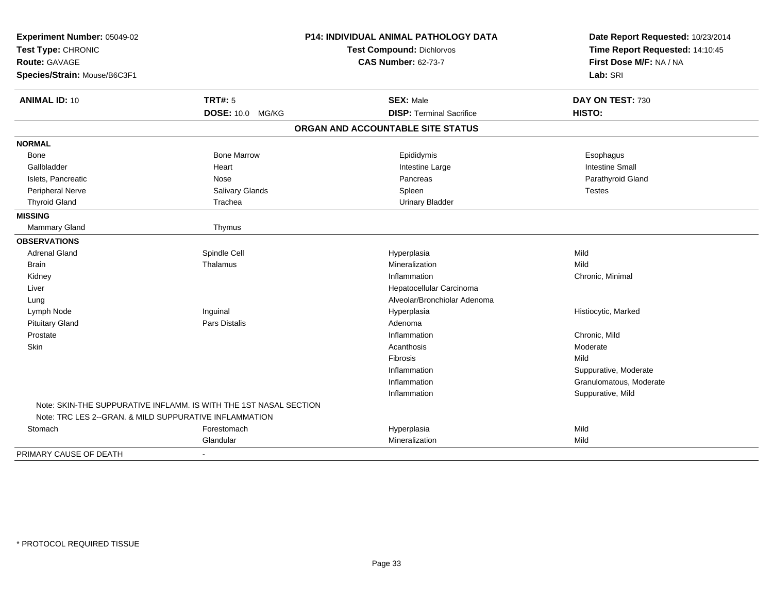| Experiment Number: 05049-02<br>Test Type: CHRONIC                 |                    | P14: INDIVIDUAL ANIMAL PATHOLOGY DATA<br>Test Compound: Dichlorvos | Date Report Requested: 10/23/2014<br>Time Report Requested: 14:10:45 |  |
|-------------------------------------------------------------------|--------------------|--------------------------------------------------------------------|----------------------------------------------------------------------|--|
| <b>Route: GAVAGE</b>                                              |                    | <b>CAS Number: 62-73-7</b>                                         | First Dose M/F: NA / NA                                              |  |
| Species/Strain: Mouse/B6C3F1                                      |                    |                                                                    | Lab: SRI                                                             |  |
| <b>ANIMAL ID: 10</b>                                              | <b>TRT#: 5</b>     | <b>SEX: Male</b>                                                   | DAY ON TEST: 730                                                     |  |
|                                                                   | DOSE: 10.0 MG/KG   | <b>DISP: Terminal Sacrifice</b>                                    | HISTO:                                                               |  |
|                                                                   |                    | ORGAN AND ACCOUNTABLE SITE STATUS                                  |                                                                      |  |
| <b>NORMAL</b>                                                     |                    |                                                                    |                                                                      |  |
| Bone                                                              | <b>Bone Marrow</b> | Epididymis                                                         | Esophagus                                                            |  |
| Gallbladder                                                       | Heart              | Intestine Large                                                    | <b>Intestine Small</b>                                               |  |
| Islets, Pancreatic                                                | Nose               | Pancreas                                                           | Parathyroid Gland                                                    |  |
| <b>Peripheral Nerve</b>                                           | Salivary Glands    | Spleen                                                             | Testes                                                               |  |
| <b>Thyroid Gland</b>                                              | Trachea            | <b>Urinary Bladder</b>                                             |                                                                      |  |
| <b>MISSING</b>                                                    |                    |                                                                    |                                                                      |  |
| <b>Mammary Gland</b>                                              | Thymus             |                                                                    |                                                                      |  |
| <b>OBSERVATIONS</b>                                               |                    |                                                                    |                                                                      |  |
| <b>Adrenal Gland</b>                                              | Spindle Cell       | Hyperplasia                                                        | Mild                                                                 |  |
| <b>Brain</b>                                                      | Thalamus           | Mineralization                                                     | Mild                                                                 |  |
| Kidney                                                            |                    | Inflammation                                                       | Chronic, Minimal                                                     |  |
| Liver                                                             |                    | Hepatocellular Carcinoma                                           |                                                                      |  |
| Lung                                                              |                    | Alveolar/Bronchiolar Adenoma                                       |                                                                      |  |
| Lymph Node                                                        | Inguinal           | Hyperplasia                                                        | Histiocytic, Marked                                                  |  |
| <b>Pituitary Gland</b>                                            | Pars Distalis      | Adenoma                                                            |                                                                      |  |
| Prostate                                                          |                    | Inflammation                                                       | Chronic, Mild                                                        |  |
| Skin                                                              |                    | Acanthosis                                                         | Moderate                                                             |  |
|                                                                   |                    | Fibrosis                                                           | Mild                                                                 |  |
|                                                                   |                    | Inflammation                                                       | Suppurative, Moderate                                                |  |
|                                                                   |                    | Inflammation                                                       | Granulomatous, Moderate                                              |  |
|                                                                   |                    | Inflammation                                                       | Suppurative, Mild                                                    |  |
| Note: SKIN-THE SUPPURATIVE INFLAMM. IS WITH THE 1ST NASAL SECTION |                    |                                                                    |                                                                      |  |
| Note: TRC LES 2--GRAN. & MILD SUPPURATIVE INFLAMMATION            |                    |                                                                    |                                                                      |  |
| Stomach                                                           | Forestomach        | Hyperplasia                                                        | Mild                                                                 |  |
|                                                                   | Glandular          | Mineralization                                                     | Mild                                                                 |  |
| PRIMARY CAUSE OF DEATH                                            |                    |                                                                    |                                                                      |  |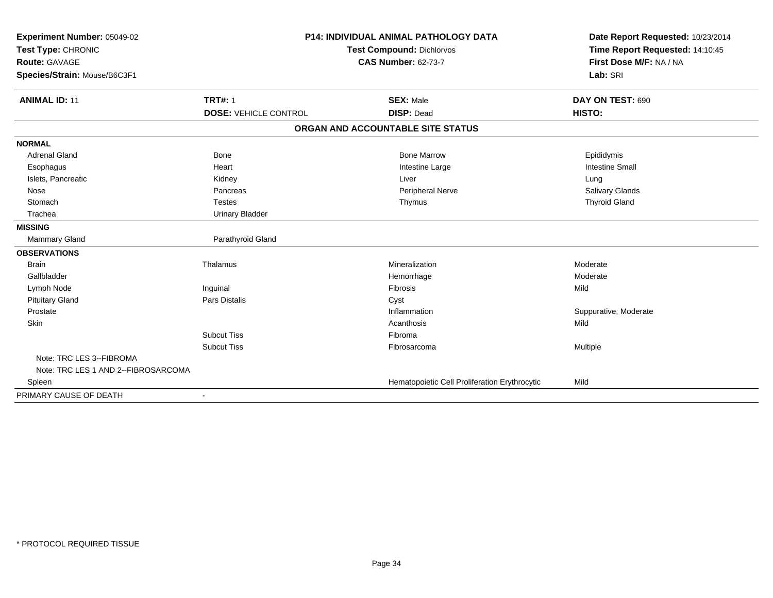| Experiment Number: 05049-02         | <b>P14: INDIVIDUAL ANIMAL PATHOLOGY DATA</b> |                                               | Date Report Requested: 10/23/2014 |  |
|-------------------------------------|----------------------------------------------|-----------------------------------------------|-----------------------------------|--|
| Test Type: CHRONIC                  |                                              | <b>Test Compound: Dichlorvos</b>              | Time Report Requested: 14:10:45   |  |
| <b>Route: GAVAGE</b>                |                                              | <b>CAS Number: 62-73-7</b>                    | First Dose M/F: NA / NA           |  |
| Species/Strain: Mouse/B6C3F1        |                                              |                                               | Lab: SRI                          |  |
|                                     |                                              |                                               |                                   |  |
| <b>ANIMAL ID: 11</b>                | <b>TRT#: 1</b>                               | <b>SEX: Male</b>                              | DAY ON TEST: 690                  |  |
|                                     | <b>DOSE: VEHICLE CONTROL</b>                 | <b>DISP: Dead</b>                             | HISTO:                            |  |
|                                     |                                              | ORGAN AND ACCOUNTABLE SITE STATUS             |                                   |  |
| <b>NORMAL</b>                       |                                              |                                               |                                   |  |
| <b>Adrenal Gland</b>                | <b>Bone</b>                                  | <b>Bone Marrow</b>                            | Epididymis                        |  |
| Esophagus                           | Heart                                        | Intestine Large                               | <b>Intestine Small</b>            |  |
| Islets, Pancreatic                  | Kidney                                       | Liver                                         | Lung                              |  |
| Nose                                | Pancreas                                     | Peripheral Nerve                              | Salivary Glands                   |  |
| Stomach                             | <b>Testes</b>                                | Thymus                                        | <b>Thyroid Gland</b>              |  |
| Trachea                             | <b>Urinary Bladder</b>                       |                                               |                                   |  |
| <b>MISSING</b>                      |                                              |                                               |                                   |  |
| Mammary Gland                       | Parathyroid Gland                            |                                               |                                   |  |
| <b>OBSERVATIONS</b>                 |                                              |                                               |                                   |  |
| <b>Brain</b>                        | Thalamus                                     | Mineralization                                | Moderate                          |  |
| Gallbladder                         |                                              | Hemorrhage                                    | Moderate                          |  |
| Lymph Node                          | Inguinal                                     | <b>Fibrosis</b>                               | Mild                              |  |
| <b>Pituitary Gland</b>              | Pars Distalis                                | Cyst                                          |                                   |  |
| Prostate                            |                                              | Inflammation                                  | Suppurative, Moderate             |  |
| Skin                                |                                              | Acanthosis                                    | Mild                              |  |
|                                     | <b>Subcut Tiss</b>                           | Fibroma                                       |                                   |  |
|                                     | <b>Subcut Tiss</b>                           | Fibrosarcoma                                  | Multiple                          |  |
| Note: TRC LES 3--FIBROMA            |                                              |                                               |                                   |  |
| Note: TRC LES 1 AND 2--FIBROSARCOMA |                                              |                                               |                                   |  |
| Spleen                              |                                              | Hematopoietic Cell Proliferation Erythrocytic | Mild                              |  |
| PRIMARY CAUSE OF DEATH              |                                              |                                               |                                   |  |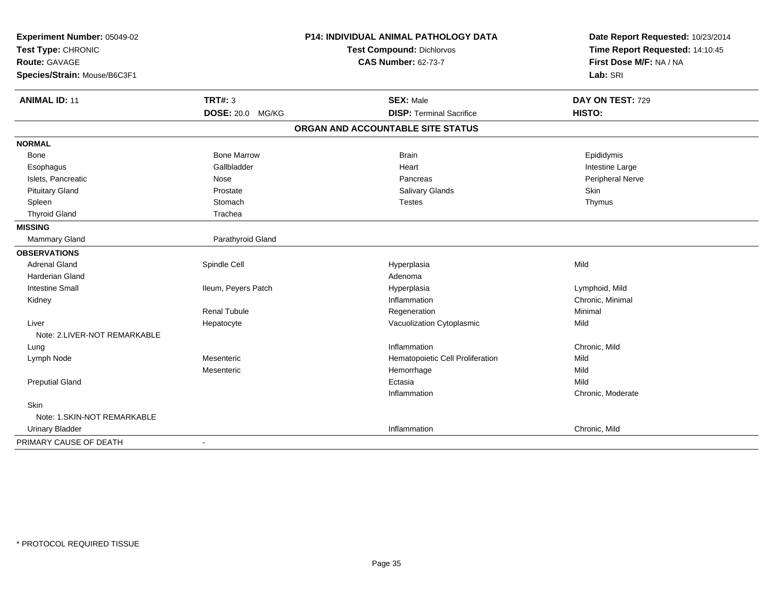| Experiment Number: 05049-02         |                     | P14: INDIVIDUAL ANIMAL PATHOLOGY DATA | Date Report Requested: 10/23/2014                          |
|-------------------------------------|---------------------|---------------------------------------|------------------------------------------------------------|
| Test Type: CHRONIC<br>Route: GAVAGE |                     | <b>Test Compound: Dichlorvos</b>      | Time Report Requested: 14:10:45<br>First Dose M/F: NA / NA |
|                                     |                     | <b>CAS Number: 62-73-7</b>            |                                                            |
| Species/Strain: Mouse/B6C3F1        |                     |                                       | Lab: SRI                                                   |
| <b>ANIMAL ID: 11</b>                | <b>TRT#: 3</b>      | <b>SEX: Male</b>                      | DAY ON TEST: 729                                           |
|                                     | DOSE: 20.0 MG/KG    | <b>DISP: Terminal Sacrifice</b>       | HISTO:                                                     |
|                                     |                     | ORGAN AND ACCOUNTABLE SITE STATUS     |                                                            |
| <b>NORMAL</b>                       |                     |                                       |                                                            |
| Bone                                | <b>Bone Marrow</b>  | <b>Brain</b>                          | Epididymis                                                 |
| Esophagus                           | Gallbladder         | Heart                                 | Intestine Large                                            |
| Islets, Pancreatic                  | Nose                | Pancreas                              | Peripheral Nerve                                           |
| <b>Pituitary Gland</b>              | Prostate            | <b>Salivary Glands</b>                | <b>Skin</b>                                                |
| Spleen                              | Stomach             | <b>Testes</b>                         | Thymus                                                     |
| <b>Thyroid Gland</b>                | Trachea             |                                       |                                                            |
| <b>MISSING</b>                      |                     |                                       |                                                            |
| <b>Mammary Gland</b>                | Parathyroid Gland   |                                       |                                                            |
| <b>OBSERVATIONS</b>                 |                     |                                       |                                                            |
| <b>Adrenal Gland</b>                | Spindle Cell        | Hyperplasia                           | Mild                                                       |
| <b>Harderian Gland</b>              |                     | Adenoma                               |                                                            |
| <b>Intestine Small</b>              | Ileum, Peyers Patch | Hyperplasia                           | Lymphoid, Mild                                             |
| Kidney                              |                     | Inflammation                          | Chronic, Minimal                                           |
|                                     | <b>Renal Tubule</b> | Regeneration                          | Minimal                                                    |
| Liver                               | Hepatocyte          | Vacuolization Cytoplasmic             | Mild                                                       |
| Note: 2.LIVER-NOT REMARKABLE        |                     |                                       |                                                            |
| Lung                                |                     | Inflammation                          | Chronic, Mild                                              |
| Lymph Node                          | Mesenteric          | Hematopoietic Cell Proliferation      | Mild                                                       |
|                                     | Mesenteric          | Hemorrhage                            | Mild                                                       |
| <b>Preputial Gland</b>              |                     | Ectasia                               | Mild                                                       |
|                                     |                     | Inflammation                          | Chronic, Moderate                                          |
| <b>Skin</b>                         |                     |                                       |                                                            |
| Note: 1.SKIN-NOT REMARKABLE         |                     |                                       |                                                            |
| <b>Urinary Bladder</b>              |                     | Inflammation                          | Chronic, Mild                                              |
| PRIMARY CAUSE OF DEATH              | $\blacksquare$      |                                       |                                                            |
|                                     |                     |                                       |                                                            |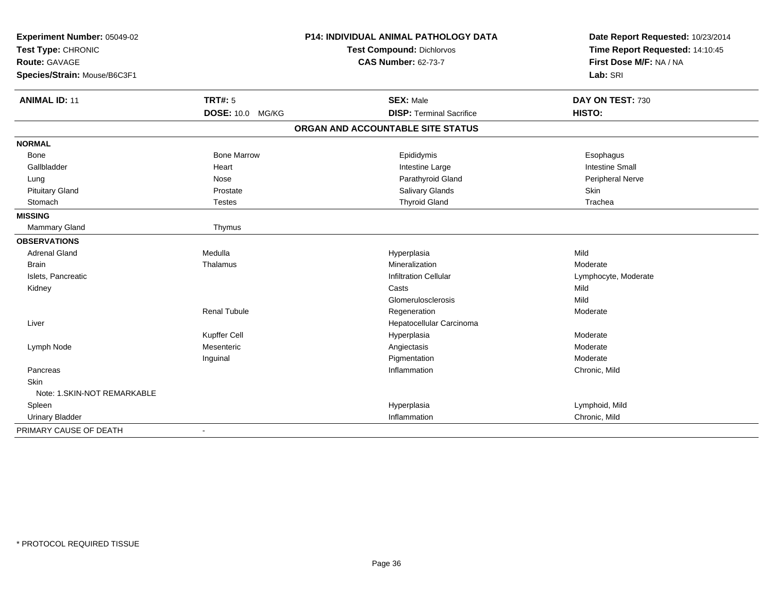| Experiment Number: 05049-02  |                          | P14: INDIVIDUAL ANIMAL PATHOLOGY DATA | Date Report Requested: 10/23/2014 |
|------------------------------|--------------------------|---------------------------------------|-----------------------------------|
| Test Type: CHRONIC           |                          | Test Compound: Dichlorvos             | Time Report Requested: 14:10:45   |
| <b>Route: GAVAGE</b>         |                          | <b>CAS Number: 62-73-7</b>            | First Dose M/F: NA / NA           |
| Species/Strain: Mouse/B6C3F1 |                          |                                       | Lab: SRI                          |
| <b>ANIMAL ID: 11</b>         | <b>TRT#: 5</b>           | <b>SEX: Male</b>                      | DAY ON TEST: 730                  |
|                              | <b>DOSE: 10.0 MG/KG</b>  | <b>DISP: Terminal Sacrifice</b>       | HISTO:                            |
|                              |                          | ORGAN AND ACCOUNTABLE SITE STATUS     |                                   |
| <b>NORMAL</b>                |                          |                                       |                                   |
| Bone                         | <b>Bone Marrow</b>       | Epididymis                            | Esophagus                         |
| Gallbladder                  | Heart                    | Intestine Large                       | <b>Intestine Small</b>            |
| Lung                         | Nose                     | Parathyroid Gland                     | Peripheral Nerve                  |
| <b>Pituitary Gland</b>       | Prostate                 | Salivary Glands                       | Skin                              |
| Stomach                      | <b>Testes</b>            | <b>Thyroid Gland</b>                  | Trachea                           |
| <b>MISSING</b>               |                          |                                       |                                   |
| Mammary Gland                | Thymus                   |                                       |                                   |
| <b>OBSERVATIONS</b>          |                          |                                       |                                   |
| <b>Adrenal Gland</b>         | Medulla                  | Hyperplasia                           | Mild                              |
| <b>Brain</b>                 | Thalamus                 | Mineralization                        | Moderate                          |
| Islets, Pancreatic           |                          | <b>Infiltration Cellular</b>          | Lymphocyte, Moderate              |
| Kidney                       |                          | Casts                                 | Mild                              |
|                              |                          | Glomerulosclerosis                    | Mild                              |
|                              | <b>Renal Tubule</b>      | Regeneration                          | Moderate                          |
| Liver                        |                          | Hepatocellular Carcinoma              |                                   |
|                              | Kupffer Cell             | Hyperplasia                           | Moderate                          |
| Lymph Node                   | Mesenteric               | Angiectasis                           | Moderate                          |
|                              | Inguinal                 | Pigmentation                          | Moderate                          |
| Pancreas                     |                          | Inflammation                          | Chronic, Mild                     |
| Skin                         |                          |                                       |                                   |
| Note: 1.SKIN-NOT REMARKABLE  |                          |                                       |                                   |
| Spleen                       |                          | Hyperplasia                           | Lymphoid, Mild                    |
| <b>Urinary Bladder</b>       |                          | Inflammation                          | Chronic, Mild                     |
| PRIMARY CAUSE OF DEATH       | $\overline{\phantom{a}}$ |                                       |                                   |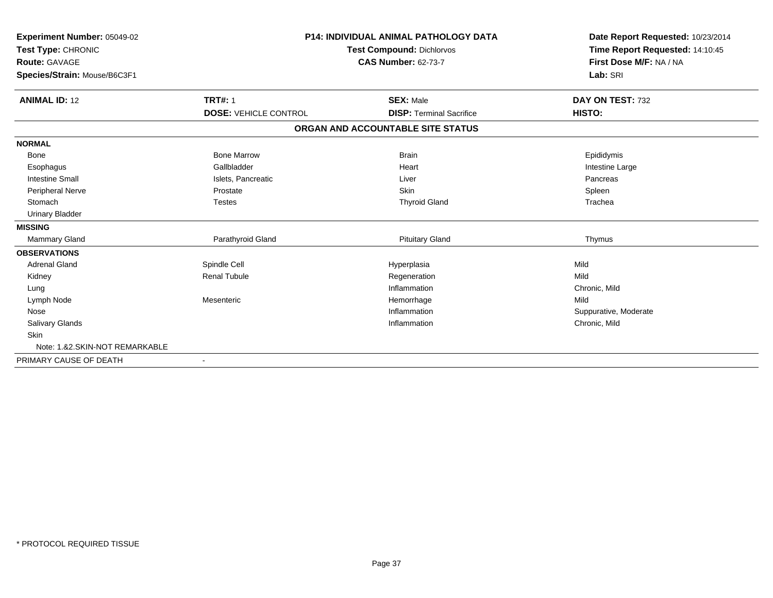| <b>Experiment Number: 05049-02</b><br>Test Type: CHRONIC<br><b>Route: GAVAGE</b><br>Species/Strain: Mouse/B6C3F1 |                              | <b>P14: INDIVIDUAL ANIMAL PATHOLOGY DATA</b><br><b>Test Compound: Dichlorvos</b><br><b>CAS Number: 62-73-7</b> | Date Report Requested: 10/23/2014<br>Time Report Requested: 14:10:45<br>First Dose M/F: NA / NA<br>Lab: SRI |
|------------------------------------------------------------------------------------------------------------------|------------------------------|----------------------------------------------------------------------------------------------------------------|-------------------------------------------------------------------------------------------------------------|
| <b>ANIMAL ID: 12</b>                                                                                             | <b>TRT#: 1</b>               | <b>SEX: Male</b>                                                                                               | DAY ON TEST: 732                                                                                            |
|                                                                                                                  | <b>DOSE: VEHICLE CONTROL</b> | <b>DISP: Terminal Sacrifice</b>                                                                                | HISTO:                                                                                                      |
|                                                                                                                  |                              | ORGAN AND ACCOUNTABLE SITE STATUS                                                                              |                                                                                                             |
| <b>NORMAL</b>                                                                                                    |                              |                                                                                                                |                                                                                                             |
| <b>Bone</b>                                                                                                      | <b>Bone Marrow</b>           | <b>Brain</b>                                                                                                   | Epididymis                                                                                                  |
| Esophagus                                                                                                        | Gallbladder                  | Heart                                                                                                          | Intestine Large                                                                                             |
| <b>Intestine Small</b>                                                                                           | Islets, Pancreatic           | Liver                                                                                                          | Pancreas                                                                                                    |
| Peripheral Nerve                                                                                                 | Prostate                     | <b>Skin</b>                                                                                                    | Spleen                                                                                                      |
| Stomach                                                                                                          | <b>Testes</b>                | <b>Thyroid Gland</b>                                                                                           | Trachea                                                                                                     |
| <b>Urinary Bladder</b>                                                                                           |                              |                                                                                                                |                                                                                                             |
| <b>MISSING</b>                                                                                                   |                              |                                                                                                                |                                                                                                             |
| <b>Mammary Gland</b>                                                                                             | Parathyroid Gland            | <b>Pituitary Gland</b>                                                                                         | Thymus                                                                                                      |
| <b>OBSERVATIONS</b>                                                                                              |                              |                                                                                                                |                                                                                                             |
| <b>Adrenal Gland</b>                                                                                             | Spindle Cell                 | Hyperplasia                                                                                                    | Mild                                                                                                        |
| Kidney                                                                                                           | <b>Renal Tubule</b>          | Regeneration                                                                                                   | Mild                                                                                                        |
| Lung                                                                                                             |                              | Inflammation                                                                                                   | Chronic, Mild                                                                                               |
| Lymph Node                                                                                                       | Mesenteric                   | Hemorrhage                                                                                                     | Mild                                                                                                        |
| Nose                                                                                                             |                              | Inflammation                                                                                                   | Suppurative, Moderate                                                                                       |
| Salivary Glands                                                                                                  |                              | Inflammation                                                                                                   | Chronic, Mild                                                                                               |
| Skin                                                                                                             |                              |                                                                                                                |                                                                                                             |
| Note: 1.&2.SKIN-NOT REMARKABLE                                                                                   |                              |                                                                                                                |                                                                                                             |
| PRIMARY CAUSE OF DEATH                                                                                           |                              |                                                                                                                |                                                                                                             |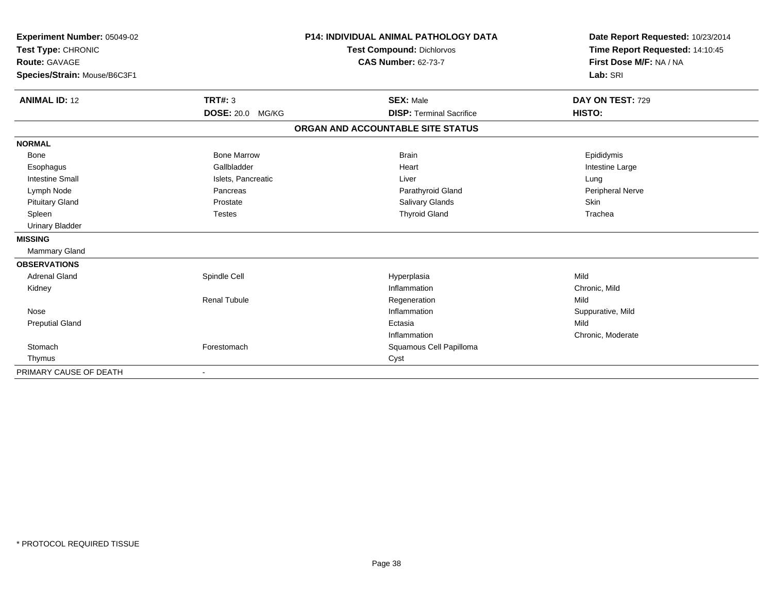| Experiment Number: 05049-02<br>Test Type: CHRONIC |                         | P14: INDIVIDUAL ANIMAL PATHOLOGY DATA | Date Report Requested: 10/23/2014<br>Time Report Requested: 14:10:45 |
|---------------------------------------------------|-------------------------|---------------------------------------|----------------------------------------------------------------------|
|                                                   |                         | <b>Test Compound: Dichlorvos</b>      |                                                                      |
| <b>Route: GAVAGE</b>                              |                         | <b>CAS Number: 62-73-7</b>            | First Dose M/F: NA / NA                                              |
| Species/Strain: Mouse/B6C3F1                      |                         |                                       | Lab: SRI                                                             |
| <b>ANIMAL ID: 12</b>                              | <b>TRT#: 3</b>          | <b>SEX: Male</b>                      | DAY ON TEST: 729                                                     |
|                                                   | <b>DOSE: 20.0 MG/KG</b> | <b>DISP: Terminal Sacrifice</b>       | HISTO:                                                               |
|                                                   |                         | ORGAN AND ACCOUNTABLE SITE STATUS     |                                                                      |
| <b>NORMAL</b>                                     |                         |                                       |                                                                      |
| <b>Bone</b>                                       | <b>Bone Marrow</b>      | <b>Brain</b>                          | Epididymis                                                           |
| Esophagus                                         | Gallbladder             | Heart                                 | Intestine Large                                                      |
| <b>Intestine Small</b>                            | Islets, Pancreatic      | Liver                                 | Lung                                                                 |
| Lymph Node                                        | Pancreas                | Parathyroid Gland                     | Peripheral Nerve                                                     |
| <b>Pituitary Gland</b>                            | Prostate                | Salivary Glands                       | Skin                                                                 |
| Spleen                                            | <b>Testes</b>           | <b>Thyroid Gland</b>                  | Trachea                                                              |
| <b>Urinary Bladder</b>                            |                         |                                       |                                                                      |
| <b>MISSING</b>                                    |                         |                                       |                                                                      |
| Mammary Gland                                     |                         |                                       |                                                                      |
| <b>OBSERVATIONS</b>                               |                         |                                       |                                                                      |
| <b>Adrenal Gland</b>                              | Spindle Cell            | Hyperplasia                           | Mild                                                                 |
| Kidney                                            |                         | Inflammation                          | Chronic, Mild                                                        |
|                                                   | <b>Renal Tubule</b>     | Regeneration                          | Mild                                                                 |
| Nose                                              |                         | Inflammation                          | Suppurative, Mild                                                    |
| <b>Preputial Gland</b>                            |                         | Ectasia                               | Mild                                                                 |
|                                                   |                         | Inflammation                          | Chronic, Moderate                                                    |
| Stomach                                           | Forestomach             | Squamous Cell Papilloma               |                                                                      |
| Thymus                                            |                         | Cyst                                  |                                                                      |
| PRIMARY CAUSE OF DEATH                            |                         |                                       |                                                                      |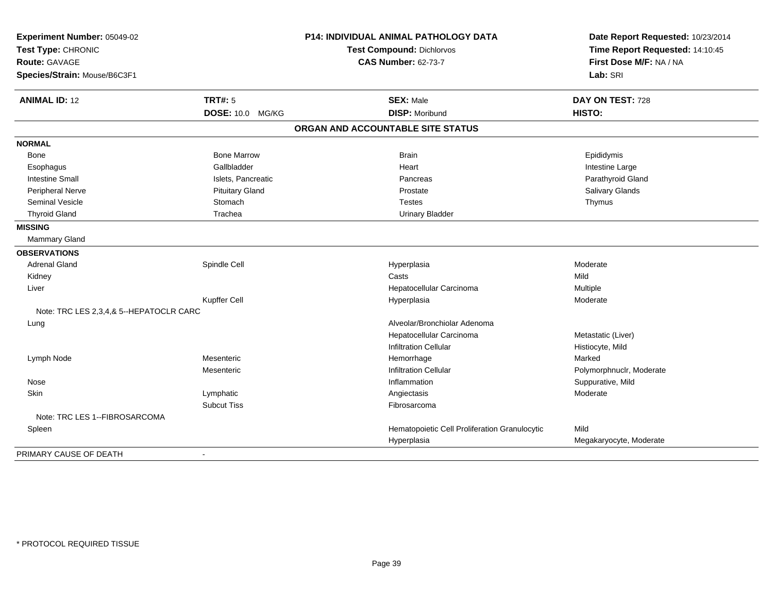| Experiment Number: 05049-02                |                        | P14: INDIVIDUAL ANIMAL PATHOLOGY DATA         | Date Report Requested: 10/23/2014 |
|--------------------------------------------|------------------------|-----------------------------------------------|-----------------------------------|
| Test Type: CHRONIC<br><b>Route: GAVAGE</b> |                        | <b>Test Compound: Dichlorvos</b>              | Time Report Requested: 14:10:45   |
|                                            |                        | <b>CAS Number: 62-73-7</b>                    | First Dose M/F: NA / NA           |
| Species/Strain: Mouse/B6C3F1               |                        |                                               | Lab: SRI                          |
| <b>ANIMAL ID: 12</b>                       | <b>TRT#: 5</b>         | <b>SEX: Male</b>                              | DAY ON TEST: 728                  |
|                                            | DOSE: 10.0 MG/KG       | <b>DISP: Moribund</b>                         | HISTO:                            |
|                                            |                        | ORGAN AND ACCOUNTABLE SITE STATUS             |                                   |
| <b>NORMAL</b>                              |                        |                                               |                                   |
| Bone                                       | <b>Bone Marrow</b>     | <b>Brain</b>                                  | Epididymis                        |
| Esophagus                                  | Gallbladder            | Heart                                         | Intestine Large                   |
| <b>Intestine Small</b>                     | Islets, Pancreatic     | Pancreas                                      | Parathyroid Gland                 |
| Peripheral Nerve                           | <b>Pituitary Gland</b> | Prostate                                      | Salivary Glands                   |
| <b>Seminal Vesicle</b>                     | Stomach                | <b>Testes</b>                                 | Thymus                            |
| <b>Thyroid Gland</b>                       | Trachea                | <b>Urinary Bladder</b>                        |                                   |
| <b>MISSING</b>                             |                        |                                               |                                   |
| Mammary Gland                              |                        |                                               |                                   |
| <b>OBSERVATIONS</b>                        |                        |                                               |                                   |
| <b>Adrenal Gland</b>                       | Spindle Cell           | Hyperplasia                                   | Moderate                          |
| Kidney                                     |                        | Casts                                         | Mild                              |
| Liver                                      |                        | Hepatocellular Carcinoma                      | Multiple                          |
|                                            | Kupffer Cell           | Hyperplasia                                   | Moderate                          |
| Note: TRC LES 2,3,4,& 5--HEPATOCLR CARC    |                        |                                               |                                   |
| Lung                                       |                        | Alveolar/Bronchiolar Adenoma                  |                                   |
|                                            |                        | Hepatocellular Carcinoma                      | Metastatic (Liver)                |
|                                            |                        | <b>Infiltration Cellular</b>                  | Histiocyte, Mild                  |
| Lymph Node                                 | Mesenteric             | Hemorrhage                                    | Marked                            |
|                                            | Mesenteric             | <b>Infiltration Cellular</b>                  | Polymorphnuclr, Moderate          |
| Nose                                       |                        | Inflammation                                  | Suppurative, Mild                 |
| Skin                                       | Lymphatic              | Angiectasis                                   | Moderate                          |
|                                            | <b>Subcut Tiss</b>     | Fibrosarcoma                                  |                                   |
| Note: TRC LES 1--FIBROSARCOMA              |                        |                                               |                                   |
| Spleen                                     |                        | Hematopoietic Cell Proliferation Granulocytic | Mild                              |
|                                            |                        | Hyperplasia                                   | Megakaryocyte, Moderate           |
| PRIMARY CAUSE OF DEATH                     |                        |                                               |                                   |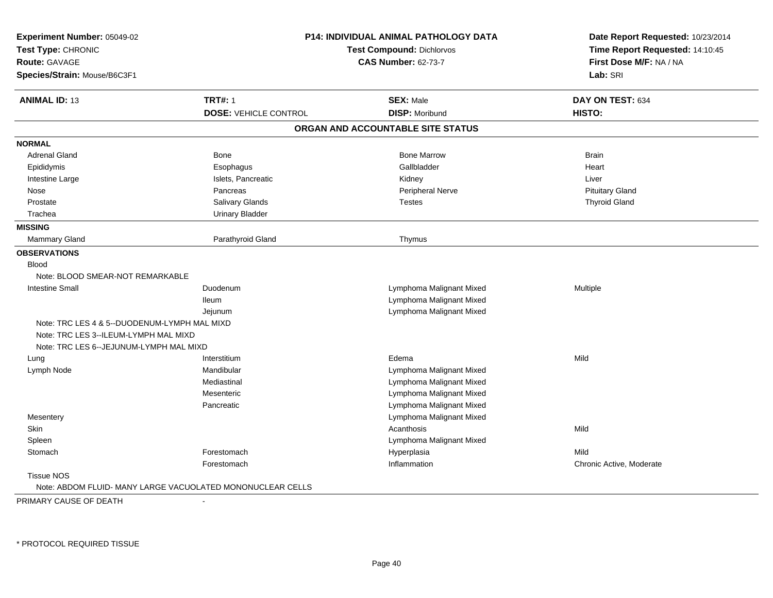| Experiment Number: 05049-02                  |                                                            | P14: INDIVIDUAL ANIMAL PATHOLOGY DATA | Date Report Requested: 10/23/2014                          |
|----------------------------------------------|------------------------------------------------------------|---------------------------------------|------------------------------------------------------------|
| Test Type: CHRONIC                           |                                                            | Test Compound: Dichlorvos             | Time Report Requested: 14:10:45<br>First Dose M/F: NA / NA |
| <b>Route: GAVAGE</b>                         |                                                            | <b>CAS Number: 62-73-7</b>            |                                                            |
| Species/Strain: Mouse/B6C3F1                 |                                                            |                                       | Lab: SRI                                                   |
| <b>ANIMAL ID: 13</b>                         | <b>TRT#: 1</b>                                             | <b>SEX: Male</b>                      | DAY ON TEST: 634                                           |
|                                              | <b>DOSE: VEHICLE CONTROL</b>                               | <b>DISP: Moribund</b>                 | HISTO:                                                     |
|                                              |                                                            | ORGAN AND ACCOUNTABLE SITE STATUS     |                                                            |
| <b>NORMAL</b>                                |                                                            |                                       |                                                            |
| <b>Adrenal Gland</b>                         | Bone                                                       | <b>Bone Marrow</b>                    | <b>Brain</b>                                               |
| Epididymis                                   | Esophagus                                                  | Gallbladder                           | Heart                                                      |
| Intestine Large                              | Islets, Pancreatic                                         | Kidney                                | Liver                                                      |
| Nose                                         | Pancreas                                                   | Peripheral Nerve                      | <b>Pituitary Gland</b>                                     |
| Prostate                                     | <b>Salivary Glands</b>                                     | <b>Testes</b>                         | <b>Thyroid Gland</b>                                       |
| Trachea                                      | <b>Urinary Bladder</b>                                     |                                       |                                                            |
| <b>MISSING</b>                               |                                                            |                                       |                                                            |
| Mammary Gland                                | Parathyroid Gland                                          | Thymus                                |                                                            |
| <b>OBSERVATIONS</b>                          |                                                            |                                       |                                                            |
| <b>Blood</b>                                 |                                                            |                                       |                                                            |
| Note: BLOOD SMEAR-NOT REMARKABLE             |                                                            |                                       |                                                            |
| <b>Intestine Small</b>                       | Duodenum                                                   | Lymphoma Malignant Mixed              | Multiple                                                   |
|                                              | <b>Ileum</b>                                               | Lymphoma Malignant Mixed              |                                                            |
|                                              | Jejunum                                                    | Lymphoma Malignant Mixed              |                                                            |
| Note: TRC LES 4 & 5--DUODENUM-LYMPH MAL MIXD |                                                            |                                       |                                                            |
| Note: TRC LES 3--ILEUM-LYMPH MAL MIXD        |                                                            |                                       |                                                            |
| Note: TRC LES 6--JEJUNUM-LYMPH MAL MIXD      |                                                            |                                       |                                                            |
| Lung                                         | Interstitium                                               | Edema                                 | Mild                                                       |
| Lymph Node                                   | Mandibular                                                 | Lymphoma Malignant Mixed              |                                                            |
|                                              | Mediastinal                                                | Lymphoma Malignant Mixed              |                                                            |
|                                              | Mesenteric                                                 | Lymphoma Malignant Mixed              |                                                            |
|                                              | Pancreatic                                                 | Lymphoma Malignant Mixed              |                                                            |
| Mesentery                                    |                                                            | Lymphoma Malignant Mixed              |                                                            |
| Skin                                         |                                                            | Acanthosis                            | Mild                                                       |
| Spleen                                       |                                                            | Lymphoma Malignant Mixed              |                                                            |
| Stomach                                      | Forestomach                                                | Hyperplasia                           | Mild                                                       |
|                                              | Forestomach                                                | Inflammation                          | Chronic Active, Moderate                                   |
| <b>Tissue NOS</b>                            |                                                            |                                       |                                                            |
|                                              | Note: ABDOM FLUID- MANY LARGE VACUOLATED MONONUCLEAR CELLS |                                       |                                                            |

PRIMARY CAUSE OF DEATH-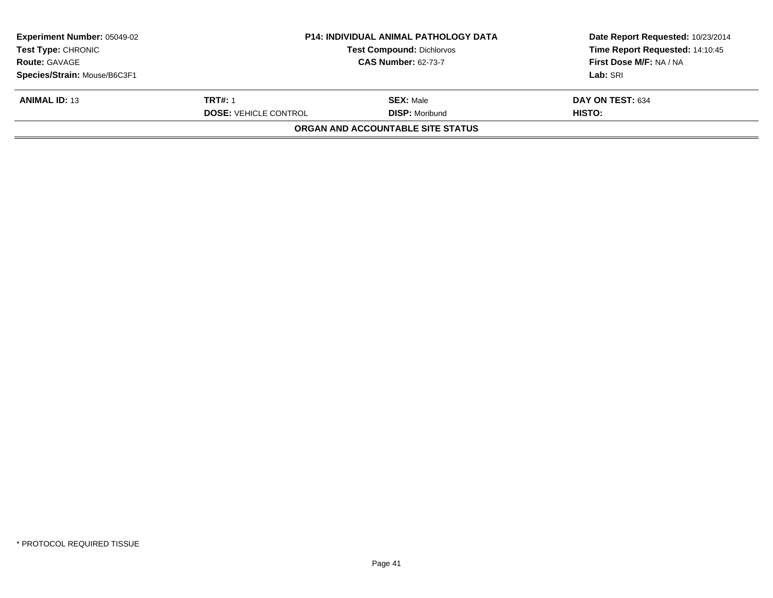| <b>Experiment Number: 05049-02</b><br><b>Test Type: CHRONIC</b> | <b>P14: INDIVIDUAL ANIMAL PATHOLOGY DATA</b><br><b>Test Compound: Dichlorvos</b> |                                          | Date Report Requested: 10/23/2014<br>Time Report Requested: 14:10:45 |
|-----------------------------------------------------------------|----------------------------------------------------------------------------------|------------------------------------------|----------------------------------------------------------------------|
| <b>Route: GAVAGE</b>                                            |                                                                                  | <b>CAS Number: 62-73-7</b>               | First Dose M/F: NA / NA                                              |
| Species/Strain: Mouse/B6C3F1                                    |                                                                                  |                                          | Lab: SRI                                                             |
| <b>ANIMAL ID: 13</b>                                            | <b>TRT#: 1</b>                                                                   | <b>SEX: Male</b>                         | <b>DAY ON TEST: 634</b>                                              |
|                                                                 | <b>DOSE: VEHICLE CONTROL</b>                                                     | <b>DISP: Moribund</b>                    | HISTO:                                                               |
|                                                                 |                                                                                  | <b>ORGAN AND ACCOUNTABLE SITE STATUS</b> |                                                                      |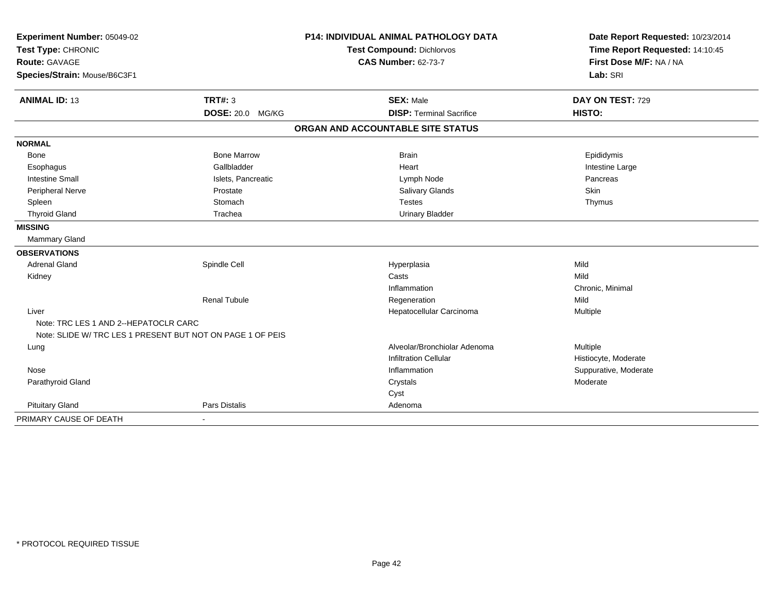| Experiment Number: 05049-02<br>Test Type: CHRONIC          |                         | <b>P14: INDIVIDUAL ANIMAL PATHOLOGY DATA</b> | Date Report Requested: 10/23/2014<br>Time Report Requested: 14:10:45 |
|------------------------------------------------------------|-------------------------|----------------------------------------------|----------------------------------------------------------------------|
|                                                            |                         | <b>Test Compound: Dichlorvos</b>             |                                                                      |
| <b>Route: GAVAGE</b>                                       |                         | <b>CAS Number: 62-73-7</b>                   | First Dose M/F: NA / NA                                              |
| Species/Strain: Mouse/B6C3F1                               |                         |                                              | Lab: SRI                                                             |
| <b>ANIMAL ID: 13</b>                                       | <b>TRT#: 3</b>          | <b>SEX: Male</b>                             | DAY ON TEST: 729                                                     |
|                                                            | <b>DOSE: 20.0 MG/KG</b> | <b>DISP: Terminal Sacrifice</b>              | HISTO:                                                               |
|                                                            |                         | ORGAN AND ACCOUNTABLE SITE STATUS            |                                                                      |
|                                                            |                         |                                              |                                                                      |
| <b>NORMAL</b>                                              |                         |                                              |                                                                      |
| Bone                                                       | <b>Bone Marrow</b>      | <b>Brain</b>                                 | Epididymis                                                           |
| Esophagus                                                  | Gallbladder             | Heart                                        | Intestine Large                                                      |
| <b>Intestine Small</b>                                     | Islets, Pancreatic      | Lymph Node                                   | Pancreas                                                             |
| Peripheral Nerve                                           | Prostate                | Salivary Glands                              | Skin                                                                 |
| Spleen                                                     | Stomach                 | <b>Testes</b>                                | Thymus                                                               |
| <b>Thyroid Gland</b>                                       | Trachea                 | <b>Urinary Bladder</b>                       |                                                                      |
| <b>MISSING</b>                                             |                         |                                              |                                                                      |
| <b>Mammary Gland</b>                                       |                         |                                              |                                                                      |
| <b>OBSERVATIONS</b>                                        |                         |                                              |                                                                      |
| <b>Adrenal Gland</b>                                       | Spindle Cell            | Hyperplasia                                  | Mild                                                                 |
| Kidney                                                     |                         | Casts                                        | Mild                                                                 |
|                                                            |                         | Inflammation                                 | Chronic, Minimal                                                     |
|                                                            | <b>Renal Tubule</b>     | Regeneration                                 | Mild                                                                 |
| Liver                                                      |                         | Hepatocellular Carcinoma                     | Multiple                                                             |
| Note: TRC LES 1 AND 2--HEPATOCLR CARC                      |                         |                                              |                                                                      |
| Note: SLIDE W/ TRC LES 1 PRESENT BUT NOT ON PAGE 1 OF PEIS |                         |                                              |                                                                      |
| Lung                                                       |                         | Alveolar/Bronchiolar Adenoma                 | Multiple                                                             |
|                                                            |                         | <b>Infiltration Cellular</b>                 | Histiocyte, Moderate                                                 |
| Nose                                                       |                         | Inflammation                                 | Suppurative, Moderate                                                |
| Parathyroid Gland                                          |                         | Crystals                                     | Moderate                                                             |
|                                                            |                         | Cyst                                         |                                                                      |
| <b>Pituitary Gland</b>                                     | <b>Pars Distalis</b>    | Adenoma                                      |                                                                      |
| PRIMARY CAUSE OF DEATH                                     |                         |                                              |                                                                      |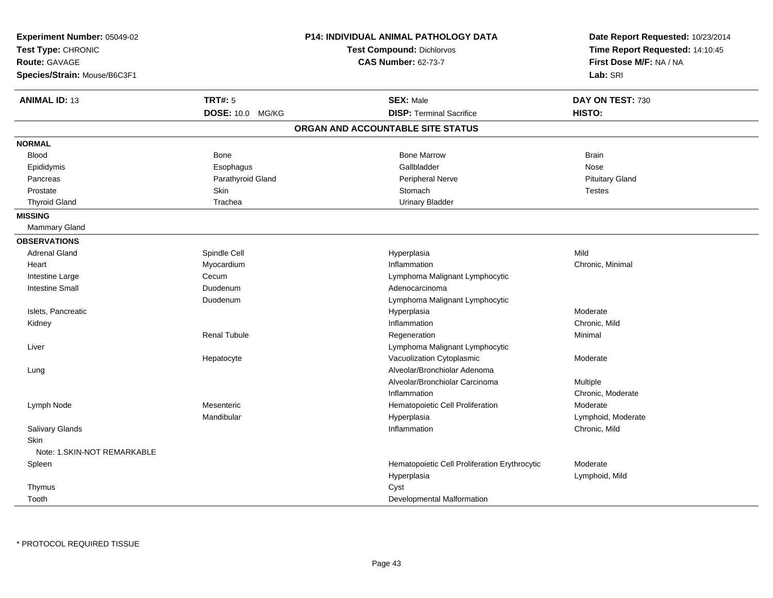| Experiment Number: 05049-02<br>Test Type: CHRONIC<br><b>Route: GAVAGE</b><br>Species/Strain: Mouse/B6C3F1 |                     | P14: INDIVIDUAL ANIMAL PATHOLOGY DATA<br><b>Test Compound: Dichlorvos</b><br><b>CAS Number: 62-73-7</b> | Date Report Requested: 10/23/2014<br>Time Report Requested: 14:10:45<br>First Dose M/F: NA / NA<br>Lab: SRI |
|-----------------------------------------------------------------------------------------------------------|---------------------|---------------------------------------------------------------------------------------------------------|-------------------------------------------------------------------------------------------------------------|
| <b>ANIMAL ID: 13</b>                                                                                      | <b>TRT#: 5</b>      | <b>SEX: Male</b>                                                                                        | DAY ON TEST: 730                                                                                            |
|                                                                                                           | DOSE: 10.0 MG/KG    | <b>DISP: Terminal Sacrifice</b>                                                                         | HISTO:                                                                                                      |
|                                                                                                           |                     | ORGAN AND ACCOUNTABLE SITE STATUS                                                                       |                                                                                                             |
| <b>NORMAL</b>                                                                                             |                     |                                                                                                         |                                                                                                             |
| <b>Blood</b>                                                                                              | <b>Bone</b>         | <b>Bone Marrow</b>                                                                                      | <b>Brain</b>                                                                                                |
| Epididymis                                                                                                | Esophagus           | Gallbladder                                                                                             | Nose                                                                                                        |
| Pancreas                                                                                                  | Parathyroid Gland   | <b>Peripheral Nerve</b>                                                                                 | <b>Pituitary Gland</b>                                                                                      |
| Prostate                                                                                                  | Skin                | Stomach                                                                                                 | <b>Testes</b>                                                                                               |
| <b>Thyroid Gland</b>                                                                                      | Trachea             | <b>Urinary Bladder</b>                                                                                  |                                                                                                             |
| <b>MISSING</b>                                                                                            |                     |                                                                                                         |                                                                                                             |
| Mammary Gland                                                                                             |                     |                                                                                                         |                                                                                                             |
| <b>OBSERVATIONS</b>                                                                                       |                     |                                                                                                         |                                                                                                             |
| <b>Adrenal Gland</b>                                                                                      | Spindle Cell        | Hyperplasia                                                                                             | Mild                                                                                                        |
| Heart                                                                                                     | Myocardium          | Inflammation                                                                                            | Chronic, Minimal                                                                                            |
| Intestine Large                                                                                           | Cecum               | Lymphoma Malignant Lymphocytic                                                                          |                                                                                                             |
| <b>Intestine Small</b>                                                                                    | Duodenum            | Adenocarcinoma                                                                                          |                                                                                                             |
|                                                                                                           | Duodenum            | Lymphoma Malignant Lymphocytic                                                                          |                                                                                                             |
| Islets, Pancreatic                                                                                        |                     | Hyperplasia                                                                                             | Moderate                                                                                                    |
| Kidney                                                                                                    |                     | Inflammation                                                                                            | Chronic, Mild                                                                                               |
|                                                                                                           | <b>Renal Tubule</b> | Regeneration                                                                                            | Minimal                                                                                                     |
| Liver                                                                                                     |                     | Lymphoma Malignant Lymphocytic                                                                          |                                                                                                             |
|                                                                                                           | Hepatocyte          | Vacuolization Cytoplasmic                                                                               | Moderate                                                                                                    |
| Lung                                                                                                      |                     | Alveolar/Bronchiolar Adenoma                                                                            |                                                                                                             |
|                                                                                                           |                     | Alveolar/Bronchiolar Carcinoma                                                                          | Multiple                                                                                                    |
|                                                                                                           |                     | Inflammation                                                                                            | Chronic, Moderate                                                                                           |
| Lymph Node                                                                                                | Mesenteric          | Hematopoietic Cell Proliferation                                                                        | Moderate                                                                                                    |
|                                                                                                           | Mandibular          | Hyperplasia                                                                                             | Lymphoid, Moderate                                                                                          |
| Salivary Glands                                                                                           |                     | Inflammation                                                                                            | Chronic, Mild                                                                                               |
| Skin                                                                                                      |                     |                                                                                                         |                                                                                                             |
| Note: 1.SKIN-NOT REMARKABLE                                                                               |                     |                                                                                                         |                                                                                                             |
| Spleen                                                                                                    |                     | Hematopoietic Cell Proliferation Erythrocytic                                                           | Moderate                                                                                                    |
|                                                                                                           |                     | Hyperplasia                                                                                             | Lymphoid, Mild                                                                                              |
| Thymus                                                                                                    |                     | Cyst                                                                                                    |                                                                                                             |
| Tooth                                                                                                     |                     | Developmental Malformation                                                                              |                                                                                                             |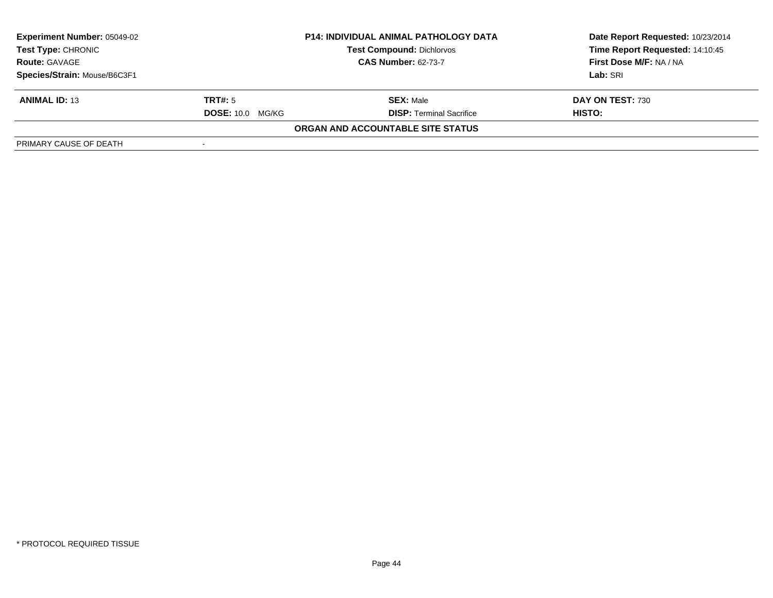| <b>Experiment Number: 05049-02</b><br><b>Test Type: CHRONIC</b> | <b>P14: INDIVIDUAL ANIMAL PATHOLOGY DATA</b><br><b>Test Compound: Dichlorvos</b> |                                   | Date Report Requested: 10/23/2014<br>Time Report Requested: 14:10:45 |
|-----------------------------------------------------------------|----------------------------------------------------------------------------------|-----------------------------------|----------------------------------------------------------------------|
| <b>Route: GAVAGE</b>                                            |                                                                                  | <b>CAS Number: 62-73-7</b>        | First Dose M/F: NA / NA                                              |
| Species/Strain: Mouse/B6C3F1                                    |                                                                                  |                                   | Lab: SRI                                                             |
| <b>ANIMAL ID: 13</b>                                            | TRT#: 5                                                                          | <b>SEX: Male</b>                  | DAY ON TEST: 730                                                     |
|                                                                 | <b>DOSE: 10.0 MG/KG</b>                                                          | <b>DISP: Terminal Sacrifice</b>   | HISTO:                                                               |
|                                                                 |                                                                                  | ORGAN AND ACCOUNTABLE SITE STATUS |                                                                      |
| PRIMARY CAUSE OF DEATH                                          |                                                                                  |                                   |                                                                      |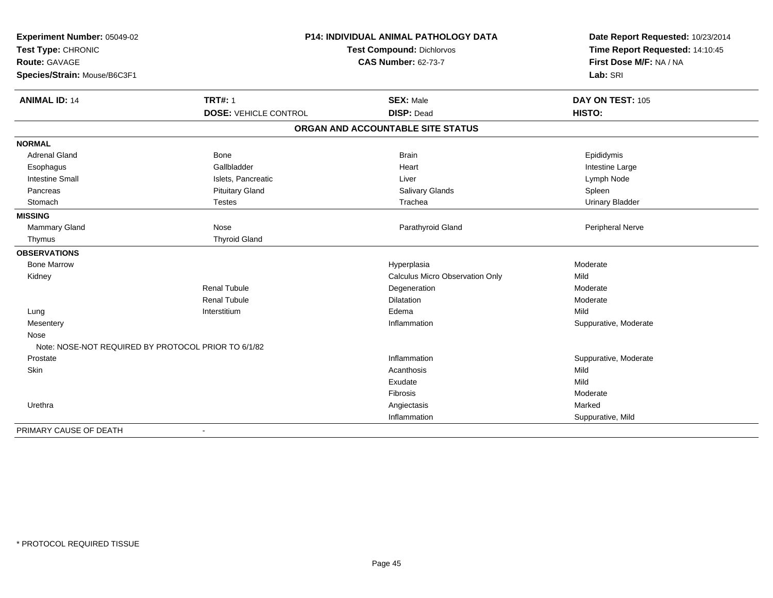| Experiment Number: 05049-02                         | P14: INDIVIDUAL ANIMAL PATHOLOGY DATA |                                   | Date Report Requested: 10/23/2014   |
|-----------------------------------------------------|---------------------------------------|-----------------------------------|-------------------------------------|
| Test Type: CHRONIC                                  |                                       | <b>Test Compound: Dichlorvos</b>  | Time Report Requested: 14:10:45     |
| <b>Route: GAVAGE</b>                                |                                       | <b>CAS Number: 62-73-7</b>        | First Dose M/F: NA / NA<br>Lab: SRI |
| Species/Strain: Mouse/B6C3F1                        |                                       |                                   |                                     |
| <b>ANIMAL ID: 14</b>                                | <b>TRT#: 1</b>                        | <b>SEX: Male</b>                  | DAY ON TEST: 105                    |
|                                                     | <b>DOSE: VEHICLE CONTROL</b>          | <b>DISP: Dead</b>                 | HISTO:                              |
|                                                     |                                       | ORGAN AND ACCOUNTABLE SITE STATUS |                                     |
| <b>NORMAL</b>                                       |                                       |                                   |                                     |
| <b>Adrenal Gland</b>                                | Bone                                  | <b>Brain</b>                      | Epididymis                          |
| Esophagus                                           | Gallbladder                           | Heart                             | Intestine Large                     |
| <b>Intestine Small</b>                              | Islets, Pancreatic                    | Liver                             | Lymph Node                          |
| Pancreas                                            | <b>Pituitary Gland</b>                | Salivary Glands                   | Spleen                              |
| Stomach                                             | <b>Testes</b>                         | Trachea                           | <b>Urinary Bladder</b>              |
| <b>MISSING</b>                                      |                                       |                                   |                                     |
| Mammary Gland                                       | Nose                                  | Parathyroid Gland                 | Peripheral Nerve                    |
| Thymus                                              | <b>Thyroid Gland</b>                  |                                   |                                     |
| <b>OBSERVATIONS</b>                                 |                                       |                                   |                                     |
| <b>Bone Marrow</b>                                  |                                       | Hyperplasia                       | Moderate                            |
| Kidney                                              |                                       | Calculus Micro Observation Only   | Mild                                |
|                                                     | <b>Renal Tubule</b>                   | Degeneration                      | Moderate                            |
|                                                     | <b>Renal Tubule</b>                   | Dilatation                        | Moderate                            |
| Lung                                                | Interstitium                          | Edema                             | Mild                                |
| Mesentery                                           |                                       | Inflammation                      | Suppurative, Moderate               |
| Nose                                                |                                       |                                   |                                     |
| Note: NOSE-NOT REQUIRED BY PROTOCOL PRIOR TO 6/1/82 |                                       |                                   |                                     |
| Prostate                                            |                                       | Inflammation                      | Suppurative, Moderate               |
| Skin                                                |                                       | Acanthosis                        | Mild                                |
|                                                     |                                       | Exudate                           | Mild                                |
|                                                     |                                       | Fibrosis                          | Moderate                            |
| Urethra                                             |                                       | Angiectasis                       | Marked                              |
|                                                     |                                       | Inflammation                      | Suppurative, Mild                   |
| PRIMARY CAUSE OF DEATH                              | $\blacksquare$                        |                                   |                                     |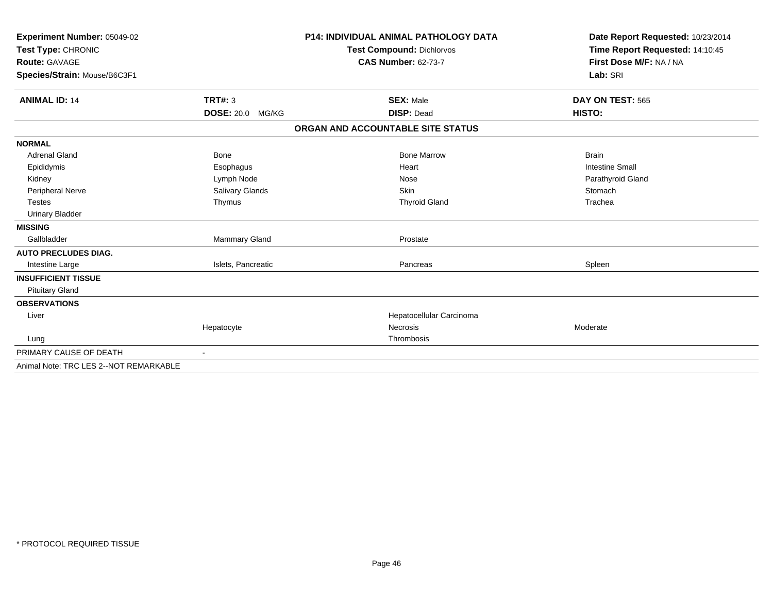| Experiment Number: 05049-02<br>Test Type: CHRONIC |                         | <b>P14: INDIVIDUAL ANIMAL PATHOLOGY DATA</b> | Date Report Requested: 10/23/2014<br>Time Report Requested: 14:10:45 |
|---------------------------------------------------|-------------------------|----------------------------------------------|----------------------------------------------------------------------|
|                                                   |                         | <b>Test Compound: Dichlorvos</b>             |                                                                      |
| <b>Route: GAVAGE</b>                              |                         | <b>CAS Number: 62-73-7</b>                   | First Dose M/F: NA / NA                                              |
| Species/Strain: Mouse/B6C3F1                      |                         |                                              | Lab: SRI                                                             |
| <b>ANIMAL ID: 14</b>                              | TRT#: 3                 | <b>SEX: Male</b>                             | DAY ON TEST: 565                                                     |
|                                                   | <b>DOSE: 20.0 MG/KG</b> | <b>DISP: Dead</b>                            | HISTO:                                                               |
|                                                   |                         | ORGAN AND ACCOUNTABLE SITE STATUS            |                                                                      |
| <b>NORMAL</b>                                     |                         |                                              |                                                                      |
| <b>Adrenal Gland</b>                              | Bone                    | <b>Bone Marrow</b>                           | <b>Brain</b>                                                         |
| Epididymis                                        | Esophagus               | Heart                                        | <b>Intestine Small</b>                                               |
| Kidney                                            | Lymph Node              | Nose                                         | Parathyroid Gland                                                    |
| <b>Peripheral Nerve</b>                           | Salivary Glands         | <b>Skin</b>                                  | Stomach                                                              |
| <b>Testes</b>                                     | Thymus                  | <b>Thyroid Gland</b>                         | Trachea                                                              |
| <b>Urinary Bladder</b>                            |                         |                                              |                                                                      |
| <b>MISSING</b>                                    |                         |                                              |                                                                      |
| Gallbladder                                       | Mammary Gland           | Prostate                                     |                                                                      |
| <b>AUTO PRECLUDES DIAG.</b>                       |                         |                                              |                                                                      |
| Intestine Large                                   | Islets, Pancreatic      | Pancreas                                     | Spleen                                                               |
| <b>INSUFFICIENT TISSUE</b>                        |                         |                                              |                                                                      |
| <b>Pituitary Gland</b>                            |                         |                                              |                                                                      |
| <b>OBSERVATIONS</b>                               |                         |                                              |                                                                      |
| Liver                                             |                         | Hepatocellular Carcinoma                     |                                                                      |
|                                                   | Hepatocyte              | <b>Necrosis</b>                              | Moderate                                                             |
| Lung                                              |                         | Thrombosis                                   |                                                                      |
| PRIMARY CAUSE OF DEATH                            |                         |                                              |                                                                      |
| Animal Note: TRC LES 2--NOT REMARKABLE            |                         |                                              |                                                                      |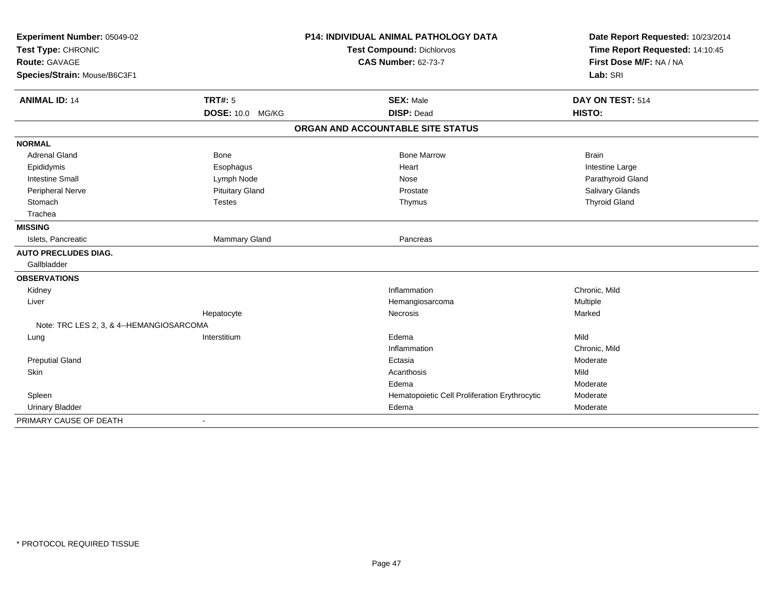| Experiment Number: 05049-02<br>Test Type: CHRONIC<br><b>Route: GAVAGE</b> |                          | <b>P14: INDIVIDUAL ANIMAL PATHOLOGY DATA</b>  | Date Report Requested: 10/23/2014<br>Time Report Requested: 14:10:45<br>First Dose M/F: NA / NA |
|---------------------------------------------------------------------------|--------------------------|-----------------------------------------------|-------------------------------------------------------------------------------------------------|
|                                                                           |                          | <b>Test Compound: Dichlorvos</b>              |                                                                                                 |
|                                                                           |                          | <b>CAS Number: 62-73-7</b>                    |                                                                                                 |
| Species/Strain: Mouse/B6C3F1                                              |                          |                                               | Lab: SRI                                                                                        |
| <b>ANIMAL ID: 14</b>                                                      | <b>TRT#: 5</b>           | <b>SEX: Male</b>                              | DAY ON TEST: 514                                                                                |
|                                                                           | <b>DOSE: 10.0 MG/KG</b>  | <b>DISP: Dead</b>                             | HISTO:                                                                                          |
|                                                                           |                          | ORGAN AND ACCOUNTABLE SITE STATUS             |                                                                                                 |
| <b>NORMAL</b>                                                             |                          |                                               |                                                                                                 |
| <b>Adrenal Gland</b>                                                      | <b>Bone</b>              | <b>Bone Marrow</b>                            | <b>Brain</b>                                                                                    |
| Epididymis                                                                | Esophagus                | Heart                                         | Intestine Large                                                                                 |
| <b>Intestine Small</b>                                                    | Lymph Node               | Nose                                          | Parathyroid Gland                                                                               |
| Peripheral Nerve                                                          | <b>Pituitary Gland</b>   | Prostate                                      | Salivary Glands                                                                                 |
| Stomach                                                                   | <b>Testes</b>            | Thymus                                        | <b>Thyroid Gland</b>                                                                            |
| Trachea                                                                   |                          |                                               |                                                                                                 |
| <b>MISSING</b>                                                            |                          |                                               |                                                                                                 |
| Islets, Pancreatic                                                        | Mammary Gland            | Pancreas                                      |                                                                                                 |
| <b>AUTO PRECLUDES DIAG.</b>                                               |                          |                                               |                                                                                                 |
| Gallbladder                                                               |                          |                                               |                                                                                                 |
| <b>OBSERVATIONS</b>                                                       |                          |                                               |                                                                                                 |
| Kidney                                                                    |                          | Inflammation                                  | Chronic, Mild                                                                                   |
| Liver                                                                     |                          | Hemangiosarcoma                               | Multiple                                                                                        |
|                                                                           | Hepatocyte               | Necrosis                                      | Marked                                                                                          |
| Note: TRC LES 2, 3, & 4--HEMANGIOSARCOMA                                  |                          |                                               |                                                                                                 |
| Lung                                                                      | Interstitium             | Edema                                         | Mild                                                                                            |
|                                                                           |                          | Inflammation                                  | Chronic, Mild                                                                                   |
| <b>Preputial Gland</b>                                                    |                          | Ectasia                                       | Moderate                                                                                        |
| Skin                                                                      |                          | Acanthosis                                    | Mild                                                                                            |
|                                                                           |                          | Edema                                         | Moderate                                                                                        |
| Spleen                                                                    |                          | Hematopoietic Cell Proliferation Erythrocytic | Moderate                                                                                        |
| <b>Urinary Bladder</b>                                                    |                          | Edema                                         | Moderate                                                                                        |
| PRIMARY CAUSE OF DEATH                                                    | $\overline{\phantom{a}}$ |                                               |                                                                                                 |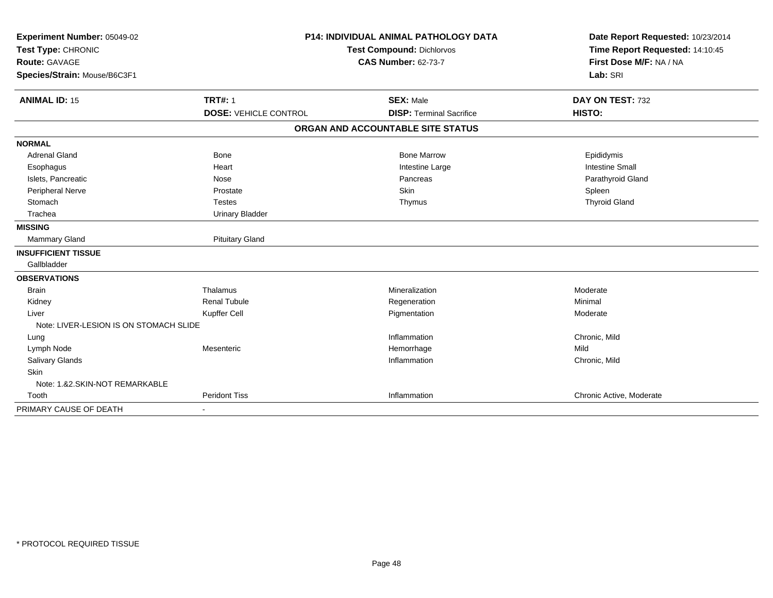| Experiment Number: 05049-02            | <b>P14: INDIVIDUAL ANIMAL PATHOLOGY DATA</b> |                                   | Date Report Requested: 10/23/2014 |
|----------------------------------------|----------------------------------------------|-----------------------------------|-----------------------------------|
| Test Type: CHRONIC                     |                                              | <b>Test Compound: Dichlorvos</b>  | Time Report Requested: 14:10:45   |
| <b>Route: GAVAGE</b>                   |                                              | <b>CAS Number: 62-73-7</b>        | First Dose M/F: NA / NA           |
| Species/Strain: Mouse/B6C3F1           |                                              |                                   | Lab: SRI                          |
| <b>ANIMAL ID: 15</b>                   | <b>TRT#: 1</b>                               | <b>SEX: Male</b>                  | DAY ON TEST: 732                  |
|                                        | <b>DOSE: VEHICLE CONTROL</b>                 | <b>DISP: Terminal Sacrifice</b>   | HISTO:                            |
|                                        |                                              | ORGAN AND ACCOUNTABLE SITE STATUS |                                   |
| <b>NORMAL</b>                          |                                              |                                   |                                   |
| <b>Adrenal Gland</b>                   | <b>Bone</b>                                  | <b>Bone Marrow</b>                | Epididymis                        |
| Esophagus                              | Heart                                        | Intestine Large                   | <b>Intestine Small</b>            |
| Islets, Pancreatic                     | Nose                                         | Pancreas                          | Parathyroid Gland                 |
| Peripheral Nerve                       | Prostate                                     | Skin                              | Spleen                            |
| Stomach                                | <b>Testes</b>                                | Thymus                            | <b>Thyroid Gland</b>              |
| Trachea                                | <b>Urinary Bladder</b>                       |                                   |                                   |
| <b>MISSING</b>                         |                                              |                                   |                                   |
| Mammary Gland                          | <b>Pituitary Gland</b>                       |                                   |                                   |
| <b>INSUFFICIENT TISSUE</b>             |                                              |                                   |                                   |
| Gallbladder                            |                                              |                                   |                                   |
| <b>OBSERVATIONS</b>                    |                                              |                                   |                                   |
| <b>Brain</b>                           | Thalamus                                     | Mineralization                    | Moderate                          |
| Kidney                                 | <b>Renal Tubule</b>                          | Regeneration                      | Minimal                           |
| Liver                                  | Kupffer Cell                                 | Pigmentation                      | Moderate                          |
| Note: LIVER-LESION IS ON STOMACH SLIDE |                                              |                                   |                                   |
| Lung                                   |                                              | Inflammation                      | Chronic, Mild                     |
| Lymph Node                             | Mesenteric                                   | Hemorrhage                        | Mild                              |
| Salivary Glands                        |                                              | Inflammation                      | Chronic, Mild                     |
| Skin                                   |                                              |                                   |                                   |
| Note: 1.&2.SKIN-NOT REMARKABLE         |                                              |                                   |                                   |
| Tooth                                  | <b>Peridont Tiss</b>                         | Inflammation                      | Chronic Active, Moderate          |
| PRIMARY CAUSE OF DEATH                 |                                              |                                   |                                   |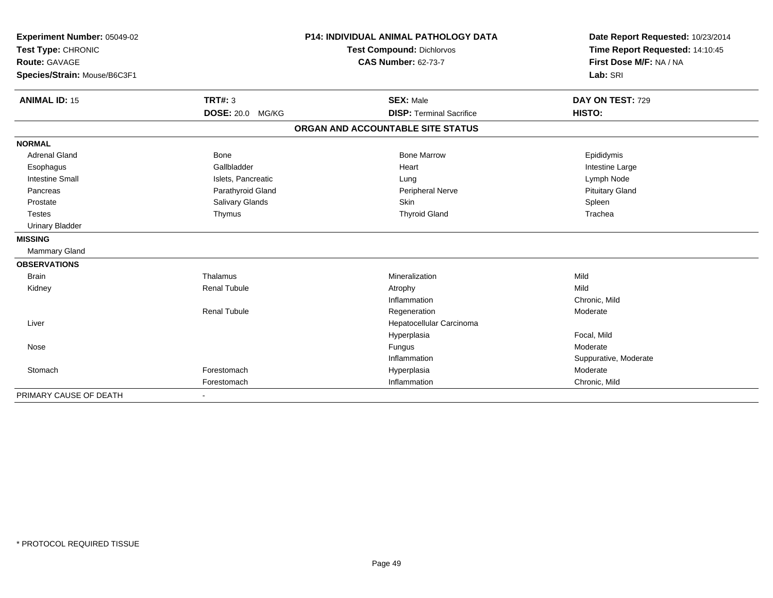| Experiment Number: 05049-02         |                         | <b>P14: INDIVIDUAL ANIMAL PATHOLOGY DATA</b> | Date Report Requested: 10/23/2014                          |
|-------------------------------------|-------------------------|----------------------------------------------|------------------------------------------------------------|
| Test Type: CHRONIC<br>Route: GAVAGE |                         | <b>Test Compound: Dichlorvos</b>             | Time Report Requested: 14:10:45<br>First Dose M/F: NA / NA |
|                                     |                         | <b>CAS Number: 62-73-7</b>                   |                                                            |
| Species/Strain: Mouse/B6C3F1        |                         |                                              | Lab: SRI                                                   |
|                                     |                         |                                              |                                                            |
| <b>ANIMAL ID: 15</b>                | <b>TRT#: 3</b>          | <b>SEX: Male</b>                             | DAY ON TEST: 729                                           |
|                                     | <b>DOSE: 20.0 MG/KG</b> | <b>DISP: Terminal Sacrifice</b>              | HISTO:                                                     |
|                                     |                         | ORGAN AND ACCOUNTABLE SITE STATUS            |                                                            |
| <b>NORMAL</b>                       |                         |                                              |                                                            |
| <b>Adrenal Gland</b>                | Bone                    | <b>Bone Marrow</b>                           | Epididymis                                                 |
| Esophagus                           | Gallbladder             | Heart                                        | Intestine Large                                            |
| <b>Intestine Small</b>              | Islets, Pancreatic      | Lung                                         | Lymph Node                                                 |
| Pancreas                            | Parathyroid Gland       | <b>Peripheral Nerve</b>                      | <b>Pituitary Gland</b>                                     |
| Prostate                            | Salivary Glands         | <b>Skin</b>                                  | Spleen                                                     |
| <b>Testes</b>                       | Thymus                  | <b>Thyroid Gland</b>                         | Trachea                                                    |
| <b>Urinary Bladder</b>              |                         |                                              |                                                            |
| <b>MISSING</b>                      |                         |                                              |                                                            |
| Mammary Gland                       |                         |                                              |                                                            |
| <b>OBSERVATIONS</b>                 |                         |                                              |                                                            |
| <b>Brain</b>                        | Thalamus                | Mineralization                               | Mild                                                       |
| Kidney                              | <b>Renal Tubule</b>     | Atrophy                                      | Mild                                                       |
|                                     |                         | Inflammation                                 | Chronic, Mild                                              |
|                                     | <b>Renal Tubule</b>     | Regeneration                                 | Moderate                                                   |
| Liver                               |                         | Hepatocellular Carcinoma                     |                                                            |
|                                     |                         | Hyperplasia                                  | Focal, Mild                                                |
| Nose                                |                         | Fungus                                       | Moderate                                                   |
|                                     |                         | Inflammation                                 | Suppurative, Moderate                                      |
| Stomach                             | Forestomach             | Hyperplasia                                  | Moderate                                                   |
|                                     | Forestomach             | Inflammation                                 | Chronic, Mild                                              |
| PRIMARY CAUSE OF DEATH              |                         |                                              |                                                            |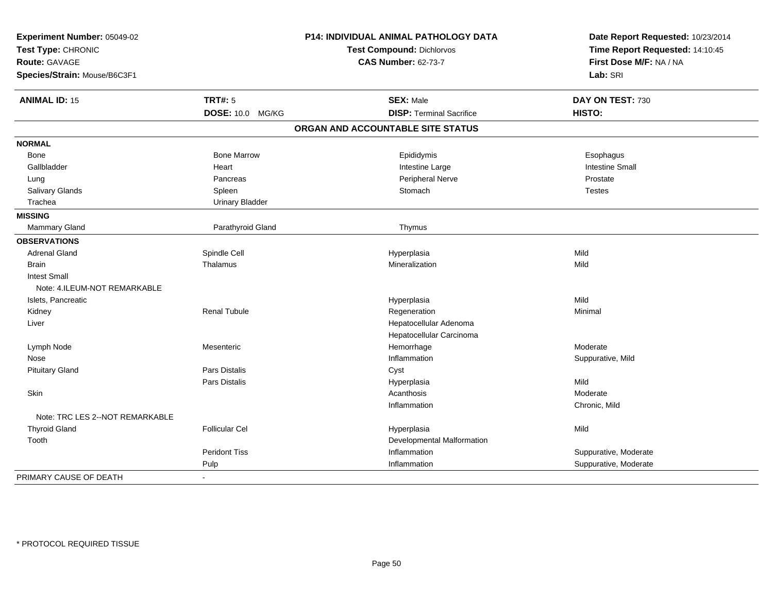| Experiment Number: 05049-02<br>Test Type: CHRONIC<br><b>Route: GAVAGE</b> |                         | P14: INDIVIDUAL ANIMAL PATHOLOGY DATA<br>Test Compound: Dichlorvos | Date Report Requested: 10/23/2014<br>Time Report Requested: 14:10:45<br>First Dose M/F: NA / NA |
|---------------------------------------------------------------------------|-------------------------|--------------------------------------------------------------------|-------------------------------------------------------------------------------------------------|
|                                                                           |                         | <b>CAS Number: 62-73-7</b>                                         |                                                                                                 |
| Species/Strain: Mouse/B6C3F1                                              |                         |                                                                    | Lab: SRI                                                                                        |
| <b>ANIMAL ID: 15</b>                                                      | <b>TRT#: 5</b>          | <b>SEX: Male</b>                                                   | DAY ON TEST: 730                                                                                |
|                                                                           | <b>DOSE: 10.0 MG/KG</b> | <b>DISP: Terminal Sacrifice</b>                                    | HISTO:                                                                                          |
|                                                                           |                         | ORGAN AND ACCOUNTABLE SITE STATUS                                  |                                                                                                 |
| <b>NORMAL</b>                                                             |                         |                                                                    |                                                                                                 |
| Bone                                                                      | <b>Bone Marrow</b>      | Epididymis                                                         | Esophagus                                                                                       |
| Gallbladder                                                               | Heart                   | Intestine Large                                                    | <b>Intestine Small</b>                                                                          |
| Lung                                                                      | Pancreas                | Peripheral Nerve                                                   | Prostate                                                                                        |
| Salivary Glands                                                           | Spleen                  | Stomach                                                            | <b>Testes</b>                                                                                   |
| Trachea                                                                   | <b>Urinary Bladder</b>  |                                                                    |                                                                                                 |
| <b>MISSING</b>                                                            |                         |                                                                    |                                                                                                 |
| Mammary Gland                                                             | Parathyroid Gland       | Thymus                                                             |                                                                                                 |
| <b>OBSERVATIONS</b>                                                       |                         |                                                                    |                                                                                                 |
| <b>Adrenal Gland</b>                                                      | Spindle Cell            | Hyperplasia                                                        | Mild                                                                                            |
| <b>Brain</b>                                                              | Thalamus                | Mineralization                                                     | Mild                                                                                            |
| <b>Intest Small</b>                                                       |                         |                                                                    |                                                                                                 |
| Note: 4.ILEUM-NOT REMARKABLE                                              |                         |                                                                    |                                                                                                 |
| Islets, Pancreatic                                                        |                         | Hyperplasia                                                        | Mild                                                                                            |
| Kidney                                                                    | <b>Renal Tubule</b>     | Regeneration                                                       | Minimal                                                                                         |
| Liver                                                                     |                         | Hepatocellular Adenoma                                             |                                                                                                 |
|                                                                           |                         | Hepatocellular Carcinoma                                           |                                                                                                 |
| Lymph Node                                                                | Mesenteric              | Hemorrhage                                                         | Moderate                                                                                        |
| Nose                                                                      |                         | Inflammation                                                       | Suppurative, Mild                                                                               |
| <b>Pituitary Gland</b>                                                    | <b>Pars Distalis</b>    | Cyst                                                               |                                                                                                 |
|                                                                           | Pars Distalis           | Hyperplasia                                                        | Mild                                                                                            |
| Skin                                                                      |                         | Acanthosis                                                         | Moderate                                                                                        |
|                                                                           |                         | Inflammation                                                       | Chronic, Mild                                                                                   |
| Note: TRC LES 2--NOT REMARKABLE                                           |                         |                                                                    |                                                                                                 |
| <b>Thyroid Gland</b>                                                      | <b>Follicular Cel</b>   | Hyperplasia                                                        | Mild                                                                                            |
| Tooth                                                                     |                         | Developmental Malformation                                         |                                                                                                 |
|                                                                           | <b>Peridont Tiss</b>    | Inflammation                                                       | Suppurative, Moderate                                                                           |
|                                                                           | Pulp                    | Inflammation                                                       | Suppurative, Moderate                                                                           |
| PRIMARY CAUSE OF DEATH                                                    | $\blacksquare$          |                                                                    |                                                                                                 |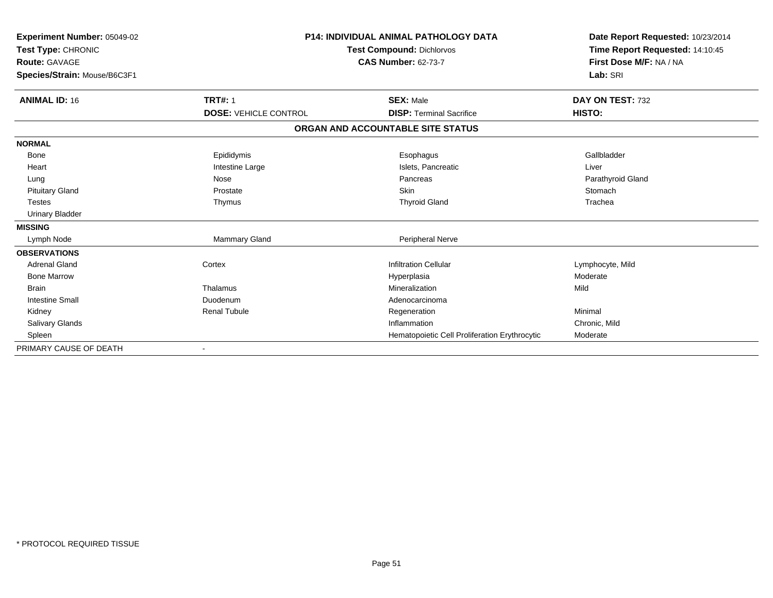| <b>Experiment Number: 05049-02</b><br>Test Type: CHRONIC<br><b>Route: GAVAGE</b><br>Species/Strain: Mouse/B6C3F1 |                              | <b>P14: INDIVIDUAL ANIMAL PATHOLOGY DATA</b><br>Test Compound: Dichlorvos<br><b>CAS Number: 62-73-7</b> |                   |
|------------------------------------------------------------------------------------------------------------------|------------------------------|---------------------------------------------------------------------------------------------------------|-------------------|
| <b>ANIMAL ID: 16</b>                                                                                             | <b>TRT#: 1</b>               | <b>SEX: Male</b>                                                                                        | DAY ON TEST: 732  |
|                                                                                                                  | <b>DOSE: VEHICLE CONTROL</b> | <b>DISP: Terminal Sacrifice</b>                                                                         | HISTO:            |
|                                                                                                                  |                              | ORGAN AND ACCOUNTABLE SITE STATUS                                                                       |                   |
| <b>NORMAL</b>                                                                                                    |                              |                                                                                                         |                   |
| Bone                                                                                                             | Epididymis                   | Esophagus                                                                                               | Gallbladder       |
| Heart                                                                                                            | Intestine Large              | Islets, Pancreatic                                                                                      | Liver             |
| Lung                                                                                                             | Nose                         | Pancreas                                                                                                | Parathyroid Gland |
| <b>Pituitary Gland</b>                                                                                           | Prostate                     | Skin                                                                                                    | Stomach           |
| <b>Testes</b>                                                                                                    | Thymus                       | <b>Thyroid Gland</b>                                                                                    | Trachea           |
| <b>Urinary Bladder</b>                                                                                           |                              |                                                                                                         |                   |
| <b>MISSING</b>                                                                                                   |                              |                                                                                                         |                   |
| Lymph Node                                                                                                       | <b>Mammary Gland</b>         | Peripheral Nerve                                                                                        |                   |
| <b>OBSERVATIONS</b>                                                                                              |                              |                                                                                                         |                   |
| <b>Adrenal Gland</b>                                                                                             | Cortex                       | <b>Infiltration Cellular</b>                                                                            | Lymphocyte, Mild  |
| <b>Bone Marrow</b>                                                                                               |                              | Hyperplasia                                                                                             | Moderate          |
| <b>Brain</b>                                                                                                     | Thalamus                     | Mineralization                                                                                          | Mild              |
| <b>Intestine Small</b>                                                                                           | Duodenum                     | Adenocarcinoma                                                                                          |                   |
| Kidney                                                                                                           | <b>Renal Tubule</b>          | Regeneration                                                                                            | Minimal           |
| <b>Salivary Glands</b>                                                                                           |                              | Inflammation                                                                                            | Chronic, Mild     |
| Spleen                                                                                                           |                              | Hematopoietic Cell Proliferation Erythrocytic                                                           | Moderate          |
| PRIMARY CAUSE OF DEATH                                                                                           |                              |                                                                                                         |                   |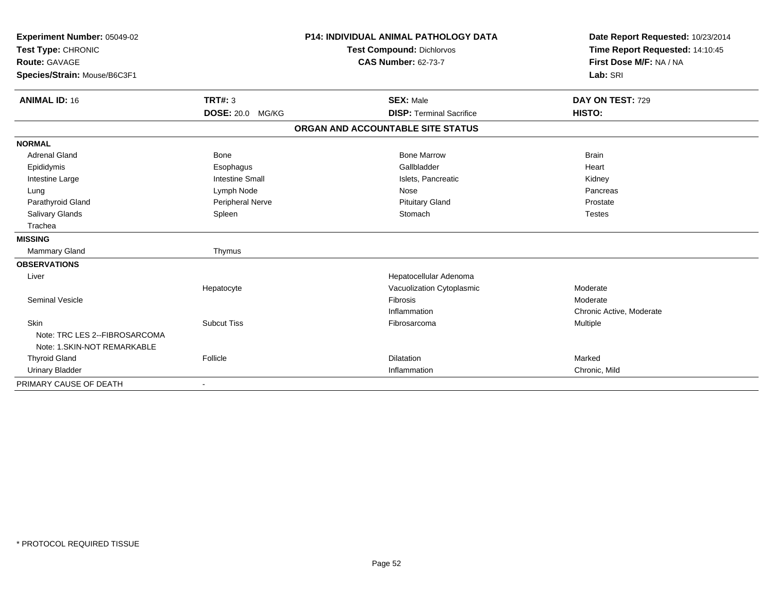| Experiment Number: 05049-02<br>Test Type: CHRONIC<br><b>Route: GAVAGE</b><br>Species/Strain: Mouse/B6C3F1 |                        | <b>P14: INDIVIDUAL ANIMAL PATHOLOGY DATA</b><br><b>Test Compound: Dichlorvos</b><br><b>CAS Number: 62-73-7</b> | Date Report Requested: 10/23/2014<br>Time Report Requested: 14:10:45<br>First Dose M/F: NA / NA<br>Lab: SRI |
|-----------------------------------------------------------------------------------------------------------|------------------------|----------------------------------------------------------------------------------------------------------------|-------------------------------------------------------------------------------------------------------------|
| <b>ANIMAL ID: 16</b>                                                                                      | TRT#: 3                | <b>SEX: Male</b>                                                                                               | DAY ON TEST: 729                                                                                            |
|                                                                                                           | DOSE: 20.0 MG/KG       | <b>DISP: Terminal Sacrifice</b>                                                                                | HISTO:                                                                                                      |
|                                                                                                           |                        | ORGAN AND ACCOUNTABLE SITE STATUS                                                                              |                                                                                                             |
| <b>NORMAL</b>                                                                                             |                        |                                                                                                                |                                                                                                             |
| <b>Adrenal Gland</b>                                                                                      | <b>Bone</b>            | <b>Bone Marrow</b>                                                                                             | <b>Brain</b>                                                                                                |
| Epididymis                                                                                                | Esophagus              | Gallbladder                                                                                                    | Heart                                                                                                       |
| Intestine Large                                                                                           | <b>Intestine Small</b> | Islets, Pancreatic                                                                                             | Kidney                                                                                                      |
| Lung                                                                                                      | Lymph Node             | Nose                                                                                                           | Pancreas                                                                                                    |
| Parathyroid Gland                                                                                         | Peripheral Nerve       | <b>Pituitary Gland</b>                                                                                         | Prostate                                                                                                    |
| Salivary Glands                                                                                           | Spleen                 | Stomach                                                                                                        | <b>Testes</b>                                                                                               |
| Trachea                                                                                                   |                        |                                                                                                                |                                                                                                             |
| <b>MISSING</b>                                                                                            |                        |                                                                                                                |                                                                                                             |
| <b>Mammary Gland</b>                                                                                      | Thymus                 |                                                                                                                |                                                                                                             |
| <b>OBSERVATIONS</b>                                                                                       |                        |                                                                                                                |                                                                                                             |
| Liver                                                                                                     |                        | Hepatocellular Adenoma                                                                                         |                                                                                                             |
|                                                                                                           | Hepatocyte             | Vacuolization Cytoplasmic                                                                                      | Moderate                                                                                                    |
| <b>Seminal Vesicle</b>                                                                                    |                        | Fibrosis                                                                                                       | Moderate                                                                                                    |
|                                                                                                           |                        | Inflammation                                                                                                   | Chronic Active, Moderate                                                                                    |
| Skin                                                                                                      | <b>Subcut Tiss</b>     | Fibrosarcoma                                                                                                   | Multiple                                                                                                    |
| Note: TRC LES 2--FIBROSARCOMA                                                                             |                        |                                                                                                                |                                                                                                             |
| Note: 1.SKIN-NOT REMARKABLE                                                                               |                        |                                                                                                                |                                                                                                             |
| <b>Thyroid Gland</b>                                                                                      | Follicle               | <b>Dilatation</b>                                                                                              | Marked                                                                                                      |
| <b>Urinary Bladder</b>                                                                                    |                        | Inflammation                                                                                                   | Chronic, Mild                                                                                               |
| PRIMARY CAUSE OF DEATH                                                                                    |                        |                                                                                                                |                                                                                                             |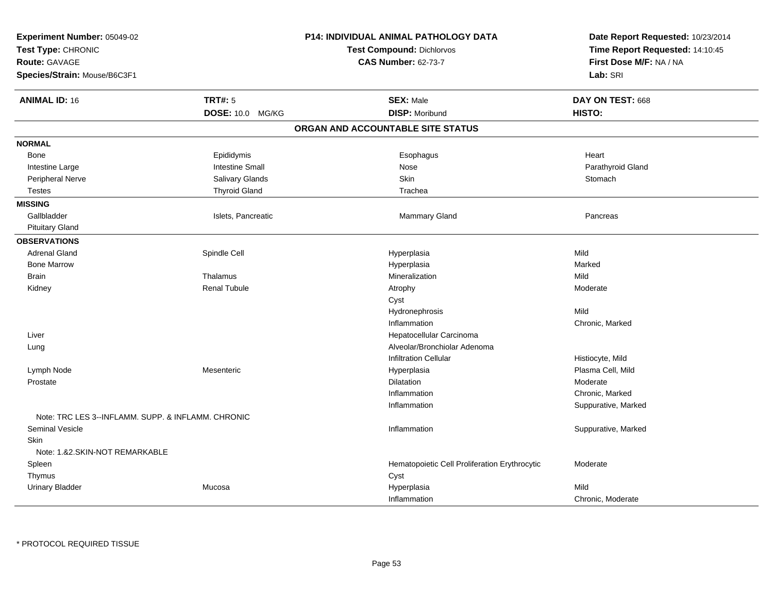| Experiment Number: 05049-02                        |                        | <b>P14: INDIVIDUAL ANIMAL PATHOLOGY DATA</b>  | Date Report Requested: 10/23/2014 |
|----------------------------------------------------|------------------------|-----------------------------------------------|-----------------------------------|
| Test Type: CHRONIC                                 |                        | <b>Test Compound: Dichlorvos</b>              | Time Report Requested: 14:10:45   |
| <b>Route: GAVAGE</b>                               |                        | <b>CAS Number: 62-73-7</b>                    | First Dose M/F: NA / NA           |
| Species/Strain: Mouse/B6C3F1                       |                        |                                               | Lab: SRI                          |
|                                                    |                        |                                               |                                   |
| <b>ANIMAL ID: 16</b>                               | <b>TRT#: 5</b>         | <b>SEX: Male</b>                              | DAY ON TEST: 668                  |
|                                                    | DOSE: 10.0 MG/KG       | <b>DISP: Moribund</b>                         | HISTO:                            |
|                                                    |                        | ORGAN AND ACCOUNTABLE SITE STATUS             |                                   |
| <b>NORMAL</b>                                      |                        |                                               |                                   |
| Bone                                               | Epididymis             | Esophagus                                     | Heart                             |
| Intestine Large                                    | <b>Intestine Small</b> | Nose                                          | Parathyroid Gland                 |
| Peripheral Nerve                                   | Salivary Glands        | <b>Skin</b>                                   | Stomach                           |
| <b>Testes</b>                                      | <b>Thyroid Gland</b>   | Trachea                                       |                                   |
| <b>MISSING</b>                                     |                        |                                               |                                   |
| Gallbladder                                        | Islets, Pancreatic     | Mammary Gland                                 | Pancreas                          |
| <b>Pituitary Gland</b>                             |                        |                                               |                                   |
| <b>OBSERVATIONS</b>                                |                        |                                               |                                   |
| <b>Adrenal Gland</b>                               | Spindle Cell           | Hyperplasia                                   | Mild                              |
| <b>Bone Marrow</b>                                 |                        | Hyperplasia                                   | Marked                            |
| <b>Brain</b>                                       | Thalamus               | Mineralization                                | Mild                              |
| Kidney                                             | <b>Renal Tubule</b>    | Atrophy                                       | Moderate                          |
|                                                    |                        | Cyst                                          |                                   |
|                                                    |                        | Hydronephrosis                                | Mild                              |
|                                                    |                        | Inflammation                                  | Chronic, Marked                   |
| Liver                                              |                        | Hepatocellular Carcinoma                      |                                   |
| Lung                                               |                        | Alveolar/Bronchiolar Adenoma                  |                                   |
|                                                    |                        | <b>Infiltration Cellular</b>                  | Histiocyte, Mild                  |
| Lymph Node                                         | Mesenteric             | Hyperplasia                                   | Plasma Cell, Mild                 |
| Prostate                                           |                        | <b>Dilatation</b>                             | Moderate                          |
|                                                    |                        | Inflammation                                  | Chronic, Marked                   |
|                                                    |                        | Inflammation                                  | Suppurative, Marked               |
| Note: TRC LES 3--INFLAMM. SUPP. & INFLAMM. CHRONIC |                        |                                               |                                   |
| <b>Seminal Vesicle</b>                             |                        | Inflammation                                  | Suppurative, Marked               |
| Skin                                               |                        |                                               |                                   |
| Note: 1.&2.SKIN-NOT REMARKABLE                     |                        |                                               |                                   |
| Spleen                                             |                        | Hematopoietic Cell Proliferation Erythrocytic | Moderate                          |
| Thymus                                             |                        | Cyst                                          |                                   |
| <b>Urinary Bladder</b>                             | Mucosa                 | Hyperplasia                                   | Mild                              |
|                                                    |                        | Inflammation                                  | Chronic, Moderate                 |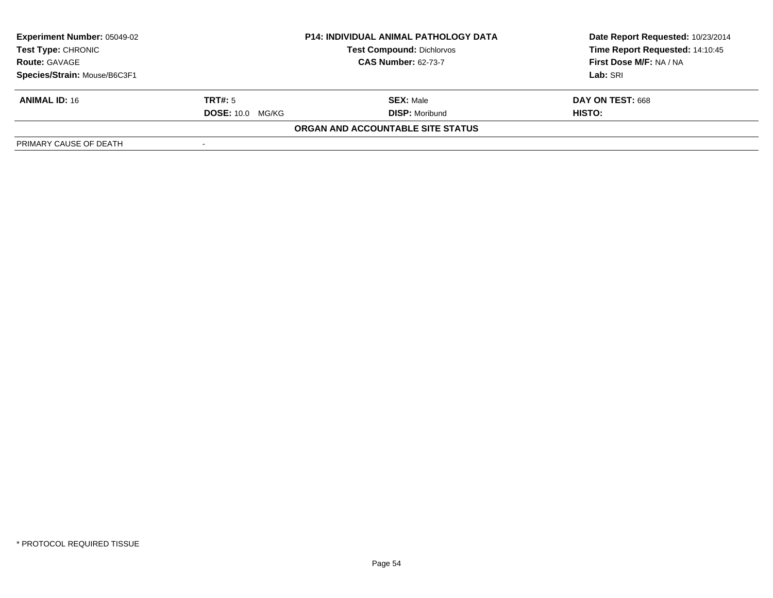| <b>Experiment Number: 05049-02</b><br>Test Type: CHRONIC | <b>P14: INDIVIDUAL ANIMAL PATHOLOGY DATA</b><br><b>Test Compound: Dichlorvos</b> |                                   | Date Report Requested: 10/23/2014<br>Time Report Requested: 14:10:45 |
|----------------------------------------------------------|----------------------------------------------------------------------------------|-----------------------------------|----------------------------------------------------------------------|
| <b>Route: GAVAGE</b>                                     |                                                                                  | <b>CAS Number: 62-73-7</b>        | First Dose M/F: NA / NA                                              |
| Species/Strain: Mouse/B6C3F1                             |                                                                                  |                                   | Lab: SRI                                                             |
| <b>ANIMAL ID: 16</b>                                     | <b>TRT#:</b> 5                                                                   | <b>SEX: Male</b>                  | DAY ON TEST: 668                                                     |
|                                                          | <b>DOSE: 10.0</b><br>MG/KG                                                       | <b>DISP: Moribund</b>             | HISTO:                                                               |
|                                                          |                                                                                  | ORGAN AND ACCOUNTABLE SITE STATUS |                                                                      |
| PRIMARY CAUSE OF DEATH                                   |                                                                                  |                                   |                                                                      |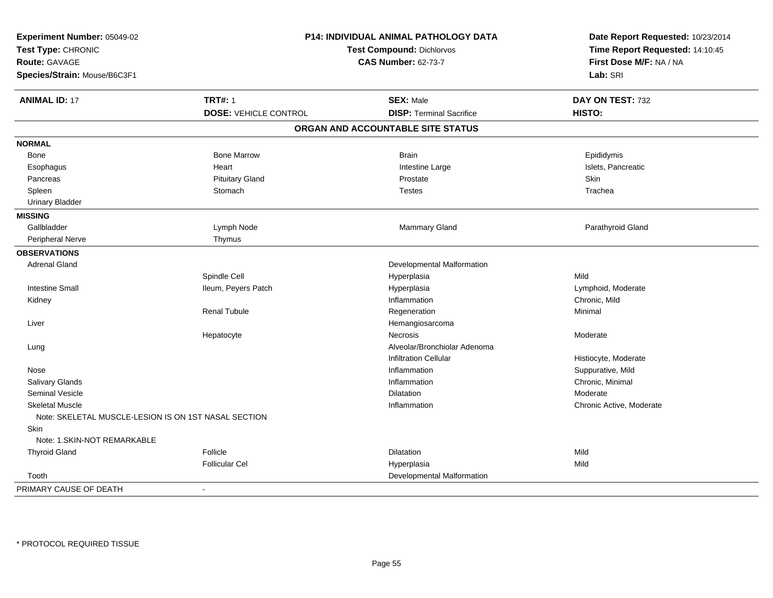| Experiment Number: 05049-02<br>Test Type: CHRONIC<br><b>Route: GAVAGE</b><br>Species/Strain: Mouse/B6C3F1 |                              | P14: INDIVIDUAL ANIMAL PATHOLOGY DATA<br><b>Test Compound: Dichlorvos</b><br><b>CAS Number: 62-73-7</b> | Date Report Requested: 10/23/2014<br>Time Report Requested: 14:10:45<br>First Dose M/F: NA / NA<br>Lab: SRI |
|-----------------------------------------------------------------------------------------------------------|------------------------------|---------------------------------------------------------------------------------------------------------|-------------------------------------------------------------------------------------------------------------|
| <b>ANIMAL ID: 17</b>                                                                                      | <b>TRT#: 1</b>               | <b>SEX: Male</b>                                                                                        | DAY ON TEST: 732                                                                                            |
|                                                                                                           | <b>DOSE: VEHICLE CONTROL</b> | <b>DISP: Terminal Sacrifice</b>                                                                         | HISTO:                                                                                                      |
|                                                                                                           |                              | ORGAN AND ACCOUNTABLE SITE STATUS                                                                       |                                                                                                             |
| <b>NORMAL</b>                                                                                             |                              |                                                                                                         |                                                                                                             |
| Bone                                                                                                      | <b>Bone Marrow</b>           | <b>Brain</b>                                                                                            | Epididymis                                                                                                  |
| Esophagus                                                                                                 | Heart                        | Intestine Large                                                                                         | Islets, Pancreatic                                                                                          |
| Pancreas                                                                                                  | <b>Pituitary Gland</b>       | Prostate                                                                                                | Skin                                                                                                        |
| Spleen                                                                                                    | Stomach                      | <b>Testes</b>                                                                                           | Trachea                                                                                                     |
| <b>Urinary Bladder</b>                                                                                    |                              |                                                                                                         |                                                                                                             |
| <b>MISSING</b>                                                                                            |                              |                                                                                                         |                                                                                                             |
| Gallbladder                                                                                               | Lymph Node                   | <b>Mammary Gland</b>                                                                                    | Parathyroid Gland                                                                                           |
| Peripheral Nerve                                                                                          | Thymus                       |                                                                                                         |                                                                                                             |
| <b>OBSERVATIONS</b>                                                                                       |                              |                                                                                                         |                                                                                                             |
| <b>Adrenal Gland</b>                                                                                      |                              | Developmental Malformation                                                                              |                                                                                                             |
|                                                                                                           | Spindle Cell                 | Hyperplasia                                                                                             | Mild                                                                                                        |
| <b>Intestine Small</b>                                                                                    | Ileum, Peyers Patch          | Hyperplasia                                                                                             | Lymphoid, Moderate                                                                                          |
| Kidney                                                                                                    |                              | Inflammation                                                                                            | Chronic, Mild                                                                                               |
|                                                                                                           | Renal Tubule                 | Regeneration                                                                                            | Minimal                                                                                                     |
| Liver                                                                                                     |                              | Hemangiosarcoma                                                                                         |                                                                                                             |
|                                                                                                           | Hepatocyte                   | Necrosis                                                                                                | Moderate                                                                                                    |
| Lung                                                                                                      |                              | Alveolar/Bronchiolar Adenoma                                                                            |                                                                                                             |
|                                                                                                           |                              | <b>Infiltration Cellular</b>                                                                            | Histiocyte, Moderate                                                                                        |
| Nose                                                                                                      |                              | Inflammation                                                                                            | Suppurative, Mild                                                                                           |
| Salivary Glands                                                                                           |                              | Inflammation                                                                                            | Chronic, Minimal                                                                                            |
| <b>Seminal Vesicle</b>                                                                                    |                              | Dilatation                                                                                              | Moderate                                                                                                    |
| <b>Skeletal Muscle</b>                                                                                    |                              | Inflammation                                                                                            | Chronic Active, Moderate                                                                                    |
| Note: SKELETAL MUSCLE-LESION IS ON 1ST NASAL SECTION                                                      |                              |                                                                                                         |                                                                                                             |
| Skin                                                                                                      |                              |                                                                                                         |                                                                                                             |
| Note: 1.SKIN-NOT REMARKABLE                                                                               |                              |                                                                                                         |                                                                                                             |
| <b>Thyroid Gland</b>                                                                                      | Follicle                     | <b>Dilatation</b>                                                                                       | Mild                                                                                                        |
|                                                                                                           | <b>Follicular Cel</b>        | Hyperplasia                                                                                             | Mild                                                                                                        |
| Tooth                                                                                                     |                              | Developmental Malformation                                                                              |                                                                                                             |
| PRIMARY CAUSE OF DEATH                                                                                    | $\blacksquare$               |                                                                                                         |                                                                                                             |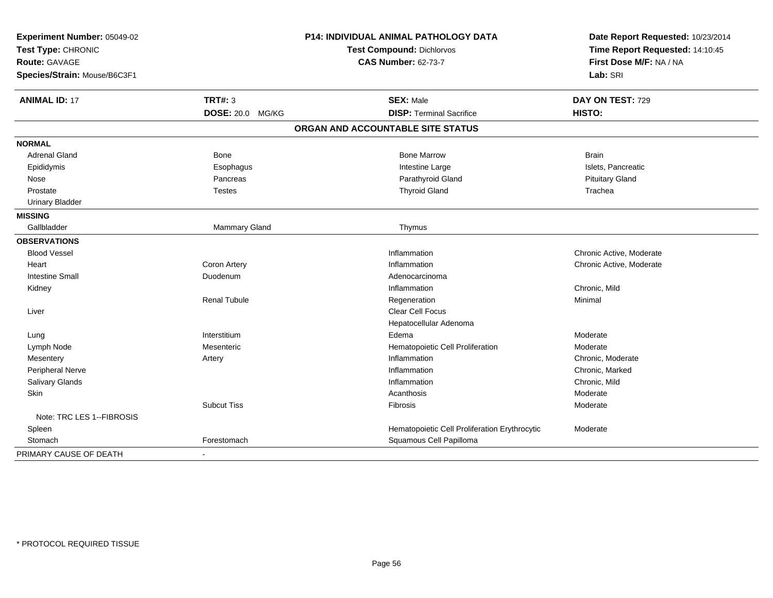| Experiment Number: 05049-02<br>Test Type: CHRONIC<br>Route: GAVAGE |                         | P14: INDIVIDUAL ANIMAL PATHOLOGY DATA         | Date Report Requested: 10/23/2014 |
|--------------------------------------------------------------------|-------------------------|-----------------------------------------------|-----------------------------------|
|                                                                    |                         | <b>Test Compound: Dichlorvos</b>              | Time Report Requested: 14:10:45   |
|                                                                    |                         | <b>CAS Number: 62-73-7</b>                    | First Dose M/F: NA / NA           |
| Species/Strain: Mouse/B6C3F1                                       |                         |                                               | Lab: SRI                          |
| <b>ANIMAL ID: 17</b>                                               | <b>TRT#: 3</b>          | <b>SEX: Male</b>                              | DAY ON TEST: 729                  |
|                                                                    | <b>DOSE: 20.0 MG/KG</b> | <b>DISP: Terminal Sacrifice</b>               | HISTO:                            |
|                                                                    |                         | ORGAN AND ACCOUNTABLE SITE STATUS             |                                   |
| <b>NORMAL</b>                                                      |                         |                                               |                                   |
| <b>Adrenal Gland</b>                                               | Bone                    | <b>Bone Marrow</b>                            | <b>Brain</b>                      |
| Epididymis                                                         | Esophagus               | Intestine Large                               | Islets, Pancreatic                |
| Nose                                                               | Pancreas                | Parathyroid Gland                             | <b>Pituitary Gland</b>            |
| Prostate                                                           | <b>Testes</b>           | <b>Thyroid Gland</b>                          | Trachea                           |
| <b>Urinary Bladder</b>                                             |                         |                                               |                                   |
| <b>MISSING</b>                                                     |                         |                                               |                                   |
| Gallbladder                                                        | Mammary Gland           | Thymus                                        |                                   |
| <b>OBSERVATIONS</b>                                                |                         |                                               |                                   |
| <b>Blood Vessel</b>                                                |                         | Inflammation                                  | Chronic Active, Moderate          |
| Heart                                                              | Coron Artery            | Inflammation                                  | Chronic Active, Moderate          |
| <b>Intestine Small</b>                                             | Duodenum                | Adenocarcinoma                                |                                   |
| Kidney                                                             |                         | Inflammation                                  | Chronic, Mild                     |
|                                                                    | <b>Renal Tubule</b>     | Regeneration                                  | Minimal                           |
| Liver                                                              |                         | Clear Cell Focus                              |                                   |
|                                                                    |                         | Hepatocellular Adenoma                        |                                   |
| Lung                                                               | Interstitium            | Edema                                         | Moderate                          |
| Lymph Node                                                         | Mesenteric              | Hematopoietic Cell Proliferation              | Moderate                          |
| Mesentery                                                          | Artery                  | Inflammation                                  | Chronic, Moderate                 |
| Peripheral Nerve                                                   |                         | Inflammation                                  | Chronic, Marked                   |
| Salivary Glands                                                    |                         | Inflammation                                  | Chronic, Mild                     |
| Skin                                                               |                         | Acanthosis                                    | Moderate                          |
|                                                                    | <b>Subcut Tiss</b>      | Fibrosis                                      | Moderate                          |
| Note: TRC LES 1--FIBROSIS                                          |                         |                                               |                                   |
| Spleen                                                             |                         | Hematopoietic Cell Proliferation Erythrocytic | Moderate                          |
| Stomach                                                            | Forestomach             | Squamous Cell Papilloma                       |                                   |
| PRIMARY CAUSE OF DEATH                                             | $\blacksquare$          |                                               |                                   |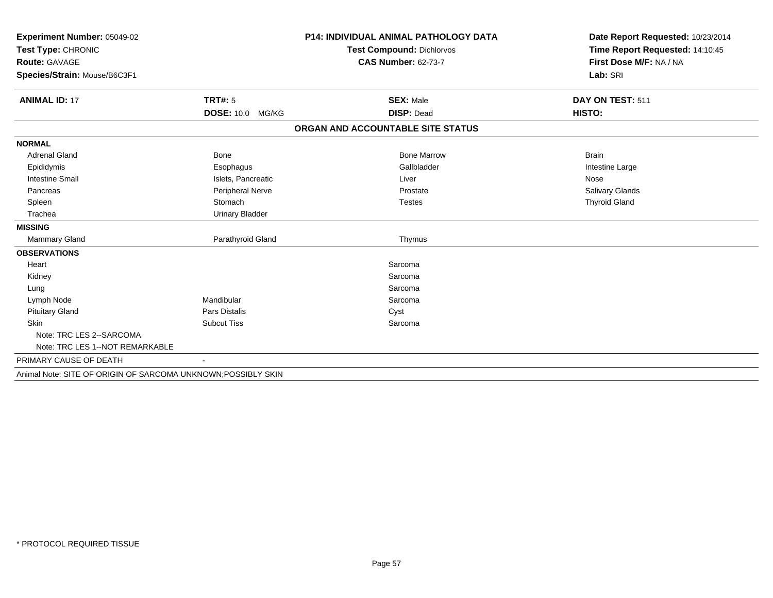| Experiment Number: 05049-02                                   |                            | <b>P14: INDIVIDUAL ANIMAL PATHOLOGY DATA</b> | Date Report Requested: 10/23/2014 |
|---------------------------------------------------------------|----------------------------|----------------------------------------------|-----------------------------------|
| Test Type: CHRONIC                                            |                            | <b>Test Compound: Dichlorvos</b>             | Time Report Requested: 14:10:45   |
| <b>Route: GAVAGE</b>                                          |                            | <b>CAS Number: 62-73-7</b>                   | First Dose M/F: NA / NA           |
| Species/Strain: Mouse/B6C3F1                                  |                            |                                              | Lab: SRI                          |
|                                                               |                            |                                              |                                   |
| <b>ANIMAL ID: 17</b>                                          | <b>TRT#: 5</b>             | <b>SEX: Male</b>                             | DAY ON TEST: 511                  |
|                                                               | <b>DOSE: 10.0</b><br>MG/KG | <b>DISP: Dead</b>                            | HISTO:                            |
|                                                               |                            | ORGAN AND ACCOUNTABLE SITE STATUS            |                                   |
| <b>NORMAL</b>                                                 |                            |                                              |                                   |
| <b>Adrenal Gland</b>                                          | <b>Bone</b>                | <b>Bone Marrow</b>                           | <b>Brain</b>                      |
| Epididymis                                                    | Esophagus                  | Gallbladder                                  | Intestine Large                   |
| <b>Intestine Small</b>                                        | Islets, Pancreatic         | Liver                                        | Nose                              |
| Pancreas                                                      | Peripheral Nerve           | Prostate                                     | Salivary Glands                   |
| Spleen                                                        | Stomach                    | <b>Testes</b>                                | <b>Thyroid Gland</b>              |
| Trachea                                                       | <b>Urinary Bladder</b>     |                                              |                                   |
| <b>MISSING</b>                                                |                            |                                              |                                   |
| Mammary Gland                                                 | Parathyroid Gland          | Thymus                                       |                                   |
| <b>OBSERVATIONS</b>                                           |                            |                                              |                                   |
| Heart                                                         |                            | Sarcoma                                      |                                   |
| Kidney                                                        |                            | Sarcoma                                      |                                   |
| Lung                                                          |                            | Sarcoma                                      |                                   |
| Lymph Node                                                    | Mandibular                 | Sarcoma                                      |                                   |
| <b>Pituitary Gland</b>                                        | <b>Pars Distalis</b>       | Cyst                                         |                                   |
| Skin                                                          | <b>Subcut Tiss</b>         | Sarcoma                                      |                                   |
| Note: TRC LES 2--SARCOMA                                      |                            |                                              |                                   |
| Note: TRC LES 1--NOT REMARKABLE                               |                            |                                              |                                   |
| PRIMARY CAUSE OF DEATH                                        | $\sim$                     |                                              |                                   |
| Animal Note: SITE OF ORIGIN OF SARCOMA UNKNOWN; POSSIBLY SKIN |                            |                                              |                                   |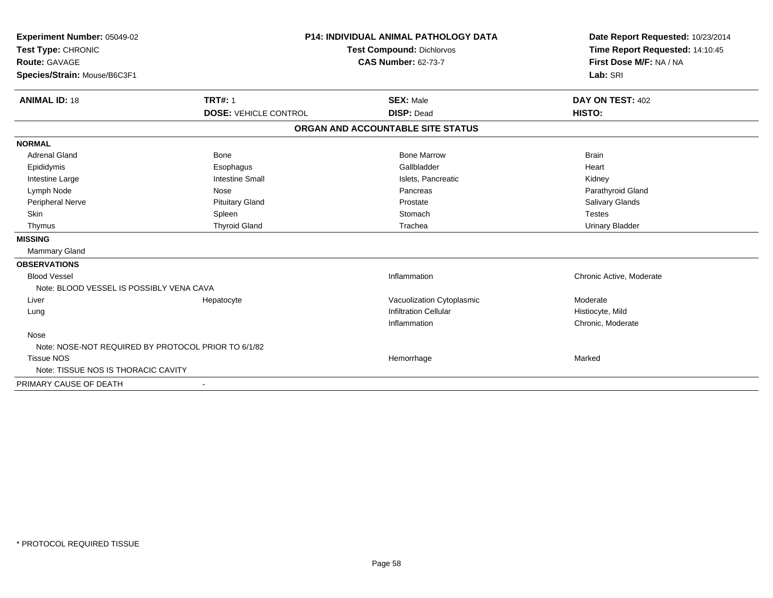| Experiment Number: 05049-02                         |                              | <b>P14: INDIVIDUAL ANIMAL PATHOLOGY DATA</b> | Date Report Requested: 10/23/2014                          |
|-----------------------------------------------------|------------------------------|----------------------------------------------|------------------------------------------------------------|
| Test Type: CHRONIC                                  |                              | <b>Test Compound: Dichlorvos</b>             | Time Report Requested: 14:10:45<br>First Dose M/F: NA / NA |
| <b>Route: GAVAGE</b>                                |                              | <b>CAS Number: 62-73-7</b>                   |                                                            |
| Species/Strain: Mouse/B6C3F1                        |                              |                                              | Lab: SRI                                                   |
| <b>ANIMAL ID: 18</b>                                | <b>TRT#: 1</b>               | <b>SEX: Male</b>                             | DAY ON TEST: 402                                           |
|                                                     | <b>DOSE: VEHICLE CONTROL</b> | <b>DISP: Dead</b>                            | HISTO:                                                     |
|                                                     |                              | ORGAN AND ACCOUNTABLE SITE STATUS            |                                                            |
| <b>NORMAL</b>                                       |                              |                                              |                                                            |
| <b>Adrenal Gland</b>                                | Bone                         | <b>Bone Marrow</b>                           | <b>Brain</b>                                               |
| Epididymis                                          | Esophagus                    | Gallbladder                                  | Heart                                                      |
| Intestine Large                                     | <b>Intestine Small</b>       | Islets, Pancreatic                           | Kidney                                                     |
| Lymph Node                                          | Nose                         | Pancreas                                     | Parathyroid Gland                                          |
| Peripheral Nerve                                    | <b>Pituitary Gland</b>       | Prostate                                     | Salivary Glands                                            |
| Skin                                                | Spleen                       | Stomach                                      | <b>Testes</b>                                              |
| Thymus                                              | <b>Thyroid Gland</b>         | Trachea                                      | <b>Urinary Bladder</b>                                     |
| <b>MISSING</b>                                      |                              |                                              |                                                            |
| Mammary Gland                                       |                              |                                              |                                                            |
| <b>OBSERVATIONS</b>                                 |                              |                                              |                                                            |
| <b>Blood Vessel</b>                                 |                              | Inflammation                                 | Chronic Active, Moderate                                   |
| Note: BLOOD VESSEL IS POSSIBLY VENA CAVA            |                              |                                              |                                                            |
| Liver                                               | Hepatocyte                   | Vacuolization Cytoplasmic                    | Moderate                                                   |
| Lung                                                |                              | <b>Infiltration Cellular</b>                 | Histiocyte, Mild                                           |
|                                                     |                              | Inflammation                                 | Chronic, Moderate                                          |
| Nose                                                |                              |                                              |                                                            |
| Note: NOSE-NOT REQUIRED BY PROTOCOL PRIOR TO 6/1/82 |                              |                                              |                                                            |
| <b>Tissue NOS</b>                                   |                              | Hemorrhage                                   | Marked                                                     |
| Note: TISSUE NOS IS THORACIC CAVITY                 |                              |                                              |                                                            |
| PRIMARY CAUSE OF DEATH                              |                              |                                              |                                                            |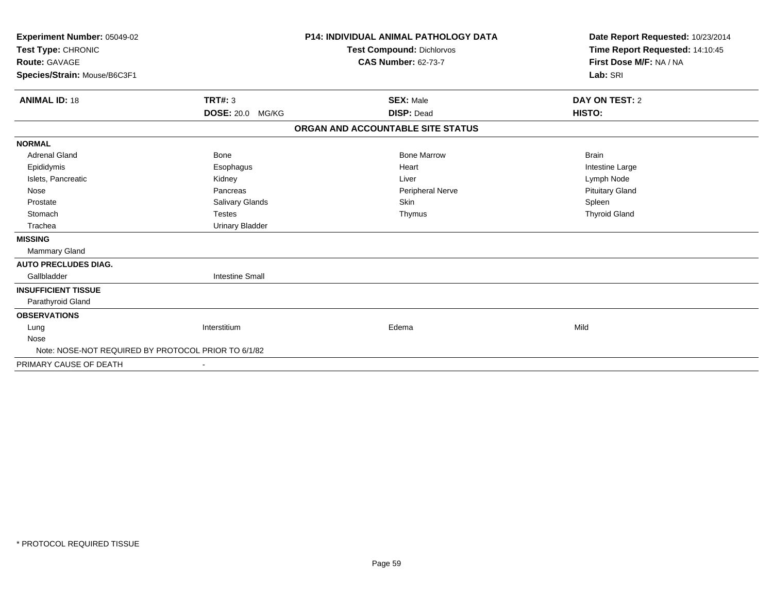| Experiment Number: 05049-02<br>Test Type: CHRONIC<br>Route: GAVAGE<br>Species/Strain: Mouse/B6C3F1 |                        | <b>P14: INDIVIDUAL ANIMAL PATHOLOGY DATA</b><br><b>Test Compound: Dichlorvos</b><br><b>CAS Number: 62-73-7</b> | Date Report Requested: 10/23/2014<br>Time Report Requested: 14:10:45<br>First Dose M/F: NA / NA<br>Lab: SRI |
|----------------------------------------------------------------------------------------------------|------------------------|----------------------------------------------------------------------------------------------------------------|-------------------------------------------------------------------------------------------------------------|
| <b>ANIMAL ID: 18</b>                                                                               | <b>TRT#: 3</b>         | <b>SEX: Male</b>                                                                                               | DAY ON TEST: 2                                                                                              |
|                                                                                                    | DOSE: 20.0 MG/KG       | <b>DISP: Dead</b>                                                                                              | HISTO:                                                                                                      |
|                                                                                                    |                        | ORGAN AND ACCOUNTABLE SITE STATUS                                                                              |                                                                                                             |
| <b>NORMAL</b>                                                                                      |                        |                                                                                                                |                                                                                                             |
| <b>Adrenal Gland</b>                                                                               | <b>Bone</b>            | <b>Bone Marrow</b>                                                                                             | <b>Brain</b>                                                                                                |
| Epididymis                                                                                         | Esophagus              | Heart                                                                                                          | Intestine Large                                                                                             |
| Islets, Pancreatic                                                                                 | Kidney                 | Liver                                                                                                          | Lymph Node                                                                                                  |
| Nose                                                                                               | Pancreas               | Peripheral Nerve                                                                                               | <b>Pituitary Gland</b>                                                                                      |
| Prostate                                                                                           | <b>Salivary Glands</b> | Skin                                                                                                           | Spleen                                                                                                      |
| Stomach                                                                                            | <b>Testes</b>          | Thymus                                                                                                         | <b>Thyroid Gland</b>                                                                                        |
| Trachea                                                                                            | <b>Urinary Bladder</b> |                                                                                                                |                                                                                                             |
| <b>MISSING</b>                                                                                     |                        |                                                                                                                |                                                                                                             |
| <b>Mammary Gland</b>                                                                               |                        |                                                                                                                |                                                                                                             |
| <b>AUTO PRECLUDES DIAG.</b>                                                                        |                        |                                                                                                                |                                                                                                             |
| Gallbladder                                                                                        | <b>Intestine Small</b> |                                                                                                                |                                                                                                             |
| <b>INSUFFICIENT TISSUE</b>                                                                         |                        |                                                                                                                |                                                                                                             |
| Parathyroid Gland                                                                                  |                        |                                                                                                                |                                                                                                             |
| <b>OBSERVATIONS</b>                                                                                |                        |                                                                                                                |                                                                                                             |
| Lung                                                                                               | Interstitium           | Edema                                                                                                          | Mild                                                                                                        |
| Nose                                                                                               |                        |                                                                                                                |                                                                                                             |
| Note: NOSE-NOT REQUIRED BY PROTOCOL PRIOR TO 6/1/82                                                |                        |                                                                                                                |                                                                                                             |
| PRIMARY CAUSE OF DEATH                                                                             |                        |                                                                                                                |                                                                                                             |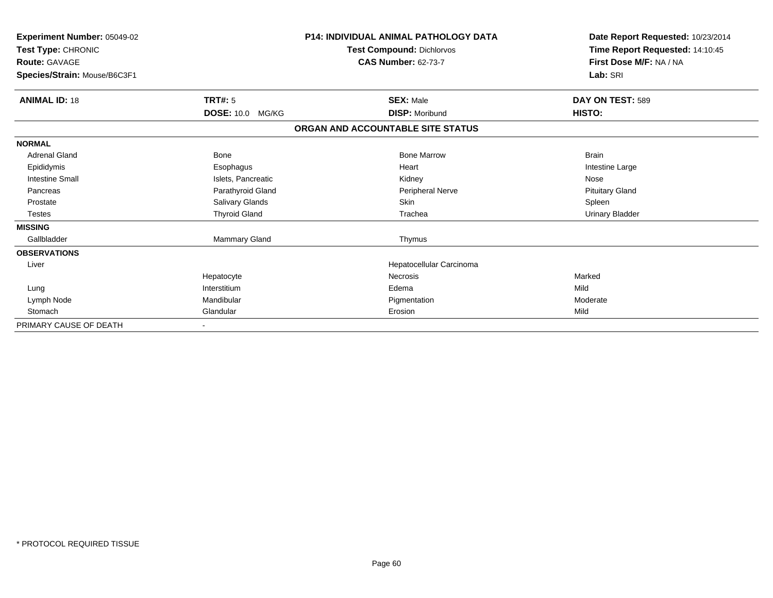| Experiment Number: 05049-02<br>Test Type: CHRONIC |                            | P14: INDIVIDUAL ANIMAL PATHOLOGY DATA | Date Report Requested: 10/23/2014 |
|---------------------------------------------------|----------------------------|---------------------------------------|-----------------------------------|
|                                                   |                            | <b>Test Compound: Dichlorvos</b>      | Time Report Requested: 14:10:45   |
| <b>Route: GAVAGE</b>                              |                            | <b>CAS Number: 62-73-7</b>            | First Dose M/F: NA / NA           |
| Species/Strain: Mouse/B6C3F1                      |                            |                                       | Lab: SRI                          |
| <b>ANIMAL ID: 18</b>                              | <b>TRT#: 5</b>             | <b>SEX: Male</b>                      | DAY ON TEST: 589                  |
|                                                   | <b>DOSE: 10.0</b><br>MG/KG | <b>DISP: Moribund</b>                 | HISTO:                            |
|                                                   |                            | ORGAN AND ACCOUNTABLE SITE STATUS     |                                   |
| <b>NORMAL</b>                                     |                            |                                       |                                   |
| <b>Adrenal Gland</b>                              | <b>Bone</b>                | <b>Bone Marrow</b>                    | <b>Brain</b>                      |
| Epididymis                                        | Esophagus                  | Heart                                 | Intestine Large                   |
| <b>Intestine Small</b>                            | Islets, Pancreatic         | Kidney                                | Nose                              |
| Pancreas                                          | Parathyroid Gland          | <b>Peripheral Nerve</b>               | <b>Pituitary Gland</b>            |
| Prostate                                          | Salivary Glands            | <b>Skin</b>                           | Spleen                            |
| <b>Testes</b>                                     | <b>Thyroid Gland</b>       | Trachea                               | <b>Urinary Bladder</b>            |
| <b>MISSING</b>                                    |                            |                                       |                                   |
| Gallbladder                                       | Mammary Gland              | Thymus                                |                                   |
| <b>OBSERVATIONS</b>                               |                            |                                       |                                   |
| Liver                                             |                            | Hepatocellular Carcinoma              |                                   |
|                                                   | Hepatocyte                 | <b>Necrosis</b>                       | Marked                            |
| Lung                                              | Interstitium               | Edema                                 | Mild                              |
| Lymph Node                                        | Mandibular                 | Pigmentation                          | Moderate                          |
| Stomach                                           | Glandular                  | Erosion                               | Mild                              |
| PRIMARY CAUSE OF DEATH                            |                            |                                       |                                   |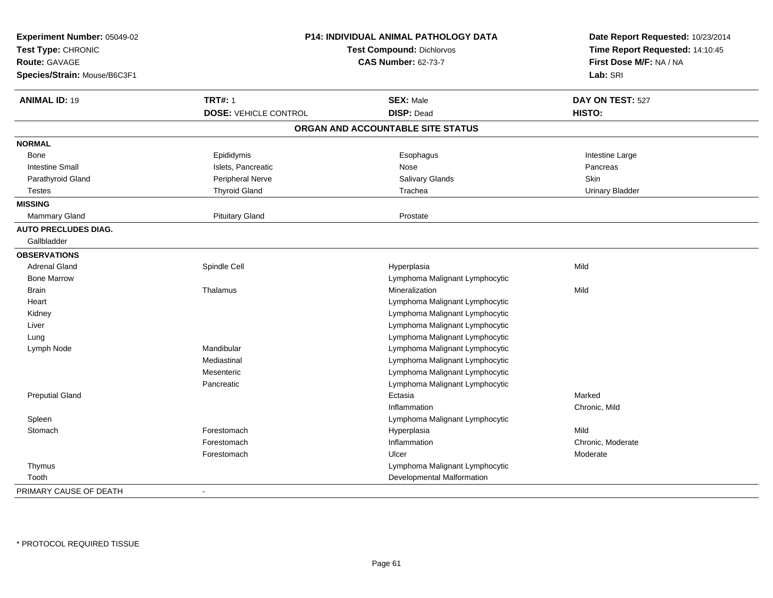| Experiment Number: 05049-02<br>Test Type: CHRONIC<br>Route: GAVAGE<br>Species/Strain: Mouse/B6C3F1 |                              | P14: INDIVIDUAL ANIMAL PATHOLOGY DATA<br><b>Test Compound: Dichlorvos</b><br><b>CAS Number: 62-73-7</b> | Date Report Requested: 10/23/2014<br>Time Report Requested: 14:10:45<br>First Dose M/F: NA / NA<br>Lab: SRI |
|----------------------------------------------------------------------------------------------------|------------------------------|---------------------------------------------------------------------------------------------------------|-------------------------------------------------------------------------------------------------------------|
| <b>ANIMAL ID: 19</b>                                                                               | <b>TRT#: 1</b>               | <b>SEX: Male</b>                                                                                        | DAY ON TEST: 527                                                                                            |
|                                                                                                    | <b>DOSE: VEHICLE CONTROL</b> | <b>DISP: Dead</b>                                                                                       | HISTO:                                                                                                      |
|                                                                                                    |                              | ORGAN AND ACCOUNTABLE SITE STATUS                                                                       |                                                                                                             |
| <b>NORMAL</b>                                                                                      |                              |                                                                                                         |                                                                                                             |
| Bone                                                                                               | Epididymis                   | Esophagus                                                                                               | Intestine Large                                                                                             |
| <b>Intestine Small</b>                                                                             | Islets, Pancreatic           | Nose                                                                                                    | Pancreas                                                                                                    |
| Parathyroid Gland                                                                                  | Peripheral Nerve             | Salivary Glands                                                                                         | <b>Skin</b>                                                                                                 |
| <b>Testes</b>                                                                                      | <b>Thyroid Gland</b>         | Trachea                                                                                                 | <b>Urinary Bladder</b>                                                                                      |
| <b>MISSING</b>                                                                                     |                              |                                                                                                         |                                                                                                             |
| <b>Mammary Gland</b>                                                                               | <b>Pituitary Gland</b>       | Prostate                                                                                                |                                                                                                             |
| <b>AUTO PRECLUDES DIAG.</b>                                                                        |                              |                                                                                                         |                                                                                                             |
| Gallbladder                                                                                        |                              |                                                                                                         |                                                                                                             |
| <b>OBSERVATIONS</b>                                                                                |                              |                                                                                                         |                                                                                                             |
| <b>Adrenal Gland</b>                                                                               | Spindle Cell                 | Hyperplasia                                                                                             | Mild                                                                                                        |
| <b>Bone Marrow</b>                                                                                 |                              | Lymphoma Malignant Lymphocytic                                                                          |                                                                                                             |
| <b>Brain</b>                                                                                       | Thalamus                     | Mineralization                                                                                          | Mild                                                                                                        |
| Heart                                                                                              |                              | Lymphoma Malignant Lymphocytic                                                                          |                                                                                                             |
| Kidney                                                                                             |                              | Lymphoma Malignant Lymphocytic                                                                          |                                                                                                             |
| Liver                                                                                              |                              | Lymphoma Malignant Lymphocytic                                                                          |                                                                                                             |
| Lung                                                                                               |                              | Lymphoma Malignant Lymphocytic                                                                          |                                                                                                             |
| Lymph Node                                                                                         | Mandibular                   | Lymphoma Malignant Lymphocytic                                                                          |                                                                                                             |
|                                                                                                    | Mediastinal                  | Lymphoma Malignant Lymphocytic                                                                          |                                                                                                             |
|                                                                                                    | Mesenteric                   | Lymphoma Malignant Lymphocytic                                                                          |                                                                                                             |
|                                                                                                    | Pancreatic                   | Lymphoma Malignant Lymphocytic                                                                          |                                                                                                             |
| <b>Preputial Gland</b>                                                                             |                              | Ectasia                                                                                                 | Marked                                                                                                      |
|                                                                                                    |                              | Inflammation                                                                                            | Chronic, Mild                                                                                               |
| Spleen                                                                                             |                              | Lymphoma Malignant Lymphocytic                                                                          |                                                                                                             |
| Stomach                                                                                            | Forestomach                  | Hyperplasia                                                                                             | Mild                                                                                                        |
|                                                                                                    | Forestomach                  | Inflammation                                                                                            | Chronic, Moderate                                                                                           |
|                                                                                                    | Forestomach                  | Ulcer                                                                                                   | Moderate                                                                                                    |
| Thymus                                                                                             |                              | Lymphoma Malignant Lymphocytic                                                                          |                                                                                                             |
| Tooth                                                                                              |                              | Developmental Malformation                                                                              |                                                                                                             |
| PRIMARY CAUSE OF DEATH                                                                             | ÷                            |                                                                                                         |                                                                                                             |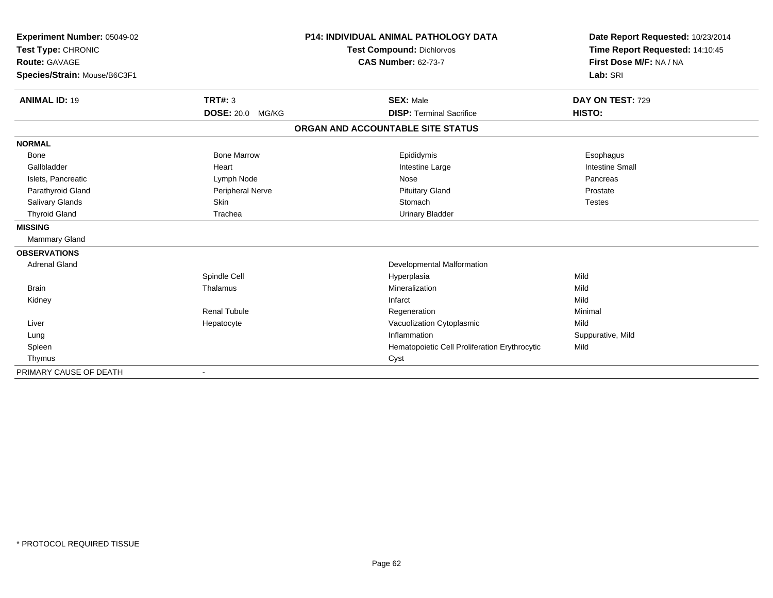| Experiment Number: 05049-02<br>Test Type: CHRONIC |                            | P14: INDIVIDUAL ANIMAL PATHOLOGY DATA         | Date Report Requested: 10/23/2014<br>Time Report Requested: 14:10:45 |
|---------------------------------------------------|----------------------------|-----------------------------------------------|----------------------------------------------------------------------|
|                                                   |                            | <b>Test Compound: Dichlorvos</b>              |                                                                      |
| Route: GAVAGE                                     |                            | <b>CAS Number: 62-73-7</b>                    | First Dose M/F: NA / NA                                              |
| Species/Strain: Mouse/B6C3F1                      |                            |                                               | Lab: SRI                                                             |
| <b>ANIMAL ID: 19</b>                              | <b>TRT#: 3</b>             | <b>SEX: Male</b>                              | DAY ON TEST: 729                                                     |
|                                                   | <b>DOSE: 20.0</b><br>MG/KG | <b>DISP: Terminal Sacrifice</b>               | HISTO:                                                               |
|                                                   |                            | ORGAN AND ACCOUNTABLE SITE STATUS             |                                                                      |
| <b>NORMAL</b>                                     |                            |                                               |                                                                      |
| <b>Bone</b>                                       | <b>Bone Marrow</b>         | Epididymis                                    | Esophagus                                                            |
| Gallbladder                                       | Heart                      | Intestine Large                               | <b>Intestine Small</b>                                               |
| Islets, Pancreatic                                | Lymph Node                 | Nose                                          | Pancreas                                                             |
| Parathyroid Gland                                 | Peripheral Nerve           | <b>Pituitary Gland</b>                        | Prostate                                                             |
| <b>Salivary Glands</b>                            | <b>Skin</b>                | Stomach                                       | <b>Testes</b>                                                        |
| <b>Thyroid Gland</b>                              | Trachea                    | <b>Urinary Bladder</b>                        |                                                                      |
| <b>MISSING</b>                                    |                            |                                               |                                                                      |
| <b>Mammary Gland</b>                              |                            |                                               |                                                                      |
| <b>OBSERVATIONS</b>                               |                            |                                               |                                                                      |
| <b>Adrenal Gland</b>                              |                            | Developmental Malformation                    |                                                                      |
|                                                   | Spindle Cell               | Hyperplasia                                   | Mild                                                                 |
| <b>Brain</b>                                      | Thalamus                   | Mineralization                                | Mild                                                                 |
| Kidney                                            |                            | Infarct                                       | Mild                                                                 |
|                                                   | <b>Renal Tubule</b>        | Regeneration                                  | Minimal                                                              |
| Liver                                             | Hepatocyte                 | Vacuolization Cytoplasmic                     | Mild                                                                 |
| Lung                                              |                            | Inflammation                                  | Suppurative, Mild                                                    |
| Spleen                                            |                            | Hematopoietic Cell Proliferation Erythrocytic | Mild                                                                 |
| Thymus                                            |                            | Cyst                                          |                                                                      |
| PRIMARY CAUSE OF DEATH                            |                            |                                               |                                                                      |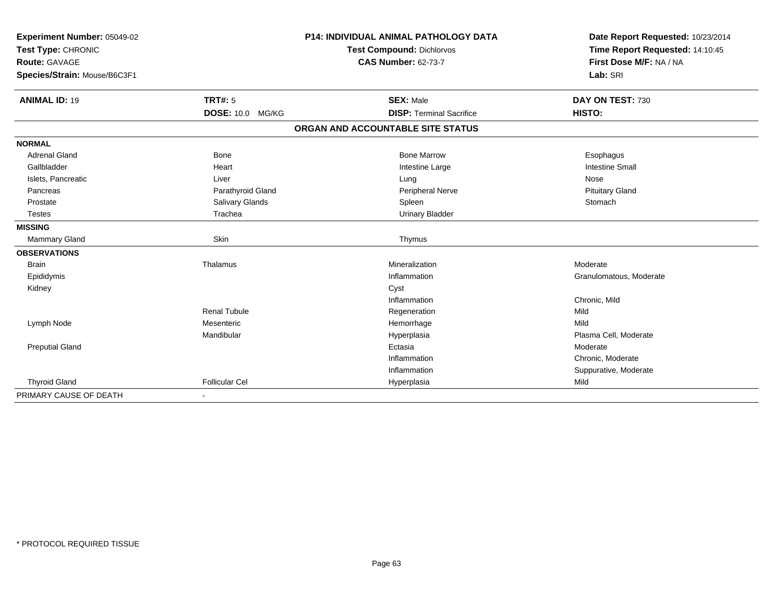| Experiment Number: 05049-02<br>Test Type: CHRONIC<br><b>Route: GAVAGE</b> |                       | P14: INDIVIDUAL ANIMAL PATHOLOGY DATA | Date Report Requested: 10/23/2014<br>Time Report Requested: 14:10:45 |
|---------------------------------------------------------------------------|-----------------------|---------------------------------------|----------------------------------------------------------------------|
|                                                                           |                       | <b>Test Compound: Dichlorvos</b>      |                                                                      |
|                                                                           |                       | <b>CAS Number: 62-73-7</b>            | First Dose M/F: NA / NA                                              |
| Species/Strain: Mouse/B6C3F1                                              |                       |                                       | Lab: SRI                                                             |
|                                                                           |                       |                                       |                                                                      |
| <b>ANIMAL ID: 19</b>                                                      | TRT#: 5               | <b>SEX: Male</b>                      | DAY ON TEST: 730                                                     |
|                                                                           | DOSE: 10.0 MG/KG      | <b>DISP: Terminal Sacrifice</b>       | HISTO:                                                               |
|                                                                           |                       | ORGAN AND ACCOUNTABLE SITE STATUS     |                                                                      |
| <b>NORMAL</b>                                                             |                       |                                       |                                                                      |
| <b>Adrenal Gland</b>                                                      | <b>Bone</b>           | <b>Bone Marrow</b>                    | Esophagus                                                            |
| Gallbladder                                                               | Heart                 | Intestine Large                       | <b>Intestine Small</b>                                               |
| Islets, Pancreatic                                                        | Liver                 | Lung                                  | Nose                                                                 |
| Pancreas                                                                  | Parathyroid Gland     | Peripheral Nerve                      | <b>Pituitary Gland</b>                                               |
| Prostate                                                                  | Salivary Glands       | Spleen                                | Stomach                                                              |
| <b>Testes</b>                                                             | Trachea               | <b>Urinary Bladder</b>                |                                                                      |
| <b>MISSING</b>                                                            |                       |                                       |                                                                      |
| Mammary Gland                                                             | Skin                  | Thymus                                |                                                                      |
| <b>OBSERVATIONS</b>                                                       |                       |                                       |                                                                      |
| <b>Brain</b>                                                              | Thalamus              | Mineralization                        | Moderate                                                             |
| Epididymis                                                                |                       | Inflammation                          | Granulomatous, Moderate                                              |
| Kidney                                                                    |                       | Cyst                                  |                                                                      |
|                                                                           |                       | Inflammation                          | Chronic, Mild                                                        |
|                                                                           | <b>Renal Tubule</b>   | Regeneration                          | Mild                                                                 |
| Lymph Node                                                                | Mesenteric            | Hemorrhage                            | Mild                                                                 |
|                                                                           | Mandibular            | Hyperplasia                           | Plasma Cell, Moderate                                                |
| <b>Preputial Gland</b>                                                    |                       | Ectasia                               | Moderate                                                             |
|                                                                           |                       | Inflammation                          | Chronic, Moderate                                                    |
|                                                                           |                       | Inflammation                          | Suppurative, Moderate                                                |
| <b>Thyroid Gland</b>                                                      | <b>Follicular Cel</b> | Hyperplasia                           | Mild                                                                 |
| PRIMARY CAUSE OF DEATH                                                    |                       |                                       |                                                                      |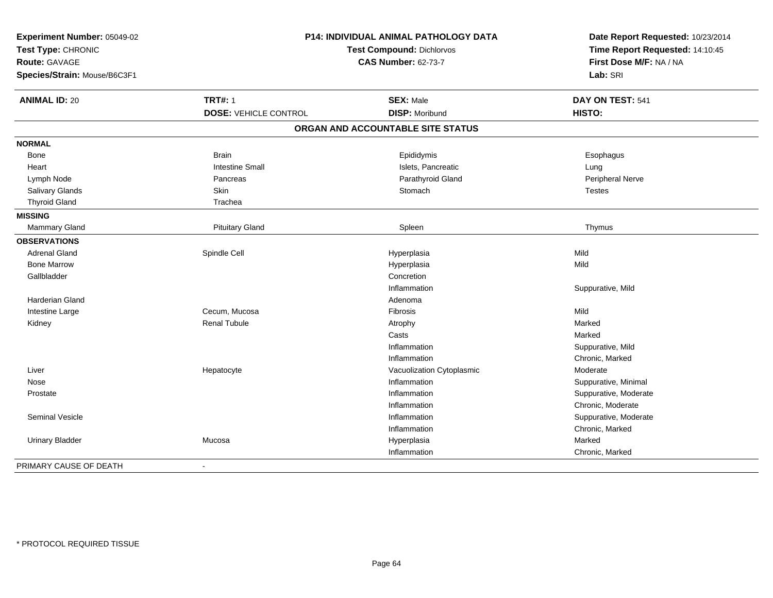| Experiment Number: 05049-02<br>Test Type: CHRONIC<br>Route: GAVAGE<br>Species/Strain: Mouse/B6C3F1 | <b>P14: INDIVIDUAL ANIMAL PATHOLOGY DATA</b><br><b>Test Compound: Dichlorvos</b><br><b>CAS Number: 62-73-7</b> |                                   | Date Report Requested: 10/23/2014<br>Time Report Requested: 14:10:45<br>First Dose M/F: NA / NA<br>Lab: SRI |
|----------------------------------------------------------------------------------------------------|----------------------------------------------------------------------------------------------------------------|-----------------------------------|-------------------------------------------------------------------------------------------------------------|
| <b>ANIMAL ID: 20</b>                                                                               | <b>TRT#: 1</b>                                                                                                 | <b>SEX: Male</b>                  | DAY ON TEST: 541                                                                                            |
|                                                                                                    | <b>DOSE: VEHICLE CONTROL</b>                                                                                   | <b>DISP: Moribund</b>             | HISTO:                                                                                                      |
|                                                                                                    |                                                                                                                | ORGAN AND ACCOUNTABLE SITE STATUS |                                                                                                             |
| <b>NORMAL</b>                                                                                      |                                                                                                                |                                   |                                                                                                             |
| Bone                                                                                               | <b>Brain</b>                                                                                                   | Epididymis                        | Esophagus                                                                                                   |
| Heart                                                                                              | <b>Intestine Small</b>                                                                                         | Islets, Pancreatic                | Lung                                                                                                        |
| Lymph Node                                                                                         | Pancreas                                                                                                       | Parathyroid Gland                 | Peripheral Nerve                                                                                            |
| <b>Salivary Glands</b>                                                                             | <b>Skin</b>                                                                                                    | Stomach                           | <b>Testes</b>                                                                                               |
| <b>Thyroid Gland</b>                                                                               | Trachea                                                                                                        |                                   |                                                                                                             |
| <b>MISSING</b>                                                                                     |                                                                                                                |                                   |                                                                                                             |
| Mammary Gland                                                                                      | <b>Pituitary Gland</b>                                                                                         | Spleen                            | Thymus                                                                                                      |
| <b>OBSERVATIONS</b>                                                                                |                                                                                                                |                                   |                                                                                                             |
| <b>Adrenal Gland</b>                                                                               | Spindle Cell                                                                                                   | Hyperplasia                       | Mild                                                                                                        |
| <b>Bone Marrow</b>                                                                                 |                                                                                                                | Hyperplasia                       | Mild                                                                                                        |
| Gallbladder                                                                                        |                                                                                                                | Concretion                        |                                                                                                             |
|                                                                                                    |                                                                                                                | Inflammation                      | Suppurative, Mild                                                                                           |
| <b>Harderian Gland</b>                                                                             |                                                                                                                | Adenoma                           |                                                                                                             |
| Intestine Large                                                                                    | Cecum, Mucosa                                                                                                  | Fibrosis                          | Mild                                                                                                        |
| Kidney                                                                                             | <b>Renal Tubule</b>                                                                                            | Atrophy                           | Marked                                                                                                      |
|                                                                                                    |                                                                                                                | Casts                             | Marked                                                                                                      |
|                                                                                                    |                                                                                                                | Inflammation                      | Suppurative, Mild                                                                                           |
|                                                                                                    |                                                                                                                | Inflammation                      | Chronic, Marked                                                                                             |
| Liver                                                                                              | Hepatocyte                                                                                                     | Vacuolization Cytoplasmic         | Moderate                                                                                                    |
| Nose                                                                                               |                                                                                                                | Inflammation                      | Suppurative, Minimal                                                                                        |
| Prostate                                                                                           |                                                                                                                | Inflammation                      | Suppurative, Moderate                                                                                       |
|                                                                                                    |                                                                                                                | Inflammation                      | Chronic, Moderate                                                                                           |
| Seminal Vesicle                                                                                    |                                                                                                                | Inflammation                      | Suppurative, Moderate                                                                                       |
|                                                                                                    |                                                                                                                | Inflammation                      | Chronic, Marked                                                                                             |
| <b>Urinary Bladder</b>                                                                             | Mucosa                                                                                                         | Hyperplasia                       | Marked                                                                                                      |
|                                                                                                    |                                                                                                                | Inflammation                      | Chronic, Marked                                                                                             |
| PRIMARY CAUSE OF DEATH                                                                             | $\blacksquare$                                                                                                 |                                   |                                                                                                             |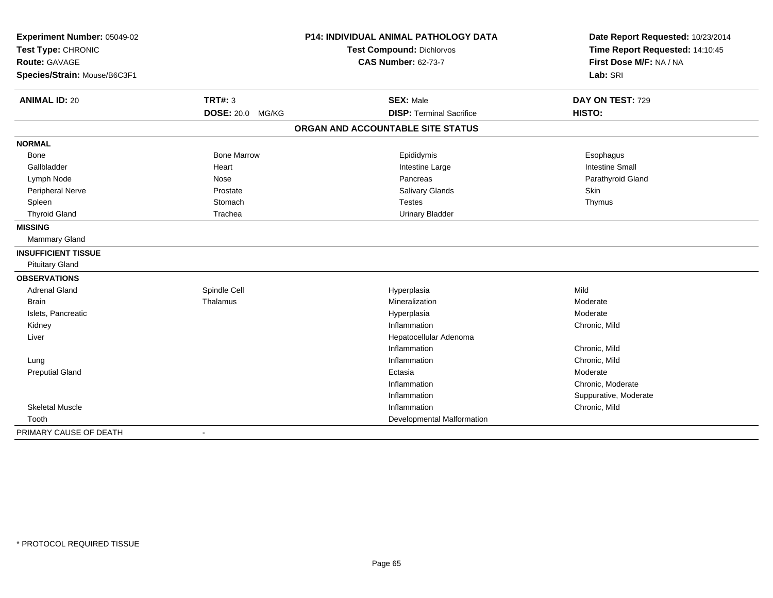| Experiment Number: 05049-02<br>Test Type: CHRONIC<br>Route: GAVAGE |                    | <b>P14: INDIVIDUAL ANIMAL PATHOLOGY DATA</b> | Date Report Requested: 10/23/2014<br>Time Report Requested: 14:10:45<br>First Dose M/F: NA / NA |
|--------------------------------------------------------------------|--------------------|----------------------------------------------|-------------------------------------------------------------------------------------------------|
|                                                                    |                    | <b>Test Compound: Dichlorvos</b>             |                                                                                                 |
|                                                                    |                    | <b>CAS Number: 62-73-7</b>                   |                                                                                                 |
| Species/Strain: Mouse/B6C3F1                                       |                    |                                              | Lab: SRI                                                                                        |
| <b>ANIMAL ID: 20</b>                                               | <b>TRT#: 3</b>     | <b>SEX: Male</b>                             | DAY ON TEST: 729                                                                                |
|                                                                    | DOSE: 20.0 MG/KG   | <b>DISP: Terminal Sacrifice</b>              | HISTO:                                                                                          |
|                                                                    |                    | ORGAN AND ACCOUNTABLE SITE STATUS            |                                                                                                 |
| <b>NORMAL</b>                                                      |                    |                                              |                                                                                                 |
| <b>Bone</b>                                                        | <b>Bone Marrow</b> | Epididymis                                   | Esophagus                                                                                       |
| Gallbladder                                                        | Heart              | Intestine Large                              | <b>Intestine Small</b>                                                                          |
| Lymph Node                                                         | Nose               | Pancreas                                     | Parathyroid Gland                                                                               |
| <b>Peripheral Nerve</b>                                            | Prostate           | Salivary Glands                              | <b>Skin</b>                                                                                     |
| Spleen                                                             | Stomach            | <b>Testes</b>                                | Thymus                                                                                          |
| <b>Thyroid Gland</b>                                               | Trachea            | <b>Urinary Bladder</b>                       |                                                                                                 |
| <b>MISSING</b>                                                     |                    |                                              |                                                                                                 |
| <b>Mammary Gland</b>                                               |                    |                                              |                                                                                                 |
| <b>INSUFFICIENT TISSUE</b>                                         |                    |                                              |                                                                                                 |
| <b>Pituitary Gland</b>                                             |                    |                                              |                                                                                                 |
| <b>OBSERVATIONS</b>                                                |                    |                                              |                                                                                                 |
| <b>Adrenal Gland</b>                                               | Spindle Cell       | Hyperplasia                                  | Mild                                                                                            |
| <b>Brain</b>                                                       | Thalamus           | Mineralization                               | Moderate                                                                                        |
| Islets, Pancreatic                                                 |                    | Hyperplasia                                  | Moderate                                                                                        |
| Kidney                                                             |                    | Inflammation                                 | Chronic, Mild                                                                                   |
| Liver                                                              |                    | Hepatocellular Adenoma                       |                                                                                                 |
|                                                                    |                    | Inflammation                                 | Chronic, Mild                                                                                   |
| Lung                                                               |                    | Inflammation                                 | Chronic, Mild                                                                                   |
| <b>Preputial Gland</b>                                             |                    | Ectasia                                      | Moderate                                                                                        |
|                                                                    |                    | Inflammation                                 | Chronic, Moderate                                                                               |
|                                                                    |                    | Inflammation                                 | Suppurative, Moderate                                                                           |
| <b>Skeletal Muscle</b>                                             |                    | Inflammation                                 | Chronic, Mild                                                                                   |
| Tooth                                                              |                    | Developmental Malformation                   |                                                                                                 |
| PRIMARY CAUSE OF DEATH                                             | $\blacksquare$     |                                              |                                                                                                 |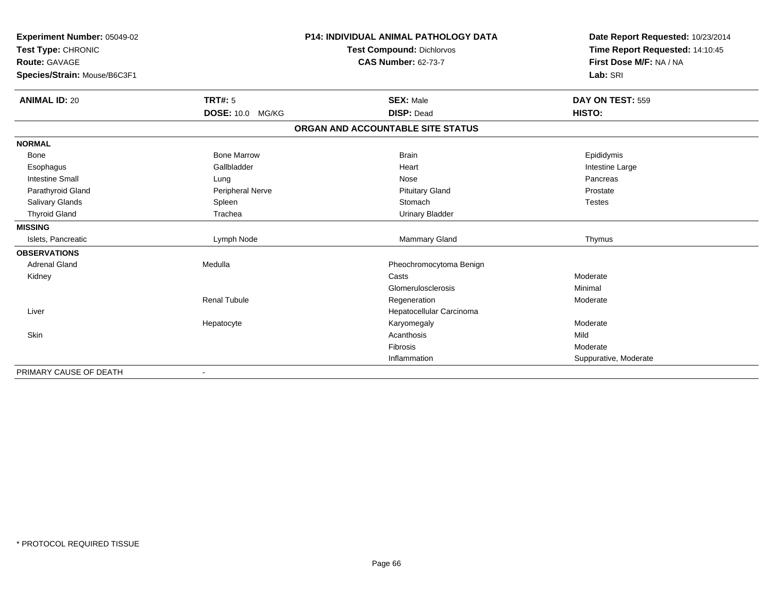| Experiment Number: 05049-02<br>Test Type: CHRONIC<br>Route: GAVAGE |                     | <b>P14: INDIVIDUAL ANIMAL PATHOLOGY DATA</b> | Date Report Requested: 10/23/2014<br>Time Report Requested: 14:10:45 |
|--------------------------------------------------------------------|---------------------|----------------------------------------------|----------------------------------------------------------------------|
|                                                                    |                     | <b>Test Compound: Dichlorvos</b>             |                                                                      |
|                                                                    |                     | <b>CAS Number: 62-73-7</b>                   | First Dose M/F: NA / NA                                              |
| Species/Strain: Mouse/B6C3F1                                       |                     |                                              | Lab: SRI                                                             |
|                                                                    |                     |                                              |                                                                      |
| <b>ANIMAL ID: 20</b>                                               | <b>TRT#: 5</b>      | <b>SEX: Male</b>                             | DAY ON TEST: 559                                                     |
|                                                                    | DOSE: 10.0 MG/KG    | <b>DISP: Dead</b>                            | HISTO:                                                               |
|                                                                    |                     | ORGAN AND ACCOUNTABLE SITE STATUS            |                                                                      |
| <b>NORMAL</b>                                                      |                     |                                              |                                                                      |
| Bone                                                               | <b>Bone Marrow</b>  | <b>Brain</b>                                 | Epididymis                                                           |
| Esophagus                                                          | Gallbladder         | Heart                                        | Intestine Large                                                      |
| <b>Intestine Small</b>                                             | Lung                | Nose                                         | Pancreas                                                             |
| Parathyroid Gland                                                  | Peripheral Nerve    | <b>Pituitary Gland</b>                       | Prostate                                                             |
| Salivary Glands                                                    | Spleen              | Stomach                                      | <b>Testes</b>                                                        |
| <b>Thyroid Gland</b>                                               | Trachea             | <b>Urinary Bladder</b>                       |                                                                      |
| <b>MISSING</b>                                                     |                     |                                              |                                                                      |
| Islets, Pancreatic                                                 | Lymph Node          | <b>Mammary Gland</b>                         | Thymus                                                               |
| <b>OBSERVATIONS</b>                                                |                     |                                              |                                                                      |
| <b>Adrenal Gland</b>                                               | Medulla             | Pheochromocytoma Benign                      |                                                                      |
| Kidney                                                             |                     | Casts                                        | Moderate                                                             |
|                                                                    |                     | Glomerulosclerosis                           | Minimal                                                              |
|                                                                    | <b>Renal Tubule</b> | Regeneration                                 | Moderate                                                             |
| Liver                                                              |                     | Hepatocellular Carcinoma                     |                                                                      |
|                                                                    | Hepatocyte          | Karyomegaly                                  | Moderate                                                             |
| <b>Skin</b>                                                        |                     | Acanthosis                                   | Mild                                                                 |
|                                                                    |                     | <b>Fibrosis</b>                              | Moderate                                                             |
|                                                                    |                     | Inflammation                                 | Suppurative, Moderate                                                |
| PRIMARY CAUSE OF DEATH                                             | $\blacksquare$      |                                              |                                                                      |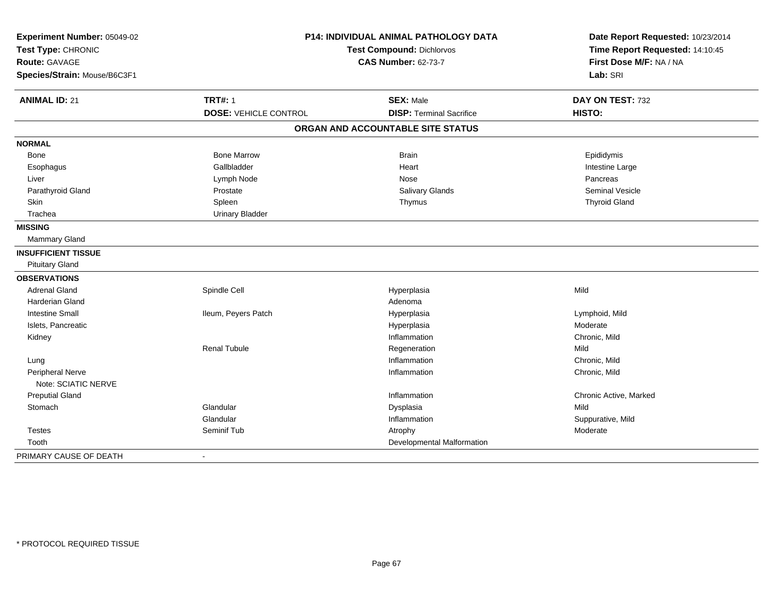| Experiment Number: 05049-02<br>Test Type: CHRONIC<br>Route: GAVAGE<br>Species/Strain: Mouse/B6C3F1 |                                                | <b>P14: INDIVIDUAL ANIMAL PATHOLOGY DATA</b><br><b>Test Compound: Dichlorvos</b><br><b>CAS Number: 62-73-7</b> | Date Report Requested: 10/23/2014<br>Time Report Requested: 14:10:45<br>First Dose M/F: NA / NA<br>Lab: SRI |
|----------------------------------------------------------------------------------------------------|------------------------------------------------|----------------------------------------------------------------------------------------------------------------|-------------------------------------------------------------------------------------------------------------|
|                                                                                                    |                                                |                                                                                                                |                                                                                                             |
| <b>ANIMAL ID: 21</b>                                                                               | <b>TRT#: 1</b><br><b>DOSE: VEHICLE CONTROL</b> | <b>SEX: Male</b><br><b>DISP: Terminal Sacrifice</b>                                                            | DAY ON TEST: 732<br>HISTO:                                                                                  |
|                                                                                                    |                                                |                                                                                                                |                                                                                                             |
|                                                                                                    |                                                | ORGAN AND ACCOUNTABLE SITE STATUS                                                                              |                                                                                                             |
| <b>NORMAL</b>                                                                                      |                                                |                                                                                                                |                                                                                                             |
| Bone                                                                                               | <b>Bone Marrow</b>                             | <b>Brain</b>                                                                                                   | Epididymis                                                                                                  |
| Esophagus                                                                                          | Gallbladder                                    | Heart                                                                                                          | Intestine Large                                                                                             |
| Liver                                                                                              | Lymph Node                                     | Nose                                                                                                           | Pancreas                                                                                                    |
| Parathyroid Gland                                                                                  | Prostate                                       | <b>Salivary Glands</b>                                                                                         | <b>Seminal Vesicle</b>                                                                                      |
| Skin                                                                                               | Spleen                                         | Thymus                                                                                                         | <b>Thyroid Gland</b>                                                                                        |
| Trachea                                                                                            | <b>Urinary Bladder</b>                         |                                                                                                                |                                                                                                             |
| <b>MISSING</b>                                                                                     |                                                |                                                                                                                |                                                                                                             |
| <b>Mammary Gland</b>                                                                               |                                                |                                                                                                                |                                                                                                             |
| <b>INSUFFICIENT TISSUE</b>                                                                         |                                                |                                                                                                                |                                                                                                             |
| <b>Pituitary Gland</b>                                                                             |                                                |                                                                                                                |                                                                                                             |
| <b>OBSERVATIONS</b>                                                                                |                                                |                                                                                                                |                                                                                                             |
| <b>Adrenal Gland</b>                                                                               | Spindle Cell                                   | Hyperplasia                                                                                                    | Mild                                                                                                        |
| Harderian Gland                                                                                    |                                                | Adenoma                                                                                                        |                                                                                                             |
| <b>Intestine Small</b>                                                                             | Ileum, Peyers Patch                            | Hyperplasia                                                                                                    | Lymphoid, Mild                                                                                              |
| Islets, Pancreatic                                                                                 |                                                | Hyperplasia                                                                                                    | Moderate                                                                                                    |
| Kidney                                                                                             |                                                | Inflammation                                                                                                   | Chronic, Mild                                                                                               |
|                                                                                                    | <b>Renal Tubule</b>                            | Regeneration                                                                                                   | Mild                                                                                                        |
| Lung                                                                                               |                                                | Inflammation                                                                                                   | Chronic, Mild                                                                                               |
| Peripheral Nerve                                                                                   |                                                | Inflammation                                                                                                   | Chronic, Mild                                                                                               |
| Note: SCIATIC NERVE                                                                                |                                                |                                                                                                                |                                                                                                             |
| <b>Preputial Gland</b>                                                                             |                                                | Inflammation                                                                                                   | Chronic Active, Marked                                                                                      |
| Stomach                                                                                            | Glandular                                      | Dysplasia                                                                                                      | Mild                                                                                                        |
|                                                                                                    | Glandular                                      | Inflammation                                                                                                   | Suppurative, Mild                                                                                           |
| <b>Testes</b>                                                                                      | Seminif Tub                                    | Atrophy                                                                                                        | Moderate                                                                                                    |
| Tooth                                                                                              |                                                | Developmental Malformation                                                                                     |                                                                                                             |
| PRIMARY CAUSE OF DEATH                                                                             | $\overline{a}$                                 |                                                                                                                |                                                                                                             |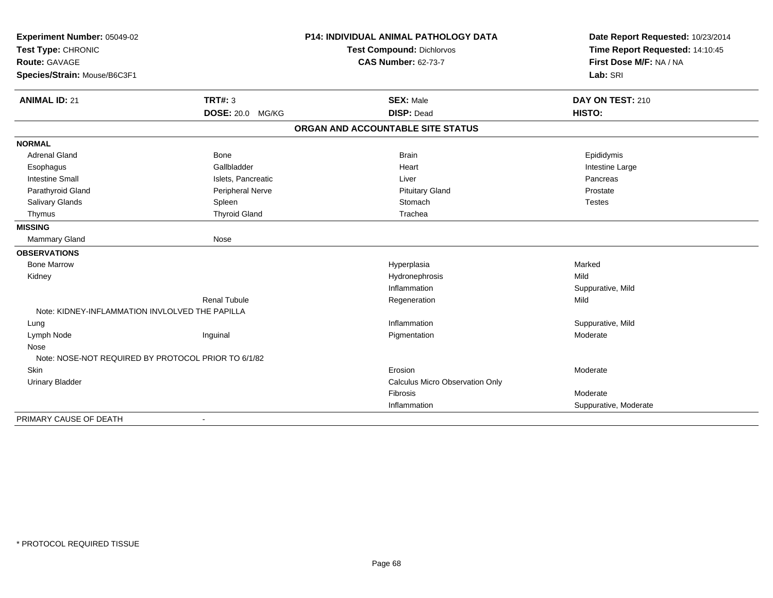| Experiment Number: 05049-02<br>Test Type: CHRONIC<br><b>Route: GAVAGE</b> |                      | <b>P14: INDIVIDUAL ANIMAL PATHOLOGY DATA</b> | Date Report Requested: 10/23/2014                          |
|---------------------------------------------------------------------------|----------------------|----------------------------------------------|------------------------------------------------------------|
|                                                                           |                      | <b>Test Compound: Dichlorvos</b>             | Time Report Requested: 14:10:45<br>First Dose M/F: NA / NA |
|                                                                           |                      | <b>CAS Number: 62-73-7</b>                   |                                                            |
| Species/Strain: Mouse/B6C3F1                                              |                      |                                              | Lab: SRI                                                   |
| <b>ANIMAL ID: 21</b>                                                      | <b>TRT#: 3</b>       | <b>SEX: Male</b>                             | DAY ON TEST: 210                                           |
|                                                                           | DOSE: 20.0 MG/KG     | <b>DISP: Dead</b>                            | HISTO:                                                     |
|                                                                           |                      | ORGAN AND ACCOUNTABLE SITE STATUS            |                                                            |
| <b>NORMAL</b>                                                             |                      |                                              |                                                            |
| <b>Adrenal Gland</b>                                                      | <b>Bone</b>          | <b>Brain</b>                                 | Epididymis                                                 |
| Esophagus                                                                 | Gallbladder          | Heart                                        | Intestine Large                                            |
| <b>Intestine Small</b>                                                    | Islets, Pancreatic   | Liver                                        | Pancreas                                                   |
| Parathyroid Gland                                                         | Peripheral Nerve     | <b>Pituitary Gland</b>                       | Prostate                                                   |
| Salivary Glands                                                           | Spleen               | Stomach                                      | <b>Testes</b>                                              |
| Thymus                                                                    | <b>Thyroid Gland</b> | Trachea                                      |                                                            |
| <b>MISSING</b>                                                            |                      |                                              |                                                            |
| Mammary Gland                                                             | Nose                 |                                              |                                                            |
| <b>OBSERVATIONS</b>                                                       |                      |                                              |                                                            |
| <b>Bone Marrow</b>                                                        |                      | Hyperplasia                                  | Marked                                                     |
| Kidney                                                                    |                      | Hydronephrosis                               | Mild                                                       |
|                                                                           |                      | Inflammation                                 | Suppurative, Mild                                          |
|                                                                           | <b>Renal Tubule</b>  | Regeneration                                 | Mild                                                       |
| Note: KIDNEY-INFLAMMATION INVLOLVED THE PAPILLA                           |                      |                                              |                                                            |
| Lung                                                                      |                      | Inflammation                                 | Suppurative, Mild                                          |
| Lymph Node                                                                | Inguinal             | Pigmentation                                 | Moderate                                                   |
| Nose                                                                      |                      |                                              |                                                            |
| Note: NOSE-NOT REQUIRED BY PROTOCOL PRIOR TO 6/1/82                       |                      |                                              |                                                            |
| Skin                                                                      |                      | Erosion                                      | Moderate                                                   |
| <b>Urinary Bladder</b>                                                    |                      | <b>Calculus Micro Observation Only</b>       |                                                            |
|                                                                           |                      | Fibrosis                                     | Moderate                                                   |
|                                                                           |                      | Inflammation                                 | Suppurative, Moderate                                      |
| PRIMARY CAUSE OF DEATH                                                    |                      |                                              |                                                            |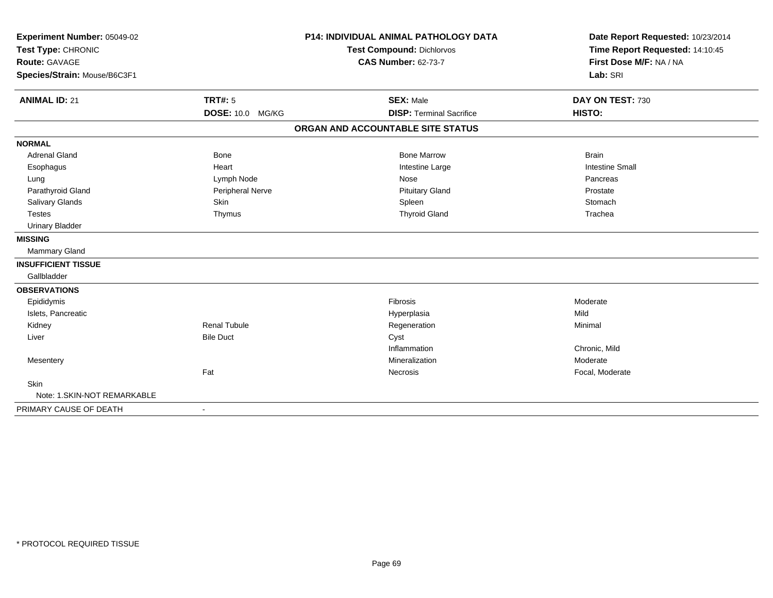| Experiment Number: 05049-02<br>Test Type: CHRONIC<br><b>Route: GAVAGE</b> |                     | <b>P14: INDIVIDUAL ANIMAL PATHOLOGY DATA</b> | Date Report Requested: 10/23/2014<br>Time Report Requested: 14:10:45<br>First Dose M/F: NA / NA |
|---------------------------------------------------------------------------|---------------------|----------------------------------------------|-------------------------------------------------------------------------------------------------|
|                                                                           |                     | <b>Test Compound: Dichlorvos</b>             |                                                                                                 |
|                                                                           |                     | <b>CAS Number: 62-73-7</b>                   |                                                                                                 |
| Species/Strain: Mouse/B6C3F1                                              |                     |                                              | Lab: SRI                                                                                        |
|                                                                           |                     |                                              |                                                                                                 |
| <b>ANIMAL ID: 21</b>                                                      | <b>TRT#: 5</b>      | <b>SEX: Male</b>                             | DAY ON TEST: 730                                                                                |
|                                                                           | DOSE: 10.0 MG/KG    | <b>DISP: Terminal Sacrifice</b>              | HISTO:                                                                                          |
|                                                                           |                     | ORGAN AND ACCOUNTABLE SITE STATUS            |                                                                                                 |
| <b>NORMAL</b>                                                             |                     |                                              |                                                                                                 |
| <b>Adrenal Gland</b>                                                      | <b>Bone</b>         | <b>Bone Marrow</b>                           | <b>Brain</b>                                                                                    |
| Esophagus                                                                 | Heart               | Intestine Large                              | <b>Intestine Small</b>                                                                          |
| Lung                                                                      | Lymph Node          | Nose                                         | Pancreas                                                                                        |
| Parathyroid Gland                                                         | Peripheral Nerve    | <b>Pituitary Gland</b>                       | Prostate                                                                                        |
| Salivary Glands                                                           | Skin                | Spleen                                       | Stomach                                                                                         |
| <b>Testes</b>                                                             | Thymus              | <b>Thyroid Gland</b>                         | Trachea                                                                                         |
| <b>Urinary Bladder</b>                                                    |                     |                                              |                                                                                                 |
| <b>MISSING</b>                                                            |                     |                                              |                                                                                                 |
| Mammary Gland                                                             |                     |                                              |                                                                                                 |
| <b>INSUFFICIENT TISSUE</b>                                                |                     |                                              |                                                                                                 |
| Gallbladder                                                               |                     |                                              |                                                                                                 |
| <b>OBSERVATIONS</b>                                                       |                     |                                              |                                                                                                 |
| Epididymis                                                                |                     | Fibrosis                                     | Moderate                                                                                        |
| Islets, Pancreatic                                                        |                     | Hyperplasia                                  | Mild                                                                                            |
| Kidney                                                                    | <b>Renal Tubule</b> | Regeneration                                 | Minimal                                                                                         |
| Liver                                                                     | <b>Bile Duct</b>    | Cyst                                         |                                                                                                 |
|                                                                           |                     | Inflammation                                 | Chronic, Mild                                                                                   |
| Mesentery                                                                 |                     | Mineralization                               | Moderate                                                                                        |
|                                                                           | Fat                 | Necrosis                                     | Focal, Moderate                                                                                 |
| Skin                                                                      |                     |                                              |                                                                                                 |
| Note: 1. SKIN-NOT REMARKABLE                                              |                     |                                              |                                                                                                 |
| PRIMARY CAUSE OF DEATH                                                    | $\sim$              |                                              |                                                                                                 |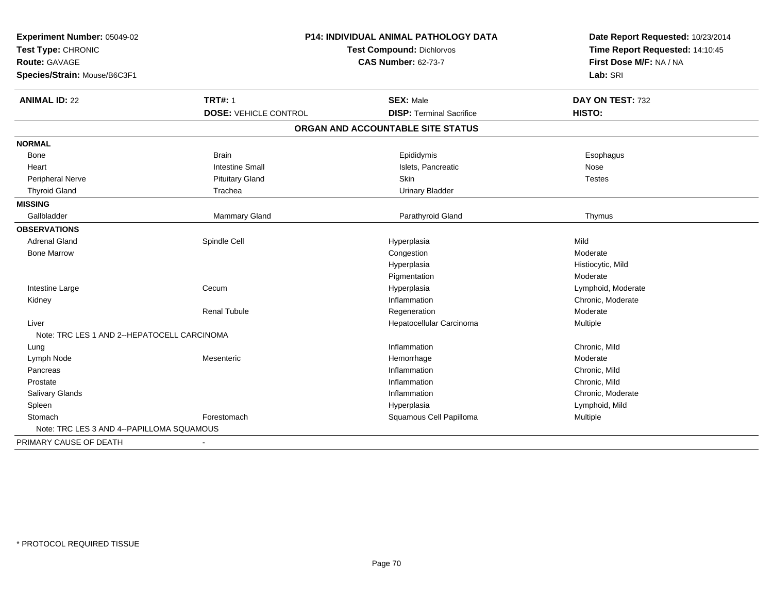| Experiment Number: 05049-02                 | <b>P14: INDIVIDUAL ANIMAL PATHOLOGY DATA</b> |                                   | Date Report Requested: 10/23/2014 |
|---------------------------------------------|----------------------------------------------|-----------------------------------|-----------------------------------|
| Test Type: CHRONIC                          |                                              | Test Compound: Dichlorvos         | Time Report Requested: 14:10:45   |
| Route: GAVAGE                               |                                              | <b>CAS Number: 62-73-7</b>        | First Dose M/F: NA / NA           |
| Species/Strain: Mouse/B6C3F1                |                                              |                                   | Lab: SRI                          |
| <b>ANIMAL ID: 22</b>                        | <b>TRT#: 1</b>                               | <b>SEX: Male</b>                  | DAY ON TEST: 732                  |
|                                             | <b>DOSE: VEHICLE CONTROL</b>                 | <b>DISP: Terminal Sacrifice</b>   | HISTO:                            |
|                                             |                                              | ORGAN AND ACCOUNTABLE SITE STATUS |                                   |
| <b>NORMAL</b>                               |                                              |                                   |                                   |
| Bone                                        | <b>Brain</b>                                 | Epididymis                        | Esophagus                         |
| Heart                                       | <b>Intestine Small</b>                       | Islets, Pancreatic                | Nose                              |
| Peripheral Nerve                            | <b>Pituitary Gland</b>                       | <b>Skin</b>                       | <b>Testes</b>                     |
| <b>Thyroid Gland</b>                        | Trachea                                      | <b>Urinary Bladder</b>            |                                   |
| <b>MISSING</b>                              |                                              |                                   |                                   |
| Gallbladder                                 | <b>Mammary Gland</b>                         | Parathyroid Gland                 | Thymus                            |
| <b>OBSERVATIONS</b>                         |                                              |                                   |                                   |
| <b>Adrenal Gland</b>                        | Spindle Cell                                 | Hyperplasia                       | Mild                              |
| <b>Bone Marrow</b>                          |                                              | Congestion                        | Moderate                          |
|                                             |                                              | Hyperplasia                       | Histiocytic, Mild                 |
|                                             |                                              | Pigmentation                      | Moderate                          |
| Intestine Large                             | Cecum                                        | Hyperplasia                       | Lymphoid, Moderate                |
| Kidney                                      |                                              | Inflammation                      | Chronic, Moderate                 |
|                                             | <b>Renal Tubule</b>                          | Regeneration                      | Moderate                          |
| Liver                                       |                                              | Hepatocellular Carcinoma          | Multiple                          |
| Note: TRC LES 1 AND 2--HEPATOCELL CARCINOMA |                                              |                                   |                                   |
| Lung                                        |                                              | Inflammation                      | Chronic, Mild                     |
| Lymph Node                                  | Mesenteric                                   | Hemorrhage                        | Moderate                          |
| Pancreas                                    |                                              | Inflammation                      | Chronic, Mild                     |
| Prostate                                    |                                              | Inflammation                      | Chronic, Mild                     |
| Salivary Glands                             |                                              | Inflammation                      | Chronic, Moderate                 |
| Spleen                                      |                                              | Hyperplasia                       | Lymphoid, Mild                    |
| Stomach                                     | Forestomach                                  | Squamous Cell Papilloma           | <b>Multiple</b>                   |
| Note: TRC LES 3 AND 4--PAPILLOMA SQUAMOUS   |                                              |                                   |                                   |
| PRIMARY CAUSE OF DEATH                      |                                              |                                   |                                   |
|                                             |                                              |                                   |                                   |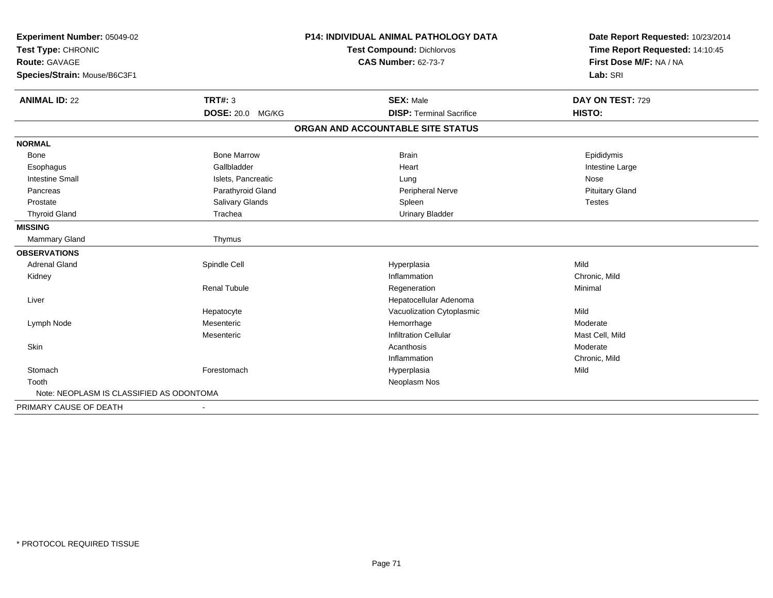| Experiment Number: 05049-02<br>Test Type: CHRONIC |                        | <b>P14: INDIVIDUAL ANIMAL PATHOLOGY DATA</b> | Date Report Requested: 10/23/2014<br>Time Report Requested: 14:10:45 |  |
|---------------------------------------------------|------------------------|----------------------------------------------|----------------------------------------------------------------------|--|
|                                                   |                        | Test Compound: Dichlorvos                    |                                                                      |  |
| <b>Route: GAVAGE</b>                              |                        | <b>CAS Number: 62-73-7</b>                   | First Dose M/F: NA / NA                                              |  |
| Species/Strain: Mouse/B6C3F1                      |                        |                                              | Lab: SRI                                                             |  |
| <b>ANIMAL ID: 22</b>                              | TRT#: 3                | <b>SEX: Male</b>                             | DAY ON TEST: 729                                                     |  |
|                                                   | DOSE: 20.0 MG/KG       | <b>DISP: Terminal Sacrifice</b>              | HISTO:                                                               |  |
|                                                   |                        | ORGAN AND ACCOUNTABLE SITE STATUS            |                                                                      |  |
| <b>NORMAL</b>                                     |                        |                                              |                                                                      |  |
| <b>Bone</b>                                       | <b>Bone Marrow</b>     | <b>Brain</b>                                 | Epididymis                                                           |  |
| Esophagus                                         | Gallbladder            | Heart                                        | Intestine Large                                                      |  |
| <b>Intestine Small</b>                            | Islets, Pancreatic     | Lung                                         | Nose                                                                 |  |
| Pancreas                                          | Parathyroid Gland      | Peripheral Nerve                             | <b>Pituitary Gland</b>                                               |  |
| Prostate                                          | <b>Salivary Glands</b> | Spleen                                       | <b>Testes</b>                                                        |  |
| <b>Thyroid Gland</b>                              | Trachea                | <b>Urinary Bladder</b>                       |                                                                      |  |
| <b>MISSING</b>                                    |                        |                                              |                                                                      |  |
| Mammary Gland                                     | Thymus                 |                                              |                                                                      |  |
| <b>OBSERVATIONS</b>                               |                        |                                              |                                                                      |  |
| <b>Adrenal Gland</b>                              | Spindle Cell           | Hyperplasia                                  | Mild                                                                 |  |
| Kidney                                            |                        | Inflammation                                 | Chronic, Mild                                                        |  |
|                                                   | <b>Renal Tubule</b>    | Regeneration                                 | Minimal                                                              |  |
| Liver                                             |                        | Hepatocellular Adenoma                       |                                                                      |  |
|                                                   | Hepatocyte             | Vacuolization Cytoplasmic                    | Mild                                                                 |  |
| Lymph Node                                        | Mesenteric             | Hemorrhage                                   | Moderate                                                             |  |
|                                                   | Mesenteric             | <b>Infiltration Cellular</b>                 | Mast Cell, Mild                                                      |  |
| Skin                                              |                        | Acanthosis                                   | Moderate                                                             |  |
|                                                   |                        | Inflammation                                 | Chronic, Mild                                                        |  |
| Stomach                                           | Forestomach            | Hyperplasia                                  | Mild                                                                 |  |
| Tooth                                             |                        | Neoplasm Nos                                 |                                                                      |  |
| Note: NEOPLASM IS CLASSIFIED AS ODONTOMA          |                        |                                              |                                                                      |  |
| PRIMARY CAUSE OF DEATH                            |                        |                                              |                                                                      |  |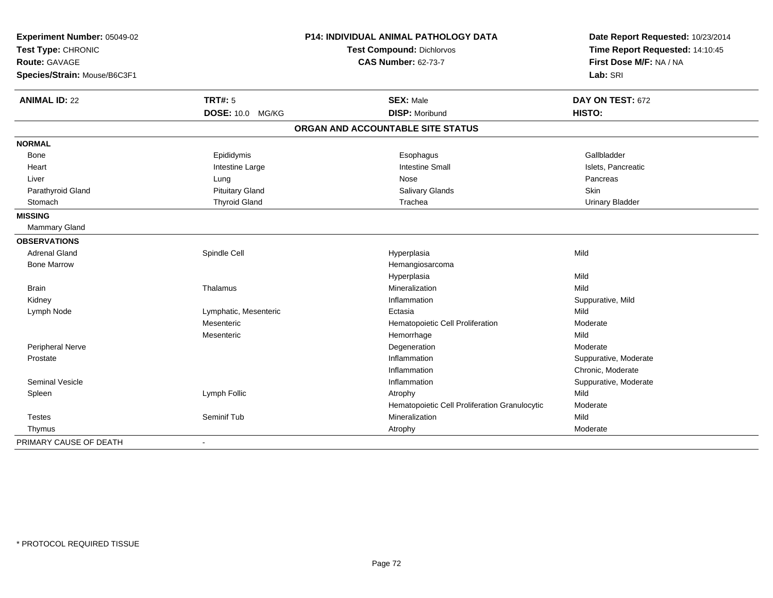| Experiment Number: 05049-02<br>Test Type: CHRONIC |                            | <b>P14: INDIVIDUAL ANIMAL PATHOLOGY DATA</b>  | Date Report Requested: 10/23/2014<br>Time Report Requested: 14:10:45 |
|---------------------------------------------------|----------------------------|-----------------------------------------------|----------------------------------------------------------------------|
|                                                   |                            | <b>Test Compound: Dichlorvos</b>              |                                                                      |
| Route: GAVAGE                                     |                            | <b>CAS Number: 62-73-7</b>                    | First Dose M/F: NA / NA                                              |
| Species/Strain: Mouse/B6C3F1                      |                            |                                               | Lab: SRI                                                             |
| <b>ANIMAL ID: 22</b>                              | <b>TRT#: 5</b>             | <b>SEX: Male</b>                              | DAY ON TEST: 672                                                     |
|                                                   | <b>DOSE: 10.0</b><br>MG/KG | <b>DISP: Moribund</b>                         | HISTO:                                                               |
|                                                   |                            | ORGAN AND ACCOUNTABLE SITE STATUS             |                                                                      |
| <b>NORMAL</b>                                     |                            |                                               |                                                                      |
| Bone                                              | Epididymis                 | Esophagus                                     | Gallbladder                                                          |
| Heart                                             | Intestine Large            | <b>Intestine Small</b>                        | Islets, Pancreatic                                                   |
| Liver                                             | Lung                       | Nose                                          | Pancreas                                                             |
| Parathyroid Gland                                 | <b>Pituitary Gland</b>     | Salivary Glands                               | <b>Skin</b>                                                          |
| Stomach                                           | <b>Thyroid Gland</b>       | Trachea                                       | <b>Urinary Bladder</b>                                               |
| <b>MISSING</b>                                    |                            |                                               |                                                                      |
| Mammary Gland                                     |                            |                                               |                                                                      |
| <b>OBSERVATIONS</b>                               |                            |                                               |                                                                      |
| <b>Adrenal Gland</b>                              | Spindle Cell               | Hyperplasia                                   | Mild                                                                 |
| <b>Bone Marrow</b>                                |                            | Hemangiosarcoma                               |                                                                      |
|                                                   |                            | Hyperplasia                                   | Mild                                                                 |
| <b>Brain</b>                                      | Thalamus                   | Mineralization                                | Mild                                                                 |
| Kidney                                            |                            | Inflammation                                  | Suppurative, Mild                                                    |
| Lymph Node                                        | Lymphatic, Mesenteric      | Ectasia                                       | Mild                                                                 |
|                                                   | Mesenteric                 | Hematopoietic Cell Proliferation              | Moderate                                                             |
|                                                   | Mesenteric                 | Hemorrhage                                    | Mild                                                                 |
| Peripheral Nerve                                  |                            | Degeneration                                  | Moderate                                                             |
| Prostate                                          |                            | Inflammation                                  | Suppurative, Moderate                                                |
|                                                   |                            | Inflammation                                  | Chronic, Moderate                                                    |
| <b>Seminal Vesicle</b>                            |                            | Inflammation                                  | Suppurative, Moderate                                                |
| Spleen                                            | Lymph Follic               | Atrophy                                       | Mild                                                                 |
|                                                   |                            | Hematopoietic Cell Proliferation Granulocytic | Moderate                                                             |
| <b>Testes</b>                                     | Seminif Tub                | Mineralization                                | Mild                                                                 |
| Thymus                                            |                            | Atrophy                                       | Moderate                                                             |
| PRIMARY CAUSE OF DEATH                            |                            |                                               |                                                                      |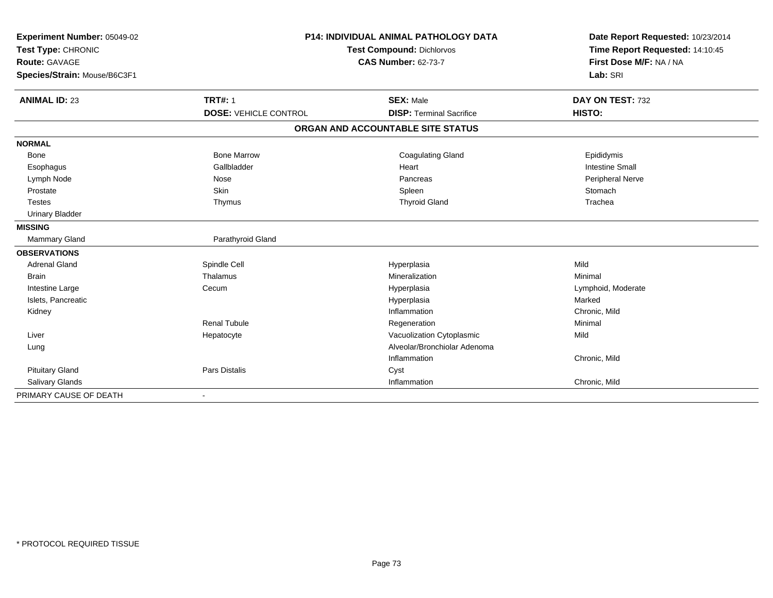| Experiment Number: 05049-02  |                              | <b>P14: INDIVIDUAL ANIMAL PATHOLOGY DATA</b> |                                                                      |
|------------------------------|------------------------------|----------------------------------------------|----------------------------------------------------------------------|
| Test Type: CHRONIC           |                              | <b>Test Compound: Dichlorvos</b>             | Date Report Requested: 10/23/2014<br>Time Report Requested: 14:10:45 |
| <b>Route: GAVAGE</b>         |                              | <b>CAS Number: 62-73-7</b>                   | First Dose M/F: NA / NA                                              |
| Species/Strain: Mouse/B6C3F1 |                              |                                              | Lab: SRI                                                             |
|                              |                              |                                              |                                                                      |
| <b>ANIMAL ID: 23</b>         | <b>TRT#: 1</b>               | <b>SEX: Male</b>                             | DAY ON TEST: 732                                                     |
|                              | <b>DOSE: VEHICLE CONTROL</b> | <b>DISP: Terminal Sacrifice</b>              | HISTO:                                                               |
|                              |                              | ORGAN AND ACCOUNTABLE SITE STATUS            |                                                                      |
| <b>NORMAL</b>                |                              |                                              |                                                                      |
| Bone                         | <b>Bone Marrow</b>           | <b>Coagulating Gland</b>                     | Epididymis                                                           |
| Esophagus                    | Gallbladder                  | Heart                                        | <b>Intestine Small</b>                                               |
| Lymph Node                   | Nose                         | Pancreas                                     | Peripheral Nerve                                                     |
| Prostate                     | Skin                         | Spleen                                       | Stomach                                                              |
| <b>Testes</b>                | Thymus                       | <b>Thyroid Gland</b>                         | Trachea                                                              |
| <b>Urinary Bladder</b>       |                              |                                              |                                                                      |
| <b>MISSING</b>               |                              |                                              |                                                                      |
| Mammary Gland                | Parathyroid Gland            |                                              |                                                                      |
| <b>OBSERVATIONS</b>          |                              |                                              |                                                                      |
| <b>Adrenal Gland</b>         | Spindle Cell                 | Hyperplasia                                  | Mild                                                                 |
| <b>Brain</b>                 | Thalamus                     | Mineralization                               | Minimal                                                              |
| Intestine Large              | Cecum                        | Hyperplasia                                  | Lymphoid, Moderate                                                   |
| Islets, Pancreatic           |                              | Hyperplasia                                  | Marked                                                               |
| Kidney                       |                              | Inflammation                                 | Chronic, Mild                                                        |
|                              | <b>Renal Tubule</b>          | Regeneration                                 | Minimal                                                              |
| Liver                        | Hepatocyte                   | Vacuolization Cytoplasmic                    | Mild                                                                 |
| Lung                         |                              | Alveolar/Bronchiolar Adenoma                 |                                                                      |
|                              |                              | Inflammation                                 | Chronic, Mild                                                        |
| <b>Pituitary Gland</b>       | Pars Distalis                | Cyst                                         |                                                                      |
| Salivary Glands              |                              | Inflammation                                 | Chronic, Mild                                                        |
| PRIMARY CAUSE OF DEATH       | $\overline{\phantom{a}}$     |                                              |                                                                      |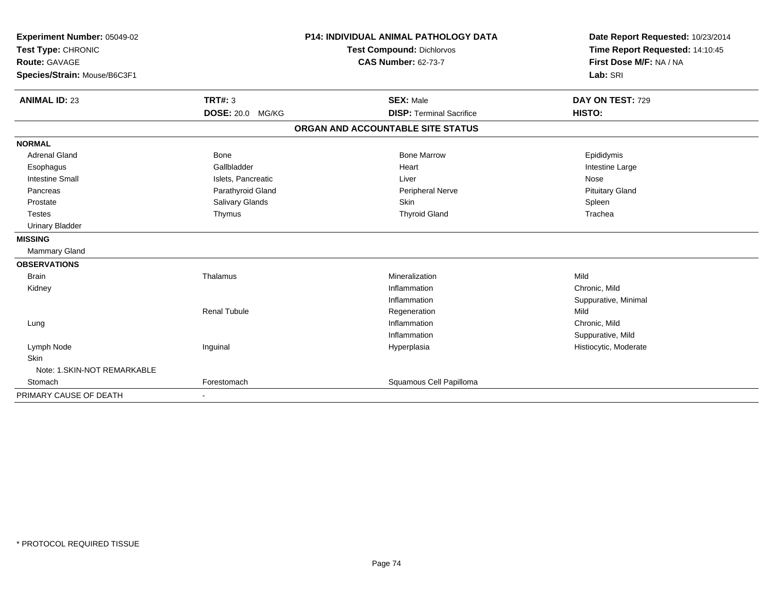| Experiment Number: 05049-02                |                         | <b>P14: INDIVIDUAL ANIMAL PATHOLOGY DATA</b> | Date Report Requested: 10/23/2014                          |
|--------------------------------------------|-------------------------|----------------------------------------------|------------------------------------------------------------|
| Test Type: CHRONIC<br><b>Route: GAVAGE</b> |                         | <b>Test Compound: Dichlorvos</b>             | Time Report Requested: 14:10:45<br>First Dose M/F: NA / NA |
|                                            |                         | <b>CAS Number: 62-73-7</b>                   |                                                            |
| Species/Strain: Mouse/B6C3F1               |                         |                                              | Lab: SRI                                                   |
| <b>ANIMAL ID: 23</b>                       | <b>TRT#: 3</b>          | <b>SEX: Male</b>                             | DAY ON TEST: 729                                           |
|                                            | <b>DOSE: 20.0 MG/KG</b> | <b>DISP: Terminal Sacrifice</b>              | HISTO:                                                     |
|                                            |                         | ORGAN AND ACCOUNTABLE SITE STATUS            |                                                            |
| <b>NORMAL</b>                              |                         |                                              |                                                            |
| <b>Adrenal Gland</b>                       | Bone                    | <b>Bone Marrow</b>                           | Epididymis                                                 |
| Esophagus                                  | Gallbladder             | Heart                                        | Intestine Large                                            |
| <b>Intestine Small</b>                     | Islets, Pancreatic      | Liver                                        | Nose                                                       |
| Pancreas                                   | Parathyroid Gland       | <b>Peripheral Nerve</b>                      | <b>Pituitary Gland</b>                                     |
| Prostate                                   | Salivary Glands         | Skin                                         | Spleen                                                     |
| <b>Testes</b>                              | Thymus                  | <b>Thyroid Gland</b>                         | Trachea                                                    |
| <b>Urinary Bladder</b>                     |                         |                                              |                                                            |
| <b>MISSING</b>                             |                         |                                              |                                                            |
| <b>Mammary Gland</b>                       |                         |                                              |                                                            |
| <b>OBSERVATIONS</b>                        |                         |                                              |                                                            |
| <b>Brain</b>                               | Thalamus                | Mineralization                               | Mild                                                       |
| Kidney                                     |                         | Inflammation                                 | Chronic, Mild                                              |
|                                            |                         | Inflammation                                 | Suppurative, Minimal                                       |
|                                            | <b>Renal Tubule</b>     | Regeneration                                 | Mild                                                       |
| Lung                                       |                         | Inflammation                                 | Chronic, Mild                                              |
|                                            |                         | Inflammation                                 | Suppurative, Mild                                          |
| Lymph Node                                 | Inguinal                | Hyperplasia                                  | Histiocytic, Moderate                                      |
| <b>Skin</b>                                |                         |                                              |                                                            |
| Note: 1. SKIN-NOT REMARKABLE               |                         |                                              |                                                            |
| Stomach                                    | Forestomach             | Squamous Cell Papilloma                      |                                                            |
| PRIMARY CAUSE OF DEATH                     |                         |                                              |                                                            |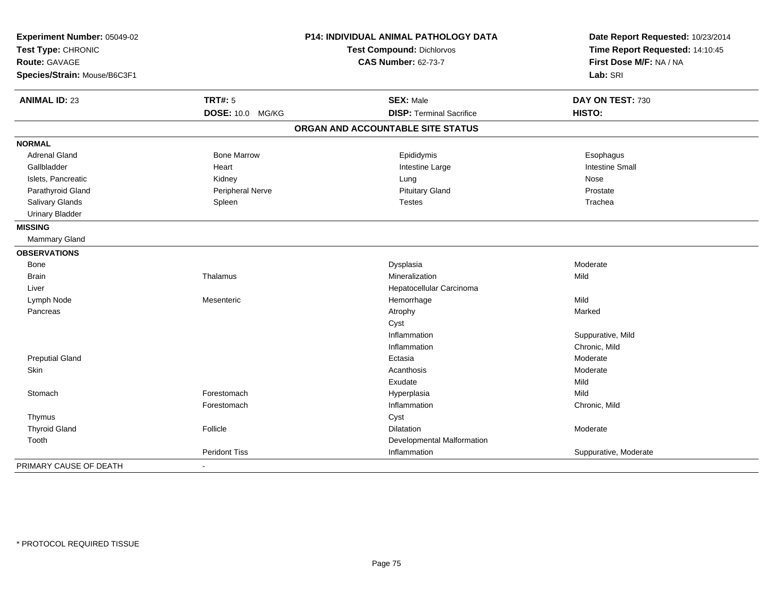| Experiment Number: 05049-02<br>Test Type: CHRONIC |                      | P14: INDIVIDUAL ANIMAL PATHOLOGY DATA | Date Report Requested: 10/23/2014 |
|---------------------------------------------------|----------------------|---------------------------------------|-----------------------------------|
|                                                   |                      | Test Compound: Dichlorvos             | Time Report Requested: 14:10:45   |
| Route: GAVAGE                                     |                      | <b>CAS Number: 62-73-7</b>            | First Dose M/F: NA / NA           |
| Species/Strain: Mouse/B6C3F1                      |                      |                                       | Lab: SRI                          |
| <b>ANIMAL ID: 23</b>                              | <b>TRT#: 5</b>       | <b>SEX: Male</b>                      | DAY ON TEST: 730                  |
|                                                   | DOSE: 10.0 MG/KG     | <b>DISP: Terminal Sacrifice</b>       | HISTO:                            |
|                                                   |                      | ORGAN AND ACCOUNTABLE SITE STATUS     |                                   |
| <b>NORMAL</b>                                     |                      |                                       |                                   |
| <b>Adrenal Gland</b>                              | <b>Bone Marrow</b>   | Epididymis                            | Esophagus                         |
| Gallbladder                                       | Heart                | Intestine Large                       | <b>Intestine Small</b>            |
| Islets, Pancreatic                                | Kidney               | Lung                                  | Nose                              |
| Parathyroid Gland                                 | Peripheral Nerve     | <b>Pituitary Gland</b>                | Prostate                          |
| Salivary Glands                                   | Spleen               | <b>Testes</b>                         | Trachea                           |
| <b>Urinary Bladder</b>                            |                      |                                       |                                   |
| <b>MISSING</b>                                    |                      |                                       |                                   |
| Mammary Gland                                     |                      |                                       |                                   |
| <b>OBSERVATIONS</b>                               |                      |                                       |                                   |
| Bone                                              |                      | Dysplasia                             | Moderate                          |
| <b>Brain</b>                                      | Thalamus             | Mineralization                        | Mild                              |
| Liver                                             |                      | Hepatocellular Carcinoma              |                                   |
| Lymph Node                                        | Mesenteric           | Hemorrhage                            | Mild                              |
| Pancreas                                          |                      | Atrophy                               | Marked                            |
|                                                   |                      | Cyst                                  |                                   |
|                                                   |                      | Inflammation                          | Suppurative, Mild                 |
|                                                   |                      | Inflammation                          | Chronic, Mild                     |
| <b>Preputial Gland</b>                            |                      | Ectasia                               | Moderate                          |
| Skin                                              |                      | Acanthosis                            | Moderate                          |
|                                                   |                      | Exudate                               | Mild                              |
| Stomach                                           | Forestomach          | Hyperplasia                           | Mild                              |
|                                                   | Forestomach          | Inflammation                          | Chronic, Mild                     |
| Thymus                                            |                      | Cyst                                  |                                   |
| <b>Thyroid Gland</b>                              | Follicle             | Dilatation                            | Moderate                          |
| Tooth                                             |                      | Developmental Malformation            |                                   |
|                                                   | <b>Peridont Tiss</b> | Inflammation                          | Suppurative, Moderate             |
| PRIMARY CAUSE OF DEATH                            |                      |                                       |                                   |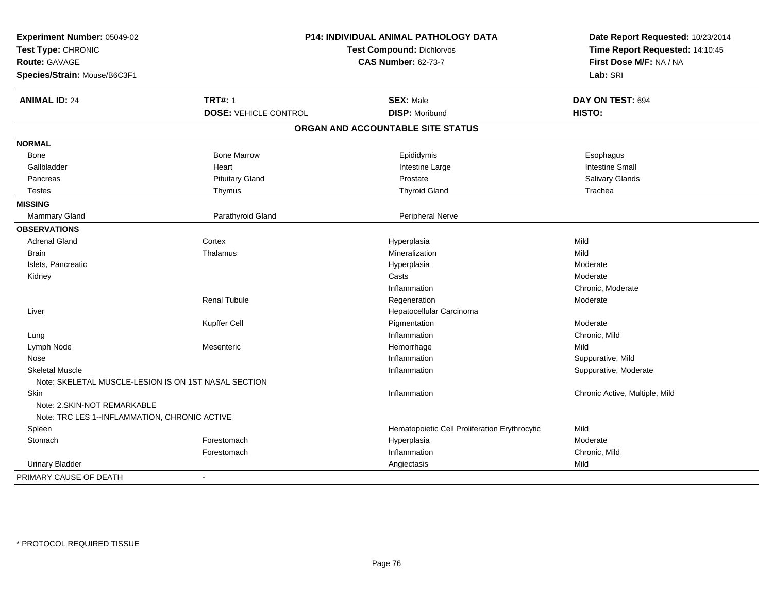| Experiment Number: 05049-02<br>Test Type: CHRONIC<br><b>Route: GAVAGE</b> |                              | P14: INDIVIDUAL ANIMAL PATHOLOGY DATA<br><b>Test Compound: Dichlorvos</b><br><b>CAS Number: 62-73-7</b> |                                |
|---------------------------------------------------------------------------|------------------------------|---------------------------------------------------------------------------------------------------------|--------------------------------|
| Species/Strain: Mouse/B6C3F1                                              |                              |                                                                                                         | Lab: SRI                       |
| <b>ANIMAL ID: 24</b>                                                      | <b>TRT#: 1</b>               | <b>SEX: Male</b>                                                                                        | DAY ON TEST: 694               |
|                                                                           | <b>DOSE: VEHICLE CONTROL</b> | <b>DISP: Moribund</b>                                                                                   | HISTO:                         |
|                                                                           |                              | ORGAN AND ACCOUNTABLE SITE STATUS                                                                       |                                |
| <b>NORMAL</b>                                                             |                              |                                                                                                         |                                |
| Bone                                                                      | <b>Bone Marrow</b>           | Epididymis                                                                                              | Esophagus                      |
| Gallbladder                                                               | Heart                        | Intestine Large                                                                                         | <b>Intestine Small</b>         |
| Pancreas                                                                  | <b>Pituitary Gland</b>       | Prostate                                                                                                | Salivary Glands                |
| <b>Testes</b>                                                             | Thymus                       | <b>Thyroid Gland</b>                                                                                    | Trachea                        |
| <b>MISSING</b>                                                            |                              |                                                                                                         |                                |
| Mammary Gland                                                             | Parathyroid Gland            | Peripheral Nerve                                                                                        |                                |
| <b>OBSERVATIONS</b>                                                       |                              |                                                                                                         |                                |
| <b>Adrenal Gland</b>                                                      | Cortex                       | Hyperplasia                                                                                             | Mild                           |
| Brain                                                                     | Thalamus                     | Mineralization                                                                                          | Mild                           |
| Islets, Pancreatic                                                        |                              | Hyperplasia                                                                                             | Moderate                       |
| Kidney                                                                    |                              | Casts                                                                                                   | Moderate                       |
|                                                                           |                              | Inflammation                                                                                            | Chronic, Moderate              |
|                                                                           | Renal Tubule                 | Regeneration                                                                                            | Moderate                       |
| Liver                                                                     |                              | Hepatocellular Carcinoma                                                                                |                                |
|                                                                           | Kupffer Cell                 | Pigmentation                                                                                            | Moderate                       |
| Lung                                                                      |                              | Inflammation                                                                                            | Chronic, Mild                  |
| Lymph Node                                                                | Mesenteric                   | Hemorrhage                                                                                              | Mild                           |
| Nose                                                                      |                              | Inflammation                                                                                            | Suppurative, Mild              |
| <b>Skeletal Muscle</b>                                                    |                              | Inflammation                                                                                            | Suppurative, Moderate          |
| Note: SKELETAL MUSCLE-LESION IS ON 1ST NASAL SECTION                      |                              |                                                                                                         |                                |
| Skin                                                                      |                              | Inflammation                                                                                            | Chronic Active, Multiple, Mild |
| Note: 2. SKIN-NOT REMARKABLE                                              |                              |                                                                                                         |                                |
| Note: TRC LES 1--INFLAMMATION, CHRONIC ACTIVE                             |                              |                                                                                                         |                                |
| Spleen                                                                    |                              | Hematopoietic Cell Proliferation Erythrocytic                                                           | Mild                           |
| Stomach                                                                   | Forestomach                  | Hyperplasia                                                                                             | Moderate                       |
|                                                                           | Forestomach                  | Inflammation                                                                                            | Chronic, Mild                  |
| <b>Urinary Bladder</b>                                                    |                              | Angiectasis                                                                                             | Mild                           |
| PRIMARY CAUSE OF DEATH                                                    | $\blacksquare$               |                                                                                                         |                                |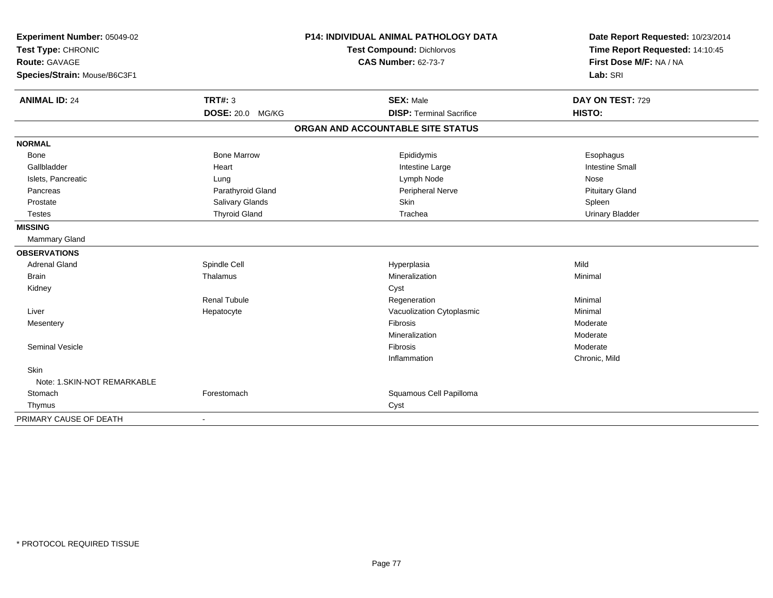| Experiment Number: 05049-02<br>Test Type: CHRONIC |                         | P14: INDIVIDUAL ANIMAL PATHOLOGY DATA | Date Report Requested: 10/23/2014 |
|---------------------------------------------------|-------------------------|---------------------------------------|-----------------------------------|
|                                                   |                         | Test Compound: Dichlorvos             | Time Report Requested: 14:10:45   |
| <b>Route: GAVAGE</b>                              |                         | <b>CAS Number: 62-73-7</b>            | First Dose M/F: NA / NA           |
| Species/Strain: Mouse/B6C3F1                      |                         |                                       | Lab: SRI                          |
| <b>ANIMAL ID: 24</b>                              | <b>TRT#: 3</b>          | <b>SEX: Male</b>                      | DAY ON TEST: 729                  |
|                                                   | <b>DOSE: 20.0 MG/KG</b> | <b>DISP: Terminal Sacrifice</b>       | HISTO:                            |
|                                                   |                         | ORGAN AND ACCOUNTABLE SITE STATUS     |                                   |
| <b>NORMAL</b>                                     |                         |                                       |                                   |
| Bone                                              | <b>Bone Marrow</b>      | Epididymis                            | Esophagus                         |
| Gallbladder                                       | Heart                   | Intestine Large                       | <b>Intestine Small</b>            |
| Islets, Pancreatic                                | Lung                    | Lymph Node                            | Nose                              |
| Pancreas                                          | Parathyroid Gland       | Peripheral Nerve                      | <b>Pituitary Gland</b>            |
| Prostate                                          | Salivary Glands         | Skin                                  | Spleen                            |
| <b>Testes</b>                                     | <b>Thyroid Gland</b>    | Trachea                               | <b>Urinary Bladder</b>            |
| <b>MISSING</b>                                    |                         |                                       |                                   |
| Mammary Gland                                     |                         |                                       |                                   |
| <b>OBSERVATIONS</b>                               |                         |                                       |                                   |
| <b>Adrenal Gland</b>                              | Spindle Cell            | Hyperplasia                           | Mild                              |
| <b>Brain</b>                                      | Thalamus                | Mineralization                        | Minimal                           |
| Kidney                                            |                         | Cyst                                  |                                   |
|                                                   | <b>Renal Tubule</b>     | Regeneration                          | Minimal                           |
| Liver                                             | Hepatocyte              | Vacuolization Cytoplasmic             | Minimal                           |
| Mesentery                                         |                         | Fibrosis                              | Moderate                          |
|                                                   |                         | Mineralization                        | Moderate                          |
| <b>Seminal Vesicle</b>                            |                         | Fibrosis                              | Moderate                          |
|                                                   |                         | Inflammation                          | Chronic, Mild                     |
| Skin                                              |                         |                                       |                                   |
| Note: 1.SKIN-NOT REMARKABLE                       |                         |                                       |                                   |
| Stomach                                           | Forestomach             | Squamous Cell Papilloma               |                                   |
| Thymus                                            |                         | Cyst                                  |                                   |
| PRIMARY CAUSE OF DEATH                            |                         |                                       |                                   |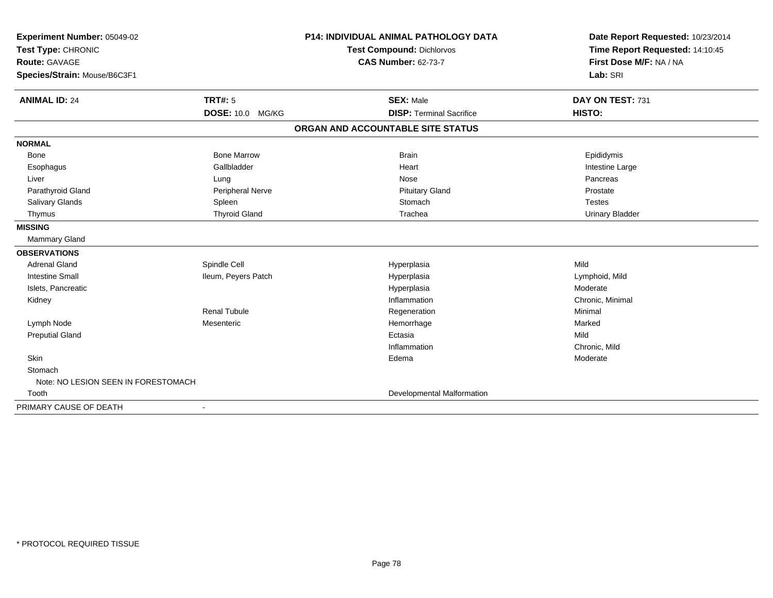| Experiment Number: 05049-02<br>Test Type: CHRONIC<br><b>Route: GAVAGE</b> |                      | <b>P14: INDIVIDUAL ANIMAL PATHOLOGY DATA</b> | Date Report Requested: 10/23/2014<br>Time Report Requested: 14:10:45<br>First Dose M/F: NA / NA |
|---------------------------------------------------------------------------|----------------------|----------------------------------------------|-------------------------------------------------------------------------------------------------|
|                                                                           |                      | Test Compound: Dichlorvos                    |                                                                                                 |
|                                                                           |                      | <b>CAS Number: 62-73-7</b>                   |                                                                                                 |
| Species/Strain: Mouse/B6C3F1                                              |                      |                                              | Lab: SRI                                                                                        |
| <b>ANIMAL ID: 24</b>                                                      | TRT#: 5              | <b>SEX: Male</b>                             | DAY ON TEST: 731                                                                                |
|                                                                           | DOSE: 10.0 MG/KG     | <b>DISP: Terminal Sacrifice</b>              | HISTO:                                                                                          |
|                                                                           |                      | ORGAN AND ACCOUNTABLE SITE STATUS            |                                                                                                 |
| <b>NORMAL</b>                                                             |                      |                                              |                                                                                                 |
| <b>Bone</b>                                                               | <b>Bone Marrow</b>   | <b>Brain</b>                                 | Epididymis                                                                                      |
| Esophagus                                                                 | Gallbladder          | Heart                                        | Intestine Large                                                                                 |
| Liver                                                                     | Lung                 | Nose                                         | Pancreas                                                                                        |
| Parathyroid Gland                                                         | Peripheral Nerve     | <b>Pituitary Gland</b>                       | Prostate                                                                                        |
| Salivary Glands                                                           | Spleen               | Stomach                                      | <b>Testes</b>                                                                                   |
| Thymus                                                                    | <b>Thyroid Gland</b> | Trachea                                      | <b>Urinary Bladder</b>                                                                          |
| <b>MISSING</b>                                                            |                      |                                              |                                                                                                 |
| <b>Mammary Gland</b>                                                      |                      |                                              |                                                                                                 |
| <b>OBSERVATIONS</b>                                                       |                      |                                              |                                                                                                 |
| <b>Adrenal Gland</b>                                                      | Spindle Cell         | Hyperplasia                                  | Mild                                                                                            |
| <b>Intestine Small</b>                                                    | Ileum, Peyers Patch  | Hyperplasia                                  | Lymphoid, Mild                                                                                  |
| Islets, Pancreatic                                                        |                      | Hyperplasia                                  | Moderate                                                                                        |
| Kidney                                                                    |                      | Inflammation                                 | Chronic, Minimal                                                                                |
|                                                                           | <b>Renal Tubule</b>  | Regeneration                                 | Minimal                                                                                         |
| Lymph Node                                                                | Mesenteric           | Hemorrhage                                   | Marked                                                                                          |
| <b>Preputial Gland</b>                                                    |                      | Ectasia                                      | Mild                                                                                            |
|                                                                           |                      | Inflammation                                 | Chronic, Mild                                                                                   |
| Skin                                                                      |                      | Edema                                        | Moderate                                                                                        |
| Stomach                                                                   |                      |                                              |                                                                                                 |
| Note: NO LESION SEEN IN FORESTOMACH                                       |                      |                                              |                                                                                                 |
| Tooth                                                                     |                      | Developmental Malformation                   |                                                                                                 |
| PRIMARY CAUSE OF DEATH                                                    |                      |                                              |                                                                                                 |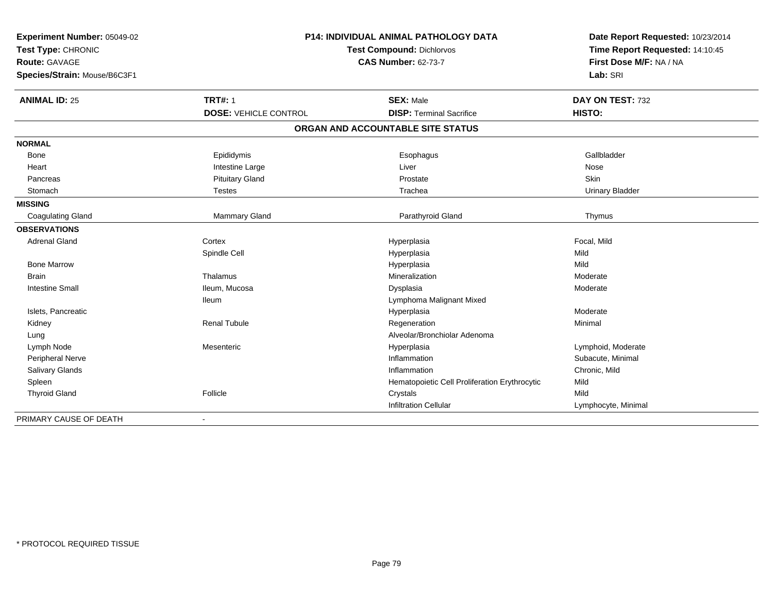| Experiment Number: 05049-02  |                              | <b>P14: INDIVIDUAL ANIMAL PATHOLOGY DATA</b>  | Date Report Requested: 10/23/2014 |
|------------------------------|------------------------------|-----------------------------------------------|-----------------------------------|
| Test Type: CHRONIC           | Test Compound: Dichlorvos    |                                               | Time Report Requested: 14:10:45   |
| Route: GAVAGE                |                              | <b>CAS Number: 62-73-7</b>                    | First Dose M/F: NA / NA           |
| Species/Strain: Mouse/B6C3F1 |                              |                                               | Lab: SRI                          |
| <b>ANIMAL ID: 25</b>         | <b>TRT#: 1</b>               | <b>SEX: Male</b>                              | DAY ON TEST: 732                  |
|                              | <b>DOSE: VEHICLE CONTROL</b> | <b>DISP: Terminal Sacrifice</b>               | HISTO:                            |
|                              |                              | ORGAN AND ACCOUNTABLE SITE STATUS             |                                   |
| <b>NORMAL</b>                |                              |                                               |                                   |
| Bone                         | Epididymis                   | Esophagus                                     | Gallbladder                       |
| Heart                        | Intestine Large              | Liver                                         | Nose                              |
| Pancreas                     | <b>Pituitary Gland</b>       | Prostate                                      | Skin                              |
| Stomach                      | <b>Testes</b>                | Trachea                                       | <b>Urinary Bladder</b>            |
| <b>MISSING</b>               |                              |                                               |                                   |
| <b>Coagulating Gland</b>     | Mammary Gland                | Parathyroid Gland                             | Thymus                            |
| <b>OBSERVATIONS</b>          |                              |                                               |                                   |
| <b>Adrenal Gland</b>         | Cortex                       | Hyperplasia                                   | Focal, Mild                       |
|                              | Spindle Cell                 | Hyperplasia                                   | Mild                              |
| <b>Bone Marrow</b>           |                              | Hyperplasia                                   | Mild                              |
| <b>Brain</b>                 | Thalamus                     | Mineralization                                | Moderate                          |
| <b>Intestine Small</b>       | Ileum, Mucosa                | Dysplasia                                     | Moderate                          |
|                              | lleum                        | Lymphoma Malignant Mixed                      |                                   |
| Islets, Pancreatic           |                              | Hyperplasia                                   | Moderate                          |
| Kidney                       | <b>Renal Tubule</b>          | Regeneration                                  | Minimal                           |
| Lung                         |                              | Alveolar/Bronchiolar Adenoma                  |                                   |
| Lymph Node                   | Mesenteric                   | Hyperplasia                                   | Lymphoid, Moderate                |
| Peripheral Nerve             |                              | Inflammation                                  | Subacute, Minimal                 |
| <b>Salivary Glands</b>       |                              | Inflammation                                  | Chronic, Mild                     |
| Spleen                       |                              | Hematopoietic Cell Proliferation Erythrocytic | Mild                              |
| <b>Thyroid Gland</b>         | Follicle                     | Crystals                                      | Mild                              |
|                              |                              | <b>Infiltration Cellular</b>                  | Lymphocyte, Minimal               |
| PRIMARY CAUSE OF DEATH       |                              |                                               |                                   |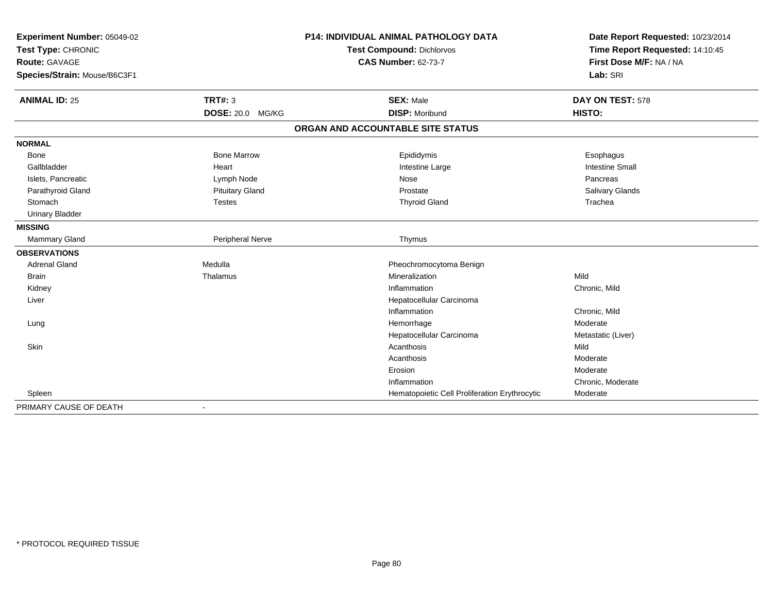| Experiment Number: 05049-02<br>Test Type: CHRONIC<br><b>Route: GAVAGE</b> |                         | <b>P14: INDIVIDUAL ANIMAL PATHOLOGY DATA</b>  | Date Report Requested: 10/23/2014<br>Time Report Requested: 14:10:45<br>First Dose M/F: NA / NA |
|---------------------------------------------------------------------------|-------------------------|-----------------------------------------------|-------------------------------------------------------------------------------------------------|
|                                                                           |                         | Test Compound: Dichlorvos                     |                                                                                                 |
|                                                                           |                         | <b>CAS Number: 62-73-7</b>                    |                                                                                                 |
| Species/Strain: Mouse/B6C3F1                                              |                         |                                               | Lab: SRI                                                                                        |
| <b>ANIMAL ID: 25</b>                                                      | TRT#: 3                 | <b>SEX: Male</b>                              | DAY ON TEST: 578                                                                                |
|                                                                           | <b>DOSE: 20.0 MG/KG</b> | <b>DISP: Moribund</b>                         | HISTO:                                                                                          |
|                                                                           |                         | ORGAN AND ACCOUNTABLE SITE STATUS             |                                                                                                 |
| <b>NORMAL</b>                                                             |                         |                                               |                                                                                                 |
| <b>Bone</b>                                                               | <b>Bone Marrow</b>      | Epididymis                                    | Esophagus                                                                                       |
| Gallbladder                                                               | Heart                   | Intestine Large                               | <b>Intestine Small</b>                                                                          |
| Islets, Pancreatic                                                        | Lymph Node              | Nose                                          | Pancreas                                                                                        |
| Parathyroid Gland                                                         | <b>Pituitary Gland</b>  | Prostate                                      | Salivary Glands                                                                                 |
| Stomach                                                                   | <b>Testes</b>           | <b>Thyroid Gland</b>                          | Trachea                                                                                         |
| <b>Urinary Bladder</b>                                                    |                         |                                               |                                                                                                 |
| <b>MISSING</b>                                                            |                         |                                               |                                                                                                 |
| Mammary Gland                                                             | Peripheral Nerve        | Thymus                                        |                                                                                                 |
| <b>OBSERVATIONS</b>                                                       |                         |                                               |                                                                                                 |
| <b>Adrenal Gland</b>                                                      | Medulla                 | Pheochromocytoma Benign                       |                                                                                                 |
| <b>Brain</b>                                                              | Thalamus                | Mineralization                                | Mild                                                                                            |
| Kidney                                                                    |                         | Inflammation                                  | Chronic, Mild                                                                                   |
| Liver                                                                     |                         | Hepatocellular Carcinoma                      |                                                                                                 |
|                                                                           |                         | Inflammation                                  | Chronic, Mild                                                                                   |
| Lung                                                                      |                         | Hemorrhage                                    | Moderate                                                                                        |
|                                                                           |                         | Hepatocellular Carcinoma                      | Metastatic (Liver)                                                                              |
| <b>Skin</b>                                                               |                         | Acanthosis                                    | Mild                                                                                            |
|                                                                           |                         | Acanthosis                                    | Moderate                                                                                        |
|                                                                           |                         | Erosion                                       | Moderate                                                                                        |
|                                                                           |                         | Inflammation                                  | Chronic, Moderate                                                                               |
| Spleen                                                                    |                         | Hematopoietic Cell Proliferation Erythrocytic | Moderate                                                                                        |
| PRIMARY CAUSE OF DEATH                                                    |                         |                                               |                                                                                                 |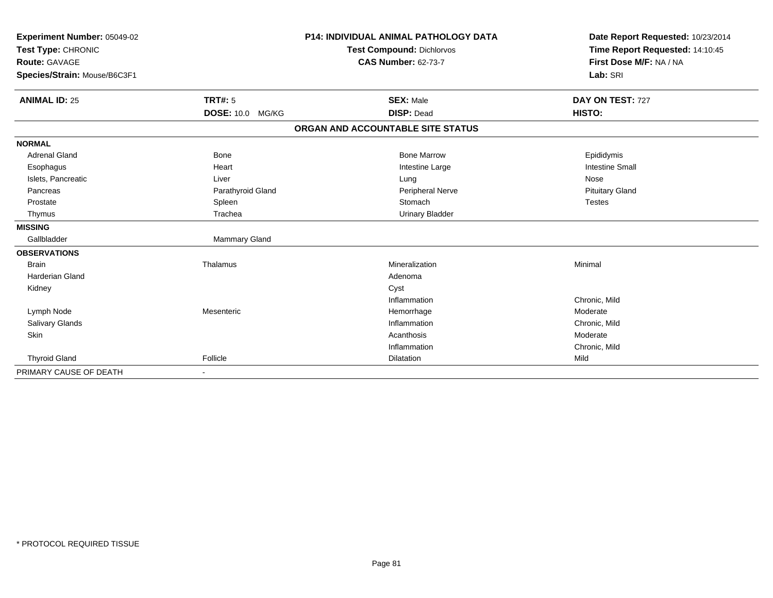| Experiment Number: 05049-02<br>Test Type: CHRONIC |                         | <b>P14: INDIVIDUAL ANIMAL PATHOLOGY DATA</b> | Date Report Requested: 10/23/2014 |
|---------------------------------------------------|-------------------------|----------------------------------------------|-----------------------------------|
|                                                   |                         | <b>Test Compound: Dichlorvos</b>             | Time Report Requested: 14:10:45   |
| <b>Route: GAVAGE</b>                              |                         | <b>CAS Number: 62-73-7</b>                   | First Dose M/F: NA / NA           |
| Species/Strain: Mouse/B6C3F1                      |                         |                                              | Lab: SRI                          |
| <b>ANIMAL ID: 25</b>                              | <b>TRT#: 5</b>          | <b>SEX: Male</b>                             | DAY ON TEST: 727                  |
|                                                   | <b>DOSE: 10.0 MG/KG</b> | <b>DISP: Dead</b>                            | HISTO:                            |
|                                                   |                         | ORGAN AND ACCOUNTABLE SITE STATUS            |                                   |
| <b>NORMAL</b>                                     |                         |                                              |                                   |
| <b>Adrenal Gland</b>                              | <b>Bone</b>             | <b>Bone Marrow</b>                           | Epididymis                        |
| Esophagus                                         | Heart                   | Intestine Large                              | <b>Intestine Small</b>            |
| Islets, Pancreatic                                | Liver                   | Lung                                         | Nose                              |
| Pancreas                                          | Parathyroid Gland       | Peripheral Nerve                             | <b>Pituitary Gland</b>            |
| Prostate                                          | Spleen                  | Stomach                                      | <b>Testes</b>                     |
| Thymus                                            | Trachea                 | <b>Urinary Bladder</b>                       |                                   |
| <b>MISSING</b>                                    |                         |                                              |                                   |
| Gallbladder                                       | Mammary Gland           |                                              |                                   |
| <b>OBSERVATIONS</b>                               |                         |                                              |                                   |
| <b>Brain</b>                                      | Thalamus                | Mineralization                               | Minimal                           |
| <b>Harderian Gland</b>                            |                         | Adenoma                                      |                                   |
| Kidney                                            |                         | Cyst                                         |                                   |
|                                                   |                         | Inflammation                                 | Chronic, Mild                     |
| Lymph Node                                        | Mesenteric              | Hemorrhage                                   | Moderate                          |
| Salivary Glands                                   |                         | Inflammation                                 | Chronic, Mild                     |
| Skin                                              |                         | Acanthosis                                   | Moderate                          |
|                                                   |                         | Inflammation                                 | Chronic, Mild                     |
| <b>Thyroid Gland</b>                              | Follicle                | Dilatation                                   | Mild                              |
| PRIMARY CAUSE OF DEATH                            |                         |                                              |                                   |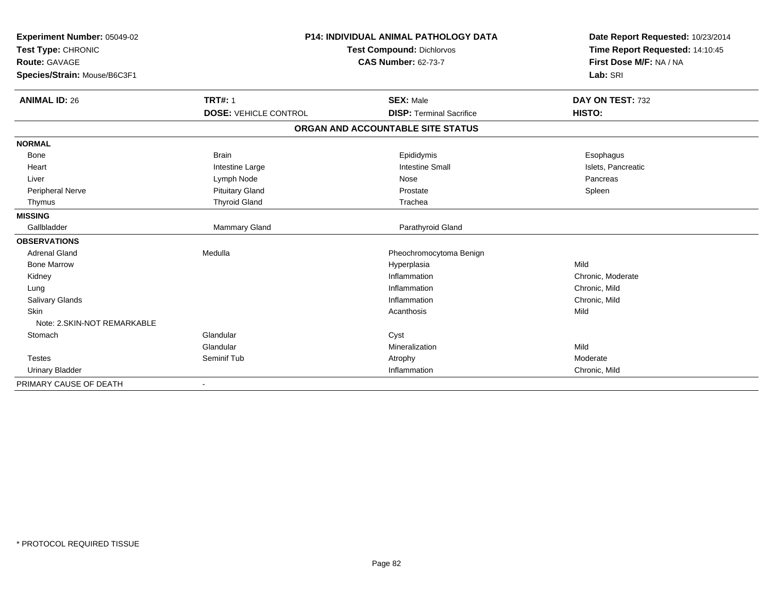| Experiment Number: 05049-02  | <b>P14: INDIVIDUAL ANIMAL PATHOLOGY DATA</b> |                                   | Date Report Requested: 10/23/2014                          |
|------------------------------|----------------------------------------------|-----------------------------------|------------------------------------------------------------|
| Test Type: CHRONIC           |                                              | <b>Test Compound: Dichlorvos</b>  | Time Report Requested: 14:10:45<br>First Dose M/F: NA / NA |
| <b>Route: GAVAGE</b>         | <b>CAS Number: 62-73-7</b>                   |                                   |                                                            |
| Species/Strain: Mouse/B6C3F1 |                                              |                                   | Lab: SRI                                                   |
| <b>ANIMAL ID: 26</b>         | <b>TRT#: 1</b>                               | <b>SEX: Male</b>                  | DAY ON TEST: 732                                           |
|                              | <b>DOSE: VEHICLE CONTROL</b>                 | <b>DISP: Terminal Sacrifice</b>   | HISTO:                                                     |
|                              |                                              | ORGAN AND ACCOUNTABLE SITE STATUS |                                                            |
| <b>NORMAL</b>                |                                              |                                   |                                                            |
| <b>Bone</b>                  | <b>Brain</b>                                 | Epididymis                        | Esophagus                                                  |
| Heart                        | Intestine Large                              | <b>Intestine Small</b>            | Islets, Pancreatic                                         |
| Liver                        | Lymph Node                                   | Nose                              | Pancreas                                                   |
| Peripheral Nerve             | <b>Pituitary Gland</b>                       | Prostate                          | Spleen                                                     |
| Thymus                       | <b>Thyroid Gland</b>                         | Trachea                           |                                                            |
| <b>MISSING</b>               |                                              |                                   |                                                            |
| Gallbladder                  | Mammary Gland                                | Parathyroid Gland                 |                                                            |
| <b>OBSERVATIONS</b>          |                                              |                                   |                                                            |
| <b>Adrenal Gland</b>         | Medulla                                      | Pheochromocytoma Benign           |                                                            |
| <b>Bone Marrow</b>           |                                              | Hyperplasia                       | Mild                                                       |
| Kidney                       |                                              | Inflammation                      | Chronic, Moderate                                          |
| Lung                         |                                              | Inflammation                      | Chronic, Mild                                              |
| <b>Salivary Glands</b>       |                                              | Inflammation                      | Chronic, Mild                                              |
| <b>Skin</b>                  |                                              | Acanthosis                        | Mild                                                       |
| Note: 2. SKIN-NOT REMARKABLE |                                              |                                   |                                                            |
| Stomach                      | Glandular                                    | Cyst                              |                                                            |
|                              | Glandular                                    | Mineralization                    | Mild                                                       |
| <b>Testes</b>                | Seminif Tub                                  | Atrophy                           | Moderate                                                   |
| <b>Urinary Bladder</b>       |                                              | Inflammation                      | Chronic, Mild                                              |
| PRIMARY CAUSE OF DEATH       | $\blacksquare$                               |                                   |                                                            |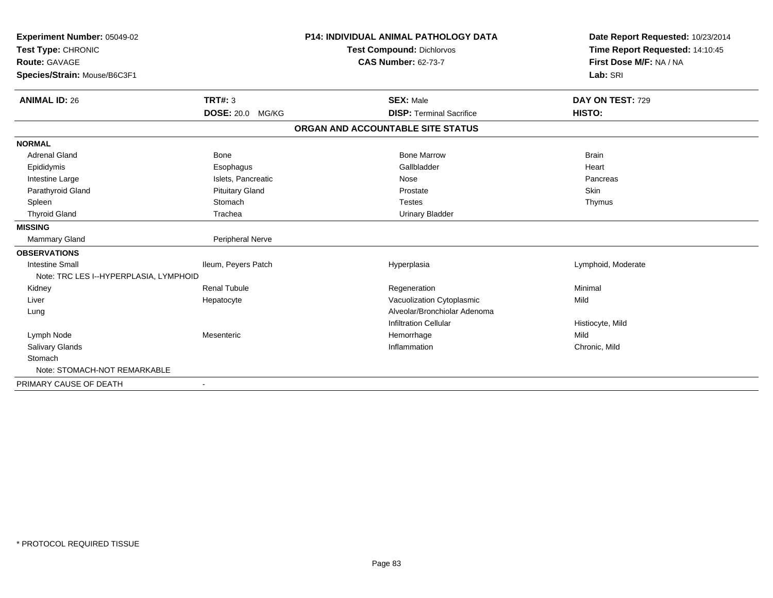| Experiment Number: 05049-02<br>Test Type: CHRONIC<br><b>Route: GAVAGE</b><br>Species/Strain: Mouse/B6C3F1 |                         | <b>P14: INDIVIDUAL ANIMAL PATHOLOGY DATA</b><br><b>Test Compound: Dichlorvos</b><br><b>CAS Number: 62-73-7</b> | Date Report Requested: 10/23/2014<br>Time Report Requested: 14:10:45<br>First Dose M/F: NA / NA<br>Lab: SRI |
|-----------------------------------------------------------------------------------------------------------|-------------------------|----------------------------------------------------------------------------------------------------------------|-------------------------------------------------------------------------------------------------------------|
| <b>ANIMAL ID: 26</b>                                                                                      | <b>TRT#: 3</b>          | <b>SEX: Male</b>                                                                                               | DAY ON TEST: 729                                                                                            |
|                                                                                                           | <b>DOSE: 20.0 MG/KG</b> | <b>DISP: Terminal Sacrifice</b>                                                                                | HISTO:                                                                                                      |
|                                                                                                           |                         | ORGAN AND ACCOUNTABLE SITE STATUS                                                                              |                                                                                                             |
| <b>NORMAL</b>                                                                                             |                         |                                                                                                                |                                                                                                             |
| <b>Adrenal Gland</b>                                                                                      | <b>Bone</b>             | <b>Bone Marrow</b>                                                                                             | <b>Brain</b>                                                                                                |
| Epididymis                                                                                                | Esophagus               | Gallbladder                                                                                                    | Heart                                                                                                       |
| Intestine Large                                                                                           | Islets, Pancreatic      | Nose                                                                                                           | Pancreas                                                                                                    |
| Parathyroid Gland                                                                                         | <b>Pituitary Gland</b>  | Prostate                                                                                                       | Skin                                                                                                        |
| Spleen                                                                                                    | Stomach                 | <b>Testes</b>                                                                                                  | Thymus                                                                                                      |
| <b>Thyroid Gland</b>                                                                                      | Trachea                 | <b>Urinary Bladder</b>                                                                                         |                                                                                                             |
| <b>MISSING</b>                                                                                            |                         |                                                                                                                |                                                                                                             |
| <b>Mammary Gland</b>                                                                                      | Peripheral Nerve        |                                                                                                                |                                                                                                             |
| <b>OBSERVATIONS</b>                                                                                       |                         |                                                                                                                |                                                                                                             |
| <b>Intestine Small</b>                                                                                    | Ileum, Peyers Patch     | Hyperplasia                                                                                                    | Lymphoid, Moderate                                                                                          |
| Note: TRC LES I--HYPERPLASIA, LYMPHOID                                                                    |                         |                                                                                                                |                                                                                                             |
| Kidney                                                                                                    | <b>Renal Tubule</b>     | Regeneration                                                                                                   | Minimal                                                                                                     |
| Liver                                                                                                     | Hepatocyte              | Vacuolization Cytoplasmic                                                                                      | Mild                                                                                                        |
| Lung                                                                                                      |                         | Alveolar/Bronchiolar Adenoma                                                                                   |                                                                                                             |
|                                                                                                           |                         | <b>Infiltration Cellular</b>                                                                                   | Histiocyte, Mild                                                                                            |
| Lymph Node                                                                                                | Mesenteric              | Hemorrhage                                                                                                     | Mild                                                                                                        |
| Salivary Glands                                                                                           |                         | Inflammation                                                                                                   | Chronic, Mild                                                                                               |
| Stomach                                                                                                   |                         |                                                                                                                |                                                                                                             |
| Note: STOMACH-NOT REMARKABLE                                                                              |                         |                                                                                                                |                                                                                                             |
| PRIMARY CAUSE OF DEATH                                                                                    |                         |                                                                                                                |                                                                                                             |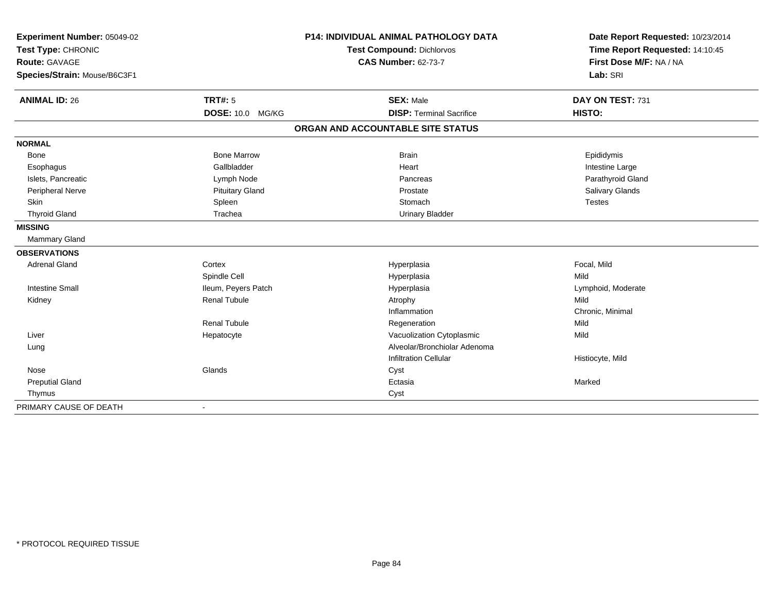| Experiment Number: 05049-02<br>Test Type: CHRONIC<br><b>Route: GAVAGE</b> |                        | <b>P14: INDIVIDUAL ANIMAL PATHOLOGY DATA</b> | Date Report Requested: 10/23/2014<br>Time Report Requested: 14:10:45<br>First Dose M/F: NA / NA |
|---------------------------------------------------------------------------|------------------------|----------------------------------------------|-------------------------------------------------------------------------------------------------|
|                                                                           |                        | Test Compound: Dichlorvos                    |                                                                                                 |
|                                                                           |                        | <b>CAS Number: 62-73-7</b>                   |                                                                                                 |
| Species/Strain: Mouse/B6C3F1                                              |                        |                                              | Lab: SRI                                                                                        |
| <b>ANIMAL ID: 26</b>                                                      | <b>TRT#: 5</b>         | <b>SEX: Male</b>                             | DAY ON TEST: 731                                                                                |
|                                                                           | DOSE: 10.0 MG/KG       | <b>DISP: Terminal Sacrifice</b>              | HISTO:                                                                                          |
|                                                                           |                        | ORGAN AND ACCOUNTABLE SITE STATUS            |                                                                                                 |
| <b>NORMAL</b>                                                             |                        |                                              |                                                                                                 |
| <b>Bone</b>                                                               | <b>Bone Marrow</b>     | <b>Brain</b>                                 | Epididymis                                                                                      |
| Esophagus                                                                 | Gallbladder            | Heart                                        | Intestine Large                                                                                 |
| Islets, Pancreatic                                                        | Lymph Node             | Pancreas                                     | Parathyroid Gland                                                                               |
| Peripheral Nerve                                                          | <b>Pituitary Gland</b> | Prostate                                     | Salivary Glands                                                                                 |
| <b>Skin</b>                                                               | Spleen                 | Stomach                                      | <b>Testes</b>                                                                                   |
| <b>Thyroid Gland</b>                                                      | Trachea                | <b>Urinary Bladder</b>                       |                                                                                                 |
| <b>MISSING</b>                                                            |                        |                                              |                                                                                                 |
| Mammary Gland                                                             |                        |                                              |                                                                                                 |
| <b>OBSERVATIONS</b>                                                       |                        |                                              |                                                                                                 |
| <b>Adrenal Gland</b>                                                      | Cortex                 | Hyperplasia                                  | Focal, Mild                                                                                     |
|                                                                           | Spindle Cell           | Hyperplasia                                  | Mild                                                                                            |
| <b>Intestine Small</b>                                                    | Ileum, Peyers Patch    | Hyperplasia                                  | Lymphoid, Moderate                                                                              |
| Kidney                                                                    | <b>Renal Tubule</b>    | Atrophy                                      | Mild                                                                                            |
|                                                                           |                        | Inflammation                                 | Chronic, Minimal                                                                                |
|                                                                           | <b>Renal Tubule</b>    | Regeneration                                 | Mild                                                                                            |
| Liver                                                                     | Hepatocyte             | Vacuolization Cytoplasmic                    | Mild                                                                                            |
| Lung                                                                      |                        | Alveolar/Bronchiolar Adenoma                 |                                                                                                 |
|                                                                           |                        | Infiltration Cellular                        | Histiocyte, Mild                                                                                |
| Nose                                                                      | Glands                 | Cyst                                         |                                                                                                 |
| <b>Preputial Gland</b>                                                    |                        | Ectasia                                      | Marked                                                                                          |
| Thymus                                                                    |                        | Cyst                                         |                                                                                                 |
| PRIMARY CAUSE OF DEATH                                                    |                        |                                              |                                                                                                 |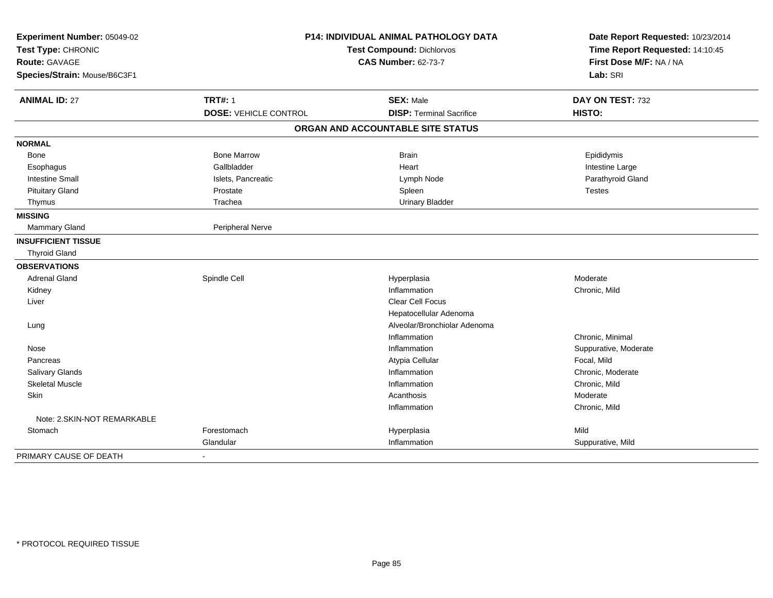| Experiment Number: 05049-02<br>Test Type: CHRONIC |                              | <b>P14: INDIVIDUAL ANIMAL PATHOLOGY DATA</b><br><b>Test Compound: Dichlorvos</b> | Date Report Requested: 10/23/2014<br>Time Report Requested: 14:10:45 |
|---------------------------------------------------|------------------------------|----------------------------------------------------------------------------------|----------------------------------------------------------------------|
| <b>Route: GAVAGE</b>                              |                              | <b>CAS Number: 62-73-7</b>                                                       | First Dose M/F: NA / NA                                              |
| Species/Strain: Mouse/B6C3F1                      |                              |                                                                                  | Lab: SRI                                                             |
| <b>ANIMAL ID: 27</b>                              | <b>TRT#: 1</b>               | <b>SEX: Male</b>                                                                 | DAY ON TEST: 732                                                     |
|                                                   | <b>DOSE: VEHICLE CONTROL</b> | <b>DISP: Terminal Sacrifice</b>                                                  | HISTO:                                                               |
|                                                   |                              | ORGAN AND ACCOUNTABLE SITE STATUS                                                |                                                                      |
| <b>NORMAL</b>                                     |                              |                                                                                  |                                                                      |
| Bone                                              | <b>Bone Marrow</b>           | <b>Brain</b>                                                                     | Epididymis                                                           |
| Esophagus                                         | Gallbladder                  | Heart                                                                            | Intestine Large                                                      |
| <b>Intestine Small</b>                            | Islets, Pancreatic           | Lymph Node                                                                       | Parathyroid Gland                                                    |
| <b>Pituitary Gland</b>                            | Prostate                     | Spleen                                                                           | <b>Testes</b>                                                        |
| Thymus                                            | Trachea                      | <b>Urinary Bladder</b>                                                           |                                                                      |
| <b>MISSING</b>                                    |                              |                                                                                  |                                                                      |
| Mammary Gland                                     | Peripheral Nerve             |                                                                                  |                                                                      |
| <b>INSUFFICIENT TISSUE</b>                        |                              |                                                                                  |                                                                      |
| <b>Thyroid Gland</b>                              |                              |                                                                                  |                                                                      |
| <b>OBSERVATIONS</b>                               |                              |                                                                                  |                                                                      |
| <b>Adrenal Gland</b>                              | Spindle Cell                 | Hyperplasia                                                                      | Moderate                                                             |
| Kidney                                            |                              | Inflammation                                                                     | Chronic, Mild                                                        |
| Liver                                             |                              | Clear Cell Focus                                                                 |                                                                      |
|                                                   |                              | Hepatocellular Adenoma                                                           |                                                                      |
| Lung                                              |                              | Alveolar/Bronchiolar Adenoma                                                     |                                                                      |
|                                                   |                              | Inflammation                                                                     | Chronic, Minimal                                                     |
| Nose                                              |                              | Inflammation                                                                     | Suppurative, Moderate                                                |
| Pancreas                                          |                              | Atypia Cellular                                                                  | Focal, Mild                                                          |
| Salivary Glands                                   |                              | Inflammation                                                                     | Chronic, Moderate                                                    |
| <b>Skeletal Muscle</b>                            |                              | Inflammation                                                                     | Chronic, Mild                                                        |
| Skin                                              |                              | Acanthosis                                                                       | Moderate                                                             |
|                                                   |                              | Inflammation                                                                     | Chronic, Mild                                                        |
| Note: 2.SKIN-NOT REMARKABLE                       |                              |                                                                                  |                                                                      |
| Stomach                                           | Forestomach                  | Hyperplasia                                                                      | Mild                                                                 |
|                                                   | Glandular                    | Inflammation                                                                     | Suppurative, Mild                                                    |
| PRIMARY CAUSE OF DEATH                            |                              |                                                                                  |                                                                      |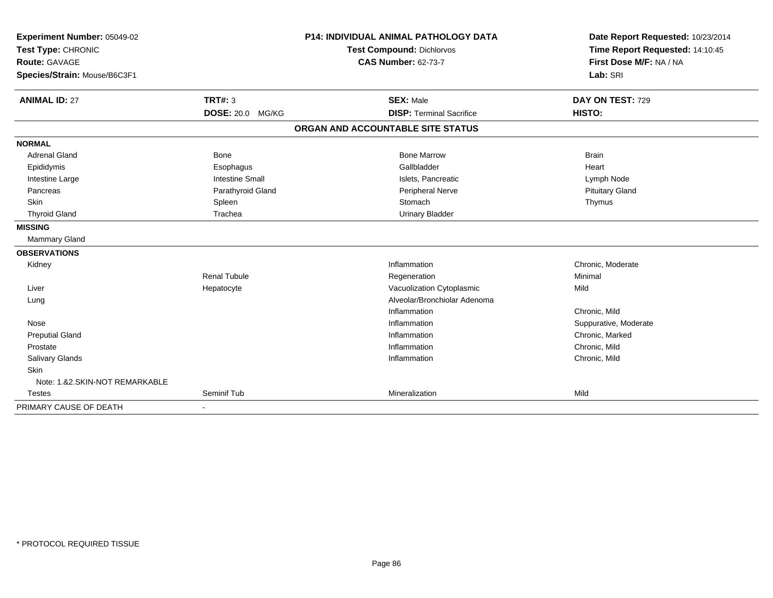| Experiment Number: 05049-02<br>Test Type: CHRONIC<br><b>Route: GAVAGE</b> |                         | <b>P14: INDIVIDUAL ANIMAL PATHOLOGY DATA</b> | Date Report Requested: 10/23/2014<br>Time Report Requested: 14:10:45<br>First Dose M/F: NA / NA |  |
|---------------------------------------------------------------------------|-------------------------|----------------------------------------------|-------------------------------------------------------------------------------------------------|--|
|                                                                           |                         | <b>Test Compound: Dichlorvos</b>             |                                                                                                 |  |
|                                                                           |                         | <b>CAS Number: 62-73-7</b>                   |                                                                                                 |  |
| Species/Strain: Mouse/B6C3F1                                              |                         |                                              | Lab: SRI                                                                                        |  |
| <b>ANIMAL ID: 27</b>                                                      | <b>TRT#: 3</b>          | <b>SEX: Male</b>                             | DAY ON TEST: 729                                                                                |  |
|                                                                           | <b>DOSE: 20.0 MG/KG</b> | <b>DISP: Terminal Sacrifice</b>              | HISTO:                                                                                          |  |
|                                                                           |                         | ORGAN AND ACCOUNTABLE SITE STATUS            |                                                                                                 |  |
| <b>NORMAL</b>                                                             |                         |                                              |                                                                                                 |  |
| <b>Adrenal Gland</b>                                                      | <b>Bone</b>             | <b>Bone Marrow</b>                           | <b>Brain</b>                                                                                    |  |
| Epididymis                                                                | Esophagus               | Gallbladder                                  | Heart                                                                                           |  |
| Intestine Large                                                           | <b>Intestine Small</b>  | Islets, Pancreatic                           | Lymph Node                                                                                      |  |
| Pancreas                                                                  | Parathyroid Gland       | Peripheral Nerve                             | <b>Pituitary Gland</b>                                                                          |  |
| Skin                                                                      | Spleen                  | Stomach                                      | Thymus                                                                                          |  |
| <b>Thyroid Gland</b>                                                      | Trachea                 | <b>Urinary Bladder</b>                       |                                                                                                 |  |
| <b>MISSING</b>                                                            |                         |                                              |                                                                                                 |  |
| <b>Mammary Gland</b>                                                      |                         |                                              |                                                                                                 |  |
| <b>OBSERVATIONS</b>                                                       |                         |                                              |                                                                                                 |  |
| Kidney                                                                    |                         | Inflammation                                 | Chronic, Moderate                                                                               |  |
|                                                                           | <b>Renal Tubule</b>     | Regeneration                                 | Minimal                                                                                         |  |
| Liver                                                                     | Hepatocyte              | Vacuolization Cytoplasmic                    | Mild                                                                                            |  |
| Lung                                                                      |                         | Alveolar/Bronchiolar Adenoma                 |                                                                                                 |  |
|                                                                           |                         | Inflammation                                 | Chronic, Mild                                                                                   |  |
| Nose                                                                      |                         | Inflammation                                 | Suppurative, Moderate                                                                           |  |
| <b>Preputial Gland</b>                                                    |                         | Inflammation                                 | Chronic, Marked                                                                                 |  |
| Prostate                                                                  |                         | Inflammation                                 | Chronic, Mild                                                                                   |  |
| Salivary Glands                                                           |                         | Inflammation                                 | Chronic, Mild                                                                                   |  |
| Skin                                                                      |                         |                                              |                                                                                                 |  |
| Note: 1.&2.SKIN-NOT REMARKABLE                                            |                         |                                              |                                                                                                 |  |
| <b>Testes</b>                                                             | Seminif Tub             | Mineralization                               | Mild                                                                                            |  |
| PRIMARY CAUSE OF DEATH                                                    | $\blacksquare$          |                                              |                                                                                                 |  |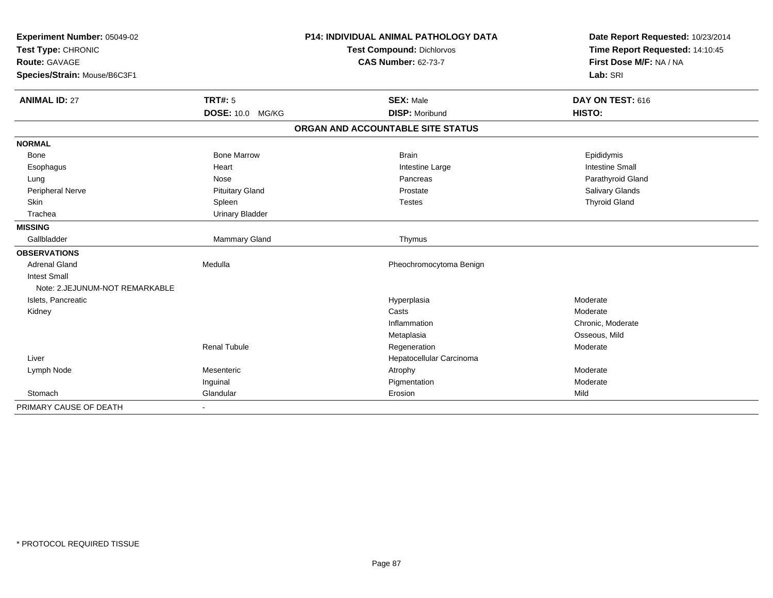| Experiment Number: 05049-02    |                         | <b>P14: INDIVIDUAL ANIMAL PATHOLOGY DATA</b> | Date Report Requested: 10/23/2014 |  |
|--------------------------------|-------------------------|----------------------------------------------|-----------------------------------|--|
| Test Type: CHRONIC             |                         | Test Compound: Dichlorvos                    | Time Report Requested: 14:10:45   |  |
| <b>Route: GAVAGE</b>           |                         | <b>CAS Number: 62-73-7</b>                   | First Dose M/F: NA / NA           |  |
| Species/Strain: Mouse/B6C3F1   |                         |                                              | Lab: SRI                          |  |
| <b>ANIMAL ID: 27</b>           | <b>TRT#: 5</b>          | <b>SEX: Male</b>                             | DAY ON TEST: 616                  |  |
|                                | <b>DOSE: 10.0 MG/KG</b> | <b>DISP: Moribund</b>                        | HISTO:                            |  |
|                                |                         | ORGAN AND ACCOUNTABLE SITE STATUS            |                                   |  |
| <b>NORMAL</b>                  |                         |                                              |                                   |  |
| <b>Bone</b>                    | <b>Bone Marrow</b>      | <b>Brain</b>                                 | Epididymis                        |  |
| Esophagus                      | Heart                   | Intestine Large                              | <b>Intestine Small</b>            |  |
| Lung                           | Nose                    | Pancreas                                     | Parathyroid Gland                 |  |
| <b>Peripheral Nerve</b>        | <b>Pituitary Gland</b>  | Prostate                                     | Salivary Glands                   |  |
| Skin                           | Spleen                  | <b>Testes</b>                                | <b>Thyroid Gland</b>              |  |
| Trachea                        | <b>Urinary Bladder</b>  |                                              |                                   |  |
| <b>MISSING</b>                 |                         |                                              |                                   |  |
| Gallbladder                    | Mammary Gland           | Thymus                                       |                                   |  |
| <b>OBSERVATIONS</b>            |                         |                                              |                                   |  |
| <b>Adrenal Gland</b>           | Medulla                 | Pheochromocytoma Benign                      |                                   |  |
| <b>Intest Small</b>            |                         |                                              |                                   |  |
| Note: 2.JEJUNUM-NOT REMARKABLE |                         |                                              |                                   |  |
| Islets, Pancreatic             |                         | Hyperplasia                                  | Moderate                          |  |
| Kidney                         |                         | Casts                                        | Moderate                          |  |
|                                |                         | Inflammation                                 | Chronic, Moderate                 |  |
|                                |                         | Metaplasia                                   | Osseous, Mild                     |  |
|                                | <b>Renal Tubule</b>     | Regeneration                                 | Moderate                          |  |
| Liver                          |                         | Hepatocellular Carcinoma                     |                                   |  |
| Lymph Node                     | Mesenteric              | Atrophy                                      | Moderate                          |  |
|                                | Inguinal                | Pigmentation                                 | Moderate                          |  |
| Stomach                        | Glandular               | Erosion                                      | Mild                              |  |
| PRIMARY CAUSE OF DEATH         | $\blacksquare$          |                                              |                                   |  |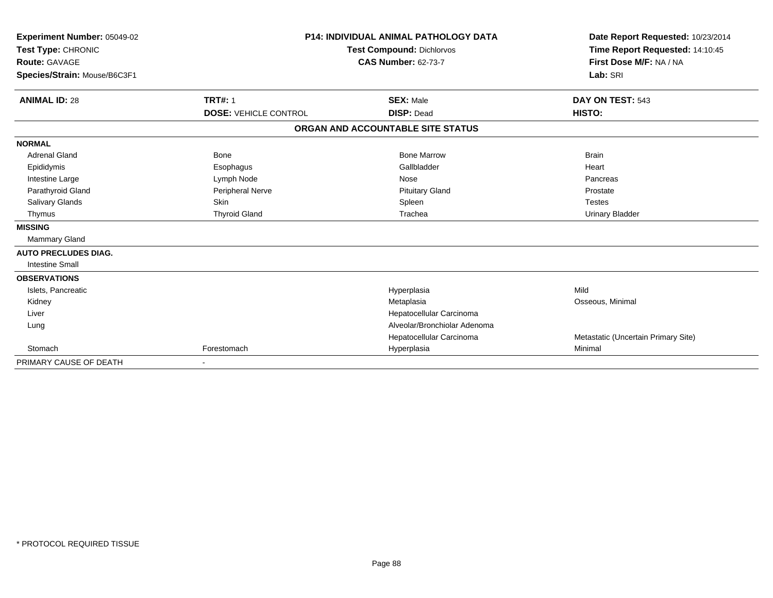| Experiment Number: 05049-02<br>Test Type: CHRONIC<br><b>Route: GAVAGE</b><br>Species/Strain: Mouse/B6C3F1 | <b>P14: INDIVIDUAL ANIMAL PATHOLOGY DATA</b><br><b>Test Compound: Dichlorvos</b><br><b>CAS Number: 62-73-7</b> |                                   | Date Report Requested: 10/23/2014<br>Time Report Requested: 14:10:45<br>First Dose M/F: NA / NA<br>Lab: SRI |
|-----------------------------------------------------------------------------------------------------------|----------------------------------------------------------------------------------------------------------------|-----------------------------------|-------------------------------------------------------------------------------------------------------------|
| <b>TRT#: 1</b><br><b>ANIMAL ID: 28</b>                                                                    |                                                                                                                | <b>SEX: Male</b>                  | DAY ON TEST: 543                                                                                            |
|                                                                                                           | <b>DOSE: VEHICLE CONTROL</b>                                                                                   | <b>DISP: Dead</b>                 | HISTO:                                                                                                      |
|                                                                                                           |                                                                                                                | ORGAN AND ACCOUNTABLE SITE STATUS |                                                                                                             |
| <b>NORMAL</b>                                                                                             |                                                                                                                |                                   |                                                                                                             |
| <b>Adrenal Gland</b><br><b>Bone</b>                                                                       |                                                                                                                | <b>Bone Marrow</b>                | <b>Brain</b>                                                                                                |
| Epididymis<br>Esophagus                                                                                   |                                                                                                                | Gallbladder                       | Heart                                                                                                       |
| Intestine Large<br>Lymph Node                                                                             |                                                                                                                | Nose                              | Pancreas                                                                                                    |
| Parathyroid Gland                                                                                         | Peripheral Nerve                                                                                               | <b>Pituitary Gland</b>            | Prostate                                                                                                    |
| Salivary Glands<br><b>Skin</b>                                                                            |                                                                                                                | Spleen                            | <b>Testes</b>                                                                                               |
| <b>Thyroid Gland</b><br>Thymus                                                                            |                                                                                                                | Trachea                           | <b>Urinary Bladder</b>                                                                                      |
| <b>MISSING</b>                                                                                            |                                                                                                                |                                   |                                                                                                             |
| <b>Mammary Gland</b>                                                                                      |                                                                                                                |                                   |                                                                                                             |
| <b>AUTO PRECLUDES DIAG.</b>                                                                               |                                                                                                                |                                   |                                                                                                             |
| <b>Intestine Small</b>                                                                                    |                                                                                                                |                                   |                                                                                                             |
| <b>OBSERVATIONS</b>                                                                                       |                                                                                                                |                                   |                                                                                                             |
| Islets, Pancreatic                                                                                        |                                                                                                                | Hyperplasia                       | Mild                                                                                                        |
| Kidney                                                                                                    |                                                                                                                | Metaplasia                        | Osseous, Minimal                                                                                            |
| Liver                                                                                                     |                                                                                                                | Hepatocellular Carcinoma          |                                                                                                             |
| Lung                                                                                                      |                                                                                                                | Alveolar/Bronchiolar Adenoma      |                                                                                                             |
|                                                                                                           |                                                                                                                | Hepatocellular Carcinoma          | Metastatic (Uncertain Primary Site)                                                                         |
| Forestomach<br>Stomach                                                                                    |                                                                                                                | Hyperplasia                       | Minimal                                                                                                     |
| PRIMARY CAUSE OF DEATH                                                                                    |                                                                                                                |                                   |                                                                                                             |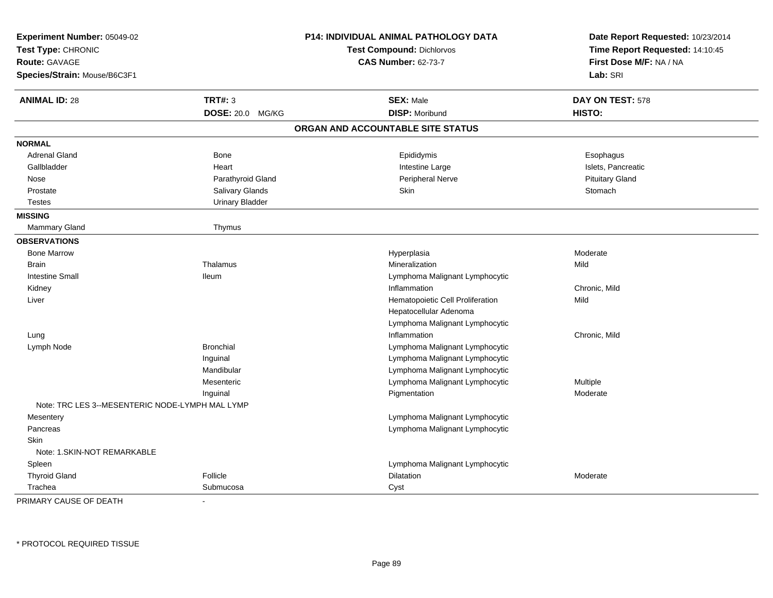| Experiment Number: 05049-02<br>Test Type: CHRONIC<br><b>Route: GAVAGE</b><br>Species/Strain: Mouse/B6C3F1 |                        | <b>P14: INDIVIDUAL ANIMAL PATHOLOGY DATA</b><br><b>Test Compound: Dichlorvos</b><br><b>CAS Number: 62-73-7</b> | Date Report Requested: 10/23/2014<br>Time Report Requested: 14:10:45<br>First Dose M/F: NA / NA<br>Lab: SRI |
|-----------------------------------------------------------------------------------------------------------|------------------------|----------------------------------------------------------------------------------------------------------------|-------------------------------------------------------------------------------------------------------------|
| <b>ANIMAL ID: 28</b>                                                                                      | <b>TRT#: 3</b>         | <b>SEX: Male</b>                                                                                               | DAY ON TEST: 578                                                                                            |
|                                                                                                           | DOSE: 20.0 MG/KG       | <b>DISP: Moribund</b>                                                                                          | HISTO:                                                                                                      |
|                                                                                                           |                        | ORGAN AND ACCOUNTABLE SITE STATUS                                                                              |                                                                                                             |
| <b>NORMAL</b>                                                                                             |                        |                                                                                                                |                                                                                                             |
| <b>Adrenal Gland</b>                                                                                      | Bone                   | Epididymis                                                                                                     | Esophagus                                                                                                   |
| Gallbladder                                                                                               | Heart                  | Intestine Large                                                                                                | Islets, Pancreatic                                                                                          |
| Nose                                                                                                      | Parathyroid Gland      | Peripheral Nerve                                                                                               | <b>Pituitary Gland</b>                                                                                      |
| Prostate                                                                                                  | Salivary Glands        | Skin                                                                                                           | Stomach                                                                                                     |
| <b>Testes</b>                                                                                             | <b>Urinary Bladder</b> |                                                                                                                |                                                                                                             |
| <b>MISSING</b>                                                                                            |                        |                                                                                                                |                                                                                                             |
| Mammary Gland                                                                                             | Thymus                 |                                                                                                                |                                                                                                             |
| <b>OBSERVATIONS</b>                                                                                       |                        |                                                                                                                |                                                                                                             |
| <b>Bone Marrow</b>                                                                                        |                        | Hyperplasia                                                                                                    | Moderate                                                                                                    |
| <b>Brain</b>                                                                                              | Thalamus               | Mineralization                                                                                                 | Mild                                                                                                        |
| <b>Intestine Small</b>                                                                                    | lleum                  | Lymphoma Malignant Lymphocytic                                                                                 |                                                                                                             |
| Kidney                                                                                                    |                        | Inflammation                                                                                                   | Chronic, Mild                                                                                               |
| Liver                                                                                                     |                        | Hematopoietic Cell Proliferation                                                                               | Mild                                                                                                        |
|                                                                                                           |                        | Hepatocellular Adenoma                                                                                         |                                                                                                             |
|                                                                                                           |                        | Lymphoma Malignant Lymphocytic                                                                                 |                                                                                                             |
| Lung                                                                                                      |                        | Inflammation                                                                                                   | Chronic, Mild                                                                                               |
| Lymph Node                                                                                                | <b>Bronchial</b>       | Lymphoma Malignant Lymphocytic                                                                                 |                                                                                                             |
|                                                                                                           | Inguinal               | Lymphoma Malignant Lymphocytic                                                                                 |                                                                                                             |
|                                                                                                           | Mandibular             | Lymphoma Malignant Lymphocytic                                                                                 |                                                                                                             |
|                                                                                                           | Mesenteric             | Lymphoma Malignant Lymphocytic                                                                                 | <b>Multiple</b>                                                                                             |
|                                                                                                           | Inguinal               | Pigmentation                                                                                                   | Moderate                                                                                                    |
| Note: TRC LES 3--MESENTERIC NODE-LYMPH MAL LYMP                                                           |                        |                                                                                                                |                                                                                                             |
| Mesentery                                                                                                 |                        | Lymphoma Malignant Lymphocytic                                                                                 |                                                                                                             |
| Pancreas                                                                                                  |                        | Lymphoma Malignant Lymphocytic                                                                                 |                                                                                                             |
| Skin                                                                                                      |                        |                                                                                                                |                                                                                                             |
| Note: 1.SKIN-NOT REMARKABLE                                                                               |                        |                                                                                                                |                                                                                                             |
| Spleen                                                                                                    |                        | Lymphoma Malignant Lymphocytic                                                                                 |                                                                                                             |
| <b>Thyroid Gland</b>                                                                                      | Follicle               | Dilatation                                                                                                     | Moderate                                                                                                    |
| Trachea                                                                                                   | Submucosa              | Cyst                                                                                                           |                                                                                                             |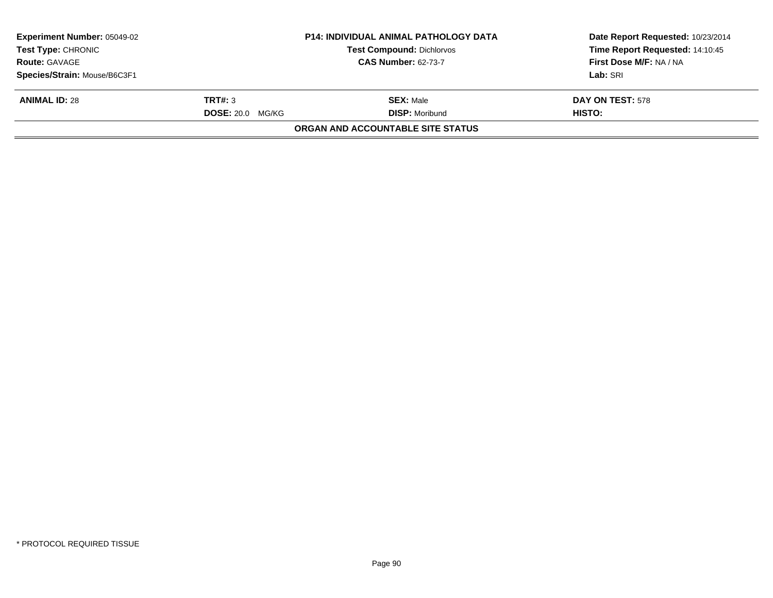| <b>Experiment Number: 05049-02</b><br><b>Test Type: CHRONIC</b> |                         | <b>P14: INDIVIDUAL ANIMAL PATHOLOGY DATA</b><br>Test Compound: Dichlorvos | Date Report Requested: 10/23/2014<br>Time Report Requested: 14:10:45 |
|-----------------------------------------------------------------|-------------------------|---------------------------------------------------------------------------|----------------------------------------------------------------------|
| <b>Route: GAVAGE</b>                                            |                         | <b>CAS Number: 62-73-7</b>                                                | First Dose M/F: NA / NA                                              |
| Species/Strain: Mouse/B6C3F1                                    |                         |                                                                           | Lab: SRI                                                             |
| <b>ANIMAL ID: 28</b>                                            | TRT#: 3                 | <b>SEX: Male</b>                                                          | DAY ON TEST: 578                                                     |
|                                                                 | <b>DOSE: 20.0 MG/KG</b> | <b>DISP: Moribund</b>                                                     | HISTO:                                                               |
|                                                                 |                         | ORGAN AND ACCOUNTABLE SITE STATUS                                         |                                                                      |
|                                                                 |                         |                                                                           |                                                                      |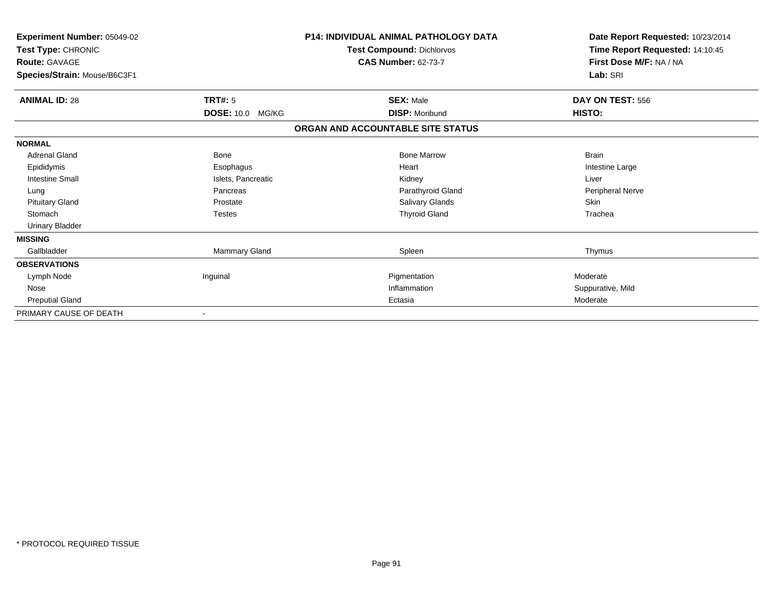| Experiment Number: 05049-02<br>Test Type: CHRONIC<br><b>Route: GAVAGE</b><br>Species/Strain: Mouse/B6C3F1 |                    | <b>P14: INDIVIDUAL ANIMAL PATHOLOGY DATA</b><br>Test Compound: Dichlorvos<br><b>CAS Number: 62-73-7</b> | Date Report Requested: 10/23/2014<br>Time Report Requested: 14:10:45<br>First Dose M/F: NA / NA<br>Lab: SRI |  |
|-----------------------------------------------------------------------------------------------------------|--------------------|---------------------------------------------------------------------------------------------------------|-------------------------------------------------------------------------------------------------------------|--|
| <b>ANIMAL ID: 28</b>                                                                                      | TRT#: 5            | <b>SEX: Male</b>                                                                                        | DAY ON TEST: 556                                                                                            |  |
|                                                                                                           | DOSE: 10.0 MG/KG   | <b>DISP: Moribund</b>                                                                                   | HISTO:                                                                                                      |  |
|                                                                                                           |                    | ORGAN AND ACCOUNTABLE SITE STATUS                                                                       |                                                                                                             |  |
| <b>NORMAL</b>                                                                                             |                    |                                                                                                         |                                                                                                             |  |
| <b>Adrenal Gland</b>                                                                                      | <b>Bone</b>        | <b>Bone Marrow</b>                                                                                      | <b>Brain</b>                                                                                                |  |
| Epididymis                                                                                                | Esophagus          | Heart                                                                                                   | Intestine Large                                                                                             |  |
| <b>Intestine Small</b>                                                                                    | Islets, Pancreatic | Kidney                                                                                                  | Liver                                                                                                       |  |
| Lung                                                                                                      | Pancreas           | Parathyroid Gland                                                                                       | Peripheral Nerve                                                                                            |  |
| <b>Pituitary Gland</b>                                                                                    | Prostate           | <b>Salivary Glands</b>                                                                                  | <b>Skin</b>                                                                                                 |  |
| Stomach                                                                                                   | <b>Testes</b>      | <b>Thyroid Gland</b>                                                                                    | Trachea                                                                                                     |  |
| Urinary Bladder                                                                                           |                    |                                                                                                         |                                                                                                             |  |
| <b>MISSING</b>                                                                                            |                    |                                                                                                         |                                                                                                             |  |
| Gallbladder                                                                                               | Mammary Gland      | Spleen                                                                                                  | Thymus                                                                                                      |  |
| <b>OBSERVATIONS</b>                                                                                       |                    |                                                                                                         |                                                                                                             |  |
| Lymph Node                                                                                                | Inguinal           | Pigmentation                                                                                            | Moderate                                                                                                    |  |
| Nose                                                                                                      |                    | Inflammation                                                                                            | Suppurative, Mild                                                                                           |  |
| <b>Preputial Gland</b>                                                                                    |                    | Ectasia                                                                                                 | Moderate                                                                                                    |  |
| PRIMARY CAUSE OF DEATH                                                                                    |                    |                                                                                                         |                                                                                                             |  |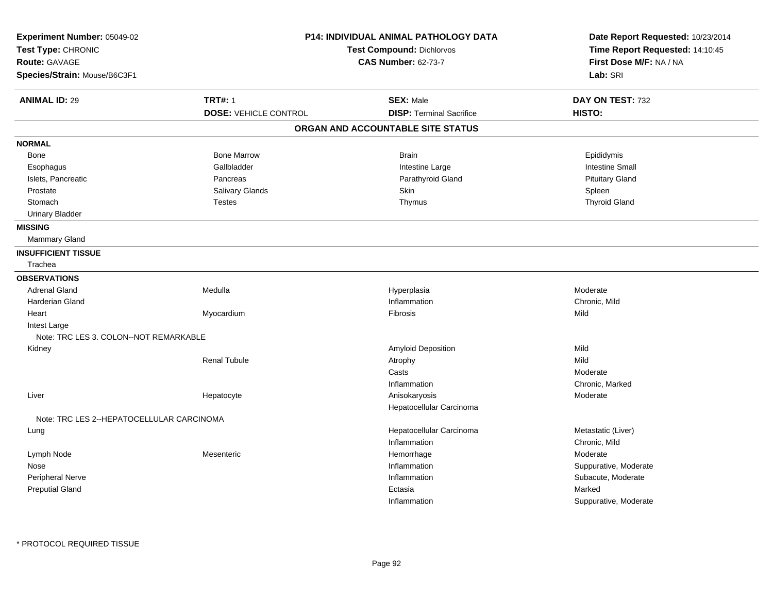| Experiment Number: 05049-02<br>Test Type: CHRONIC<br>Route: GAVAGE |                              | <b>P14: INDIVIDUAL ANIMAL PATHOLOGY DATA</b><br>Test Compound: Dichlorvos<br><b>CAS Number: 62-73-7</b> | Date Report Requested: 10/23/2014<br>Time Report Requested: 14:10:45<br>First Dose M/F: NA / NA |  |
|--------------------------------------------------------------------|------------------------------|---------------------------------------------------------------------------------------------------------|-------------------------------------------------------------------------------------------------|--|
| Species/Strain: Mouse/B6C3F1                                       |                              |                                                                                                         | Lab: SRI                                                                                        |  |
| <b>ANIMAL ID: 29</b>                                               | <b>TRT#: 1</b>               | <b>SEX: Male</b>                                                                                        | DAY ON TEST: 732                                                                                |  |
|                                                                    | <b>DOSE: VEHICLE CONTROL</b> | <b>DISP: Terminal Sacrifice</b>                                                                         | HISTO:                                                                                          |  |
|                                                                    |                              | ORGAN AND ACCOUNTABLE SITE STATUS                                                                       |                                                                                                 |  |
| <b>NORMAL</b>                                                      |                              |                                                                                                         |                                                                                                 |  |
| Bone                                                               | <b>Bone Marrow</b>           | <b>Brain</b>                                                                                            | Epididymis                                                                                      |  |
| Esophagus                                                          | Gallbladder                  | Intestine Large                                                                                         | <b>Intestine Small</b>                                                                          |  |
| Islets, Pancreatic                                                 | Pancreas                     | Parathyroid Gland                                                                                       | <b>Pituitary Gland</b>                                                                          |  |
| Prostate                                                           | <b>Salivary Glands</b>       | <b>Skin</b>                                                                                             | Spleen                                                                                          |  |
| Stomach                                                            | <b>Testes</b>                | Thymus                                                                                                  | <b>Thyroid Gland</b>                                                                            |  |
| <b>Urinary Bladder</b>                                             |                              |                                                                                                         |                                                                                                 |  |
| <b>MISSING</b>                                                     |                              |                                                                                                         |                                                                                                 |  |
| Mammary Gland                                                      |                              |                                                                                                         |                                                                                                 |  |
| <b>INSUFFICIENT TISSUE</b>                                         |                              |                                                                                                         |                                                                                                 |  |
| Trachea                                                            |                              |                                                                                                         |                                                                                                 |  |
| <b>OBSERVATIONS</b>                                                |                              |                                                                                                         |                                                                                                 |  |
| <b>Adrenal Gland</b>                                               | Medulla                      | Hyperplasia                                                                                             | Moderate                                                                                        |  |
| <b>Harderian Gland</b>                                             |                              | Inflammation                                                                                            | Chronic, Mild                                                                                   |  |
| Heart                                                              | Myocardium                   | Fibrosis                                                                                                | Mild                                                                                            |  |
| Intest Large                                                       |                              |                                                                                                         |                                                                                                 |  |
| Note: TRC LES 3. COLON--NOT REMARKABLE                             |                              |                                                                                                         |                                                                                                 |  |
| Kidney                                                             |                              | Amyloid Deposition                                                                                      | Mild                                                                                            |  |
|                                                                    | <b>Renal Tubule</b>          | Atrophy                                                                                                 | Mild                                                                                            |  |
|                                                                    |                              | Casts                                                                                                   | Moderate                                                                                        |  |
|                                                                    |                              | Inflammation                                                                                            | Chronic, Marked                                                                                 |  |
| Liver                                                              | Hepatocyte                   | Anisokaryosis                                                                                           | Moderate                                                                                        |  |
|                                                                    |                              | Hepatocellular Carcinoma                                                                                |                                                                                                 |  |
| Note: TRC LES 2--HEPATOCELLULAR CARCINOMA                          |                              |                                                                                                         |                                                                                                 |  |
| Lung                                                               |                              | Hepatocellular Carcinoma                                                                                | Metastatic (Liver)                                                                              |  |
|                                                                    |                              | Inflammation                                                                                            | Chronic, Mild                                                                                   |  |
| Lymph Node                                                         | Mesenteric                   | Hemorrhage                                                                                              | Moderate                                                                                        |  |
| Nose                                                               |                              | Inflammation                                                                                            | Suppurative, Moderate                                                                           |  |
| Peripheral Nerve                                                   |                              | Inflammation                                                                                            | Subacute, Moderate                                                                              |  |
| <b>Preputial Gland</b>                                             |                              | Ectasia                                                                                                 | Marked                                                                                          |  |
|                                                                    |                              | Inflammation                                                                                            | Suppurative, Moderate                                                                           |  |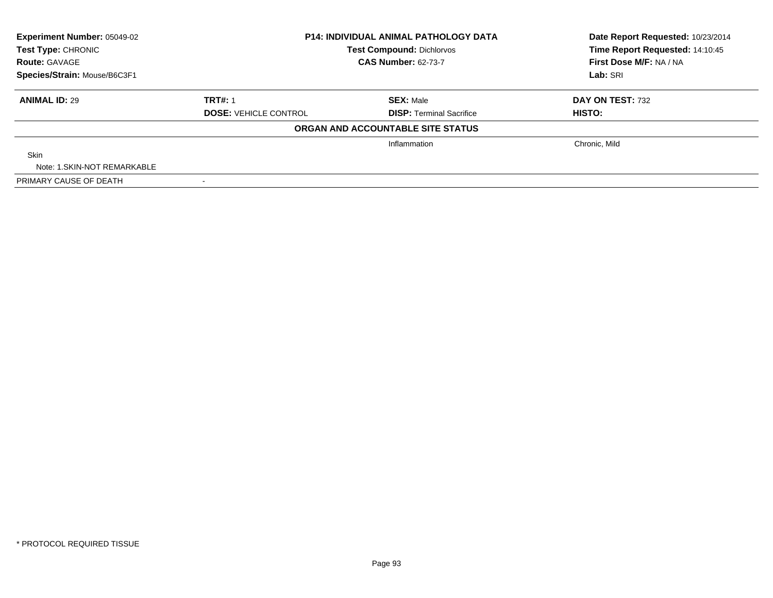| Experiment Number: 05049-02                | <b>P14: INDIVIDUAL ANIMAL PATHOLOGY DATA</b><br><b>Test Compound: Dichlorvos</b><br><b>CAS Number: 62-73-7</b> |                                   | Date Report Requested: 10/23/2014                          |  |
|--------------------------------------------|----------------------------------------------------------------------------------------------------------------|-----------------------------------|------------------------------------------------------------|--|
| Test Type: CHRONIC<br><b>Route: GAVAGE</b> |                                                                                                                |                                   | Time Report Requested: 14:10:45<br>First Dose M/F: NA / NA |  |
| Species/Strain: Mouse/B6C3F1               |                                                                                                                |                                   | Lab: SRI                                                   |  |
| <b>ANIMAL ID: 29</b>                       | <b>TRT#: 1</b>                                                                                                 | <b>SEX: Male</b>                  | DAY ON TEST: 732                                           |  |
|                                            | <b>DOSE: VEHICLE CONTROL</b>                                                                                   | <b>DISP: Terminal Sacrifice</b>   | <b>HISTO:</b>                                              |  |
|                                            |                                                                                                                | ORGAN AND ACCOUNTABLE SITE STATUS |                                                            |  |
|                                            |                                                                                                                | Inflammation                      | Chronic, Mild                                              |  |
| <b>Skin</b>                                |                                                                                                                |                                   |                                                            |  |
| Note: 1.SKIN-NOT REMARKABLE                |                                                                                                                |                                   |                                                            |  |
| PRIMARY CAUSE OF DEATH                     | $\sim$                                                                                                         |                                   |                                                            |  |

-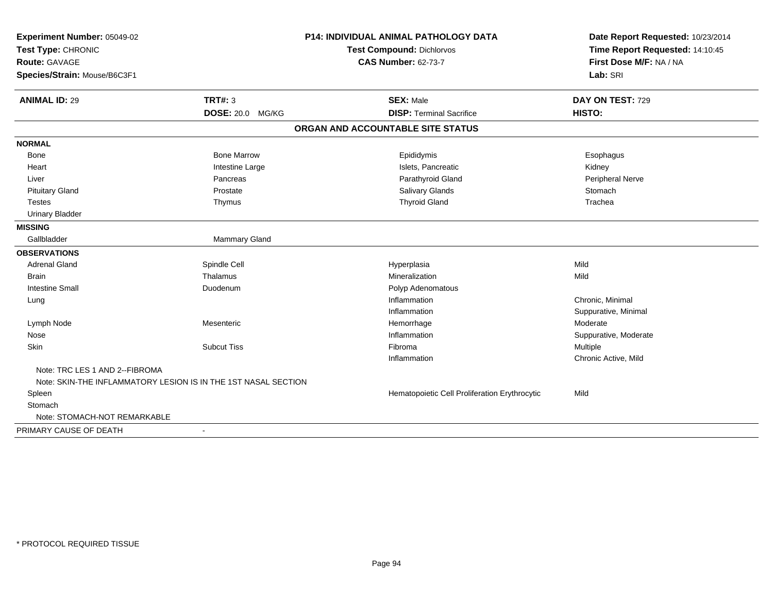| Experiment Number: 05049-02<br>Test Type: CHRONIC<br>Route: GAVAGE |                    | <b>P14: INDIVIDUAL ANIMAL PATHOLOGY DATA</b>  | Date Report Requested: 10/23/2014                          |
|--------------------------------------------------------------------|--------------------|-----------------------------------------------|------------------------------------------------------------|
|                                                                    |                    | Test Compound: Dichlorvos                     | Time Report Requested: 14:10:45<br>First Dose M/F: NA / NA |
|                                                                    |                    | <b>CAS Number: 62-73-7</b>                    |                                                            |
| Species/Strain: Mouse/B6C3F1                                       |                    |                                               | Lab: SRI                                                   |
| <b>ANIMAL ID: 29</b>                                               | <b>TRT#: 3</b>     | <b>SEX: Male</b>                              | DAY ON TEST: 729                                           |
|                                                                    | DOSE: 20.0 MG/KG   | <b>DISP: Terminal Sacrifice</b>               | HISTO:                                                     |
|                                                                    |                    | ORGAN AND ACCOUNTABLE SITE STATUS             |                                                            |
| <b>NORMAL</b>                                                      |                    |                                               |                                                            |
| <b>Bone</b>                                                        | <b>Bone Marrow</b> | Epididymis                                    | Esophagus                                                  |
| Heart                                                              | Intestine Large    | Islets, Pancreatic                            | Kidney                                                     |
| Liver                                                              | Pancreas           | Parathyroid Gland                             | Peripheral Nerve                                           |
| <b>Pituitary Gland</b>                                             | Prostate           | Salivary Glands                               | Stomach                                                    |
| <b>Testes</b>                                                      | Thymus             | <b>Thyroid Gland</b>                          | Trachea                                                    |
| <b>Urinary Bladder</b>                                             |                    |                                               |                                                            |
| <b>MISSING</b>                                                     |                    |                                               |                                                            |
| Gallbladder                                                        | Mammary Gland      |                                               |                                                            |
| <b>OBSERVATIONS</b>                                                |                    |                                               |                                                            |
| <b>Adrenal Gland</b>                                               | Spindle Cell       | Hyperplasia                                   | Mild                                                       |
| <b>Brain</b>                                                       | Thalamus           | Mineralization                                | Mild                                                       |
| <b>Intestine Small</b>                                             | Duodenum           | Polyp Adenomatous                             |                                                            |
| Lung                                                               |                    | Inflammation                                  | Chronic, Minimal                                           |
|                                                                    |                    | Inflammation                                  | Suppurative, Minimal                                       |
| Lymph Node                                                         | Mesenteric         | Hemorrhage                                    | Moderate                                                   |
| Nose                                                               |                    | Inflammation                                  | Suppurative, Moderate                                      |
| Skin                                                               | <b>Subcut Tiss</b> | Fibroma                                       | Multiple                                                   |
|                                                                    |                    | Inflammation                                  | Chronic Active, Mild                                       |
| Note: TRC LES 1 AND 2--FIBROMA                                     |                    |                                               |                                                            |
| Note: SKIN-THE INFLAMMATORY LESION IS IN THE 1ST NASAL SECTION     |                    |                                               |                                                            |
| Spleen                                                             |                    | Hematopoietic Cell Proliferation Erythrocytic | Mild                                                       |
| Stomach                                                            |                    |                                               |                                                            |
| Note: STOMACH-NOT REMARKABLE                                       |                    |                                               |                                                            |
| PRIMARY CAUSE OF DEATH                                             | $\sim$             |                                               |                                                            |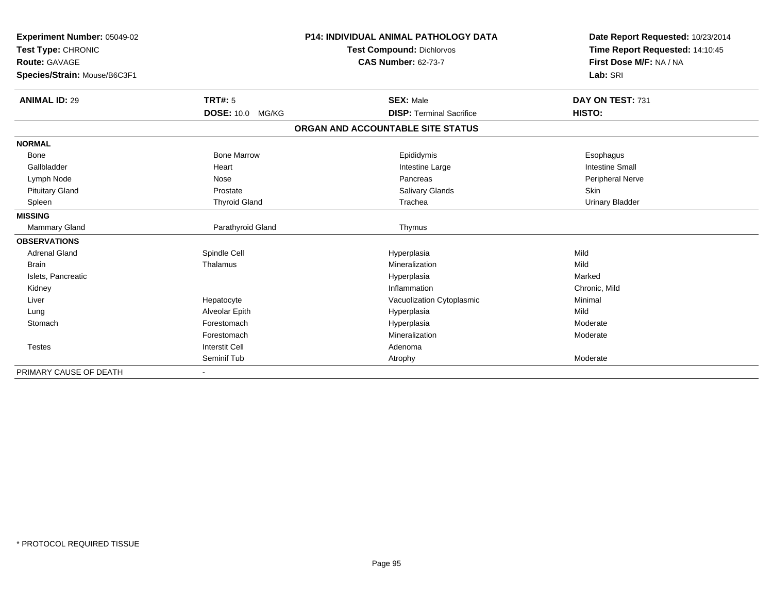| Experiment Number: 05049-02<br>Test Type: CHRONIC<br><b>Route: GAVAGE</b> |                            | <b>P14: INDIVIDUAL ANIMAL PATHOLOGY DATA</b> | Date Report Requested: 10/23/2014<br>Time Report Requested: 14:10:45 |
|---------------------------------------------------------------------------|----------------------------|----------------------------------------------|----------------------------------------------------------------------|
|                                                                           |                            | <b>Test Compound: Dichlorvos</b>             |                                                                      |
|                                                                           |                            | <b>CAS Number: 62-73-7</b>                   | First Dose M/F: NA / NA                                              |
| Species/Strain: Mouse/B6C3F1                                              |                            |                                              | Lab: SRI                                                             |
| <b>ANIMAL ID: 29</b>                                                      | <b>TRT#: 5</b>             | <b>SEX: Male</b>                             | DAY ON TEST: 731                                                     |
|                                                                           | <b>DOSE: 10.0</b><br>MG/KG | <b>DISP: Terminal Sacrifice</b>              | HISTO:                                                               |
|                                                                           |                            | ORGAN AND ACCOUNTABLE SITE STATUS            |                                                                      |
| <b>NORMAL</b>                                                             |                            |                                              |                                                                      |
| Bone                                                                      | <b>Bone Marrow</b>         | Epididymis                                   | Esophagus                                                            |
| Gallbladder                                                               | Heart                      | Intestine Large                              | <b>Intestine Small</b>                                               |
| Lymph Node                                                                | Nose                       | Pancreas                                     | Peripheral Nerve                                                     |
| <b>Pituitary Gland</b>                                                    | Prostate                   | <b>Salivary Glands</b>                       | <b>Skin</b>                                                          |
| Spleen                                                                    | <b>Thyroid Gland</b>       | Trachea                                      | Urinary Bladder                                                      |
| <b>MISSING</b>                                                            |                            |                                              |                                                                      |
| Mammary Gland                                                             | Parathyroid Gland          | Thymus                                       |                                                                      |
| <b>OBSERVATIONS</b>                                                       |                            |                                              |                                                                      |
| <b>Adrenal Gland</b>                                                      | Spindle Cell               | Hyperplasia                                  | Mild                                                                 |
| <b>Brain</b>                                                              | Thalamus                   | Mineralization                               | Mild                                                                 |
| Islets, Pancreatic                                                        |                            | Hyperplasia                                  | Marked                                                               |
| Kidney                                                                    |                            | Inflammation                                 | Chronic, Mild                                                        |
| Liver                                                                     | Hepatocyte                 | Vacuolization Cytoplasmic                    | Minimal                                                              |
| Lung                                                                      | Alveolar Epith             | Hyperplasia                                  | Mild                                                                 |
| Stomach                                                                   | Forestomach                | Hyperplasia                                  | Moderate                                                             |
|                                                                           | Forestomach                | Mineralization                               | Moderate                                                             |
| Testes                                                                    | <b>Interstit Cell</b>      | Adenoma                                      |                                                                      |
|                                                                           | Seminif Tub                | Atrophy                                      | Moderate                                                             |
| PRIMARY CAUSE OF DEATH                                                    |                            |                                              |                                                                      |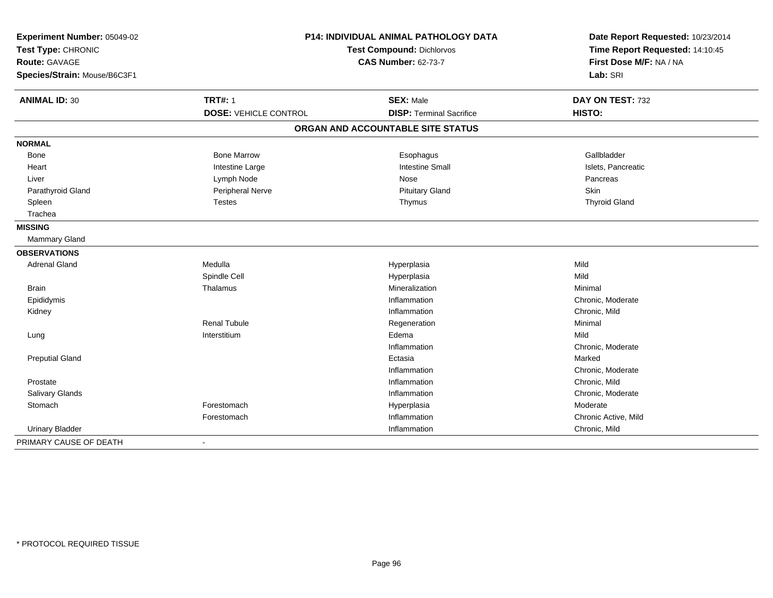| Experiment Number: 05049-02<br>Test Type: CHRONIC<br>Route: GAVAGE<br>Species/Strain: Mouse/B6C3F1 |                              | <b>P14: INDIVIDUAL ANIMAL PATHOLOGY DATA</b><br>Test Compound: Dichlorvos<br><b>CAS Number: 62-73-7</b> | Date Report Requested: 10/23/2014<br>Time Report Requested: 14:10:45<br>First Dose M/F: NA / NA<br>Lab: SRI |  |
|----------------------------------------------------------------------------------------------------|------------------------------|---------------------------------------------------------------------------------------------------------|-------------------------------------------------------------------------------------------------------------|--|
| <b>ANIMAL ID: 30</b>                                                                               | <b>TRT#: 1</b>               | <b>SEX: Male</b>                                                                                        | DAY ON TEST: 732                                                                                            |  |
|                                                                                                    | <b>DOSE: VEHICLE CONTROL</b> | <b>DISP: Terminal Sacrifice</b>                                                                         | HISTO:                                                                                                      |  |
|                                                                                                    |                              | ORGAN AND ACCOUNTABLE SITE STATUS                                                                       |                                                                                                             |  |
| <b>NORMAL</b>                                                                                      |                              |                                                                                                         |                                                                                                             |  |
| Bone                                                                                               | <b>Bone Marrow</b>           | Esophagus                                                                                               | Gallbladder                                                                                                 |  |
| Heart                                                                                              | Intestine Large              | <b>Intestine Small</b>                                                                                  | Islets, Pancreatic                                                                                          |  |
| Liver                                                                                              | Lymph Node                   | Nose                                                                                                    | Pancreas                                                                                                    |  |
| Parathyroid Gland                                                                                  | Peripheral Nerve             | <b>Pituitary Gland</b>                                                                                  | <b>Skin</b>                                                                                                 |  |
| Spleen                                                                                             | <b>Testes</b>                | Thymus                                                                                                  | <b>Thyroid Gland</b>                                                                                        |  |
| Trachea                                                                                            |                              |                                                                                                         |                                                                                                             |  |
| <b>MISSING</b>                                                                                     |                              |                                                                                                         |                                                                                                             |  |
| Mammary Gland                                                                                      |                              |                                                                                                         |                                                                                                             |  |
| <b>OBSERVATIONS</b>                                                                                |                              |                                                                                                         |                                                                                                             |  |
| <b>Adrenal Gland</b>                                                                               | Medulla                      | Hyperplasia                                                                                             | Mild                                                                                                        |  |
|                                                                                                    | Spindle Cell                 | Hyperplasia                                                                                             | Mild                                                                                                        |  |
| <b>Brain</b>                                                                                       | Thalamus                     | Mineralization                                                                                          | Minimal                                                                                                     |  |
| Epididymis                                                                                         |                              | Inflammation                                                                                            | Chronic, Moderate                                                                                           |  |
| Kidney                                                                                             |                              | Inflammation                                                                                            | Chronic, Mild                                                                                               |  |
|                                                                                                    | <b>Renal Tubule</b>          | Regeneration                                                                                            | Minimal                                                                                                     |  |
| Lung                                                                                               | Interstitium                 | Edema                                                                                                   | Mild                                                                                                        |  |
|                                                                                                    |                              | Inflammation                                                                                            | Chronic, Moderate                                                                                           |  |
| <b>Preputial Gland</b>                                                                             |                              | Ectasia                                                                                                 | Marked                                                                                                      |  |
|                                                                                                    |                              | Inflammation                                                                                            | Chronic, Moderate                                                                                           |  |
| Prostate                                                                                           |                              | Inflammation                                                                                            | Chronic, Mild                                                                                               |  |
| Salivary Glands                                                                                    |                              | Inflammation                                                                                            | Chronic, Moderate                                                                                           |  |
| Stomach                                                                                            | Forestomach                  | Hyperplasia                                                                                             | Moderate                                                                                                    |  |
|                                                                                                    | Forestomach                  | Inflammation                                                                                            | Chronic Active, Mild                                                                                        |  |
| <b>Urinary Bladder</b>                                                                             |                              | Inflammation                                                                                            | Chronic, Mild                                                                                               |  |
| PRIMARY CAUSE OF DEATH                                                                             | $\blacksquare$               |                                                                                                         |                                                                                                             |  |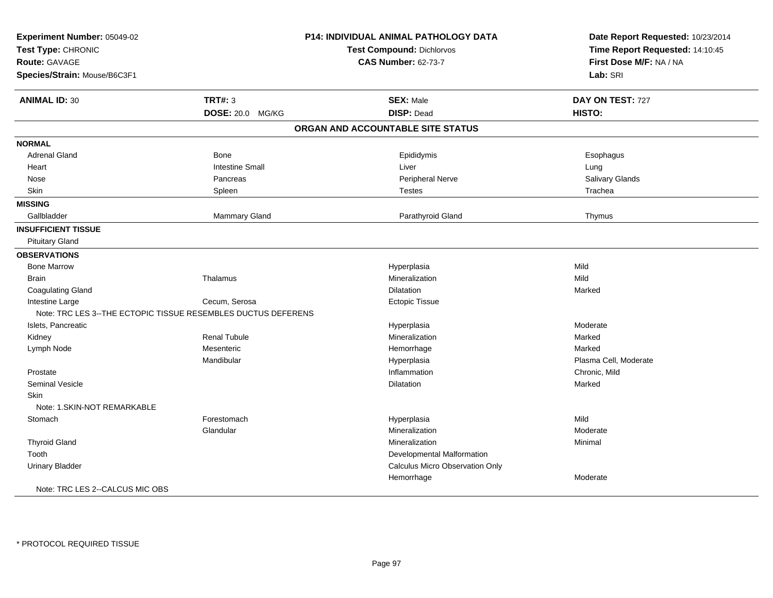| Experiment Number: 05049-02<br>Test Type: CHRONIC<br><b>Route: GAVAGE</b><br>Species/Strain: Mouse/B6C3F1 |                        | P14: INDIVIDUAL ANIMAL PATHOLOGY DATA<br><b>Test Compound: Dichlorvos</b><br><b>CAS Number: 62-73-7</b> | Date Report Requested: 10/23/2014<br>Time Report Requested: 14:10:45<br>First Dose M/F: NA / NA<br>Lab: SRI |
|-----------------------------------------------------------------------------------------------------------|------------------------|---------------------------------------------------------------------------------------------------------|-------------------------------------------------------------------------------------------------------------|
|                                                                                                           |                        |                                                                                                         |                                                                                                             |
| <b>ANIMAL ID: 30</b>                                                                                      | <b>TRT#: 3</b>         | <b>SEX: Male</b>                                                                                        | DAY ON TEST: 727                                                                                            |
|                                                                                                           | DOSE: 20.0 MG/KG       | <b>DISP: Dead</b>                                                                                       | HISTO:                                                                                                      |
|                                                                                                           |                        | ORGAN AND ACCOUNTABLE SITE STATUS                                                                       |                                                                                                             |
| <b>NORMAL</b>                                                                                             |                        |                                                                                                         |                                                                                                             |
| <b>Adrenal Gland</b>                                                                                      | Bone                   | Epididymis                                                                                              | Esophagus                                                                                                   |
| Heart                                                                                                     | <b>Intestine Small</b> | Liver                                                                                                   | Lung                                                                                                        |
| Nose                                                                                                      | Pancreas               | Peripheral Nerve                                                                                        | Salivary Glands                                                                                             |
| Skin                                                                                                      | Spleen                 | <b>Testes</b>                                                                                           | Trachea                                                                                                     |
| <b>MISSING</b>                                                                                            |                        |                                                                                                         |                                                                                                             |
| Gallbladder                                                                                               | <b>Mammary Gland</b>   | Parathyroid Gland                                                                                       | Thymus                                                                                                      |
| <b>INSUFFICIENT TISSUE</b>                                                                                |                        |                                                                                                         |                                                                                                             |
| <b>Pituitary Gland</b>                                                                                    |                        |                                                                                                         |                                                                                                             |
| <b>OBSERVATIONS</b>                                                                                       |                        |                                                                                                         |                                                                                                             |
| <b>Bone Marrow</b>                                                                                        |                        | Hyperplasia                                                                                             | Mild                                                                                                        |
| <b>Brain</b>                                                                                              | Thalamus               | Mineralization                                                                                          | Mild                                                                                                        |
| <b>Coagulating Gland</b>                                                                                  |                        | <b>Dilatation</b>                                                                                       | Marked                                                                                                      |
| Intestine Large                                                                                           | Cecum, Serosa          | <b>Ectopic Tissue</b>                                                                                   |                                                                                                             |
| Note: TRC LES 3--THE ECTOPIC TISSUE RESEMBLES DUCTUS DEFERENS                                             |                        |                                                                                                         |                                                                                                             |
| Islets, Pancreatic                                                                                        |                        | Hyperplasia                                                                                             | Moderate                                                                                                    |
| Kidney                                                                                                    | <b>Renal Tubule</b>    | Mineralization                                                                                          | Marked                                                                                                      |
| Lymph Node                                                                                                | Mesenteric             | Hemorrhage                                                                                              | Marked                                                                                                      |
|                                                                                                           | Mandibular             | Hyperplasia                                                                                             | Plasma Cell, Moderate                                                                                       |
| Prostate                                                                                                  |                        | Inflammation                                                                                            | Chronic, Mild                                                                                               |
| <b>Seminal Vesicle</b>                                                                                    |                        | Dilatation                                                                                              | Marked                                                                                                      |
| <b>Skin</b>                                                                                               |                        |                                                                                                         |                                                                                                             |
| Note: 1.SKIN-NOT REMARKABLE                                                                               |                        |                                                                                                         |                                                                                                             |
| Stomach                                                                                                   | Forestomach            | Hyperplasia                                                                                             | Mild                                                                                                        |
|                                                                                                           | Glandular              | Mineralization                                                                                          | Moderate                                                                                                    |
| <b>Thyroid Gland</b>                                                                                      |                        | Mineralization                                                                                          | Minimal                                                                                                     |
| Tooth                                                                                                     |                        | Developmental Malformation                                                                              |                                                                                                             |
| <b>Urinary Bladder</b>                                                                                    |                        | <b>Calculus Micro Observation Only</b>                                                                  |                                                                                                             |
|                                                                                                           |                        | Hemorrhage                                                                                              | Moderate                                                                                                    |
| Note: TRC LES 2--CALCUS MIC OBS                                                                           |                        |                                                                                                         |                                                                                                             |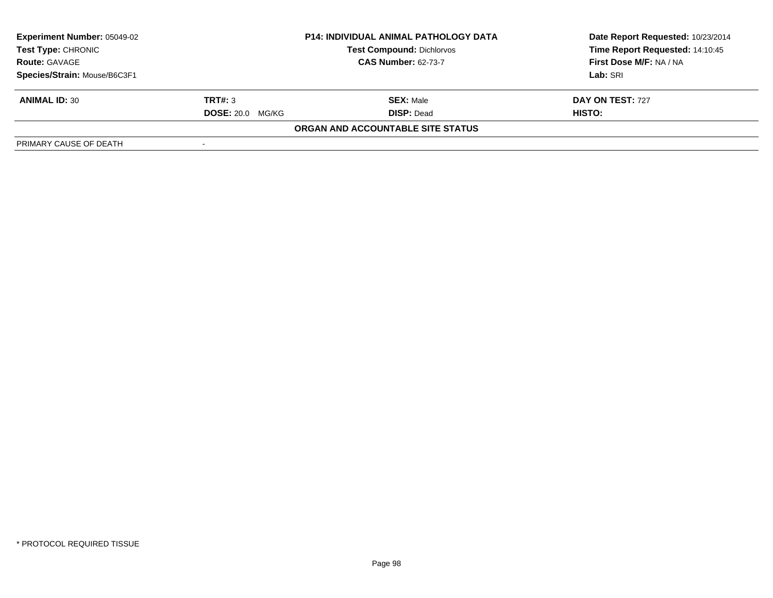| <b>Experiment Number: 05049-02</b>                 |                         | <b>P14: INDIVIDUAL ANIMAL PATHOLOGY DATA</b> | Date Report Requested: 10/23/2014 |
|----------------------------------------------------|-------------------------|----------------------------------------------|-----------------------------------|
| Test Type: CHRONIC                                 |                         | <b>Test Compound: Dichlorvos</b>             | Time Report Requested: 14:10:45   |
| <b>CAS Number: 62-73-7</b><br><b>Route: GAVAGE</b> |                         | First Dose M/F: NA / NA                      |                                   |
| Species/Strain: Mouse/B6C3F1                       |                         |                                              | Lab: SRI                          |
| <b>ANIMAL ID: 30</b>                               | TRT#: 3                 | <b>SEX: Male</b>                             | DAY ON TEST: 727                  |
|                                                    | <b>DOSE: 20.0 MG/KG</b> | <b>DISP: Dead</b>                            | <b>HISTO:</b>                     |
|                                                    |                         | <b>ORGAN AND ACCOUNTABLE SITE STATUS</b>     |                                   |
| PRIMARY CAUSE OF DEATH                             |                         |                                              |                                   |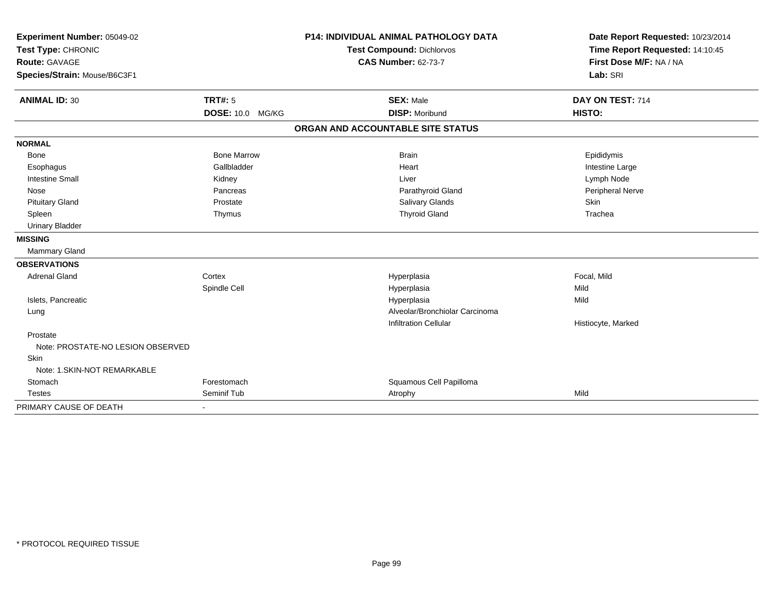| Experiment Number: 05049-02                |                    | <b>P14: INDIVIDUAL ANIMAL PATHOLOGY DATA</b>            |                                   | Date Report Requested: 10/23/2014                          |
|--------------------------------------------|--------------------|---------------------------------------------------------|-----------------------------------|------------------------------------------------------------|
| Test Type: CHRONIC<br><b>Route: GAVAGE</b> |                    | Test Compound: Dichlorvos<br><b>CAS Number: 62-73-7</b> |                                   | Time Report Requested: 14:10:45<br>First Dose M/F: NA / NA |
|                                            |                    |                                                         |                                   |                                                            |
| Species/Strain: Mouse/B6C3F1               |                    |                                                         |                                   | Lab: SRI                                                   |
| <b>ANIMAL ID: 30</b>                       | TRT#: 5            |                                                         | <b>SEX: Male</b>                  | DAY ON TEST: 714                                           |
|                                            | DOSE: 10.0 MG/KG   |                                                         | <b>DISP: Moribund</b>             | HISTO:                                                     |
|                                            |                    |                                                         | ORGAN AND ACCOUNTABLE SITE STATUS |                                                            |
| <b>NORMAL</b>                              |                    |                                                         |                                   |                                                            |
| <b>Bone</b>                                | <b>Bone Marrow</b> |                                                         | <b>Brain</b>                      | Epididymis                                                 |
| Esophagus                                  | Gallbladder        |                                                         | Heart                             | Intestine Large                                            |
| <b>Intestine Small</b>                     | Kidney             |                                                         | Liver                             | Lymph Node                                                 |
| Nose                                       | Pancreas           |                                                         | Parathyroid Gland                 | Peripheral Nerve                                           |
| <b>Pituitary Gland</b>                     | Prostate           |                                                         | Salivary Glands                   | <b>Skin</b>                                                |
| Spleen                                     | Thymus             |                                                         | <b>Thyroid Gland</b>              | Trachea                                                    |
| <b>Urinary Bladder</b>                     |                    |                                                         |                                   |                                                            |
| <b>MISSING</b>                             |                    |                                                         |                                   |                                                            |
| <b>Mammary Gland</b>                       |                    |                                                         |                                   |                                                            |
| <b>OBSERVATIONS</b>                        |                    |                                                         |                                   |                                                            |
| <b>Adrenal Gland</b>                       | Cortex             |                                                         | Hyperplasia                       | Focal, Mild                                                |
|                                            | Spindle Cell       |                                                         | Hyperplasia                       | Mild                                                       |
| Islets, Pancreatic                         |                    |                                                         | Hyperplasia                       | Mild                                                       |
| Lung                                       |                    |                                                         | Alveolar/Bronchiolar Carcinoma    |                                                            |
|                                            |                    |                                                         | <b>Infiltration Cellular</b>      | Histiocyte, Marked                                         |
| Prostate                                   |                    |                                                         |                                   |                                                            |
| Note: PROSTATE-NO LESION OBSERVED          |                    |                                                         |                                   |                                                            |
| Skin                                       |                    |                                                         |                                   |                                                            |
| Note: 1. SKIN-NOT REMARKABLE               |                    |                                                         |                                   |                                                            |
| Stomach                                    | Forestomach        |                                                         | Squamous Cell Papilloma           |                                                            |
| <b>Testes</b>                              | Seminif Tub        |                                                         | Atrophy                           | Mild                                                       |
| PRIMARY CAUSE OF DEATH                     |                    |                                                         |                                   |                                                            |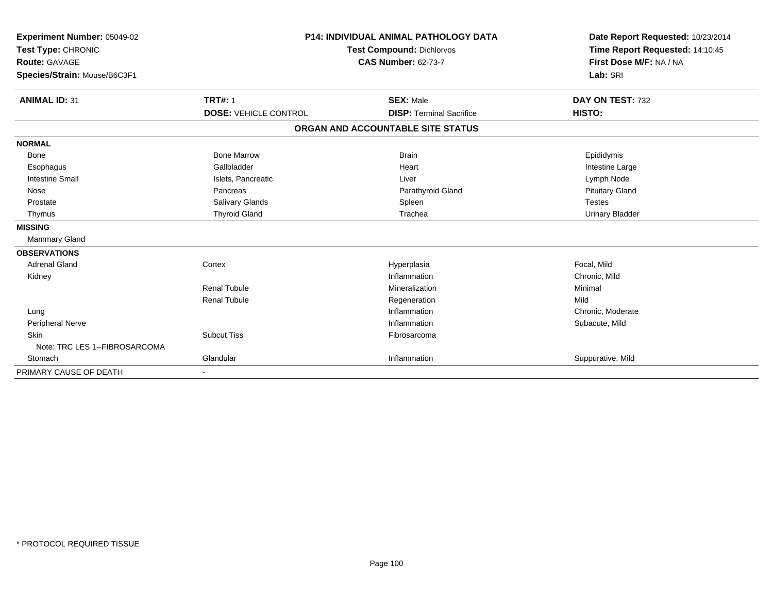| Experiment Number: 05049-02<br>Test Type: CHRONIC<br><b>Route: GAVAGE</b><br>Species/Strain: Mouse/B6C3F1 |                              | <b>P14: INDIVIDUAL ANIMAL PATHOLOGY DATA</b><br><b>Test Compound: Dichlorvos</b><br><b>CAS Number: 62-73-7</b> | Date Report Requested: 10/23/2014<br>Time Report Requested: 14:10:45<br>First Dose M/F: NA / NA<br>Lab: SRI |
|-----------------------------------------------------------------------------------------------------------|------------------------------|----------------------------------------------------------------------------------------------------------------|-------------------------------------------------------------------------------------------------------------|
| <b>ANIMAL ID: 31</b>                                                                                      | <b>TRT#: 1</b>               | <b>SEX: Male</b>                                                                                               | DAY ON TEST: 732                                                                                            |
|                                                                                                           | <b>DOSE: VEHICLE CONTROL</b> | <b>DISP: Terminal Sacrifice</b>                                                                                | HISTO:                                                                                                      |
|                                                                                                           |                              | ORGAN AND ACCOUNTABLE SITE STATUS                                                                              |                                                                                                             |
| <b>NORMAL</b>                                                                                             |                              |                                                                                                                |                                                                                                             |
| Bone                                                                                                      | <b>Bone Marrow</b>           | <b>Brain</b>                                                                                                   | Epididymis                                                                                                  |
| Esophagus                                                                                                 | Gallbladder                  | Heart                                                                                                          | Intestine Large                                                                                             |
| <b>Intestine Small</b>                                                                                    | Islets, Pancreatic           | Liver                                                                                                          | Lymph Node                                                                                                  |
| Nose                                                                                                      | Pancreas                     | Parathyroid Gland                                                                                              | <b>Pituitary Gland</b>                                                                                      |
| Prostate                                                                                                  | Salivary Glands              | Spleen                                                                                                         | <b>Testes</b>                                                                                               |
| Thymus                                                                                                    | <b>Thyroid Gland</b>         | Trachea                                                                                                        | <b>Urinary Bladder</b>                                                                                      |
| <b>MISSING</b>                                                                                            |                              |                                                                                                                |                                                                                                             |
| <b>Mammary Gland</b>                                                                                      |                              |                                                                                                                |                                                                                                             |
| <b>OBSERVATIONS</b>                                                                                       |                              |                                                                                                                |                                                                                                             |
| <b>Adrenal Gland</b>                                                                                      | Cortex                       | Hyperplasia                                                                                                    | Focal, Mild                                                                                                 |
| Kidney                                                                                                    |                              | Inflammation                                                                                                   | Chronic, Mild                                                                                               |
|                                                                                                           | <b>Renal Tubule</b>          | Mineralization                                                                                                 | Minimal                                                                                                     |
|                                                                                                           | <b>Renal Tubule</b>          | Regeneration                                                                                                   | Mild                                                                                                        |
| Lung                                                                                                      |                              | Inflammation                                                                                                   | Chronic, Moderate                                                                                           |
| Peripheral Nerve                                                                                          |                              | Inflammation                                                                                                   | Subacute, Mild                                                                                              |
| <b>Skin</b>                                                                                               | <b>Subcut Tiss</b>           | Fibrosarcoma                                                                                                   |                                                                                                             |
| Note: TRC LES 1--FIBROSARCOMA                                                                             |                              |                                                                                                                |                                                                                                             |
| Stomach                                                                                                   | Glandular                    | Inflammation                                                                                                   | Suppurative, Mild                                                                                           |
| PRIMARY CAUSE OF DEATH                                                                                    | $\overline{\phantom{a}}$     |                                                                                                                |                                                                                                             |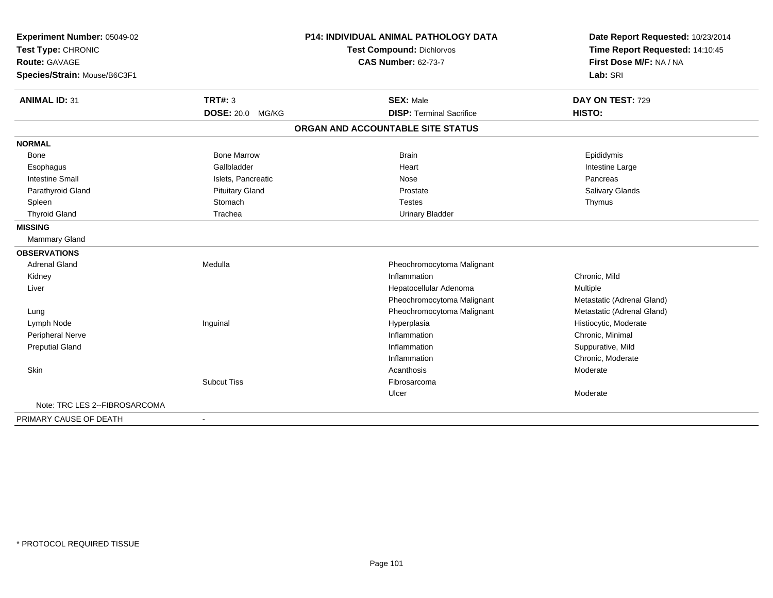| Experiment Number: 05049-02   |                         | <b>P14: INDIVIDUAL ANIMAL PATHOLOGY DATA</b> | Date Report Requested: 10/23/2014 |  |
|-------------------------------|-------------------------|----------------------------------------------|-----------------------------------|--|
| Test Type: CHRONIC            |                         | <b>Test Compound: Dichlorvos</b>             | Time Report Requested: 14:10:45   |  |
| <b>Route: GAVAGE</b>          |                         | <b>CAS Number: 62-73-7</b>                   | First Dose M/F: NA / NA           |  |
| Species/Strain: Mouse/B6C3F1  |                         |                                              | Lab: SRI                          |  |
| <b>ANIMAL ID: 31</b>          | <b>TRT#: 3</b>          | <b>SEX: Male</b>                             | DAY ON TEST: 729                  |  |
|                               | <b>DOSE: 20.0 MG/KG</b> | <b>DISP: Terminal Sacrifice</b>              | HISTO:                            |  |
|                               |                         | ORGAN AND ACCOUNTABLE SITE STATUS            |                                   |  |
| <b>NORMAL</b>                 |                         |                                              |                                   |  |
| <b>Bone</b>                   | <b>Bone Marrow</b>      | <b>Brain</b>                                 | Epididymis                        |  |
| Esophagus                     | Gallbladder             | Heart                                        | Intestine Large                   |  |
| <b>Intestine Small</b>        | Islets, Pancreatic      | Nose                                         | Pancreas                          |  |
| Parathyroid Gland             | <b>Pituitary Gland</b>  | Prostate                                     | Salivary Glands                   |  |
| Spleen                        | Stomach                 | <b>Testes</b>                                | Thymus                            |  |
| <b>Thyroid Gland</b>          | Trachea                 | <b>Urinary Bladder</b>                       |                                   |  |
| <b>MISSING</b>                |                         |                                              |                                   |  |
| <b>Mammary Gland</b>          |                         |                                              |                                   |  |
| <b>OBSERVATIONS</b>           |                         |                                              |                                   |  |
| <b>Adrenal Gland</b>          | Medulla                 | Pheochromocytoma Malignant                   |                                   |  |
| Kidney                        |                         | Inflammation                                 | Chronic, Mild                     |  |
| Liver                         |                         | Hepatocellular Adenoma                       | Multiple                          |  |
|                               |                         | Pheochromocytoma Malignant                   | Metastatic (Adrenal Gland)        |  |
| Lung                          |                         | Pheochromocytoma Malignant                   | Metastatic (Adrenal Gland)        |  |
| Lymph Node                    | Inguinal                | Hyperplasia                                  | Histiocytic, Moderate             |  |
| <b>Peripheral Nerve</b>       |                         | Inflammation                                 | Chronic, Minimal                  |  |
| <b>Preputial Gland</b>        |                         | Inflammation                                 | Suppurative, Mild                 |  |
|                               |                         | Inflammation                                 | Chronic, Moderate                 |  |
| Skin                          |                         | Acanthosis                                   | Moderate                          |  |
|                               | <b>Subcut Tiss</b>      | Fibrosarcoma                                 |                                   |  |
|                               |                         | Ulcer                                        | Moderate                          |  |
| Note: TRC LES 2--FIBROSARCOMA |                         |                                              |                                   |  |
| PRIMARY CAUSE OF DEATH        | $\blacksquare$          |                                              |                                   |  |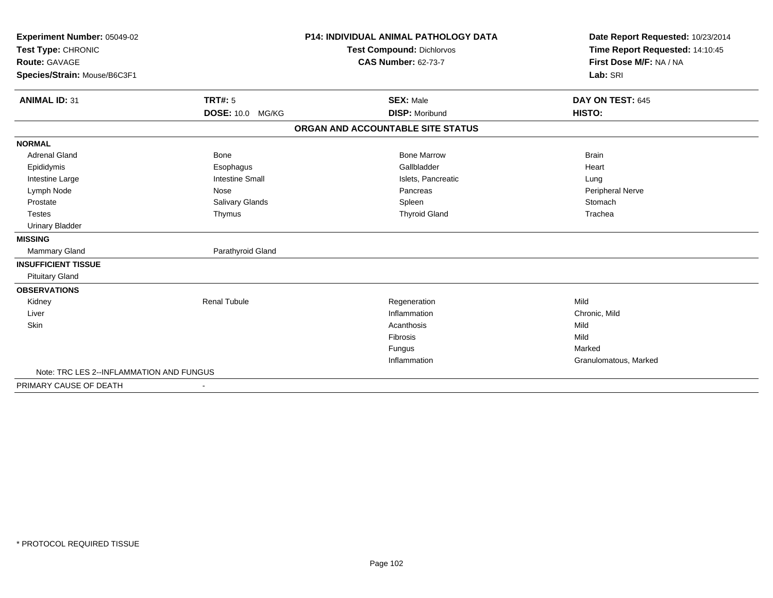| Experiment Number: 05049-02<br>Test Type: CHRONIC<br>Route: GAVAGE |                          | <b>P14: INDIVIDUAL ANIMAL PATHOLOGY DATA</b><br><b>Test Compound: Dichlorvos</b><br><b>CAS Number: 62-73-7</b> | Date Report Requested: 10/23/2014<br>Time Report Requested: 14:10:45<br>First Dose M/F: NA / NA |
|--------------------------------------------------------------------|--------------------------|----------------------------------------------------------------------------------------------------------------|-------------------------------------------------------------------------------------------------|
| Species/Strain: Mouse/B6C3F1                                       |                          |                                                                                                                | Lab: SRI                                                                                        |
| <b>ANIMAL ID: 31</b>                                               | <b>TRT#: 5</b>           | <b>SEX: Male</b>                                                                                               | DAY ON TEST: 645                                                                                |
|                                                                    | DOSE: 10.0 MG/KG         | <b>DISP: Moribund</b>                                                                                          | HISTO:                                                                                          |
|                                                                    |                          | ORGAN AND ACCOUNTABLE SITE STATUS                                                                              |                                                                                                 |
| <b>NORMAL</b>                                                      |                          |                                                                                                                |                                                                                                 |
| <b>Adrenal Gland</b>                                               | <b>Bone</b>              | <b>Bone Marrow</b>                                                                                             | <b>Brain</b>                                                                                    |
| Epididymis                                                         | Esophagus                | Gallbladder                                                                                                    | Heart                                                                                           |
| Intestine Large                                                    | <b>Intestine Small</b>   | Islets, Pancreatic                                                                                             | Lung                                                                                            |
| Lymph Node                                                         | Nose                     | Pancreas                                                                                                       | Peripheral Nerve                                                                                |
| Prostate                                                           | Salivary Glands          | Spleen                                                                                                         | Stomach                                                                                         |
| <b>Testes</b>                                                      | Thymus                   | <b>Thyroid Gland</b>                                                                                           | Trachea                                                                                         |
| <b>Urinary Bladder</b>                                             |                          |                                                                                                                |                                                                                                 |
| <b>MISSING</b>                                                     |                          |                                                                                                                |                                                                                                 |
| Mammary Gland                                                      | Parathyroid Gland        |                                                                                                                |                                                                                                 |
| <b>INSUFFICIENT TISSUE</b>                                         |                          |                                                                                                                |                                                                                                 |
| <b>Pituitary Gland</b>                                             |                          |                                                                                                                |                                                                                                 |
| <b>OBSERVATIONS</b>                                                |                          |                                                                                                                |                                                                                                 |
| Kidney                                                             | <b>Renal Tubule</b>      | Regeneration                                                                                                   | Mild                                                                                            |
| Liver                                                              |                          | Inflammation                                                                                                   | Chronic, Mild                                                                                   |
| <b>Skin</b>                                                        |                          | Acanthosis                                                                                                     | Mild                                                                                            |
|                                                                    |                          | <b>Fibrosis</b>                                                                                                | Mild                                                                                            |
|                                                                    |                          | Fungus                                                                                                         | Marked                                                                                          |
|                                                                    |                          | Inflammation                                                                                                   | Granulomatous, Marked                                                                           |
| Note: TRC LES 2--INFLAMMATION AND FUNGUS                           |                          |                                                                                                                |                                                                                                 |
| PRIMARY CAUSE OF DEATH                                             | $\overline{\phantom{a}}$ |                                                                                                                |                                                                                                 |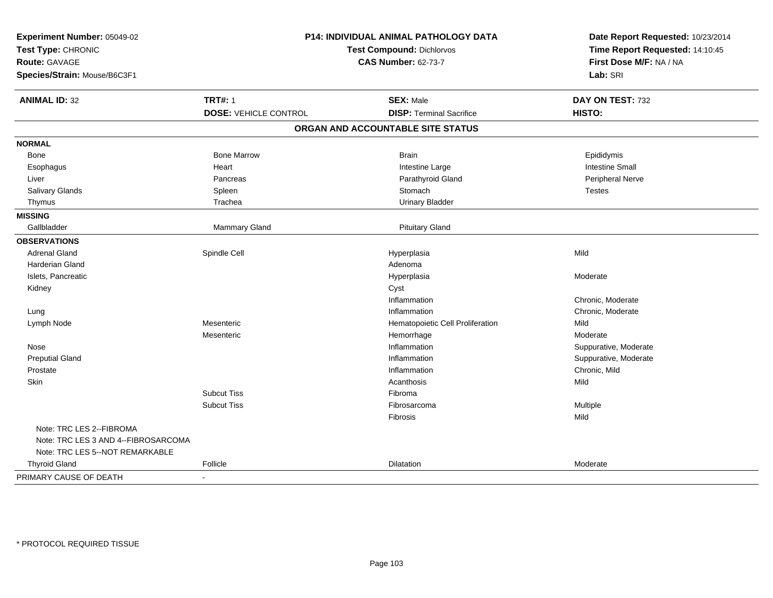| Experiment Number: 05049-02<br>Test Type: CHRONIC<br>Route: GAVAGE | P14: INDIVIDUAL ANIMAL PATHOLOGY DATA<br>Test Compound: Dichlorvos<br><b>CAS Number: 62-73-7</b> |                                   | Date Report Requested: 10/23/2014<br>Time Report Requested: 14:10:45<br>First Dose M/F: NA / NA |
|--------------------------------------------------------------------|--------------------------------------------------------------------------------------------------|-----------------------------------|-------------------------------------------------------------------------------------------------|
| Species/Strain: Mouse/B6C3F1                                       |                                                                                                  |                                   | Lab: SRI                                                                                        |
| <b>ANIMAL ID: 32</b>                                               | <b>TRT#: 1</b>                                                                                   | <b>SEX: Male</b>                  | DAY ON TEST: 732                                                                                |
|                                                                    | <b>DOSE: VEHICLE CONTROL</b>                                                                     | <b>DISP: Terminal Sacrifice</b>   | HISTO:                                                                                          |
|                                                                    |                                                                                                  | ORGAN AND ACCOUNTABLE SITE STATUS |                                                                                                 |
| <b>NORMAL</b>                                                      |                                                                                                  |                                   |                                                                                                 |
| Bone                                                               | <b>Bone Marrow</b>                                                                               | <b>Brain</b>                      | Epididymis                                                                                      |
| Esophagus                                                          | Heart                                                                                            | Intestine Large                   | <b>Intestine Small</b>                                                                          |
| Liver                                                              | Pancreas                                                                                         | Parathyroid Gland                 | Peripheral Nerve                                                                                |
| Salivary Glands                                                    | Spleen                                                                                           | Stomach                           | <b>Testes</b>                                                                                   |
| Thymus                                                             | Trachea                                                                                          | <b>Urinary Bladder</b>            |                                                                                                 |
| <b>MISSING</b>                                                     |                                                                                                  |                                   |                                                                                                 |
| Gallbladder                                                        | Mammary Gland                                                                                    | <b>Pituitary Gland</b>            |                                                                                                 |
| <b>OBSERVATIONS</b>                                                |                                                                                                  |                                   |                                                                                                 |
| <b>Adrenal Gland</b>                                               | Spindle Cell                                                                                     | Hyperplasia                       | Mild                                                                                            |
| Harderian Gland                                                    |                                                                                                  | Adenoma                           |                                                                                                 |
| Islets, Pancreatic                                                 |                                                                                                  | Hyperplasia                       | Moderate                                                                                        |
| Kidney                                                             |                                                                                                  | Cyst                              |                                                                                                 |
|                                                                    |                                                                                                  | Inflammation                      | Chronic, Moderate                                                                               |
| Lung                                                               |                                                                                                  | Inflammation                      | Chronic, Moderate                                                                               |
| Lymph Node                                                         | Mesenteric                                                                                       | Hematopoietic Cell Proliferation  | Mild                                                                                            |
|                                                                    | Mesenteric                                                                                       | Hemorrhage                        | Moderate                                                                                        |
| Nose                                                               |                                                                                                  | Inflammation                      | Suppurative, Moderate                                                                           |
| <b>Preputial Gland</b>                                             |                                                                                                  | Inflammation                      | Suppurative, Moderate                                                                           |
| Prostate                                                           |                                                                                                  | Inflammation                      | Chronic, Mild                                                                                   |
| Skin                                                               |                                                                                                  | Acanthosis                        | Mild                                                                                            |
|                                                                    | <b>Subcut Tiss</b>                                                                               | Fibroma                           |                                                                                                 |
|                                                                    | <b>Subcut Tiss</b>                                                                               | Fibrosarcoma                      | Multiple                                                                                        |
|                                                                    |                                                                                                  | Fibrosis                          | Mild                                                                                            |
| Note: TRC LES 2--FIBROMA                                           |                                                                                                  |                                   |                                                                                                 |
| Note: TRC LES 3 AND 4--FIBROSARCOMA                                |                                                                                                  |                                   |                                                                                                 |
| Note: TRC LES 5--NOT REMARKABLE                                    |                                                                                                  |                                   |                                                                                                 |
| <b>Thyroid Gland</b>                                               | Follicle                                                                                         | Dilatation                        | Moderate                                                                                        |
| PRIMARY CAUSE OF DEATH                                             | $\overline{a}$                                                                                   |                                   |                                                                                                 |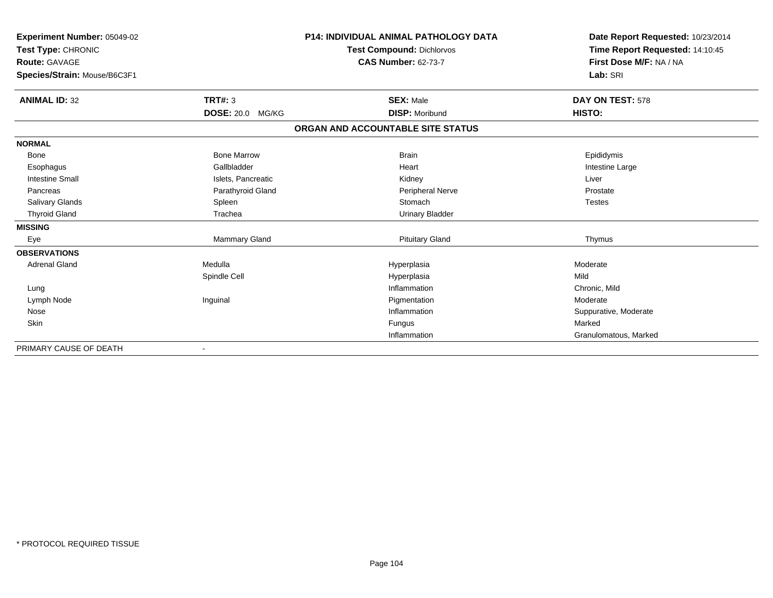| <b>Experiment Number: 05049-02</b><br>Test Type: CHRONIC |                         | <b>P14: INDIVIDUAL ANIMAL PATHOLOGY DATA</b><br><b>Test Compound: Dichlorvos</b> | Date Report Requested: 10/23/2014                          |
|----------------------------------------------------------|-------------------------|----------------------------------------------------------------------------------|------------------------------------------------------------|
|                                                          |                         | <b>CAS Number: 62-73-7</b>                                                       | Time Report Requested: 14:10:45<br>First Dose M/F: NA / NA |
| <b>Route: GAVAGE</b>                                     |                         |                                                                                  |                                                            |
| Species/Strain: Mouse/B6C3F1                             |                         |                                                                                  | Lab: SRI                                                   |
| <b>ANIMAL ID: 32</b>                                     | TRT#: 3                 | <b>SEX: Male</b>                                                                 | DAY ON TEST: 578                                           |
|                                                          | <b>DOSE: 20.0 MG/KG</b> | <b>DISP: Moribund</b>                                                            | HISTO:                                                     |
|                                                          |                         | ORGAN AND ACCOUNTABLE SITE STATUS                                                |                                                            |
| <b>NORMAL</b>                                            |                         |                                                                                  |                                                            |
| Bone                                                     | <b>Bone Marrow</b>      | <b>Brain</b>                                                                     | Epididymis                                                 |
| Esophagus                                                | Gallbladder             | Heart                                                                            | Intestine Large                                            |
| <b>Intestine Small</b>                                   | Islets, Pancreatic      | Kidney                                                                           | Liver                                                      |
| Pancreas                                                 | Parathyroid Gland       | Peripheral Nerve                                                                 | Prostate                                                   |
| <b>Salivary Glands</b>                                   | Spleen                  | Stomach                                                                          | <b>Testes</b>                                              |
| <b>Thyroid Gland</b>                                     | Trachea                 | <b>Urinary Bladder</b>                                                           |                                                            |
| <b>MISSING</b>                                           |                         |                                                                                  |                                                            |
| Eye                                                      | Mammary Gland           | <b>Pituitary Gland</b>                                                           | Thymus                                                     |
| <b>OBSERVATIONS</b>                                      |                         |                                                                                  |                                                            |
| <b>Adrenal Gland</b>                                     | Medulla                 | Hyperplasia                                                                      | Moderate                                                   |
|                                                          | Spindle Cell            | Hyperplasia                                                                      | Mild                                                       |
| Lung                                                     |                         | Inflammation                                                                     | Chronic, Mild                                              |
| Lymph Node                                               | Inguinal                | Pigmentation                                                                     | Moderate                                                   |
| Nose                                                     |                         | Inflammation                                                                     | Suppurative, Moderate                                      |
| Skin                                                     |                         | Fungus                                                                           | Marked                                                     |
|                                                          |                         | Inflammation                                                                     | Granulomatous, Marked                                      |
| PRIMARY CAUSE OF DEATH                                   |                         |                                                                                  |                                                            |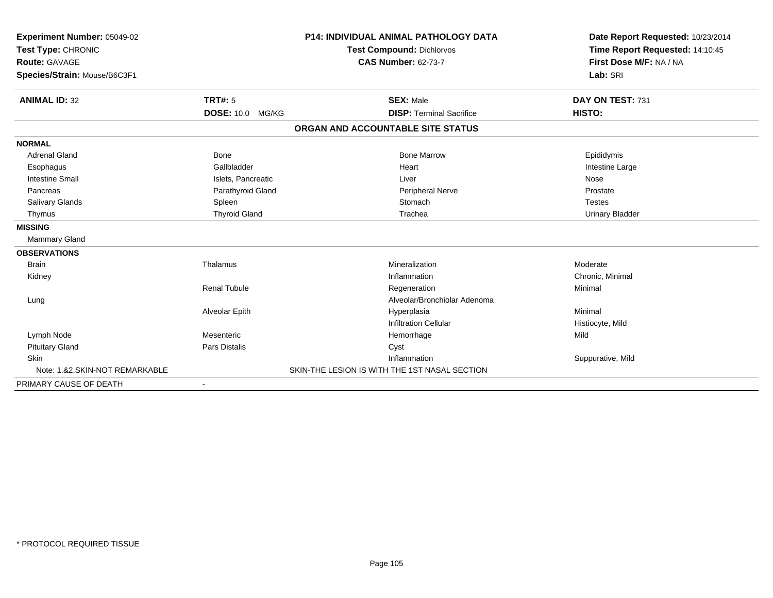| Experiment Number: 05049-02<br>Test Type: CHRONIC<br><b>Route: GAVAGE</b> |                         | P14: INDIVIDUAL ANIMAL PATHOLOGY DATA<br><b>Test Compound: Dichlorvos</b> | Date Report Requested: 10/23/2014<br>Time Report Requested: 14:10:45<br>First Dose M/F: NA / NA |
|---------------------------------------------------------------------------|-------------------------|---------------------------------------------------------------------------|-------------------------------------------------------------------------------------------------|
|                                                                           |                         | <b>CAS Number: 62-73-7</b>                                                |                                                                                                 |
| Species/Strain: Mouse/B6C3F1                                              |                         |                                                                           | Lab: SRI                                                                                        |
| <b>ANIMAL ID: 32</b>                                                      | TRT#: 5                 | <b>SEX: Male</b>                                                          | DAY ON TEST: 731                                                                                |
|                                                                           | <b>DOSE: 10.0 MG/KG</b> | <b>DISP: Terminal Sacrifice</b>                                           | HISTO:                                                                                          |
|                                                                           |                         | ORGAN AND ACCOUNTABLE SITE STATUS                                         |                                                                                                 |
| <b>NORMAL</b>                                                             |                         |                                                                           |                                                                                                 |
| <b>Adrenal Gland</b>                                                      | <b>Bone</b>             | <b>Bone Marrow</b>                                                        | Epididymis                                                                                      |
| Esophagus                                                                 | Gallbladder             | Heart                                                                     | Intestine Large                                                                                 |
| <b>Intestine Small</b>                                                    | Islets, Pancreatic      | Liver                                                                     | Nose                                                                                            |
| Pancreas                                                                  | Parathyroid Gland       | Peripheral Nerve                                                          | Prostate                                                                                        |
| Salivary Glands                                                           | Spleen                  | Stomach                                                                   | <b>Testes</b>                                                                                   |
| Thymus                                                                    | <b>Thyroid Gland</b>    | Trachea                                                                   | <b>Urinary Bladder</b>                                                                          |
| <b>MISSING</b>                                                            |                         |                                                                           |                                                                                                 |
| Mammary Gland                                                             |                         |                                                                           |                                                                                                 |
| <b>OBSERVATIONS</b>                                                       |                         |                                                                           |                                                                                                 |
| <b>Brain</b>                                                              | Thalamus                | Mineralization                                                            | Moderate                                                                                        |
| Kidney                                                                    |                         | Inflammation                                                              | Chronic, Minimal                                                                                |
|                                                                           | <b>Renal Tubule</b>     | Regeneration                                                              | Minimal                                                                                         |
| Lung                                                                      |                         | Alveolar/Bronchiolar Adenoma                                              |                                                                                                 |
|                                                                           | Alveolar Epith          | Hyperplasia                                                               | Minimal                                                                                         |
|                                                                           |                         | <b>Infiltration Cellular</b>                                              | Histiocyte, Mild                                                                                |
| Lymph Node                                                                | Mesenteric              | Hemorrhage                                                                | Mild                                                                                            |
| <b>Pituitary Gland</b>                                                    | <b>Pars Distalis</b>    | Cyst                                                                      |                                                                                                 |
| <b>Skin</b>                                                               |                         | Inflammation                                                              | Suppurative, Mild                                                                               |
| Note: 1.&2.SKIN-NOT REMARKABLE                                            |                         | SKIN-THE LESION IS WITH THE 1ST NASAL SECTION                             |                                                                                                 |
| PRIMARY CAUSE OF DEATH                                                    |                         |                                                                           |                                                                                                 |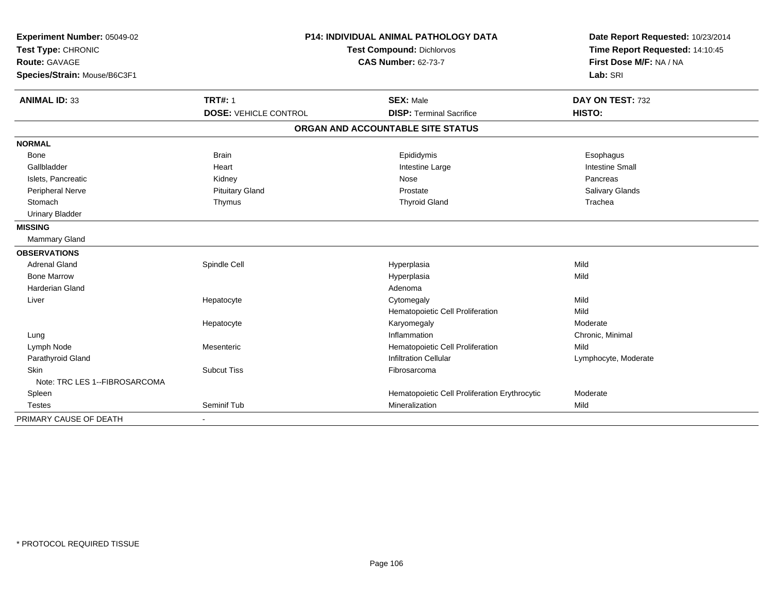| Experiment Number: 05049-02   | <b>P14: INDIVIDUAL ANIMAL PATHOLOGY DATA</b> |                                                                | Date Report Requested: 10/23/2014 |
|-------------------------------|----------------------------------------------|----------------------------------------------------------------|-----------------------------------|
| Test Type: CHRONIC            |                                              | Time Report Requested: 14:10:45                                |                                   |
| <b>Route: GAVAGE</b>          |                                              | <b>Test Compound: Dichlorvos</b><br><b>CAS Number: 62-73-7</b> | First Dose M/F: NA / NA           |
| Species/Strain: Mouse/B6C3F1  |                                              |                                                                | Lab: SRI                          |
| <b>ANIMAL ID: 33</b>          | <b>TRT#: 1</b>                               | <b>SEX: Male</b>                                               | DAY ON TEST: 732                  |
|                               | <b>DOSE: VEHICLE CONTROL</b>                 | <b>DISP: Terminal Sacrifice</b>                                | HISTO:                            |
|                               |                                              | ORGAN AND ACCOUNTABLE SITE STATUS                              |                                   |
| <b>NORMAL</b>                 |                                              |                                                                |                                   |
| <b>Bone</b>                   | <b>Brain</b>                                 | Epididymis                                                     | Esophagus                         |
| Gallbladder                   | Heart                                        | Intestine Large                                                | <b>Intestine Small</b>            |
| Islets, Pancreatic            | Kidney                                       | Nose                                                           | Pancreas                          |
| Peripheral Nerve              | <b>Pituitary Gland</b>                       | Prostate                                                       | Salivary Glands                   |
| Stomach                       | Thymus                                       | <b>Thyroid Gland</b>                                           | Trachea                           |
| <b>Urinary Bladder</b>        |                                              |                                                                |                                   |
| <b>MISSING</b>                |                                              |                                                                |                                   |
| Mammary Gland                 |                                              |                                                                |                                   |
| <b>OBSERVATIONS</b>           |                                              |                                                                |                                   |
| <b>Adrenal Gland</b>          | Spindle Cell                                 | Hyperplasia                                                    | Mild                              |
| <b>Bone Marrow</b>            |                                              | Hyperplasia                                                    | Mild                              |
| <b>Harderian Gland</b>        |                                              | Adenoma                                                        |                                   |
| Liver                         | Hepatocyte                                   | Cytomegaly                                                     | Mild                              |
|                               |                                              | Hematopoietic Cell Proliferation                               | Mild                              |
|                               | Hepatocyte                                   | Karyomegaly                                                    | Moderate                          |
| Lung                          |                                              | Inflammation                                                   | Chronic, Minimal                  |
| Lymph Node                    | Mesenteric                                   | Hematopoietic Cell Proliferation                               | Mild                              |
| Parathyroid Gland             |                                              | <b>Infiltration Cellular</b>                                   | Lymphocyte, Moderate              |
| Skin                          | <b>Subcut Tiss</b>                           | Fibrosarcoma                                                   |                                   |
| Note: TRC LES 1--FIBROSARCOMA |                                              |                                                                |                                   |
| Spleen                        |                                              | Hematopoietic Cell Proliferation Erythrocytic                  | Moderate                          |
| <b>Testes</b>                 | Seminif Tub                                  | Mineralization                                                 | Mild                              |
| PRIMARY CAUSE OF DEATH        | $\blacksquare$                               |                                                                |                                   |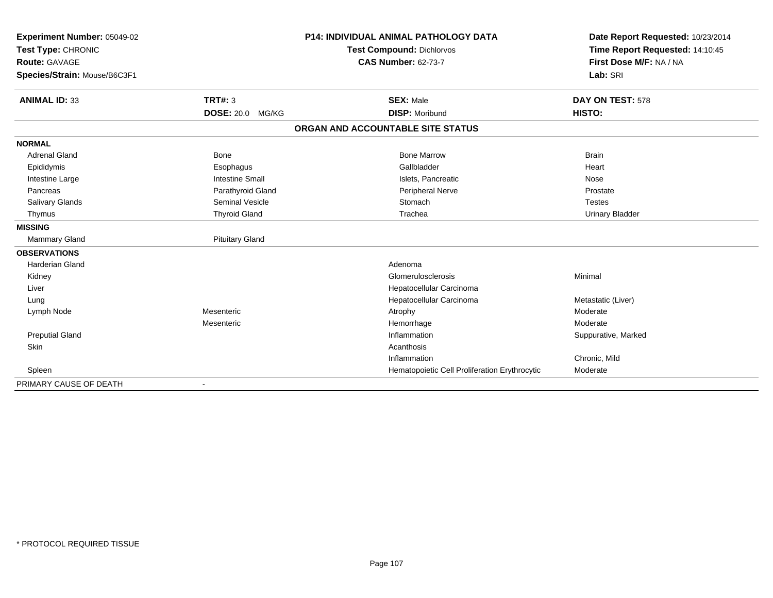| Experiment Number: 05049-02<br>Test Type: CHRONIC<br><b>Route: GAVAGE</b><br>Species/Strain: Mouse/B6C3F1 |                         | <b>P14: INDIVIDUAL ANIMAL PATHOLOGY DATA</b><br><b>Test Compound: Dichlorvos</b><br><b>CAS Number: 62-73-7</b> | Date Report Requested: 10/23/2014<br>Time Report Requested: 14:10:45<br>First Dose M/F: NA / NA<br>Lab: SRI |
|-----------------------------------------------------------------------------------------------------------|-------------------------|----------------------------------------------------------------------------------------------------------------|-------------------------------------------------------------------------------------------------------------|
| <b>ANIMAL ID: 33</b>                                                                                      | <b>TRT#: 3</b>          | <b>SEX: Male</b>                                                                                               | DAY ON TEST: 578                                                                                            |
|                                                                                                           | <b>DOSE: 20.0 MG/KG</b> | <b>DISP: Moribund</b>                                                                                          | HISTO:                                                                                                      |
|                                                                                                           |                         | ORGAN AND ACCOUNTABLE SITE STATUS                                                                              |                                                                                                             |
| <b>NORMAL</b>                                                                                             |                         |                                                                                                                |                                                                                                             |
| <b>Adrenal Gland</b>                                                                                      | <b>Bone</b>             | <b>Bone Marrow</b>                                                                                             | <b>Brain</b>                                                                                                |
| Epididymis                                                                                                | Esophagus               | Gallbladder                                                                                                    | Heart                                                                                                       |
| Intestine Large                                                                                           | <b>Intestine Small</b>  | Islets, Pancreatic                                                                                             | Nose                                                                                                        |
| Pancreas                                                                                                  | Parathyroid Gland       | Peripheral Nerve                                                                                               | Prostate                                                                                                    |
| Salivary Glands                                                                                           | <b>Seminal Vesicle</b>  | Stomach                                                                                                        | <b>Testes</b>                                                                                               |
| Thymus                                                                                                    | <b>Thyroid Gland</b>    | Trachea                                                                                                        | <b>Urinary Bladder</b>                                                                                      |
| <b>MISSING</b>                                                                                            |                         |                                                                                                                |                                                                                                             |
| <b>Mammary Gland</b>                                                                                      | <b>Pituitary Gland</b>  |                                                                                                                |                                                                                                             |
| <b>OBSERVATIONS</b>                                                                                       |                         |                                                                                                                |                                                                                                             |
| <b>Harderian Gland</b>                                                                                    |                         | Adenoma                                                                                                        |                                                                                                             |
| Kidney                                                                                                    |                         | Glomerulosclerosis                                                                                             | Minimal                                                                                                     |
| Liver                                                                                                     |                         | Hepatocellular Carcinoma                                                                                       |                                                                                                             |
| Lung                                                                                                      |                         | Hepatocellular Carcinoma                                                                                       | Metastatic (Liver)                                                                                          |
| Lymph Node                                                                                                | Mesenteric              | Atrophy                                                                                                        | Moderate                                                                                                    |
|                                                                                                           | Mesenteric              | Hemorrhage                                                                                                     | Moderate                                                                                                    |
| <b>Preputial Gland</b>                                                                                    |                         | Inflammation                                                                                                   | Suppurative, Marked                                                                                         |
| <b>Skin</b>                                                                                               |                         | Acanthosis                                                                                                     |                                                                                                             |
|                                                                                                           |                         | Inflammation                                                                                                   | Chronic, Mild                                                                                               |
| Spleen                                                                                                    |                         | Hematopoietic Cell Proliferation Erythrocytic                                                                  | Moderate                                                                                                    |
| PRIMARY CAUSE OF DEATH                                                                                    |                         |                                                                                                                |                                                                                                             |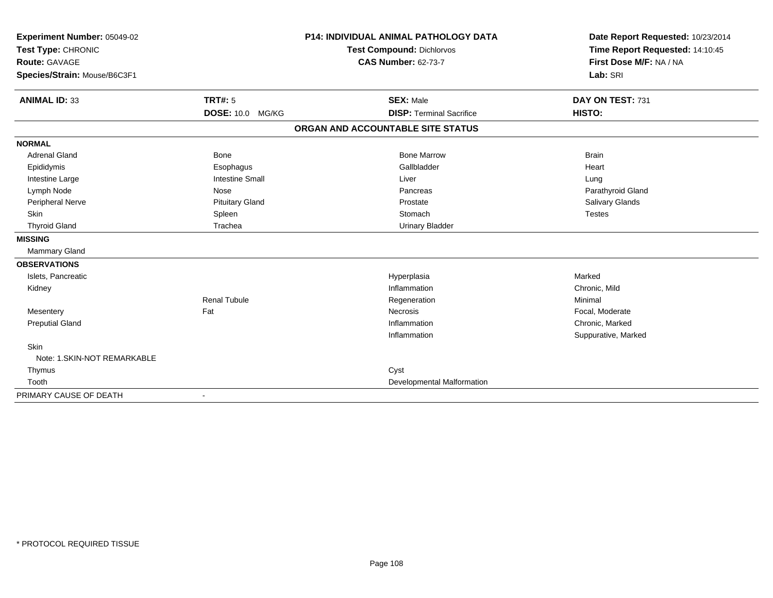| Experiment Number: 05049-02<br>Test Type: CHRONIC |                        | <b>P14: INDIVIDUAL ANIMAL PATHOLOGY DATA</b> | Date Report Requested: 10/23/2014<br>Time Report Requested: 14:10:45 |
|---------------------------------------------------|------------------------|----------------------------------------------|----------------------------------------------------------------------|
|                                                   |                        | <b>Test Compound: Dichlorvos</b>             |                                                                      |
| <b>Route: GAVAGE</b>                              |                        | <b>CAS Number: 62-73-7</b>                   | First Dose M/F: NA / NA                                              |
| Species/Strain: Mouse/B6C3F1                      |                        |                                              | Lab: SRI                                                             |
| <b>ANIMAL ID: 33</b>                              | <b>TRT#: 5</b>         | <b>SEX: Male</b>                             | DAY ON TEST: 731                                                     |
|                                                   | DOSE: 10.0 MG/KG       | <b>DISP: Terminal Sacrifice</b>              | HISTO:                                                               |
|                                                   |                        | ORGAN AND ACCOUNTABLE SITE STATUS            |                                                                      |
| <b>NORMAL</b>                                     |                        |                                              |                                                                      |
| <b>Adrenal Gland</b>                              | Bone                   | <b>Bone Marrow</b>                           | <b>Brain</b>                                                         |
| Epididymis                                        | Esophagus              | Gallbladder                                  | Heart                                                                |
| Intestine Large                                   | <b>Intestine Small</b> | Liver                                        | Lung                                                                 |
| Lymph Node                                        | Nose                   | Pancreas                                     | Parathyroid Gland                                                    |
| Peripheral Nerve                                  | <b>Pituitary Gland</b> | Prostate                                     | Salivary Glands                                                      |
| <b>Skin</b>                                       | Spleen                 | Stomach                                      | <b>Testes</b>                                                        |
| <b>Thyroid Gland</b>                              | Trachea                | <b>Urinary Bladder</b>                       |                                                                      |
| <b>MISSING</b>                                    |                        |                                              |                                                                      |
| <b>Mammary Gland</b>                              |                        |                                              |                                                                      |
| <b>OBSERVATIONS</b>                               |                        |                                              |                                                                      |
| Islets, Pancreatic                                |                        | Hyperplasia                                  | Marked                                                               |
| Kidney                                            |                        | Inflammation                                 | Chronic, Mild                                                        |
|                                                   | <b>Renal Tubule</b>    | Regeneration                                 | Minimal                                                              |
| Mesentery                                         | Fat                    | Necrosis                                     | Focal, Moderate                                                      |
| <b>Preputial Gland</b>                            |                        | Inflammation                                 | Chronic, Marked                                                      |
|                                                   |                        | Inflammation                                 | Suppurative, Marked                                                  |
| Skin                                              |                        |                                              |                                                                      |
| Note: 1.SKIN-NOT REMARKABLE                       |                        |                                              |                                                                      |
| Thymus                                            |                        | Cyst                                         |                                                                      |
| Tooth                                             |                        | Developmental Malformation                   |                                                                      |
| PRIMARY CAUSE OF DEATH                            |                        |                                              |                                                                      |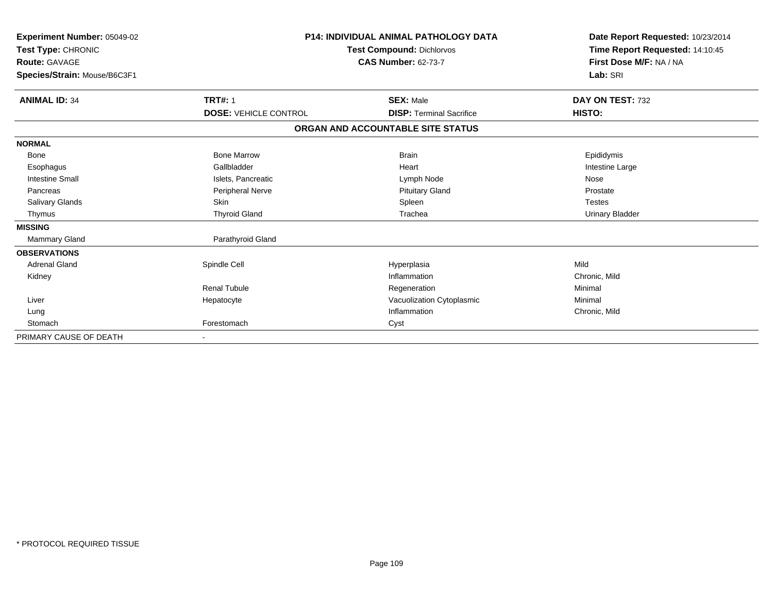| Experiment Number: 05049-02<br>Test Type: CHRONIC<br>Route: GAVAGE<br>Species/Strain: Mouse/B6C3F1 | <b>P14: INDIVIDUAL ANIMAL PATHOLOGY DATA</b><br>Test Compound: Dichlorvos<br><b>CAS Number: 62-73-7</b> |                                   | Date Report Requested: 10/23/2014<br>Time Report Requested: 14:10:45<br>First Dose M/F: NA / NA<br>Lab: SRI |
|----------------------------------------------------------------------------------------------------|---------------------------------------------------------------------------------------------------------|-----------------------------------|-------------------------------------------------------------------------------------------------------------|
| <b>ANIMAL ID: 34</b>                                                                               | <b>TRT#: 1</b>                                                                                          | <b>SEX: Male</b>                  | DAY ON TEST: 732                                                                                            |
|                                                                                                    | <b>DOSE: VEHICLE CONTROL</b>                                                                            | <b>DISP: Terminal Sacrifice</b>   | HISTO:                                                                                                      |
|                                                                                                    |                                                                                                         | ORGAN AND ACCOUNTABLE SITE STATUS |                                                                                                             |
| <b>NORMAL</b>                                                                                      |                                                                                                         |                                   |                                                                                                             |
| Bone                                                                                               | <b>Bone Marrow</b>                                                                                      | <b>Brain</b>                      | Epididymis                                                                                                  |
| Esophagus                                                                                          | Gallbladder                                                                                             | Heart                             | Intestine Large                                                                                             |
| <b>Intestine Small</b>                                                                             | Islets, Pancreatic                                                                                      | Lymph Node                        | Nose                                                                                                        |
| Pancreas                                                                                           | <b>Peripheral Nerve</b>                                                                                 | <b>Pituitary Gland</b>            | Prostate                                                                                                    |
| Salivary Glands                                                                                    | Skin                                                                                                    | Spleen                            | <b>Testes</b>                                                                                               |
| Thymus                                                                                             | <b>Thyroid Gland</b>                                                                                    | Trachea                           | <b>Urinary Bladder</b>                                                                                      |
| <b>MISSING</b>                                                                                     |                                                                                                         |                                   |                                                                                                             |
| <b>Mammary Gland</b>                                                                               | Parathyroid Gland                                                                                       |                                   |                                                                                                             |
| <b>OBSERVATIONS</b>                                                                                |                                                                                                         |                                   |                                                                                                             |
| <b>Adrenal Gland</b>                                                                               | Spindle Cell                                                                                            | Hyperplasia                       | Mild                                                                                                        |
| Kidney                                                                                             |                                                                                                         | Inflammation                      | Chronic, Mild                                                                                               |
|                                                                                                    | Renal Tubule                                                                                            | Regeneration                      | Minimal                                                                                                     |
| Liver                                                                                              | Hepatocyte                                                                                              | Vacuolization Cytoplasmic         | Minimal                                                                                                     |
| Lung                                                                                               |                                                                                                         | Inflammation                      | Chronic, Mild                                                                                               |
| Stomach                                                                                            | Forestomach                                                                                             | Cyst                              |                                                                                                             |
| PRIMARY CAUSE OF DEATH                                                                             |                                                                                                         |                                   |                                                                                                             |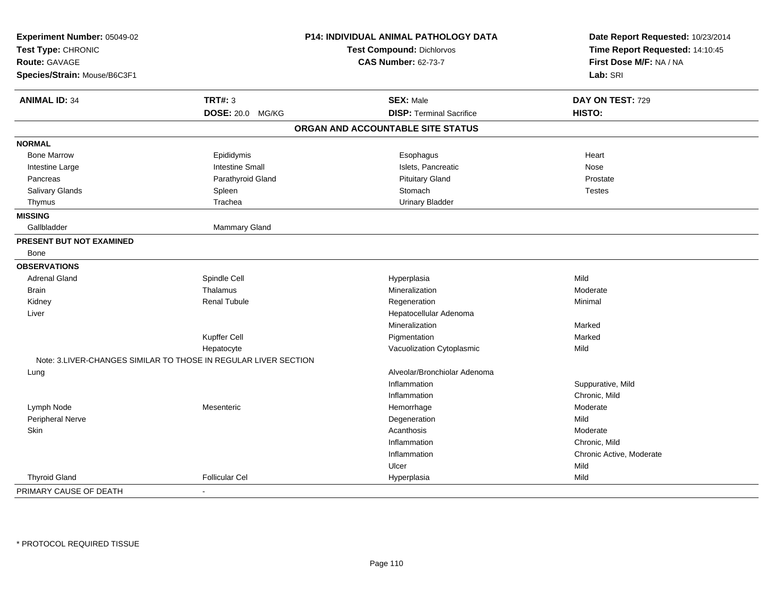| Experiment Number: 05049-02     |                                                                 | <b>P14: INDIVIDUAL ANIMAL PATHOLOGY DATA</b> | Date Report Requested: 10/23/2014 |
|---------------------------------|-----------------------------------------------------------------|----------------------------------------------|-----------------------------------|
| Test Type: CHRONIC              |                                                                 | <b>Test Compound: Dichlorvos</b>             | Time Report Requested: 14:10:45   |
| <b>Route: GAVAGE</b>            |                                                                 | <b>CAS Number: 62-73-7</b>                   | First Dose M/F: NA / NA           |
| Species/Strain: Mouse/B6C3F1    |                                                                 |                                              | Lab: SRI                          |
| <b>ANIMAL ID: 34</b>            | <b>TRT#: 3</b>                                                  | <b>SEX: Male</b>                             | DAY ON TEST: 729                  |
|                                 | DOSE: 20.0 MG/KG                                                | <b>DISP: Terminal Sacrifice</b>              | HISTO:                            |
|                                 |                                                                 | ORGAN AND ACCOUNTABLE SITE STATUS            |                                   |
| <b>NORMAL</b>                   |                                                                 |                                              |                                   |
| <b>Bone Marrow</b>              | Epididymis                                                      | Esophagus                                    | Heart                             |
| Intestine Large                 | <b>Intestine Small</b>                                          | Islets, Pancreatic                           | Nose                              |
| Pancreas                        | Parathyroid Gland                                               | <b>Pituitary Gland</b>                       | Prostate                          |
| <b>Salivary Glands</b>          | Spleen                                                          | Stomach                                      | <b>Testes</b>                     |
| Thymus                          | Trachea                                                         | <b>Urinary Bladder</b>                       |                                   |
| <b>MISSING</b>                  |                                                                 |                                              |                                   |
| Gallbladder                     | <b>Mammary Gland</b>                                            |                                              |                                   |
| <b>PRESENT BUT NOT EXAMINED</b> |                                                                 |                                              |                                   |
| Bone                            |                                                                 |                                              |                                   |
| <b>OBSERVATIONS</b>             |                                                                 |                                              |                                   |
| <b>Adrenal Gland</b>            | Spindle Cell                                                    | Hyperplasia                                  | Mild                              |
| <b>Brain</b>                    | Thalamus                                                        | Mineralization                               | Moderate                          |
| Kidney                          | <b>Renal Tubule</b>                                             | Regeneration                                 | Minimal                           |
| Liver                           |                                                                 | Hepatocellular Adenoma                       |                                   |
|                                 |                                                                 | Mineralization                               | Marked                            |
|                                 | Kupffer Cell                                                    | Pigmentation                                 | Marked                            |
|                                 | Hepatocyte                                                      | Vacuolization Cytoplasmic                    | Mild                              |
|                                 | Note: 3.LIVER-CHANGES SIMILAR TO THOSE IN REGULAR LIVER SECTION |                                              |                                   |
| Lung                            |                                                                 | Alveolar/Bronchiolar Adenoma                 |                                   |
|                                 |                                                                 | Inflammation                                 | Suppurative, Mild                 |
|                                 |                                                                 | Inflammation                                 | Chronic, Mild                     |
| Lymph Node                      | Mesenteric                                                      | Hemorrhage                                   | Moderate                          |
| Peripheral Nerve                |                                                                 | Degeneration                                 | Mild                              |
| Skin                            |                                                                 | Acanthosis                                   | Moderate                          |
|                                 |                                                                 | Inflammation                                 | Chronic, Mild                     |
|                                 |                                                                 | Inflammation                                 | Chronic Active, Moderate          |
|                                 |                                                                 | Ulcer                                        | Mild                              |
| <b>Thyroid Gland</b>            | <b>Follicular Cel</b>                                           | Hyperplasia                                  | Mild                              |
| PRIMARY CAUSE OF DEATH          | $\overline{a}$                                                  |                                              |                                   |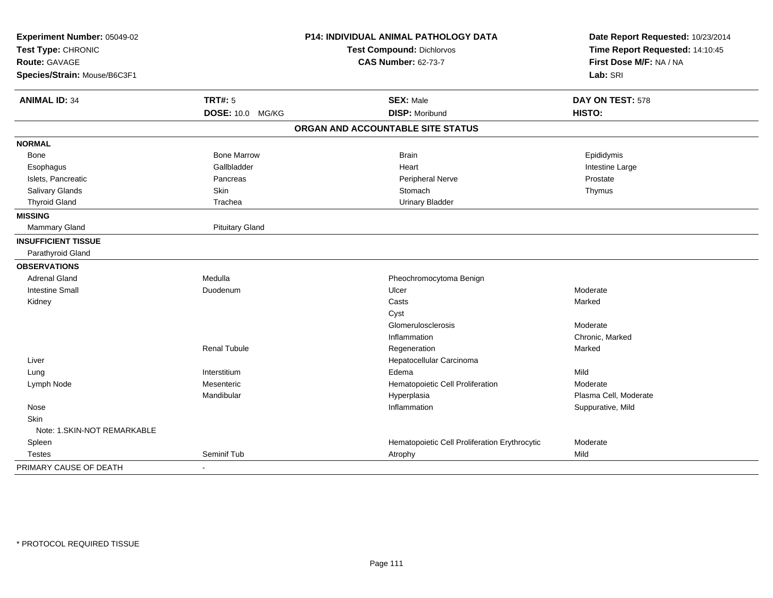| Experiment Number: 05049-02<br>Test Type: CHRONIC<br><b>Route: GAVAGE</b> |                        | P14: INDIVIDUAL ANIMAL PATHOLOGY DATA         | Date Report Requested: 10/23/2014<br>Time Report Requested: 14:10:45 |  |
|---------------------------------------------------------------------------|------------------------|-----------------------------------------------|----------------------------------------------------------------------|--|
|                                                                           |                        | Test Compound: Dichlorvos                     |                                                                      |  |
|                                                                           |                        | <b>CAS Number: 62-73-7</b>                    | First Dose M/F: NA / NA                                              |  |
| Species/Strain: Mouse/B6C3F1                                              |                        |                                               | Lab: SRI                                                             |  |
| <b>ANIMAL ID: 34</b>                                                      | <b>TRT#: 5</b>         | <b>SEX: Male</b>                              | DAY ON TEST: 578                                                     |  |
|                                                                           | DOSE: 10.0 MG/KG       | <b>DISP: Moribund</b>                         | HISTO:                                                               |  |
|                                                                           |                        | ORGAN AND ACCOUNTABLE SITE STATUS             |                                                                      |  |
| <b>NORMAL</b>                                                             |                        |                                               |                                                                      |  |
| Bone                                                                      | <b>Bone Marrow</b>     | <b>Brain</b>                                  | Epididymis                                                           |  |
| Esophagus                                                                 | Gallbladder            | Heart                                         | Intestine Large                                                      |  |
| Islets, Pancreatic                                                        | Pancreas               | Peripheral Nerve                              | Prostate                                                             |  |
| Salivary Glands                                                           | Skin                   | Stomach                                       | Thymus                                                               |  |
| <b>Thyroid Gland</b>                                                      | Trachea                | <b>Urinary Bladder</b>                        |                                                                      |  |
| <b>MISSING</b>                                                            |                        |                                               |                                                                      |  |
| <b>Mammary Gland</b>                                                      | <b>Pituitary Gland</b> |                                               |                                                                      |  |
| <b>INSUFFICIENT TISSUE</b>                                                |                        |                                               |                                                                      |  |
| Parathyroid Gland                                                         |                        |                                               |                                                                      |  |
| <b>OBSERVATIONS</b>                                                       |                        |                                               |                                                                      |  |
| <b>Adrenal Gland</b>                                                      | Medulla                | Pheochromocytoma Benign                       |                                                                      |  |
| <b>Intestine Small</b>                                                    | Duodenum               | Ulcer                                         | Moderate                                                             |  |
| Kidney                                                                    |                        | Casts                                         | Marked                                                               |  |
|                                                                           |                        | Cyst                                          |                                                                      |  |
|                                                                           |                        | Glomerulosclerosis                            | Moderate                                                             |  |
|                                                                           |                        | Inflammation                                  | Chronic, Marked                                                      |  |
|                                                                           | <b>Renal Tubule</b>    | Regeneration                                  | Marked                                                               |  |
| Liver                                                                     |                        | Hepatocellular Carcinoma                      |                                                                      |  |
| Lung                                                                      | Interstitium           | Edema                                         | Mild                                                                 |  |
| Lymph Node                                                                | Mesenteric             | Hematopoietic Cell Proliferation              | Moderate                                                             |  |
|                                                                           | Mandibular             | Hyperplasia                                   | Plasma Cell, Moderate                                                |  |
| Nose                                                                      |                        | Inflammation                                  | Suppurative, Mild                                                    |  |
| Skin                                                                      |                        |                                               |                                                                      |  |
| Note: 1.SKIN-NOT REMARKABLE                                               |                        |                                               |                                                                      |  |
| Spleen                                                                    |                        | Hematopoietic Cell Proliferation Erythrocytic | Moderate                                                             |  |
| <b>Testes</b>                                                             | Seminif Tub            | Atrophy                                       | Mild                                                                 |  |
| PRIMARY CAUSE OF DEATH                                                    | $\sim$                 |                                               |                                                                      |  |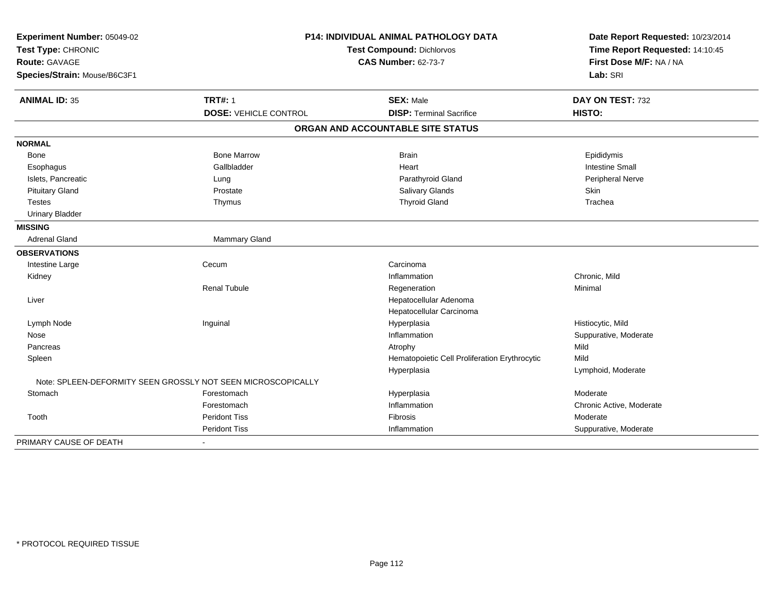| Experiment Number: 05049-02  | <b>P14: INDIVIDUAL ANIMAL PATHOLOGY DATA</b>                 |                                               | Date Report Requested: 10/23/2014 |
|------------------------------|--------------------------------------------------------------|-----------------------------------------------|-----------------------------------|
| Test Type: CHRONIC           |                                                              | Test Compound: Dichlorvos                     |                                   |
| Route: GAVAGE                |                                                              | <b>CAS Number: 62-73-7</b>                    | First Dose M/F: NA / NA           |
| Species/Strain: Mouse/B6C3F1 |                                                              |                                               | Lab: SRI                          |
| <b>ANIMAL ID: 35</b>         | <b>TRT#: 1</b>                                               | <b>SEX: Male</b>                              | DAY ON TEST: 732                  |
|                              | <b>DOSE: VEHICLE CONTROL</b>                                 | <b>DISP: Terminal Sacrifice</b>               | HISTO:                            |
|                              |                                                              | ORGAN AND ACCOUNTABLE SITE STATUS             |                                   |
| <b>NORMAL</b>                |                                                              |                                               |                                   |
| Bone                         | <b>Bone Marrow</b>                                           | <b>Brain</b>                                  | Epididymis                        |
| Esophagus                    | Gallbladder                                                  | Heart                                         | <b>Intestine Small</b>            |
| Islets, Pancreatic           | Lung                                                         | Parathyroid Gland                             | Peripheral Nerve                  |
| <b>Pituitary Gland</b>       | Prostate                                                     | Salivary Glands                               | Skin                              |
| <b>Testes</b>                | Thymus                                                       | <b>Thyroid Gland</b>                          | Trachea                           |
| <b>Urinary Bladder</b>       |                                                              |                                               |                                   |
| <b>MISSING</b>               |                                                              |                                               |                                   |
| Adrenal Gland                | Mammary Gland                                                |                                               |                                   |
| <b>OBSERVATIONS</b>          |                                                              |                                               |                                   |
| Intestine Large              | Cecum                                                        | Carcinoma                                     |                                   |
| Kidney                       |                                                              | Inflammation                                  | Chronic, Mild                     |
|                              | <b>Renal Tubule</b>                                          | Regeneration                                  | Minimal                           |
| Liver                        |                                                              | Hepatocellular Adenoma                        |                                   |
|                              |                                                              | Hepatocellular Carcinoma                      |                                   |
| Lymph Node                   | Inguinal                                                     | Hyperplasia                                   | Histiocytic, Mild                 |
| Nose                         |                                                              | Inflammation                                  | Suppurative, Moderate             |
| Pancreas                     |                                                              | Atrophy                                       | Mild                              |
| Spleen                       |                                                              | Hematopoietic Cell Proliferation Erythrocytic | Mild                              |
|                              |                                                              | Hyperplasia                                   | Lymphoid, Moderate                |
|                              | Note: SPLEEN-DEFORMITY SEEN GROSSLY NOT SEEN MICROSCOPICALLY |                                               |                                   |
| Stomach                      | Forestomach                                                  | Hyperplasia                                   | Moderate                          |
|                              | Forestomach                                                  | Inflammation                                  | Chronic Active, Moderate          |
| Tooth                        | <b>Peridont Tiss</b>                                         | Fibrosis                                      | Moderate                          |
|                              | <b>Peridont Tiss</b>                                         | Inflammation                                  | Suppurative, Moderate             |
| PRIMARY CAUSE OF DEATH       | $\blacksquare$                                               |                                               |                                   |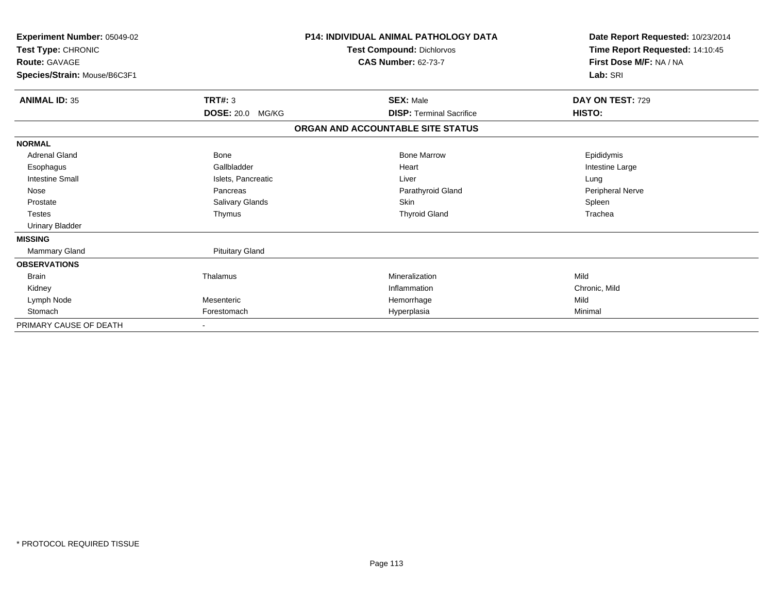| Experiment Number: 05049-02<br>Test Type: CHRONIC<br><b>Route: GAVAGE</b> |                            | <b>P14: INDIVIDUAL ANIMAL PATHOLOGY DATA</b><br>Test Compound: Dichlorvos<br><b>CAS Number: 62-73-7</b> | Date Report Requested: 10/23/2014<br>Time Report Requested: 14:10:45<br>First Dose M/F: NA / NA |
|---------------------------------------------------------------------------|----------------------------|---------------------------------------------------------------------------------------------------------|-------------------------------------------------------------------------------------------------|
| Species/Strain: Mouse/B6C3F1                                              |                            |                                                                                                         | Lab: SRI                                                                                        |
| <b>ANIMAL ID: 35</b>                                                      | <b>TRT#: 3</b>             | <b>SEX: Male</b>                                                                                        | DAY ON TEST: 729                                                                                |
|                                                                           | <b>DOSE: 20.0</b><br>MG/KG | <b>DISP: Terminal Sacrifice</b>                                                                         | HISTO:                                                                                          |
|                                                                           |                            | ORGAN AND ACCOUNTABLE SITE STATUS                                                                       |                                                                                                 |
| <b>NORMAL</b>                                                             |                            |                                                                                                         |                                                                                                 |
| <b>Adrenal Gland</b>                                                      | Bone                       | <b>Bone Marrow</b>                                                                                      | Epididymis                                                                                      |
| Esophagus                                                                 | Gallbladder                | Heart                                                                                                   | Intestine Large                                                                                 |
| <b>Intestine Small</b>                                                    | Islets, Pancreatic         | Liver                                                                                                   | Lung                                                                                            |
| Nose                                                                      | Pancreas                   | Parathyroid Gland                                                                                       | <b>Peripheral Nerve</b>                                                                         |
| Prostate                                                                  | Salivary Glands            | <b>Skin</b>                                                                                             | Spleen                                                                                          |
| <b>Testes</b>                                                             | Thymus                     | <b>Thyroid Gland</b>                                                                                    | Trachea                                                                                         |
| Urinary Bladder                                                           |                            |                                                                                                         |                                                                                                 |
| <b>MISSING</b>                                                            |                            |                                                                                                         |                                                                                                 |
| <b>Mammary Gland</b>                                                      | <b>Pituitary Gland</b>     |                                                                                                         |                                                                                                 |
| <b>OBSERVATIONS</b>                                                       |                            |                                                                                                         |                                                                                                 |
| <b>Brain</b>                                                              | Thalamus                   | Mineralization                                                                                          | Mild                                                                                            |
| Kidney                                                                    |                            | Inflammation                                                                                            | Chronic, Mild                                                                                   |
| Lymph Node                                                                | Mesenteric                 | Hemorrhage                                                                                              | Mild                                                                                            |
| Stomach                                                                   | Forestomach                | Hyperplasia                                                                                             | Minimal                                                                                         |
| PRIMARY CAUSE OF DEATH                                                    | $\overline{\phantom{a}}$   |                                                                                                         |                                                                                                 |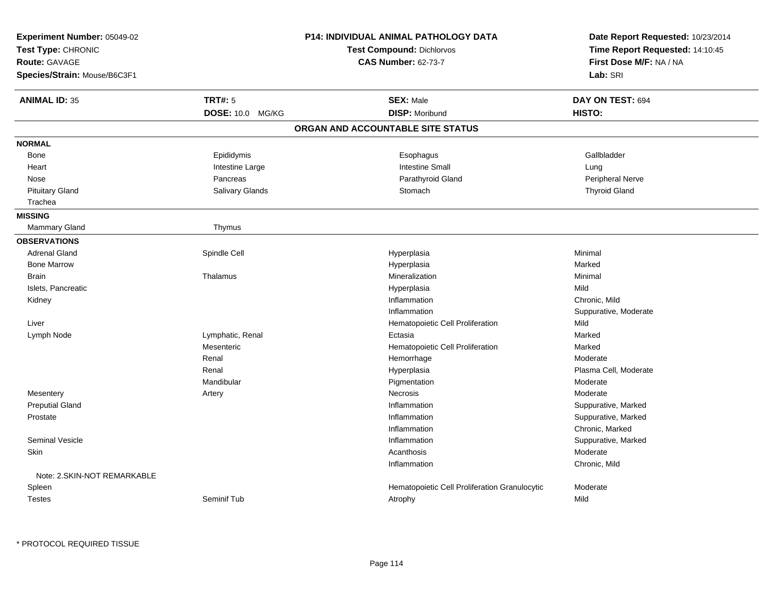| <b>Experiment Number: 05049-02</b><br>Test Type: CHRONIC<br><b>Route: GAVAGE</b><br>Species/Strain: Mouse/B6C3F1 |                                    | P14: INDIVIDUAL ANIMAL PATHOLOGY DATA<br><b>Test Compound: Dichlorvos</b><br><b>CAS Number: 62-73-7</b> | Date Report Requested: 10/23/2014<br>Time Report Requested: 14:10:45<br>First Dose M/F: NA / NA<br>Lab: SRI |
|------------------------------------------------------------------------------------------------------------------|------------------------------------|---------------------------------------------------------------------------------------------------------|-------------------------------------------------------------------------------------------------------------|
| <b>ANIMAL ID: 35</b>                                                                                             | <b>TRT#: 5</b><br>DOSE: 10.0 MG/KG | <b>SEX: Male</b><br><b>DISP: Moribund</b>                                                               | DAY ON TEST: 694<br>HISTO:                                                                                  |
|                                                                                                                  |                                    | ORGAN AND ACCOUNTABLE SITE STATUS                                                                       |                                                                                                             |
|                                                                                                                  |                                    |                                                                                                         |                                                                                                             |
| <b>NORMAL</b>                                                                                                    |                                    |                                                                                                         |                                                                                                             |
| <b>Bone</b>                                                                                                      | Epididymis                         | Esophagus                                                                                               | Gallbladder                                                                                                 |
| Heart                                                                                                            | Intestine Large                    | <b>Intestine Small</b>                                                                                  | Lung                                                                                                        |
| Nose                                                                                                             | Pancreas                           | Parathyroid Gland                                                                                       | Peripheral Nerve                                                                                            |
| <b>Pituitary Gland</b>                                                                                           | Salivary Glands                    | Stomach                                                                                                 | <b>Thyroid Gland</b>                                                                                        |
| Trachea                                                                                                          |                                    |                                                                                                         |                                                                                                             |
| <b>MISSING</b>                                                                                                   |                                    |                                                                                                         |                                                                                                             |
| Mammary Gland                                                                                                    | Thymus                             |                                                                                                         |                                                                                                             |
| <b>OBSERVATIONS</b>                                                                                              |                                    |                                                                                                         |                                                                                                             |
| <b>Adrenal Gland</b>                                                                                             | Spindle Cell                       | Hyperplasia                                                                                             | Minimal                                                                                                     |
| <b>Bone Marrow</b>                                                                                               |                                    | Hyperplasia                                                                                             | Marked                                                                                                      |
| <b>Brain</b>                                                                                                     | Thalamus                           | Mineralization                                                                                          | Minimal                                                                                                     |
| Islets, Pancreatic                                                                                               |                                    | Hyperplasia                                                                                             | Mild                                                                                                        |
| Kidney                                                                                                           |                                    | Inflammation                                                                                            | Chronic, Mild                                                                                               |
|                                                                                                                  |                                    | Inflammation                                                                                            | Suppurative, Moderate                                                                                       |
| Liver                                                                                                            |                                    | Hematopoietic Cell Proliferation                                                                        | Mild                                                                                                        |
| Lymph Node                                                                                                       | Lymphatic, Renal                   | Ectasia                                                                                                 | Marked                                                                                                      |
|                                                                                                                  | Mesenteric                         | Hematopoietic Cell Proliferation                                                                        | Marked                                                                                                      |
|                                                                                                                  | Renal                              | Hemorrhage                                                                                              | Moderate                                                                                                    |
|                                                                                                                  | Renal                              | Hyperplasia                                                                                             | Plasma Cell, Moderate                                                                                       |
|                                                                                                                  | Mandibular                         | Pigmentation                                                                                            | Moderate                                                                                                    |
| Mesentery                                                                                                        | Artery                             | <b>Necrosis</b>                                                                                         | Moderate                                                                                                    |
| <b>Preputial Gland</b>                                                                                           |                                    | Inflammation                                                                                            | Suppurative, Marked                                                                                         |
| Prostate                                                                                                         |                                    | Inflammation                                                                                            | Suppurative, Marked                                                                                         |
|                                                                                                                  |                                    | Inflammation                                                                                            | Chronic, Marked                                                                                             |
| <b>Seminal Vesicle</b>                                                                                           |                                    | Inflammation                                                                                            | Suppurative, Marked                                                                                         |
| Skin                                                                                                             |                                    | Acanthosis                                                                                              | Moderate                                                                                                    |
|                                                                                                                  |                                    | Inflammation                                                                                            | Chronic, Mild                                                                                               |
| Note: 2.SKIN-NOT REMARKABLE                                                                                      |                                    |                                                                                                         |                                                                                                             |
| Spleen                                                                                                           |                                    | Hematopoietic Cell Proliferation Granulocytic                                                           | Moderate                                                                                                    |
| <b>Testes</b>                                                                                                    | Seminif Tub                        | Atrophy                                                                                                 | Mild                                                                                                        |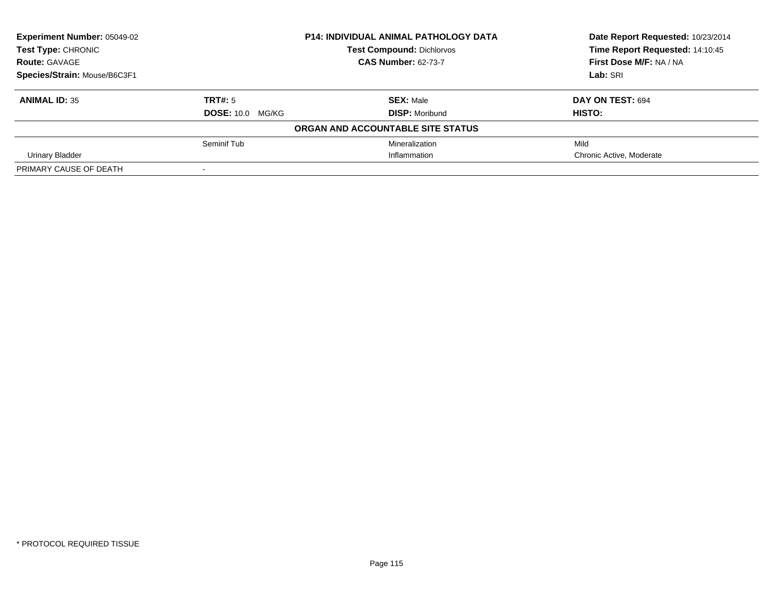| <b>Experiment Number: 05049-02</b> |                          | <b>P14: INDIVIDUAL ANIMAL PATHOLOGY DATA</b> | Date Report Requested: 10/23/2014 |
|------------------------------------|--------------------------|----------------------------------------------|-----------------------------------|
| Test Type: CHRONIC                 |                          | <b>Test Compound: Dichlorvos</b>             | Time Report Requested: 14:10:45   |
| <b>Route: GAVAGE</b>               |                          | <b>CAS Number: 62-73-7</b>                   | First Dose M/F: NA / NA           |
| Species/Strain: Mouse/B6C3F1       |                          |                                              | Lab: SRI                          |
| <b>ANIMAL ID: 35</b>               | TRT#: 5                  | <b>SEX: Male</b>                             | DAY ON TEST: 694                  |
|                                    | <b>DOSE: 10.0 MG/KG</b>  | <b>DISP:</b> Moribund                        | HISTO:                            |
|                                    |                          | ORGAN AND ACCOUNTABLE SITE STATUS            |                                   |
|                                    | Seminif Tub              | Mineralization                               | Mild                              |
| Urinary Bladder                    |                          | Inflammation                                 | Chronic Active, Moderate          |
| PRIMARY CAUSE OF DEATH             | $\overline{\phantom{a}}$ |                                              |                                   |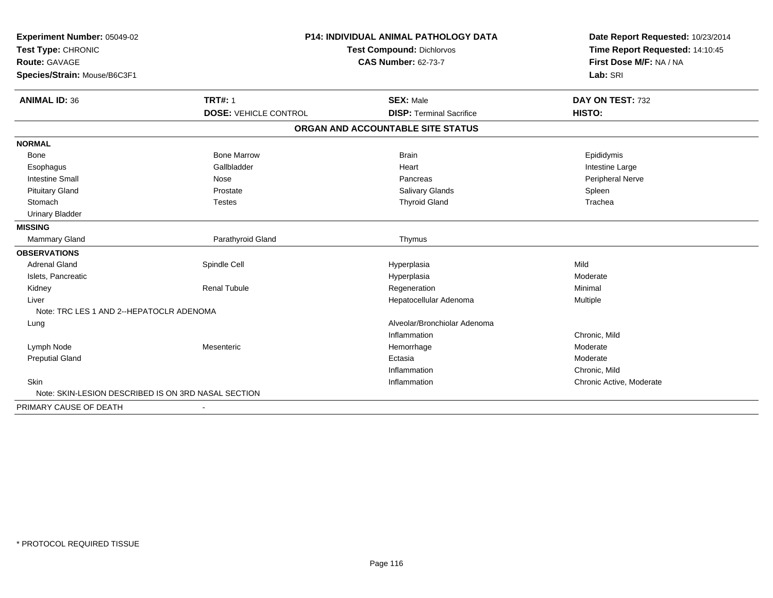| Experiment Number: 05049-02                         |                              | <b>P14: INDIVIDUAL ANIMAL PATHOLOGY DATA</b> |                                                                                                 |  |
|-----------------------------------------------------|------------------------------|----------------------------------------------|-------------------------------------------------------------------------------------------------|--|
| Test Type: CHRONIC                                  |                              | <b>Test Compound: Dichlorvos</b>             | Date Report Requested: 10/23/2014<br>Time Report Requested: 14:10:45<br>First Dose M/F: NA / NA |  |
| <b>Route: GAVAGE</b>                                |                              | <b>CAS Number: 62-73-7</b>                   |                                                                                                 |  |
| Species/Strain: Mouse/B6C3F1                        |                              |                                              | Lab: SRI                                                                                        |  |
| <b>ANIMAL ID: 36</b>                                | <b>TRT#: 1</b>               | <b>SEX: Male</b>                             | DAY ON TEST: 732                                                                                |  |
|                                                     | <b>DOSE: VEHICLE CONTROL</b> | <b>DISP: Terminal Sacrifice</b>              | HISTO:                                                                                          |  |
|                                                     |                              | ORGAN AND ACCOUNTABLE SITE STATUS            |                                                                                                 |  |
| <b>NORMAL</b>                                       |                              |                                              |                                                                                                 |  |
| Bone                                                | <b>Bone Marrow</b>           | <b>Brain</b>                                 | Epididymis                                                                                      |  |
| Esophagus                                           | Gallbladder                  | Heart                                        | Intestine Large                                                                                 |  |
| <b>Intestine Small</b>                              | Nose                         | Pancreas                                     | <b>Peripheral Nerve</b>                                                                         |  |
| <b>Pituitary Gland</b>                              | Prostate                     | <b>Salivary Glands</b>                       | Spleen                                                                                          |  |
| Stomach                                             | <b>Testes</b>                | <b>Thyroid Gland</b>                         | Trachea                                                                                         |  |
| <b>Urinary Bladder</b>                              |                              |                                              |                                                                                                 |  |
| <b>MISSING</b>                                      |                              |                                              |                                                                                                 |  |
| <b>Mammary Gland</b>                                | Parathyroid Gland            | Thymus                                       |                                                                                                 |  |
| <b>OBSERVATIONS</b>                                 |                              |                                              |                                                                                                 |  |
| <b>Adrenal Gland</b>                                | Spindle Cell                 | Hyperplasia                                  | Mild                                                                                            |  |
| Islets, Pancreatic                                  |                              | Hyperplasia                                  | Moderate                                                                                        |  |
| Kidney                                              | <b>Renal Tubule</b>          | Regeneration                                 | Minimal                                                                                         |  |
| Liver                                               |                              | Hepatocellular Adenoma                       | Multiple                                                                                        |  |
| Note: TRC LES 1 AND 2--HEPATOCLR ADENOMA            |                              |                                              |                                                                                                 |  |
| Lung                                                |                              | Alveolar/Bronchiolar Adenoma                 |                                                                                                 |  |
|                                                     |                              | Inflammation                                 | Chronic, Mild                                                                                   |  |
| Lymph Node                                          | Mesenteric                   | Hemorrhage                                   | Moderate                                                                                        |  |
| <b>Preputial Gland</b>                              |                              | Ectasia                                      | Moderate                                                                                        |  |
|                                                     |                              | Inflammation                                 | Chronic, Mild                                                                                   |  |
| Skin                                                |                              | Inflammation                                 | Chronic Active, Moderate                                                                        |  |
| Note: SKIN-LESION DESCRIBED IS ON 3RD NASAL SECTION |                              |                                              |                                                                                                 |  |
| PRIMARY CAUSE OF DEATH                              |                              |                                              |                                                                                                 |  |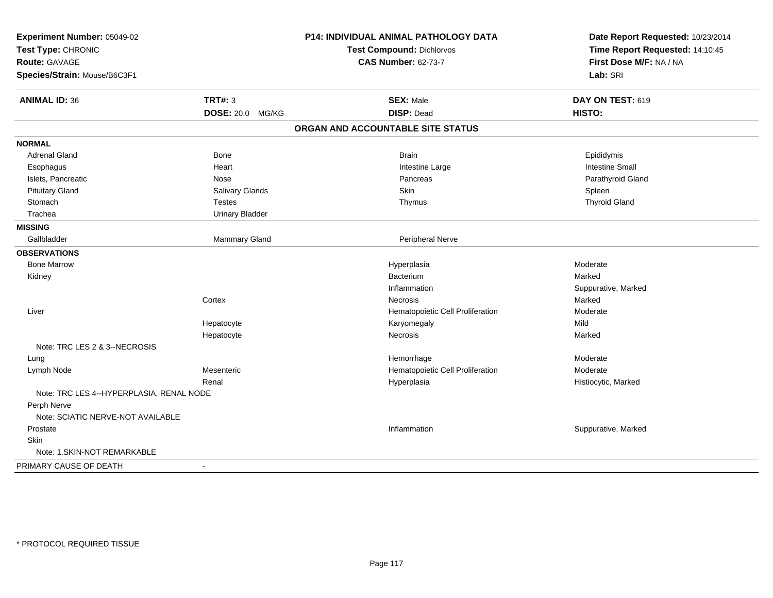| Experiment Number: 05049-02<br>Test Type: CHRONIC |                        | P14: INDIVIDUAL ANIMAL PATHOLOGY DATA<br><b>Test Compound: Dichlorvos</b> | Date Report Requested: 10/23/2014<br>Time Report Requested: 14:10:45 |  |
|---------------------------------------------------|------------------------|---------------------------------------------------------------------------|----------------------------------------------------------------------|--|
| Route: GAVAGE                                     |                        | <b>CAS Number: 62-73-7</b>                                                | First Dose M/F: NA / NA                                              |  |
| Species/Strain: Mouse/B6C3F1                      |                        |                                                                           | Lab: SRI                                                             |  |
| <b>ANIMAL ID: 36</b>                              | <b>TRT#: 3</b>         | <b>SEX: Male</b>                                                          | DAY ON TEST: 619                                                     |  |
|                                                   | DOSE: 20.0 MG/KG       | <b>DISP: Dead</b>                                                         | HISTO:                                                               |  |
|                                                   |                        | ORGAN AND ACCOUNTABLE SITE STATUS                                         |                                                                      |  |
| <b>NORMAL</b>                                     |                        |                                                                           |                                                                      |  |
| <b>Adrenal Gland</b>                              | Bone                   | <b>Brain</b>                                                              | Epididymis                                                           |  |
| Esophagus                                         | Heart                  | Intestine Large                                                           | <b>Intestine Small</b>                                               |  |
| Islets, Pancreatic                                | Nose                   | Pancreas                                                                  | Parathyroid Gland                                                    |  |
| <b>Pituitary Gland</b>                            | Salivary Glands        | <b>Skin</b>                                                               | Spleen                                                               |  |
| Stomach                                           | <b>Testes</b>          | Thymus                                                                    | <b>Thyroid Gland</b>                                                 |  |
| Trachea                                           | <b>Urinary Bladder</b> |                                                                           |                                                                      |  |
| <b>MISSING</b>                                    |                        |                                                                           |                                                                      |  |
| Gallbladder                                       | Mammary Gland          | Peripheral Nerve                                                          |                                                                      |  |
| <b>OBSERVATIONS</b>                               |                        |                                                                           |                                                                      |  |
| <b>Bone Marrow</b>                                |                        | Hyperplasia                                                               | Moderate                                                             |  |
| Kidney                                            |                        | Bacterium                                                                 | Marked                                                               |  |
|                                                   |                        | Inflammation                                                              | Suppurative, Marked                                                  |  |
|                                                   | Cortex                 | <b>Necrosis</b>                                                           | Marked                                                               |  |
| Liver                                             |                        | Hematopoietic Cell Proliferation                                          | Moderate                                                             |  |
|                                                   | Hepatocyte             | Karyomegaly                                                               | Mild                                                                 |  |
|                                                   | Hepatocyte             | <b>Necrosis</b>                                                           | Marked                                                               |  |
| Note: TRC LES 2 & 3--NECROSIS                     |                        |                                                                           |                                                                      |  |
| Lung                                              |                        | Hemorrhage                                                                | Moderate                                                             |  |
| Lymph Node                                        | Mesenteric             | Hematopoietic Cell Proliferation                                          | Moderate                                                             |  |
|                                                   | Renal                  | Hyperplasia                                                               | Histiocytic, Marked                                                  |  |
| Note: TRC LES 4--HYPERPLASIA, RENAL NODE          |                        |                                                                           |                                                                      |  |
| Perph Nerve                                       |                        |                                                                           |                                                                      |  |
| Note: SCIATIC NERVE-NOT AVAILABLE                 |                        |                                                                           |                                                                      |  |
| Prostate                                          |                        | Inflammation                                                              | Suppurative, Marked                                                  |  |
| Skin                                              |                        |                                                                           |                                                                      |  |
| Note: 1. SKIN-NOT REMARKABLE                      |                        |                                                                           |                                                                      |  |
| PRIMARY CAUSE OF DEATH                            | $\sim$                 |                                                                           |                                                                      |  |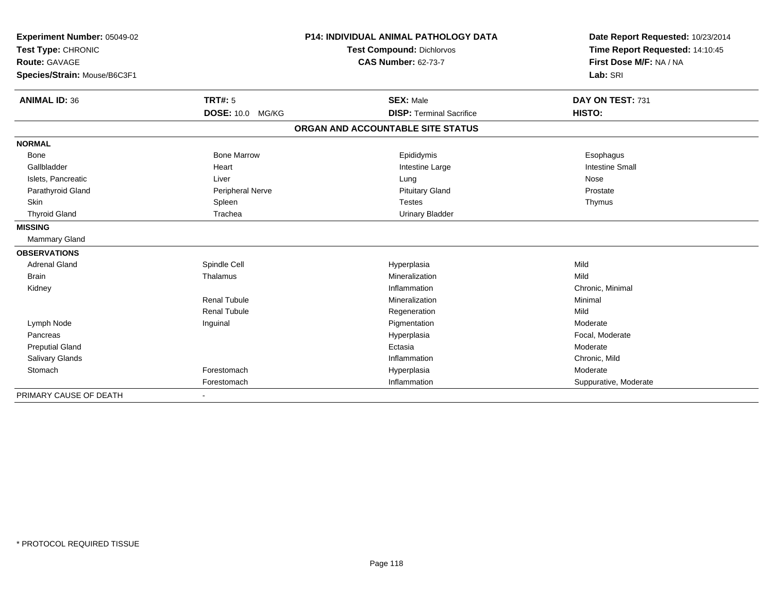| Experiment Number: 05049-02<br>Test Type: CHRONIC |                         | <b>P14: INDIVIDUAL ANIMAL PATHOLOGY DATA</b> | Date Report Requested: 10/23/2014<br>Time Report Requested: 14:10:45 |
|---------------------------------------------------|-------------------------|----------------------------------------------|----------------------------------------------------------------------|
|                                                   |                         | <b>Test Compound: Dichlorvos</b>             |                                                                      |
| <b>Route: GAVAGE</b>                              |                         | <b>CAS Number: 62-73-7</b>                   | First Dose M/F: NA / NA                                              |
| Species/Strain: Mouse/B6C3F1                      |                         |                                              | Lab: SRI                                                             |
|                                                   |                         |                                              |                                                                      |
| <b>ANIMAL ID: 36</b>                              | TRT#: 5                 | <b>SEX: Male</b>                             | DAY ON TEST: 731                                                     |
|                                                   | DOSE: 10.0 MG/KG        | <b>DISP: Terminal Sacrifice</b>              | HISTO:                                                               |
|                                                   |                         | ORGAN AND ACCOUNTABLE SITE STATUS            |                                                                      |
| <b>NORMAL</b>                                     |                         |                                              |                                                                      |
| <b>Bone</b>                                       | <b>Bone Marrow</b>      | Epididymis                                   | Esophagus                                                            |
| Gallbladder                                       | Heart                   | Intestine Large                              | <b>Intestine Small</b>                                               |
| Islets, Pancreatic                                | Liver                   | Lung                                         | Nose                                                                 |
| Parathyroid Gland                                 | <b>Peripheral Nerve</b> | <b>Pituitary Gland</b>                       | Prostate                                                             |
| Skin                                              | Spleen                  | <b>Testes</b>                                | Thymus                                                               |
| <b>Thyroid Gland</b>                              | Trachea                 | <b>Urinary Bladder</b>                       |                                                                      |
| <b>MISSING</b>                                    |                         |                                              |                                                                      |
| <b>Mammary Gland</b>                              |                         |                                              |                                                                      |
| <b>OBSERVATIONS</b>                               |                         |                                              |                                                                      |
| <b>Adrenal Gland</b>                              | Spindle Cell            | Hyperplasia                                  | Mild                                                                 |
| Brain                                             | Thalamus                | Mineralization                               | Mild                                                                 |
| Kidney                                            |                         | Inflammation                                 | Chronic, Minimal                                                     |
|                                                   | <b>Renal Tubule</b>     | Mineralization                               | Minimal                                                              |
|                                                   | <b>Renal Tubule</b>     | Regeneration                                 | Mild                                                                 |
| Lymph Node                                        | Inguinal                | Pigmentation                                 | Moderate                                                             |
| Pancreas                                          |                         | Hyperplasia                                  | Focal, Moderate                                                      |
| <b>Preputial Gland</b>                            |                         | Ectasia                                      | Moderate                                                             |
| Salivary Glands                                   |                         | Inflammation                                 | Chronic, Mild                                                        |
| Stomach                                           | Forestomach             | Hyperplasia                                  | Moderate                                                             |
|                                                   | Forestomach             | Inflammation                                 | Suppurative, Moderate                                                |
| PRIMARY CAUSE OF DEATH                            |                         |                                              |                                                                      |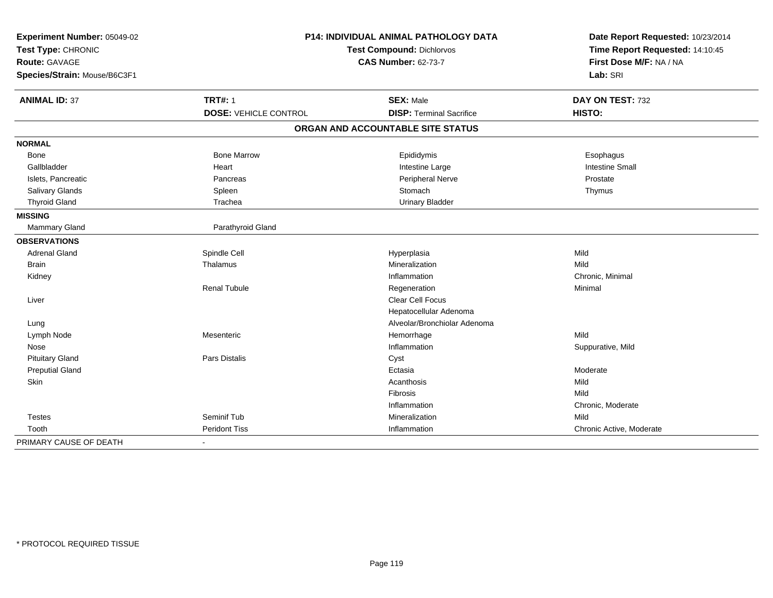| Experiment Number: 05049-02<br>Test Type: CHRONIC |                              | <b>P14: INDIVIDUAL ANIMAL PATHOLOGY DATA</b><br><b>Test Compound: Dichlorvos</b> | Date Report Requested: 10/23/2014<br>Time Report Requested: 14:10:45 |
|---------------------------------------------------|------------------------------|----------------------------------------------------------------------------------|----------------------------------------------------------------------|
| <b>Route: GAVAGE</b>                              |                              | <b>CAS Number: 62-73-7</b>                                                       | First Dose M/F: NA / NA                                              |
| Species/Strain: Mouse/B6C3F1                      |                              |                                                                                  | Lab: SRI                                                             |
| <b>ANIMAL ID: 37</b>                              | <b>TRT#: 1</b>               | <b>SEX: Male</b>                                                                 | DAY ON TEST: 732                                                     |
|                                                   | <b>DOSE: VEHICLE CONTROL</b> | <b>DISP: Terminal Sacrifice</b>                                                  | HISTO:                                                               |
|                                                   |                              | ORGAN AND ACCOUNTABLE SITE STATUS                                                |                                                                      |
| <b>NORMAL</b>                                     |                              |                                                                                  |                                                                      |
| Bone                                              | <b>Bone Marrow</b>           | Epididymis                                                                       | Esophagus                                                            |
| Gallbladder                                       | Heart                        | Intestine Large                                                                  | <b>Intestine Small</b>                                               |
| Islets, Pancreatic                                | Pancreas                     | Peripheral Nerve                                                                 | Prostate                                                             |
| Salivary Glands                                   | Spleen                       | Stomach                                                                          | Thymus                                                               |
| <b>Thyroid Gland</b>                              | Trachea                      | <b>Urinary Bladder</b>                                                           |                                                                      |
| <b>MISSING</b>                                    |                              |                                                                                  |                                                                      |
| Mammary Gland                                     | Parathyroid Gland            |                                                                                  |                                                                      |
| <b>OBSERVATIONS</b>                               |                              |                                                                                  |                                                                      |
| <b>Adrenal Gland</b>                              | Spindle Cell                 | Hyperplasia                                                                      | Mild                                                                 |
| <b>Brain</b>                                      | Thalamus                     | Mineralization                                                                   | Mild                                                                 |
| Kidney                                            |                              | Inflammation                                                                     | Chronic, Minimal                                                     |
|                                                   | <b>Renal Tubule</b>          | Regeneration                                                                     | Minimal                                                              |
| Liver                                             |                              | Clear Cell Focus                                                                 |                                                                      |
|                                                   |                              | Hepatocellular Adenoma                                                           |                                                                      |
| Lung                                              |                              | Alveolar/Bronchiolar Adenoma                                                     |                                                                      |
| Lymph Node                                        | Mesenteric                   | Hemorrhage                                                                       | Mild                                                                 |
| Nose                                              |                              | Inflammation                                                                     | Suppurative, Mild                                                    |
| <b>Pituitary Gland</b>                            | <b>Pars Distalis</b>         | Cyst                                                                             |                                                                      |
| <b>Preputial Gland</b>                            |                              | Ectasia                                                                          | Moderate                                                             |
| Skin                                              |                              | Acanthosis                                                                       | Mild                                                                 |
|                                                   |                              | Fibrosis                                                                         | Mild                                                                 |
|                                                   |                              | Inflammation                                                                     | Chronic, Moderate                                                    |
| <b>Testes</b>                                     | Seminif Tub                  | Mineralization                                                                   | Mild                                                                 |
| Tooth                                             | <b>Peridont Tiss</b>         | Inflammation                                                                     | Chronic Active, Moderate                                             |
| PRIMARY CAUSE OF DEATH                            | $\blacksquare$               |                                                                                  |                                                                      |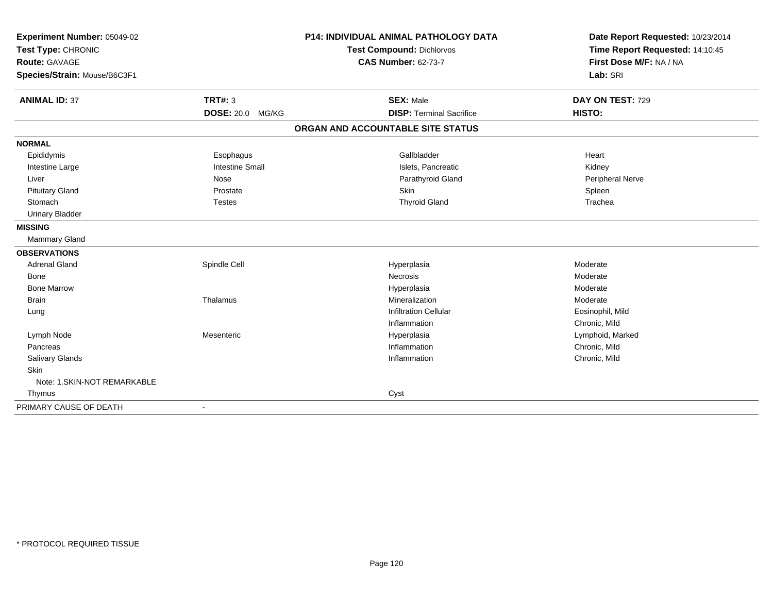| Experiment Number: 05049-02<br>Test Type: CHRONIC |                          | <b>P14: INDIVIDUAL ANIMAL PATHOLOGY DATA</b> | Date Report Requested: 10/23/2014<br>Time Report Requested: 14:10:45 |  |
|---------------------------------------------------|--------------------------|----------------------------------------------|----------------------------------------------------------------------|--|
|                                                   |                          | Test Compound: Dichlorvos                    |                                                                      |  |
| <b>Route: GAVAGE</b>                              |                          | <b>CAS Number: 62-73-7</b>                   | First Dose M/F: NA / NA                                              |  |
| Species/Strain: Mouse/B6C3F1                      |                          |                                              | Lab: SRI                                                             |  |
| <b>ANIMAL ID: 37</b>                              | <b>TRT#: 3</b>           | <b>SEX: Male</b>                             | DAY ON TEST: 729                                                     |  |
|                                                   | <b>DOSE: 20.0 MG/KG</b>  | <b>DISP: Terminal Sacrifice</b>              | HISTO:                                                               |  |
|                                                   |                          | ORGAN AND ACCOUNTABLE SITE STATUS            |                                                                      |  |
| <b>NORMAL</b>                                     |                          |                                              |                                                                      |  |
| Epididymis                                        | Esophagus                | Gallbladder                                  | Heart                                                                |  |
| Intestine Large                                   | <b>Intestine Small</b>   | Islets, Pancreatic                           | Kidney                                                               |  |
| Liver                                             | Nose                     | Parathyroid Gland                            | Peripheral Nerve                                                     |  |
| <b>Pituitary Gland</b>                            | Prostate                 | Skin                                         | Spleen                                                               |  |
| Stomach                                           | <b>Testes</b>            | <b>Thyroid Gland</b>                         | Trachea                                                              |  |
| <b>Urinary Bladder</b>                            |                          |                                              |                                                                      |  |
| <b>MISSING</b>                                    |                          |                                              |                                                                      |  |
| Mammary Gland                                     |                          |                                              |                                                                      |  |
| <b>OBSERVATIONS</b>                               |                          |                                              |                                                                      |  |
| <b>Adrenal Gland</b>                              | Spindle Cell             | Hyperplasia                                  | Moderate                                                             |  |
| <b>Bone</b>                                       |                          | Necrosis                                     | Moderate                                                             |  |
| <b>Bone Marrow</b>                                |                          | Hyperplasia                                  | Moderate                                                             |  |
| <b>Brain</b>                                      | Thalamus                 | Mineralization                               | Moderate                                                             |  |
| Lung                                              |                          | <b>Infiltration Cellular</b>                 | Eosinophil, Mild                                                     |  |
|                                                   |                          | Inflammation                                 | Chronic, Mild                                                        |  |
| Lymph Node                                        | Mesenteric               | Hyperplasia                                  | Lymphoid, Marked                                                     |  |
| Pancreas                                          |                          | Inflammation                                 | Chronic, Mild                                                        |  |
| <b>Salivary Glands</b>                            |                          | Inflammation                                 | Chronic, Mild                                                        |  |
| Skin                                              |                          |                                              |                                                                      |  |
| Note: 1.SKIN-NOT REMARKABLE                       |                          |                                              |                                                                      |  |
| Thymus                                            |                          | Cyst                                         |                                                                      |  |
| PRIMARY CAUSE OF DEATH                            | $\overline{\phantom{a}}$ |                                              |                                                                      |  |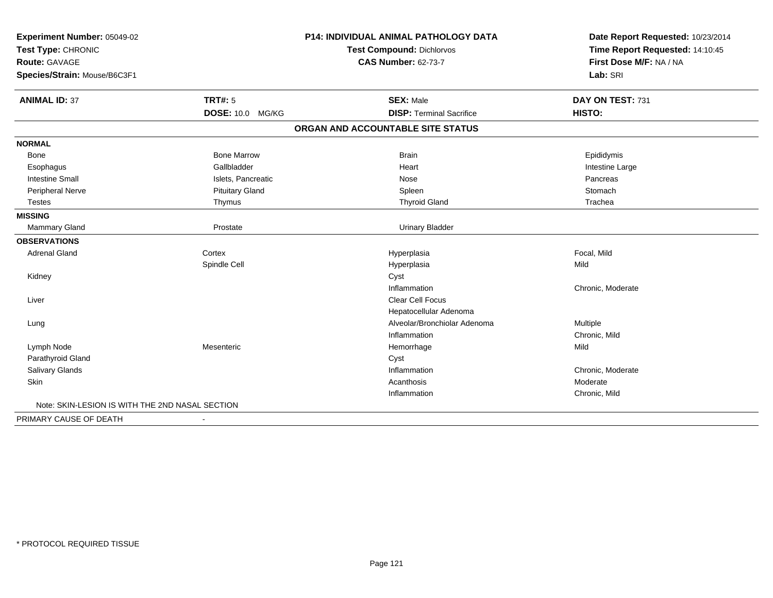| Experiment Number: 05049-02                     |                         | <b>P14: INDIVIDUAL ANIMAL PATHOLOGY DATA</b> | Date Report Requested: 10/23/2014 |
|-------------------------------------------------|-------------------------|----------------------------------------------|-----------------------------------|
| Test Type: CHRONIC                              |                         | Test Compound: Dichlorvos                    | Time Report Requested: 14:10:45   |
| Route: GAVAGE                                   |                         | <b>CAS Number: 62-73-7</b>                   | First Dose M/F: NA / NA           |
| Species/Strain: Mouse/B6C3F1                    |                         |                                              | Lab: SRI                          |
| <b>ANIMAL ID: 37</b>                            | <b>TRT#: 5</b>          | <b>SEX: Male</b>                             | DAY ON TEST: 731                  |
|                                                 | <b>DOSE: 10.0 MG/KG</b> | <b>DISP: Terminal Sacrifice</b>              | HISTO:                            |
|                                                 |                         | ORGAN AND ACCOUNTABLE SITE STATUS            |                                   |
| <b>NORMAL</b>                                   |                         |                                              |                                   |
| Bone                                            | <b>Bone Marrow</b>      | <b>Brain</b>                                 | Epididymis                        |
| Esophagus                                       | Gallbladder             | Heart                                        | Intestine Large                   |
| <b>Intestine Small</b>                          | Islets, Pancreatic      | Nose                                         | Pancreas                          |
| Peripheral Nerve                                | <b>Pituitary Gland</b>  | Spleen                                       | Stomach                           |
| <b>Testes</b>                                   | Thymus                  | <b>Thyroid Gland</b>                         | Trachea                           |
| <b>MISSING</b>                                  |                         |                                              |                                   |
| <b>Mammary Gland</b>                            | Prostate                | <b>Urinary Bladder</b>                       |                                   |
| <b>OBSERVATIONS</b>                             |                         |                                              |                                   |
| <b>Adrenal Gland</b>                            | Cortex                  | Hyperplasia                                  | Focal, Mild                       |
|                                                 | Spindle Cell            | Hyperplasia                                  | Mild                              |
| Kidney                                          |                         | Cyst                                         |                                   |
|                                                 |                         | Inflammation                                 | Chronic, Moderate                 |
| Liver                                           |                         | Clear Cell Focus                             |                                   |
|                                                 |                         | Hepatocellular Adenoma                       |                                   |
| Lung                                            |                         | Alveolar/Bronchiolar Adenoma                 | Multiple                          |
|                                                 |                         | Inflammation                                 | Chronic, Mild                     |
| Lymph Node                                      | Mesenteric              | Hemorrhage                                   | Mild                              |
| Parathyroid Gland                               |                         | Cyst                                         |                                   |
| Salivary Glands                                 |                         | Inflammation                                 | Chronic, Moderate                 |
| Skin                                            |                         | Acanthosis                                   | Moderate                          |
|                                                 |                         | Inflammation                                 | Chronic, Mild                     |
| Note: SKIN-LESION IS WITH THE 2ND NASAL SECTION |                         |                                              |                                   |
| PRIMARY CAUSE OF DEATH                          |                         |                                              |                                   |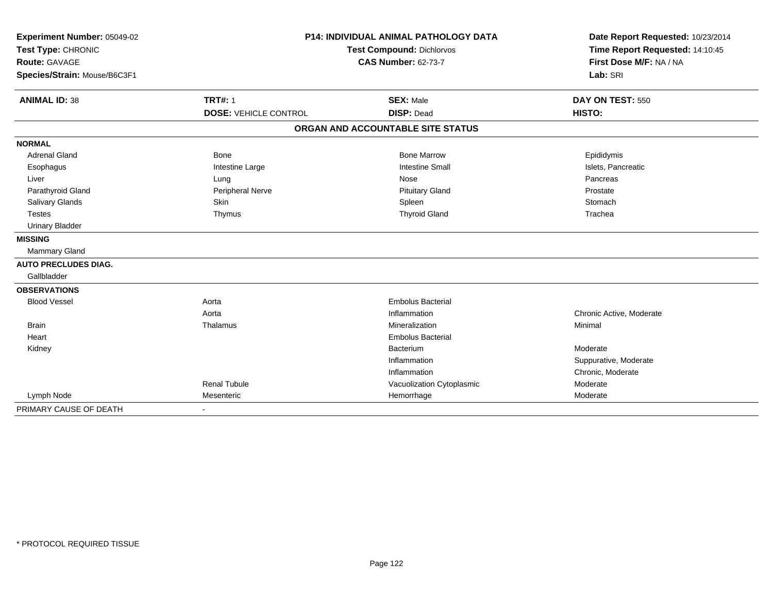| Experiment Number: 05049-02  |                              | <b>P14: INDIVIDUAL ANIMAL PATHOLOGY DATA</b> | Date Report Requested: 10/23/2014 |
|------------------------------|------------------------------|----------------------------------------------|-----------------------------------|
| Test Type: CHRONIC           |                              | <b>Test Compound: Dichlorvos</b>             | Time Report Requested: 14:10:45   |
| <b>Route: GAVAGE</b>         |                              | <b>CAS Number: 62-73-7</b>                   | First Dose M/F: NA / NA           |
| Species/Strain: Mouse/B6C3F1 |                              |                                              | Lab: SRI                          |
| <b>ANIMAL ID: 38</b>         | <b>TRT#: 1</b>               | <b>SEX: Male</b>                             | DAY ON TEST: 550                  |
|                              | <b>DOSE: VEHICLE CONTROL</b> | <b>DISP: Dead</b>                            | HISTO:                            |
|                              |                              | ORGAN AND ACCOUNTABLE SITE STATUS            |                                   |
| <b>NORMAL</b>                |                              |                                              |                                   |
| <b>Adrenal Gland</b>         | <b>Bone</b>                  | <b>Bone Marrow</b>                           | Epididymis                        |
| Esophagus                    | Intestine Large              | <b>Intestine Small</b>                       | Islets, Pancreatic                |
| Liver                        | Lung                         | Nose                                         | Pancreas                          |
| Parathyroid Gland            | Peripheral Nerve             | <b>Pituitary Gland</b>                       | Prostate                          |
| Salivary Glands              | Skin                         | Spleen                                       | Stomach                           |
| <b>Testes</b>                | Thymus                       | <b>Thyroid Gland</b>                         | Trachea                           |
| <b>Urinary Bladder</b>       |                              |                                              |                                   |
| <b>MISSING</b>               |                              |                                              |                                   |
| Mammary Gland                |                              |                                              |                                   |
| <b>AUTO PRECLUDES DIAG.</b>  |                              |                                              |                                   |
| Gallbladder                  |                              |                                              |                                   |
| <b>OBSERVATIONS</b>          |                              |                                              |                                   |
| <b>Blood Vessel</b>          | Aorta                        | <b>Embolus Bacterial</b>                     |                                   |
|                              | Aorta                        | Inflammation                                 | Chronic Active, Moderate          |
| <b>Brain</b>                 | Thalamus                     | Mineralization                               | Minimal                           |
| Heart                        |                              | <b>Embolus Bacterial</b>                     |                                   |
| Kidney                       |                              | Bacterium                                    | Moderate                          |
|                              |                              | Inflammation                                 | Suppurative, Moderate             |
|                              |                              | Inflammation                                 | Chronic, Moderate                 |
|                              | <b>Renal Tubule</b>          | Vacuolization Cytoplasmic                    | Moderate                          |
| Lymph Node                   | Mesenteric                   | Hemorrhage                                   | Moderate                          |
| PRIMARY CAUSE OF DEATH       | $\blacksquare$               |                                              |                                   |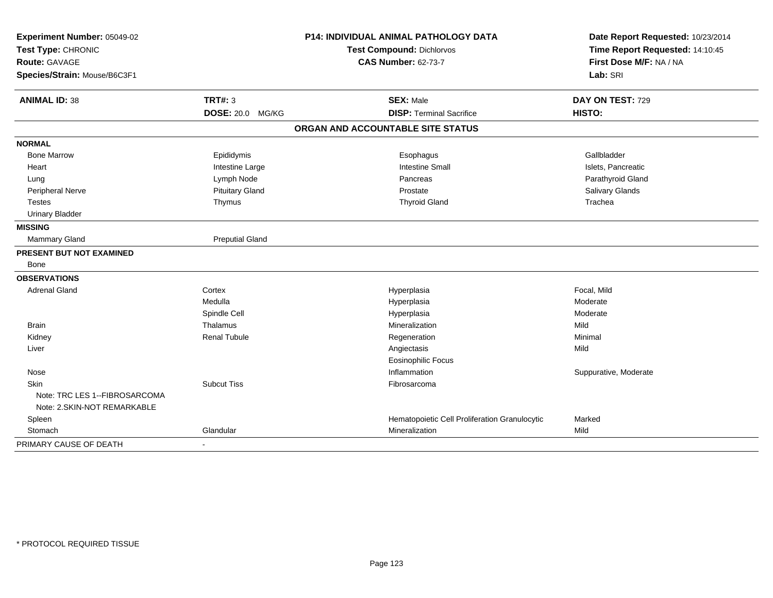| Experiment Number: 05049-02                                  |                        | P14: INDIVIDUAL ANIMAL PATHOLOGY DATA         | Date Report Requested: 10/23/2014                          |  |
|--------------------------------------------------------------|------------------------|-----------------------------------------------|------------------------------------------------------------|--|
| Test Type: CHRONIC<br>Route: GAVAGE                          |                        | Test Compound: Dichlorvos                     | Time Report Requested: 14:10:45<br>First Dose M/F: NA / NA |  |
|                                                              |                        | <b>CAS Number: 62-73-7</b>                    |                                                            |  |
| Species/Strain: Mouse/B6C3F1                                 |                        |                                               | Lab: SRI                                                   |  |
| <b>ANIMAL ID: 38</b>                                         | <b>TRT#: 3</b>         | <b>SEX: Male</b>                              | DAY ON TEST: 729                                           |  |
|                                                              | DOSE: 20.0 MG/KG       | <b>DISP: Terminal Sacrifice</b>               | HISTO:                                                     |  |
|                                                              |                        | ORGAN AND ACCOUNTABLE SITE STATUS             |                                                            |  |
| <b>NORMAL</b>                                                |                        |                                               |                                                            |  |
| <b>Bone Marrow</b>                                           | Epididymis             | Esophagus                                     | Gallbladder                                                |  |
| Heart                                                        | Intestine Large        | <b>Intestine Small</b>                        | Islets, Pancreatic                                         |  |
| Lung                                                         | Lymph Node             | Pancreas                                      | Parathyroid Gland                                          |  |
| Peripheral Nerve                                             | <b>Pituitary Gland</b> | Prostate                                      | Salivary Glands                                            |  |
| <b>Testes</b>                                                | Thymus                 | <b>Thyroid Gland</b>                          | Trachea                                                    |  |
| <b>Urinary Bladder</b>                                       |                        |                                               |                                                            |  |
| <b>MISSING</b>                                               |                        |                                               |                                                            |  |
| Mammary Gland                                                | <b>Preputial Gland</b> |                                               |                                                            |  |
| PRESENT BUT NOT EXAMINED                                     |                        |                                               |                                                            |  |
| Bone                                                         |                        |                                               |                                                            |  |
| <b>OBSERVATIONS</b>                                          |                        |                                               |                                                            |  |
| <b>Adrenal Gland</b>                                         | Cortex                 | Hyperplasia                                   | Focal, Mild                                                |  |
|                                                              | Medulla                | Hyperplasia                                   | Moderate                                                   |  |
|                                                              | Spindle Cell           | Hyperplasia                                   | Moderate                                                   |  |
| <b>Brain</b>                                                 | Thalamus               | Mineralization                                | Mild                                                       |  |
| Kidney                                                       | <b>Renal Tubule</b>    | Regeneration                                  | Minimal                                                    |  |
| Liver                                                        |                        | Angiectasis                                   | Mild                                                       |  |
|                                                              |                        | <b>Eosinophilic Focus</b>                     |                                                            |  |
| Nose                                                         |                        | Inflammation                                  | Suppurative, Moderate                                      |  |
| Skin                                                         | <b>Subcut Tiss</b>     | Fibrosarcoma                                  |                                                            |  |
| Note: TRC LES 1--FIBROSARCOMA<br>Note: 2.SKIN-NOT REMARKABLE |                        |                                               |                                                            |  |
| Spleen                                                       |                        | Hematopoietic Cell Proliferation Granulocytic | Marked                                                     |  |
| Stomach                                                      | Glandular              | Mineralization                                | Mild                                                       |  |
| PRIMARY CAUSE OF DEATH                                       | $\sim$                 |                                               |                                                            |  |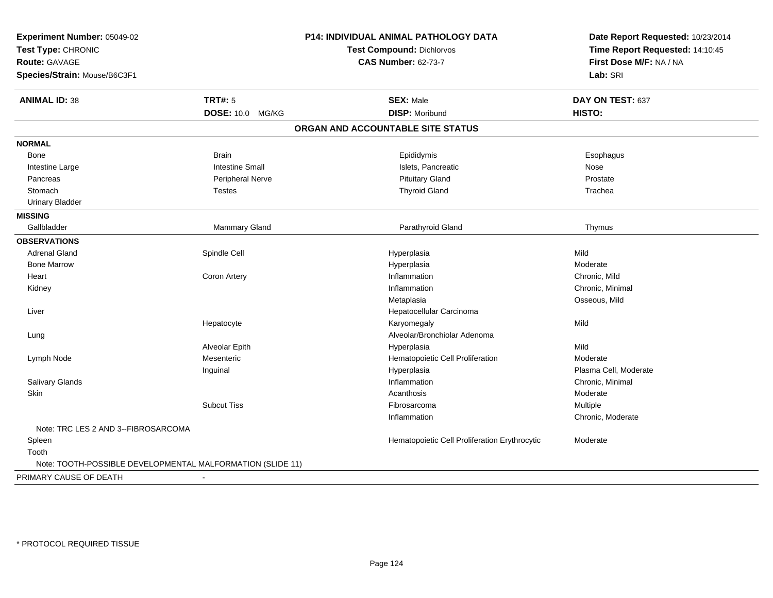| Experiment Number: 05049-02                                |                        | P14: INDIVIDUAL ANIMAL PATHOLOGY DATA         | Date Report Requested: 10/23/2014<br>Time Report Requested: 14:10:45 |
|------------------------------------------------------------|------------------------|-----------------------------------------------|----------------------------------------------------------------------|
| Test Type: CHRONIC                                         |                        | <b>Test Compound: Dichlorvos</b>              |                                                                      |
| <b>Route: GAVAGE</b>                                       |                        | <b>CAS Number: 62-73-7</b>                    | First Dose M/F: NA / NA                                              |
| Species/Strain: Mouse/B6C3F1                               |                        |                                               | Lab: SRI                                                             |
| <b>ANIMAL ID: 38</b>                                       | <b>TRT#: 5</b>         | <b>SEX: Male</b>                              | DAY ON TEST: 637                                                     |
|                                                            | DOSE: 10.0 MG/KG       | <b>DISP: Moribund</b>                         | HISTO:                                                               |
|                                                            |                        | ORGAN AND ACCOUNTABLE SITE STATUS             |                                                                      |
| <b>NORMAL</b>                                              |                        |                                               |                                                                      |
| <b>Bone</b>                                                | <b>Brain</b>           | Epididymis                                    | Esophagus                                                            |
| Intestine Large                                            | <b>Intestine Small</b> | Islets, Pancreatic                            | Nose                                                                 |
| Pancreas                                                   | Peripheral Nerve       | <b>Pituitary Gland</b>                        | Prostate                                                             |
| Stomach                                                    | <b>Testes</b>          | <b>Thyroid Gland</b>                          | Trachea                                                              |
| <b>Urinary Bladder</b>                                     |                        |                                               |                                                                      |
| <b>MISSING</b>                                             |                        |                                               |                                                                      |
| Gallbladder                                                | Mammary Gland          | Parathyroid Gland                             | Thymus                                                               |
| <b>OBSERVATIONS</b>                                        |                        |                                               |                                                                      |
| <b>Adrenal Gland</b>                                       | Spindle Cell           | Hyperplasia                                   | Mild                                                                 |
| <b>Bone Marrow</b>                                         |                        | Hyperplasia                                   | Moderate                                                             |
| Heart                                                      | Coron Artery           | Inflammation                                  | Chronic, Mild                                                        |
| Kidney                                                     |                        | Inflammation                                  | Chronic, Minimal                                                     |
|                                                            |                        | Metaplasia                                    | Osseous, Mild                                                        |
| Liver                                                      |                        | Hepatocellular Carcinoma                      |                                                                      |
|                                                            | Hepatocyte             | Karyomegaly                                   | Mild                                                                 |
| Lung                                                       |                        | Alveolar/Bronchiolar Adenoma                  |                                                                      |
|                                                            | Alveolar Epith         | Hyperplasia                                   | Mild                                                                 |
| Lymph Node                                                 | Mesenteric             | Hematopoietic Cell Proliferation              | Moderate                                                             |
|                                                            | Inguinal               | Hyperplasia                                   | Plasma Cell, Moderate                                                |
| Salivary Glands                                            |                        | Inflammation                                  | Chronic, Minimal                                                     |
| Skin                                                       |                        | Acanthosis                                    | Moderate                                                             |
|                                                            | <b>Subcut Tiss</b>     | Fibrosarcoma                                  | Multiple                                                             |
|                                                            |                        | Inflammation                                  | Chronic, Moderate                                                    |
| Note: TRC LES 2 AND 3--FIBROSARCOMA                        |                        |                                               |                                                                      |
| Spleen                                                     |                        | Hematopoietic Cell Proliferation Erythrocytic | Moderate                                                             |
| Tooth                                                      |                        |                                               |                                                                      |
| Note: TOOTH-POSSIBLE DEVELOPMENTAL MALFORMATION (SLIDE 11) |                        |                                               |                                                                      |
| PRIMARY CAUSE OF DEATH                                     |                        |                                               |                                                                      |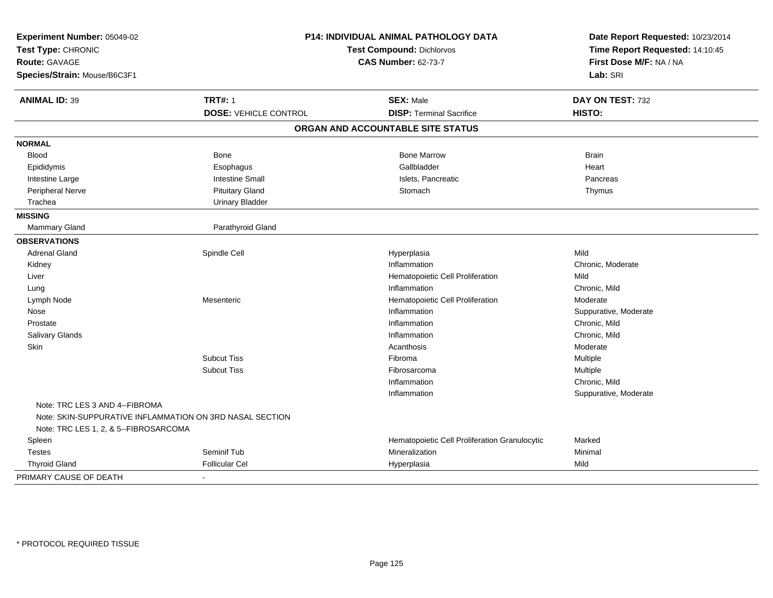| Experiment Number: 05049-02<br>Test Type: CHRONIC<br><b>Route: GAVAGE</b><br>Species/Strain: Mouse/B6C3F1 | P14: INDIVIDUAL ANIMAL PATHOLOGY DATA<br>Test Compound: Dichlorvos<br><b>CAS Number: 62-73-7</b> |                                               | Date Report Requested: 10/23/2014<br>Time Report Requested: 14:10:45<br>First Dose M/F: NA / NA<br>Lab: SRI |
|-----------------------------------------------------------------------------------------------------------|--------------------------------------------------------------------------------------------------|-----------------------------------------------|-------------------------------------------------------------------------------------------------------------|
| <b>ANIMAL ID: 39</b>                                                                                      | <b>TRT#: 1</b>                                                                                   | <b>SEX: Male</b>                              | DAY ON TEST: 732                                                                                            |
|                                                                                                           | <b>DOSE: VEHICLE CONTROL</b>                                                                     | <b>DISP: Terminal Sacrifice</b>               | HISTO:                                                                                                      |
|                                                                                                           |                                                                                                  | ORGAN AND ACCOUNTABLE SITE STATUS             |                                                                                                             |
| <b>NORMAL</b>                                                                                             |                                                                                                  |                                               |                                                                                                             |
| <b>Blood</b>                                                                                              | <b>Bone</b>                                                                                      | <b>Bone Marrow</b>                            | <b>Brain</b>                                                                                                |
| Epididymis                                                                                                | Esophagus                                                                                        | Gallbladder                                   | Heart                                                                                                       |
| Intestine Large                                                                                           | <b>Intestine Small</b>                                                                           | Islets, Pancreatic                            | Pancreas                                                                                                    |
| Peripheral Nerve                                                                                          | <b>Pituitary Gland</b>                                                                           | Stomach                                       | Thymus                                                                                                      |
| Trachea                                                                                                   | <b>Urinary Bladder</b>                                                                           |                                               |                                                                                                             |
| <b>MISSING</b>                                                                                            |                                                                                                  |                                               |                                                                                                             |
| <b>Mammary Gland</b>                                                                                      | Parathyroid Gland                                                                                |                                               |                                                                                                             |
| <b>OBSERVATIONS</b>                                                                                       |                                                                                                  |                                               |                                                                                                             |
| <b>Adrenal Gland</b>                                                                                      | Spindle Cell                                                                                     | Hyperplasia                                   | Mild                                                                                                        |
| Kidney                                                                                                    |                                                                                                  | Inflammation                                  | Chronic, Moderate                                                                                           |
| Liver                                                                                                     |                                                                                                  | Hematopoietic Cell Proliferation              | Mild                                                                                                        |
| Lung                                                                                                      |                                                                                                  | Inflammation                                  | Chronic, Mild                                                                                               |
| Lymph Node                                                                                                | Mesenteric                                                                                       | Hematopoietic Cell Proliferation              | Moderate                                                                                                    |
| Nose                                                                                                      |                                                                                                  | Inflammation                                  | Suppurative, Moderate                                                                                       |
| Prostate                                                                                                  |                                                                                                  | Inflammation                                  | Chronic, Mild                                                                                               |
| Salivary Glands                                                                                           |                                                                                                  | Inflammation                                  | Chronic, Mild                                                                                               |
| Skin                                                                                                      |                                                                                                  | Acanthosis                                    | Moderate                                                                                                    |
|                                                                                                           | <b>Subcut Tiss</b>                                                                               | Fibroma                                       | Multiple                                                                                                    |
|                                                                                                           | <b>Subcut Tiss</b>                                                                               | Fibrosarcoma                                  | Multiple                                                                                                    |
|                                                                                                           |                                                                                                  | Inflammation                                  | Chronic, Mild                                                                                               |
|                                                                                                           |                                                                                                  | Inflammation                                  | Suppurative, Moderate                                                                                       |
| Note: TRC LES 3 AND 4--FIBROMA<br>Note: TRC LES 1, 2, & 5--FIBROSARCOMA                                   | Note: SKIN-SUPPURATIVE INFLAMMATION ON 3RD NASAL SECTION                                         |                                               |                                                                                                             |
| Spleen                                                                                                    |                                                                                                  | Hematopoietic Cell Proliferation Granulocytic | Marked                                                                                                      |
| <b>Testes</b>                                                                                             | Seminif Tub                                                                                      | Mineralization                                | Minimal                                                                                                     |
| <b>Thyroid Gland</b>                                                                                      | <b>Follicular Cel</b>                                                                            | Hyperplasia                                   | Mild                                                                                                        |
| PRIMARY CAUSE OF DEATH                                                                                    | $\blacksquare$                                                                                   |                                               |                                                                                                             |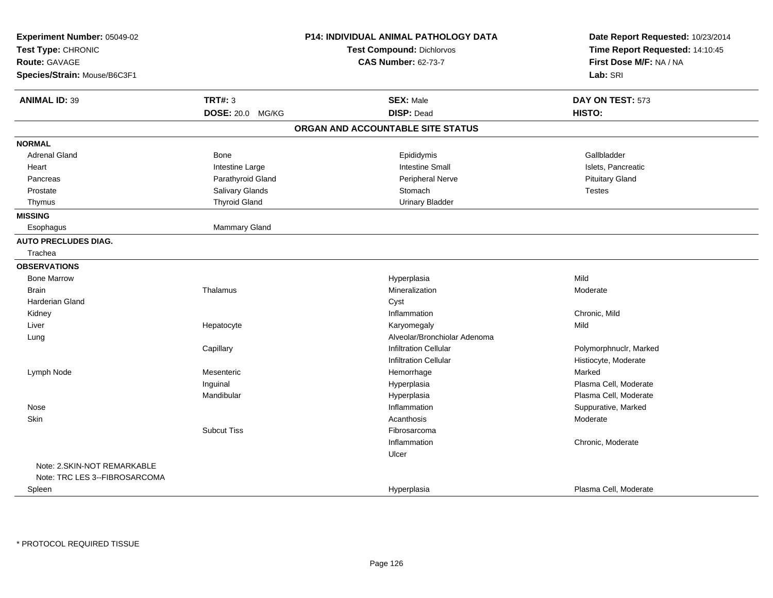| Experiment Number: 05049-02<br>Test Type: CHRONIC |                         | P14: INDIVIDUAL ANIMAL PATHOLOGY DATA<br><b>Test Compound: Dichlorvos</b> | Date Report Requested: 10/23/2014<br>Time Report Requested: 14:10:45 |
|---------------------------------------------------|-------------------------|---------------------------------------------------------------------------|----------------------------------------------------------------------|
| <b>Route: GAVAGE</b>                              |                         | <b>CAS Number: 62-73-7</b>                                                | First Dose M/F: NA / NA                                              |
| Species/Strain: Mouse/B6C3F1                      |                         |                                                                           | Lab: SRI                                                             |
| <b>ANIMAL ID: 39</b>                              | <b>TRT#: 3</b>          | <b>SEX: Male</b>                                                          | DAY ON TEST: 573                                                     |
|                                                   | <b>DOSE: 20.0 MG/KG</b> | <b>DISP: Dead</b>                                                         | HISTO:                                                               |
|                                                   |                         | ORGAN AND ACCOUNTABLE SITE STATUS                                         |                                                                      |
| <b>NORMAL</b>                                     |                         |                                                                           |                                                                      |
| <b>Adrenal Gland</b>                              | <b>Bone</b>             | Epididymis                                                                | Gallbladder                                                          |
| Heart                                             | Intestine Large         | Intestine Small                                                           | Islets, Pancreatic                                                   |
| Pancreas                                          | Parathyroid Gland       | Peripheral Nerve                                                          | <b>Pituitary Gland</b>                                               |
| Prostate                                          | Salivary Glands         | Stomach                                                                   | <b>Testes</b>                                                        |
| Thymus                                            | <b>Thyroid Gland</b>    | <b>Urinary Bladder</b>                                                    |                                                                      |
| <b>MISSING</b>                                    |                         |                                                                           |                                                                      |
| Esophagus                                         | Mammary Gland           |                                                                           |                                                                      |
| <b>AUTO PRECLUDES DIAG.</b>                       |                         |                                                                           |                                                                      |
| Trachea                                           |                         |                                                                           |                                                                      |
| <b>OBSERVATIONS</b>                               |                         |                                                                           |                                                                      |
| <b>Bone Marrow</b>                                |                         | Hyperplasia                                                               | Mild                                                                 |
| <b>Brain</b>                                      | Thalamus                | Mineralization                                                            | Moderate                                                             |
| <b>Harderian Gland</b>                            |                         | Cyst                                                                      |                                                                      |
| Kidney                                            |                         | Inflammation                                                              | Chronic, Mild                                                        |
| Liver                                             | Hepatocyte              | Karyomegaly                                                               | Mild                                                                 |
| Lung                                              |                         | Alveolar/Bronchiolar Adenoma                                              |                                                                      |
|                                                   | Capillary               | <b>Infiltration Cellular</b>                                              | Polymorphnuclr, Marked                                               |
|                                                   |                         | <b>Infiltration Cellular</b>                                              | Histiocyte, Moderate                                                 |
| Lymph Node                                        | Mesenteric              | Hemorrhage                                                                | Marked                                                               |
|                                                   | Inguinal                | Hyperplasia                                                               | Plasma Cell, Moderate                                                |
|                                                   | Mandibular              | Hyperplasia                                                               | Plasma Cell, Moderate                                                |
| Nose                                              |                         | Inflammation                                                              | Suppurative, Marked                                                  |
| Skin                                              |                         | Acanthosis                                                                | Moderate                                                             |
|                                                   | <b>Subcut Tiss</b>      | Fibrosarcoma                                                              |                                                                      |
|                                                   |                         | Inflammation                                                              | Chronic, Moderate                                                    |
|                                                   |                         | Ulcer                                                                     |                                                                      |
| Note: 2.SKIN-NOT REMARKABLE                       |                         |                                                                           |                                                                      |
| Note: TRC LES 3--FIBROSARCOMA                     |                         |                                                                           |                                                                      |
| Spleen                                            |                         | Hyperplasia                                                               | Plasma Cell, Moderate                                                |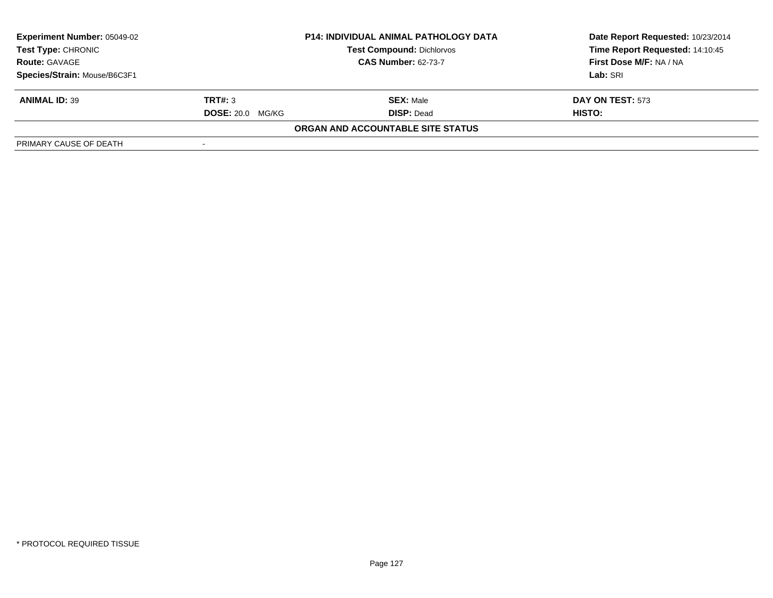| <b>Experiment Number: 05049-02</b> | <b>P14: INDIVIDUAL ANIMAL PATHOLOGY DATA</b> |                                          | Date Report Requested: 10/23/2014 |  |
|------------------------------------|----------------------------------------------|------------------------------------------|-----------------------------------|--|
| <b>Test Type: CHRONIC</b>          |                                              | <b>Test Compound: Dichlorvos</b>         | Time Report Requested: 14:10:45   |  |
| <b>Route: GAVAGE</b>               |                                              | <b>CAS Number: 62-73-7</b>               | First Dose M/F: NA / NA           |  |
| Species/Strain: Mouse/B6C3F1       |                                              |                                          | Lab: SRI                          |  |
| <b>ANIMAL ID: 39</b>               | TRT#: 3                                      | <b>SEX: Male</b>                         | DAY ON TEST: 573                  |  |
|                                    | <b>DOSE: 20.0 MG/KG</b>                      | <b>DISP: Dead</b>                        | HISTO:                            |  |
|                                    |                                              | <b>ORGAN AND ACCOUNTABLE SITE STATUS</b> |                                   |  |
| PRIMARY CAUSE OF DEATH             |                                              |                                          |                                   |  |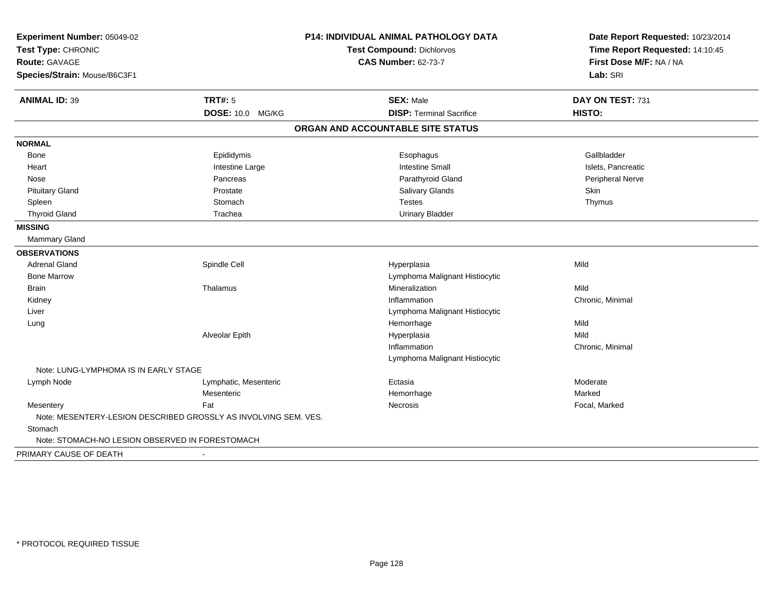| Experiment Number: 05049-02<br>Test Type: CHRONIC<br><b>Route: GAVAGE</b> |                                                                 | P14: INDIVIDUAL ANIMAL PATHOLOGY DATA | Date Report Requested: 10/23/2014<br>Time Report Requested: 14:10:45 |
|---------------------------------------------------------------------------|-----------------------------------------------------------------|---------------------------------------|----------------------------------------------------------------------|
|                                                                           |                                                                 | <b>Test Compound: Dichlorvos</b>      |                                                                      |
|                                                                           |                                                                 | <b>CAS Number: 62-73-7</b>            | First Dose M/F: NA / NA                                              |
| Species/Strain: Mouse/B6C3F1                                              |                                                                 |                                       | Lab: SRI                                                             |
| <b>ANIMAL ID: 39</b>                                                      | <b>TRT#: 5</b>                                                  | <b>SEX: Male</b>                      | DAY ON TEST: 731                                                     |
|                                                                           | <b>DOSE: 10.0 MG/KG</b>                                         | <b>DISP: Terminal Sacrifice</b>       | HISTO:                                                               |
|                                                                           |                                                                 | ORGAN AND ACCOUNTABLE SITE STATUS     |                                                                      |
| <b>NORMAL</b>                                                             |                                                                 |                                       |                                                                      |
| <b>Bone</b>                                                               | Epididymis                                                      | Esophagus                             | Gallbladder                                                          |
| Heart                                                                     | Intestine Large                                                 | <b>Intestine Small</b>                | Islets, Pancreatic                                                   |
| Nose                                                                      | Pancreas                                                        | Parathyroid Gland                     | Peripheral Nerve                                                     |
| <b>Pituitary Gland</b>                                                    | Prostate                                                        | Salivary Glands                       | Skin                                                                 |
| Spleen                                                                    | Stomach                                                         | <b>Testes</b>                         | Thymus                                                               |
| <b>Thyroid Gland</b>                                                      | Trachea                                                         | <b>Urinary Bladder</b>                |                                                                      |
| <b>MISSING</b>                                                            |                                                                 |                                       |                                                                      |
| <b>Mammary Gland</b>                                                      |                                                                 |                                       |                                                                      |
| <b>OBSERVATIONS</b>                                                       |                                                                 |                                       |                                                                      |
| <b>Adrenal Gland</b>                                                      | Spindle Cell                                                    | Hyperplasia                           | Mild                                                                 |
| <b>Bone Marrow</b>                                                        |                                                                 | Lymphoma Malignant Histiocytic        |                                                                      |
| <b>Brain</b>                                                              | Thalamus                                                        | Mineralization                        | Mild                                                                 |
| Kidney                                                                    |                                                                 | Inflammation                          | Chronic, Minimal                                                     |
| Liver                                                                     |                                                                 | Lymphoma Malignant Histiocytic        |                                                                      |
| Lung                                                                      |                                                                 | Hemorrhage                            | Mild                                                                 |
|                                                                           | Alveolar Epith                                                  | Hyperplasia                           | Mild                                                                 |
|                                                                           |                                                                 | Inflammation                          | Chronic, Minimal                                                     |
|                                                                           |                                                                 | Lymphoma Malignant Histiocytic        |                                                                      |
| Note: LUNG-LYMPHOMA IS IN EARLY STAGE                                     |                                                                 |                                       |                                                                      |
| Lymph Node                                                                | Lymphatic, Mesenteric                                           | Ectasia                               | Moderate                                                             |
|                                                                           | Mesenteric                                                      | Hemorrhage                            | Marked                                                               |
| Mesentery                                                                 | Fat                                                             | Necrosis                              | Focal, Marked                                                        |
|                                                                           | Note: MESENTERY-LESION DESCRIBED GROSSLY AS INVOLVING SEM. VES. |                                       |                                                                      |
| Stomach                                                                   |                                                                 |                                       |                                                                      |
| Note: STOMACH-NO LESION OBSERVED IN FORESTOMACH                           |                                                                 |                                       |                                                                      |
| PRIMARY CAUSE OF DEATH                                                    |                                                                 |                                       |                                                                      |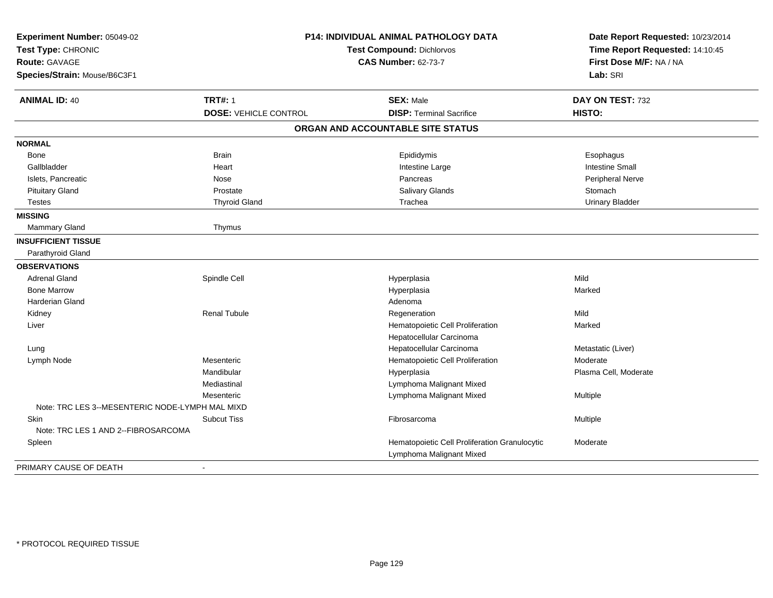| Experiment Number: 05049-02<br>Test Type: CHRONIC<br><b>Route: GAVAGE</b><br>Species/Strain: Mouse/B6C3F1 | <b>P14: INDIVIDUAL ANIMAL PATHOLOGY DATA</b><br>Test Compound: Dichlorvos<br><b>CAS Number: 62-73-7</b> |                                                                           | Date Report Requested: 10/23/2014<br>Time Report Requested: 14:10:45<br>First Dose M/F: NA / NA<br>Lab: SRI |
|-----------------------------------------------------------------------------------------------------------|---------------------------------------------------------------------------------------------------------|---------------------------------------------------------------------------|-------------------------------------------------------------------------------------------------------------|
| <b>ANIMAL ID: 40</b>                                                                                      | <b>TRT#: 1</b>                                                                                          | <b>SEX: Male</b>                                                          | DAY ON TEST: 732                                                                                            |
|                                                                                                           | <b>DOSE: VEHICLE CONTROL</b>                                                                            | <b>DISP: Terminal Sacrifice</b>                                           | HISTO:                                                                                                      |
|                                                                                                           |                                                                                                         | ORGAN AND ACCOUNTABLE SITE STATUS                                         |                                                                                                             |
| <b>NORMAL</b>                                                                                             |                                                                                                         |                                                                           |                                                                                                             |
| <b>Bone</b>                                                                                               | <b>Brain</b>                                                                                            | Epididymis                                                                | Esophagus                                                                                                   |
| Gallbladder                                                                                               | Heart                                                                                                   | Intestine Large                                                           | <b>Intestine Small</b>                                                                                      |
| Islets, Pancreatic                                                                                        | Nose                                                                                                    | Pancreas                                                                  | Peripheral Nerve                                                                                            |
| <b>Pituitary Gland</b>                                                                                    | Prostate                                                                                                | Salivary Glands                                                           | Stomach                                                                                                     |
| Testes                                                                                                    | <b>Thyroid Gland</b>                                                                                    | Trachea                                                                   | <b>Urinary Bladder</b>                                                                                      |
| <b>MISSING</b>                                                                                            |                                                                                                         |                                                                           |                                                                                                             |
| Mammary Gland                                                                                             | Thymus                                                                                                  |                                                                           |                                                                                                             |
| <b>INSUFFICIENT TISSUE</b>                                                                                |                                                                                                         |                                                                           |                                                                                                             |
| Parathyroid Gland                                                                                         |                                                                                                         |                                                                           |                                                                                                             |
| <b>OBSERVATIONS</b>                                                                                       |                                                                                                         |                                                                           |                                                                                                             |
| <b>Adrenal Gland</b>                                                                                      | Spindle Cell                                                                                            | Hyperplasia                                                               | Mild                                                                                                        |
| <b>Bone Marrow</b>                                                                                        |                                                                                                         | Hyperplasia                                                               | Marked                                                                                                      |
| Harderian Gland                                                                                           |                                                                                                         | Adenoma                                                                   |                                                                                                             |
| Kidney                                                                                                    | <b>Renal Tubule</b>                                                                                     | Regeneration                                                              | Mild                                                                                                        |
| Liver                                                                                                     |                                                                                                         | Hematopoietic Cell Proliferation                                          | Marked                                                                                                      |
|                                                                                                           |                                                                                                         | Hepatocellular Carcinoma                                                  |                                                                                                             |
| Lung                                                                                                      |                                                                                                         | Hepatocellular Carcinoma                                                  | Metastatic (Liver)                                                                                          |
| Lymph Node                                                                                                | Mesenteric                                                                                              | Hematopoietic Cell Proliferation                                          | Moderate                                                                                                    |
|                                                                                                           | Mandibular                                                                                              | Hyperplasia                                                               | Plasma Cell, Moderate                                                                                       |
|                                                                                                           | Mediastinal                                                                                             | Lymphoma Malignant Mixed                                                  |                                                                                                             |
|                                                                                                           | Mesenteric                                                                                              | Lymphoma Malignant Mixed                                                  | Multiple                                                                                                    |
| Note: TRC LES 3--MESENTERIC NODE-LYMPH MAL MIXD                                                           |                                                                                                         |                                                                           |                                                                                                             |
| Skin                                                                                                      | <b>Subcut Tiss</b>                                                                                      | Fibrosarcoma                                                              | Multiple                                                                                                    |
| Note: TRC LES 1 AND 2--FIBROSARCOMA                                                                       |                                                                                                         |                                                                           |                                                                                                             |
| Spleen                                                                                                    |                                                                                                         | Hematopoietic Cell Proliferation Granulocytic<br>Lymphoma Malignant Mixed | Moderate                                                                                                    |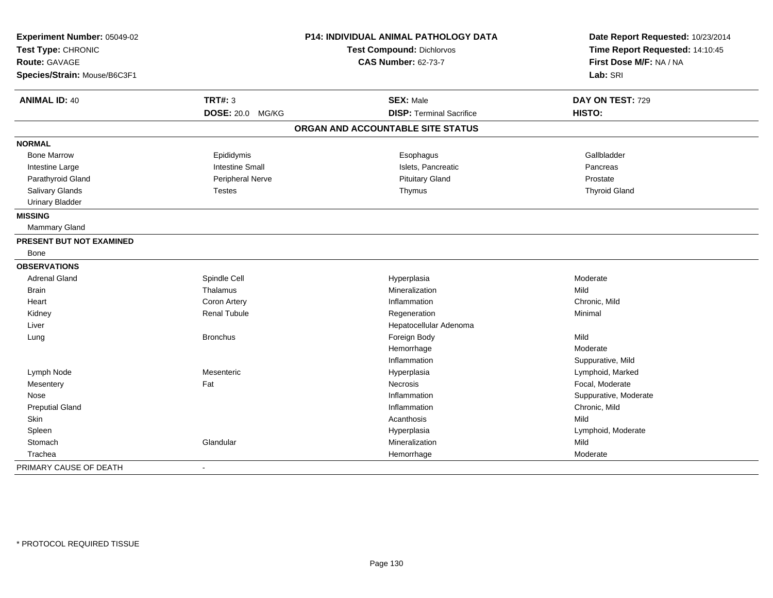| Experiment Number: 05049-02<br>Test Type: CHRONIC |                        | P14: INDIVIDUAL ANIMAL PATHOLOGY DATA | Date Report Requested: 10/23/2014<br>Time Report Requested: 14:10:45 |
|---------------------------------------------------|------------------------|---------------------------------------|----------------------------------------------------------------------|
|                                                   |                        | Test Compound: Dichlorvos             |                                                                      |
| <b>Route: GAVAGE</b>                              |                        | <b>CAS Number: 62-73-7</b>            | First Dose M/F: NA / NA                                              |
| Species/Strain: Mouse/B6C3F1                      |                        |                                       | Lab: SRI                                                             |
| <b>ANIMAL ID: 40</b>                              | <b>TRT#: 3</b>         | <b>SEX: Male</b>                      | DAY ON TEST: 729                                                     |
|                                                   | DOSE: 20.0 MG/KG       | <b>DISP: Terminal Sacrifice</b>       | HISTO:                                                               |
|                                                   |                        | ORGAN AND ACCOUNTABLE SITE STATUS     |                                                                      |
| <b>NORMAL</b>                                     |                        |                                       |                                                                      |
| <b>Bone Marrow</b>                                | Epididymis             | Esophagus                             | Gallbladder                                                          |
| Intestine Large                                   | <b>Intestine Small</b> | Islets, Pancreatic                    | Pancreas                                                             |
| Parathyroid Gland                                 | Peripheral Nerve       | <b>Pituitary Gland</b>                | Prostate                                                             |
| Salivary Glands                                   | <b>Testes</b>          | Thymus                                | <b>Thyroid Gland</b>                                                 |
| <b>Urinary Bladder</b>                            |                        |                                       |                                                                      |
| <b>MISSING</b>                                    |                        |                                       |                                                                      |
| Mammary Gland                                     |                        |                                       |                                                                      |
| PRESENT BUT NOT EXAMINED                          |                        |                                       |                                                                      |
| Bone                                              |                        |                                       |                                                                      |
| <b>OBSERVATIONS</b>                               |                        |                                       |                                                                      |
| <b>Adrenal Gland</b>                              | Spindle Cell           | Hyperplasia                           | Moderate                                                             |
| <b>Brain</b>                                      | Thalamus               | Mineralization                        | Mild                                                                 |
| Heart                                             | Coron Artery           | Inflammation                          | Chronic, Mild                                                        |
| Kidney                                            | <b>Renal Tubule</b>    | Regeneration                          | Minimal                                                              |
| Liver                                             |                        | Hepatocellular Adenoma                |                                                                      |
| Lung                                              | <b>Bronchus</b>        | Foreign Body                          | Mild                                                                 |
|                                                   |                        | Hemorrhage                            | Moderate                                                             |
|                                                   |                        | Inflammation                          | Suppurative, Mild                                                    |
| Lymph Node                                        | Mesenteric             | Hyperplasia                           | Lymphoid, Marked                                                     |
| Mesentery                                         | Fat                    | Necrosis                              | Focal, Moderate                                                      |
| Nose                                              |                        | Inflammation                          | Suppurative, Moderate                                                |
| <b>Preputial Gland</b>                            |                        | Inflammation                          | Chronic, Mild                                                        |
| <b>Skin</b>                                       |                        | Acanthosis                            | Mild                                                                 |
| Spleen                                            |                        | Hyperplasia                           | Lymphoid, Moderate                                                   |
| Stomach                                           | Glandular              | Mineralization                        | Mild                                                                 |
| Trachea                                           |                        | Hemorrhage                            | Moderate                                                             |
| PRIMARY CAUSE OF DEATH                            |                        |                                       |                                                                      |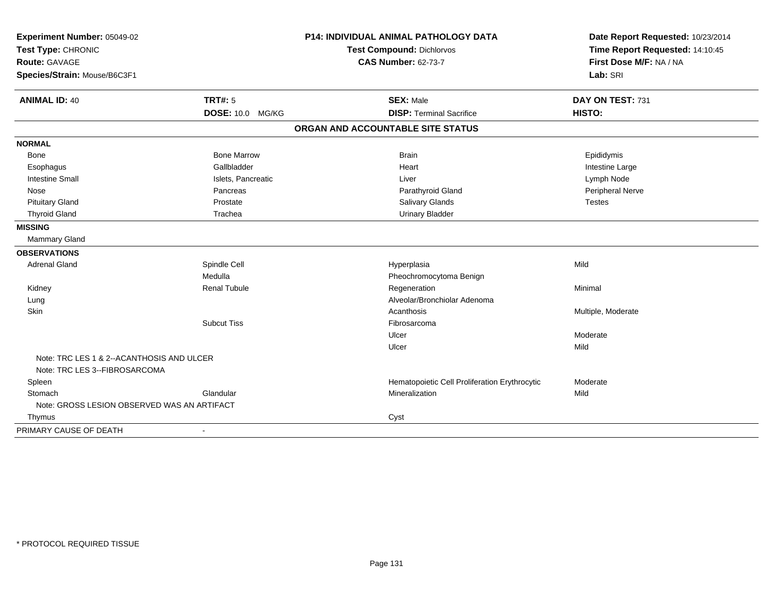| Experiment Number: 05049-02<br>Test Type: CHRONIC                          |                          | P14: INDIVIDUAL ANIMAL PATHOLOGY DATA         | Date Report Requested: 10/23/2014<br>Time Report Requested: 14:10:45 |
|----------------------------------------------------------------------------|--------------------------|-----------------------------------------------|----------------------------------------------------------------------|
|                                                                            |                          | <b>Test Compound: Dichlorvos</b>              |                                                                      |
| Route: GAVAGE                                                              |                          | <b>CAS Number: 62-73-7</b>                    | First Dose M/F: NA / NA                                              |
| Species/Strain: Mouse/B6C3F1                                               |                          |                                               | Lab: SRI                                                             |
| <b>ANIMAL ID: 40</b>                                                       | <b>TRT#: 5</b>           | <b>SEX: Male</b>                              | DAY ON TEST: 731                                                     |
|                                                                            | DOSE: 10.0 MG/KG         | <b>DISP: Terminal Sacrifice</b>               | HISTO:                                                               |
|                                                                            |                          | ORGAN AND ACCOUNTABLE SITE STATUS             |                                                                      |
| <b>NORMAL</b>                                                              |                          |                                               |                                                                      |
| Bone                                                                       | <b>Bone Marrow</b>       | <b>Brain</b>                                  | Epididymis                                                           |
| Esophagus                                                                  | Gallbladder              | Heart                                         | Intestine Large                                                      |
| <b>Intestine Small</b>                                                     | Islets, Pancreatic       | Liver                                         | Lymph Node                                                           |
| Nose                                                                       | Pancreas                 | Parathyroid Gland                             | Peripheral Nerve                                                     |
| <b>Pituitary Gland</b>                                                     | Prostate                 | <b>Salivary Glands</b>                        | <b>Testes</b>                                                        |
| <b>Thyroid Gland</b>                                                       | Trachea                  | <b>Urinary Bladder</b>                        |                                                                      |
| <b>MISSING</b>                                                             |                          |                                               |                                                                      |
| Mammary Gland                                                              |                          |                                               |                                                                      |
| <b>OBSERVATIONS</b>                                                        |                          |                                               |                                                                      |
| <b>Adrenal Gland</b>                                                       | Spindle Cell             | Hyperplasia                                   | Mild                                                                 |
|                                                                            | Medulla                  | Pheochromocytoma Benign                       |                                                                      |
| Kidney                                                                     | <b>Renal Tubule</b>      | Regeneration                                  | Minimal                                                              |
| Lung                                                                       |                          | Alveolar/Bronchiolar Adenoma                  |                                                                      |
| Skin                                                                       |                          | Acanthosis                                    | Multiple, Moderate                                                   |
|                                                                            | <b>Subcut Tiss</b>       | Fibrosarcoma                                  |                                                                      |
|                                                                            |                          | Ulcer                                         | Moderate                                                             |
|                                                                            |                          | Ulcer                                         | Mild                                                                 |
| Note: TRC LES 1 & 2--ACANTHOSIS AND ULCER<br>Note: TRC LES 3--FIBROSARCOMA |                          |                                               |                                                                      |
|                                                                            |                          |                                               | Moderate                                                             |
| Spleen                                                                     | Glandular                | Hematopoietic Cell Proliferation Erythrocytic |                                                                      |
| Stomach                                                                    |                          | Mineralization                                | Mild                                                                 |
| Note: GROSS LESION OBSERVED WAS AN ARTIFACT                                |                          |                                               |                                                                      |
| Thymus                                                                     |                          | Cyst                                          |                                                                      |
| PRIMARY CAUSE OF DEATH                                                     | $\overline{\phantom{a}}$ |                                               |                                                                      |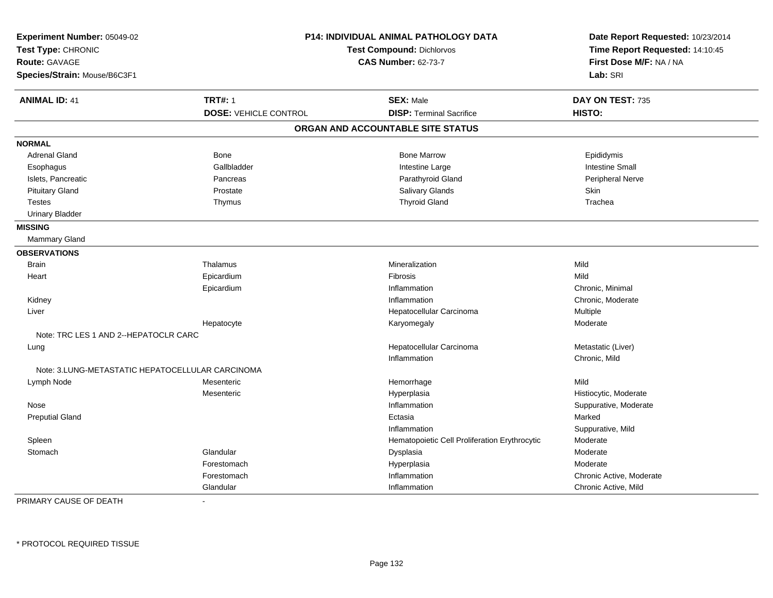| Experiment Number: 05049-02<br>Test Type: CHRONIC<br>Route: GAVAGE<br>Species/Strain: Mouse/B6C3F1 |                              | P14: INDIVIDUAL ANIMAL PATHOLOGY DATA<br>Test Compound: Dichlorvos<br><b>CAS Number: 62-73-7</b> | Date Report Requested: 10/23/2014<br>Time Report Requested: 14:10:45<br>First Dose M/F: NA / NA<br>Lab: SRI |
|----------------------------------------------------------------------------------------------------|------------------------------|--------------------------------------------------------------------------------------------------|-------------------------------------------------------------------------------------------------------------|
| <b>ANIMAL ID: 41</b>                                                                               | <b>TRT#: 1</b>               | <b>SEX: Male</b>                                                                                 | DAY ON TEST: 735                                                                                            |
|                                                                                                    | <b>DOSE: VEHICLE CONTROL</b> | <b>DISP: Terminal Sacrifice</b>                                                                  | HISTO:                                                                                                      |
|                                                                                                    |                              | ORGAN AND ACCOUNTABLE SITE STATUS                                                                |                                                                                                             |
| <b>NORMAL</b>                                                                                      |                              |                                                                                                  |                                                                                                             |
| <b>Adrenal Gland</b>                                                                               | <b>Bone</b>                  | <b>Bone Marrow</b>                                                                               | Epididymis                                                                                                  |
| Esophagus                                                                                          | Gallbladder                  | Intestine Large                                                                                  | <b>Intestine Small</b>                                                                                      |
| Islets, Pancreatic                                                                                 | Pancreas                     | Parathyroid Gland                                                                                | Peripheral Nerve                                                                                            |
| <b>Pituitary Gland</b>                                                                             | Prostate                     | Salivary Glands                                                                                  | Skin                                                                                                        |
| <b>Testes</b>                                                                                      | Thymus                       | <b>Thyroid Gland</b>                                                                             | Trachea                                                                                                     |
| <b>Urinary Bladder</b>                                                                             |                              |                                                                                                  |                                                                                                             |
| <b>MISSING</b>                                                                                     |                              |                                                                                                  |                                                                                                             |
| Mammary Gland                                                                                      |                              |                                                                                                  |                                                                                                             |
| <b>OBSERVATIONS</b>                                                                                |                              |                                                                                                  |                                                                                                             |
| <b>Brain</b>                                                                                       | Thalamus                     | Mineralization                                                                                   | Mild                                                                                                        |
| Heart                                                                                              | Epicardium                   | Fibrosis                                                                                         | Mild                                                                                                        |
|                                                                                                    | Epicardium                   | Inflammation                                                                                     | Chronic, Minimal                                                                                            |
| Kidney                                                                                             |                              | Inflammation                                                                                     | Chronic, Moderate                                                                                           |
| Liver                                                                                              |                              | Hepatocellular Carcinoma                                                                         | Multiple                                                                                                    |
|                                                                                                    | Hepatocyte                   | Karyomegaly                                                                                      | Moderate                                                                                                    |
| Note: TRC LES 1 AND 2--HEPATOCLR CARC                                                              |                              |                                                                                                  |                                                                                                             |
| Lung                                                                                               |                              | Hepatocellular Carcinoma                                                                         | Metastatic (Liver)                                                                                          |
|                                                                                                    |                              | Inflammation                                                                                     | Chronic, Mild                                                                                               |
| Note: 3.LUNG-METASTATIC HEPATOCELLULAR CARCINOMA                                                   |                              |                                                                                                  |                                                                                                             |
| Lymph Node                                                                                         | Mesenteric                   | Hemorrhage                                                                                       | Mild                                                                                                        |
|                                                                                                    | Mesenteric                   | Hyperplasia                                                                                      | Histiocytic, Moderate                                                                                       |
| Nose                                                                                               |                              | Inflammation                                                                                     | Suppurative, Moderate                                                                                       |
| <b>Preputial Gland</b>                                                                             |                              | Ectasia                                                                                          | Marked                                                                                                      |
|                                                                                                    |                              | Inflammation                                                                                     | Suppurative, Mild                                                                                           |
| Spleen                                                                                             |                              | Hematopoietic Cell Proliferation Erythrocytic                                                    | Moderate                                                                                                    |
| Stomach                                                                                            | Glandular                    | Dysplasia                                                                                        | Moderate                                                                                                    |
|                                                                                                    | Forestomach                  | Hyperplasia                                                                                      | Moderate                                                                                                    |
|                                                                                                    | Forestomach                  | Inflammation                                                                                     | Chronic Active, Moderate                                                                                    |
|                                                                                                    | Glandular                    | Inflammation                                                                                     | Chronic Active, Mild                                                                                        |

PRIMARY CAUSE OF DEATH-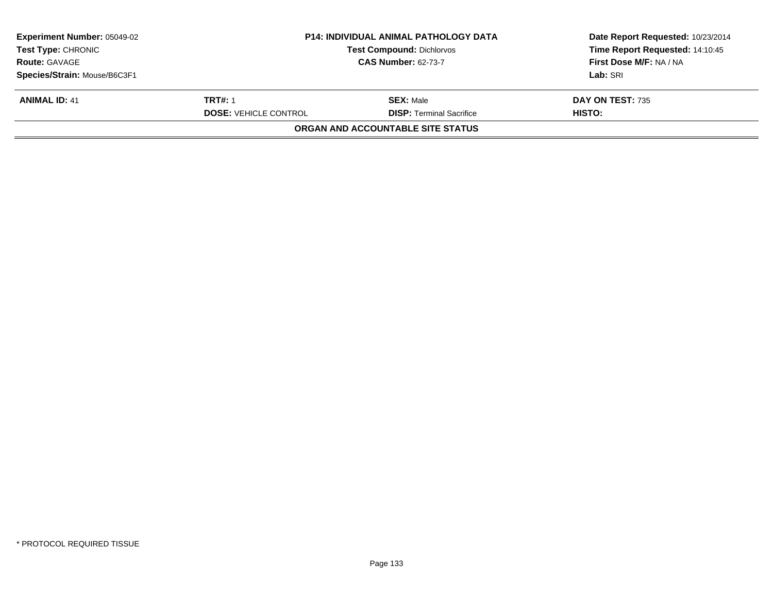| <b>Experiment Number: 05049-02</b><br><b>Test Type: CHRONIC</b> | <b>P14: INDIVIDUAL ANIMAL PATHOLOGY DATA</b><br><b>Test Compound: Dichlorvos</b> |                                          | Date Report Requested: 10/23/2014<br>Time Report Requested: 14:10:45 |
|-----------------------------------------------------------------|----------------------------------------------------------------------------------|------------------------------------------|----------------------------------------------------------------------|
| <b>Route: GAVAGE</b>                                            | <b>CAS Number: 62-73-7</b>                                                       |                                          | First Dose M/F: NA / NA                                              |
| Species/Strain: Mouse/B6C3F1                                    |                                                                                  |                                          | Lab: SRI                                                             |
| <b>ANIMAL ID: 41</b>                                            | <b>TRT#: 1</b>                                                                   | <b>SEX: Male</b>                         | DAY ON TEST: 735                                                     |
|                                                                 | <b>DOSE: VEHICLE CONTROL</b>                                                     | <b>DISP: Terminal Sacrifice</b>          | HISTO:                                                               |
|                                                                 |                                                                                  | <b>ORGAN AND ACCOUNTABLE SITE STATUS</b> |                                                                      |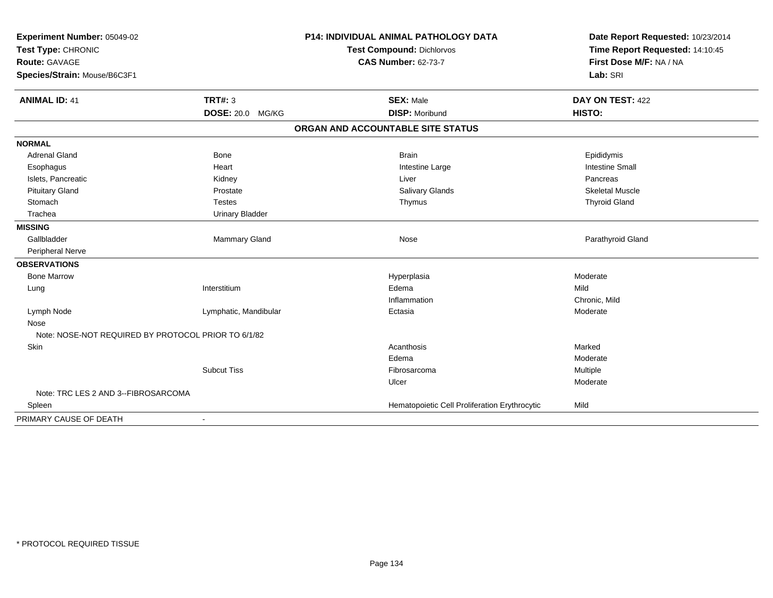| Experiment Number: 05049-02<br>Test Type: CHRONIC<br>Route: GAVAGE |                         | <b>P14: INDIVIDUAL ANIMAL PATHOLOGY DATA</b>  | Date Report Requested: 10/23/2014 |
|--------------------------------------------------------------------|-------------------------|-----------------------------------------------|-----------------------------------|
|                                                                    |                         | <b>Test Compound: Dichlorvos</b>              | Time Report Requested: 14:10:45   |
|                                                                    |                         | <b>CAS Number: 62-73-7</b>                    | First Dose M/F: NA / NA           |
| Species/Strain: Mouse/B6C3F1                                       |                         |                                               | Lab: SRI                          |
| <b>ANIMAL ID: 41</b>                                               | <b>TRT#: 3</b>          | <b>SEX: Male</b>                              | DAY ON TEST: 422                  |
|                                                                    | <b>DOSE: 20.0 MG/KG</b> | <b>DISP: Moribund</b>                         | HISTO:                            |
|                                                                    |                         | ORGAN AND ACCOUNTABLE SITE STATUS             |                                   |
| <b>NORMAL</b>                                                      |                         |                                               |                                   |
| <b>Adrenal Gland</b>                                               | Bone                    | <b>Brain</b>                                  | Epididymis                        |
| Esophagus                                                          | Heart                   | Intestine Large                               | <b>Intestine Small</b>            |
| Islets, Pancreatic                                                 | Kidney                  | Liver                                         | Pancreas                          |
| <b>Pituitary Gland</b>                                             | Prostate                | <b>Salivary Glands</b>                        | <b>Skeletal Muscle</b>            |
| Stomach                                                            | <b>Testes</b>           | Thymus                                        | <b>Thyroid Gland</b>              |
| Trachea                                                            | <b>Urinary Bladder</b>  |                                               |                                   |
| <b>MISSING</b>                                                     |                         |                                               |                                   |
| Gallbladder                                                        | Mammary Gland           | Nose                                          | Parathyroid Gland                 |
| Peripheral Nerve                                                   |                         |                                               |                                   |
| <b>OBSERVATIONS</b>                                                |                         |                                               |                                   |
| <b>Bone Marrow</b>                                                 |                         | Hyperplasia                                   | Moderate                          |
| Lung                                                               | Interstitium            | Edema                                         | Mild                              |
|                                                                    |                         | Inflammation                                  | Chronic, Mild                     |
| Lymph Node                                                         | Lymphatic, Mandibular   | Ectasia                                       | Moderate                          |
| Nose                                                               |                         |                                               |                                   |
| Note: NOSE-NOT REQUIRED BY PROTOCOL PRIOR TO 6/1/82                |                         |                                               |                                   |
| Skin                                                               |                         | Acanthosis                                    | Marked                            |
|                                                                    |                         | Edema                                         | Moderate                          |
|                                                                    | <b>Subcut Tiss</b>      | Fibrosarcoma                                  | Multiple                          |
|                                                                    |                         | Ulcer                                         | Moderate                          |
| Note: TRC LES 2 AND 3--FIBROSARCOMA                                |                         |                                               |                                   |
| Spleen                                                             |                         | Hematopoietic Cell Proliferation Erythrocytic | Mild                              |
| PRIMARY CAUSE OF DEATH                                             |                         |                                               |                                   |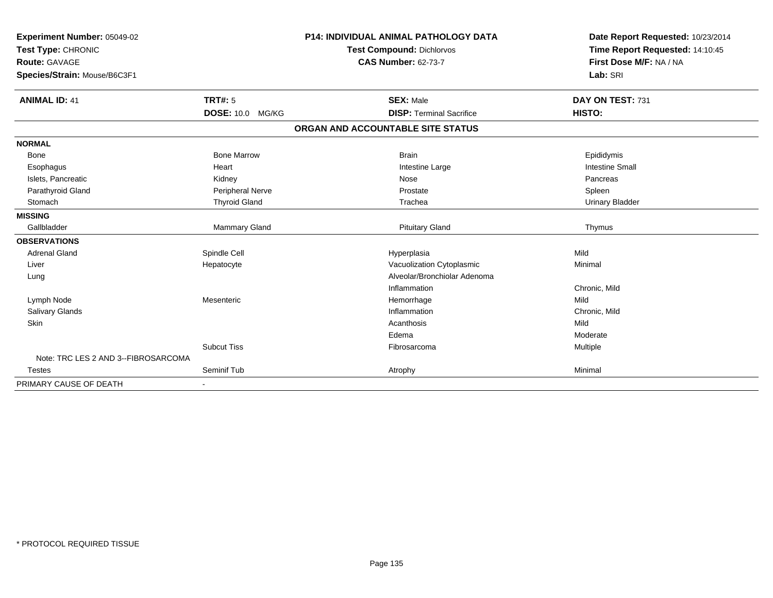| Experiment Number: 05049-02<br>Test Type: CHRONIC<br>Route: GAVAGE |                         | <b>P14: INDIVIDUAL ANIMAL PATHOLOGY DATA</b><br>Test Compound: Dichlorvos<br><b>CAS Number: 62-73-7</b> | Date Report Requested: 10/23/2014<br>Time Report Requested: 14:10:45<br>First Dose M/F: NA / NA |
|--------------------------------------------------------------------|-------------------------|---------------------------------------------------------------------------------------------------------|-------------------------------------------------------------------------------------------------|
| Species/Strain: Mouse/B6C3F1                                       |                         |                                                                                                         | Lab: SRI                                                                                        |
| <b>ANIMAL ID: 41</b>                                               | <b>TRT#: 5</b>          | <b>SEX: Male</b>                                                                                        | DAY ON TEST: 731                                                                                |
|                                                                    | <b>DOSE: 10.0 MG/KG</b> | <b>DISP: Terminal Sacrifice</b>                                                                         | HISTO:                                                                                          |
|                                                                    |                         | ORGAN AND ACCOUNTABLE SITE STATUS                                                                       |                                                                                                 |
| <b>NORMAL</b>                                                      |                         |                                                                                                         |                                                                                                 |
| <b>Bone</b>                                                        | <b>Bone Marrow</b>      | <b>Brain</b>                                                                                            | Epididymis                                                                                      |
| Esophagus                                                          | Heart                   | Intestine Large                                                                                         | <b>Intestine Small</b>                                                                          |
| Islets, Pancreatic                                                 | Kidney                  | Nose                                                                                                    | Pancreas                                                                                        |
| Parathyroid Gland                                                  | Peripheral Nerve        | Prostate                                                                                                | Spleen                                                                                          |
| Stomach                                                            | <b>Thyroid Gland</b>    | Trachea                                                                                                 | <b>Urinary Bladder</b>                                                                          |
| <b>MISSING</b>                                                     |                         |                                                                                                         |                                                                                                 |
| Gallbladder                                                        | <b>Mammary Gland</b>    | <b>Pituitary Gland</b>                                                                                  | Thymus                                                                                          |
| <b>OBSERVATIONS</b>                                                |                         |                                                                                                         |                                                                                                 |
| <b>Adrenal Gland</b>                                               | Spindle Cell            | Hyperplasia                                                                                             | Mild                                                                                            |
| Liver                                                              | Hepatocyte              | Vacuolization Cytoplasmic                                                                               | Minimal                                                                                         |
| Lung                                                               |                         | Alveolar/Bronchiolar Adenoma                                                                            |                                                                                                 |
|                                                                    |                         | Inflammation                                                                                            | Chronic, Mild                                                                                   |
| Lymph Node                                                         | Mesenteric              | Hemorrhage                                                                                              | Mild                                                                                            |
| Salivary Glands                                                    |                         | Inflammation                                                                                            | Chronic, Mild                                                                                   |
| Skin                                                               |                         | Acanthosis                                                                                              | Mild                                                                                            |
|                                                                    |                         | Edema                                                                                                   | Moderate                                                                                        |
|                                                                    | <b>Subcut Tiss</b>      | Fibrosarcoma                                                                                            | Multiple                                                                                        |
| Note: TRC LES 2 AND 3--FIBROSARCOMA                                |                         |                                                                                                         |                                                                                                 |
| <b>Testes</b>                                                      | Seminif Tub             | Atrophy                                                                                                 | Minimal                                                                                         |
| PRIMARY CAUSE OF DEATH                                             |                         |                                                                                                         |                                                                                                 |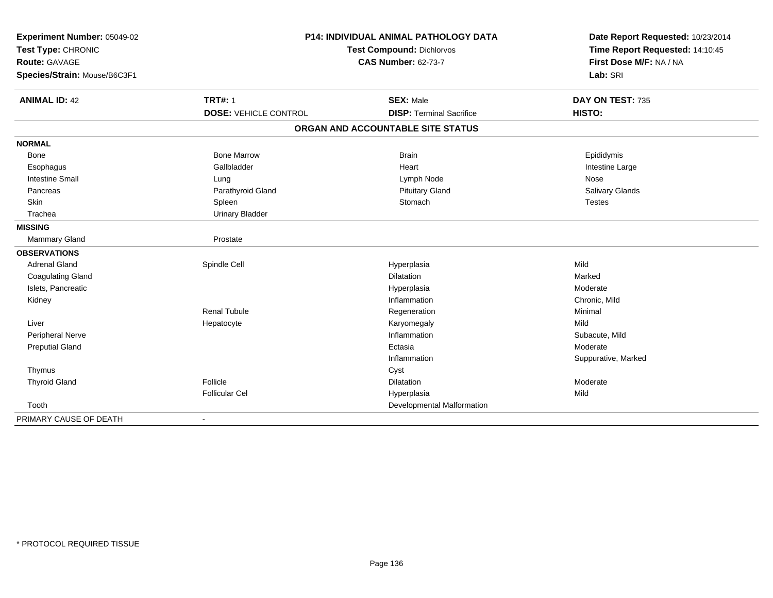| Experiment Number: 05049-02<br>Test Type: CHRONIC |                              | <b>P14: INDIVIDUAL ANIMAL PATHOLOGY DATA</b><br>Test Compound: Dichlorvos | Date Report Requested: 10/23/2014<br>Time Report Requested: 14:10:45 |
|---------------------------------------------------|------------------------------|---------------------------------------------------------------------------|----------------------------------------------------------------------|
| Route: GAVAGE                                     |                              | <b>CAS Number: 62-73-7</b>                                                | First Dose M/F: NA / NA                                              |
| Species/Strain: Mouse/B6C3F1                      |                              |                                                                           | Lab: SRI                                                             |
| <b>ANIMAL ID: 42</b>                              | <b>TRT#: 1</b>               | <b>SEX: Male</b>                                                          | DAY ON TEST: 735                                                     |
|                                                   | <b>DOSE: VEHICLE CONTROL</b> | <b>DISP: Terminal Sacrifice</b>                                           | HISTO:                                                               |
|                                                   |                              | ORGAN AND ACCOUNTABLE SITE STATUS                                         |                                                                      |
| <b>NORMAL</b>                                     |                              |                                                                           |                                                                      |
| <b>Bone</b>                                       | <b>Bone Marrow</b>           | <b>Brain</b>                                                              | Epididymis                                                           |
| Esophagus                                         | Gallbladder                  | Heart                                                                     | Intestine Large                                                      |
| <b>Intestine Small</b>                            | Lung                         | Lymph Node                                                                | Nose                                                                 |
| Pancreas                                          | Parathyroid Gland            | <b>Pituitary Gland</b>                                                    | Salivary Glands                                                      |
| Skin                                              | Spleen                       | Stomach                                                                   | <b>Testes</b>                                                        |
| Trachea                                           | <b>Urinary Bladder</b>       |                                                                           |                                                                      |
| <b>MISSING</b>                                    |                              |                                                                           |                                                                      |
| Mammary Gland                                     | Prostate                     |                                                                           |                                                                      |
| <b>OBSERVATIONS</b>                               |                              |                                                                           |                                                                      |
| <b>Adrenal Gland</b>                              | Spindle Cell                 | Hyperplasia                                                               | Mild                                                                 |
| <b>Coagulating Gland</b>                          |                              | Dilatation                                                                | Marked                                                               |
| Islets, Pancreatic                                |                              | Hyperplasia                                                               | Moderate                                                             |
| Kidney                                            |                              | Inflammation                                                              | Chronic, Mild                                                        |
|                                                   | <b>Renal Tubule</b>          | Regeneration                                                              | Minimal                                                              |
| Liver                                             | Hepatocyte                   | Karyomegaly                                                               | Mild                                                                 |
| Peripheral Nerve                                  |                              | Inflammation                                                              | Subacute, Mild                                                       |
| <b>Preputial Gland</b>                            |                              | Ectasia                                                                   | Moderate                                                             |
|                                                   |                              | Inflammation                                                              | Suppurative, Marked                                                  |
| Thymus                                            |                              | Cyst                                                                      |                                                                      |
| <b>Thyroid Gland</b>                              | Follicle                     | <b>Dilatation</b>                                                         | Moderate                                                             |
|                                                   | <b>Follicular Cel</b>        | Hyperplasia                                                               | Mild                                                                 |
| Tooth                                             |                              | Developmental Malformation                                                |                                                                      |
| PRIMARY CAUSE OF DEATH                            | $\blacksquare$               |                                                                           |                                                                      |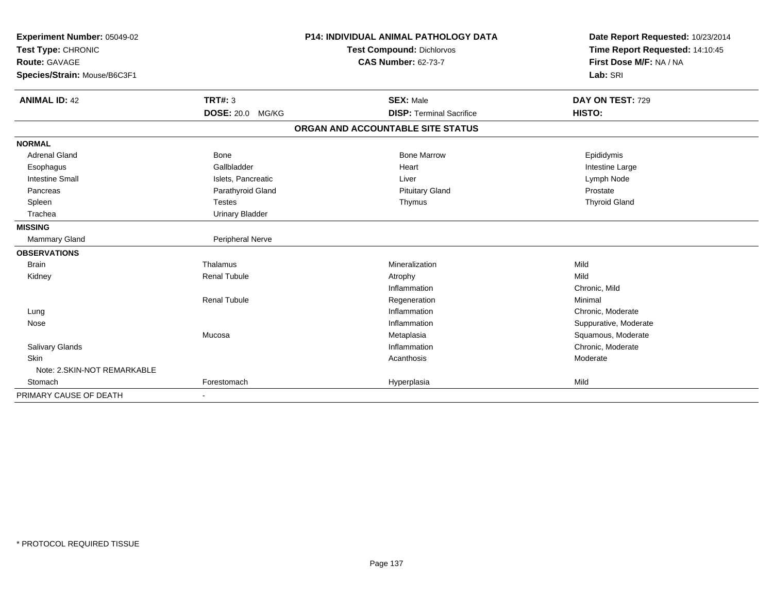| Experiment Number: 05049-02<br>Test Type: CHRONIC<br><b>Route: GAVAGE</b> |                         | <b>P14: INDIVIDUAL ANIMAL PATHOLOGY DATA</b> | Date Report Requested: 10/23/2014                          |
|---------------------------------------------------------------------------|-------------------------|----------------------------------------------|------------------------------------------------------------|
|                                                                           |                         | <b>Test Compound: Dichlorvos</b>             | Time Report Requested: 14:10:45<br>First Dose M/F: NA / NA |
|                                                                           |                         | <b>CAS Number: 62-73-7</b>                   |                                                            |
| Species/Strain: Mouse/B6C3F1                                              |                         |                                              | Lab: SRI                                                   |
|                                                                           |                         |                                              |                                                            |
| <b>ANIMAL ID: 42</b>                                                      | <b>TRT#: 3</b>          | <b>SEX: Male</b>                             | DAY ON TEST: 729                                           |
|                                                                           | <b>DOSE: 20.0 MG/KG</b> | <b>DISP: Terminal Sacrifice</b>              | HISTO:                                                     |
|                                                                           |                         | ORGAN AND ACCOUNTABLE SITE STATUS            |                                                            |
| <b>NORMAL</b>                                                             |                         |                                              |                                                            |
| <b>Adrenal Gland</b>                                                      | <b>Bone</b>             | <b>Bone Marrow</b>                           | Epididymis                                                 |
| Esophagus                                                                 | Gallbladder             | Heart                                        | Intestine Large                                            |
| <b>Intestine Small</b>                                                    | Islets, Pancreatic      | Liver                                        | Lymph Node                                                 |
| Pancreas                                                                  | Parathyroid Gland       | <b>Pituitary Gland</b>                       | Prostate                                                   |
| Spleen                                                                    | <b>Testes</b>           | Thymus                                       | <b>Thyroid Gland</b>                                       |
| Trachea                                                                   | <b>Urinary Bladder</b>  |                                              |                                                            |
| <b>MISSING</b>                                                            |                         |                                              |                                                            |
| Mammary Gland                                                             | Peripheral Nerve        |                                              |                                                            |
| <b>OBSERVATIONS</b>                                                       |                         |                                              |                                                            |
| <b>Brain</b>                                                              | Thalamus                | Mineralization                               | Mild                                                       |
| Kidney                                                                    | <b>Renal Tubule</b>     | Atrophy                                      | Mild                                                       |
|                                                                           |                         | Inflammation                                 | Chronic, Mild                                              |
|                                                                           | <b>Renal Tubule</b>     | Regeneration                                 | Minimal                                                    |
| Lung                                                                      |                         | Inflammation                                 | Chronic, Moderate                                          |
| Nose                                                                      |                         | Inflammation                                 | Suppurative, Moderate                                      |
|                                                                           | Mucosa                  | Metaplasia                                   | Squamous, Moderate                                         |
| Salivary Glands                                                           |                         | Inflammation                                 | Chronic, Moderate                                          |
| <b>Skin</b>                                                               |                         | Acanthosis                                   | Moderate                                                   |
| Note: 2.SKIN-NOT REMARKABLE                                               |                         |                                              |                                                            |
| Stomach                                                                   | Forestomach             | Hyperplasia                                  | Mild                                                       |
| PRIMARY CAUSE OF DEATH                                                    |                         |                                              |                                                            |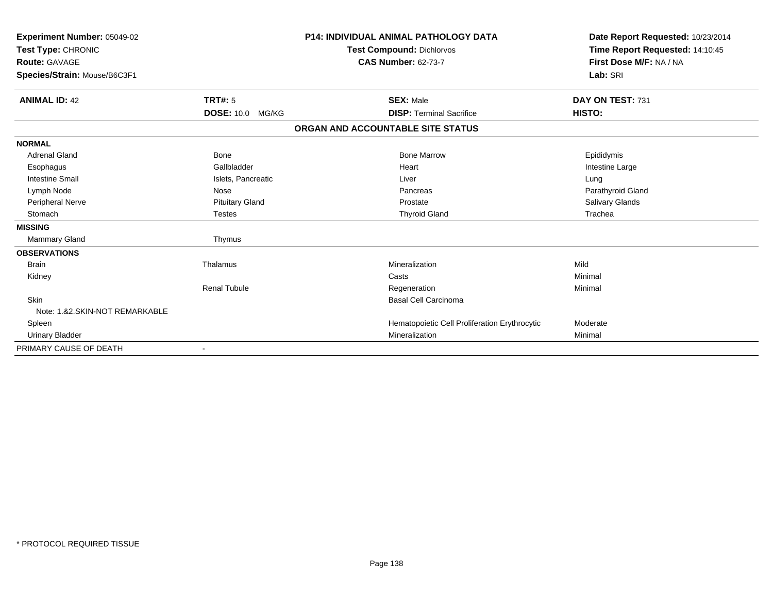| Experiment Number: 05049-02<br>Test Type: CHRONIC<br>Route: GAVAGE<br>Species/Strain: Mouse/B6C3F1 |                                    | <b>P14: INDIVIDUAL ANIMAL PATHOLOGY DATA</b><br><b>Test Compound: Dichlorvos</b><br><b>CAS Number: 62-73-7</b> | Date Report Requested: 10/23/2014<br>Time Report Requested: 14:10:45<br>First Dose M/F: NA / NA<br>Lab: SRI |
|----------------------------------------------------------------------------------------------------|------------------------------------|----------------------------------------------------------------------------------------------------------------|-------------------------------------------------------------------------------------------------------------|
| <b>ANIMAL ID: 42</b>                                                                               | TRT#: 5<br><b>DOSE: 10.0 MG/KG</b> | <b>SEX: Male</b><br><b>DISP: Terminal Sacrifice</b>                                                            | DAY ON TEST: 731<br>HISTO:                                                                                  |
|                                                                                                    |                                    | ORGAN AND ACCOUNTABLE SITE STATUS                                                                              |                                                                                                             |
| <b>NORMAL</b>                                                                                      |                                    |                                                                                                                |                                                                                                             |
| <b>Adrenal Gland</b>                                                                               | Bone                               | <b>Bone Marrow</b>                                                                                             | Epididymis                                                                                                  |
| Esophagus                                                                                          | Gallbladder                        | Heart                                                                                                          | Intestine Large                                                                                             |
| <b>Intestine Small</b>                                                                             | Islets, Pancreatic                 | Liver                                                                                                          | Lung                                                                                                        |
| Lymph Node                                                                                         | Nose                               | Pancreas                                                                                                       | Parathyroid Gland                                                                                           |
| Peripheral Nerve                                                                                   | <b>Pituitary Gland</b>             | Prostate                                                                                                       | <b>Salivary Glands</b>                                                                                      |
| Stomach                                                                                            | <b>Testes</b>                      | <b>Thyroid Gland</b>                                                                                           | Trachea                                                                                                     |
| <b>MISSING</b>                                                                                     |                                    |                                                                                                                |                                                                                                             |
| <b>Mammary Gland</b>                                                                               | Thymus                             |                                                                                                                |                                                                                                             |
| <b>OBSERVATIONS</b>                                                                                |                                    |                                                                                                                |                                                                                                             |
| <b>Brain</b>                                                                                       | Thalamus                           | Mineralization                                                                                                 | Mild                                                                                                        |
| Kidney                                                                                             |                                    | Casts                                                                                                          | Minimal                                                                                                     |
|                                                                                                    | <b>Renal Tubule</b>                | Regeneration                                                                                                   | Minimal                                                                                                     |
| <b>Skin</b>                                                                                        |                                    | Basal Cell Carcinoma                                                                                           |                                                                                                             |
| Note: 1.&2.SKIN-NOT REMARKABLE                                                                     |                                    |                                                                                                                |                                                                                                             |
| Spleen                                                                                             |                                    | Hematopoietic Cell Proliferation Erythrocytic                                                                  | Moderate                                                                                                    |
| <b>Urinary Bladder</b>                                                                             |                                    | Mineralization                                                                                                 | Minimal                                                                                                     |
| PRIMARY CAUSE OF DEATH                                                                             |                                    |                                                                                                                |                                                                                                             |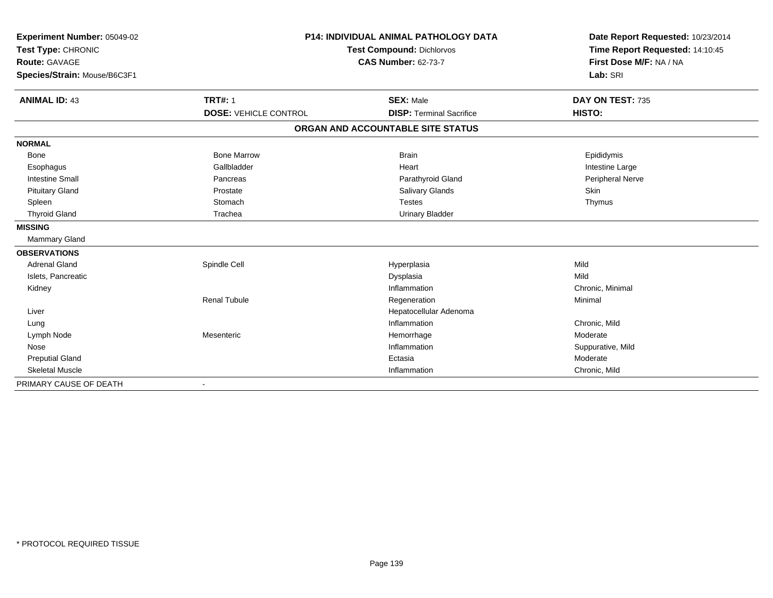| Experiment Number: 05049-02  | <b>P14: INDIVIDUAL ANIMAL PATHOLOGY DATA</b><br><b>Test Compound: Dichlorvos</b><br><b>CAS Number: 62-73-7</b> |                                   | Date Report Requested: 10/23/2014                          |
|------------------------------|----------------------------------------------------------------------------------------------------------------|-----------------------------------|------------------------------------------------------------|
| Test Type: CHRONIC           |                                                                                                                |                                   | Time Report Requested: 14:10:45<br>First Dose M/F: NA / NA |
| <b>Route: GAVAGE</b>         |                                                                                                                |                                   |                                                            |
| Species/Strain: Mouse/B6C3F1 |                                                                                                                |                                   | Lab: SRI                                                   |
| <b>ANIMAL ID: 43</b>         | <b>TRT#: 1</b>                                                                                                 | <b>SEX: Male</b>                  | DAY ON TEST: 735                                           |
|                              | <b>DOSE: VEHICLE CONTROL</b>                                                                                   | <b>DISP: Terminal Sacrifice</b>   | HISTO:                                                     |
|                              |                                                                                                                | ORGAN AND ACCOUNTABLE SITE STATUS |                                                            |
| <b>NORMAL</b>                |                                                                                                                |                                   |                                                            |
| Bone                         | <b>Bone Marrow</b>                                                                                             | <b>Brain</b>                      | Epididymis                                                 |
| Esophagus                    | Gallbladder                                                                                                    | Heart                             | Intestine Large                                            |
| <b>Intestine Small</b>       | Pancreas                                                                                                       | Parathyroid Gland                 | Peripheral Nerve                                           |
| <b>Pituitary Gland</b>       | Prostate                                                                                                       | Salivary Glands                   | <b>Skin</b>                                                |
| Spleen                       | Stomach                                                                                                        | Testes                            | Thymus                                                     |
| <b>Thyroid Gland</b>         | Trachea                                                                                                        | <b>Urinary Bladder</b>            |                                                            |
| <b>MISSING</b>               |                                                                                                                |                                   |                                                            |
| Mammary Gland                |                                                                                                                |                                   |                                                            |
| <b>OBSERVATIONS</b>          |                                                                                                                |                                   |                                                            |
| <b>Adrenal Gland</b>         | Spindle Cell                                                                                                   | Hyperplasia                       | Mild                                                       |
| Islets, Pancreatic           |                                                                                                                | Dysplasia                         | Mild                                                       |
| Kidney                       |                                                                                                                | Inflammation                      | Chronic, Minimal                                           |
|                              | <b>Renal Tubule</b>                                                                                            | Regeneration                      | Minimal                                                    |
| Liver                        |                                                                                                                | Hepatocellular Adenoma            |                                                            |
| Lung                         |                                                                                                                | Inflammation                      | Chronic, Mild                                              |
| Lymph Node                   | Mesenteric                                                                                                     | Hemorrhage                        | Moderate                                                   |
| Nose                         |                                                                                                                | Inflammation                      | Suppurative, Mild                                          |
| <b>Preputial Gland</b>       |                                                                                                                | Ectasia                           | Moderate                                                   |
| <b>Skeletal Muscle</b>       |                                                                                                                | Inflammation                      | Chronic, Mild                                              |
| PRIMARY CAUSE OF DEATH       | $\blacksquare$                                                                                                 |                                   |                                                            |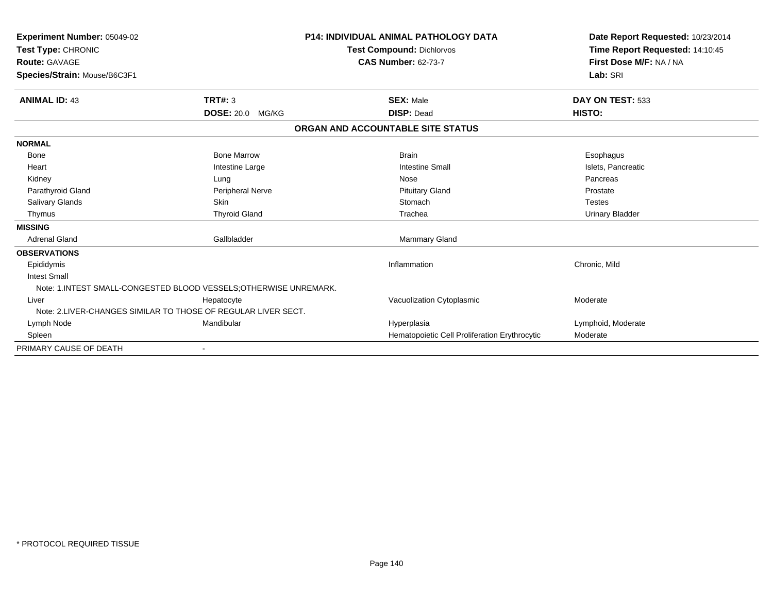| <b>Experiment Number: 05049-02</b><br>Test Type: CHRONIC<br><b>Route: GAVAGE</b><br>Species/Strain: Mouse/B6C3F1 |                             | <b>P14: INDIVIDUAL ANIMAL PATHOLOGY DATA</b><br><b>Test Compound: Dichlorvos</b><br><b>CAS Number: 62-73-7</b> | Date Report Requested: 10/23/2014<br>Time Report Requested: 14:10:45<br>First Dose M/F: NA / NA<br>Lab: SRI |
|------------------------------------------------------------------------------------------------------------------|-----------------------------|----------------------------------------------------------------------------------------------------------------|-------------------------------------------------------------------------------------------------------------|
|                                                                                                                  |                             |                                                                                                                |                                                                                                             |
| <b>ANIMAL ID: 43</b>                                                                                             | TRT#: 3<br>DOSE: 20.0 MG/KG | <b>SEX: Male</b><br><b>DISP: Dead</b>                                                                          | DAY ON TEST: 533<br>HISTO:                                                                                  |
|                                                                                                                  |                             | ORGAN AND ACCOUNTABLE SITE STATUS                                                                              |                                                                                                             |
| <b>NORMAL</b>                                                                                                    |                             |                                                                                                                |                                                                                                             |
| Bone                                                                                                             | <b>Bone Marrow</b>          | <b>Brain</b>                                                                                                   | Esophagus                                                                                                   |
| Heart                                                                                                            | Intestine Large             | <b>Intestine Small</b>                                                                                         | Islets, Pancreatic                                                                                          |
| Kidney                                                                                                           | Lung                        | Nose                                                                                                           | Pancreas                                                                                                    |
| Parathyroid Gland                                                                                                | Peripheral Nerve            | <b>Pituitary Gland</b>                                                                                         | Prostate                                                                                                    |
| Salivary Glands                                                                                                  | <b>Skin</b>                 | Stomach                                                                                                        | <b>Testes</b>                                                                                               |
| Thymus                                                                                                           | <b>Thyroid Gland</b>        | Trachea                                                                                                        | <b>Urinary Bladder</b>                                                                                      |
| <b>MISSING</b>                                                                                                   |                             |                                                                                                                |                                                                                                             |
| <b>Adrenal Gland</b>                                                                                             | Gallbladder                 | <b>Mammary Gland</b>                                                                                           |                                                                                                             |
| <b>OBSERVATIONS</b>                                                                                              |                             |                                                                                                                |                                                                                                             |
| Epididymis                                                                                                       |                             | Inflammation                                                                                                   | Chronic, Mild                                                                                               |
| <b>Intest Small</b>                                                                                              |                             |                                                                                                                |                                                                                                             |
| Note: 1.INTEST SMALL-CONGESTED BLOOD VESSELS: OTHERWISE UNREMARK.                                                |                             |                                                                                                                |                                                                                                             |
| Liver                                                                                                            | Hepatocyte                  | Vacuolization Cytoplasmic                                                                                      | Moderate                                                                                                    |
| Note: 2.LIVER-CHANGES SIMILAR TO THOSE OF REGULAR LIVER SECT.                                                    |                             |                                                                                                                |                                                                                                             |
| Lymph Node                                                                                                       | Mandibular                  | Hyperplasia                                                                                                    | Lymphoid, Moderate                                                                                          |
| Spleen                                                                                                           |                             | Hematopoietic Cell Proliferation Erythrocytic                                                                  | Moderate                                                                                                    |
| PRIMARY CAUSE OF DEATH                                                                                           |                             |                                                                                                                |                                                                                                             |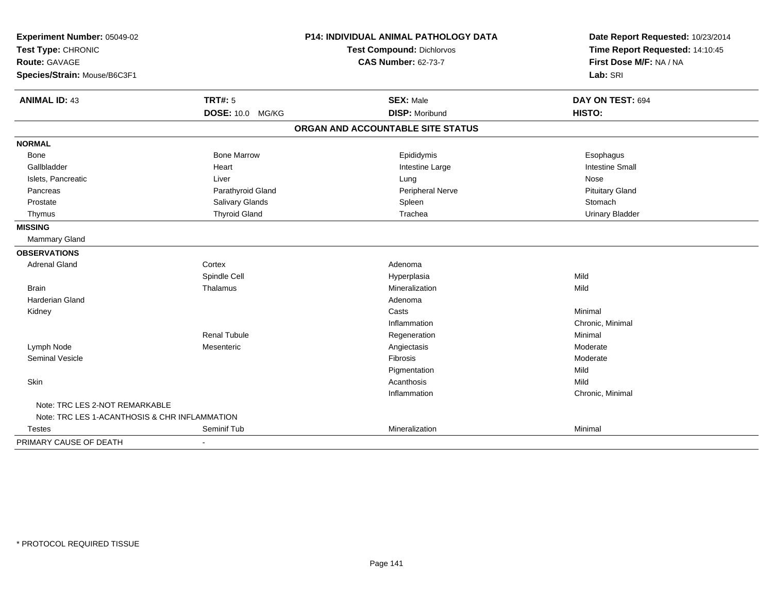| Experiment Number: 05049-02<br>Test Type: CHRONIC<br>Route: GAVAGE |                      | P14: INDIVIDUAL ANIMAL PATHOLOGY DATA | Date Report Requested: 10/23/2014<br>Time Report Requested: 14:10:45 |
|--------------------------------------------------------------------|----------------------|---------------------------------------|----------------------------------------------------------------------|
|                                                                    |                      | <b>Test Compound: Dichlorvos</b>      |                                                                      |
|                                                                    |                      | <b>CAS Number: 62-73-7</b>            | First Dose M/F: NA / NA                                              |
| Species/Strain: Mouse/B6C3F1                                       |                      |                                       | Lab: SRI                                                             |
| <b>ANIMAL ID: 43</b>                                               | <b>TRT#: 5</b>       | <b>SEX: Male</b>                      | DAY ON TEST: 694                                                     |
|                                                                    | DOSE: 10.0 MG/KG     | <b>DISP: Moribund</b>                 | HISTO:                                                               |
|                                                                    |                      | ORGAN AND ACCOUNTABLE SITE STATUS     |                                                                      |
| <b>NORMAL</b>                                                      |                      |                                       |                                                                      |
| Bone                                                               | <b>Bone Marrow</b>   | Epididymis                            | Esophagus                                                            |
| Gallbladder                                                        | Heart                | Intestine Large                       | <b>Intestine Small</b>                                               |
| Islets, Pancreatic                                                 | Liver                | Lung                                  | Nose                                                                 |
| Pancreas                                                           | Parathyroid Gland    | Peripheral Nerve                      | <b>Pituitary Gland</b>                                               |
| Prostate                                                           | Salivary Glands      | Spleen                                | Stomach                                                              |
| Thymus                                                             | <b>Thyroid Gland</b> | Trachea                               | <b>Urinary Bladder</b>                                               |
| <b>MISSING</b>                                                     |                      |                                       |                                                                      |
| <b>Mammary Gland</b>                                               |                      |                                       |                                                                      |
| <b>OBSERVATIONS</b>                                                |                      |                                       |                                                                      |
| <b>Adrenal Gland</b>                                               | Cortex               | Adenoma                               |                                                                      |
|                                                                    | Spindle Cell         | Hyperplasia                           | Mild                                                                 |
| <b>Brain</b>                                                       | Thalamus             | Mineralization                        | Mild                                                                 |
| <b>Harderian Gland</b>                                             |                      | Adenoma                               |                                                                      |
| Kidney                                                             |                      | Casts                                 | Minimal                                                              |
|                                                                    |                      | Inflammation                          | Chronic, Minimal                                                     |
|                                                                    | <b>Renal Tubule</b>  | Regeneration                          | Minimal                                                              |
| Lymph Node                                                         | Mesenteric           | Angiectasis                           | Moderate                                                             |
| Seminal Vesicle                                                    |                      | Fibrosis                              | Moderate                                                             |
|                                                                    |                      | Pigmentation                          | Mild                                                                 |
| Skin                                                               |                      | Acanthosis                            | Mild                                                                 |
|                                                                    |                      | Inflammation                          | Chronic, Minimal                                                     |
| Note: TRC LES 2-NOT REMARKABLE                                     |                      |                                       |                                                                      |
| Note: TRC LES 1-ACANTHOSIS & CHR INFLAMMATION                      |                      |                                       |                                                                      |
| <b>Testes</b>                                                      | Seminif Tub          | Mineralization                        | Minimal                                                              |
| PRIMARY CAUSE OF DEATH                                             | $\blacksquare$       |                                       |                                                                      |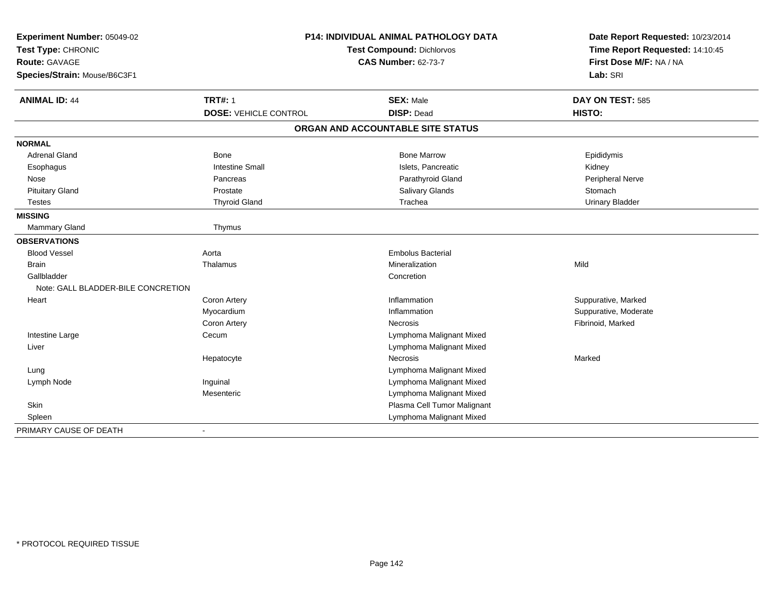| Experiment Number: 05049-02        | P14: INDIVIDUAL ANIMAL PATHOLOGY DATA |                                   | Date Report Requested: 10/23/2014 |
|------------------------------------|---------------------------------------|-----------------------------------|-----------------------------------|
| Test Type: CHRONIC                 |                                       | Test Compound: Dichlorvos         | Time Report Requested: 14:10:45   |
| Route: GAVAGE                      |                                       | <b>CAS Number: 62-73-7</b>        | First Dose M/F: NA / NA           |
| Species/Strain: Mouse/B6C3F1       |                                       |                                   | Lab: SRI                          |
| <b>ANIMAL ID: 44</b>               | <b>TRT#: 1</b>                        | <b>SEX: Male</b>                  | DAY ON TEST: 585                  |
|                                    | <b>DOSE: VEHICLE CONTROL</b>          | <b>DISP: Dead</b>                 | HISTO:                            |
|                                    |                                       | ORGAN AND ACCOUNTABLE SITE STATUS |                                   |
| <b>NORMAL</b>                      |                                       |                                   |                                   |
| <b>Adrenal Gland</b>               | Bone                                  | <b>Bone Marrow</b>                | Epididymis                        |
| Esophagus                          | <b>Intestine Small</b>                | Islets, Pancreatic                | Kidney                            |
| Nose                               | Pancreas                              | Parathyroid Gland                 | Peripheral Nerve                  |
| <b>Pituitary Gland</b>             | Prostate                              | Salivary Glands                   | Stomach                           |
| <b>Testes</b>                      | <b>Thyroid Gland</b>                  | Trachea                           | <b>Urinary Bladder</b>            |
| <b>MISSING</b>                     |                                       |                                   |                                   |
| <b>Mammary Gland</b>               | Thymus                                |                                   |                                   |
| <b>OBSERVATIONS</b>                |                                       |                                   |                                   |
| <b>Blood Vessel</b>                | Aorta                                 | <b>Embolus Bacterial</b>          |                                   |
| <b>Brain</b>                       | Thalamus                              | Mineralization                    | Mild                              |
| Gallbladder                        |                                       | Concretion                        |                                   |
| Note: GALL BLADDER-BILE CONCRETION |                                       |                                   |                                   |
| Heart                              | <b>Coron Artery</b>                   | Inflammation                      | Suppurative, Marked               |
|                                    | Myocardium                            | Inflammation                      | Suppurative, Moderate             |
|                                    | Coron Artery                          | Necrosis                          | Fibrinoid, Marked                 |
| Intestine Large                    | Cecum                                 | Lymphoma Malignant Mixed          |                                   |
| Liver                              |                                       | Lymphoma Malignant Mixed          |                                   |
|                                    | Hepatocyte                            | <b>Necrosis</b>                   | Marked                            |
| Lung                               |                                       | Lymphoma Malignant Mixed          |                                   |
| Lymph Node                         | Inguinal                              | Lymphoma Malignant Mixed          |                                   |
|                                    | Mesenteric                            | Lymphoma Malignant Mixed          |                                   |
| Skin                               |                                       | Plasma Cell Tumor Malignant       |                                   |
| Spleen                             |                                       | Lymphoma Malignant Mixed          |                                   |
| PRIMARY CAUSE OF DEATH             | $\overline{\phantom{a}}$              |                                   |                                   |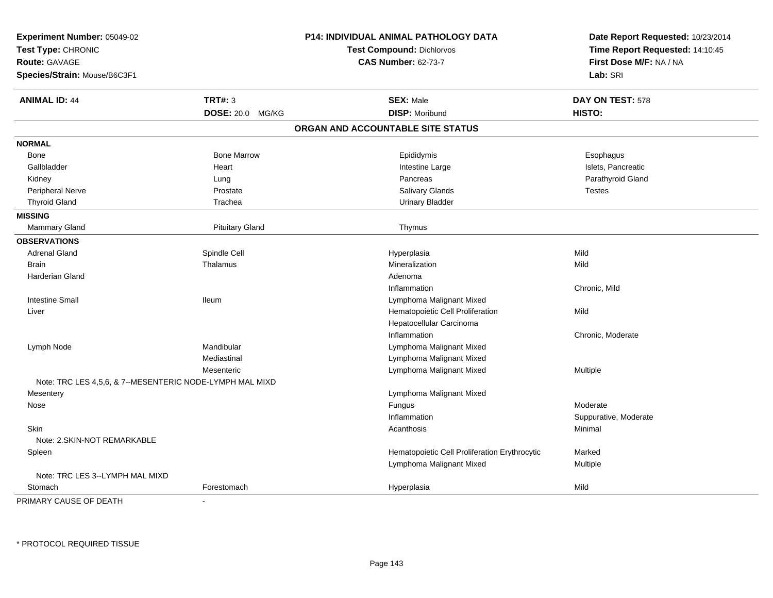| Experiment Number: 05049-02<br>Test Type: CHRONIC<br>Route: GAVAGE |                        | P14: INDIVIDUAL ANIMAL PATHOLOGY DATA         | Date Report Requested: 10/23/2014<br>Time Report Requested: 14:10:45 |  |
|--------------------------------------------------------------------|------------------------|-----------------------------------------------|----------------------------------------------------------------------|--|
|                                                                    |                        | <b>Test Compound: Dichlorvos</b>              |                                                                      |  |
|                                                                    |                        | <b>CAS Number: 62-73-7</b>                    | First Dose M/F: NA / NA                                              |  |
| Species/Strain: Mouse/B6C3F1                                       |                        |                                               | Lab: SRI                                                             |  |
| <b>ANIMAL ID: 44</b>                                               | <b>TRT#: 3</b>         | <b>SEX: Male</b>                              | DAY ON TEST: 578                                                     |  |
|                                                                    | DOSE: 20.0 MG/KG       | <b>DISP: Moribund</b>                         | HISTO:                                                               |  |
|                                                                    |                        | ORGAN AND ACCOUNTABLE SITE STATUS             |                                                                      |  |
| <b>NORMAL</b>                                                      |                        |                                               |                                                                      |  |
| Bone                                                               | <b>Bone Marrow</b>     | Epididymis                                    | Esophagus                                                            |  |
| Gallbladder                                                        | Heart                  | Intestine Large                               | Islets, Pancreatic                                                   |  |
| Kidney                                                             | Lung                   | Pancreas                                      | Parathyroid Gland                                                    |  |
| Peripheral Nerve                                                   | Prostate               | Salivary Glands                               | <b>Testes</b>                                                        |  |
| <b>Thyroid Gland</b>                                               | Trachea                | <b>Urinary Bladder</b>                        |                                                                      |  |
| <b>MISSING</b>                                                     |                        |                                               |                                                                      |  |
| Mammary Gland                                                      | <b>Pituitary Gland</b> | Thymus                                        |                                                                      |  |
| <b>OBSERVATIONS</b>                                                |                        |                                               |                                                                      |  |
| <b>Adrenal Gland</b>                                               | Spindle Cell           | Hyperplasia                                   | Mild                                                                 |  |
| <b>Brain</b>                                                       | Thalamus               | Mineralization                                | Mild                                                                 |  |
| Harderian Gland                                                    |                        | Adenoma                                       |                                                                      |  |
|                                                                    |                        | Inflammation                                  | Chronic, Mild                                                        |  |
| <b>Intestine Small</b>                                             | <b>Ileum</b>           | Lymphoma Malignant Mixed                      |                                                                      |  |
| Liver                                                              |                        | Hematopoietic Cell Proliferation              | Mild                                                                 |  |
|                                                                    |                        | Hepatocellular Carcinoma                      |                                                                      |  |
|                                                                    |                        | Inflammation                                  | Chronic, Moderate                                                    |  |
| Lymph Node                                                         | Mandibular             | Lymphoma Malignant Mixed                      |                                                                      |  |
|                                                                    | Mediastinal            | Lymphoma Malignant Mixed                      |                                                                      |  |
|                                                                    | Mesenteric             | Lymphoma Malignant Mixed                      | Multiple                                                             |  |
| Note: TRC LES 4,5,6, & 7--MESENTERIC NODE-LYMPH MAL MIXD           |                        |                                               |                                                                      |  |
| Mesentery                                                          |                        | Lymphoma Malignant Mixed                      |                                                                      |  |
| Nose                                                               |                        | Fungus                                        | Moderate                                                             |  |
|                                                                    |                        | Inflammation                                  | Suppurative, Moderate                                                |  |
| Skin                                                               |                        | Acanthosis                                    | Minimal                                                              |  |
| Note: 2.SKIN-NOT REMARKABLE                                        |                        |                                               |                                                                      |  |
| Spleen                                                             |                        | Hematopoietic Cell Proliferation Erythrocytic | Marked                                                               |  |
|                                                                    |                        | Lymphoma Malignant Mixed                      | Multiple                                                             |  |
| Note: TRC LES 3--LYMPH MAL MIXD                                    |                        |                                               |                                                                      |  |
| Stomach                                                            | Forestomach            | Hyperplasia                                   | Mild                                                                 |  |
| PRIMARY CAUSE OF DEATH                                             |                        |                                               |                                                                      |  |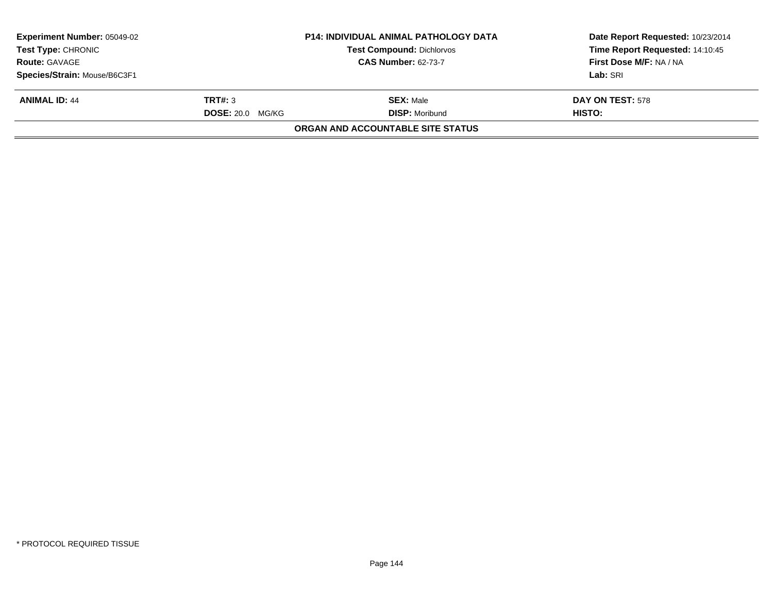| <b>Experiment Number: 05049-02</b><br><b>Test Type: CHRONIC</b> |                         | <b>P14: INDIVIDUAL ANIMAL PATHOLOGY DATA</b><br><b>Test Compound: Dichlorvos</b> | Date Report Requested: 10/23/2014<br>Time Report Requested: 14:10:45 |
|-----------------------------------------------------------------|-------------------------|----------------------------------------------------------------------------------|----------------------------------------------------------------------|
| <b>Route: GAVAGE</b>                                            |                         | <b>CAS Number: 62-73-7</b>                                                       | First Dose M/F: NA / NA                                              |
| Species/Strain: Mouse/B6C3F1                                    |                         |                                                                                  | Lab: SRI                                                             |
| <b>ANIMAL ID: 44</b>                                            | TRT#: 3                 | <b>SEX: Male</b>                                                                 | <b>DAY ON TEST: 578</b>                                              |
|                                                                 | <b>DOSE: 20.0 MG/KG</b> | <b>DISP:</b> Moribund                                                            | <b>HISTO:</b>                                                        |
|                                                                 |                         | <b>ORGAN AND ACCOUNTABLE SITE STATUS</b>                                         |                                                                      |
|                                                                 |                         |                                                                                  |                                                                      |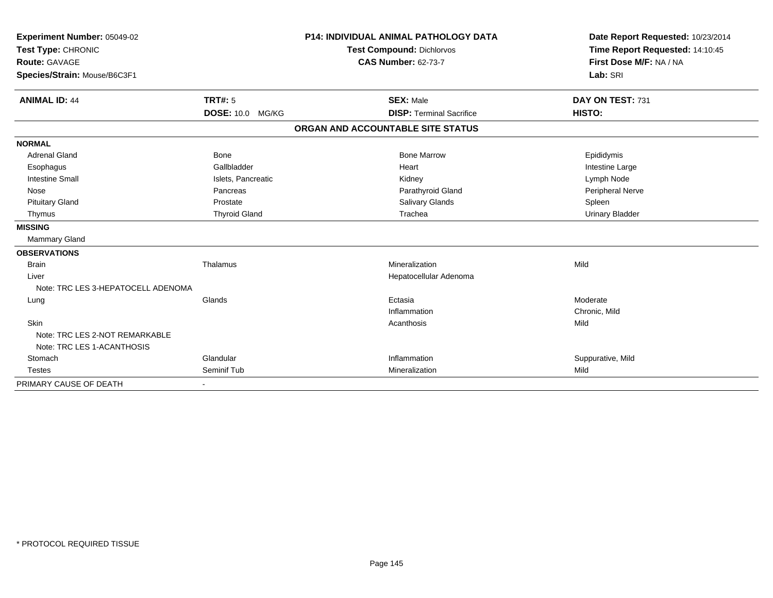| Experiment Number: 05049-02<br>Test Type: CHRONIC<br><b>Route: GAVAGE</b><br>Species/Strain: Mouse/B6C3F1 |                      | <b>P14: INDIVIDUAL ANIMAL PATHOLOGY DATA</b><br><b>Test Compound: Dichlorvos</b><br><b>CAS Number: 62-73-7</b> |                                   | Date Report Requested: 10/23/2014<br>Time Report Requested: 14:10:45<br>First Dose M/F: NA / NA<br>Lab: SRI |
|-----------------------------------------------------------------------------------------------------------|----------------------|----------------------------------------------------------------------------------------------------------------|-----------------------------------|-------------------------------------------------------------------------------------------------------------|
| <b>ANIMAL ID: 44</b>                                                                                      | TRT#: 5              |                                                                                                                | <b>SEX: Male</b>                  | DAY ON TEST: 731                                                                                            |
|                                                                                                           | DOSE: 10.0 MG/KG     |                                                                                                                | <b>DISP: Terminal Sacrifice</b>   | HISTO:                                                                                                      |
|                                                                                                           |                      |                                                                                                                | ORGAN AND ACCOUNTABLE SITE STATUS |                                                                                                             |
| <b>NORMAL</b>                                                                                             |                      |                                                                                                                |                                   |                                                                                                             |
| <b>Adrenal Gland</b>                                                                                      | <b>Bone</b>          |                                                                                                                | <b>Bone Marrow</b>                | Epididymis                                                                                                  |
| Esophagus                                                                                                 | Gallbladder          |                                                                                                                | Heart                             | Intestine Large                                                                                             |
| <b>Intestine Small</b>                                                                                    | Islets, Pancreatic   |                                                                                                                | Kidney                            | Lymph Node                                                                                                  |
| Nose                                                                                                      | Pancreas             |                                                                                                                | Parathyroid Gland                 | Peripheral Nerve                                                                                            |
| <b>Pituitary Gland</b>                                                                                    | Prostate             |                                                                                                                | Salivary Glands                   | Spleen                                                                                                      |
| Thymus                                                                                                    | <b>Thyroid Gland</b> |                                                                                                                | Trachea                           | <b>Urinary Bladder</b>                                                                                      |
| <b>MISSING</b>                                                                                            |                      |                                                                                                                |                                   |                                                                                                             |
| <b>Mammary Gland</b>                                                                                      |                      |                                                                                                                |                                   |                                                                                                             |
| <b>OBSERVATIONS</b>                                                                                       |                      |                                                                                                                |                                   |                                                                                                             |
| <b>Brain</b>                                                                                              | Thalamus             |                                                                                                                | Mineralization                    | Mild                                                                                                        |
| Liver                                                                                                     |                      |                                                                                                                | Hepatocellular Adenoma            |                                                                                                             |
| Note: TRC LES 3-HEPATOCELL ADENOMA                                                                        |                      |                                                                                                                |                                   |                                                                                                             |
| Lung                                                                                                      | Glands               |                                                                                                                | Ectasia                           | Moderate                                                                                                    |
|                                                                                                           |                      |                                                                                                                | Inflammation                      | Chronic, Mild                                                                                               |
| Skin                                                                                                      |                      |                                                                                                                | Acanthosis                        | Mild                                                                                                        |
| Note: TRC LES 2-NOT REMARKABLE                                                                            |                      |                                                                                                                |                                   |                                                                                                             |
| Note: TRC LES 1-ACANTHOSIS                                                                                |                      |                                                                                                                |                                   |                                                                                                             |
| Stomach                                                                                                   | Glandular            |                                                                                                                | Inflammation                      | Suppurative, Mild                                                                                           |
| <b>Testes</b>                                                                                             | Seminif Tub          |                                                                                                                | Mineralization                    | Mild                                                                                                        |
| PRIMARY CAUSE OF DEATH                                                                                    |                      |                                                                                                                |                                   |                                                                                                             |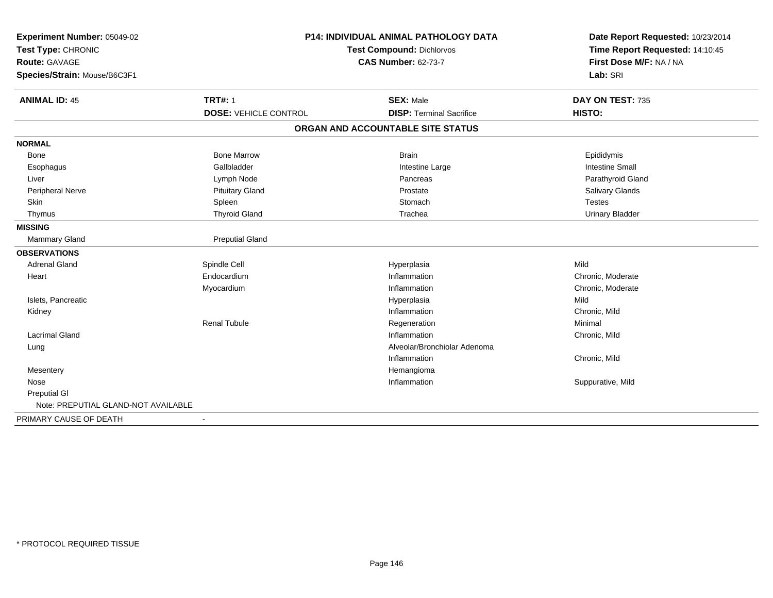| Experiment Number: 05049-02<br>Test Type: CHRONIC<br><b>Route: GAVAGE</b><br>Species/Strain: Mouse/B6C3F1 |                              | P14: INDIVIDUAL ANIMAL PATHOLOGY DATA<br><b>Test Compound: Dichlorvos</b><br><b>CAS Number: 62-73-7</b> | Date Report Requested: 10/23/2014<br>Time Report Requested: 14:10:45<br>First Dose M/F: NA / NA<br>Lab: SRI |
|-----------------------------------------------------------------------------------------------------------|------------------------------|---------------------------------------------------------------------------------------------------------|-------------------------------------------------------------------------------------------------------------|
| <b>ANIMAL ID: 45</b>                                                                                      | <b>TRT#: 1</b>               | <b>SEX: Male</b>                                                                                        | DAY ON TEST: 735                                                                                            |
|                                                                                                           | <b>DOSE: VEHICLE CONTROL</b> | <b>DISP: Terminal Sacrifice</b>                                                                         | HISTO:                                                                                                      |
|                                                                                                           |                              | ORGAN AND ACCOUNTABLE SITE STATUS                                                                       |                                                                                                             |
| <b>NORMAL</b>                                                                                             |                              |                                                                                                         |                                                                                                             |
| Bone                                                                                                      | <b>Bone Marrow</b>           | <b>Brain</b>                                                                                            | Epididymis                                                                                                  |
| Esophagus                                                                                                 | Gallbladder                  | Intestine Large                                                                                         | <b>Intestine Small</b>                                                                                      |
| Liver                                                                                                     | Lymph Node                   | Pancreas                                                                                                | Parathyroid Gland                                                                                           |
| Peripheral Nerve                                                                                          | <b>Pituitary Gland</b>       | Prostate                                                                                                | Salivary Glands                                                                                             |
| Skin                                                                                                      | Spleen                       | Stomach                                                                                                 | <b>Testes</b>                                                                                               |
| Thymus                                                                                                    | <b>Thyroid Gland</b>         | Trachea                                                                                                 | <b>Urinary Bladder</b>                                                                                      |
| <b>MISSING</b>                                                                                            |                              |                                                                                                         |                                                                                                             |
| Mammary Gland                                                                                             | <b>Preputial Gland</b>       |                                                                                                         |                                                                                                             |
| <b>OBSERVATIONS</b>                                                                                       |                              |                                                                                                         |                                                                                                             |
| <b>Adrenal Gland</b>                                                                                      | Spindle Cell                 | Hyperplasia                                                                                             | Mild                                                                                                        |
| Heart                                                                                                     | Endocardium                  | Inflammation                                                                                            | Chronic, Moderate                                                                                           |
|                                                                                                           | Myocardium                   | Inflammation                                                                                            | Chronic, Moderate                                                                                           |
| Islets, Pancreatic                                                                                        |                              | Hyperplasia                                                                                             | Mild                                                                                                        |
| Kidney                                                                                                    |                              | Inflammation                                                                                            | Chronic, Mild                                                                                               |
|                                                                                                           | <b>Renal Tubule</b>          | Regeneration                                                                                            | Minimal                                                                                                     |
| <b>Lacrimal Gland</b>                                                                                     |                              | Inflammation                                                                                            | Chronic, Mild                                                                                               |
| Lung                                                                                                      |                              | Alveolar/Bronchiolar Adenoma                                                                            |                                                                                                             |
|                                                                                                           |                              | Inflammation                                                                                            | Chronic, Mild                                                                                               |
| Mesentery                                                                                                 |                              | Hemangioma                                                                                              |                                                                                                             |
| Nose                                                                                                      |                              | Inflammation                                                                                            | Suppurative, Mild                                                                                           |
| <b>Preputial GI</b>                                                                                       |                              |                                                                                                         |                                                                                                             |
| Note: PREPUTIAL GLAND-NOT AVAILABLE                                                                       |                              |                                                                                                         |                                                                                                             |
| PRIMARY CAUSE OF DEATH                                                                                    | $\blacksquare$               |                                                                                                         |                                                                                                             |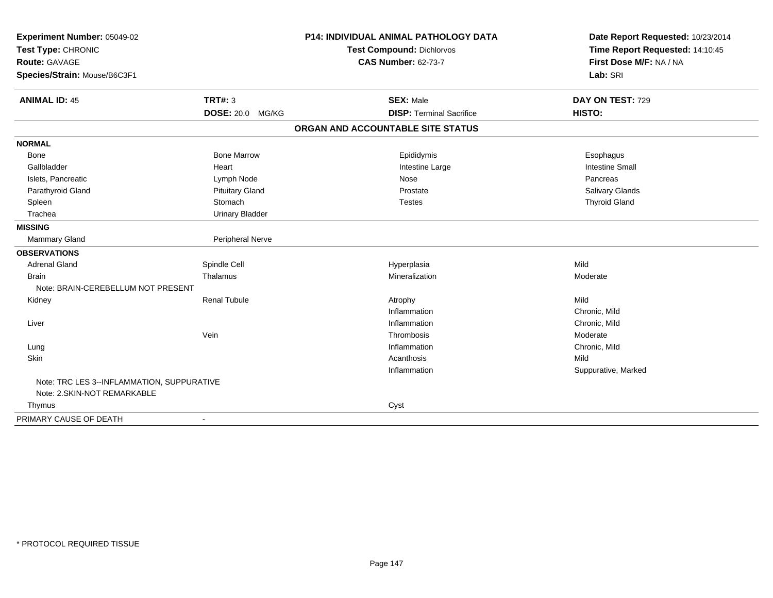| Experiment Number: 05049-02                |                          | <b>P14: INDIVIDUAL ANIMAL PATHOLOGY DATA</b> | Date Report Requested: 10/23/2014                          |
|--------------------------------------------|--------------------------|----------------------------------------------|------------------------------------------------------------|
| Test Type: CHRONIC                         |                          | <b>Test Compound: Dichlorvos</b>             | Time Report Requested: 14:10:45<br>First Dose M/F: NA / NA |
| <b>Route: GAVAGE</b>                       |                          | <b>CAS Number: 62-73-7</b>                   |                                                            |
| Species/Strain: Mouse/B6C3F1               |                          |                                              | Lab: SRI                                                   |
| <b>ANIMAL ID: 45</b>                       | <b>TRT#: 3</b>           | <b>SEX: Male</b>                             | DAY ON TEST: 729                                           |
|                                            | DOSE: 20.0 MG/KG         | <b>DISP: Terminal Sacrifice</b>              | HISTO:                                                     |
|                                            |                          | ORGAN AND ACCOUNTABLE SITE STATUS            |                                                            |
| <b>NORMAL</b>                              |                          |                                              |                                                            |
| Bone                                       | <b>Bone Marrow</b>       | Epididymis                                   | Esophagus                                                  |
| Gallbladder                                | Heart                    | Intestine Large                              | <b>Intestine Small</b>                                     |
| Islets, Pancreatic                         | Lymph Node               | Nose                                         | Pancreas                                                   |
| Parathyroid Gland                          | <b>Pituitary Gland</b>   | Prostate                                     | Salivary Glands                                            |
| Spleen                                     | Stomach                  | <b>Testes</b>                                | <b>Thyroid Gland</b>                                       |
| Trachea                                    | <b>Urinary Bladder</b>   |                                              |                                                            |
| <b>MISSING</b>                             |                          |                                              |                                                            |
| Mammary Gland                              | Peripheral Nerve         |                                              |                                                            |
| <b>OBSERVATIONS</b>                        |                          |                                              |                                                            |
| <b>Adrenal Gland</b>                       | Spindle Cell             | Hyperplasia                                  | Mild                                                       |
| <b>Brain</b>                               | Thalamus                 | Mineralization                               | Moderate                                                   |
| Note: BRAIN-CEREBELLUM NOT PRESENT         |                          |                                              |                                                            |
| Kidney                                     | Renal Tubule             | Atrophy                                      | Mild                                                       |
|                                            |                          | Inflammation                                 | Chronic, Mild                                              |
| Liver                                      |                          | Inflammation                                 | Chronic, Mild                                              |
|                                            | Vein                     | Thrombosis                                   | Moderate                                                   |
| Lung                                       |                          | Inflammation                                 | Chronic, Mild                                              |
| Skin                                       |                          | Acanthosis                                   | Mild                                                       |
|                                            |                          | Inflammation                                 | Suppurative, Marked                                        |
| Note: TRC LES 3--INFLAMMATION, SUPPURATIVE |                          |                                              |                                                            |
| Note: 2.SKIN-NOT REMARKABLE                |                          |                                              |                                                            |
| Thymus                                     |                          | Cyst                                         |                                                            |
| PRIMARY CAUSE OF DEATH                     | $\overline{\phantom{a}}$ |                                              |                                                            |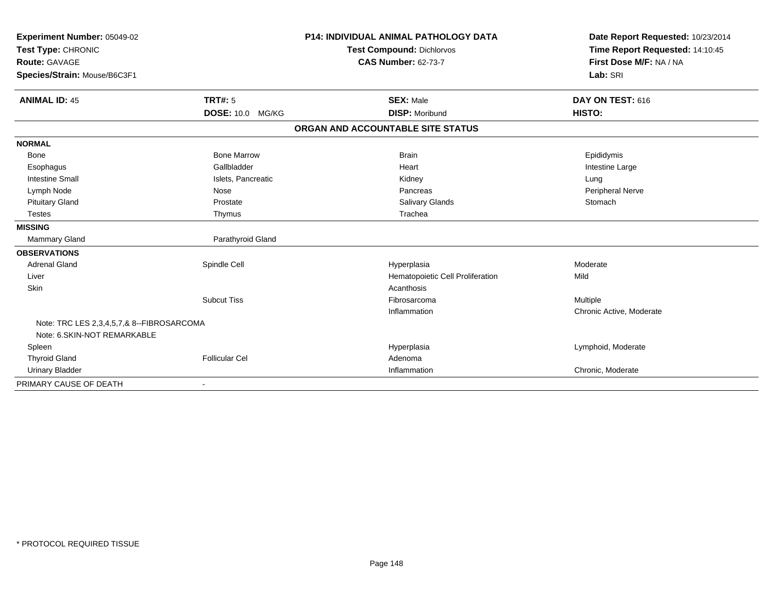| Experiment Number: 05049-02<br>Test Type: CHRONIC                        |                       | <b>P14: INDIVIDUAL ANIMAL PATHOLOGY DATA</b> | Date Report Requested: 10/23/2014 |  |
|--------------------------------------------------------------------------|-----------------------|----------------------------------------------|-----------------------------------|--|
|                                                                          |                       | <b>Test Compound: Dichlorvos</b>             | Time Report Requested: 14:10:45   |  |
| <b>Route: GAVAGE</b>                                                     |                       | <b>CAS Number: 62-73-7</b>                   | First Dose M/F: NA / NA           |  |
| Species/Strain: Mouse/B6C3F1                                             |                       |                                              | Lab: SRI                          |  |
|                                                                          |                       |                                              |                                   |  |
| <b>ANIMAL ID: 45</b>                                                     | TRT#: 5               | <b>SEX: Male</b>                             | DAY ON TEST: 616                  |  |
|                                                                          | DOSE: 10.0 MG/KG      | <b>DISP: Moribund</b>                        | HISTO:                            |  |
|                                                                          |                       | ORGAN AND ACCOUNTABLE SITE STATUS            |                                   |  |
| <b>NORMAL</b>                                                            |                       |                                              |                                   |  |
| <b>Bone</b>                                                              | <b>Bone Marrow</b>    | <b>Brain</b>                                 | Epididymis                        |  |
| Esophagus                                                                | Gallbladder           | Heart                                        | Intestine Large                   |  |
| <b>Intestine Small</b>                                                   | Islets, Pancreatic    | Kidney                                       | Lung                              |  |
| Lymph Node                                                               | Nose                  | Pancreas                                     | Peripheral Nerve                  |  |
| <b>Pituitary Gland</b>                                                   | Prostate              | Salivary Glands                              | Stomach                           |  |
| <b>Testes</b>                                                            | Thymus                | Trachea                                      |                                   |  |
| <b>MISSING</b>                                                           |                       |                                              |                                   |  |
| <b>Mammary Gland</b>                                                     | Parathyroid Gland     |                                              |                                   |  |
| <b>OBSERVATIONS</b>                                                      |                       |                                              |                                   |  |
| <b>Adrenal Gland</b>                                                     | Spindle Cell          | Hyperplasia                                  | Moderate                          |  |
| Liver                                                                    |                       | Hematopoietic Cell Proliferation             | Mild                              |  |
| Skin                                                                     |                       | Acanthosis                                   |                                   |  |
|                                                                          | <b>Subcut Tiss</b>    | Fibrosarcoma                                 | Multiple                          |  |
|                                                                          |                       | Inflammation                                 | Chronic Active, Moderate          |  |
| Note: TRC LES 2,3,4,5,7,& 8--FIBROSARCOMA<br>Note: 6.SKIN-NOT REMARKABLE |                       |                                              |                                   |  |
| Spleen                                                                   |                       | Hyperplasia                                  | Lymphoid, Moderate                |  |
| <b>Thyroid Gland</b>                                                     | <b>Follicular Cel</b> | Adenoma                                      |                                   |  |
| <b>Urinary Bladder</b>                                                   |                       | Inflammation                                 | Chronic, Moderate                 |  |
| PRIMARY CAUSE OF DEATH                                                   |                       |                                              |                                   |  |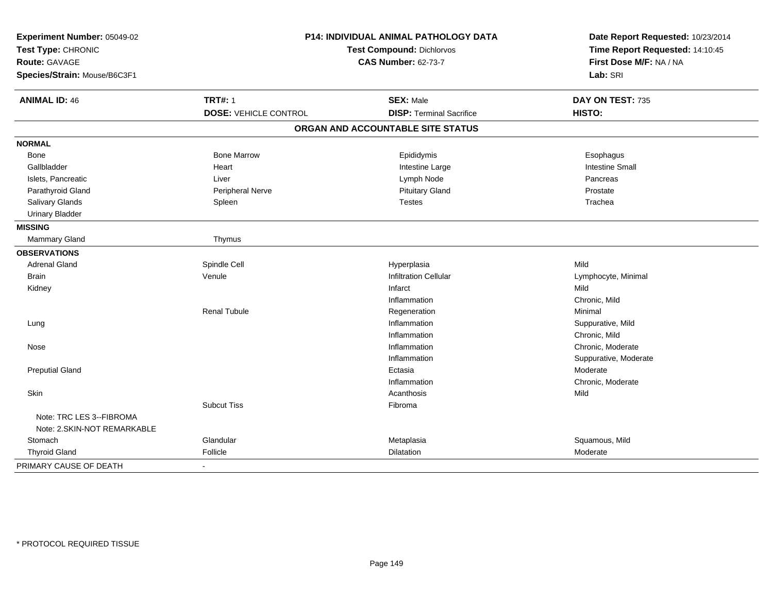| Experiment Number: 05049-02<br>Test Type: CHRONIC<br>Route: GAVAGE<br>Species/Strain: Mouse/B6C3F1 | P14: INDIVIDUAL ANIMAL PATHOLOGY DATA<br><b>Test Compound: Dichlorvos</b><br><b>CAS Number: 62-73-7</b> |                                   | Date Report Requested: 10/23/2014<br>Time Report Requested: 14:10:45<br>First Dose M/F: NA / NA<br>Lab: SRI |  |
|----------------------------------------------------------------------------------------------------|---------------------------------------------------------------------------------------------------------|-----------------------------------|-------------------------------------------------------------------------------------------------------------|--|
| <b>ANIMAL ID: 46</b>                                                                               | <b>TRT#: 1</b>                                                                                          | <b>SEX: Male</b>                  | DAY ON TEST: 735                                                                                            |  |
|                                                                                                    | <b>DOSE: VEHICLE CONTROL</b>                                                                            | <b>DISP: Terminal Sacrifice</b>   | HISTO:                                                                                                      |  |
|                                                                                                    |                                                                                                         | ORGAN AND ACCOUNTABLE SITE STATUS |                                                                                                             |  |
| <b>NORMAL</b>                                                                                      |                                                                                                         |                                   |                                                                                                             |  |
| Bone                                                                                               | <b>Bone Marrow</b>                                                                                      | Epididymis                        | Esophagus                                                                                                   |  |
| Gallbladder                                                                                        | Heart                                                                                                   | Intestine Large                   | <b>Intestine Small</b>                                                                                      |  |
| Islets, Pancreatic                                                                                 | Liver                                                                                                   | Lymph Node                        | Pancreas                                                                                                    |  |
| Parathyroid Gland                                                                                  | Peripheral Nerve                                                                                        | <b>Pituitary Gland</b>            | Prostate                                                                                                    |  |
| Salivary Glands                                                                                    | Spleen                                                                                                  | <b>Testes</b>                     | Trachea                                                                                                     |  |
| <b>Urinary Bladder</b>                                                                             |                                                                                                         |                                   |                                                                                                             |  |
| <b>MISSING</b>                                                                                     |                                                                                                         |                                   |                                                                                                             |  |
| Mammary Gland                                                                                      | Thymus                                                                                                  |                                   |                                                                                                             |  |
| <b>OBSERVATIONS</b>                                                                                |                                                                                                         |                                   |                                                                                                             |  |
| <b>Adrenal Gland</b>                                                                               | Spindle Cell                                                                                            | Hyperplasia                       | Mild                                                                                                        |  |
| Brain                                                                                              | Venule                                                                                                  | <b>Infiltration Cellular</b>      | Lymphocyte, Minimal                                                                                         |  |
| Kidney                                                                                             |                                                                                                         | Infarct                           | Mild                                                                                                        |  |
|                                                                                                    |                                                                                                         | Inflammation                      | Chronic, Mild                                                                                               |  |
|                                                                                                    | <b>Renal Tubule</b>                                                                                     | Regeneration                      | Minimal                                                                                                     |  |
| Lung                                                                                               |                                                                                                         | Inflammation                      | Suppurative, Mild                                                                                           |  |
|                                                                                                    |                                                                                                         | Inflammation                      | Chronic, Mild                                                                                               |  |
| Nose                                                                                               |                                                                                                         | Inflammation                      | Chronic, Moderate                                                                                           |  |
|                                                                                                    |                                                                                                         | Inflammation                      | Suppurative, Moderate                                                                                       |  |
| <b>Preputial Gland</b>                                                                             |                                                                                                         | Ectasia                           | Moderate                                                                                                    |  |
|                                                                                                    |                                                                                                         | Inflammation                      | Chronic, Moderate                                                                                           |  |
| Skin                                                                                               |                                                                                                         | Acanthosis                        | Mild                                                                                                        |  |
| Note: TRC LES 3--FIBROMA                                                                           | <b>Subcut Tiss</b>                                                                                      | Fibroma                           |                                                                                                             |  |
| Note: 2. SKIN-NOT REMARKABLE                                                                       |                                                                                                         |                                   |                                                                                                             |  |
| Stomach                                                                                            | Glandular                                                                                               | Metaplasia                        | Squamous, Mild                                                                                              |  |
| <b>Thyroid Gland</b>                                                                               | Follicle                                                                                                | Dilatation                        | Moderate                                                                                                    |  |
| PRIMARY CAUSE OF DEATH                                                                             | $\overline{\phantom{a}}$                                                                                |                                   |                                                                                                             |  |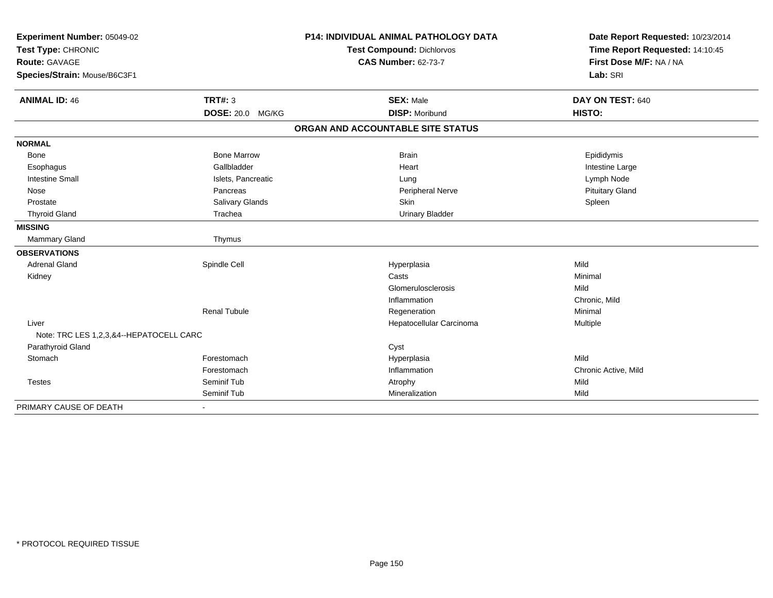| Experiment Number: 05049-02<br>Test Type: CHRONIC<br><b>Route: GAVAGE</b> |                         | <b>P14: INDIVIDUAL ANIMAL PATHOLOGY DATA</b> | Date Report Requested: 10/23/2014                          |
|---------------------------------------------------------------------------|-------------------------|----------------------------------------------|------------------------------------------------------------|
|                                                                           |                         | Test Compound: Dichlorvos                    | Time Report Requested: 14:10:45<br>First Dose M/F: NA / NA |
|                                                                           |                         | <b>CAS Number: 62-73-7</b>                   |                                                            |
| Species/Strain: Mouse/B6C3F1                                              |                         |                                              | Lab: SRI                                                   |
| <b>ANIMAL ID: 46</b>                                                      | TRT#: 3                 | <b>SEX: Male</b>                             | DAY ON TEST: 640                                           |
|                                                                           | <b>DOSE: 20.0 MG/KG</b> | <b>DISP: Moribund</b>                        | HISTO:                                                     |
|                                                                           |                         | ORGAN AND ACCOUNTABLE SITE STATUS            |                                                            |
| <b>NORMAL</b>                                                             |                         |                                              |                                                            |
| <b>Bone</b>                                                               | <b>Bone Marrow</b>      | <b>Brain</b>                                 | Epididymis                                                 |
| Esophagus                                                                 | Gallbladder             | Heart                                        | Intestine Large                                            |
| <b>Intestine Small</b>                                                    | Islets, Pancreatic      | Lung                                         | Lymph Node                                                 |
| Nose                                                                      | Pancreas                | Peripheral Nerve                             | <b>Pituitary Gland</b>                                     |
| Prostate                                                                  | Salivary Glands         | Skin                                         | Spleen                                                     |
| <b>Thyroid Gland</b>                                                      | Trachea                 | <b>Urinary Bladder</b>                       |                                                            |
| <b>MISSING</b>                                                            |                         |                                              |                                                            |
| Mammary Gland                                                             | Thymus                  |                                              |                                                            |
| <b>OBSERVATIONS</b>                                                       |                         |                                              |                                                            |
| <b>Adrenal Gland</b>                                                      | Spindle Cell            | Hyperplasia                                  | Mild                                                       |
| Kidney                                                                    |                         | Casts                                        | Minimal                                                    |
|                                                                           |                         | Glomerulosclerosis                           | Mild                                                       |
|                                                                           |                         | Inflammation                                 | Chronic, Mild                                              |
|                                                                           | <b>Renal Tubule</b>     | Regeneration                                 | Minimal                                                    |
| Liver                                                                     |                         | Hepatocellular Carcinoma                     | Multiple                                                   |
| Note: TRC LES 1,2,3,&4--HEPATOCELL CARC                                   |                         |                                              |                                                            |
| Parathyroid Gland                                                         |                         | Cyst                                         |                                                            |
| Stomach                                                                   | Forestomach             | Hyperplasia                                  | Mild                                                       |
|                                                                           | Forestomach             | Inflammation                                 | Chronic Active, Mild                                       |
| <b>Testes</b>                                                             | Seminif Tub             | Atrophy                                      | Mild                                                       |
|                                                                           | Seminif Tub             | Mineralization                               | Mild                                                       |
| PRIMARY CAUSE OF DEATH                                                    |                         |                                              |                                                            |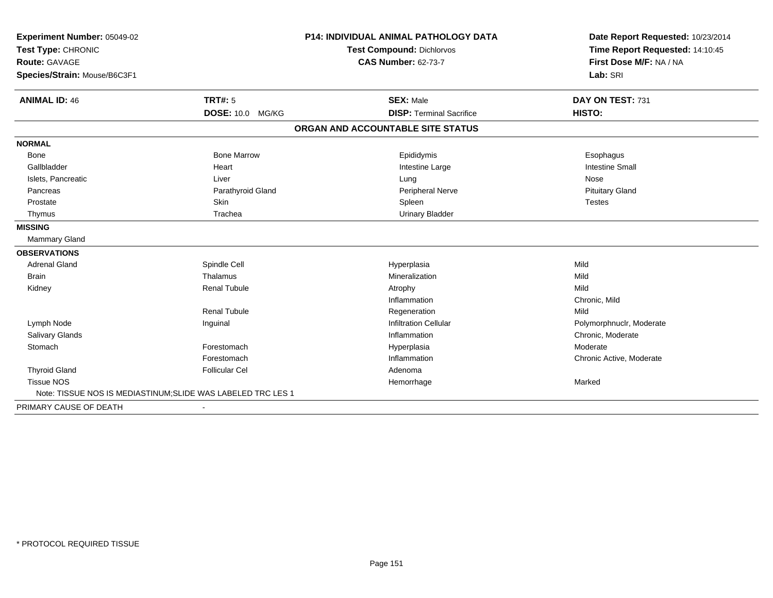| Experiment Number: 05049-02<br>Test Type: CHRONIC            |                       | P14: INDIVIDUAL ANIMAL PATHOLOGY DATA | Date Report Requested: 10/23/2014<br>Time Report Requested: 14:10:45 |
|--------------------------------------------------------------|-----------------------|---------------------------------------|----------------------------------------------------------------------|
|                                                              |                       | <b>Test Compound: Dichlorvos</b>      |                                                                      |
| <b>Route: GAVAGE</b>                                         |                       | <b>CAS Number: 62-73-7</b>            | First Dose M/F: NA / NA                                              |
| Species/Strain: Mouse/B6C3F1                                 |                       |                                       | Lab: SRI                                                             |
| <b>ANIMAL ID: 46</b>                                         | TRT#: 5               | <b>SEX: Male</b>                      | DAY ON TEST: 731                                                     |
|                                                              | DOSE: 10.0 MG/KG      | <b>DISP: Terminal Sacrifice</b>       | HISTO:                                                               |
|                                                              |                       | ORGAN AND ACCOUNTABLE SITE STATUS     |                                                                      |
| <b>NORMAL</b>                                                |                       |                                       |                                                                      |
| <b>Bone</b>                                                  | <b>Bone Marrow</b>    | Epididymis                            | Esophagus                                                            |
| Gallbladder                                                  | Heart                 | Intestine Large                       | <b>Intestine Small</b>                                               |
| Islets, Pancreatic                                           | Liver                 | Lung                                  | Nose                                                                 |
| Pancreas                                                     | Parathyroid Gland     | Peripheral Nerve                      | <b>Pituitary Gland</b>                                               |
| Prostate                                                     | Skin                  | Spleen                                | <b>Testes</b>                                                        |
| Thymus                                                       | Trachea               | <b>Urinary Bladder</b>                |                                                                      |
| <b>MISSING</b>                                               |                       |                                       |                                                                      |
| <b>Mammary Gland</b>                                         |                       |                                       |                                                                      |
| <b>OBSERVATIONS</b>                                          |                       |                                       |                                                                      |
| <b>Adrenal Gland</b>                                         | Spindle Cell          | Hyperplasia                           | Mild                                                                 |
| <b>Brain</b>                                                 | Thalamus              | Mineralization                        | Mild                                                                 |
| Kidney                                                       | <b>Renal Tubule</b>   | Atrophy                               | Mild                                                                 |
|                                                              |                       | Inflammation                          | Chronic, Mild                                                        |
|                                                              | <b>Renal Tubule</b>   | Regeneration                          | Mild                                                                 |
| Lymph Node                                                   | Inguinal              | <b>Infiltration Cellular</b>          | Polymorphnuclr, Moderate                                             |
| <b>Salivary Glands</b>                                       |                       | Inflammation                          | Chronic, Moderate                                                    |
| Stomach                                                      | Forestomach           | Hyperplasia                           | Moderate                                                             |
|                                                              | Forestomach           | Inflammation                          | Chronic Active, Moderate                                             |
| <b>Thyroid Gland</b>                                         | <b>Follicular Cel</b> | Adenoma                               |                                                                      |
| <b>Tissue NOS</b>                                            |                       | Hemorrhage                            | Marked                                                               |
| Note: TISSUE NOS IS MEDIASTINUM; SLIDE WAS LABELED TRC LES 1 |                       |                                       |                                                                      |
| PRIMARY CAUSE OF DEATH                                       |                       |                                       |                                                                      |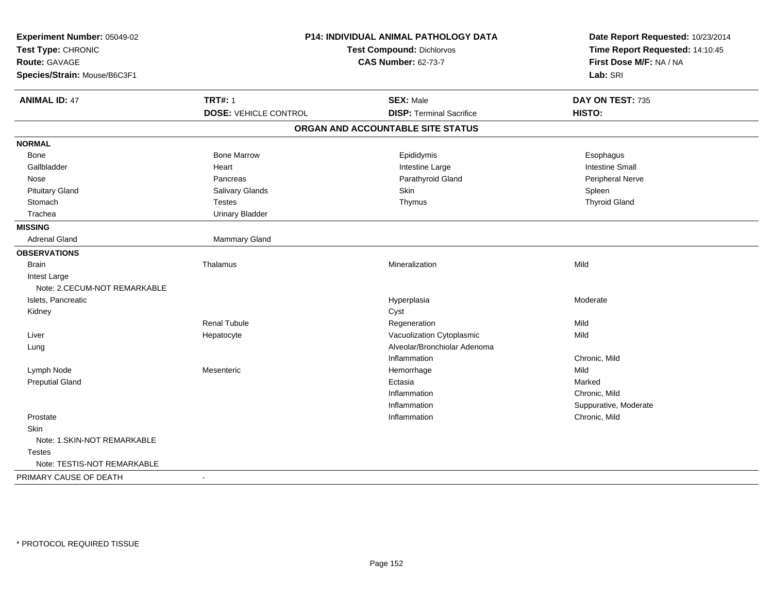| Experiment Number: 05049-02<br>Test Type: CHRONIC<br><b>Route: GAVAGE</b><br>Species/Strain: Mouse/B6C3F1 | P14: INDIVIDUAL ANIMAL PATHOLOGY DATA<br>Test Compound: Dichlorvos<br><b>CAS Number: 62-73-7</b> |                                   | Date Report Requested: 10/23/2014<br>Time Report Requested: 14:10:45<br>First Dose M/F: NA / NA<br>Lab: SRI |
|-----------------------------------------------------------------------------------------------------------|--------------------------------------------------------------------------------------------------|-----------------------------------|-------------------------------------------------------------------------------------------------------------|
| <b>ANIMAL ID: 47</b>                                                                                      | <b>TRT#: 1</b>                                                                                   | <b>SEX: Male</b>                  | DAY ON TEST: 735                                                                                            |
|                                                                                                           | <b>DOSE: VEHICLE CONTROL</b>                                                                     | <b>DISP: Terminal Sacrifice</b>   | HISTO:                                                                                                      |
|                                                                                                           |                                                                                                  | ORGAN AND ACCOUNTABLE SITE STATUS |                                                                                                             |
| <b>NORMAL</b>                                                                                             |                                                                                                  |                                   |                                                                                                             |
| <b>Bone</b>                                                                                               | <b>Bone Marrow</b>                                                                               | Epididymis                        | Esophagus                                                                                                   |
| Gallbladder                                                                                               | Heart                                                                                            | Intestine Large                   | <b>Intestine Small</b>                                                                                      |
| Nose                                                                                                      | Pancreas                                                                                         | Parathyroid Gland                 | Peripheral Nerve                                                                                            |
| <b>Pituitary Gland</b>                                                                                    | Salivary Glands                                                                                  | Skin                              | Spleen                                                                                                      |
| Stomach                                                                                                   | <b>Testes</b>                                                                                    | Thymus                            | <b>Thyroid Gland</b>                                                                                        |
| Trachea                                                                                                   | <b>Urinary Bladder</b>                                                                           |                                   |                                                                                                             |
| <b>MISSING</b>                                                                                            |                                                                                                  |                                   |                                                                                                             |
| <b>Adrenal Gland</b>                                                                                      | Mammary Gland                                                                                    |                                   |                                                                                                             |
| <b>OBSERVATIONS</b>                                                                                       |                                                                                                  |                                   |                                                                                                             |
| <b>Brain</b>                                                                                              | Thalamus                                                                                         | Mineralization                    | Mild                                                                                                        |
| Intest Large                                                                                              |                                                                                                  |                                   |                                                                                                             |
| Note: 2.CECUM-NOT REMARKABLE                                                                              |                                                                                                  |                                   |                                                                                                             |
| Islets, Pancreatic                                                                                        |                                                                                                  | Hyperplasia                       | Moderate                                                                                                    |
| Kidney                                                                                                    |                                                                                                  | Cyst                              |                                                                                                             |
|                                                                                                           | <b>Renal Tubule</b>                                                                              | Regeneration                      | Mild                                                                                                        |
| Liver                                                                                                     | Hepatocyte                                                                                       | Vacuolization Cytoplasmic         | Mild                                                                                                        |
| Lung                                                                                                      |                                                                                                  | Alveolar/Bronchiolar Adenoma      |                                                                                                             |
|                                                                                                           |                                                                                                  | Inflammation                      | Chronic, Mild                                                                                               |
| Lymph Node                                                                                                | Mesenteric                                                                                       | Hemorrhage                        | Mild                                                                                                        |
| <b>Preputial Gland</b>                                                                                    |                                                                                                  | Ectasia                           | Marked                                                                                                      |
|                                                                                                           |                                                                                                  | Inflammation                      | Chronic, Mild                                                                                               |
|                                                                                                           |                                                                                                  | Inflammation                      | Suppurative, Moderate                                                                                       |
| Prostate                                                                                                  |                                                                                                  | Inflammation                      | Chronic, Mild                                                                                               |
| Skin                                                                                                      |                                                                                                  |                                   |                                                                                                             |
| Note: 1.SKIN-NOT REMARKABLE                                                                               |                                                                                                  |                                   |                                                                                                             |
| <b>Testes</b>                                                                                             |                                                                                                  |                                   |                                                                                                             |
| Note: TESTIS-NOT REMARKABLE                                                                               |                                                                                                  |                                   |                                                                                                             |
| PRIMARY CAUSE OF DEATH                                                                                    | $\blacksquare$                                                                                   |                                   |                                                                                                             |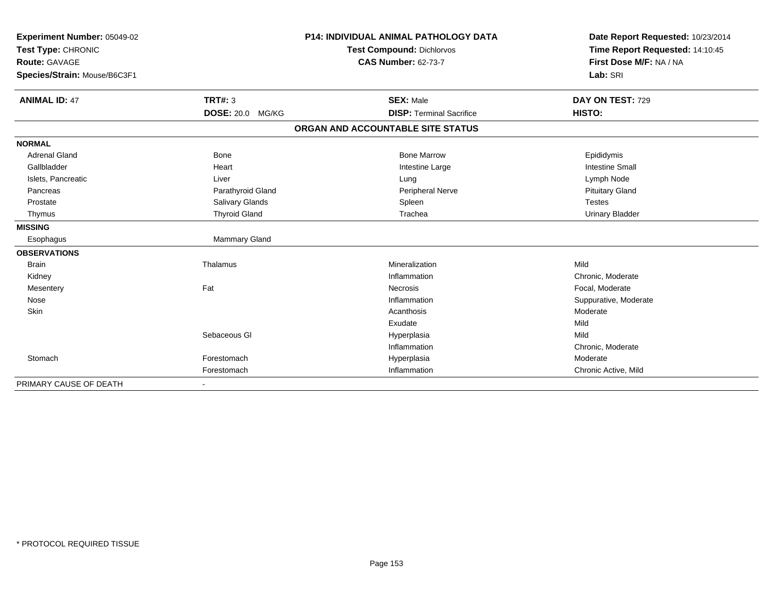| Experiment Number: 05049-02<br>Test Type: CHRONIC |                      | <b>P14: INDIVIDUAL ANIMAL PATHOLOGY DATA</b> | Date Report Requested: 10/23/2014 |  |
|---------------------------------------------------|----------------------|----------------------------------------------|-----------------------------------|--|
|                                                   |                      | <b>Test Compound: Dichlorvos</b>             | Time Report Requested: 14:10:45   |  |
| <b>Route: GAVAGE</b>                              |                      | <b>CAS Number: 62-73-7</b>                   | First Dose M/F: NA / NA           |  |
| Species/Strain: Mouse/B6C3F1                      |                      |                                              | Lab: SRI                          |  |
| <b>ANIMAL ID: 47</b>                              | <b>TRT#: 3</b>       | <b>SEX: Male</b>                             | DAY ON TEST: 729                  |  |
|                                                   | DOSE: 20.0 MG/KG     | <b>DISP: Terminal Sacrifice</b>              | HISTO:                            |  |
|                                                   |                      | ORGAN AND ACCOUNTABLE SITE STATUS            |                                   |  |
| <b>NORMAL</b>                                     |                      |                                              |                                   |  |
| <b>Adrenal Gland</b>                              | Bone                 | <b>Bone Marrow</b>                           | Epididymis                        |  |
| Gallbladder                                       | Heart                | Intestine Large                              | <b>Intestine Small</b>            |  |
| Islets, Pancreatic                                | Liver                | Lung                                         | Lymph Node                        |  |
| Pancreas                                          | Parathyroid Gland    | Peripheral Nerve                             | <b>Pituitary Gland</b>            |  |
| Prostate                                          | Salivary Glands      | Spleen                                       | <b>Testes</b>                     |  |
| Thymus                                            | <b>Thyroid Gland</b> | Trachea                                      | <b>Urinary Bladder</b>            |  |
| <b>MISSING</b>                                    |                      |                                              |                                   |  |
| Esophagus                                         | Mammary Gland        |                                              |                                   |  |
| <b>OBSERVATIONS</b>                               |                      |                                              |                                   |  |
| <b>Brain</b>                                      | Thalamus             | Mineralization                               | Mild                              |  |
| Kidney                                            |                      | Inflammation                                 | Chronic, Moderate                 |  |
| Mesentery                                         | Fat                  | Necrosis                                     | Focal, Moderate                   |  |
| Nose                                              |                      | Inflammation                                 | Suppurative, Moderate             |  |
| Skin                                              |                      | Acanthosis                                   | Moderate                          |  |
|                                                   |                      | Exudate                                      | Mild                              |  |
|                                                   | Sebaceous GI         | Hyperplasia                                  | Mild                              |  |
|                                                   |                      | Inflammation                                 | Chronic, Moderate                 |  |
| Stomach                                           | Forestomach          | Hyperplasia                                  | Moderate                          |  |
|                                                   | Forestomach          | Inflammation                                 | Chronic Active, Mild              |  |
| PRIMARY CAUSE OF DEATH                            |                      |                                              |                                   |  |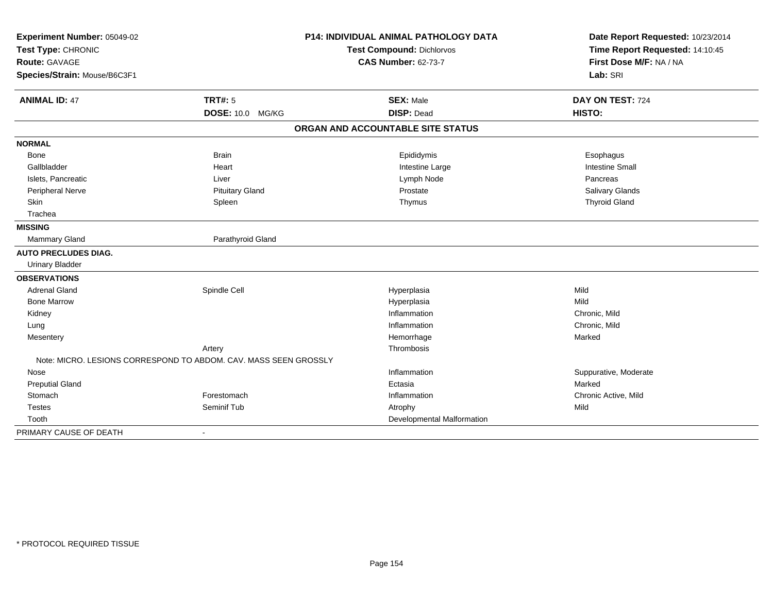| Experiment Number: 05049-02<br>Test Type: CHRONIC                |                        | P14: INDIVIDUAL ANIMAL PATHOLOGY DATA | Date Report Requested: 10/23/2014 |
|------------------------------------------------------------------|------------------------|---------------------------------------|-----------------------------------|
|                                                                  |                        | Test Compound: Dichlorvos             | Time Report Requested: 14:10:45   |
| <b>Route: GAVAGE</b>                                             |                        | <b>CAS Number: 62-73-7</b>            | First Dose M/F: NA / NA           |
| Species/Strain: Mouse/B6C3F1                                     |                        |                                       | Lab: SRI                          |
| <b>ANIMAL ID: 47</b>                                             | TRT#: 5                | <b>SEX: Male</b>                      | DAY ON TEST: 724                  |
|                                                                  | DOSE: 10.0 MG/KG       | <b>DISP: Dead</b>                     | HISTO:                            |
|                                                                  |                        | ORGAN AND ACCOUNTABLE SITE STATUS     |                                   |
| <b>NORMAL</b>                                                    |                        |                                       |                                   |
| Bone                                                             | <b>Brain</b>           | Epididymis                            | Esophagus                         |
| Gallbladder                                                      | Heart                  | Intestine Large                       | <b>Intestine Small</b>            |
| Islets, Pancreatic                                               | Liver                  | Lymph Node                            | Pancreas                          |
| Peripheral Nerve                                                 | <b>Pituitary Gland</b> | Prostate                              | Salivary Glands                   |
| Skin                                                             | Spleen                 | Thymus                                | <b>Thyroid Gland</b>              |
| Trachea                                                          |                        |                                       |                                   |
| <b>MISSING</b>                                                   |                        |                                       |                                   |
| <b>Mammary Gland</b>                                             | Parathyroid Gland      |                                       |                                   |
| <b>AUTO PRECLUDES DIAG.</b>                                      |                        |                                       |                                   |
| <b>Urinary Bladder</b>                                           |                        |                                       |                                   |
| <b>OBSERVATIONS</b>                                              |                        |                                       |                                   |
| <b>Adrenal Gland</b>                                             | Spindle Cell           | Hyperplasia                           | Mild                              |
| <b>Bone Marrow</b>                                               |                        | Hyperplasia                           | Mild                              |
| Kidney                                                           |                        | Inflammation                          | Chronic, Mild                     |
| Lung                                                             |                        | Inflammation                          | Chronic, Mild                     |
| Mesentery                                                        |                        | Hemorrhage                            | Marked                            |
|                                                                  | Artery                 | Thrombosis                            |                                   |
| Note: MICRO, LESIONS CORRESPOND TO ABDOM, CAV, MASS SEEN GROSSLY |                        |                                       |                                   |
| Nose                                                             |                        | Inflammation                          | Suppurative, Moderate             |
| <b>Preputial Gland</b>                                           |                        | Ectasia                               | Marked                            |
| Stomach                                                          | Forestomach            | Inflammation                          | Chronic Active, Mild              |
| <b>Testes</b>                                                    | Seminif Tub            | Atrophy                               | Mild                              |
| Tooth                                                            |                        | Developmental Malformation            |                                   |
| PRIMARY CAUSE OF DEATH                                           | $\blacksquare$         |                                       |                                   |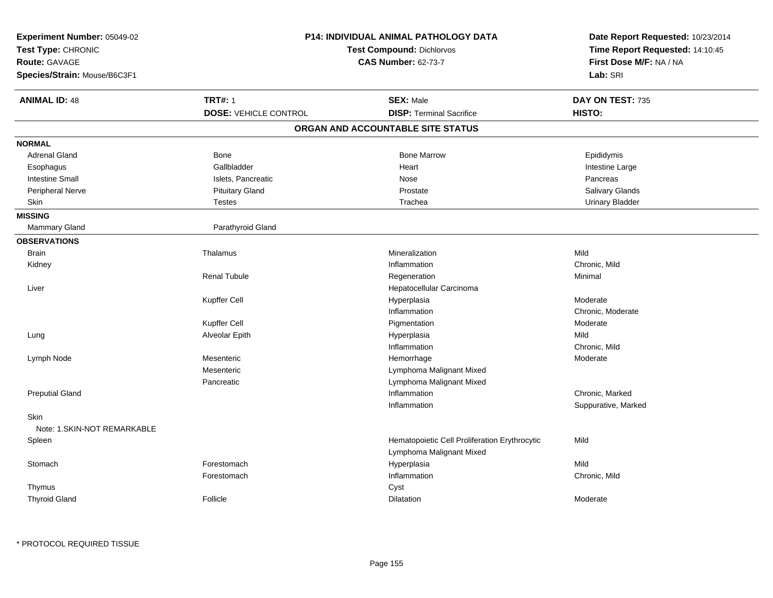| Experiment Number: 05049-02<br>Test Type: CHRONIC<br>Route: GAVAGE<br>Species/Strain: Mouse/B6C3F1 |                                                | <b>P14: INDIVIDUAL ANIMAL PATHOLOGY DATA</b><br><b>Test Compound: Dichlorvos</b><br><b>CAS Number: 62-73-7</b> | Date Report Requested: 10/23/2014<br>Time Report Requested: 14:10:45<br>First Dose M/F: NA / NA<br>Lab: SRI |
|----------------------------------------------------------------------------------------------------|------------------------------------------------|----------------------------------------------------------------------------------------------------------------|-------------------------------------------------------------------------------------------------------------|
| <b>ANIMAL ID: 48</b>                                                                               | <b>TRT#: 1</b><br><b>DOSE: VEHICLE CONTROL</b> | <b>SEX: Male</b><br><b>DISP: Terminal Sacrifice</b>                                                            | DAY ON TEST: 735<br>HISTO:                                                                                  |
|                                                                                                    |                                                | ORGAN AND ACCOUNTABLE SITE STATUS                                                                              |                                                                                                             |
| <b>NORMAL</b>                                                                                      |                                                |                                                                                                                |                                                                                                             |
| <b>Adrenal Gland</b>                                                                               | Bone                                           | <b>Bone Marrow</b>                                                                                             | Epididymis                                                                                                  |
| Esophagus                                                                                          | Gallbladder                                    | Heart                                                                                                          | Intestine Large                                                                                             |
| <b>Intestine Small</b>                                                                             | Islets, Pancreatic                             | Nose                                                                                                           | Pancreas                                                                                                    |
| <b>Peripheral Nerve</b>                                                                            | <b>Pituitary Gland</b>                         | Prostate                                                                                                       | Salivary Glands                                                                                             |
| Skin                                                                                               | <b>Testes</b>                                  | Trachea                                                                                                        | <b>Urinary Bladder</b>                                                                                      |
| <b>MISSING</b>                                                                                     |                                                |                                                                                                                |                                                                                                             |
| <b>Mammary Gland</b>                                                                               | Parathyroid Gland                              |                                                                                                                |                                                                                                             |
| <b>OBSERVATIONS</b>                                                                                |                                                |                                                                                                                |                                                                                                             |
| <b>Brain</b>                                                                                       | Thalamus                                       | Mineralization                                                                                                 | Mild                                                                                                        |
| Kidney                                                                                             |                                                | Inflammation                                                                                                   | Chronic, Mild                                                                                               |
|                                                                                                    | <b>Renal Tubule</b>                            | Regeneration                                                                                                   | Minimal                                                                                                     |
| Liver                                                                                              |                                                | Hepatocellular Carcinoma                                                                                       |                                                                                                             |
|                                                                                                    | Kupffer Cell                                   | Hyperplasia                                                                                                    | Moderate                                                                                                    |
|                                                                                                    |                                                | Inflammation                                                                                                   | Chronic, Moderate                                                                                           |
|                                                                                                    | Kupffer Cell                                   | Pigmentation                                                                                                   | Moderate                                                                                                    |
| Lung                                                                                               | Alveolar Epith                                 | Hyperplasia                                                                                                    | Mild                                                                                                        |
|                                                                                                    |                                                | Inflammation                                                                                                   | Chronic, Mild                                                                                               |
| Lymph Node                                                                                         | Mesenteric                                     | Hemorrhage                                                                                                     | Moderate                                                                                                    |
|                                                                                                    | Mesenteric                                     | Lymphoma Malignant Mixed                                                                                       |                                                                                                             |
|                                                                                                    | Pancreatic                                     | Lymphoma Malignant Mixed                                                                                       |                                                                                                             |
| <b>Preputial Gland</b>                                                                             |                                                | Inflammation                                                                                                   | Chronic, Marked                                                                                             |
|                                                                                                    |                                                | Inflammation                                                                                                   | Suppurative, Marked                                                                                         |
| <b>Skin</b>                                                                                        |                                                |                                                                                                                |                                                                                                             |
| Note: 1.SKIN-NOT REMARKABLE                                                                        |                                                |                                                                                                                |                                                                                                             |
| Spleen                                                                                             |                                                | Hematopoietic Cell Proliferation Erythrocytic<br>Lymphoma Malignant Mixed                                      | Mild                                                                                                        |
| Stomach                                                                                            | Forestomach                                    | Hyperplasia                                                                                                    | Mild                                                                                                        |
|                                                                                                    | Forestomach                                    | Inflammation                                                                                                   | Chronic, Mild                                                                                               |
| Thymus                                                                                             |                                                | Cyst                                                                                                           |                                                                                                             |
| <b>Thyroid Gland</b>                                                                               | Follicle                                       | <b>Dilatation</b>                                                                                              | Moderate                                                                                                    |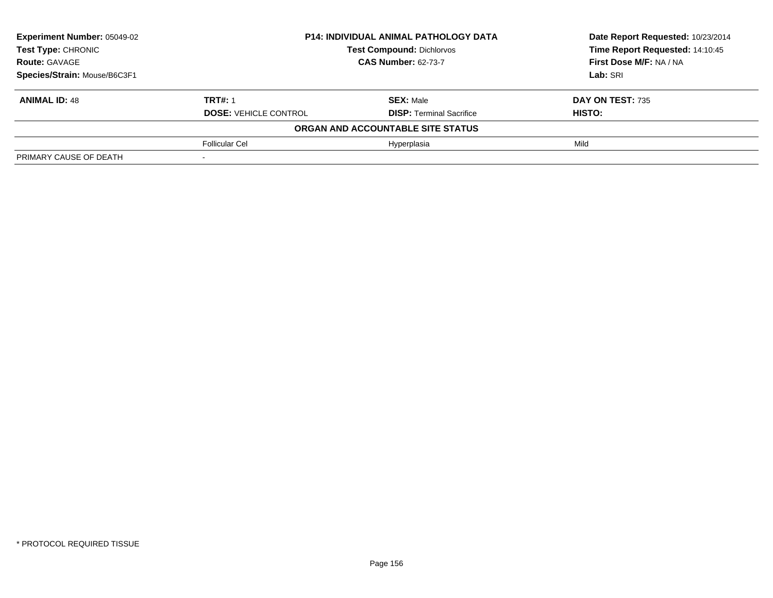| <b>Experiment Number: 05049-02</b> | <b>P14: INDIVIDUAL ANIMAL PATHOLOGY DATA</b><br><b>Test Compound: Dichlorvos</b><br><b>CAS Number: 62-73-7</b> |                                   | Date Report Requested: 10/23/2014 |
|------------------------------------|----------------------------------------------------------------------------------------------------------------|-----------------------------------|-----------------------------------|
| Test Type: CHRONIC                 |                                                                                                                |                                   | Time Report Requested: 14:10:45   |
| <b>Route: GAVAGE</b>               |                                                                                                                |                                   | First Dose M/F: NA / NA           |
| Species/Strain: Mouse/B6C3F1       |                                                                                                                | Lab: SRI                          |                                   |
| <b>ANIMAL ID: 48</b>               | <b>TRT#: 1</b>                                                                                                 | <b>SEX: Male</b>                  | DAY ON TEST: 735                  |
|                                    | <b>DOSE: VEHICLE CONTROL</b>                                                                                   | <b>DISP:</b> Terminal Sacrifice   | <b>HISTO:</b>                     |
|                                    |                                                                                                                | ORGAN AND ACCOUNTABLE SITE STATUS |                                   |
|                                    | <b>Follicular Cel</b>                                                                                          | Hyperplasia                       | Mild                              |
| PRIMARY CAUSE OF DEATH             |                                                                                                                |                                   |                                   |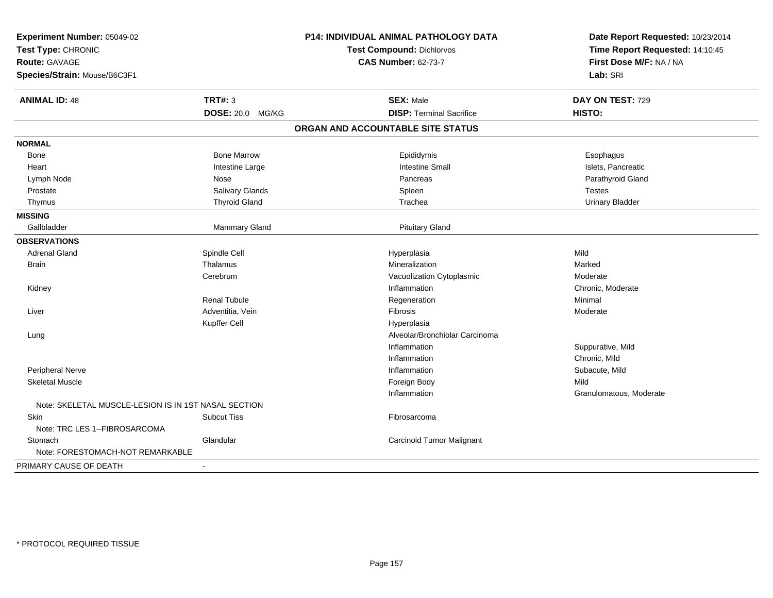| Experiment Number: 05049-02<br>Test Type: CHRONIC<br><b>Route: GAVAGE</b><br>Species/Strain: Mouse/B6C3F1 |                         | <b>P14: INDIVIDUAL ANIMAL PATHOLOGY DATA</b><br>Test Compound: Dichlorvos<br><b>CAS Number: 62-73-7</b> | Date Report Requested: 10/23/2014<br>Time Report Requested: 14:10:45<br>First Dose M/F: NA / NA<br>Lab: SRI |
|-----------------------------------------------------------------------------------------------------------|-------------------------|---------------------------------------------------------------------------------------------------------|-------------------------------------------------------------------------------------------------------------|
| <b>ANIMAL ID: 48</b>                                                                                      | <b>TRT#: 3</b>          | <b>SEX: Male</b>                                                                                        | DAY ON TEST: 729                                                                                            |
|                                                                                                           | <b>DOSE: 20.0 MG/KG</b> | <b>DISP: Terminal Sacrifice</b>                                                                         | HISTO:                                                                                                      |
|                                                                                                           |                         | ORGAN AND ACCOUNTABLE SITE STATUS                                                                       |                                                                                                             |
| <b>NORMAL</b>                                                                                             |                         |                                                                                                         |                                                                                                             |
| Bone                                                                                                      | <b>Bone Marrow</b>      | Epididymis                                                                                              | Esophagus                                                                                                   |
| Heart                                                                                                     | Intestine Large         | <b>Intestine Small</b>                                                                                  | Islets, Pancreatic                                                                                          |
| Lymph Node                                                                                                | Nose                    | Pancreas                                                                                                | Parathyroid Gland                                                                                           |
| Prostate                                                                                                  | Salivary Glands         | Spleen                                                                                                  | <b>Testes</b>                                                                                               |
| Thymus                                                                                                    | <b>Thyroid Gland</b>    | Trachea                                                                                                 | <b>Urinary Bladder</b>                                                                                      |
| <b>MISSING</b>                                                                                            |                         |                                                                                                         |                                                                                                             |
| Gallbladder                                                                                               | Mammary Gland           | <b>Pituitary Gland</b>                                                                                  |                                                                                                             |
| <b>OBSERVATIONS</b>                                                                                       |                         |                                                                                                         |                                                                                                             |
| <b>Adrenal Gland</b>                                                                                      | Spindle Cell            | Hyperplasia                                                                                             | Mild                                                                                                        |
| <b>Brain</b>                                                                                              | Thalamus                | Mineralization                                                                                          | Marked                                                                                                      |
|                                                                                                           | Cerebrum                | Vacuolization Cytoplasmic                                                                               | Moderate                                                                                                    |
| Kidney                                                                                                    |                         | Inflammation                                                                                            | Chronic, Moderate                                                                                           |
|                                                                                                           | <b>Renal Tubule</b>     | Regeneration                                                                                            | Minimal                                                                                                     |
| Liver                                                                                                     | Adventitia, Vein        | Fibrosis                                                                                                | Moderate                                                                                                    |
|                                                                                                           | Kupffer Cell            | Hyperplasia                                                                                             |                                                                                                             |
| Lung                                                                                                      |                         | Alveolar/Bronchiolar Carcinoma                                                                          |                                                                                                             |
|                                                                                                           |                         | Inflammation                                                                                            | Suppurative, Mild                                                                                           |
|                                                                                                           |                         | Inflammation                                                                                            | Chronic, Mild                                                                                               |
| Peripheral Nerve                                                                                          |                         | Inflammation                                                                                            | Subacute, Mild                                                                                              |
| <b>Skeletal Muscle</b>                                                                                    |                         | Foreign Body                                                                                            | Mild                                                                                                        |
|                                                                                                           |                         | Inflammation                                                                                            | Granulomatous, Moderate                                                                                     |
| Note: SKELETAL MUSCLE-LESION IS IN 1ST NASAL SECTION                                                      |                         |                                                                                                         |                                                                                                             |
| Skin                                                                                                      | Subcut Tiss             | Fibrosarcoma                                                                                            |                                                                                                             |
| Note: TRC LES 1--FIBROSARCOMA                                                                             |                         |                                                                                                         |                                                                                                             |
| Stomach                                                                                                   | Glandular               | Carcinoid Tumor Malignant                                                                               |                                                                                                             |
| Note: FORESTOMACH-NOT REMARKABLE                                                                          |                         |                                                                                                         |                                                                                                             |
| PRIMARY CAUSE OF DEATH                                                                                    |                         |                                                                                                         |                                                                                                             |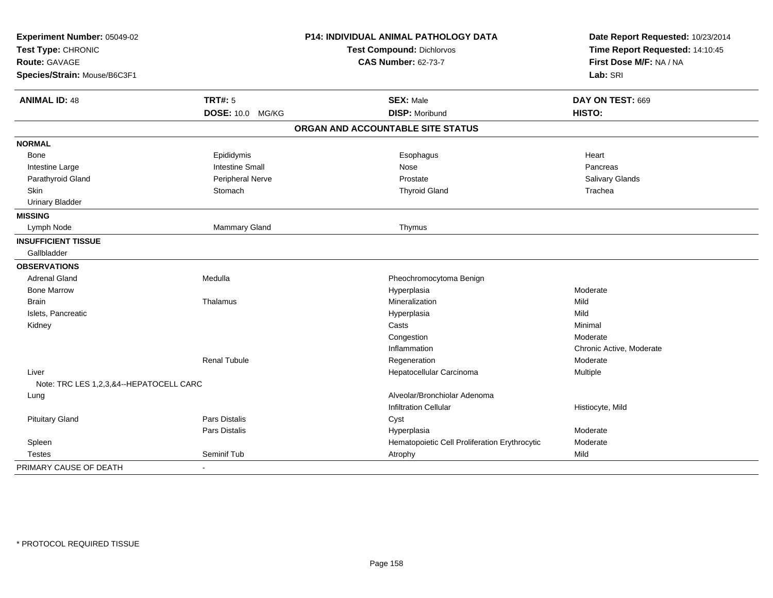| Experiment Number: 05049-02<br>Test Type: CHRONIC<br><b>Route: GAVAGE</b> |                         | P14: INDIVIDUAL ANIMAL PATHOLOGY DATA         | Date Report Requested: 10/23/2014<br>Time Report Requested: 14:10:45<br>First Dose M/F: NA / NA |
|---------------------------------------------------------------------------|-------------------------|-----------------------------------------------|-------------------------------------------------------------------------------------------------|
|                                                                           |                         | Test Compound: Dichlorvos                     |                                                                                                 |
|                                                                           |                         | <b>CAS Number: 62-73-7</b>                    |                                                                                                 |
| Species/Strain: Mouse/B6C3F1                                              |                         |                                               | Lab: SRI                                                                                        |
| <b>ANIMAL ID: 48</b>                                                      | <b>TRT#: 5</b>          | <b>SEX: Male</b>                              | DAY ON TEST: 669                                                                                |
|                                                                           | DOSE: 10.0 MG/KG        | <b>DISP: Moribund</b>                         | HISTO:                                                                                          |
|                                                                           |                         | ORGAN AND ACCOUNTABLE SITE STATUS             |                                                                                                 |
| <b>NORMAL</b>                                                             |                         |                                               |                                                                                                 |
| Bone                                                                      | Epididymis              | Esophagus                                     | Heart                                                                                           |
| Intestine Large                                                           | <b>Intestine Small</b>  | Nose                                          | Pancreas                                                                                        |
| Parathyroid Gland                                                         | <b>Peripheral Nerve</b> | Prostate                                      | Salivary Glands                                                                                 |
| <b>Skin</b>                                                               | Stomach                 | <b>Thyroid Gland</b>                          | Trachea                                                                                         |
| <b>Urinary Bladder</b>                                                    |                         |                                               |                                                                                                 |
| <b>MISSING</b>                                                            |                         |                                               |                                                                                                 |
| Lymph Node                                                                | <b>Mammary Gland</b>    | Thymus                                        |                                                                                                 |
| <b>INSUFFICIENT TISSUE</b>                                                |                         |                                               |                                                                                                 |
| Gallbladder                                                               |                         |                                               |                                                                                                 |
| <b>OBSERVATIONS</b>                                                       |                         |                                               |                                                                                                 |
| <b>Adrenal Gland</b>                                                      | Medulla                 | Pheochromocytoma Benign                       |                                                                                                 |
| <b>Bone Marrow</b>                                                        |                         | Hyperplasia                                   | Moderate                                                                                        |
| <b>Brain</b>                                                              | Thalamus                | Mineralization                                | Mild                                                                                            |
| Islets, Pancreatic                                                        |                         | Hyperplasia                                   | Mild                                                                                            |
| Kidney                                                                    |                         | Casts                                         | Minimal                                                                                         |
|                                                                           |                         | Congestion                                    | Moderate                                                                                        |
|                                                                           |                         | Inflammation                                  | Chronic Active, Moderate                                                                        |
|                                                                           | <b>Renal Tubule</b>     | Regeneration                                  | Moderate                                                                                        |
| Liver                                                                     |                         | Hepatocellular Carcinoma                      | Multiple                                                                                        |
| Note: TRC LES 1,2,3,&4--HEPATOCELL CARC                                   |                         |                                               |                                                                                                 |
| Lung                                                                      |                         | Alveolar/Bronchiolar Adenoma                  |                                                                                                 |
|                                                                           |                         | <b>Infiltration Cellular</b>                  | Histiocyte, Mild                                                                                |
| <b>Pituitary Gland</b>                                                    | Pars Distalis           | Cyst                                          |                                                                                                 |
|                                                                           | Pars Distalis           | Hyperplasia                                   | Moderate                                                                                        |
| Spleen                                                                    |                         | Hematopoietic Cell Proliferation Erythrocytic | Moderate                                                                                        |
| <b>Testes</b>                                                             | Seminif Tub             | Atrophy                                       | Mild                                                                                            |
| PRIMARY CAUSE OF DEATH                                                    | $\blacksquare$          |                                               |                                                                                                 |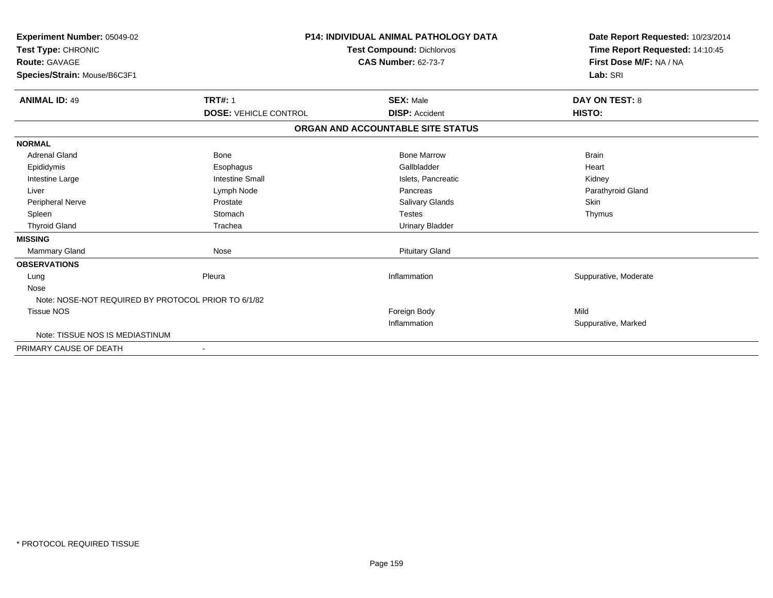| Experiment Number: 05049-02<br>Test Type: CHRONIC<br><b>Route: GAVAGE</b><br>Species/Strain: Mouse/B6C3F1 | <b>P14: INDIVIDUAL ANIMAL PATHOLOGY DATA</b><br><b>Test Compound: Dichlorvos</b><br><b>CAS Number: 62-73-7</b> |                                   | Date Report Requested: 10/23/2014<br>Time Report Requested: 14:10:45<br>First Dose M/F: NA / NA<br>Lab: SRI |
|-----------------------------------------------------------------------------------------------------------|----------------------------------------------------------------------------------------------------------------|-----------------------------------|-------------------------------------------------------------------------------------------------------------|
| <b>ANIMAL ID: 49</b>                                                                                      | <b>TRT#: 1</b>                                                                                                 | <b>SEX: Male</b>                  | <b>DAY ON TEST: 8</b>                                                                                       |
|                                                                                                           | <b>DOSE: VEHICLE CONTROL</b>                                                                                   | <b>DISP: Accident</b>             | HISTO:                                                                                                      |
|                                                                                                           |                                                                                                                | ORGAN AND ACCOUNTABLE SITE STATUS |                                                                                                             |
| <b>NORMAL</b>                                                                                             |                                                                                                                |                                   |                                                                                                             |
| <b>Adrenal Gland</b>                                                                                      | Bone                                                                                                           | <b>Bone Marrow</b>                | <b>Brain</b>                                                                                                |
| Epididymis                                                                                                | Esophagus                                                                                                      | Gallbladder                       | Heart                                                                                                       |
| Intestine Large                                                                                           | <b>Intestine Small</b>                                                                                         | Islets, Pancreatic                | Kidney                                                                                                      |
| Liver                                                                                                     | Lymph Node                                                                                                     | Pancreas                          | Parathyroid Gland                                                                                           |
| <b>Peripheral Nerve</b>                                                                                   | Prostate                                                                                                       | <b>Salivary Glands</b>            | Skin                                                                                                        |
| Spleen                                                                                                    | Stomach                                                                                                        | <b>Testes</b>                     | Thymus                                                                                                      |
| <b>Thyroid Gland</b>                                                                                      | Trachea                                                                                                        | <b>Urinary Bladder</b>            |                                                                                                             |
| <b>MISSING</b>                                                                                            |                                                                                                                |                                   |                                                                                                             |
| <b>Mammary Gland</b>                                                                                      | Nose                                                                                                           | <b>Pituitary Gland</b>            |                                                                                                             |
| <b>OBSERVATIONS</b>                                                                                       |                                                                                                                |                                   |                                                                                                             |
| Lung                                                                                                      | Pleura                                                                                                         | Inflammation                      | Suppurative, Moderate                                                                                       |
| Nose                                                                                                      |                                                                                                                |                                   |                                                                                                             |
| Note: NOSE-NOT REQUIRED BY PROTOCOL PRIOR TO 6/1/82                                                       |                                                                                                                |                                   |                                                                                                             |
| <b>Tissue NOS</b>                                                                                         |                                                                                                                | Foreign Body                      | Mild                                                                                                        |
|                                                                                                           |                                                                                                                | Inflammation                      | Suppurative, Marked                                                                                         |
| Note: TISSUE NOS IS MEDIASTINUM                                                                           |                                                                                                                |                                   |                                                                                                             |
| PRIMARY CAUSE OF DEATH                                                                                    |                                                                                                                |                                   |                                                                                                             |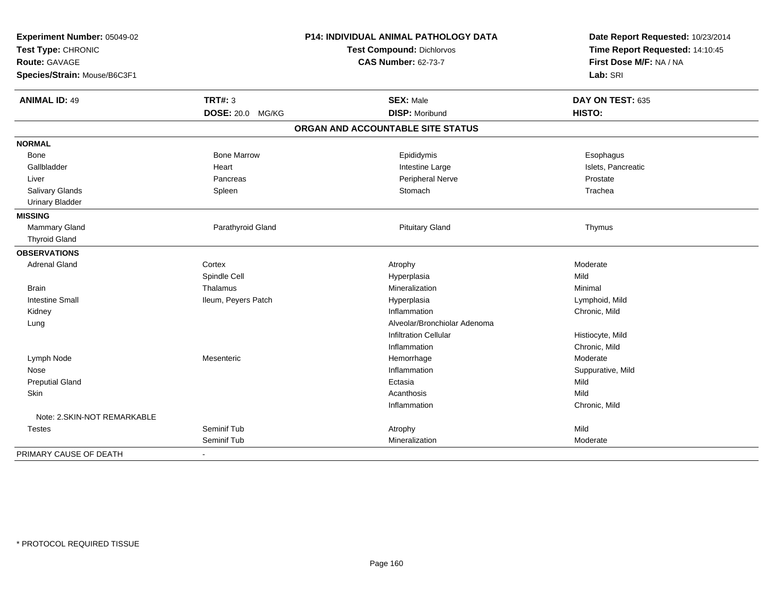| Experiment Number: 05049-02<br>Test Type: CHRONIC<br>Route: GAVAGE |                          | P14: INDIVIDUAL ANIMAL PATHOLOGY DATA | Date Report Requested: 10/23/2014 |
|--------------------------------------------------------------------|--------------------------|---------------------------------------|-----------------------------------|
|                                                                    |                          | Test Compound: Dichlorvos             | Time Report Requested: 14:10:45   |
|                                                                    |                          | <b>CAS Number: 62-73-7</b>            | First Dose M/F: NA / NA           |
| Species/Strain: Mouse/B6C3F1                                       |                          |                                       | Lab: SRI                          |
| <b>ANIMAL ID: 49</b>                                               | <b>TRT#: 3</b>           | <b>SEX: Male</b>                      | DAY ON TEST: 635                  |
|                                                                    | <b>DOSE: 20.0 MG/KG</b>  | <b>DISP: Moribund</b>                 | HISTO:                            |
|                                                                    |                          | ORGAN AND ACCOUNTABLE SITE STATUS     |                                   |
| <b>NORMAL</b>                                                      |                          |                                       |                                   |
| Bone                                                               | <b>Bone Marrow</b>       | Epididymis                            | Esophagus                         |
| Gallbladder                                                        | Heart                    | Intestine Large                       | Islets, Pancreatic                |
| Liver                                                              | Pancreas                 | Peripheral Nerve                      | Prostate                          |
| Salivary Glands                                                    | Spleen                   | Stomach                               | Trachea                           |
| <b>Urinary Bladder</b>                                             |                          |                                       |                                   |
| <b>MISSING</b>                                                     |                          |                                       |                                   |
| Mammary Gland                                                      | Parathyroid Gland        | <b>Pituitary Gland</b>                | Thymus                            |
| <b>Thyroid Gland</b>                                               |                          |                                       |                                   |
| <b>OBSERVATIONS</b>                                                |                          |                                       |                                   |
| <b>Adrenal Gland</b>                                               | Cortex                   | Atrophy                               | Moderate                          |
|                                                                    | Spindle Cell             | Hyperplasia                           | Mild                              |
| <b>Brain</b>                                                       | Thalamus                 | Mineralization                        | Minimal                           |
| <b>Intestine Small</b>                                             | Ileum, Peyers Patch      | Hyperplasia                           | Lymphoid, Mild                    |
| Kidney                                                             |                          | Inflammation                          | Chronic, Mild                     |
| Lung                                                               |                          | Alveolar/Bronchiolar Adenoma          |                                   |
|                                                                    |                          | <b>Infiltration Cellular</b>          | Histiocyte, Mild                  |
|                                                                    |                          | Inflammation                          | Chronic, Mild                     |
| Lymph Node                                                         | Mesenteric               | Hemorrhage                            | Moderate                          |
| Nose                                                               |                          | Inflammation                          | Suppurative, Mild                 |
| <b>Preputial Gland</b>                                             |                          | Ectasia                               | Mild                              |
| Skin                                                               |                          | Acanthosis                            | Mild                              |
|                                                                    |                          | Inflammation                          | Chronic, Mild                     |
| Note: 2. SKIN-NOT REMARKABLE                                       |                          |                                       |                                   |
| <b>Testes</b>                                                      | Seminif Tub              | Atrophy                               | Mild                              |
|                                                                    | Seminif Tub              | Mineralization                        | Moderate                          |
| PRIMARY CAUSE OF DEATH                                             | $\overline{\phantom{0}}$ |                                       |                                   |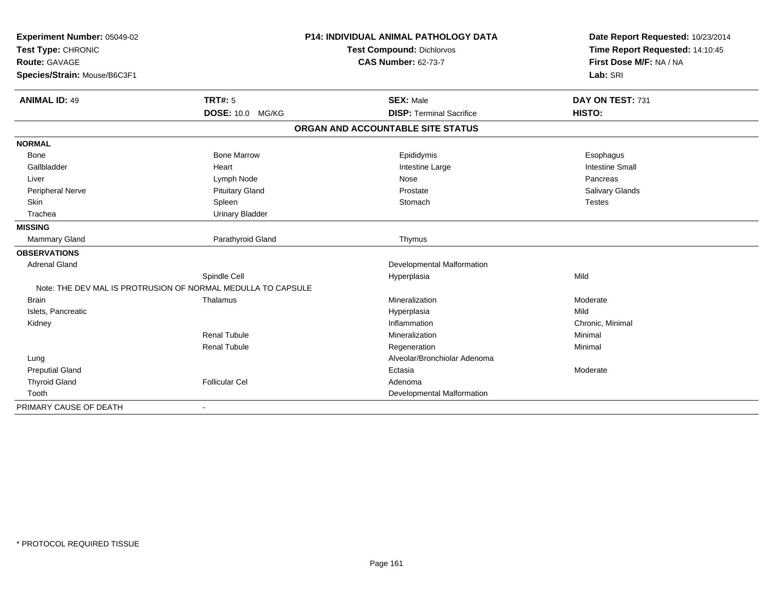| Experiment Number: 05049-02<br>Test Type: CHRONIC<br>Route: GAVAGE |                                                              | <b>P14: INDIVIDUAL ANIMAL PATHOLOGY DATA</b> | Date Report Requested: 10/23/2014<br>Time Report Requested: 14:10:45<br>First Dose M/F: NA / NA |
|--------------------------------------------------------------------|--------------------------------------------------------------|----------------------------------------------|-------------------------------------------------------------------------------------------------|
|                                                                    |                                                              | <b>Test Compound: Dichlorvos</b>             |                                                                                                 |
|                                                                    |                                                              | <b>CAS Number: 62-73-7</b>                   |                                                                                                 |
| Species/Strain: Mouse/B6C3F1                                       |                                                              |                                              | Lab: SRI                                                                                        |
| <b>ANIMAL ID: 49</b>                                               | <b>TRT#: 5</b>                                               | <b>SEX: Male</b>                             | DAY ON TEST: 731                                                                                |
|                                                                    | DOSE: 10.0 MG/KG                                             | <b>DISP: Terminal Sacrifice</b>              | HISTO:                                                                                          |
|                                                                    |                                                              | ORGAN AND ACCOUNTABLE SITE STATUS            |                                                                                                 |
| <b>NORMAL</b>                                                      |                                                              |                                              |                                                                                                 |
| Bone                                                               | <b>Bone Marrow</b>                                           | Epididymis                                   | Esophagus                                                                                       |
| Gallbladder                                                        | Heart                                                        | Intestine Large                              | <b>Intestine Small</b>                                                                          |
| Liver                                                              | Lymph Node                                                   | Nose                                         | Pancreas                                                                                        |
| <b>Peripheral Nerve</b>                                            | <b>Pituitary Gland</b>                                       | Prostate                                     | <b>Salivary Glands</b>                                                                          |
| Skin                                                               | Spleen                                                       | Stomach                                      | <b>Testes</b>                                                                                   |
| Trachea                                                            | <b>Urinary Bladder</b>                                       |                                              |                                                                                                 |
| <b>MISSING</b>                                                     |                                                              |                                              |                                                                                                 |
| Mammary Gland                                                      | Parathyroid Gland                                            | Thymus                                       |                                                                                                 |
| <b>OBSERVATIONS</b>                                                |                                                              |                                              |                                                                                                 |
| <b>Adrenal Gland</b>                                               |                                                              | Developmental Malformation                   |                                                                                                 |
|                                                                    | Spindle Cell                                                 | Hyperplasia                                  | Mild                                                                                            |
|                                                                    | Note: THE DEV MAL IS PROTRUSION OF NORMAL MEDULLA TO CAPSULE |                                              |                                                                                                 |
| <b>Brain</b>                                                       | Thalamus                                                     | Mineralization                               | Moderate                                                                                        |
| Islets, Pancreatic                                                 |                                                              | Hyperplasia                                  | Mild                                                                                            |
| Kidney                                                             |                                                              | Inflammation                                 | Chronic, Minimal                                                                                |
|                                                                    | Renal Tubule                                                 | Mineralization                               | Minimal                                                                                         |
|                                                                    | <b>Renal Tubule</b>                                          | Regeneration                                 | Minimal                                                                                         |
| Lung                                                               |                                                              | Alveolar/Bronchiolar Adenoma                 |                                                                                                 |
| <b>Preputial Gland</b>                                             |                                                              | Ectasia                                      | Moderate                                                                                        |
| <b>Thyroid Gland</b>                                               | <b>Follicular Cel</b>                                        | Adenoma                                      |                                                                                                 |
| Tooth                                                              |                                                              | Developmental Malformation                   |                                                                                                 |
| PRIMARY CAUSE OF DEATH                                             | $\blacksquare$                                               |                                              |                                                                                                 |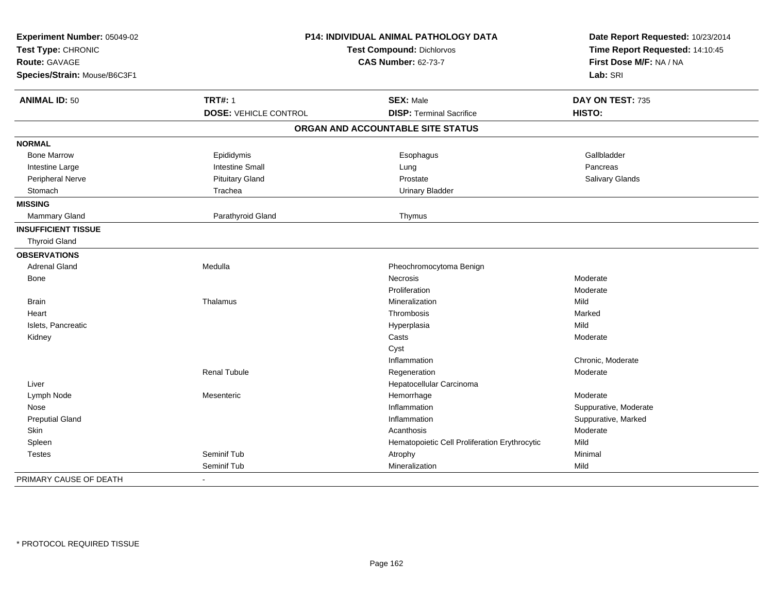| Experiment Number: 05049-02<br>Test Type: CHRONIC<br><b>Route: GAVAGE</b><br>Species/Strain: Mouse/B6C3F1 |                              | P14: INDIVIDUAL ANIMAL PATHOLOGY DATA<br>Test Compound: Dichlorvos<br><b>CAS Number: 62-73-7</b> |                        |
|-----------------------------------------------------------------------------------------------------------|------------------------------|--------------------------------------------------------------------------------------------------|------------------------|
| <b>ANIMAL ID: 50</b>                                                                                      | <b>TRT#: 1</b>               | <b>SEX: Male</b>                                                                                 | DAY ON TEST: 735       |
|                                                                                                           | <b>DOSE: VEHICLE CONTROL</b> | <b>DISP: Terminal Sacrifice</b>                                                                  | HISTO:                 |
|                                                                                                           |                              | ORGAN AND ACCOUNTABLE SITE STATUS                                                                |                        |
| <b>NORMAL</b>                                                                                             |                              |                                                                                                  |                        |
| <b>Bone Marrow</b>                                                                                        | Epididymis                   | Esophagus                                                                                        | Gallbladder            |
| Intestine Large                                                                                           | <b>Intestine Small</b>       | Lung                                                                                             | Pancreas               |
| Peripheral Nerve                                                                                          | <b>Pituitary Gland</b>       | Prostate                                                                                         | <b>Salivary Glands</b> |
| Stomach                                                                                                   | Trachea                      | <b>Urinary Bladder</b>                                                                           |                        |
| <b>MISSING</b>                                                                                            |                              |                                                                                                  |                        |
| Mammary Gland                                                                                             | Parathyroid Gland            | Thymus                                                                                           |                        |
| <b>INSUFFICIENT TISSUE</b>                                                                                |                              |                                                                                                  |                        |
| <b>Thyroid Gland</b>                                                                                      |                              |                                                                                                  |                        |
| <b>OBSERVATIONS</b>                                                                                       |                              |                                                                                                  |                        |
| <b>Adrenal Gland</b>                                                                                      | Medulla                      | Pheochromocytoma Benign                                                                          |                        |
| Bone                                                                                                      |                              | Necrosis                                                                                         | Moderate               |
|                                                                                                           |                              | Proliferation                                                                                    | Moderate               |
| <b>Brain</b>                                                                                              | Thalamus                     | Mineralization                                                                                   | Mild                   |
| Heart                                                                                                     |                              | Thrombosis                                                                                       | Marked                 |
| Islets, Pancreatic                                                                                        |                              | Hyperplasia                                                                                      | Mild                   |
| Kidney                                                                                                    |                              | Casts                                                                                            | Moderate               |
|                                                                                                           |                              | Cyst                                                                                             |                        |
|                                                                                                           |                              | Inflammation                                                                                     | Chronic, Moderate      |
|                                                                                                           | <b>Renal Tubule</b>          | Regeneration                                                                                     | Moderate               |
| Liver                                                                                                     |                              | Hepatocellular Carcinoma                                                                         |                        |
| Lymph Node                                                                                                | Mesenteric                   | Hemorrhage                                                                                       | Moderate               |
| Nose                                                                                                      |                              | Inflammation                                                                                     | Suppurative, Moderate  |
| <b>Preputial Gland</b>                                                                                    |                              | Inflammation                                                                                     | Suppurative, Marked    |
| Skin                                                                                                      |                              | Acanthosis                                                                                       | Moderate               |
| Spleen                                                                                                    |                              | Hematopoietic Cell Proliferation Erythrocytic                                                    | Mild                   |
| <b>Testes</b>                                                                                             | Seminif Tub                  | Atrophy                                                                                          | Minimal                |
|                                                                                                           | Seminif Tub                  | Mineralization                                                                                   | Mild                   |
| PRIMARY CAUSE OF DEATH                                                                                    | $\blacksquare$               |                                                                                                  |                        |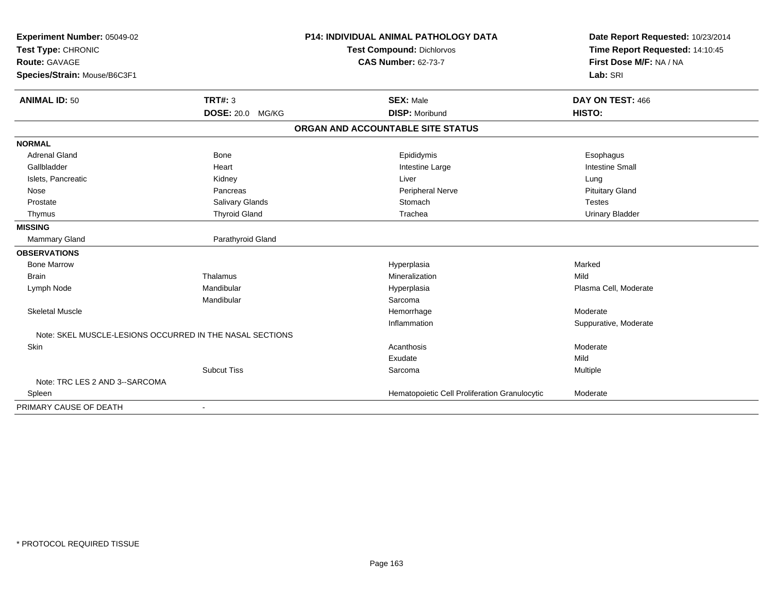| Experiment Number: 05049-02<br>Test Type: CHRONIC<br><b>Route: GAVAGE</b> |                         | <b>P14: INDIVIDUAL ANIMAL PATHOLOGY DATA</b>  | Date Report Requested: 10/23/2014<br>Time Report Requested: 14:10:45<br>First Dose M/F: NA / NA |
|---------------------------------------------------------------------------|-------------------------|-----------------------------------------------|-------------------------------------------------------------------------------------------------|
|                                                                           |                         | <b>Test Compound: Dichlorvos</b>              |                                                                                                 |
|                                                                           |                         | <b>CAS Number: 62-73-7</b>                    |                                                                                                 |
| Species/Strain: Mouse/B6C3F1                                              |                         |                                               | Lab: SRI                                                                                        |
| <b>ANIMAL ID: 50</b>                                                      | TRT#: 3                 | <b>SEX: Male</b>                              | DAY ON TEST: 466                                                                                |
|                                                                           | <b>DOSE: 20.0 MG/KG</b> | <b>DISP: Moribund</b>                         | HISTO:                                                                                          |
|                                                                           |                         | ORGAN AND ACCOUNTABLE SITE STATUS             |                                                                                                 |
| <b>NORMAL</b>                                                             |                         |                                               |                                                                                                 |
| <b>Adrenal Gland</b>                                                      | Bone                    | Epididymis                                    | Esophagus                                                                                       |
| Gallbladder                                                               | Heart                   | Intestine Large                               | <b>Intestine Small</b>                                                                          |
| Islets, Pancreatic                                                        | Kidney                  | Liver                                         | Lung                                                                                            |
| Nose                                                                      | Pancreas                | Peripheral Nerve                              | <b>Pituitary Gland</b>                                                                          |
| Prostate                                                                  | Salivary Glands         | Stomach                                       | <b>Testes</b>                                                                                   |
| Thymus                                                                    | <b>Thyroid Gland</b>    | Trachea                                       | <b>Urinary Bladder</b>                                                                          |
| <b>MISSING</b>                                                            |                         |                                               |                                                                                                 |
| <b>Mammary Gland</b>                                                      | Parathyroid Gland       |                                               |                                                                                                 |
| <b>OBSERVATIONS</b>                                                       |                         |                                               |                                                                                                 |
| <b>Bone Marrow</b>                                                        |                         | Hyperplasia                                   | Marked                                                                                          |
| <b>Brain</b>                                                              | Thalamus                | Mineralization                                | Mild                                                                                            |
| Lymph Node                                                                | Mandibular              | Hyperplasia                                   | Plasma Cell, Moderate                                                                           |
|                                                                           | Mandibular              | Sarcoma                                       |                                                                                                 |
| <b>Skeletal Muscle</b>                                                    |                         | Hemorrhage                                    | Moderate                                                                                        |
|                                                                           |                         | Inflammation                                  | Suppurative, Moderate                                                                           |
| Note: SKEL MUSCLE-LESIONS OCCURRED IN THE NASAL SECTIONS                  |                         |                                               |                                                                                                 |
| Skin                                                                      |                         | Acanthosis                                    | Moderate                                                                                        |
|                                                                           |                         | Exudate                                       | Mild                                                                                            |
|                                                                           | <b>Subcut Tiss</b>      | Sarcoma                                       | Multiple                                                                                        |
| Note: TRC LES 2 AND 3--SARCOMA                                            |                         |                                               |                                                                                                 |
| Spleen                                                                    |                         | Hematopoietic Cell Proliferation Granulocytic | Moderate                                                                                        |
| PRIMARY CAUSE OF DEATH                                                    |                         |                                               |                                                                                                 |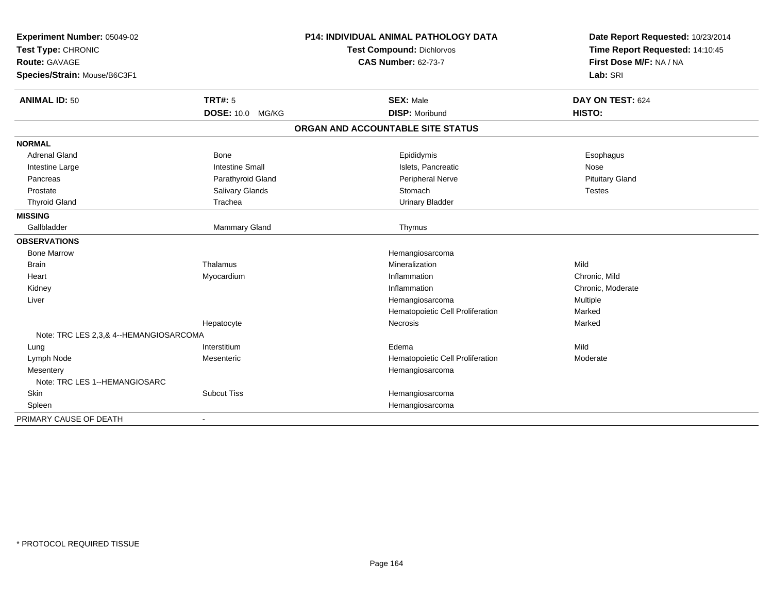| Experiment Number: 05049-02<br>Test Type: CHRONIC<br><b>Route: GAVAGE</b><br>Species/Strain: Mouse/B6C3F1 |                        | <b>P14: INDIVIDUAL ANIMAL PATHOLOGY DATA</b><br>Test Compound: Dichlorvos<br><b>CAS Number: 62-73-7</b> | Date Report Requested: 10/23/2014<br>Time Report Requested: 14:10:45<br>First Dose M/F: NA / NA<br>Lab: SRI |
|-----------------------------------------------------------------------------------------------------------|------------------------|---------------------------------------------------------------------------------------------------------|-------------------------------------------------------------------------------------------------------------|
| <b>ANIMAL ID: 50</b>                                                                                      | <b>TRT#: 5</b>         | <b>SEX: Male</b>                                                                                        | DAY ON TEST: 624                                                                                            |
|                                                                                                           | DOSE: 10.0 MG/KG       | <b>DISP: Moribund</b>                                                                                   | HISTO:                                                                                                      |
|                                                                                                           |                        | ORGAN AND ACCOUNTABLE SITE STATUS                                                                       |                                                                                                             |
| <b>NORMAL</b>                                                                                             |                        |                                                                                                         |                                                                                                             |
| <b>Adrenal Gland</b>                                                                                      | <b>Bone</b>            | Epididymis                                                                                              | Esophagus                                                                                                   |
| Intestine Large                                                                                           | <b>Intestine Small</b> | Islets, Pancreatic                                                                                      | Nose                                                                                                        |
| Pancreas                                                                                                  | Parathyroid Gland      | Peripheral Nerve                                                                                        | <b>Pituitary Gland</b>                                                                                      |
| Prostate                                                                                                  | Salivary Glands        | Stomach                                                                                                 | <b>Testes</b>                                                                                               |
| <b>Thyroid Gland</b>                                                                                      | Trachea                | <b>Urinary Bladder</b>                                                                                  |                                                                                                             |
| <b>MISSING</b>                                                                                            |                        |                                                                                                         |                                                                                                             |
| Gallbladder                                                                                               | Mammary Gland          | Thymus                                                                                                  |                                                                                                             |
| <b>OBSERVATIONS</b>                                                                                       |                        |                                                                                                         |                                                                                                             |
| <b>Bone Marrow</b>                                                                                        |                        | Hemangiosarcoma                                                                                         |                                                                                                             |
| <b>Brain</b>                                                                                              | Thalamus               | Mineralization                                                                                          | Mild                                                                                                        |
| Heart                                                                                                     | Myocardium             | Inflammation                                                                                            | Chronic, Mild                                                                                               |
| Kidney                                                                                                    |                        | Inflammation                                                                                            | Chronic, Moderate                                                                                           |
| Liver                                                                                                     |                        | Hemangiosarcoma                                                                                         | Multiple                                                                                                    |
|                                                                                                           |                        | Hematopoietic Cell Proliferation                                                                        | Marked                                                                                                      |
|                                                                                                           | Hepatocyte             | Necrosis                                                                                                | Marked                                                                                                      |
| Note: TRC LES 2,3,& 4--HEMANGIOSARCOMA                                                                    |                        |                                                                                                         |                                                                                                             |
| Lung                                                                                                      | Interstitium           | Edema                                                                                                   | Mild                                                                                                        |
| Lymph Node                                                                                                | Mesenteric             | Hematopoietic Cell Proliferation                                                                        | Moderate                                                                                                    |
| Mesentery                                                                                                 |                        | Hemangiosarcoma                                                                                         |                                                                                                             |
| Note: TRC LES 1--HEMANGIOSARC                                                                             |                        |                                                                                                         |                                                                                                             |
| Skin                                                                                                      | <b>Subcut Tiss</b>     | Hemangiosarcoma                                                                                         |                                                                                                             |
| Spleen                                                                                                    |                        | Hemangiosarcoma                                                                                         |                                                                                                             |
| PRIMARY CAUSE OF DEATH                                                                                    |                        |                                                                                                         |                                                                                                             |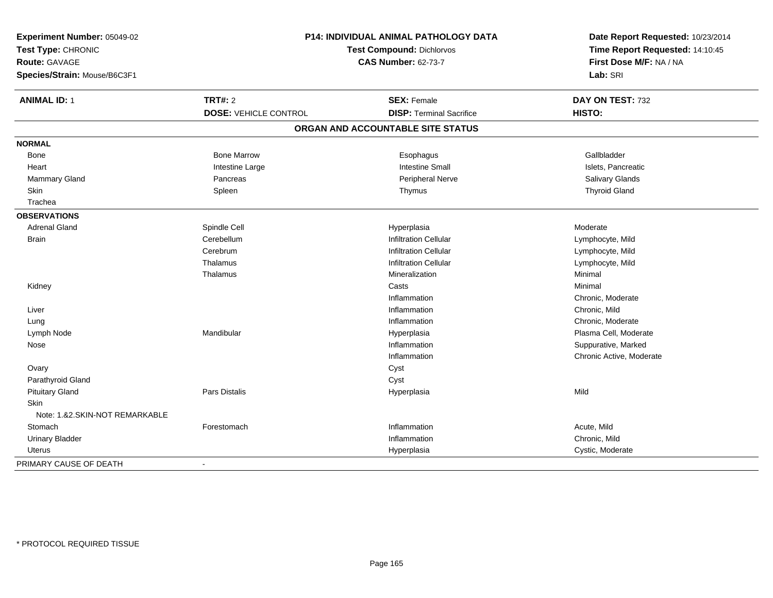| Experiment Number: 05049-02    |                                                                | <b>P14: INDIVIDUAL ANIMAL PATHOLOGY DATA</b> | Date Report Requested: 10/23/2014                          |
|--------------------------------|----------------------------------------------------------------|----------------------------------------------|------------------------------------------------------------|
| Test Type: CHRONIC             | <b>Test Compound: Dichlorvos</b><br><b>CAS Number: 62-73-7</b> |                                              | Time Report Requested: 14:10:45<br>First Dose M/F: NA / NA |
| Route: GAVAGE                  |                                                                |                                              |                                                            |
| Species/Strain: Mouse/B6C3F1   |                                                                |                                              | Lab: SRI                                                   |
|                                |                                                                |                                              |                                                            |
| <b>ANIMAL ID: 1</b>            | <b>TRT#: 2</b>                                                 | <b>SEX: Female</b>                           | DAY ON TEST: 732                                           |
|                                | <b>DOSE: VEHICLE CONTROL</b>                                   | <b>DISP: Terminal Sacrifice</b>              | <b>HISTO:</b>                                              |
|                                |                                                                | ORGAN AND ACCOUNTABLE SITE STATUS            |                                                            |
| <b>NORMAL</b>                  |                                                                |                                              |                                                            |
| <b>Bone</b>                    | <b>Bone Marrow</b>                                             | Esophagus                                    | Gallbladder                                                |
| Heart                          | Intestine Large                                                | <b>Intestine Small</b>                       | Islets, Pancreatic                                         |
| Mammary Gland                  | Pancreas                                                       | Peripheral Nerve                             | Salivary Glands                                            |
| <b>Skin</b>                    | Spleen                                                         | Thymus                                       | <b>Thyroid Gland</b>                                       |
| Trachea                        |                                                                |                                              |                                                            |
| <b>OBSERVATIONS</b>            |                                                                |                                              |                                                            |
| Adrenal Gland                  | Spindle Cell                                                   | Hyperplasia                                  | Moderate                                                   |
| Brain                          | Cerebellum                                                     | <b>Infiltration Cellular</b>                 | Lymphocyte, Mild                                           |
|                                | Cerebrum                                                       | <b>Infiltration Cellular</b>                 | Lymphocyte, Mild                                           |
|                                | Thalamus                                                       | <b>Infiltration Cellular</b>                 | Lymphocyte, Mild                                           |
|                                | Thalamus                                                       | Mineralization                               | Minimal                                                    |
| Kidney                         |                                                                | Casts                                        | Minimal                                                    |
|                                |                                                                | Inflammation                                 | Chronic, Moderate                                          |
| Liver                          |                                                                | Inflammation                                 | Chronic, Mild                                              |
| Lung                           |                                                                | Inflammation                                 | Chronic, Moderate                                          |
| Lymph Node                     | Mandibular                                                     | Hyperplasia                                  | Plasma Cell, Moderate                                      |
| Nose                           |                                                                | Inflammation                                 | Suppurative, Marked                                        |
|                                |                                                                | Inflammation                                 | Chronic Active, Moderate                                   |
| Ovary                          |                                                                | Cyst                                         |                                                            |
| Parathyroid Gland              |                                                                | Cyst                                         |                                                            |
| <b>Pituitary Gland</b>         | Pars Distalis                                                  | Hyperplasia                                  | Mild                                                       |
| <b>Skin</b>                    |                                                                |                                              |                                                            |
| Note: 1.&2.SKIN-NOT REMARKABLE |                                                                |                                              |                                                            |
| Stomach                        | Forestomach                                                    | Inflammation                                 | Acute, Mild                                                |
| <b>Urinary Bladder</b>         |                                                                | Inflammation                                 | Chronic, Mild                                              |
| Uterus                         |                                                                | Hyperplasia                                  | Cystic, Moderate                                           |
| PRIMARY CAUSE OF DEATH         | $\blacksquare$                                                 |                                              |                                                            |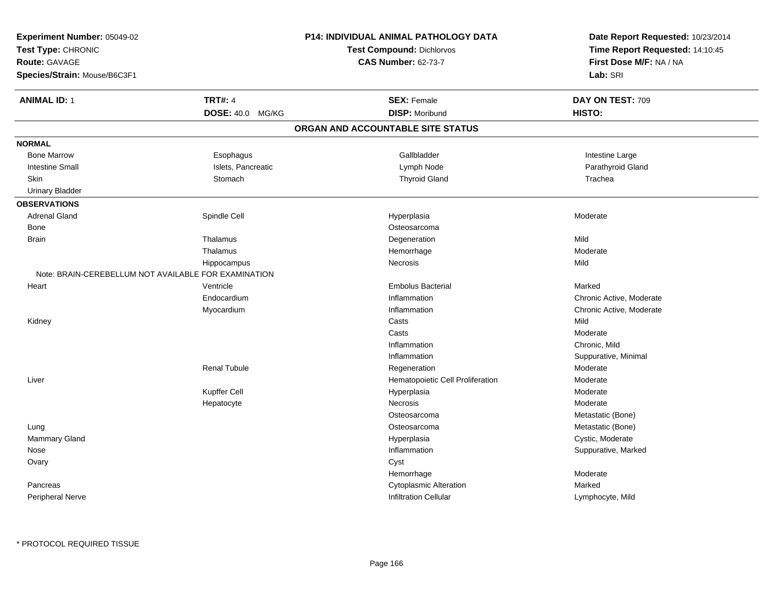|                                                      |                                                         | Date Report Requested: 10/23/2014<br>Time Report Requested: 14:10:45<br>First Dose M/F: NA / NA                                                                                                                                                                        |  |
|------------------------------------------------------|---------------------------------------------------------|------------------------------------------------------------------------------------------------------------------------------------------------------------------------------------------------------------------------------------------------------------------------|--|
|                                                      | <b>Test Compound: Dichlorvos</b>                        |                                                                                                                                                                                                                                                                        |  |
|                                                      |                                                         |                                                                                                                                                                                                                                                                        |  |
|                                                      |                                                         | Lab: SRI                                                                                                                                                                                                                                                               |  |
| <b>TRT#: 4</b>                                       | <b>SEX: Female</b>                                      | DAY ON TEST: 709                                                                                                                                                                                                                                                       |  |
| DOSE: 40.0 MG/KG                                     | <b>DISP: Moribund</b>                                   | HISTO:                                                                                                                                                                                                                                                                 |  |
|                                                      |                                                         |                                                                                                                                                                                                                                                                        |  |
|                                                      |                                                         |                                                                                                                                                                                                                                                                        |  |
| Esophagus                                            | Gallbladder                                             | Intestine Large                                                                                                                                                                                                                                                        |  |
| Islets, Pancreatic                                   | Lymph Node                                              | Parathyroid Gland                                                                                                                                                                                                                                                      |  |
| Stomach                                              | <b>Thyroid Gland</b>                                    | Trachea                                                                                                                                                                                                                                                                |  |
|                                                      |                                                         |                                                                                                                                                                                                                                                                        |  |
|                                                      |                                                         |                                                                                                                                                                                                                                                                        |  |
| Spindle Cell                                         | Hyperplasia                                             | Moderate                                                                                                                                                                                                                                                               |  |
|                                                      | Osteosarcoma                                            |                                                                                                                                                                                                                                                                        |  |
| Thalamus                                             |                                                         | Mild                                                                                                                                                                                                                                                                   |  |
| Thalamus                                             |                                                         | Moderate                                                                                                                                                                                                                                                               |  |
|                                                      | Necrosis                                                | Mild                                                                                                                                                                                                                                                                   |  |
| Note: BRAIN-CEREBELLUM NOT AVAILABLE FOR EXAMINATION |                                                         |                                                                                                                                                                                                                                                                        |  |
| Ventricle                                            | <b>Embolus Bacterial</b>                                | Marked                                                                                                                                                                                                                                                                 |  |
| Endocardium                                          | Inflammation                                            | Chronic Active, Moderate                                                                                                                                                                                                                                               |  |
|                                                      | Inflammation                                            | Chronic Active, Moderate                                                                                                                                                                                                                                               |  |
|                                                      | Casts                                                   | Mild                                                                                                                                                                                                                                                                   |  |
|                                                      | Casts                                                   | Moderate                                                                                                                                                                                                                                                               |  |
|                                                      | Inflammation                                            | Chronic, Mild                                                                                                                                                                                                                                                          |  |
|                                                      | Inflammation                                            | Suppurative, Minimal                                                                                                                                                                                                                                                   |  |
| <b>Renal Tubule</b>                                  | Regeneration                                            | Moderate                                                                                                                                                                                                                                                               |  |
|                                                      |                                                         | Moderate                                                                                                                                                                                                                                                               |  |
|                                                      |                                                         | Moderate                                                                                                                                                                                                                                                               |  |
|                                                      | <b>Necrosis</b>                                         | Moderate                                                                                                                                                                                                                                                               |  |
|                                                      | Osteosarcoma                                            | Metastatic (Bone)                                                                                                                                                                                                                                                      |  |
|                                                      | Osteosarcoma                                            | Metastatic (Bone)                                                                                                                                                                                                                                                      |  |
|                                                      |                                                         | Cystic, Moderate                                                                                                                                                                                                                                                       |  |
|                                                      | Inflammation                                            | Suppurative, Marked                                                                                                                                                                                                                                                    |  |
|                                                      |                                                         |                                                                                                                                                                                                                                                                        |  |
|                                                      |                                                         | Moderate                                                                                                                                                                                                                                                               |  |
|                                                      |                                                         | Marked                                                                                                                                                                                                                                                                 |  |
|                                                      | <b>Infiltration Cellular</b>                            | Lymphocyte, Mild                                                                                                                                                                                                                                                       |  |
|                                                      | Hippocampus<br>Myocardium<br>Kupffer Cell<br>Hepatocyte | <b>P14: INDIVIDUAL ANIMAL PATHOLOGY DATA</b><br><b>CAS Number: 62-73-7</b><br>ORGAN AND ACCOUNTABLE SITE STATUS<br>Degeneration<br>Hemorrhage<br>Hematopoietic Cell Proliferation<br>Hyperplasia<br>Hyperplasia<br>Cyst<br>Hemorrhage<br><b>Cytoplasmic Alteration</b> |  |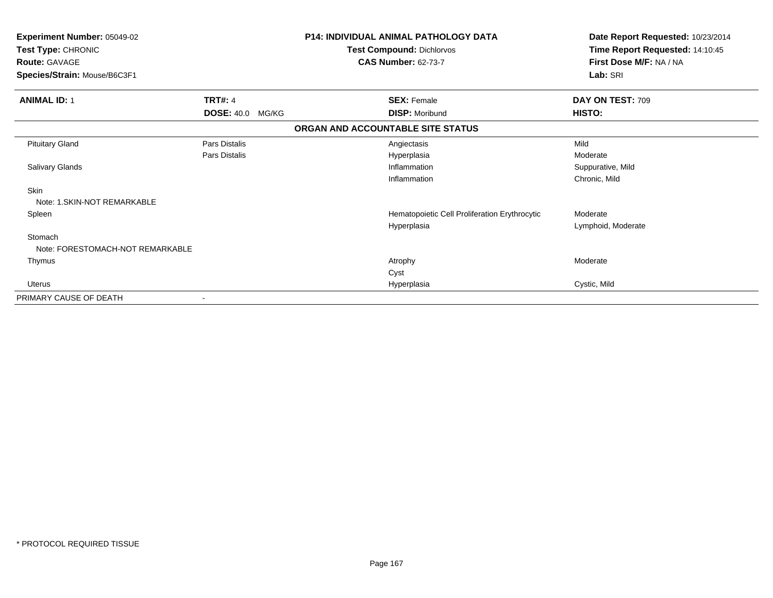| Experiment Number: 05049-02<br>Test Type: CHRONIC<br><b>Route: GAVAGE</b><br>Species/Strain: Mouse/B6C3F1 |                         | <b>P14: INDIVIDUAL ANIMAL PATHOLOGY DATA</b><br>Test Compound: Dichlorvos<br><b>CAS Number: 62-73-7</b> | Date Report Requested: 10/23/2014<br>Time Report Requested: 14:10:45<br>First Dose M/F: NA / NA<br>Lab: SRI |
|-----------------------------------------------------------------------------------------------------------|-------------------------|---------------------------------------------------------------------------------------------------------|-------------------------------------------------------------------------------------------------------------|
| <b>ANIMAL ID: 1</b>                                                                                       | <b>TRT#: 4</b>          | <b>SEX: Female</b>                                                                                      | DAY ON TEST: 709                                                                                            |
|                                                                                                           | <b>DOSE: 40.0 MG/KG</b> | <b>DISP: Moribund</b>                                                                                   | HISTO:                                                                                                      |
|                                                                                                           |                         | ORGAN AND ACCOUNTABLE SITE STATUS                                                                       |                                                                                                             |
| <b>Pituitary Gland</b>                                                                                    | Pars Distalis           | Angiectasis                                                                                             | Mild                                                                                                        |
|                                                                                                           | <b>Pars Distalis</b>    | Hyperplasia                                                                                             | Moderate                                                                                                    |
| <b>Salivary Glands</b>                                                                                    |                         | Inflammation                                                                                            | Suppurative, Mild                                                                                           |
|                                                                                                           |                         | Inflammation                                                                                            | Chronic, Mild                                                                                               |
| Skin<br>Note: 1. SKIN-NOT REMARKABLE                                                                      |                         |                                                                                                         |                                                                                                             |
| Spleen                                                                                                    |                         | Hematopoietic Cell Proliferation Erythrocytic                                                           | Moderate                                                                                                    |
|                                                                                                           |                         | Hyperplasia                                                                                             | Lymphoid, Moderate                                                                                          |
| Stomach                                                                                                   |                         |                                                                                                         |                                                                                                             |
| Note: FORESTOMACH-NOT REMARKABLE                                                                          |                         |                                                                                                         |                                                                                                             |
| Thymus                                                                                                    |                         | Atrophy                                                                                                 | Moderate                                                                                                    |
|                                                                                                           |                         | Cyst                                                                                                    |                                                                                                             |
| Uterus                                                                                                    |                         | Hyperplasia                                                                                             | Cystic, Mild                                                                                                |
| PRIMARY CAUSE OF DEATH                                                                                    |                         |                                                                                                         |                                                                                                             |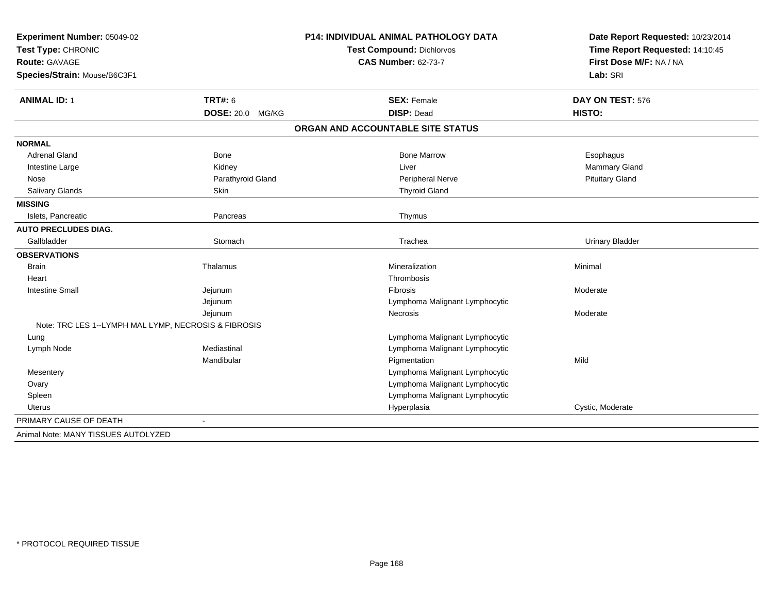| Experiment Number: 05049-02<br>Test Type: CHRONIC<br>Route: GAVAGE |                         | <b>P14: INDIVIDUAL ANIMAL PATHOLOGY DATA</b> | Date Report Requested: 10/23/2014<br>Time Report Requested: 14:10:45<br>First Dose M/F: NA / NA |  |
|--------------------------------------------------------------------|-------------------------|----------------------------------------------|-------------------------------------------------------------------------------------------------|--|
|                                                                    |                         | <b>Test Compound: Dichlorvos</b>             |                                                                                                 |  |
|                                                                    |                         | <b>CAS Number: 62-73-7</b>                   |                                                                                                 |  |
| Species/Strain: Mouse/B6C3F1                                       |                         |                                              | Lab: SRI                                                                                        |  |
| <b>ANIMAL ID: 1</b>                                                | <b>TRT#: 6</b>          | <b>SEX: Female</b>                           | DAY ON TEST: 576                                                                                |  |
|                                                                    | <b>DOSE: 20.0 MG/KG</b> | <b>DISP: Dead</b>                            | HISTO:                                                                                          |  |
|                                                                    |                         | ORGAN AND ACCOUNTABLE SITE STATUS            |                                                                                                 |  |
| <b>NORMAL</b>                                                      |                         |                                              |                                                                                                 |  |
| <b>Adrenal Gland</b>                                               | Bone                    | <b>Bone Marrow</b>                           | Esophagus                                                                                       |  |
| Intestine Large                                                    | Kidney                  | Liver                                        | Mammary Gland                                                                                   |  |
| Nose                                                               | Parathyroid Gland       | Peripheral Nerve                             | <b>Pituitary Gland</b>                                                                          |  |
| Salivary Glands                                                    | <b>Skin</b>             | <b>Thyroid Gland</b>                         |                                                                                                 |  |
| <b>MISSING</b>                                                     |                         |                                              |                                                                                                 |  |
| Islets, Pancreatic                                                 | Pancreas                | Thymus                                       |                                                                                                 |  |
| <b>AUTO PRECLUDES DIAG.</b>                                        |                         |                                              |                                                                                                 |  |
| Gallbladder                                                        | Stomach                 | Trachea                                      | <b>Urinary Bladder</b>                                                                          |  |
| <b>OBSERVATIONS</b>                                                |                         |                                              |                                                                                                 |  |
| <b>Brain</b>                                                       | Thalamus                | Mineralization                               | Minimal                                                                                         |  |
| Heart                                                              |                         | Thrombosis                                   |                                                                                                 |  |
| <b>Intestine Small</b>                                             | Jejunum                 | <b>Fibrosis</b>                              | Moderate                                                                                        |  |
|                                                                    | Jejunum                 | Lymphoma Malignant Lymphocytic               |                                                                                                 |  |
|                                                                    | Jejunum                 | Necrosis                                     | Moderate                                                                                        |  |
| Note: TRC LES 1--LYMPH MAL LYMP, NECROSIS & FIBROSIS               |                         |                                              |                                                                                                 |  |
| Lung                                                               |                         | Lymphoma Malignant Lymphocytic               |                                                                                                 |  |
| Lymph Node                                                         | Mediastinal             | Lymphoma Malignant Lymphocytic               |                                                                                                 |  |
|                                                                    | Mandibular              | Pigmentation                                 | Mild                                                                                            |  |
| Mesentery                                                          |                         | Lymphoma Malignant Lymphocytic               |                                                                                                 |  |
| Ovary                                                              |                         | Lymphoma Malignant Lymphocytic               |                                                                                                 |  |
| Spleen                                                             |                         | Lymphoma Malignant Lymphocytic               |                                                                                                 |  |
| Uterus                                                             |                         | Hyperplasia                                  | Cystic, Moderate                                                                                |  |
| PRIMARY CAUSE OF DEATH                                             |                         |                                              |                                                                                                 |  |
| Animal Note: MANY TISSUES AUTOLYZED                                |                         |                                              |                                                                                                 |  |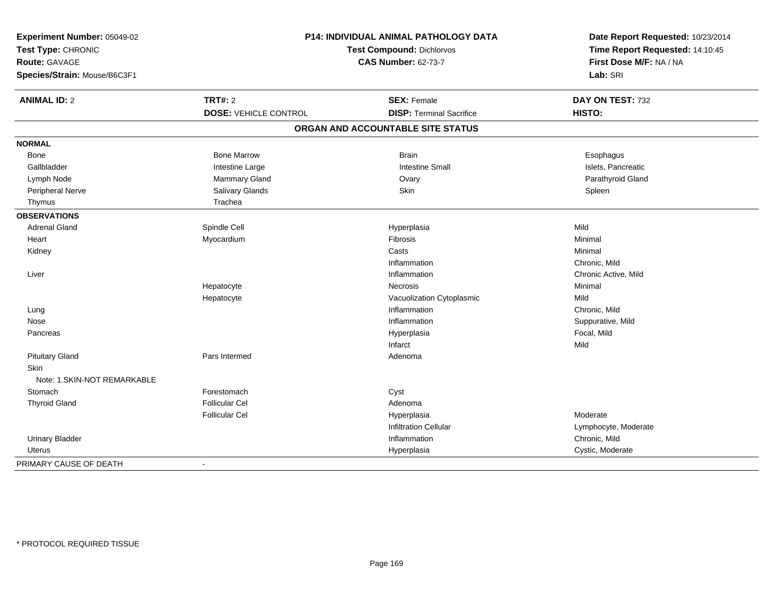| P14: INDIVIDUAL ANIMAL PATHOLOGY DATA<br><b>Test Compound: Dichlorvos</b><br><b>CAS Number: 62-73-7</b> |                                                               | Date Report Requested: 10/23/2014<br>Time Report Requested: 14:10:45<br>First Dose M/F: NA / NA<br>Lab: SRI                                                                          |
|---------------------------------------------------------------------------------------------------------|---------------------------------------------------------------|--------------------------------------------------------------------------------------------------------------------------------------------------------------------------------------|
| <b>TRT#: 2</b>                                                                                          | <b>SEX: Female</b>                                            | DAY ON TEST: 732                                                                                                                                                                     |
| <b>DOSE: VEHICLE CONTROL</b>                                                                            |                                                               | HISTO:                                                                                                                                                                               |
|                                                                                                         |                                                               |                                                                                                                                                                                      |
|                                                                                                         |                                                               |                                                                                                                                                                                      |
| <b>Bone Marrow</b>                                                                                      | <b>Brain</b>                                                  | Esophagus                                                                                                                                                                            |
| Intestine Large                                                                                         | <b>Intestine Small</b>                                        | Islets, Pancreatic                                                                                                                                                                   |
| Mammary Gland                                                                                           | Ovary                                                         | Parathyroid Gland                                                                                                                                                                    |
| Salivary Glands                                                                                         | Skin                                                          | Spleen                                                                                                                                                                               |
| Trachea                                                                                                 |                                                               |                                                                                                                                                                                      |
|                                                                                                         |                                                               |                                                                                                                                                                                      |
| Spindle Cell                                                                                            | Hyperplasia                                                   | Mild                                                                                                                                                                                 |
| Myocardium                                                                                              | Fibrosis                                                      | Minimal                                                                                                                                                                              |
|                                                                                                         | Casts                                                         | Minimal                                                                                                                                                                              |
|                                                                                                         | Inflammation                                                  | Chronic, Mild                                                                                                                                                                        |
|                                                                                                         | Inflammation                                                  | Chronic Active, Mild                                                                                                                                                                 |
| Hepatocyte                                                                                              | Necrosis                                                      | Minimal                                                                                                                                                                              |
| Hepatocyte                                                                                              | Vacuolization Cytoplasmic                                     | Mild                                                                                                                                                                                 |
|                                                                                                         | Inflammation                                                  | Chronic, Mild                                                                                                                                                                        |
|                                                                                                         | Inflammation                                                  | Suppurative, Mild                                                                                                                                                                    |
|                                                                                                         |                                                               | Focal, Mild                                                                                                                                                                          |
|                                                                                                         | Infarct                                                       | Mild                                                                                                                                                                                 |
| Pars Intermed                                                                                           | Adenoma                                                       |                                                                                                                                                                                      |
|                                                                                                         |                                                               |                                                                                                                                                                                      |
|                                                                                                         |                                                               |                                                                                                                                                                                      |
|                                                                                                         |                                                               |                                                                                                                                                                                      |
|                                                                                                         |                                                               |                                                                                                                                                                                      |
|                                                                                                         |                                                               | Moderate                                                                                                                                                                             |
|                                                                                                         |                                                               | Lymphocyte, Moderate                                                                                                                                                                 |
|                                                                                                         |                                                               | Chronic, Mild                                                                                                                                                                        |
|                                                                                                         |                                                               | Cystic, Moderate                                                                                                                                                                     |
|                                                                                                         | Forestomach<br><b>Follicular Cel</b><br><b>Follicular Cel</b> | <b>DISP: Terminal Sacrifice</b><br>ORGAN AND ACCOUNTABLE SITE STATUS<br>Hyperplasia<br>Cyst<br>Adenoma<br>Hyperplasia<br><b>Infiltration Cellular</b><br>Inflammation<br>Hyperplasia |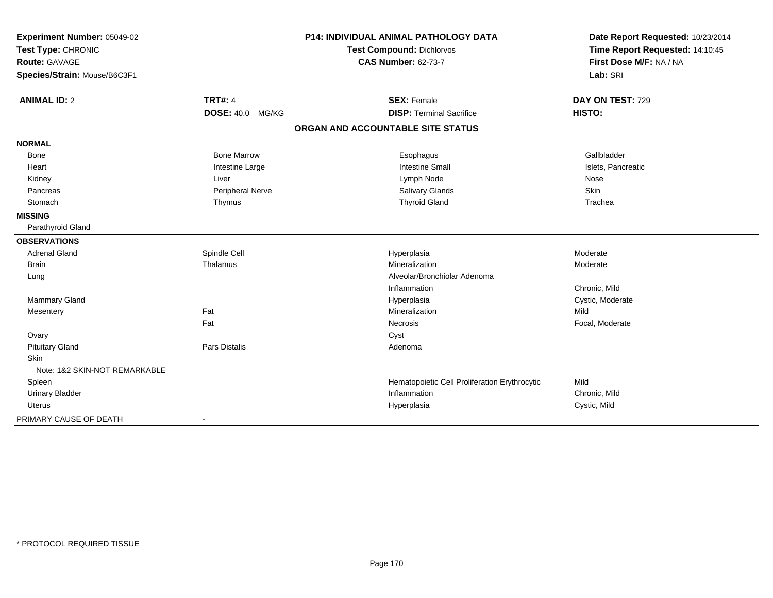| Experiment Number: 05049-02<br>Test Type: CHRONIC<br>Route: GAVAGE |                         | P14: INDIVIDUAL ANIMAL PATHOLOGY DATA         | Date Report Requested: 10/23/2014 |
|--------------------------------------------------------------------|-------------------------|-----------------------------------------------|-----------------------------------|
|                                                                    |                         | Test Compound: Dichlorvos                     | Time Report Requested: 14:10:45   |
|                                                                    |                         | <b>CAS Number: 62-73-7</b>                    | First Dose M/F: NA / NA           |
| Species/Strain: Mouse/B6C3F1                                       |                         |                                               | Lab: SRI                          |
| <b>ANIMAL ID: 2</b>                                                | <b>TRT#: 4</b>          | <b>SEX: Female</b>                            | DAY ON TEST: 729                  |
|                                                                    | <b>DOSE: 40.0 MG/KG</b> | <b>DISP: Terminal Sacrifice</b>               | HISTO:                            |
|                                                                    |                         | ORGAN AND ACCOUNTABLE SITE STATUS             |                                   |
| <b>NORMAL</b>                                                      |                         |                                               |                                   |
| Bone                                                               | <b>Bone Marrow</b>      | Esophagus                                     | Gallbladder                       |
| Heart                                                              | Intestine Large         | <b>Intestine Small</b>                        | Islets, Pancreatic                |
| Kidney                                                             | Liver                   | Lymph Node                                    | Nose                              |
| Pancreas                                                           | Peripheral Nerve        | Salivary Glands                               | Skin                              |
| Stomach                                                            | Thymus                  | <b>Thyroid Gland</b>                          | Trachea                           |
| <b>MISSING</b>                                                     |                         |                                               |                                   |
| Parathyroid Gland                                                  |                         |                                               |                                   |
| <b>OBSERVATIONS</b>                                                |                         |                                               |                                   |
| <b>Adrenal Gland</b>                                               | Spindle Cell            | Hyperplasia                                   | Moderate                          |
| <b>Brain</b>                                                       | Thalamus                | Mineralization                                | Moderate                          |
| Lung                                                               |                         | Alveolar/Bronchiolar Adenoma                  |                                   |
|                                                                    |                         | Inflammation                                  | Chronic, Mild                     |
| Mammary Gland                                                      |                         | Hyperplasia                                   | Cystic, Moderate                  |
| Mesentery                                                          | Fat                     | Mineralization                                | Mild                              |
|                                                                    | Fat                     | Necrosis                                      | Focal, Moderate                   |
| Ovary                                                              |                         | Cyst                                          |                                   |
| <b>Pituitary Gland</b>                                             | Pars Distalis           | Adenoma                                       |                                   |
| Skin                                                               |                         |                                               |                                   |
| Note: 1&2 SKIN-NOT REMARKABLE                                      |                         |                                               |                                   |
| Spleen                                                             |                         | Hematopoietic Cell Proliferation Erythrocytic | Mild                              |
| <b>Urinary Bladder</b>                                             |                         | Inflammation                                  | Chronic, Mild                     |
| <b>Uterus</b>                                                      |                         | Hyperplasia                                   | Cystic, Mild                      |
| PRIMARY CAUSE OF DEATH                                             |                         |                                               |                                   |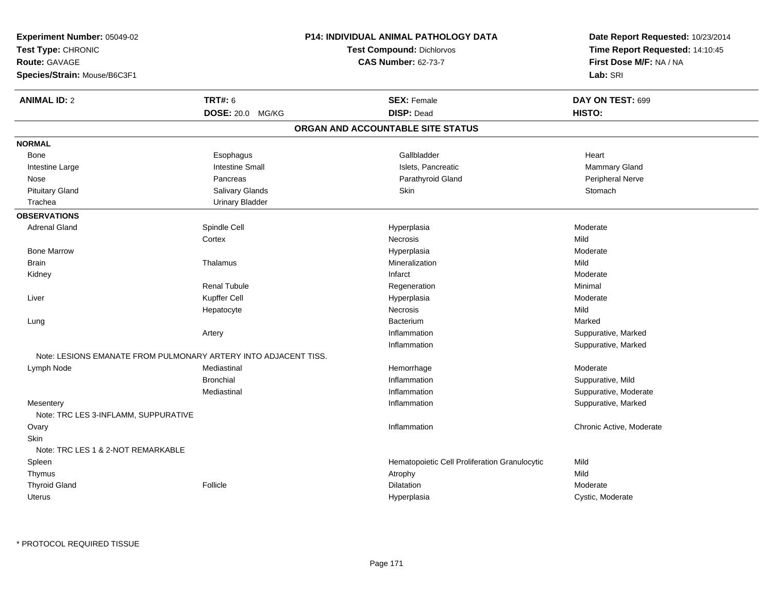| Experiment Number: 05049-02                       |                                                                 | P14: INDIVIDUAL ANIMAL PATHOLOGY DATA         | Date Report Requested: 10/23/2014<br>Time Report Requested: 14:10:45 |
|---------------------------------------------------|-----------------------------------------------------------------|-----------------------------------------------|----------------------------------------------------------------------|
| Test Type: CHRONIC                                |                                                                 | <b>Test Compound: Dichlorvos</b>              |                                                                      |
| Route: GAVAGE                                     |                                                                 | <b>CAS Number: 62-73-7</b>                    | First Dose M/F: NA / NA                                              |
| Species/Strain: Mouse/B6C3F1                      |                                                                 |                                               | Lab: SRI                                                             |
| <b>ANIMAL ID: 2</b>                               | <b>TRT#: 6</b>                                                  | <b>SEX: Female</b>                            | DAY ON TEST: 699                                                     |
|                                                   | DOSE: 20.0 MG/KG                                                | <b>DISP: Dead</b>                             | HISTO:                                                               |
|                                                   |                                                                 | ORGAN AND ACCOUNTABLE SITE STATUS             |                                                                      |
| <b>NORMAL</b>                                     |                                                                 |                                               |                                                                      |
| Bone                                              | Esophagus                                                       | Gallbladder                                   | Heart                                                                |
| Intestine Large                                   | <b>Intestine Small</b>                                          | Islets, Pancreatic                            | Mammary Gland                                                        |
| Nose                                              | Pancreas                                                        | Parathyroid Gland                             | Peripheral Nerve                                                     |
| <b>Pituitary Gland</b>                            | Salivary Glands                                                 | Skin                                          | Stomach                                                              |
| Trachea                                           | <b>Urinary Bladder</b>                                          |                                               |                                                                      |
| <b>OBSERVATIONS</b>                               |                                                                 |                                               |                                                                      |
| <b>Adrenal Gland</b>                              | Spindle Cell                                                    | Hyperplasia                                   | Moderate                                                             |
|                                                   | Cortex                                                          | Necrosis                                      | Mild                                                                 |
| <b>Bone Marrow</b>                                |                                                                 | Hyperplasia                                   | Moderate                                                             |
| <b>Brain</b>                                      | Thalamus                                                        | Mineralization                                | Mild                                                                 |
| Kidney                                            |                                                                 | Infarct                                       | Moderate                                                             |
|                                                   | Renal Tubule                                                    | Regeneration                                  | Minimal                                                              |
| Liver                                             | Kupffer Cell                                                    | Hyperplasia                                   | Moderate                                                             |
|                                                   | Hepatocyte                                                      | <b>Necrosis</b>                               | Mild                                                                 |
| Lung                                              |                                                                 | Bacterium                                     | Marked                                                               |
|                                                   | Artery                                                          | Inflammation                                  | Suppurative, Marked                                                  |
|                                                   |                                                                 | Inflammation                                  | Suppurative, Marked                                                  |
|                                                   | Note: LESIONS EMANATE FROM PULMONARY ARTERY INTO ADJACENT TISS. |                                               |                                                                      |
| Lymph Node                                        | Mediastinal                                                     | Hemorrhage                                    | Moderate                                                             |
|                                                   | <b>Bronchial</b>                                                | Inflammation                                  | Suppurative, Mild                                                    |
|                                                   | Mediastinal                                                     | Inflammation                                  | Suppurative, Moderate                                                |
| Mesentery<br>Note: TRC LES 3-INFLAMM, SUPPURATIVE |                                                                 | Inflammation                                  | Suppurative, Marked                                                  |
| Ovary                                             |                                                                 | Inflammation                                  | Chronic Active, Moderate                                             |
| <b>Skin</b>                                       |                                                                 |                                               |                                                                      |
| Note: TRC LES 1 & 2-NOT REMARKABLE                |                                                                 |                                               |                                                                      |
| Spleen                                            |                                                                 | Hematopoietic Cell Proliferation Granulocytic | Mild                                                                 |
| Thymus                                            |                                                                 | Atrophy                                       | Mild                                                                 |
| <b>Thyroid Gland</b>                              | Follicle                                                        | Dilatation                                    | Moderate                                                             |
| <b>Uterus</b>                                     |                                                                 | Hyperplasia                                   | Cystic, Moderate                                                     |
|                                                   |                                                                 |                                               |                                                                      |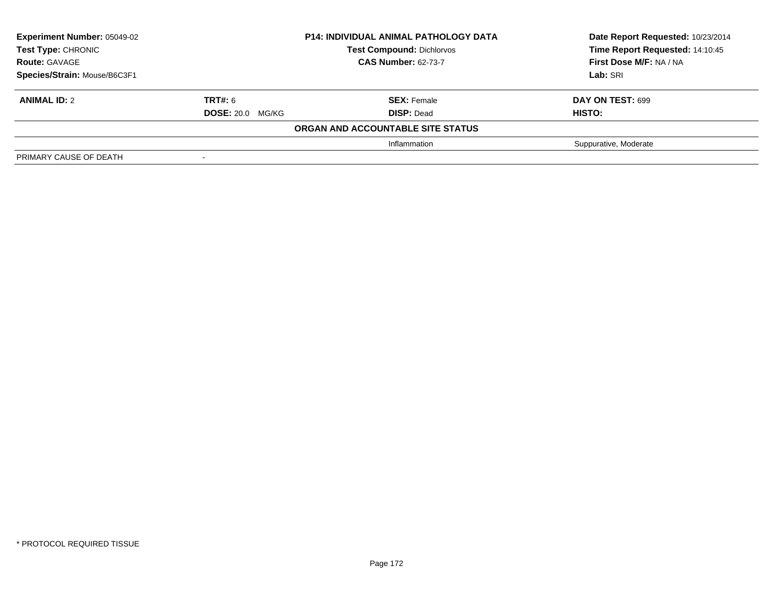| <b>Experiment Number: 05049-02</b><br><b>Test Type: CHRONIC</b><br><b>Route: GAVAGE</b> | <b>P14: INDIVIDUAL ANIMAL PATHOLOGY DATA</b><br><b>Test Compound: Dichlorvos</b><br><b>CAS Number: 62-73-7</b> |                                   |                       |  | Date Report Requested: 10/23/2014<br>Time Report Requested: 14:10:45<br>First Dose M/F: NA / NA |
|-----------------------------------------------------------------------------------------|----------------------------------------------------------------------------------------------------------------|-----------------------------------|-----------------------|--|-------------------------------------------------------------------------------------------------|
| Species/Strain: Mouse/B6C3F1                                                            |                                                                                                                |                                   | Lab: SRI              |  |                                                                                                 |
| <b>ANIMAL ID: 2</b>                                                                     | <b>TRT#: 6</b>                                                                                                 | <b>SEX: Female</b>                | DAY ON TEST: 699      |  |                                                                                                 |
|                                                                                         | <b>DOSE: 20.0 MG/KG</b>                                                                                        | <b>DISP: Dead</b>                 | <b>HISTO:</b>         |  |                                                                                                 |
|                                                                                         |                                                                                                                | ORGAN AND ACCOUNTABLE SITE STATUS |                       |  |                                                                                                 |
|                                                                                         |                                                                                                                | Inflammation                      | Suppurative, Moderate |  |                                                                                                 |
| PRIMARY CAUSE OF DEATH                                                                  |                                                                                                                |                                   |                       |  |                                                                                                 |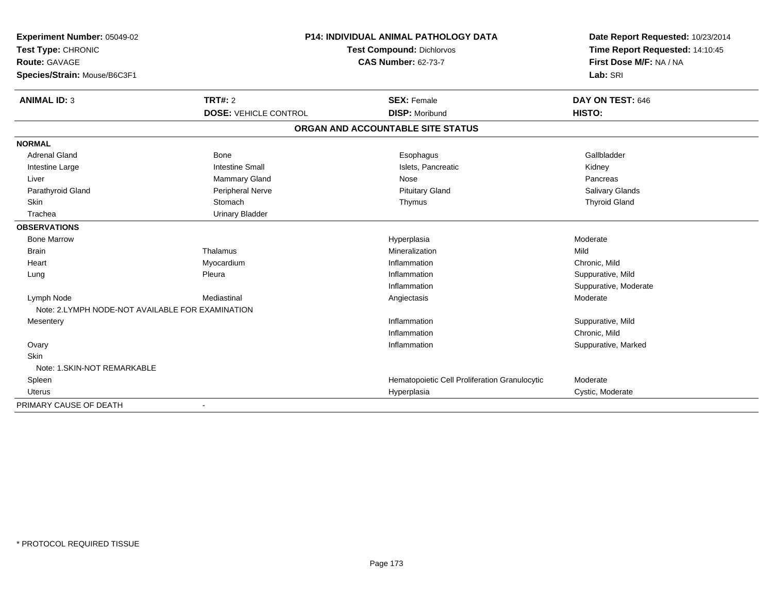| Experiment Number: 05049-02                      | <b>P14: INDIVIDUAL ANIMAL PATHOLOGY DATA</b> |                                               | Date Report Requested: 10/23/2014 |
|--------------------------------------------------|----------------------------------------------|-----------------------------------------------|-----------------------------------|
| Test Type: CHRONIC                               |                                              | Test Compound: Dichlorvos                     | Time Report Requested: 14:10:45   |
| <b>Route: GAVAGE</b>                             |                                              | <b>CAS Number: 62-73-7</b>                    | First Dose M/F: NA / NA           |
| Species/Strain: Mouse/B6C3F1                     |                                              |                                               | Lab: SRI                          |
| <b>ANIMAL ID: 3</b>                              | <b>TRT#: 2</b>                               | <b>SEX: Female</b>                            | DAY ON TEST: 646                  |
|                                                  | <b>DOSE: VEHICLE CONTROL</b>                 | <b>DISP: Moribund</b>                         | HISTO:                            |
|                                                  |                                              | ORGAN AND ACCOUNTABLE SITE STATUS             |                                   |
| <b>NORMAL</b>                                    |                                              |                                               |                                   |
| <b>Adrenal Gland</b>                             | <b>Bone</b>                                  | Esophagus                                     | Gallbladder                       |
| Intestine Large                                  | <b>Intestine Small</b>                       | Islets, Pancreatic                            | Kidney                            |
| Liver                                            | Mammary Gland                                | Nose                                          | Pancreas                          |
| Parathyroid Gland                                | Peripheral Nerve                             | <b>Pituitary Gland</b>                        | <b>Salivary Glands</b>            |
| Skin                                             | Stomach                                      | Thymus                                        | <b>Thyroid Gland</b>              |
| Trachea                                          | <b>Urinary Bladder</b>                       |                                               |                                   |
| <b>OBSERVATIONS</b>                              |                                              |                                               |                                   |
| <b>Bone Marrow</b>                               |                                              | Hyperplasia                                   | Moderate                          |
| <b>Brain</b>                                     | Thalamus                                     | Mineralization                                | Mild                              |
| Heart                                            | Myocardium                                   | Inflammation                                  | Chronic, Mild                     |
| Lung                                             | Pleura                                       | Inflammation                                  | Suppurative, Mild                 |
|                                                  |                                              | Inflammation                                  | Suppurative, Moderate             |
| Lymph Node                                       | Mediastinal                                  | Angiectasis                                   | Moderate                          |
| Note: 2.LYMPH NODE-NOT AVAILABLE FOR EXAMINATION |                                              |                                               |                                   |
| Mesentery                                        |                                              | Inflammation                                  | Suppurative, Mild                 |
|                                                  |                                              | Inflammation                                  | Chronic, Mild                     |
| Ovary                                            |                                              | Inflammation                                  | Suppurative, Marked               |
| Skin                                             |                                              |                                               |                                   |
| Note: 1.SKIN-NOT REMARKABLE                      |                                              |                                               |                                   |
| Spleen                                           |                                              | Hematopoietic Cell Proliferation Granulocytic | Moderate                          |
| Uterus                                           |                                              | Hyperplasia                                   | Cystic, Moderate                  |
| PRIMARY CAUSE OF DEATH                           |                                              |                                               |                                   |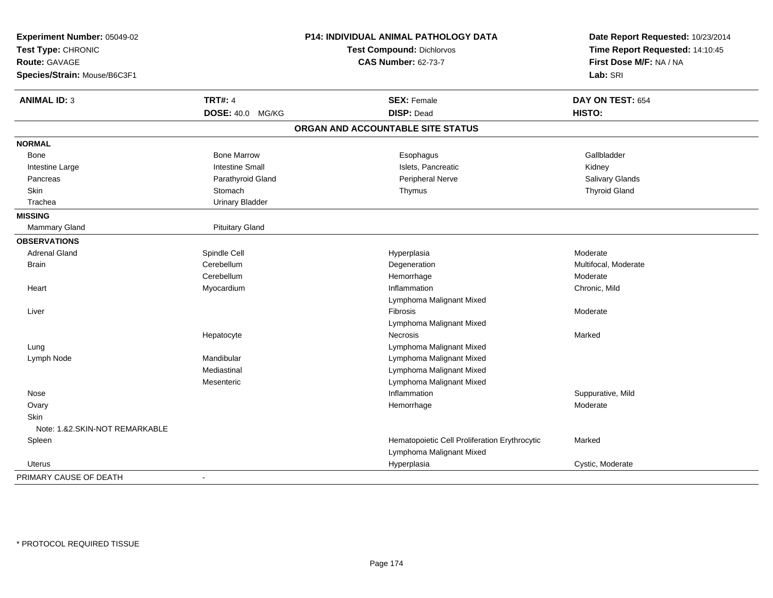| Experiment Number: 05049-02<br>Test Type: CHRONIC<br><b>Route: GAVAGE</b> |                        | P14: INDIVIDUAL ANIMAL PATHOLOGY DATA<br><b>Test Compound: Dichlorvos</b><br><b>CAS Number: 62-73-7</b> | Date Report Requested: 10/23/2014<br>Time Report Requested: 14:10:45<br>First Dose M/F: NA / NA |
|---------------------------------------------------------------------------|------------------------|---------------------------------------------------------------------------------------------------------|-------------------------------------------------------------------------------------------------|
| Species/Strain: Mouse/B6C3F1                                              |                        |                                                                                                         | Lab: SRI                                                                                        |
| <b>ANIMAL ID: 3</b>                                                       | <b>TRT#: 4</b>         | <b>SEX: Female</b>                                                                                      | DAY ON TEST: 654                                                                                |
|                                                                           | DOSE: 40.0 MG/KG       | <b>DISP: Dead</b>                                                                                       | HISTO:                                                                                          |
|                                                                           |                        | ORGAN AND ACCOUNTABLE SITE STATUS                                                                       |                                                                                                 |
| <b>NORMAL</b>                                                             |                        |                                                                                                         |                                                                                                 |
| Bone                                                                      | <b>Bone Marrow</b>     | Esophagus                                                                                               | Gallbladder                                                                                     |
| Intestine Large                                                           | <b>Intestine Small</b> | Islets, Pancreatic                                                                                      | Kidney                                                                                          |
| Pancreas                                                                  | Parathyroid Gland      | Peripheral Nerve                                                                                        | Salivary Glands                                                                                 |
| Skin                                                                      | Stomach                | Thymus                                                                                                  | <b>Thyroid Gland</b>                                                                            |
| Trachea                                                                   | <b>Urinary Bladder</b> |                                                                                                         |                                                                                                 |
| <b>MISSING</b>                                                            |                        |                                                                                                         |                                                                                                 |
| Mammary Gland                                                             | <b>Pituitary Gland</b> |                                                                                                         |                                                                                                 |
| <b>OBSERVATIONS</b>                                                       |                        |                                                                                                         |                                                                                                 |
| <b>Adrenal Gland</b>                                                      | Spindle Cell           | Hyperplasia                                                                                             | Moderate                                                                                        |
| <b>Brain</b>                                                              | Cerebellum             | Degeneration                                                                                            | Multifocal, Moderate                                                                            |
|                                                                           | Cerebellum             | Hemorrhage                                                                                              | Moderate                                                                                        |
| Heart                                                                     | Myocardium             | Inflammation                                                                                            | Chronic, Mild                                                                                   |
|                                                                           |                        | Lymphoma Malignant Mixed                                                                                |                                                                                                 |
| Liver                                                                     |                        | Fibrosis                                                                                                | Moderate                                                                                        |
|                                                                           |                        | Lymphoma Malignant Mixed                                                                                |                                                                                                 |
|                                                                           | Hepatocyte             | Necrosis                                                                                                | Marked                                                                                          |
| Lung                                                                      |                        | Lymphoma Malignant Mixed                                                                                |                                                                                                 |
| Lymph Node                                                                | Mandibular             | Lymphoma Malignant Mixed                                                                                |                                                                                                 |
|                                                                           | Mediastinal            | Lymphoma Malignant Mixed                                                                                |                                                                                                 |
|                                                                           | Mesenteric             | Lymphoma Malignant Mixed                                                                                |                                                                                                 |
| Nose                                                                      |                        | Inflammation                                                                                            | Suppurative, Mild                                                                               |
| Ovary                                                                     |                        | Hemorrhage                                                                                              | Moderate                                                                                        |
| Skin                                                                      |                        |                                                                                                         |                                                                                                 |
| Note: 1.&2.SKIN-NOT REMARKABLE                                            |                        |                                                                                                         |                                                                                                 |
| Spleen                                                                    |                        | Hematopoietic Cell Proliferation Erythrocytic                                                           | Marked                                                                                          |
|                                                                           |                        | Lymphoma Malignant Mixed                                                                                |                                                                                                 |
| Uterus                                                                    |                        | Hyperplasia                                                                                             | Cystic, Moderate                                                                                |
| PRIMARY CAUSE OF DEATH                                                    |                        |                                                                                                         |                                                                                                 |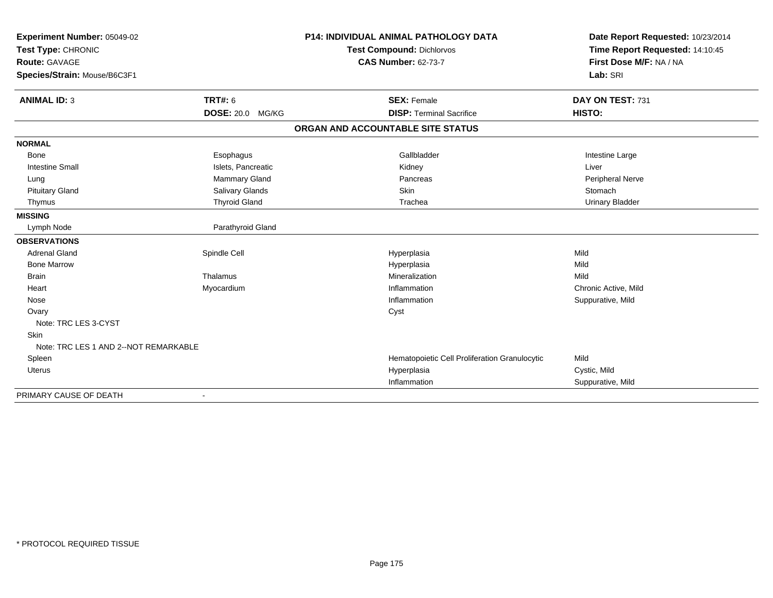| Experiment Number: 05049-02<br>Test Type: CHRONIC |                         | <b>P14: INDIVIDUAL ANIMAL PATHOLOGY DATA</b>  | Date Report Requested: 10/23/2014<br>Time Report Requested: 14:10:45 |
|---------------------------------------------------|-------------------------|-----------------------------------------------|----------------------------------------------------------------------|
|                                                   |                         | <b>Test Compound: Dichlorvos</b>              |                                                                      |
| <b>Route: GAVAGE</b>                              |                         | <b>CAS Number: 62-73-7</b>                    | First Dose M/F: NA / NA                                              |
| Species/Strain: Mouse/B6C3F1                      |                         |                                               | Lab: SRI                                                             |
|                                                   |                         |                                               |                                                                      |
| <b>ANIMAL ID: 3</b>                               | <b>TRT#: 6</b>          | <b>SEX: Female</b>                            | DAY ON TEST: 731                                                     |
|                                                   | <b>DOSE: 20.0 MG/KG</b> | <b>DISP: Terminal Sacrifice</b>               | HISTO:                                                               |
|                                                   |                         | ORGAN AND ACCOUNTABLE SITE STATUS             |                                                                      |
| <b>NORMAL</b>                                     |                         |                                               |                                                                      |
| <b>Bone</b>                                       | Esophagus               | Gallbladder                                   | Intestine Large                                                      |
| <b>Intestine Small</b>                            | Islets, Pancreatic      | Kidney                                        | Liver                                                                |
| Lung                                              | <b>Mammary Gland</b>    | Pancreas                                      | <b>Peripheral Nerve</b>                                              |
| <b>Pituitary Gland</b>                            | Salivary Glands         | <b>Skin</b>                                   | Stomach                                                              |
| Thymus                                            | <b>Thyroid Gland</b>    | Trachea                                       | <b>Urinary Bladder</b>                                               |
| <b>MISSING</b>                                    |                         |                                               |                                                                      |
| Lymph Node                                        | Parathyroid Gland       |                                               |                                                                      |
| <b>OBSERVATIONS</b>                               |                         |                                               |                                                                      |
| <b>Adrenal Gland</b>                              | Spindle Cell            | Hyperplasia                                   | Mild                                                                 |
| <b>Bone Marrow</b>                                |                         | Hyperplasia                                   | Mild                                                                 |
| <b>Brain</b>                                      | Thalamus                | Mineralization                                | Mild                                                                 |
| Heart                                             | Myocardium              | Inflammation                                  | Chronic Active, Mild                                                 |
| Nose                                              |                         | Inflammation                                  | Suppurative, Mild                                                    |
| Ovary                                             |                         | Cyst                                          |                                                                      |
| Note: TRC LES 3-CYST                              |                         |                                               |                                                                      |
| <b>Skin</b>                                       |                         |                                               |                                                                      |
| Note: TRC LES 1 AND 2--NOT REMARKABLE             |                         |                                               |                                                                      |
| Spleen                                            |                         | Hematopoietic Cell Proliferation Granulocytic | Mild                                                                 |
| <b>Uterus</b>                                     |                         | Hyperplasia                                   | Cystic, Mild                                                         |
|                                                   |                         | Inflammation                                  | Suppurative, Mild                                                    |
| PRIMARY CAUSE OF DEATH                            |                         |                                               |                                                                      |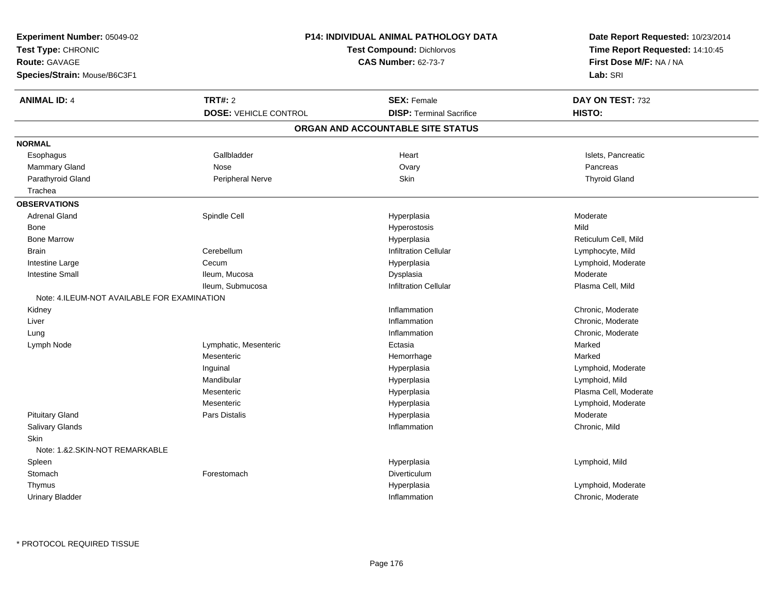| Experiment Number: 05049-02                 |                              | <b>P14: INDIVIDUAL ANIMAL PATHOLOGY DATA</b> |                                                                      |
|---------------------------------------------|------------------------------|----------------------------------------------|----------------------------------------------------------------------|
| Test Type: CHRONIC                          |                              | <b>Test Compound: Dichlorvos</b>             | Date Report Requested: 10/23/2014<br>Time Report Requested: 14:10:45 |
| Route: GAVAGE                               |                              | <b>CAS Number: 62-73-7</b>                   | First Dose M/F: NA / NA                                              |
| Species/Strain: Mouse/B6C3F1                |                              |                                              | Lab: SRI                                                             |
| <b>ANIMAL ID: 4</b>                         | <b>TRT#: 2</b>               | <b>SEX: Female</b>                           | DAY ON TEST: 732                                                     |
|                                             | <b>DOSE: VEHICLE CONTROL</b> | <b>DISP: Terminal Sacrifice</b>              | HISTO:                                                               |
|                                             |                              | ORGAN AND ACCOUNTABLE SITE STATUS            |                                                                      |
| <b>NORMAL</b>                               |                              |                                              |                                                                      |
| Esophagus                                   | Gallbladder                  | Heart                                        | Islets, Pancreatic                                                   |
| Mammary Gland                               | Nose                         | Ovary                                        | Pancreas                                                             |
| Parathyroid Gland                           | Peripheral Nerve             | Skin                                         | <b>Thyroid Gland</b>                                                 |
| Trachea                                     |                              |                                              |                                                                      |
| <b>OBSERVATIONS</b>                         |                              |                                              |                                                                      |
| <b>Adrenal Gland</b>                        | Spindle Cell                 | Hyperplasia                                  | Moderate                                                             |
| Bone                                        |                              | Hyperostosis                                 | Mild                                                                 |
| <b>Bone Marrow</b>                          |                              | Hyperplasia                                  | Reticulum Cell, Mild                                                 |
| <b>Brain</b>                                | Cerebellum                   | <b>Infiltration Cellular</b>                 | Lymphocyte, Mild                                                     |
| Intestine Large                             | Cecum                        | Hyperplasia                                  | Lymphoid, Moderate                                                   |
| <b>Intestine Small</b>                      | Ileum, Mucosa                | Dysplasia                                    | Moderate                                                             |
|                                             | Ileum, Submucosa             | <b>Infiltration Cellular</b>                 | Plasma Cell, Mild                                                    |
| Note: 4.ILEUM-NOT AVAILABLE FOR EXAMINATION |                              |                                              |                                                                      |
| Kidney                                      |                              | Inflammation                                 | Chronic, Moderate                                                    |
| Liver                                       |                              | Inflammation                                 | Chronic, Moderate                                                    |
| Lung                                        |                              | Inflammation                                 | Chronic, Moderate                                                    |
| Lymph Node                                  | Lymphatic, Mesenteric        | Ectasia                                      | Marked                                                               |
|                                             | Mesenteric                   | Hemorrhage                                   | Marked                                                               |
|                                             | Inguinal                     | Hyperplasia                                  | Lymphoid, Moderate                                                   |
|                                             | Mandibular                   | Hyperplasia                                  | Lymphoid, Mild                                                       |
|                                             | Mesenteric                   | Hyperplasia                                  | Plasma Cell, Moderate                                                |
|                                             | Mesenteric                   | Hyperplasia                                  | Lymphoid, Moderate                                                   |
| <b>Pituitary Gland</b>                      | Pars Distalis                | Hyperplasia                                  | Moderate                                                             |
| Salivary Glands                             |                              | Inflammation                                 | Chronic, Mild                                                        |
| <b>Skin</b>                                 |                              |                                              |                                                                      |
| Note: 1.&2.SKIN-NOT REMARKABLE              |                              |                                              |                                                                      |
| Spleen                                      |                              | Hyperplasia                                  | Lymphoid, Mild                                                       |
| Stomach                                     | Forestomach                  | Diverticulum                                 |                                                                      |
| Thymus                                      |                              | Hyperplasia                                  | Lymphoid, Moderate                                                   |
| <b>Urinary Bladder</b>                      |                              | Inflammation                                 | Chronic, Moderate                                                    |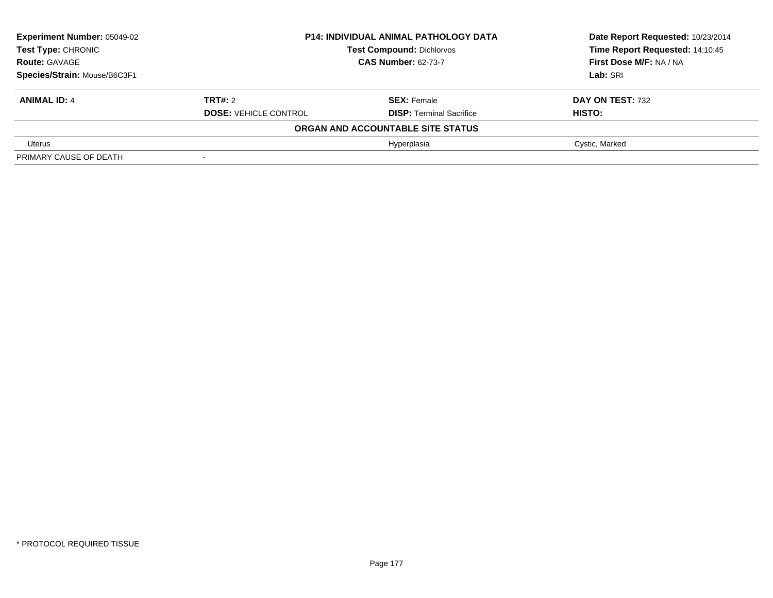| <b>Experiment Number: 05049-02</b> | <b>P14: INDIVIDUAL ANIMAL PATHOLOGY DATA</b> |                                   | Date Report Requested: 10/23/2014 |
|------------------------------------|----------------------------------------------|-----------------------------------|-----------------------------------|
| <b>Test Type: CHRONIC</b>          |                                              | <b>Test Compound: Dichlorvos</b>  | Time Report Requested: 14:10:45   |
| <b>Route: GAVAGE</b>               | <b>CAS Number: 62-73-7</b>                   |                                   | First Dose M/F: NA / NA           |
| Species/Strain: Mouse/B6C3F1       |                                              |                                   | Lab: SRI                          |
| <b>ANIMAL ID: 4</b>                | <b>TRT#:</b> 2                               | <b>SEX: Female</b>                | DAY ON TEST: 732                  |
|                                    | <b>DOSE: VEHICLE CONTROL</b>                 | <b>DISP: Terminal Sacrifice</b>   | HISTO:                            |
|                                    |                                              | ORGAN AND ACCOUNTABLE SITE STATUS |                                   |
| Uterus                             |                                              | Hyperplasia                       | Cystic, Marked                    |
| PRIMARY CAUSE OF DEATH             |                                              |                                   |                                   |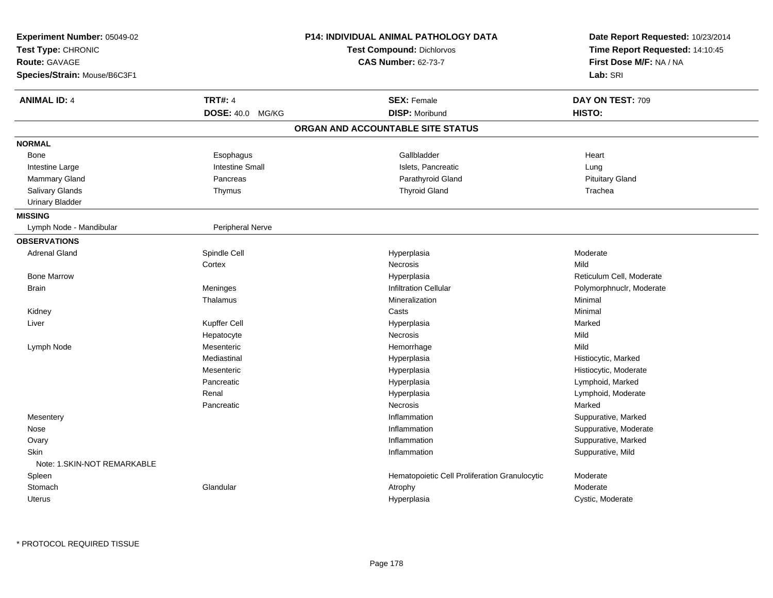| Experiment Number: 05049-02<br>Test Type: CHRONIC<br>Route: GAVAGE<br>Species/Strain: Mouse/B6C3F1 |                        | P14: INDIVIDUAL ANIMAL PATHOLOGY DATA<br><b>Test Compound: Dichlorvos</b><br><b>CAS Number: 62-73-7</b> | Date Report Requested: 10/23/2014<br>Time Report Requested: 14:10:45<br>First Dose M/F: NA / NA<br>Lab: SRI |
|----------------------------------------------------------------------------------------------------|------------------------|---------------------------------------------------------------------------------------------------------|-------------------------------------------------------------------------------------------------------------|
| <b>ANIMAL ID: 4</b>                                                                                | <b>TRT#: 4</b>         | <b>SEX: Female</b>                                                                                      | DAY ON TEST: 709                                                                                            |
|                                                                                                    | DOSE: 40.0 MG/KG       | <b>DISP: Moribund</b>                                                                                   | HISTO:                                                                                                      |
|                                                                                                    |                        | ORGAN AND ACCOUNTABLE SITE STATUS                                                                       |                                                                                                             |
| <b>NORMAL</b>                                                                                      |                        |                                                                                                         |                                                                                                             |
| Bone                                                                                               | Esophagus              | Gallbladder                                                                                             | Heart                                                                                                       |
| Intestine Large                                                                                    | <b>Intestine Small</b> | Islets, Pancreatic                                                                                      | Lung                                                                                                        |
| <b>Mammary Gland</b>                                                                               | Pancreas               | Parathyroid Gland                                                                                       | <b>Pituitary Gland</b>                                                                                      |
| Salivary Glands                                                                                    | Thymus                 | <b>Thyroid Gland</b>                                                                                    | Trachea                                                                                                     |
| <b>Urinary Bladder</b>                                                                             |                        |                                                                                                         |                                                                                                             |
| <b>MISSING</b>                                                                                     |                        |                                                                                                         |                                                                                                             |
| Lymph Node - Mandibular                                                                            | Peripheral Nerve       |                                                                                                         |                                                                                                             |
| <b>OBSERVATIONS</b>                                                                                |                        |                                                                                                         |                                                                                                             |
| <b>Adrenal Gland</b>                                                                               | Spindle Cell           | Hyperplasia                                                                                             | Moderate                                                                                                    |
|                                                                                                    | Cortex                 | Necrosis                                                                                                | Mild                                                                                                        |
| <b>Bone Marrow</b>                                                                                 |                        | Hyperplasia                                                                                             | Reticulum Cell, Moderate                                                                                    |
| <b>Brain</b>                                                                                       | Meninges               | <b>Infiltration Cellular</b>                                                                            | Polymorphnuclr, Moderate                                                                                    |
|                                                                                                    | Thalamus               | Mineralization                                                                                          | Minimal                                                                                                     |
| Kidney                                                                                             |                        | Casts                                                                                                   | Minimal                                                                                                     |
| Liver                                                                                              | Kupffer Cell           | Hyperplasia                                                                                             | Marked                                                                                                      |
|                                                                                                    | Hepatocyte             | Necrosis                                                                                                | Mild                                                                                                        |
| Lymph Node                                                                                         | Mesenteric             | Hemorrhage                                                                                              | Mild                                                                                                        |
|                                                                                                    | Mediastinal            | Hyperplasia                                                                                             | Histiocytic, Marked                                                                                         |
|                                                                                                    | Mesenteric             | Hyperplasia                                                                                             | Histiocytic, Moderate                                                                                       |
|                                                                                                    | Pancreatic             | Hyperplasia                                                                                             | Lymphoid, Marked                                                                                            |
|                                                                                                    | Renal                  | Hyperplasia                                                                                             | Lymphoid, Moderate                                                                                          |
|                                                                                                    | Pancreatic             | Necrosis                                                                                                | Marked                                                                                                      |
| Mesentery                                                                                          |                        | Inflammation                                                                                            | Suppurative, Marked                                                                                         |
| Nose                                                                                               |                        | Inflammation                                                                                            | Suppurative, Moderate                                                                                       |
| Ovary                                                                                              |                        | Inflammation                                                                                            | Suppurative, Marked                                                                                         |
| Skin                                                                                               |                        | Inflammation                                                                                            | Suppurative, Mild                                                                                           |
| Note: 1.SKIN-NOT REMARKABLE                                                                        |                        |                                                                                                         |                                                                                                             |
| Spleen                                                                                             |                        | Hematopoietic Cell Proliferation Granulocytic                                                           | Moderate                                                                                                    |
| Stomach                                                                                            | Glandular              | Atrophy                                                                                                 | Moderate                                                                                                    |
| <b>Uterus</b>                                                                                      |                        | Hyperplasia                                                                                             | Cystic, Moderate                                                                                            |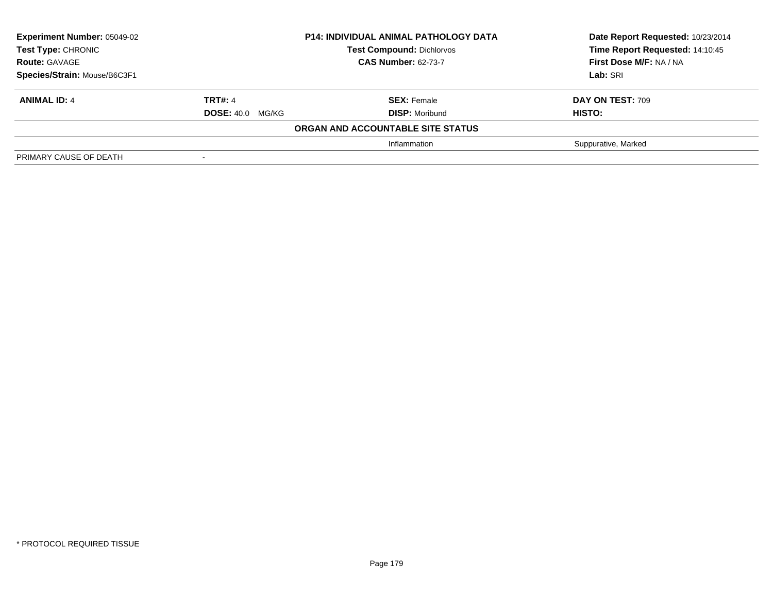| <b>Experiment Number: 05049-02</b><br><b>Test Type: CHRONIC</b><br><b>Route: GAVAGE</b><br>Species/Strain: Mouse/B6C3F1 | <b>P14: INDIVIDUAL ANIMAL PATHOLOGY DATA</b><br><b>Test Compound: Dichlorvos</b><br><b>CAS Number: 62-73-7</b> |                                             | Date Report Requested: 10/23/2014<br>Time Report Requested: 14:10:45<br>First Dose M/F: NA / NA<br>Lab: SRI |
|-------------------------------------------------------------------------------------------------------------------------|----------------------------------------------------------------------------------------------------------------|---------------------------------------------|-------------------------------------------------------------------------------------------------------------|
| <b>ANIMAL ID: 4</b>                                                                                                     | <b>TRT#: 4</b><br><b>DOSE: 40.0 MG/KG</b>                                                                      | <b>SEX:</b> Female<br><b>DISP: Moribund</b> | <b>DAY ON TEST: 709</b><br><b>HISTO:</b>                                                                    |
|                                                                                                                         |                                                                                                                | ORGAN AND ACCOUNTABLE SITE STATUS           |                                                                                                             |
|                                                                                                                         |                                                                                                                | Inflammation                                | Suppurative, Marked                                                                                         |
| PRIMARY CAUSE OF DEATH                                                                                                  |                                                                                                                |                                             |                                                                                                             |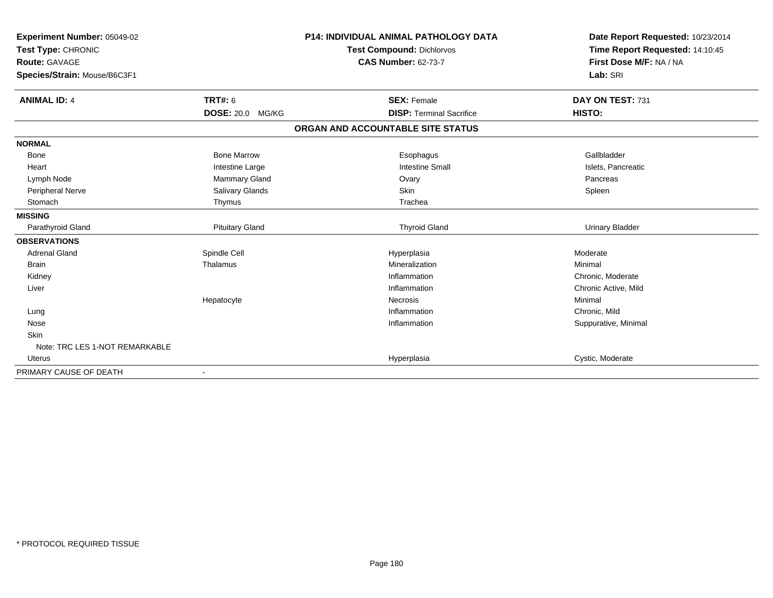| <b>Experiment Number: 05049-02</b><br>Test Type: CHRONIC<br><b>Route: GAVAGE</b><br>Species/Strain: Mouse/B6C3F1 |                         | <b>P14: INDIVIDUAL ANIMAL PATHOLOGY DATA</b><br>Test Compound: Dichlorvos<br><b>CAS Number: 62-73-7</b> | Date Report Requested: 10/23/2014<br>Time Report Requested: 14:10:45<br>First Dose M/F: NA / NA<br>Lab: SRI |
|------------------------------------------------------------------------------------------------------------------|-------------------------|---------------------------------------------------------------------------------------------------------|-------------------------------------------------------------------------------------------------------------|
| <b>ANIMAL ID: 4</b>                                                                                              | <b>TRT#: 6</b>          | <b>SEX: Female</b>                                                                                      | DAY ON TEST: 731                                                                                            |
|                                                                                                                  | <b>DOSE: 20.0 MG/KG</b> | <b>DISP: Terminal Sacrifice</b>                                                                         | HISTO:                                                                                                      |
|                                                                                                                  |                         | ORGAN AND ACCOUNTABLE SITE STATUS                                                                       |                                                                                                             |
| <b>NORMAL</b>                                                                                                    |                         |                                                                                                         |                                                                                                             |
| <b>Bone</b>                                                                                                      | <b>Bone Marrow</b>      | Esophagus                                                                                               | Gallbladder                                                                                                 |
| Heart                                                                                                            | Intestine Large         | <b>Intestine Small</b>                                                                                  | Islets, Pancreatic                                                                                          |
| Lymph Node                                                                                                       | Mammary Gland           | Ovary                                                                                                   | Pancreas                                                                                                    |
| Peripheral Nerve                                                                                                 | <b>Salivary Glands</b>  | Skin                                                                                                    | Spleen                                                                                                      |
| Stomach                                                                                                          | Thymus                  | Trachea                                                                                                 |                                                                                                             |
| <b>MISSING</b>                                                                                                   |                         |                                                                                                         |                                                                                                             |
| Parathyroid Gland                                                                                                | <b>Pituitary Gland</b>  | <b>Thyroid Gland</b>                                                                                    | <b>Urinary Bladder</b>                                                                                      |
| <b>OBSERVATIONS</b>                                                                                              |                         |                                                                                                         |                                                                                                             |
| <b>Adrenal Gland</b>                                                                                             | Spindle Cell            | Hyperplasia                                                                                             | Moderate                                                                                                    |
| <b>Brain</b>                                                                                                     | Thalamus                | Mineralization                                                                                          | Minimal                                                                                                     |
| Kidney                                                                                                           |                         | Inflammation                                                                                            | Chronic, Moderate                                                                                           |
| Liver                                                                                                            |                         | Inflammation                                                                                            | Chronic Active, Mild                                                                                        |
|                                                                                                                  | Hepatocyte              | Necrosis                                                                                                | Minimal                                                                                                     |
| Lung                                                                                                             |                         | Inflammation                                                                                            | Chronic, Mild                                                                                               |
| Nose                                                                                                             |                         | Inflammation                                                                                            | Suppurative, Minimal                                                                                        |
| <b>Skin</b>                                                                                                      |                         |                                                                                                         |                                                                                                             |
| Note: TRC LES 1-NOT REMARKABLE                                                                                   |                         |                                                                                                         |                                                                                                             |
| <b>Uterus</b>                                                                                                    |                         | Hyperplasia                                                                                             | Cystic, Moderate                                                                                            |
| PRIMARY CAUSE OF DEATH                                                                                           |                         |                                                                                                         |                                                                                                             |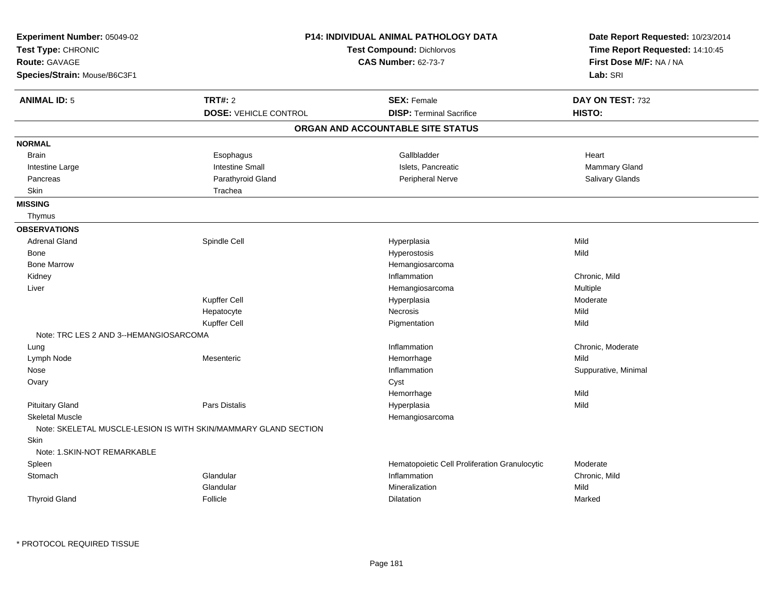| Experiment Number: 05049-02<br>Test Type: CHRONIC<br>Route: GAVAGE<br>Species/Strain: Mouse/B6C3F1 |                                                                 | <b>P14: INDIVIDUAL ANIMAL PATHOLOGY DATA</b><br><b>Test Compound: Dichlorvos</b><br><b>CAS Number: 62-73-7</b> | Date Report Requested: 10/23/2014<br>Time Report Requested: 14:10:45<br>First Dose M/F: NA / NA<br>Lab: SRI |
|----------------------------------------------------------------------------------------------------|-----------------------------------------------------------------|----------------------------------------------------------------------------------------------------------------|-------------------------------------------------------------------------------------------------------------|
| <b>ANIMAL ID: 5</b>                                                                                | TRT#: 2                                                         | <b>SEX: Female</b><br><b>DISP: Terminal Sacrifice</b>                                                          | DAY ON TEST: 732                                                                                            |
|                                                                                                    | <b>DOSE: VEHICLE CONTROL</b>                                    | ORGAN AND ACCOUNTABLE SITE STATUS                                                                              | HISTO:                                                                                                      |
|                                                                                                    |                                                                 |                                                                                                                |                                                                                                             |
| <b>NORMAL</b>                                                                                      |                                                                 |                                                                                                                |                                                                                                             |
| <b>Brain</b>                                                                                       | Esophagus                                                       | Gallbladder                                                                                                    | Heart                                                                                                       |
| Intestine Large                                                                                    | <b>Intestine Small</b>                                          | Islets, Pancreatic                                                                                             | <b>Mammary Gland</b>                                                                                        |
| Pancreas                                                                                           | Parathyroid Gland                                               | Peripheral Nerve                                                                                               | Salivary Glands                                                                                             |
| Skin                                                                                               | Trachea                                                         |                                                                                                                |                                                                                                             |
| <b>MISSING</b>                                                                                     |                                                                 |                                                                                                                |                                                                                                             |
| Thymus                                                                                             |                                                                 |                                                                                                                |                                                                                                             |
| <b>OBSERVATIONS</b>                                                                                |                                                                 |                                                                                                                |                                                                                                             |
| <b>Adrenal Gland</b>                                                                               | Spindle Cell                                                    | Hyperplasia                                                                                                    | Mild                                                                                                        |
| Bone                                                                                               |                                                                 | Hyperostosis                                                                                                   | Mild                                                                                                        |
| <b>Bone Marrow</b>                                                                                 |                                                                 | Hemangiosarcoma                                                                                                |                                                                                                             |
| Kidney                                                                                             |                                                                 | Inflammation                                                                                                   | Chronic, Mild                                                                                               |
| Liver                                                                                              |                                                                 | Hemangiosarcoma                                                                                                | Multiple                                                                                                    |
|                                                                                                    | Kupffer Cell                                                    | Hyperplasia                                                                                                    | Moderate                                                                                                    |
|                                                                                                    | Hepatocyte                                                      | <b>Necrosis</b>                                                                                                | Mild                                                                                                        |
|                                                                                                    | Kupffer Cell                                                    | Pigmentation                                                                                                   | Mild                                                                                                        |
| Note: TRC LES 2 AND 3--HEMANGIOSARCOMA                                                             |                                                                 |                                                                                                                |                                                                                                             |
| Lung                                                                                               |                                                                 | Inflammation                                                                                                   | Chronic, Moderate                                                                                           |
| Lymph Node                                                                                         | Mesenteric                                                      | Hemorrhage                                                                                                     | Mild                                                                                                        |
| Nose                                                                                               |                                                                 | Inflammation                                                                                                   | Suppurative, Minimal                                                                                        |
| Ovary                                                                                              |                                                                 | Cyst                                                                                                           |                                                                                                             |
|                                                                                                    |                                                                 | Hemorrhage                                                                                                     | Mild                                                                                                        |
| <b>Pituitary Gland</b>                                                                             | Pars Distalis                                                   | Hyperplasia                                                                                                    | Mild                                                                                                        |
| <b>Skeletal Muscle</b>                                                                             |                                                                 | Hemangiosarcoma                                                                                                |                                                                                                             |
|                                                                                                    | Note: SKELETAL MUSCLE-LESION IS WITH SKIN/MAMMARY GLAND SECTION |                                                                                                                |                                                                                                             |
| <b>Skin</b>                                                                                        |                                                                 |                                                                                                                |                                                                                                             |
| Note: 1.SKIN-NOT REMARKABLE                                                                        |                                                                 |                                                                                                                |                                                                                                             |
| Spleen                                                                                             |                                                                 | Hematopoietic Cell Proliferation Granulocytic                                                                  | Moderate                                                                                                    |
| Stomach                                                                                            | Glandular                                                       | Inflammation                                                                                                   | Chronic, Mild                                                                                               |
|                                                                                                    | Glandular                                                       | Mineralization                                                                                                 | Mild                                                                                                        |
| <b>Thyroid Gland</b>                                                                               | Follicle                                                        | <b>Dilatation</b>                                                                                              | Marked                                                                                                      |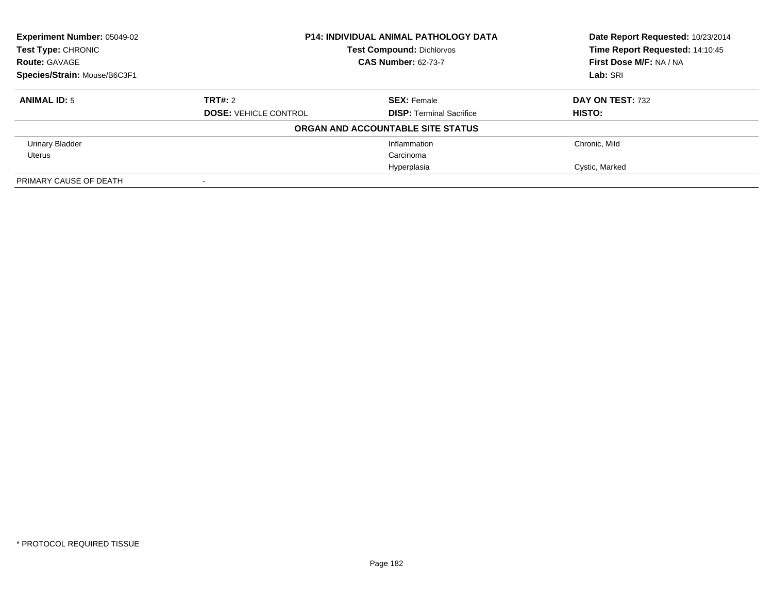| <b>Experiment Number: 05049-02</b> | <b>P14: INDIVIDUAL ANIMAL PATHOLOGY DATA</b><br><b>Test Compound: Dichlorvos</b> |                                   | Date Report Requested: 10/23/2014 |
|------------------------------------|----------------------------------------------------------------------------------|-----------------------------------|-----------------------------------|
| Test Type: CHRONIC                 |                                                                                  |                                   | Time Report Requested: 14:10:45   |
| <b>Route: GAVAGE</b>               |                                                                                  | <b>CAS Number: 62-73-7</b>        | First Dose M/F: NA / NA           |
| Species/Strain: Mouse/B6C3F1       |                                                                                  |                                   | Lab: SRI                          |
| <b>ANIMAL ID: 5</b>                | TRT#: 2                                                                          | <b>SEX: Female</b>                | DAY ON TEST: 732                  |
|                                    | <b>DOSE: VEHICLE CONTROL</b>                                                     | <b>DISP:</b> Terminal Sacrifice   | HISTO:                            |
|                                    |                                                                                  | ORGAN AND ACCOUNTABLE SITE STATUS |                                   |
| <b>Urinary Bladder</b>             |                                                                                  | Inflammation                      | Chronic, Mild                     |
| Uterus                             |                                                                                  | Carcinoma                         |                                   |
|                                    |                                                                                  | Hyperplasia                       | Cystic, Marked                    |
| PRIMARY CAUSE OF DEATH             |                                                                                  |                                   |                                   |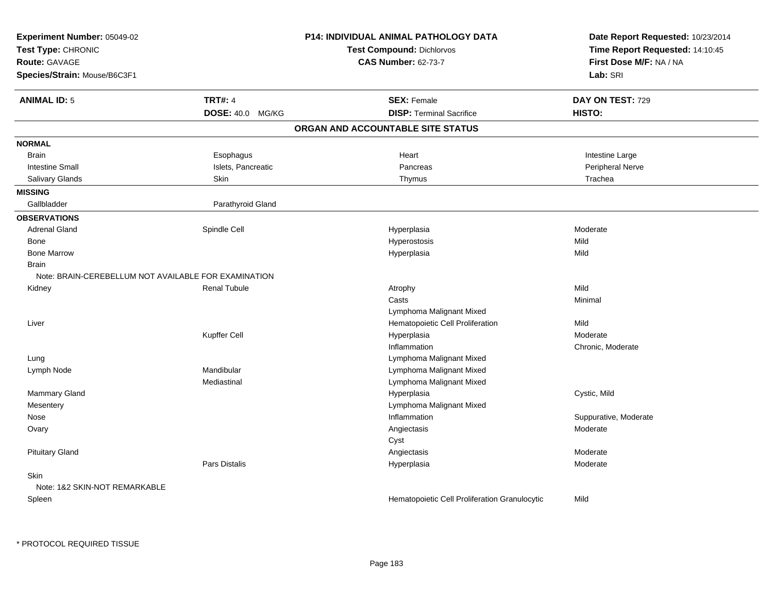| Experiment Number: 05049-02<br>Test Type: CHRONIC<br><b>Route: GAVAGE</b><br>Species/Strain: Mouse/B6C3F1 |                      | <b>P14: INDIVIDUAL ANIMAL PATHOLOGY DATA</b><br><b>Test Compound: Dichlorvos</b><br><b>CAS Number: 62-73-7</b> | Date Report Requested: 10/23/2014<br>Time Report Requested: 14:10:45<br>First Dose M/F: NA / NA<br>Lab: SRI |
|-----------------------------------------------------------------------------------------------------------|----------------------|----------------------------------------------------------------------------------------------------------------|-------------------------------------------------------------------------------------------------------------|
| <b>ANIMAL ID: 5</b>                                                                                       | <b>TRT#: 4</b>       | <b>SEX: Female</b>                                                                                             | DAY ON TEST: 729                                                                                            |
|                                                                                                           | DOSE: 40.0 MG/KG     | <b>DISP: Terminal Sacrifice</b>                                                                                | HISTO:                                                                                                      |
|                                                                                                           |                      | ORGAN AND ACCOUNTABLE SITE STATUS                                                                              |                                                                                                             |
| <b>NORMAL</b>                                                                                             |                      |                                                                                                                |                                                                                                             |
| <b>Brain</b>                                                                                              | Esophagus            | Heart                                                                                                          | Intestine Large                                                                                             |
| <b>Intestine Small</b>                                                                                    | Islets, Pancreatic   | Pancreas                                                                                                       | Peripheral Nerve                                                                                            |
| Salivary Glands                                                                                           | Skin                 | Thymus                                                                                                         | Trachea                                                                                                     |
| <b>MISSING</b>                                                                                            |                      |                                                                                                                |                                                                                                             |
| Gallbladder                                                                                               | Parathyroid Gland    |                                                                                                                |                                                                                                             |
| <b>OBSERVATIONS</b>                                                                                       |                      |                                                                                                                |                                                                                                             |
| <b>Adrenal Gland</b>                                                                                      | Spindle Cell         | Hyperplasia                                                                                                    | Moderate                                                                                                    |
| Bone                                                                                                      |                      | Hyperostosis                                                                                                   | Mild                                                                                                        |
| <b>Bone Marrow</b>                                                                                        |                      | Hyperplasia                                                                                                    | Mild                                                                                                        |
| <b>Brain</b>                                                                                              |                      |                                                                                                                |                                                                                                             |
| Note: BRAIN-CEREBELLUM NOT AVAILABLE FOR EXAMINATION                                                      |                      |                                                                                                                |                                                                                                             |
| Kidney                                                                                                    | <b>Renal Tubule</b>  | Atrophy                                                                                                        | Mild                                                                                                        |
|                                                                                                           |                      | Casts                                                                                                          | Minimal                                                                                                     |
|                                                                                                           |                      | Lymphoma Malignant Mixed                                                                                       |                                                                                                             |
| Liver                                                                                                     |                      | Hematopoietic Cell Proliferation                                                                               | Mild                                                                                                        |
|                                                                                                           | Kupffer Cell         | Hyperplasia                                                                                                    | Moderate                                                                                                    |
|                                                                                                           |                      | Inflammation                                                                                                   | Chronic, Moderate                                                                                           |
| Lung                                                                                                      |                      | Lymphoma Malignant Mixed                                                                                       |                                                                                                             |
| Lymph Node                                                                                                | Mandibular           | Lymphoma Malignant Mixed                                                                                       |                                                                                                             |
|                                                                                                           | Mediastinal          | Lymphoma Malignant Mixed                                                                                       |                                                                                                             |
| Mammary Gland                                                                                             |                      | Hyperplasia                                                                                                    | Cystic, Mild                                                                                                |
| Mesentery                                                                                                 |                      | Lymphoma Malignant Mixed                                                                                       |                                                                                                             |
| Nose                                                                                                      |                      | Inflammation                                                                                                   | Suppurative, Moderate                                                                                       |
| Ovary                                                                                                     |                      | Angiectasis                                                                                                    | Moderate                                                                                                    |
|                                                                                                           |                      | Cyst                                                                                                           |                                                                                                             |
| <b>Pituitary Gland</b>                                                                                    |                      | Angiectasis                                                                                                    | Moderate                                                                                                    |
|                                                                                                           | <b>Pars Distalis</b> | Hyperplasia                                                                                                    | Moderate                                                                                                    |
| <b>Skin</b>                                                                                               |                      |                                                                                                                |                                                                                                             |
| Note: 1&2 SKIN-NOT REMARKABLE                                                                             |                      |                                                                                                                |                                                                                                             |
| Spleen                                                                                                    |                      | Hematopoietic Cell Proliferation Granulocytic                                                                  | Mild                                                                                                        |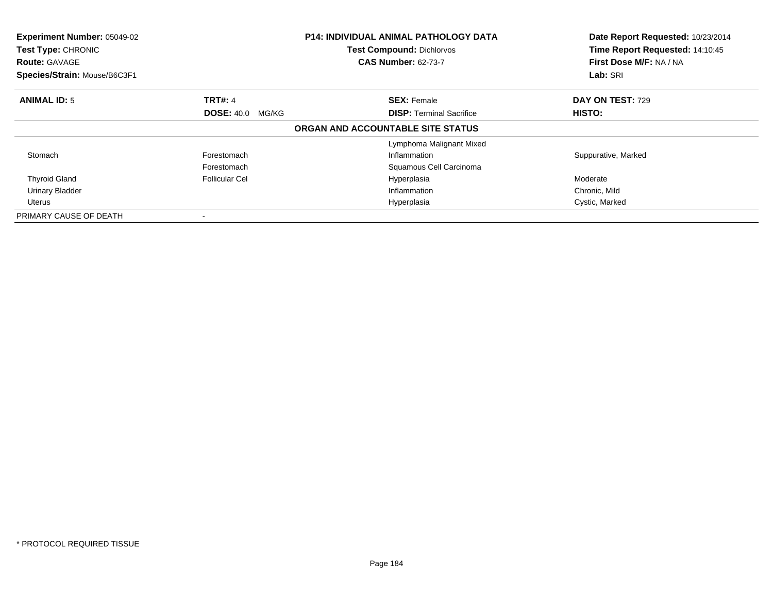| Experiment Number: 05049-02<br>Test Type: CHRONIC<br><b>Route: GAVAGE</b><br>Species/Strain: Mouse/B6C3F1 |                         | <b>P14: INDIVIDUAL ANIMAL PATHOLOGY DATA</b><br><b>Test Compound: Dichlorvos</b><br><b>CAS Number: 62-73-7</b> | Date Report Requested: 10/23/2014<br>Time Report Requested: 14:10:45<br>First Dose M/F: NA / NA<br>Lab: SRI |
|-----------------------------------------------------------------------------------------------------------|-------------------------|----------------------------------------------------------------------------------------------------------------|-------------------------------------------------------------------------------------------------------------|
| <b>ANIMAL ID: 5</b>                                                                                       | <b>TRT#: 4</b>          | <b>SEX: Female</b>                                                                                             | <b>DAY ON TEST: 729</b>                                                                                     |
|                                                                                                           | <b>DOSE: 40.0 MG/KG</b> | <b>DISP: Terminal Sacrifice</b>                                                                                | <b>HISTO:</b>                                                                                               |
|                                                                                                           |                         | ORGAN AND ACCOUNTABLE SITE STATUS                                                                              |                                                                                                             |
|                                                                                                           |                         | Lymphoma Malignant Mixed                                                                                       |                                                                                                             |
| Stomach                                                                                                   | Forestomach             | Inflammation                                                                                                   | Suppurative, Marked                                                                                         |
|                                                                                                           | Forestomach             | Squamous Cell Carcinoma                                                                                        |                                                                                                             |
| <b>Thyroid Gland</b>                                                                                      | Follicular Cel          | Hyperplasia                                                                                                    | Moderate                                                                                                    |
| <b>Urinary Bladder</b>                                                                                    |                         | Inflammation                                                                                                   | Chronic, Mild                                                                                               |
| Uterus                                                                                                    |                         | Hyperplasia                                                                                                    | Cystic, Marked                                                                                              |
| PRIMARY CAUSE OF DEATH                                                                                    |                         |                                                                                                                |                                                                                                             |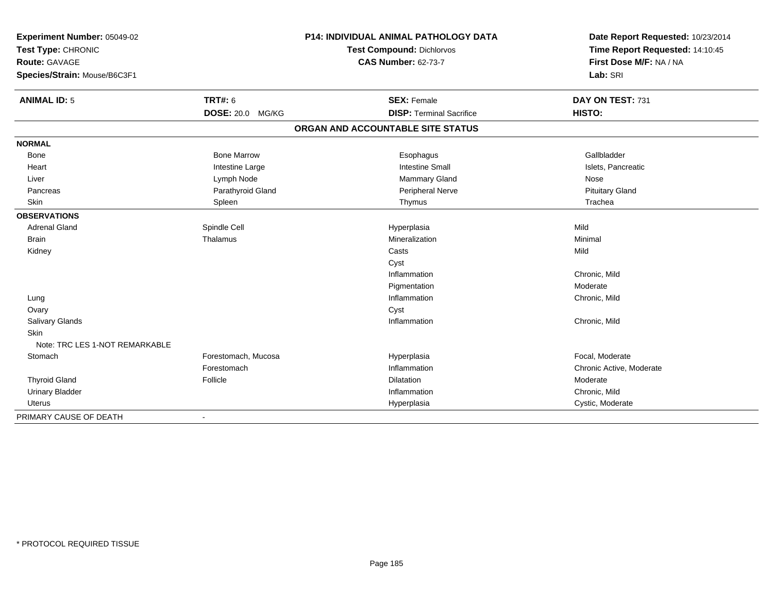| Experiment Number: 05049-02<br>Test Type: CHRONIC    |                     | P14: INDIVIDUAL ANIMAL PATHOLOGY DATA | Date Report Requested: 10/23/2014<br>Time Report Requested: 14:10:45 |
|------------------------------------------------------|---------------------|---------------------------------------|----------------------------------------------------------------------|
|                                                      |                     | Test Compound: Dichlorvos             |                                                                      |
| <b>Route: GAVAGE</b><br>Species/Strain: Mouse/B6C3F1 |                     | <b>CAS Number: 62-73-7</b>            | First Dose M/F: NA / NA<br>Lab: SRI                                  |
|                                                      |                     |                                       |                                                                      |
| <b>ANIMAL ID: 5</b>                                  | <b>TRT#: 6</b>      | <b>SEX: Female</b>                    | DAY ON TEST: 731                                                     |
|                                                      | DOSE: 20.0 MG/KG    | <b>DISP: Terminal Sacrifice</b>       | HISTO:                                                               |
|                                                      |                     | ORGAN AND ACCOUNTABLE SITE STATUS     |                                                                      |
| <b>NORMAL</b>                                        |                     |                                       |                                                                      |
| Bone                                                 | <b>Bone Marrow</b>  | Esophagus                             | Gallbladder                                                          |
| Heart                                                | Intestine Large     | <b>Intestine Small</b>                | Islets, Pancreatic                                                   |
| Liver                                                | Lymph Node          | Mammary Gland                         | Nose                                                                 |
| Pancreas                                             | Parathyroid Gland   | Peripheral Nerve                      | <b>Pituitary Gland</b>                                               |
| <b>Skin</b>                                          | Spleen              | Thymus                                | Trachea                                                              |
| <b>OBSERVATIONS</b>                                  |                     |                                       |                                                                      |
| <b>Adrenal Gland</b>                                 | Spindle Cell        | Hyperplasia                           | Mild                                                                 |
| <b>Brain</b>                                         | Thalamus            | Mineralization                        | Minimal                                                              |
| Kidney                                               |                     | Casts                                 | Mild                                                                 |
|                                                      |                     | Cyst                                  |                                                                      |
|                                                      |                     | Inflammation                          | Chronic, Mild                                                        |
|                                                      |                     | Pigmentation                          | Moderate                                                             |
| Lung                                                 |                     | Inflammation                          | Chronic, Mild                                                        |
| Ovary                                                |                     | Cyst                                  |                                                                      |
| Salivary Glands                                      |                     | Inflammation                          | Chronic, Mild                                                        |
| <b>Skin</b>                                          |                     |                                       |                                                                      |
| Note: TRC LES 1-NOT REMARKABLE                       |                     |                                       |                                                                      |
| Stomach                                              | Forestomach, Mucosa | Hyperplasia                           | Focal, Moderate                                                      |
|                                                      | Forestomach         | Inflammation                          | Chronic Active, Moderate                                             |
| <b>Thyroid Gland</b>                                 | Follicle            | Dilatation                            | Moderate                                                             |
| <b>Urinary Bladder</b>                               |                     | Inflammation                          | Chronic, Mild                                                        |
| Uterus                                               |                     | Hyperplasia                           | Cystic, Moderate                                                     |
| PRIMARY CAUSE OF DEATH                               |                     |                                       |                                                                      |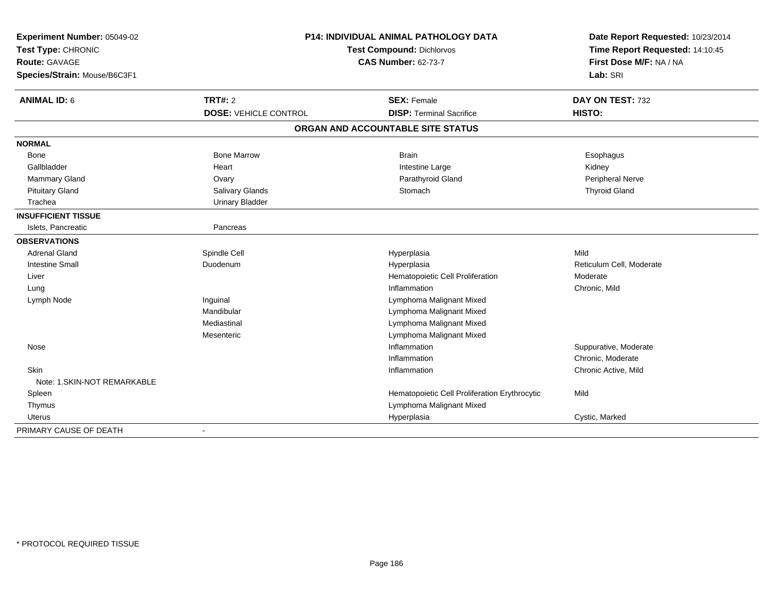| Experiment Number: 05049-02<br>Test Type: CHRONIC<br>Route: GAVAGE<br>Species/Strain: Mouse/B6C3F1 |                              | <b>P14: INDIVIDUAL ANIMAL PATHOLOGY DATA</b><br>Test Compound: Dichlorvos<br><b>CAS Number: 62-73-7</b> |                          |
|----------------------------------------------------------------------------------------------------|------------------------------|---------------------------------------------------------------------------------------------------------|--------------------------|
| <b>ANIMAL ID: 6</b>                                                                                | <b>TRT#: 2</b>               | <b>SEX: Female</b>                                                                                      | DAY ON TEST: 732         |
|                                                                                                    | <b>DOSE: VEHICLE CONTROL</b> | <b>DISP: Terminal Sacrifice</b>                                                                         | HISTO:                   |
|                                                                                                    |                              | ORGAN AND ACCOUNTABLE SITE STATUS                                                                       |                          |
| <b>NORMAL</b>                                                                                      |                              |                                                                                                         |                          |
| Bone                                                                                               | <b>Bone Marrow</b>           | <b>Brain</b>                                                                                            | Esophagus                |
| Gallbladder                                                                                        | Heart                        | Intestine Large                                                                                         | Kidney                   |
| Mammary Gland                                                                                      | Ovary                        | Parathyroid Gland                                                                                       | Peripheral Nerve         |
| <b>Pituitary Gland</b>                                                                             | Salivary Glands              | Stomach                                                                                                 | <b>Thyroid Gland</b>     |
| Trachea                                                                                            | <b>Urinary Bladder</b>       |                                                                                                         |                          |
| <b>INSUFFICIENT TISSUE</b>                                                                         |                              |                                                                                                         |                          |
| Islets, Pancreatic                                                                                 | Pancreas                     |                                                                                                         |                          |
| <b>OBSERVATIONS</b>                                                                                |                              |                                                                                                         |                          |
| <b>Adrenal Gland</b>                                                                               | Spindle Cell                 | Hyperplasia                                                                                             | Mild                     |
| <b>Intestine Small</b>                                                                             | Duodenum                     | Hyperplasia                                                                                             | Reticulum Cell, Moderate |
| Liver                                                                                              |                              | Hematopoietic Cell Proliferation                                                                        | Moderate                 |
| Lung                                                                                               |                              | Inflammation                                                                                            | Chronic, Mild            |
| Lymph Node                                                                                         | Inguinal                     | Lymphoma Malignant Mixed                                                                                |                          |
|                                                                                                    | Mandibular                   | Lymphoma Malignant Mixed                                                                                |                          |
|                                                                                                    | Mediastinal                  | Lymphoma Malignant Mixed                                                                                |                          |
|                                                                                                    | Mesenteric                   | Lymphoma Malignant Mixed                                                                                |                          |
| Nose                                                                                               |                              | Inflammation                                                                                            | Suppurative, Moderate    |
|                                                                                                    |                              | Inflammation                                                                                            | Chronic, Moderate        |
| Skin                                                                                               |                              | Inflammation                                                                                            | Chronic Active, Mild     |
| Note: 1.SKIN-NOT REMARKABLE                                                                        |                              |                                                                                                         |                          |
| Spleen                                                                                             |                              | Hematopoietic Cell Proliferation Erythrocytic                                                           | Mild                     |
| Thymus                                                                                             |                              | Lymphoma Malignant Mixed                                                                                |                          |
| Uterus                                                                                             |                              | Hyperplasia                                                                                             | Cystic, Marked           |
| PRIMARY CAUSE OF DEATH                                                                             | $\blacksquare$               |                                                                                                         |                          |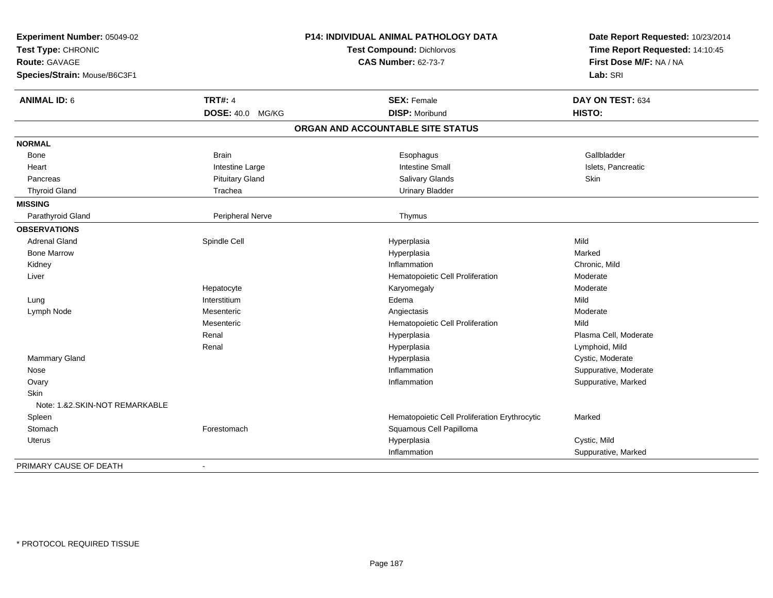| Experiment Number: 05049-02<br>Test Type: CHRONIC<br>Route: GAVAGE<br>Species/Strain: Mouse/B6C3F1 |                         | P14: INDIVIDUAL ANIMAL PATHOLOGY DATA<br><b>Test Compound: Dichlorvos</b><br><b>CAS Number: 62-73-7</b> | Date Report Requested: 10/23/2014<br>Time Report Requested: 14:10:45<br>First Dose M/F: NA / NA<br>Lab: SRI |
|----------------------------------------------------------------------------------------------------|-------------------------|---------------------------------------------------------------------------------------------------------|-------------------------------------------------------------------------------------------------------------|
| <b>ANIMAL ID: 6</b>                                                                                | <b>TRT#: 4</b>          | <b>SEX: Female</b>                                                                                      | DAY ON TEST: 634                                                                                            |
|                                                                                                    | <b>DOSE: 40.0 MG/KG</b> | <b>DISP: Moribund</b>                                                                                   | HISTO:                                                                                                      |
|                                                                                                    |                         | ORGAN AND ACCOUNTABLE SITE STATUS                                                                       |                                                                                                             |
| <b>NORMAL</b>                                                                                      |                         |                                                                                                         |                                                                                                             |
| Bone                                                                                               | <b>Brain</b>            | Esophagus                                                                                               | Gallbladder                                                                                                 |
| Heart                                                                                              | Intestine Large         | <b>Intestine Small</b>                                                                                  | Islets, Pancreatic                                                                                          |
| Pancreas                                                                                           | <b>Pituitary Gland</b>  | Salivary Glands                                                                                         | <b>Skin</b>                                                                                                 |
| <b>Thyroid Gland</b>                                                                               | Trachea                 | <b>Urinary Bladder</b>                                                                                  |                                                                                                             |
| <b>MISSING</b>                                                                                     |                         |                                                                                                         |                                                                                                             |
| Parathyroid Gland                                                                                  | Peripheral Nerve        | Thymus                                                                                                  |                                                                                                             |
| <b>OBSERVATIONS</b>                                                                                |                         |                                                                                                         |                                                                                                             |
| <b>Adrenal Gland</b>                                                                               | Spindle Cell            | Hyperplasia                                                                                             | Mild                                                                                                        |
| <b>Bone Marrow</b>                                                                                 |                         | Hyperplasia                                                                                             | Marked                                                                                                      |
| Kidney                                                                                             |                         | Inflammation                                                                                            | Chronic, Mild                                                                                               |
| Liver                                                                                              |                         | Hematopoietic Cell Proliferation                                                                        | Moderate                                                                                                    |
|                                                                                                    | Hepatocyte              | Karyomegaly                                                                                             | Moderate                                                                                                    |
| Lung                                                                                               | Interstitium            | Edema                                                                                                   | Mild                                                                                                        |
| Lymph Node                                                                                         | Mesenteric              | Angiectasis                                                                                             | Moderate                                                                                                    |
|                                                                                                    | Mesenteric              | Hematopoietic Cell Proliferation                                                                        | Mild                                                                                                        |
|                                                                                                    | Renal                   | Hyperplasia                                                                                             | Plasma Cell. Moderate                                                                                       |
|                                                                                                    | Renal                   | Hyperplasia                                                                                             | Lymphoid, Mild                                                                                              |
| Mammary Gland                                                                                      |                         | Hyperplasia                                                                                             | Cystic, Moderate                                                                                            |
| Nose                                                                                               |                         | Inflammation                                                                                            | Suppurative, Moderate                                                                                       |
| Ovary                                                                                              |                         | Inflammation                                                                                            | Suppurative, Marked                                                                                         |
| <b>Skin</b>                                                                                        |                         |                                                                                                         |                                                                                                             |
| Note: 1.&2.SKIN-NOT REMARKABLE                                                                     |                         |                                                                                                         |                                                                                                             |
| Spleen                                                                                             |                         | Hematopoietic Cell Proliferation Erythrocytic                                                           | Marked                                                                                                      |
| Stomach                                                                                            | Forestomach             | Squamous Cell Papilloma                                                                                 |                                                                                                             |
| <b>Uterus</b>                                                                                      |                         | Hyperplasia                                                                                             | Cystic, Mild                                                                                                |
|                                                                                                    |                         | Inflammation                                                                                            | Suppurative, Marked                                                                                         |
| PRIMARY CAUSE OF DEATH                                                                             | $\blacksquare$          |                                                                                                         |                                                                                                             |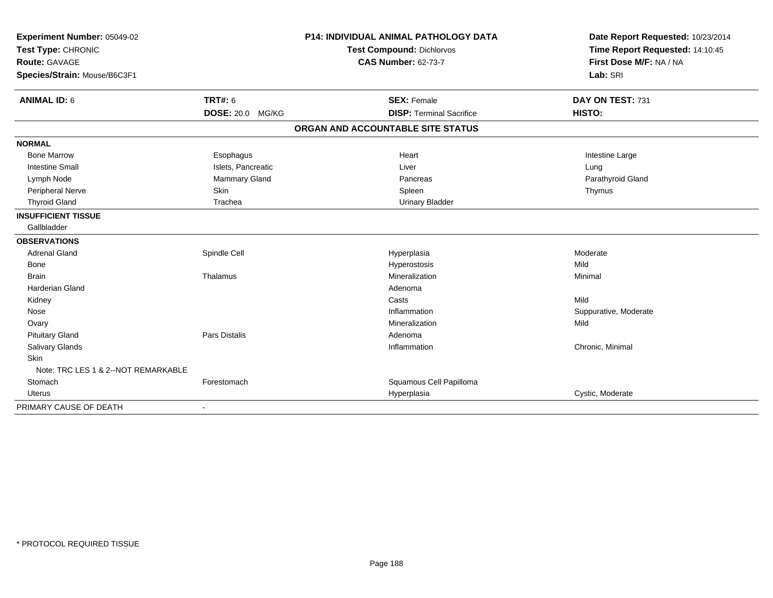| Experiment Number: 05049-02<br>Test Type: CHRONIC<br><b>Route: GAVAGE</b> |                            | <b>P14: INDIVIDUAL ANIMAL PATHOLOGY DATA</b> | Date Report Requested: 10/23/2014 |  |
|---------------------------------------------------------------------------|----------------------------|----------------------------------------------|-----------------------------------|--|
|                                                                           |                            | <b>Test Compound: Dichlorvos</b>             | Time Report Requested: 14:10:45   |  |
|                                                                           |                            | <b>CAS Number: 62-73-7</b>                   | First Dose M/F: NA / NA           |  |
| Species/Strain: Mouse/B6C3F1                                              |                            |                                              | Lab: SRI                          |  |
| <b>ANIMAL ID: 6</b>                                                       | <b>TRT#: 6</b>             | <b>SEX: Female</b>                           | DAY ON TEST: 731                  |  |
|                                                                           | <b>DOSE: 20.0</b><br>MG/KG | <b>DISP: Terminal Sacrifice</b>              | HISTO:                            |  |
|                                                                           |                            | ORGAN AND ACCOUNTABLE SITE STATUS            |                                   |  |
| <b>NORMAL</b>                                                             |                            |                                              |                                   |  |
| <b>Bone Marrow</b>                                                        | Esophagus                  | Heart                                        | Intestine Large                   |  |
| <b>Intestine Small</b>                                                    | Islets, Pancreatic         | Liver                                        | Lung                              |  |
| Lymph Node                                                                | Mammary Gland              | Pancreas                                     | Parathyroid Gland                 |  |
| Peripheral Nerve                                                          | Skin                       | Spleen                                       | Thymus                            |  |
| <b>Thyroid Gland</b>                                                      | Trachea                    | <b>Urinary Bladder</b>                       |                                   |  |
| <b>INSUFFICIENT TISSUE</b>                                                |                            |                                              |                                   |  |
| Gallbladder                                                               |                            |                                              |                                   |  |
| <b>OBSERVATIONS</b>                                                       |                            |                                              |                                   |  |
| <b>Adrenal Gland</b>                                                      | Spindle Cell               | Hyperplasia                                  | Moderate                          |  |
| Bone                                                                      |                            | Hyperostosis                                 | Mild                              |  |
| <b>Brain</b>                                                              | Thalamus                   | Mineralization                               | Minimal                           |  |
| <b>Harderian Gland</b>                                                    |                            | Adenoma                                      |                                   |  |
| Kidney                                                                    |                            | Casts                                        | Mild                              |  |
| Nose                                                                      |                            | Inflammation                                 | Suppurative, Moderate             |  |
| Ovary                                                                     |                            | Mineralization                               | Mild                              |  |
| <b>Pituitary Gland</b>                                                    | <b>Pars Distalis</b>       | Adenoma                                      |                                   |  |
| Salivary Glands                                                           |                            | Inflammation                                 | Chronic, Minimal                  |  |
| Skin                                                                      |                            |                                              |                                   |  |
| Note: TRC LES 1 & 2--NOT REMARKABLE                                       |                            |                                              |                                   |  |
| Stomach                                                                   | Forestomach                | Squamous Cell Papilloma                      |                                   |  |
| Uterus                                                                    |                            | Hyperplasia                                  | Cystic, Moderate                  |  |
| PRIMARY CAUSE OF DEATH                                                    |                            |                                              |                                   |  |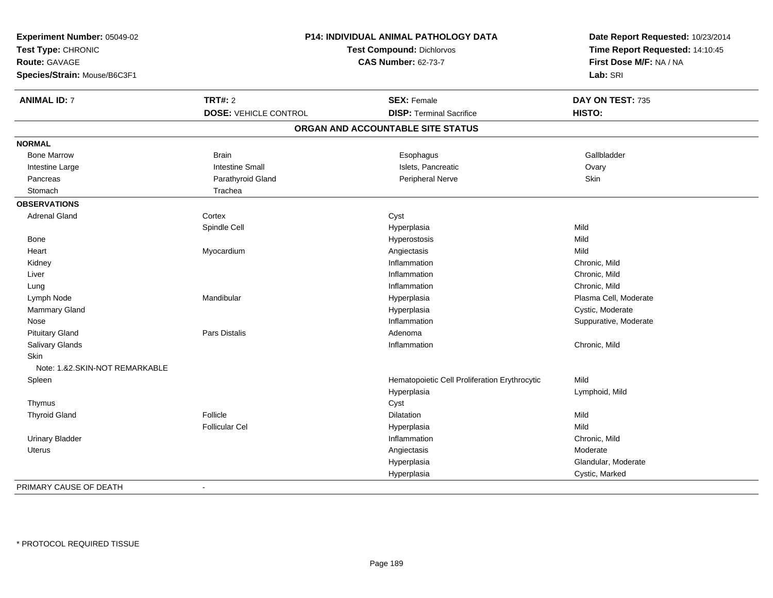| Experiment Number: 05049-02<br>Test Type: CHRONIC<br>Route: GAVAGE<br>Species/Strain: Mouse/B6C3F1 |                              | P14: INDIVIDUAL ANIMAL PATHOLOGY DATA<br>Test Compound: Dichlorvos<br><b>CAS Number: 62-73-7</b> | Date Report Requested: 10/23/2014<br>Time Report Requested: 14:10:45<br>First Dose M/F: NA / NA<br>Lab: SRI |
|----------------------------------------------------------------------------------------------------|------------------------------|--------------------------------------------------------------------------------------------------|-------------------------------------------------------------------------------------------------------------|
| <b>ANIMAL ID: 7</b>                                                                                | <b>TRT#: 2</b>               | <b>SEX: Female</b>                                                                               | DAY ON TEST: 735                                                                                            |
|                                                                                                    | <b>DOSE: VEHICLE CONTROL</b> | <b>DISP: Terminal Sacrifice</b>                                                                  | HISTO:                                                                                                      |
|                                                                                                    |                              | ORGAN AND ACCOUNTABLE SITE STATUS                                                                |                                                                                                             |
| <b>NORMAL</b>                                                                                      |                              |                                                                                                  |                                                                                                             |
| <b>Bone Marrow</b>                                                                                 | <b>Brain</b>                 | Esophagus                                                                                        | Gallbladder                                                                                                 |
| Intestine Large                                                                                    | <b>Intestine Small</b>       | Islets, Pancreatic                                                                               | Ovary                                                                                                       |
| Pancreas                                                                                           | Parathyroid Gland            | Peripheral Nerve                                                                                 | Skin                                                                                                        |
| Stomach                                                                                            | Trachea                      |                                                                                                  |                                                                                                             |
| <b>OBSERVATIONS</b>                                                                                |                              |                                                                                                  |                                                                                                             |
| <b>Adrenal Gland</b>                                                                               | Cortex                       | Cyst                                                                                             |                                                                                                             |
|                                                                                                    | Spindle Cell                 | Hyperplasia                                                                                      | Mild                                                                                                        |
| Bone                                                                                               |                              | Hyperostosis                                                                                     | Mild                                                                                                        |
| Heart                                                                                              | Myocardium                   | Angiectasis                                                                                      | Mild                                                                                                        |
| Kidney                                                                                             |                              | Inflammation                                                                                     | Chronic, Mild                                                                                               |
| Liver                                                                                              |                              | Inflammation                                                                                     | Chronic, Mild                                                                                               |
| Lung                                                                                               |                              | Inflammation                                                                                     | Chronic, Mild                                                                                               |
| Lymph Node                                                                                         | Mandibular                   | Hyperplasia                                                                                      | Plasma Cell, Moderate                                                                                       |
| Mammary Gland                                                                                      |                              | Hyperplasia                                                                                      | Cystic, Moderate                                                                                            |
| Nose                                                                                               |                              | Inflammation                                                                                     | Suppurative, Moderate                                                                                       |
| <b>Pituitary Gland</b>                                                                             | Pars Distalis                | Adenoma                                                                                          |                                                                                                             |
| Salivary Glands                                                                                    |                              | Inflammation                                                                                     | Chronic, Mild                                                                                               |
| Skin                                                                                               |                              |                                                                                                  |                                                                                                             |
| Note: 1.&2.SKIN-NOT REMARKABLE                                                                     |                              |                                                                                                  |                                                                                                             |
| Spleen                                                                                             |                              | Hematopoietic Cell Proliferation Erythrocytic                                                    | Mild                                                                                                        |
|                                                                                                    |                              | Hyperplasia                                                                                      | Lymphoid, Mild                                                                                              |
| Thymus                                                                                             |                              | Cyst                                                                                             |                                                                                                             |
| <b>Thyroid Gland</b>                                                                               | Follicle                     | Dilatation                                                                                       | Mild                                                                                                        |
|                                                                                                    | <b>Follicular Cel</b>        | Hyperplasia                                                                                      | Mild                                                                                                        |
| <b>Urinary Bladder</b>                                                                             |                              | Inflammation                                                                                     | Chronic, Mild                                                                                               |
| Uterus                                                                                             |                              | Angiectasis                                                                                      | Moderate                                                                                                    |
|                                                                                                    |                              | Hyperplasia                                                                                      | Glandular, Moderate                                                                                         |
|                                                                                                    |                              | Hyperplasia                                                                                      | Cystic, Marked                                                                                              |
| PRIMARY CAUSE OF DEATH                                                                             | $\sim$                       |                                                                                                  |                                                                                                             |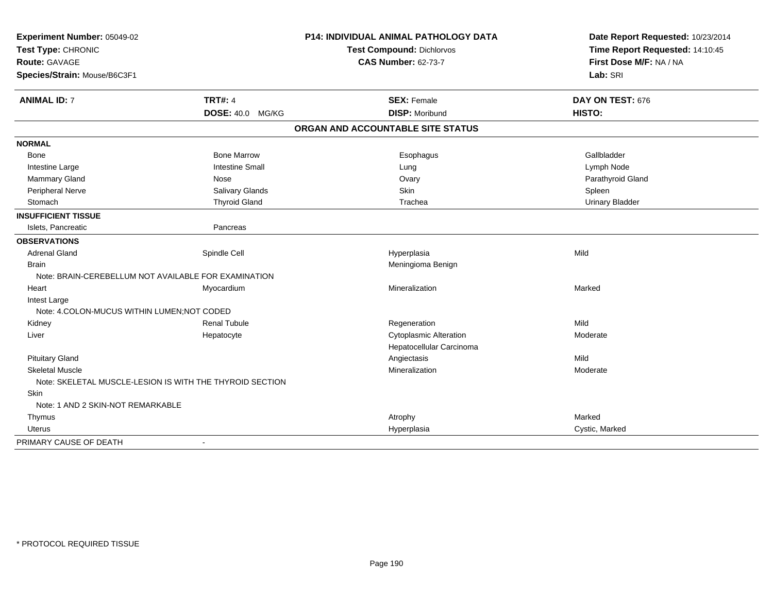| Experiment Number: 05049-02<br>Test Type: CHRONIC<br><b>Route: GAVAGE</b> |                        | <b>P14: INDIVIDUAL ANIMAL PATHOLOGY DATA</b> | Date Report Requested: 10/23/2014 |  |
|---------------------------------------------------------------------------|------------------------|----------------------------------------------|-----------------------------------|--|
|                                                                           |                        | Test Compound: Dichlorvos                    | Time Report Requested: 14:10:45   |  |
|                                                                           |                        | <b>CAS Number: 62-73-7</b>                   | First Dose M/F: NA / NA           |  |
| Species/Strain: Mouse/B6C3F1                                              |                        |                                              | Lab: SRI                          |  |
| <b>ANIMAL ID: 7</b>                                                       | <b>TRT#: 4</b>         | <b>SEX: Female</b>                           | DAY ON TEST: 676                  |  |
|                                                                           | DOSE: 40.0 MG/KG       | <b>DISP: Moribund</b>                        | <b>HISTO:</b>                     |  |
|                                                                           |                        | ORGAN AND ACCOUNTABLE SITE STATUS            |                                   |  |
| <b>NORMAL</b>                                                             |                        |                                              |                                   |  |
| <b>Bone</b>                                                               | <b>Bone Marrow</b>     | Esophagus                                    | Gallbladder                       |  |
| Intestine Large                                                           | <b>Intestine Small</b> | Lung                                         | Lymph Node                        |  |
| Mammary Gland                                                             | Nose                   | Ovary                                        | Parathyroid Gland                 |  |
| Peripheral Nerve                                                          | Salivary Glands        | Skin                                         | Spleen                            |  |
| Stomach                                                                   | <b>Thyroid Gland</b>   | Trachea                                      | <b>Urinary Bladder</b>            |  |
| <b>INSUFFICIENT TISSUE</b>                                                |                        |                                              |                                   |  |
| Islets, Pancreatic                                                        | Pancreas               |                                              |                                   |  |
| <b>OBSERVATIONS</b>                                                       |                        |                                              |                                   |  |
| <b>Adrenal Gland</b>                                                      | Spindle Cell           | Hyperplasia                                  | Mild                              |  |
| <b>Brain</b>                                                              |                        | Meningioma Benign                            |                                   |  |
| Note: BRAIN-CEREBELLUM NOT AVAILABLE FOR EXAMINATION                      |                        |                                              |                                   |  |
| Heart                                                                     | Myocardium             | Mineralization                               | Marked                            |  |
| Intest Large                                                              |                        |                                              |                                   |  |
| Note: 4.COLON-MUCUS WITHIN LUMEN; NOT CODED                               |                        |                                              |                                   |  |
| Kidney                                                                    | <b>Renal Tubule</b>    | Regeneration                                 | Mild                              |  |
| Liver                                                                     | Hepatocyte             | <b>Cytoplasmic Alteration</b>                | Moderate                          |  |
|                                                                           |                        | Hepatocellular Carcinoma                     |                                   |  |
| <b>Pituitary Gland</b>                                                    |                        | Angiectasis                                  | Mild                              |  |
| <b>Skeletal Muscle</b>                                                    |                        | Mineralization                               | Moderate                          |  |
| Note: SKELETAL MUSCLE-LESION IS WITH THE THYROID SECTION                  |                        |                                              |                                   |  |
| Skin                                                                      |                        |                                              |                                   |  |
| Note: 1 AND 2 SKIN-NOT REMARKABLE                                         |                        |                                              |                                   |  |
| Thymus                                                                    |                        | Atrophy                                      | Marked                            |  |
| Uterus                                                                    |                        | Hyperplasia                                  | Cystic, Marked                    |  |
| PRIMARY CAUSE OF DEATH                                                    |                        |                                              |                                   |  |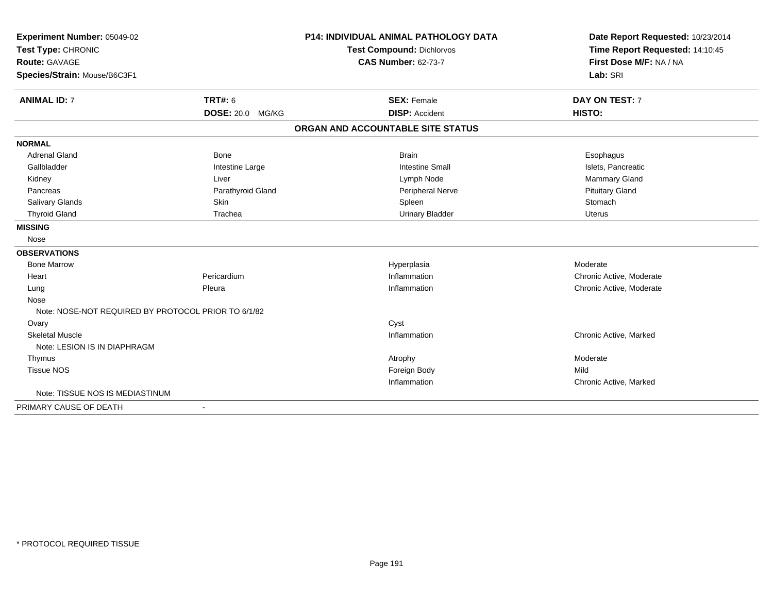| Experiment Number: 05049-02                         |                   | <b>P14: INDIVIDUAL ANIMAL PATHOLOGY DATA</b> | Date Report Requested: 10/23/2014 |
|-----------------------------------------------------|-------------------|----------------------------------------------|-----------------------------------|
| Test Type: CHRONIC                                  |                   | <b>Test Compound: Dichlorvos</b>             | Time Report Requested: 14:10:45   |
| Route: GAVAGE                                       |                   | <b>CAS Number: 62-73-7</b>                   | First Dose M/F: NA / NA           |
| Species/Strain: Mouse/B6C3F1                        |                   |                                              | Lab: SRI                          |
| <b>ANIMAL ID: 7</b>                                 | TRT#: 6           | <b>SEX: Female</b>                           | DAY ON TEST: 7                    |
|                                                     | DOSE: 20.0 MG/KG  | <b>DISP: Accident</b>                        | HISTO:                            |
|                                                     |                   | ORGAN AND ACCOUNTABLE SITE STATUS            |                                   |
| <b>NORMAL</b>                                       |                   |                                              |                                   |
| <b>Adrenal Gland</b>                                | Bone              | <b>Brain</b>                                 | Esophagus                         |
| Gallbladder                                         | Intestine Large   | <b>Intestine Small</b>                       | Islets, Pancreatic                |
| Kidney                                              | Liver             | Lymph Node                                   | <b>Mammary Gland</b>              |
| Pancreas                                            | Parathyroid Gland | Peripheral Nerve                             | <b>Pituitary Gland</b>            |
| Salivary Glands                                     | Skin              | Spleen                                       | Stomach                           |
| <b>Thyroid Gland</b>                                | Trachea           | <b>Urinary Bladder</b>                       | <b>Uterus</b>                     |
| <b>MISSING</b>                                      |                   |                                              |                                   |
| Nose                                                |                   |                                              |                                   |
| <b>OBSERVATIONS</b>                                 |                   |                                              |                                   |
| <b>Bone Marrow</b>                                  |                   | Hyperplasia                                  | Moderate                          |
| Heart                                               | Pericardium       | Inflammation                                 | Chronic Active, Moderate          |
| Lung                                                | Pleura            | Inflammation                                 | Chronic Active, Moderate          |
| Nose                                                |                   |                                              |                                   |
| Note: NOSE-NOT REQUIRED BY PROTOCOL PRIOR TO 6/1/82 |                   |                                              |                                   |
| Ovary                                               |                   | Cyst                                         |                                   |
| <b>Skeletal Muscle</b>                              |                   | Inflammation                                 | Chronic Active, Marked            |
| Note: LESION IS IN DIAPHRAGM                        |                   |                                              |                                   |
| Thymus                                              |                   | Atrophy                                      | Moderate                          |
| <b>Tissue NOS</b>                                   |                   | Foreign Body                                 | Mild                              |
|                                                     |                   | Inflammation                                 | Chronic Active, Marked            |
| Note: TISSUE NOS IS MEDIASTINUM                     |                   |                                              |                                   |
| PRIMARY CAUSE OF DEATH                              | $\blacksquare$    |                                              |                                   |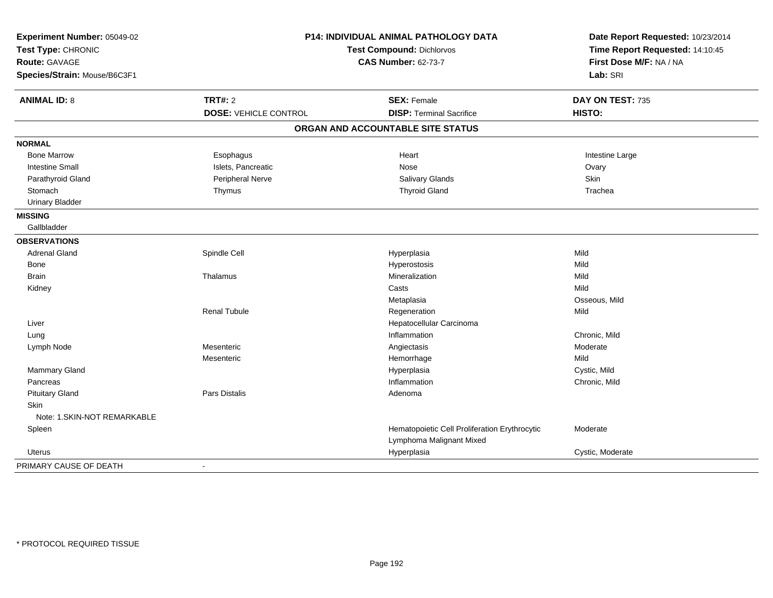| Experiment Number: 05049-02<br>Test Type: CHRONIC | P14: INDIVIDUAL ANIMAL PATHOLOGY DATA<br><b>Test Compound: Dichlorvos</b><br><b>CAS Number: 62-73-7</b> |                                                                           | Date Report Requested: 10/23/2014<br>Time Report Requested: 14:10:45 |
|---------------------------------------------------|---------------------------------------------------------------------------------------------------------|---------------------------------------------------------------------------|----------------------------------------------------------------------|
| <b>Route: GAVAGE</b>                              |                                                                                                         |                                                                           | First Dose M/F: NA / NA                                              |
| Species/Strain: Mouse/B6C3F1                      |                                                                                                         |                                                                           | Lab: SRI                                                             |
| <b>ANIMAL ID: 8</b>                               | <b>TRT#: 2</b>                                                                                          | <b>SEX: Female</b>                                                        | DAY ON TEST: 735                                                     |
|                                                   | <b>DOSE: VEHICLE CONTROL</b>                                                                            | <b>DISP: Terminal Sacrifice</b>                                           | HISTO:                                                               |
|                                                   |                                                                                                         | ORGAN AND ACCOUNTABLE SITE STATUS                                         |                                                                      |
| <b>NORMAL</b>                                     |                                                                                                         |                                                                           |                                                                      |
| <b>Bone Marrow</b>                                | Esophagus                                                                                               | Heart                                                                     | Intestine Large                                                      |
| <b>Intestine Small</b>                            | Islets, Pancreatic                                                                                      | Nose                                                                      | Ovary                                                                |
| Parathyroid Gland                                 | Peripheral Nerve                                                                                        | Salivary Glands                                                           | Skin                                                                 |
| Stomach                                           | Thymus                                                                                                  | <b>Thyroid Gland</b>                                                      | Trachea                                                              |
| <b>Urinary Bladder</b>                            |                                                                                                         |                                                                           |                                                                      |
| <b>MISSING</b>                                    |                                                                                                         |                                                                           |                                                                      |
| Gallbladder                                       |                                                                                                         |                                                                           |                                                                      |
| <b>OBSERVATIONS</b>                               |                                                                                                         |                                                                           |                                                                      |
| <b>Adrenal Gland</b>                              | Spindle Cell                                                                                            | Hyperplasia                                                               | Mild                                                                 |
| Bone                                              |                                                                                                         | Hyperostosis                                                              | Mild                                                                 |
| Brain                                             | Thalamus                                                                                                | Mineralization                                                            | Mild                                                                 |
| Kidney                                            |                                                                                                         | Casts                                                                     | Mild                                                                 |
|                                                   |                                                                                                         | Metaplasia                                                                | Osseous, Mild                                                        |
|                                                   | <b>Renal Tubule</b>                                                                                     | Regeneration                                                              | Mild                                                                 |
| Liver                                             |                                                                                                         | Hepatocellular Carcinoma                                                  |                                                                      |
| Lung                                              |                                                                                                         | Inflammation                                                              | Chronic, Mild                                                        |
| Lymph Node                                        | Mesenteric                                                                                              | Angiectasis                                                               | Moderate                                                             |
|                                                   | Mesenteric                                                                                              | Hemorrhage                                                                | Mild                                                                 |
| Mammary Gland                                     |                                                                                                         | Hyperplasia                                                               | Cystic, Mild                                                         |
| Pancreas                                          |                                                                                                         | Inflammation                                                              | Chronic, Mild                                                        |
| <b>Pituitary Gland</b>                            | Pars Distalis                                                                                           | Adenoma                                                                   |                                                                      |
| <b>Skin</b>                                       |                                                                                                         |                                                                           |                                                                      |
| Note: 1.SKIN-NOT REMARKABLE                       |                                                                                                         |                                                                           |                                                                      |
| Spleen                                            |                                                                                                         | Hematopoietic Cell Proliferation Erythrocytic<br>Lymphoma Malignant Mixed | Moderate                                                             |
| <b>Uterus</b>                                     |                                                                                                         | Hyperplasia                                                               | Cystic, Moderate                                                     |
| PRIMARY CAUSE OF DEATH                            | $\overline{a}$                                                                                          |                                                                           |                                                                      |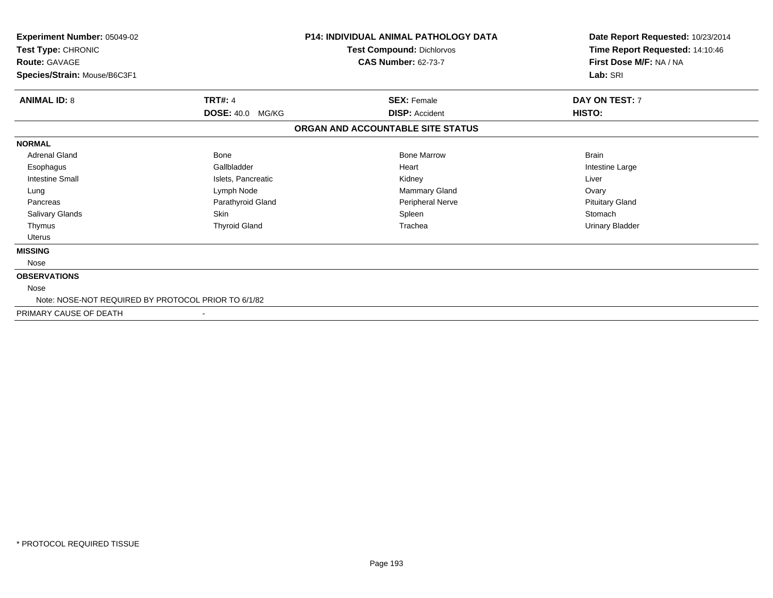| Experiment Number: 05049-02<br>Test Type: CHRONIC<br><b>Route: GAVAGE</b><br>Species/Strain: Mouse/B6C3F1 |                      | <b>P14: INDIVIDUAL ANIMAL PATHOLOGY DATA</b><br>Test Compound: Dichlorvos<br><b>CAS Number: 62-73-7</b> | Date Report Requested: 10/23/2014<br>Time Report Requested: 14:10:46<br>First Dose M/F: NA / NA<br>Lab: SRI |
|-----------------------------------------------------------------------------------------------------------|----------------------|---------------------------------------------------------------------------------------------------------|-------------------------------------------------------------------------------------------------------------|
| <b>TRT#: 4</b><br><b>ANIMAL ID: 8</b>                                                                     |                      | <b>SEX: Female</b>                                                                                      | DAY ON TEST: 7                                                                                              |
|                                                                                                           | DOSE: 40.0 MG/KG     | <b>DISP: Accident</b>                                                                                   | HISTO:                                                                                                      |
|                                                                                                           |                      | ORGAN AND ACCOUNTABLE SITE STATUS                                                                       |                                                                                                             |
| <b>NORMAL</b>                                                                                             |                      |                                                                                                         |                                                                                                             |
| <b>Adrenal Gland</b>                                                                                      | <b>Bone</b>          | <b>Bone Marrow</b>                                                                                      | <b>Brain</b>                                                                                                |
| Esophagus                                                                                                 | Gallbladder          | Heart                                                                                                   | Intestine Large                                                                                             |
| <b>Intestine Small</b>                                                                                    | Islets, Pancreatic   | Kidney                                                                                                  | Liver                                                                                                       |
| Lung                                                                                                      | Lymph Node           | Mammary Gland                                                                                           | Ovary                                                                                                       |
| Pancreas                                                                                                  | Parathyroid Gland    | Peripheral Nerve                                                                                        | <b>Pituitary Gland</b>                                                                                      |
| Salivary Glands<br><b>Skin</b>                                                                            |                      | Spleen                                                                                                  | Stomach                                                                                                     |
| Thymus                                                                                                    | <b>Thyroid Gland</b> | Trachea                                                                                                 | <b>Urinary Bladder</b>                                                                                      |
| Uterus                                                                                                    |                      |                                                                                                         |                                                                                                             |
| <b>MISSING</b>                                                                                            |                      |                                                                                                         |                                                                                                             |
| Nose                                                                                                      |                      |                                                                                                         |                                                                                                             |
| <b>OBSERVATIONS</b>                                                                                       |                      |                                                                                                         |                                                                                                             |
| Nose                                                                                                      |                      |                                                                                                         |                                                                                                             |
| Note: NOSE-NOT REQUIRED BY PROTOCOL PRIOR TO 6/1/82                                                       |                      |                                                                                                         |                                                                                                             |
| PRIMARY CAUSE OF DEATH                                                                                    |                      |                                                                                                         |                                                                                                             |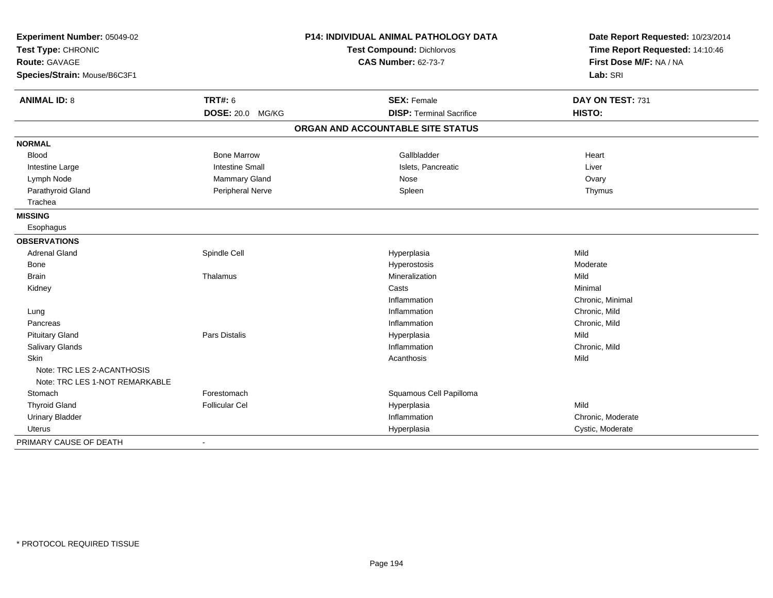| Experiment Number: 05049-02    |                        | <b>P14: INDIVIDUAL ANIMAL PATHOLOGY DATA</b> | Date Report Requested: 10/23/2014 |
|--------------------------------|------------------------|----------------------------------------------|-----------------------------------|
| Test Type: CHRONIC             |                        | <b>Test Compound: Dichlorvos</b>             | Time Report Requested: 14:10:46   |
| <b>Route: GAVAGE</b>           |                        | <b>CAS Number: 62-73-7</b>                   | First Dose M/F: NA / NA           |
| Species/Strain: Mouse/B6C3F1   |                        |                                              | Lab: SRI                          |
| <b>ANIMAL ID: 8</b>            | <b>TRT#: 6</b>         | <b>SEX: Female</b>                           | DAY ON TEST: 731                  |
|                                | DOSE: 20.0 MG/KG       | <b>DISP: Terminal Sacrifice</b>              | HISTO:                            |
|                                |                        | ORGAN AND ACCOUNTABLE SITE STATUS            |                                   |
| <b>NORMAL</b>                  |                        |                                              |                                   |
| <b>Blood</b>                   | <b>Bone Marrow</b>     | Gallbladder                                  | Heart                             |
| Intestine Large                | <b>Intestine Small</b> | Islets, Pancreatic                           | Liver                             |
| Lymph Node                     | Mammary Gland          | Nose                                         | Ovary                             |
| Parathyroid Gland              | Peripheral Nerve       | Spleen                                       | Thymus                            |
| Trachea                        |                        |                                              |                                   |
| <b>MISSING</b>                 |                        |                                              |                                   |
| Esophagus                      |                        |                                              |                                   |
| <b>OBSERVATIONS</b>            |                        |                                              |                                   |
| <b>Adrenal Gland</b>           | Spindle Cell           | Hyperplasia                                  | Mild                              |
| Bone                           |                        | Hyperostosis                                 | Moderate                          |
| <b>Brain</b>                   | Thalamus               | Mineralization                               | Mild                              |
| Kidney                         |                        | Casts                                        | Minimal                           |
|                                |                        | Inflammation                                 | Chronic, Minimal                  |
| Lung                           |                        | Inflammation                                 | Chronic, Mild                     |
| Pancreas                       |                        | Inflammation                                 | Chronic, Mild                     |
| <b>Pituitary Gland</b>         | <b>Pars Distalis</b>   | Hyperplasia                                  | Mild                              |
| Salivary Glands                |                        | Inflammation                                 | Chronic, Mild                     |
| Skin                           |                        | Acanthosis                                   | Mild                              |
| Note: TRC LES 2-ACANTHOSIS     |                        |                                              |                                   |
| Note: TRC LES 1-NOT REMARKABLE |                        |                                              |                                   |
| Stomach                        | Forestomach            | Squamous Cell Papilloma                      |                                   |
| <b>Thyroid Gland</b>           | <b>Follicular Cel</b>  | Hyperplasia                                  | Mild                              |
| <b>Urinary Bladder</b>         |                        | Inflammation                                 | Chronic, Moderate                 |
| Uterus                         |                        | Hyperplasia                                  | Cystic, Moderate                  |
| PRIMARY CAUSE OF DEATH         |                        |                                              |                                   |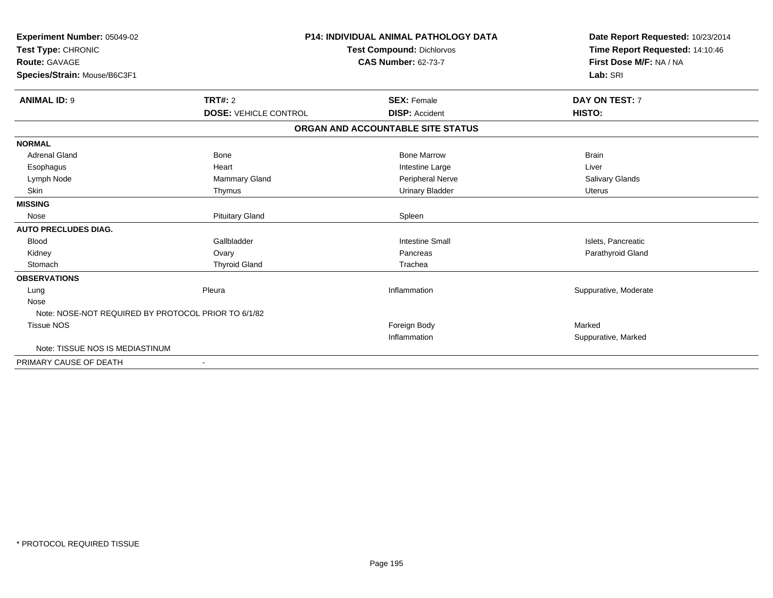| Experiment Number: 05049-02<br>Test Type: CHRONIC<br>Route: GAVAGE<br>Species/Strain: Mouse/B6C3F1 |                              | <b>P14: INDIVIDUAL ANIMAL PATHOLOGY DATA</b><br><b>Test Compound: Dichlorvos</b><br><b>CAS Number: 62-73-7</b> | Date Report Requested: 10/23/2014<br>Time Report Requested: 14:10:46<br>First Dose M/F: NA / NA<br>Lab: SRI |
|----------------------------------------------------------------------------------------------------|------------------------------|----------------------------------------------------------------------------------------------------------------|-------------------------------------------------------------------------------------------------------------|
| <b>ANIMAL ID: 9</b>                                                                                | TRT#: 2                      | <b>SEX: Female</b>                                                                                             | DAY ON TEST: 7                                                                                              |
|                                                                                                    | <b>DOSE: VEHICLE CONTROL</b> | <b>DISP: Accident</b><br>ORGAN AND ACCOUNTABLE SITE STATUS                                                     | HISTO:                                                                                                      |
|                                                                                                    |                              |                                                                                                                |                                                                                                             |
| <b>NORMAL</b>                                                                                      |                              |                                                                                                                |                                                                                                             |
| <b>Adrenal Gland</b>                                                                               | <b>Bone</b>                  | <b>Bone Marrow</b>                                                                                             | <b>Brain</b>                                                                                                |
| Esophagus                                                                                          | Heart                        | Intestine Large                                                                                                | Liver                                                                                                       |
| Lymph Node<br><b>Skin</b>                                                                          | Mammary Gland<br>Thymus      | Peripheral Nerve<br><b>Urinary Bladder</b>                                                                     | Salivary Glands<br><b>Uterus</b>                                                                            |
| <b>MISSING</b>                                                                                     |                              |                                                                                                                |                                                                                                             |
| Nose                                                                                               | <b>Pituitary Gland</b>       | Spleen                                                                                                         |                                                                                                             |
| <b>AUTO PRECLUDES DIAG.</b>                                                                        |                              |                                                                                                                |                                                                                                             |
| <b>Blood</b>                                                                                       | Gallbladder                  | <b>Intestine Small</b>                                                                                         | Islets, Pancreatic                                                                                          |
| Kidney                                                                                             | Ovary                        | Pancreas                                                                                                       | Parathyroid Gland                                                                                           |
| Stomach                                                                                            | <b>Thyroid Gland</b>         | Trachea                                                                                                        |                                                                                                             |
| <b>OBSERVATIONS</b>                                                                                |                              |                                                                                                                |                                                                                                             |
| Lung                                                                                               | Pleura                       | Inflammation                                                                                                   | Suppurative, Moderate                                                                                       |
| Nose                                                                                               |                              |                                                                                                                |                                                                                                             |
| Note: NOSE-NOT REQUIRED BY PROTOCOL PRIOR TO 6/1/82                                                |                              |                                                                                                                |                                                                                                             |
| <b>Tissue NOS</b>                                                                                  |                              | Foreign Body                                                                                                   | Marked                                                                                                      |
|                                                                                                    |                              | Inflammation                                                                                                   | Suppurative, Marked                                                                                         |
| Note: TISSUE NOS IS MEDIASTINUM                                                                    |                              |                                                                                                                |                                                                                                             |
| PRIMARY CAUSE OF DEATH                                                                             |                              |                                                                                                                |                                                                                                             |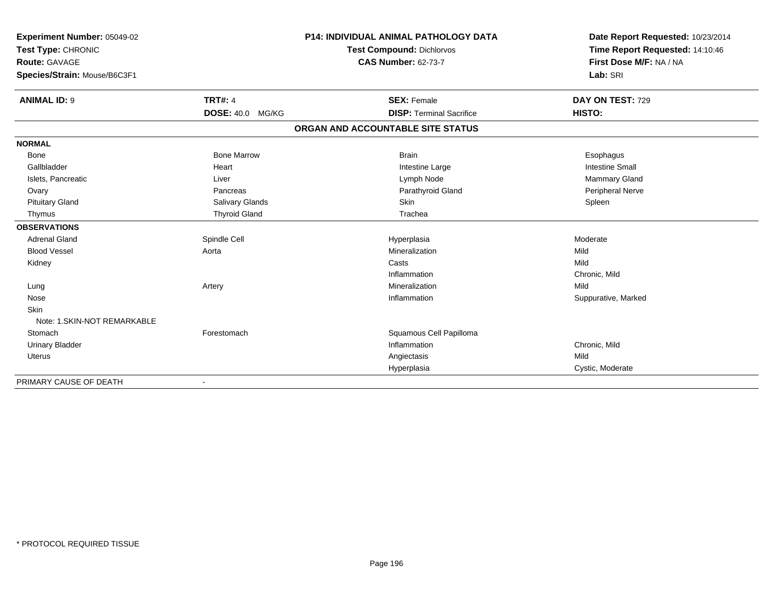| Experiment Number: 05049-02  |                         | <b>P14: INDIVIDUAL ANIMAL PATHOLOGY DATA</b> | Date Report Requested: 10/23/2014 |
|------------------------------|-------------------------|----------------------------------------------|-----------------------------------|
| Test Type: CHRONIC           |                         | <b>Test Compound: Dichlorvos</b>             | Time Report Requested: 14:10:46   |
| <b>Route: GAVAGE</b>         |                         | <b>CAS Number: 62-73-7</b>                   | First Dose M/F: NA / NA           |
| Species/Strain: Mouse/B6C3F1 |                         |                                              | Lab: SRI                          |
|                              |                         |                                              |                                   |
| <b>ANIMAL ID: 9</b>          | <b>TRT#: 4</b>          | <b>SEX: Female</b>                           | DAY ON TEST: 729                  |
|                              | <b>DOSE: 40.0 MG/KG</b> | <b>DISP: Terminal Sacrifice</b>              | HISTO:                            |
|                              |                         | ORGAN AND ACCOUNTABLE SITE STATUS            |                                   |
| <b>NORMAL</b>                |                         |                                              |                                   |
| <b>Bone</b>                  | <b>Bone Marrow</b>      | <b>Brain</b>                                 | Esophagus                         |
| Gallbladder                  | Heart                   | Intestine Large                              | <b>Intestine Small</b>            |
| Islets, Pancreatic           | Liver                   | Lymph Node                                   | <b>Mammary Gland</b>              |
| Ovary                        | Pancreas                | Parathyroid Gland                            | Peripheral Nerve                  |
| <b>Pituitary Gland</b>       | Salivary Glands         | Skin                                         | Spleen                            |
| Thymus                       | <b>Thyroid Gland</b>    | Trachea                                      |                                   |
| <b>OBSERVATIONS</b>          |                         |                                              |                                   |
| <b>Adrenal Gland</b>         | Spindle Cell            | Hyperplasia                                  | Moderate                          |
| <b>Blood Vessel</b>          | Aorta                   | Mineralization                               | Mild                              |
| Kidney                       |                         | Casts                                        | Mild                              |
|                              |                         | Inflammation                                 | Chronic, Mild                     |
| Lung                         | Artery                  | Mineralization                               | Mild                              |
| Nose                         |                         | Inflammation                                 | Suppurative, Marked               |
| <b>Skin</b>                  |                         |                                              |                                   |
| Note: 1.SKIN-NOT REMARKABLE  |                         |                                              |                                   |
| Stomach                      | Forestomach             | Squamous Cell Papilloma                      |                                   |
| <b>Urinary Bladder</b>       |                         | Inflammation                                 | Chronic, Mild                     |
| Uterus                       |                         | Angiectasis                                  | Mild                              |
|                              |                         | Hyperplasia                                  | Cystic, Moderate                  |

-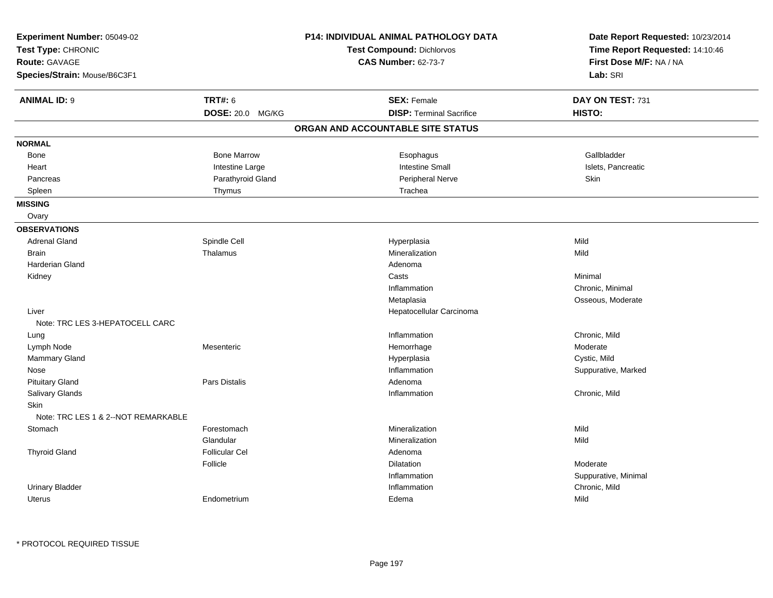| Experiment Number: 05049-02<br>Test Type: CHRONIC<br><b>Route: GAVAGE</b><br>Species/Strain: Mouse/B6C3F1 |                                           | <b>P14: INDIVIDUAL ANIMAL PATHOLOGY DATA</b><br><b>Test Compound: Dichlorvos</b><br><b>CAS Number: 62-73-7</b> | Date Report Requested: 10/23/2014<br>Time Report Requested: 14:10:46<br>First Dose M/F: NA / NA<br>Lab: SRI |
|-----------------------------------------------------------------------------------------------------------|-------------------------------------------|----------------------------------------------------------------------------------------------------------------|-------------------------------------------------------------------------------------------------------------|
| <b>ANIMAL ID: 9</b>                                                                                       | <b>TRT#: 6</b><br><b>DOSE: 20.0 MG/KG</b> | <b>SEX: Female</b><br><b>DISP: Terminal Sacrifice</b>                                                          | DAY ON TEST: 731<br>HISTO:                                                                                  |
|                                                                                                           |                                           | ORGAN AND ACCOUNTABLE SITE STATUS                                                                              |                                                                                                             |
| <b>NORMAL</b>                                                                                             |                                           |                                                                                                                |                                                                                                             |
| Bone                                                                                                      | <b>Bone Marrow</b>                        | Esophagus                                                                                                      | Gallbladder                                                                                                 |
| Heart                                                                                                     | Intestine Large                           | <b>Intestine Small</b>                                                                                         | Islets, Pancreatic                                                                                          |
| Pancreas                                                                                                  | Parathyroid Gland                         | <b>Peripheral Nerve</b>                                                                                        | Skin                                                                                                        |
| Spleen                                                                                                    | Thymus                                    | Trachea                                                                                                        |                                                                                                             |
| <b>MISSING</b>                                                                                            |                                           |                                                                                                                |                                                                                                             |
| Ovary                                                                                                     |                                           |                                                                                                                |                                                                                                             |
| <b>OBSERVATIONS</b>                                                                                       |                                           |                                                                                                                |                                                                                                             |
| <b>Adrenal Gland</b>                                                                                      | Spindle Cell                              | Hyperplasia                                                                                                    | Mild                                                                                                        |
| <b>Brain</b>                                                                                              | Thalamus                                  | Mineralization                                                                                                 | Mild                                                                                                        |
| Harderian Gland                                                                                           |                                           | Adenoma                                                                                                        |                                                                                                             |
| Kidney                                                                                                    |                                           | Casts                                                                                                          | Minimal                                                                                                     |
|                                                                                                           |                                           | Inflammation                                                                                                   | Chronic, Minimal                                                                                            |
|                                                                                                           |                                           | Metaplasia                                                                                                     | Osseous, Moderate                                                                                           |
| Liver                                                                                                     |                                           | Hepatocellular Carcinoma                                                                                       |                                                                                                             |
| Note: TRC LES 3-HEPATOCELL CARC                                                                           |                                           |                                                                                                                |                                                                                                             |
| Lung                                                                                                      |                                           | Inflammation                                                                                                   | Chronic, Mild                                                                                               |
| Lymph Node                                                                                                | Mesenteric                                | Hemorrhage                                                                                                     | Moderate                                                                                                    |
| Mammary Gland                                                                                             |                                           | Hyperplasia                                                                                                    | Cystic, Mild                                                                                                |
| Nose                                                                                                      |                                           | Inflammation                                                                                                   | Suppurative, Marked                                                                                         |
| <b>Pituitary Gland</b>                                                                                    | Pars Distalis                             | Adenoma                                                                                                        |                                                                                                             |
| Salivary Glands                                                                                           |                                           | Inflammation                                                                                                   | Chronic, Mild                                                                                               |
| Skin<br>Note: TRC LES 1 & 2--NOT REMARKABLE                                                               |                                           |                                                                                                                |                                                                                                             |
| Stomach                                                                                                   | Forestomach                               | Mineralization                                                                                                 | Mild                                                                                                        |
|                                                                                                           | Glandular                                 | Mineralization                                                                                                 | Mild                                                                                                        |
| <b>Thyroid Gland</b>                                                                                      | Follicular Cel                            | Adenoma                                                                                                        |                                                                                                             |
|                                                                                                           | Follicle                                  | Dilatation                                                                                                     | Moderate                                                                                                    |
|                                                                                                           |                                           | Inflammation                                                                                                   | Suppurative, Minimal                                                                                        |
| <b>Urinary Bladder</b>                                                                                    |                                           | Inflammation                                                                                                   | Chronic, Mild                                                                                               |
| Uterus                                                                                                    | Endometrium                               | Edema                                                                                                          | Mild                                                                                                        |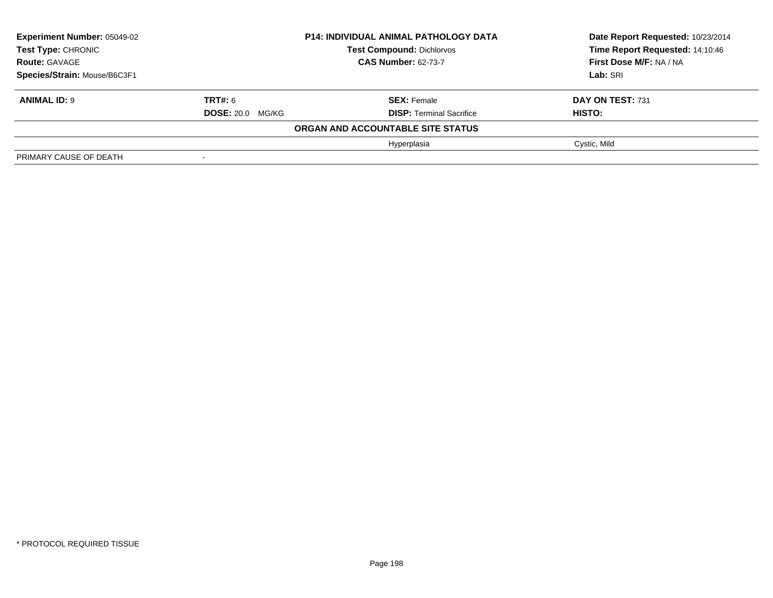| <b>Experiment Number: 05049-02</b><br>Test Type: CHRONIC |                         | <b>P14: INDIVIDUAL ANIMAL PATHOLOGY DATA</b> | Date Report Requested: 10/23/2014 |
|----------------------------------------------------------|-------------------------|----------------------------------------------|-----------------------------------|
|                                                          |                         | <b>Test Compound: Dichlorvos</b>             | Time Report Requested: 14:10:46   |
| <b>Route: GAVAGE</b>                                     |                         | <b>CAS Number: 62-73-7</b>                   | First Dose M/F: NA / NA           |
| Species/Strain: Mouse/B6C3F1                             |                         |                                              | Lab: SRI                          |
| <b>ANIMAL ID: 9</b>                                      | <b>TRT#: 6</b>          | <b>SEX: Female</b>                           | DAY ON TEST: 731                  |
|                                                          | <b>DOSE: 20.0 MG/KG</b> | <b>DISP: Terminal Sacrifice</b>              | HISTO:                            |
|                                                          |                         | ORGAN AND ACCOUNTABLE SITE STATUS            |                                   |
|                                                          |                         | Hyperplasia                                  | Cystic, Mild                      |
| PRIMARY CAUSE OF DEATH                                   | $\blacksquare$          |                                              |                                   |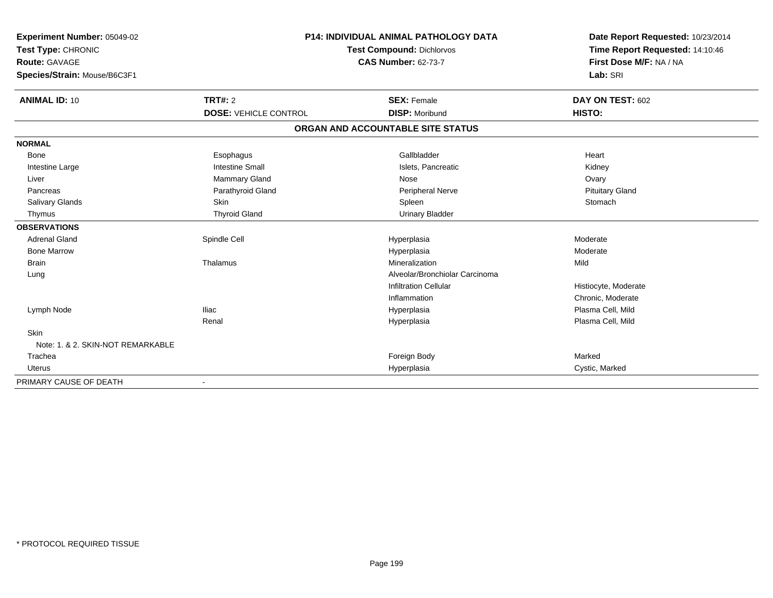| Experiment Number: 05049-02       |                              | <b>P14: INDIVIDUAL ANIMAL PATHOLOGY DATA</b> | Date Report Requested: 10/23/2014 |
|-----------------------------------|------------------------------|----------------------------------------------|-----------------------------------|
| Test Type: CHRONIC                |                              | <b>Test Compound: Dichlorvos</b>             | Time Report Requested: 14:10:46   |
| <b>Route: GAVAGE</b>              |                              | <b>CAS Number: 62-73-7</b>                   | First Dose M/F: NA / NA           |
| Species/Strain: Mouse/B6C3F1      |                              |                                              | Lab: SRI                          |
| <b>ANIMAL ID: 10</b>              | <b>TRT#: 2</b>               | <b>SEX: Female</b>                           | DAY ON TEST: 602                  |
|                                   | <b>DOSE: VEHICLE CONTROL</b> | <b>DISP: Moribund</b>                        | <b>HISTO:</b>                     |
|                                   |                              | ORGAN AND ACCOUNTABLE SITE STATUS            |                                   |
| <b>NORMAL</b>                     |                              |                                              |                                   |
| <b>Bone</b>                       | Esophagus                    | Gallbladder                                  | Heart                             |
| Intestine Large                   | <b>Intestine Small</b>       | Islets. Pancreatic                           | Kidney                            |
| Liver                             | <b>Mammary Gland</b>         | Nose                                         | Ovary                             |
| Pancreas                          | Parathyroid Gland            | Peripheral Nerve                             | <b>Pituitary Gland</b>            |
| <b>Salivary Glands</b>            | Skin                         | Spleen                                       | Stomach                           |
| Thymus                            | <b>Thyroid Gland</b>         | <b>Urinary Bladder</b>                       |                                   |
| <b>OBSERVATIONS</b>               |                              |                                              |                                   |
| <b>Adrenal Gland</b>              | Spindle Cell                 | Hyperplasia                                  | Moderate                          |
| <b>Bone Marrow</b>                |                              | Hyperplasia                                  | Moderate                          |
| <b>Brain</b>                      | Thalamus                     | Mineralization                               | Mild                              |
| Lung                              |                              | Alveolar/Bronchiolar Carcinoma               |                                   |
|                                   |                              | <b>Infiltration Cellular</b>                 | Histiocyte, Moderate              |
|                                   |                              | Inflammation                                 | Chronic, Moderate                 |
| Lymph Node                        | <b>Iliac</b>                 | Hyperplasia                                  | Plasma Cell, Mild                 |
|                                   | Renal                        | Hyperplasia                                  | Plasma Cell, Mild                 |
| Skin                              |                              |                                              |                                   |
| Note: 1, & 2, SKIN-NOT REMARKABLE |                              |                                              |                                   |
| Trachea                           |                              | Foreign Body                                 | Marked                            |
| <b>Uterus</b>                     |                              | Hyperplasia                                  | Cystic, Marked                    |
| PRIMARY CAUSE OF DEATH            |                              |                                              |                                   |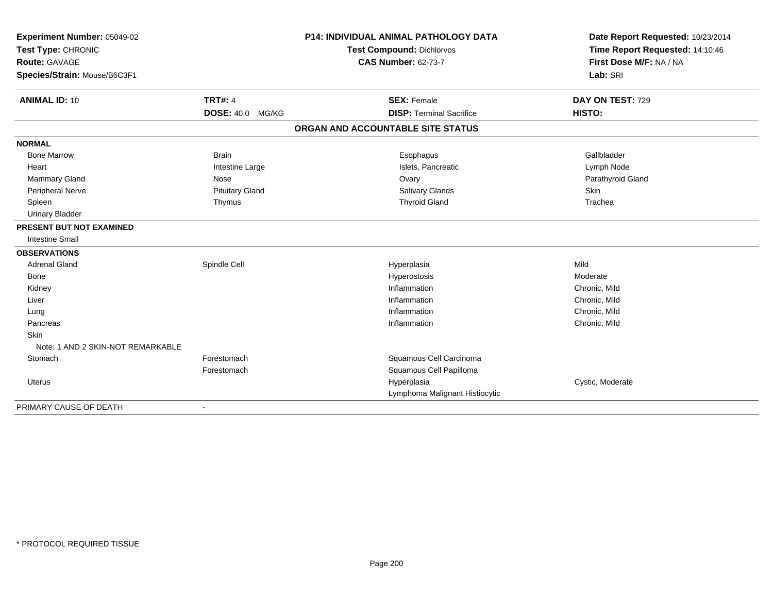| Experiment Number: 05049-02         |                         | <b>P14: INDIVIDUAL ANIMAL PATHOLOGY DATA</b> | Date Report Requested: 10/23/2014 |
|-------------------------------------|-------------------------|----------------------------------------------|-----------------------------------|
| Test Type: CHRONIC<br>Route: GAVAGE |                         | <b>Test Compound: Dichlorvos</b>             | Time Report Requested: 14:10:46   |
|                                     |                         | <b>CAS Number: 62-73-7</b>                   | First Dose M/F: NA / NA           |
| Species/Strain: Mouse/B6C3F1        |                         |                                              | Lab: SRI                          |
| <b>ANIMAL ID: 10</b>                | <b>TRT#: 4</b>          | <b>SEX: Female</b>                           | DAY ON TEST: 729                  |
|                                     | <b>DOSE: 40.0 MG/KG</b> | <b>DISP: Terminal Sacrifice</b>              | HISTO:                            |
|                                     |                         | ORGAN AND ACCOUNTABLE SITE STATUS            |                                   |
| <b>NORMAL</b>                       |                         |                                              |                                   |
| <b>Bone Marrow</b>                  | <b>Brain</b>            | Esophagus                                    | Gallbladder                       |
| Heart                               | Intestine Large         | Islets, Pancreatic                           | Lymph Node                        |
| Mammary Gland                       | Nose                    | Ovary                                        | Parathyroid Gland                 |
| Peripheral Nerve                    | <b>Pituitary Gland</b>  | Salivary Glands                              | Skin                              |
| Spleen                              | Thymus                  | <b>Thyroid Gland</b>                         | Trachea                           |
| <b>Urinary Bladder</b>              |                         |                                              |                                   |
| PRESENT BUT NOT EXAMINED            |                         |                                              |                                   |
| <b>Intestine Small</b>              |                         |                                              |                                   |
| <b>OBSERVATIONS</b>                 |                         |                                              |                                   |
| <b>Adrenal Gland</b>                | Spindle Cell            | Hyperplasia                                  | Mild                              |
| <b>Bone</b>                         |                         | Hyperostosis                                 | Moderate                          |
| Kidney                              |                         | Inflammation                                 | Chronic, Mild                     |
| Liver                               |                         | Inflammation                                 | Chronic, Mild                     |
| Lung                                |                         | Inflammation                                 | Chronic, Mild                     |
| Pancreas                            |                         | Inflammation                                 | Chronic, Mild                     |
| <b>Skin</b>                         |                         |                                              |                                   |
| Note: 1 AND 2 SKIN-NOT REMARKABLE   |                         |                                              |                                   |
| Stomach                             | Forestomach             | Squamous Cell Carcinoma                      |                                   |
|                                     | Forestomach             | Squamous Cell Papilloma                      |                                   |
| <b>Uterus</b>                       |                         | Hyperplasia                                  | Cystic, Moderate                  |
|                                     |                         | Lymphoma Malignant Histiocytic               |                                   |
| PRIMARY CAUSE OF DEATH              |                         |                                              |                                   |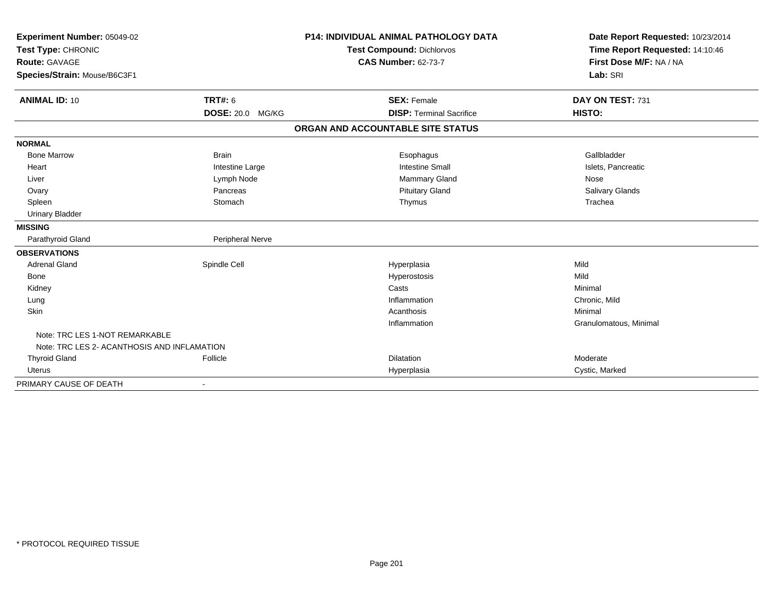| Experiment Number: 05049-02<br>Test Type: CHRONIC<br><b>Route: GAVAGE</b> |                  | <b>P14: INDIVIDUAL ANIMAL PATHOLOGY DATA</b><br><b>Test Compound: Dichlorvos</b><br><b>CAS Number: 62-73-7</b> | Date Report Requested: 10/23/2014<br>Time Report Requested: 14:10:46<br>First Dose M/F: NA / NA |
|---------------------------------------------------------------------------|------------------|----------------------------------------------------------------------------------------------------------------|-------------------------------------------------------------------------------------------------|
| Species/Strain: Mouse/B6C3F1                                              |                  |                                                                                                                | Lab: SRI                                                                                        |
| <b>ANIMAL ID: 10</b>                                                      | TRT#: 6          | <b>SEX: Female</b>                                                                                             | DAY ON TEST: 731                                                                                |
|                                                                           | DOSE: 20.0 MG/KG | <b>DISP: Terminal Sacrifice</b>                                                                                | HISTO:                                                                                          |
|                                                                           |                  | ORGAN AND ACCOUNTABLE SITE STATUS                                                                              |                                                                                                 |
| <b>NORMAL</b>                                                             |                  |                                                                                                                |                                                                                                 |
| <b>Bone Marrow</b>                                                        | <b>Brain</b>     | Esophagus                                                                                                      | Gallbladder                                                                                     |
| Heart                                                                     | Intestine Large  | <b>Intestine Small</b>                                                                                         | Islets, Pancreatic                                                                              |
| Liver                                                                     | Lymph Node       | Mammary Gland                                                                                                  | Nose                                                                                            |
| Ovary                                                                     | Pancreas         | <b>Pituitary Gland</b>                                                                                         | Salivary Glands                                                                                 |
| Spleen                                                                    | Stomach          | Thymus                                                                                                         | Trachea                                                                                         |
| <b>Urinary Bladder</b>                                                    |                  |                                                                                                                |                                                                                                 |
| <b>MISSING</b>                                                            |                  |                                                                                                                |                                                                                                 |
| Parathyroid Gland                                                         | Peripheral Nerve |                                                                                                                |                                                                                                 |
| <b>OBSERVATIONS</b>                                                       |                  |                                                                                                                |                                                                                                 |
| <b>Adrenal Gland</b>                                                      | Spindle Cell     | Hyperplasia                                                                                                    | Mild                                                                                            |
| Bone                                                                      |                  | Hyperostosis                                                                                                   | Mild                                                                                            |
| Kidney                                                                    |                  | Casts                                                                                                          | Minimal                                                                                         |
| Lung                                                                      |                  | Inflammation                                                                                                   | Chronic, Mild                                                                                   |
| Skin                                                                      |                  | Acanthosis                                                                                                     | Minimal                                                                                         |
|                                                                           |                  | Inflammation                                                                                                   | Granulomatous, Minimal                                                                          |
| Note: TRC LES 1-NOT REMARKABLE                                            |                  |                                                                                                                |                                                                                                 |
| Note: TRC LES 2- ACANTHOSIS AND INFLAMATION                               |                  |                                                                                                                |                                                                                                 |
| <b>Thyroid Gland</b>                                                      | Follicle         | Dilatation                                                                                                     | Moderate                                                                                        |
| <b>Uterus</b>                                                             |                  | Hyperplasia                                                                                                    | Cystic, Marked                                                                                  |
| PRIMARY CAUSE OF DEATH                                                    | $\blacksquare$   |                                                                                                                |                                                                                                 |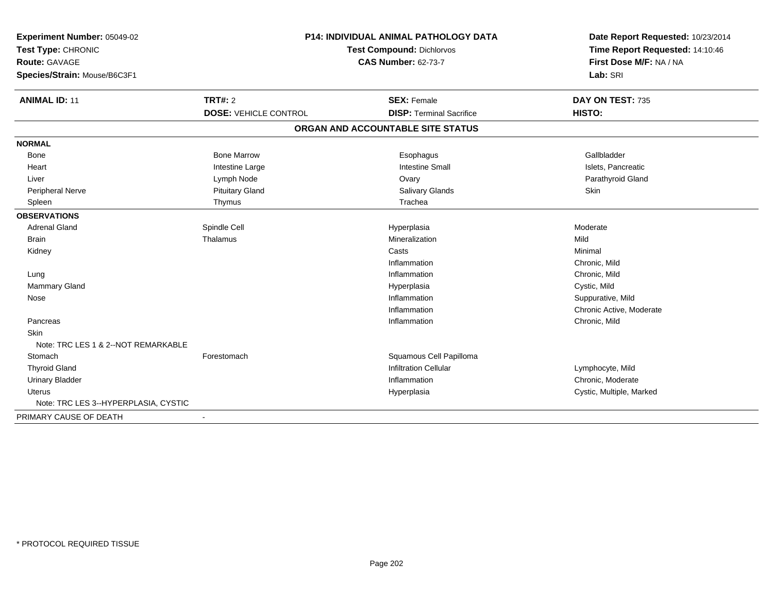| Experiment Number: 05049-02<br>Test Type: CHRONIC<br>Route: GAVAGE<br>Species/Strain: Mouse/B6C3F1 |                              | <b>P14: INDIVIDUAL ANIMAL PATHOLOGY DATA</b><br>Test Compound: Dichlorvos<br><b>CAS Number: 62-73-7</b> | Date Report Requested: 10/23/2014<br>Time Report Requested: 14:10:46<br>First Dose M/F: NA / NA<br>Lab: SRI |
|----------------------------------------------------------------------------------------------------|------------------------------|---------------------------------------------------------------------------------------------------------|-------------------------------------------------------------------------------------------------------------|
|                                                                                                    |                              |                                                                                                         |                                                                                                             |
| <b>ANIMAL ID: 11</b>                                                                               | <b>TRT#: 2</b>               | <b>SEX: Female</b>                                                                                      | DAY ON TEST: 735                                                                                            |
|                                                                                                    | <b>DOSE: VEHICLE CONTROL</b> | <b>DISP: Terminal Sacrifice</b>                                                                         | HISTO:                                                                                                      |
|                                                                                                    |                              | ORGAN AND ACCOUNTABLE SITE STATUS                                                                       |                                                                                                             |
| <b>NORMAL</b>                                                                                      |                              |                                                                                                         |                                                                                                             |
| Bone                                                                                               | <b>Bone Marrow</b>           | Esophagus                                                                                               | Gallbladder                                                                                                 |
| Heart                                                                                              | Intestine Large              | <b>Intestine Small</b>                                                                                  | Islets, Pancreatic                                                                                          |
| Liver                                                                                              | Lymph Node                   | Ovary                                                                                                   | Parathyroid Gland                                                                                           |
| <b>Peripheral Nerve</b>                                                                            | <b>Pituitary Gland</b>       | Salivary Glands                                                                                         | Skin                                                                                                        |
| Spleen                                                                                             | Thymus                       | Trachea                                                                                                 |                                                                                                             |
| <b>OBSERVATIONS</b>                                                                                |                              |                                                                                                         |                                                                                                             |
| <b>Adrenal Gland</b>                                                                               | Spindle Cell                 | Hyperplasia                                                                                             | Moderate                                                                                                    |
| <b>Brain</b>                                                                                       | Thalamus                     | Mineralization                                                                                          | Mild                                                                                                        |
| Kidney                                                                                             |                              | Casts                                                                                                   | Minimal                                                                                                     |
|                                                                                                    |                              | Inflammation                                                                                            | Chronic, Mild                                                                                               |
| Lung                                                                                               |                              | Inflammation                                                                                            | Chronic, Mild                                                                                               |
| <b>Mammary Gland</b>                                                                               |                              | Hyperplasia                                                                                             | Cystic, Mild                                                                                                |
| Nose                                                                                               |                              | Inflammation                                                                                            | Suppurative, Mild                                                                                           |
|                                                                                                    |                              | Inflammation                                                                                            | Chronic Active, Moderate                                                                                    |
| Pancreas                                                                                           |                              | Inflammation                                                                                            | Chronic, Mild                                                                                               |
| Skin                                                                                               |                              |                                                                                                         |                                                                                                             |
| Note: TRC LES 1 & 2--NOT REMARKABLE                                                                |                              |                                                                                                         |                                                                                                             |
| Stomach                                                                                            | Forestomach                  | Squamous Cell Papilloma                                                                                 |                                                                                                             |
| <b>Thyroid Gland</b>                                                                               |                              | <b>Infiltration Cellular</b>                                                                            | Lymphocyte, Mild                                                                                            |
| <b>Urinary Bladder</b>                                                                             |                              | Inflammation                                                                                            | Chronic, Moderate                                                                                           |
| <b>Uterus</b>                                                                                      |                              | Hyperplasia                                                                                             | Cystic, Multiple, Marked                                                                                    |
| Note: TRC LES 3--HYPERPLASIA, CYSTIC                                                               |                              |                                                                                                         |                                                                                                             |
| PRIMARY CAUSE OF DEATH                                                                             | $\blacksquare$               |                                                                                                         |                                                                                                             |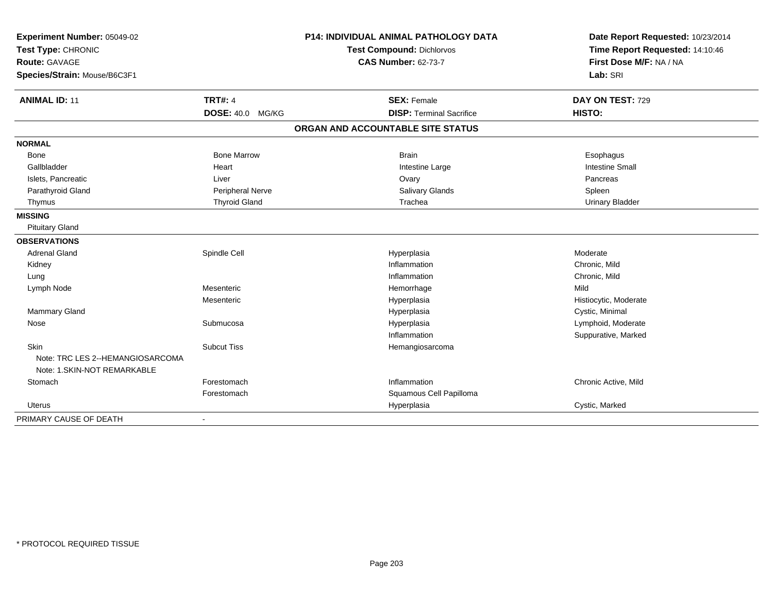| Experiment Number: 05049-02<br>Test Type: CHRONIC<br>Route: GAVAGE<br>Species/Strain: Mouse/B6C3F1 |                         | <b>P14: INDIVIDUAL ANIMAL PATHOLOGY DATA</b><br>Test Compound: Dichlorvos<br><b>CAS Number: 62-73-7</b> | Date Report Requested: 10/23/2014<br>Time Report Requested: 14:10:46<br>First Dose M/F: NA / NA<br>Lab: SRI |
|----------------------------------------------------------------------------------------------------|-------------------------|---------------------------------------------------------------------------------------------------------|-------------------------------------------------------------------------------------------------------------|
| <b>ANIMAL ID: 11</b>                                                                               | <b>TRT#: 4</b>          | <b>SEX: Female</b>                                                                                      | DAY ON TEST: 729                                                                                            |
|                                                                                                    | <b>DOSE: 40.0 MG/KG</b> | <b>DISP: Terminal Sacrifice</b>                                                                         | HISTO:                                                                                                      |
|                                                                                                    |                         | ORGAN AND ACCOUNTABLE SITE STATUS                                                                       |                                                                                                             |
| <b>NORMAL</b>                                                                                      |                         |                                                                                                         |                                                                                                             |
| Bone                                                                                               | <b>Bone Marrow</b>      | <b>Brain</b>                                                                                            | Esophagus                                                                                                   |
| Gallbladder                                                                                        | Heart                   | Intestine Large                                                                                         | <b>Intestine Small</b>                                                                                      |
| Islets, Pancreatic                                                                                 | Liver                   | Ovary                                                                                                   | Pancreas                                                                                                    |
| Parathyroid Gland                                                                                  | <b>Peripheral Nerve</b> | Salivary Glands                                                                                         | Spleen                                                                                                      |
| Thymus                                                                                             | <b>Thyroid Gland</b>    | Trachea                                                                                                 | <b>Urinary Bladder</b>                                                                                      |
| <b>MISSING</b>                                                                                     |                         |                                                                                                         |                                                                                                             |
| <b>Pituitary Gland</b>                                                                             |                         |                                                                                                         |                                                                                                             |
| <b>OBSERVATIONS</b>                                                                                |                         |                                                                                                         |                                                                                                             |
| <b>Adrenal Gland</b>                                                                               | Spindle Cell            | Hyperplasia                                                                                             | Moderate                                                                                                    |
| Kidney                                                                                             |                         | Inflammation                                                                                            | Chronic, Mild                                                                                               |
| Lung                                                                                               |                         | Inflammation                                                                                            | Chronic, Mild                                                                                               |
| Lymph Node                                                                                         | Mesenteric              | Hemorrhage                                                                                              | Mild                                                                                                        |
|                                                                                                    | Mesenteric              | Hyperplasia                                                                                             | Histiocytic, Moderate                                                                                       |
| Mammary Gland                                                                                      |                         | Hyperplasia                                                                                             | Cystic, Minimal                                                                                             |
| Nose                                                                                               | Submucosa               | Hyperplasia                                                                                             | Lymphoid, Moderate                                                                                          |
|                                                                                                    |                         | Inflammation                                                                                            | Suppurative, Marked                                                                                         |
| Skin<br>Note: TRC LES 2--HEMANGIOSARCOMA                                                           | <b>Subcut Tiss</b>      | Hemangiosarcoma                                                                                         |                                                                                                             |
| Note: 1.SKIN-NOT REMARKABLE                                                                        |                         |                                                                                                         |                                                                                                             |
| Stomach                                                                                            | Forestomach             | Inflammation                                                                                            | Chronic Active, Mild                                                                                        |
|                                                                                                    | Forestomach             | Squamous Cell Papilloma                                                                                 |                                                                                                             |
| Uterus                                                                                             |                         | Hyperplasia                                                                                             | Cystic, Marked                                                                                              |
| PRIMARY CAUSE OF DEATH                                                                             |                         |                                                                                                         |                                                                                                             |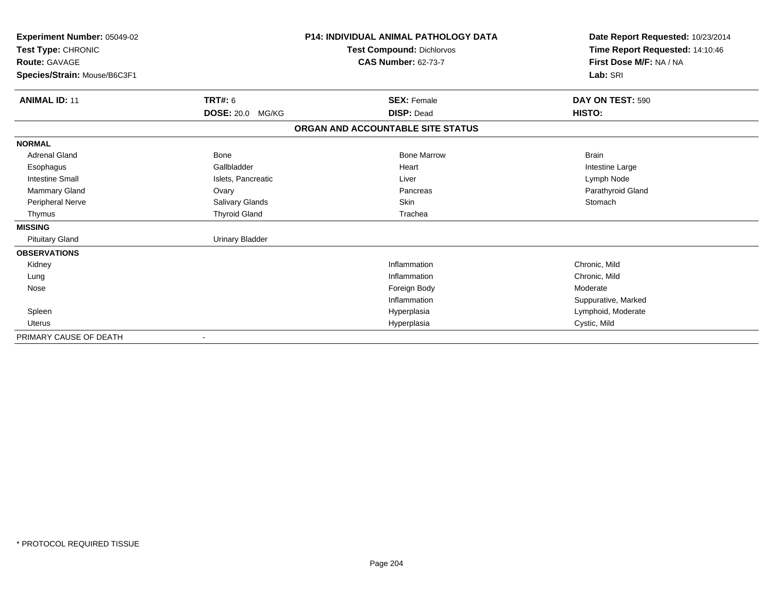| Experiment Number: 05049-02  |                        | <b>P14: INDIVIDUAL ANIMAL PATHOLOGY DATA</b> | Date Report Requested: 10/23/2014 |
|------------------------------|------------------------|----------------------------------------------|-----------------------------------|
| Test Type: CHRONIC           |                        | <b>Test Compound: Dichlorvos</b>             | Time Report Requested: 14:10:46   |
| Route: GAVAGE                |                        | <b>CAS Number: 62-73-7</b>                   | First Dose M/F: NA / NA           |
| Species/Strain: Mouse/B6C3F1 |                        |                                              | Lab: SRI                          |
| <b>ANIMAL ID: 11</b>         | <b>TRT#: 6</b>         | <b>SEX: Female</b>                           | DAY ON TEST: 590                  |
|                              | DOSE: 20.0 MG/KG       | <b>DISP: Dead</b>                            | HISTO:                            |
|                              |                        | ORGAN AND ACCOUNTABLE SITE STATUS            |                                   |
| <b>NORMAL</b>                |                        |                                              |                                   |
| <b>Adrenal Gland</b>         | Bone                   | <b>Bone Marrow</b>                           | <b>Brain</b>                      |
| Esophagus                    | Gallbladder            | Heart                                        | Intestine Large                   |
| <b>Intestine Small</b>       | Islets, Pancreatic     | Liver                                        | Lymph Node                        |
| Mammary Gland                | Ovary                  | Pancreas                                     | Parathyroid Gland                 |
| Peripheral Nerve             | Salivary Glands        | <b>Skin</b>                                  | Stomach                           |
| Thymus                       | <b>Thyroid Gland</b>   | Trachea                                      |                                   |
| <b>MISSING</b>               |                        |                                              |                                   |
| <b>Pituitary Gland</b>       | <b>Urinary Bladder</b> |                                              |                                   |
| <b>OBSERVATIONS</b>          |                        |                                              |                                   |
| Kidney                       |                        | Inflammation                                 | Chronic, Mild                     |
| Lung                         |                        | Inflammation                                 | Chronic, Mild                     |
| Nose                         |                        | Foreign Body                                 | Moderate                          |
|                              |                        | Inflammation                                 | Suppurative, Marked               |
| Spleen                       |                        | Hyperplasia                                  | Lymphoid, Moderate                |
| Uterus                       |                        | Hyperplasia                                  | Cystic, Mild                      |
| PRIMARY CAUSE OF DEATH       |                        |                                              |                                   |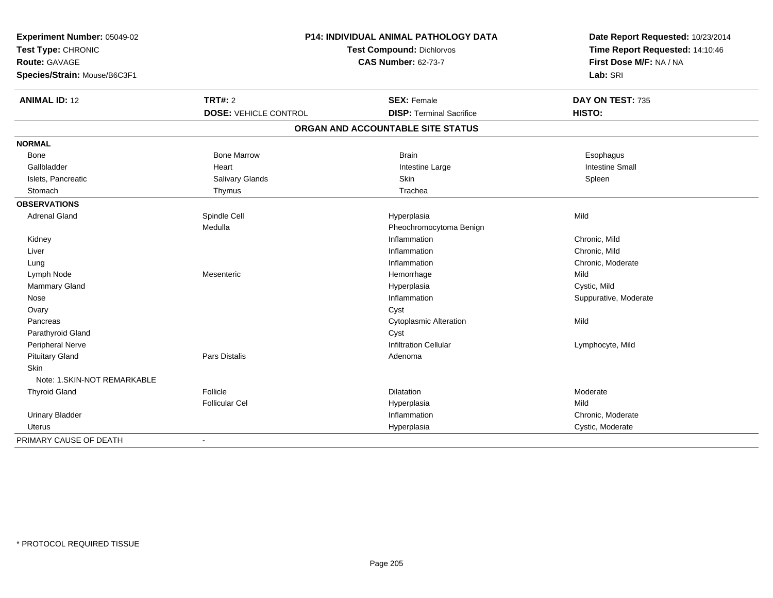| Experiment Number: 05049-02<br>Test Type: CHRONIC<br>Route: GAVAGE | P14: INDIVIDUAL ANIMAL PATHOLOGY DATA<br>Test Compound: Dichlorvos<br><b>CAS Number: 62-73-7</b> |                                   | Date Report Requested: 10/23/2014<br>Time Report Requested: 14:10:46<br>First Dose M/F: NA / NA |
|--------------------------------------------------------------------|--------------------------------------------------------------------------------------------------|-----------------------------------|-------------------------------------------------------------------------------------------------|
| Species/Strain: Mouse/B6C3F1                                       |                                                                                                  |                                   | Lab: SRI                                                                                        |
| <b>ANIMAL ID: 12</b>                                               | <b>TRT#: 2</b>                                                                                   | <b>SEX: Female</b>                | DAY ON TEST: 735                                                                                |
|                                                                    | <b>DOSE: VEHICLE CONTROL</b>                                                                     | <b>DISP: Terminal Sacrifice</b>   | HISTO:                                                                                          |
|                                                                    |                                                                                                  | ORGAN AND ACCOUNTABLE SITE STATUS |                                                                                                 |
| <b>NORMAL</b>                                                      |                                                                                                  |                                   |                                                                                                 |
| Bone                                                               | <b>Bone Marrow</b>                                                                               | <b>Brain</b>                      | Esophagus                                                                                       |
| Gallbladder                                                        | Heart                                                                                            | Intestine Large                   | <b>Intestine Small</b>                                                                          |
| Islets, Pancreatic                                                 | Salivary Glands                                                                                  | Skin                              | Spleen                                                                                          |
| Stomach                                                            | Thymus                                                                                           | Trachea                           |                                                                                                 |
| <b>OBSERVATIONS</b>                                                |                                                                                                  |                                   |                                                                                                 |
| <b>Adrenal Gland</b>                                               | Spindle Cell                                                                                     | Hyperplasia                       | Mild                                                                                            |
|                                                                    | Medulla                                                                                          | Pheochromocytoma Benign           |                                                                                                 |
| Kidney                                                             |                                                                                                  | Inflammation                      | Chronic, Mild                                                                                   |
| Liver                                                              |                                                                                                  | Inflammation                      | Chronic, Mild                                                                                   |
| Lung                                                               |                                                                                                  | Inflammation                      | Chronic, Moderate                                                                               |
| Lymph Node                                                         | Mesenteric                                                                                       | Hemorrhage                        | Mild                                                                                            |
| Mammary Gland                                                      |                                                                                                  | Hyperplasia                       | Cystic, Mild                                                                                    |
| Nose                                                               |                                                                                                  | Inflammation                      | Suppurative, Moderate                                                                           |
| Ovary                                                              |                                                                                                  | Cyst                              |                                                                                                 |
| Pancreas                                                           |                                                                                                  | <b>Cytoplasmic Alteration</b>     | Mild                                                                                            |
| Parathyroid Gland                                                  |                                                                                                  | Cyst                              |                                                                                                 |
| Peripheral Nerve                                                   |                                                                                                  | <b>Infiltration Cellular</b>      | Lymphocyte, Mild                                                                                |
| <b>Pituitary Gland</b>                                             | Pars Distalis                                                                                    | Adenoma                           |                                                                                                 |
| <b>Skin</b>                                                        |                                                                                                  |                                   |                                                                                                 |
| Note: 1.SKIN-NOT REMARKABLE                                        |                                                                                                  |                                   |                                                                                                 |
| <b>Thyroid Gland</b>                                               | Follicle                                                                                         | Dilatation                        | Moderate                                                                                        |
|                                                                    | <b>Follicular Cel</b>                                                                            | Hyperplasia                       | Mild                                                                                            |
| <b>Urinary Bladder</b>                                             |                                                                                                  | Inflammation                      | Chronic, Moderate                                                                               |
| Uterus                                                             |                                                                                                  | Hyperplasia                       | Cystic, Moderate                                                                                |
| PRIMARY CAUSE OF DEATH                                             | $\overline{\phantom{a}}$                                                                         |                                   |                                                                                                 |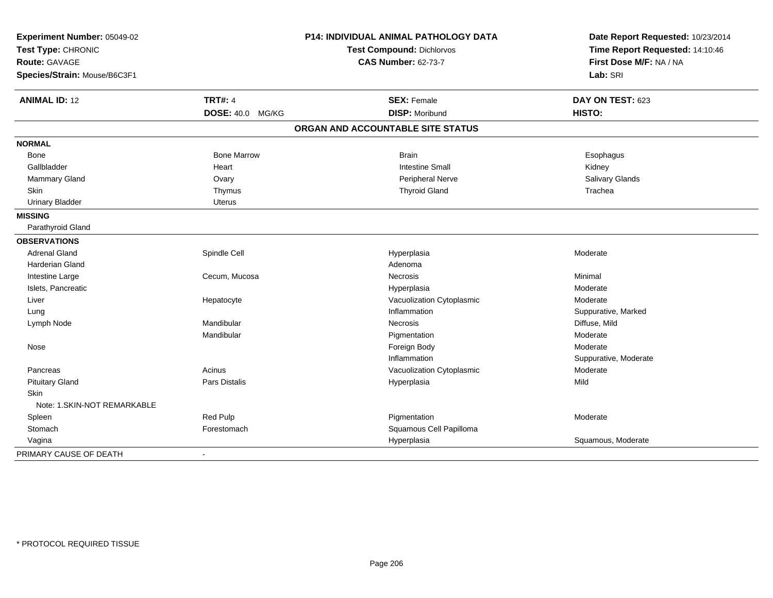| Experiment Number: 05049-02  |                    | P14: INDIVIDUAL ANIMAL PATHOLOGY DATA | Date Report Requested: 10/23/2014 |
|------------------------------|--------------------|---------------------------------------|-----------------------------------|
| Test Type: CHRONIC           |                    | <b>Test Compound: Dichlorvos</b>      | Time Report Requested: 14:10:46   |
| <b>Route: GAVAGE</b>         |                    | <b>CAS Number: 62-73-7</b>            | First Dose M/F: NA / NA           |
| Species/Strain: Mouse/B6C3F1 |                    |                                       | Lab: SRI                          |
| <b>ANIMAL ID: 12</b>         | <b>TRT#: 4</b>     | <b>SEX: Female</b>                    | DAY ON TEST: 623                  |
|                              | DOSE: 40.0 MG/KG   | <b>DISP: Moribund</b>                 | HISTO:                            |
|                              |                    | ORGAN AND ACCOUNTABLE SITE STATUS     |                                   |
| <b>NORMAL</b>                |                    |                                       |                                   |
| Bone                         | <b>Bone Marrow</b> | <b>Brain</b>                          | Esophagus                         |
| Gallbladder                  | Heart              | <b>Intestine Small</b>                | Kidney                            |
| Mammary Gland                | Ovary              | Peripheral Nerve                      | Salivary Glands                   |
| Skin                         | Thymus             | <b>Thyroid Gland</b>                  | Trachea                           |
| <b>Urinary Bladder</b>       | <b>Uterus</b>      |                                       |                                   |
| <b>MISSING</b>               |                    |                                       |                                   |
| Parathyroid Gland            |                    |                                       |                                   |
| <b>OBSERVATIONS</b>          |                    |                                       |                                   |
| <b>Adrenal Gland</b>         | Spindle Cell       | Hyperplasia                           | Moderate                          |
| Harderian Gland              |                    | Adenoma                               |                                   |
| Intestine Large              | Cecum, Mucosa      | Necrosis                              | Minimal                           |
| Islets, Pancreatic           |                    | Hyperplasia                           | Moderate                          |
| Liver                        | Hepatocyte         | Vacuolization Cytoplasmic             | Moderate                          |
| Lung                         |                    | Inflammation                          | Suppurative, Marked               |
| Lymph Node                   | Mandibular         | Necrosis                              | Diffuse, Mild                     |
|                              | Mandibular         | Pigmentation                          | Moderate                          |
| Nose                         |                    | Foreign Body                          | Moderate                          |
|                              |                    | Inflammation                          | Suppurative, Moderate             |
| Pancreas                     | Acinus             | Vacuolization Cytoplasmic             | Moderate                          |
| <b>Pituitary Gland</b>       | Pars Distalis      | Hyperplasia                           | Mild                              |
| <b>Skin</b>                  |                    |                                       |                                   |
| Note: 1.SKIN-NOT REMARKABLE  |                    |                                       |                                   |
| Spleen                       | <b>Red Pulp</b>    | Pigmentation                          | Moderate                          |
| Stomach                      | Forestomach        | Squamous Cell Papilloma               |                                   |
| Vagina                       |                    | Hyperplasia                           | Squamous, Moderate                |
| PRIMARY CAUSE OF DEATH       | $\blacksquare$     |                                       |                                   |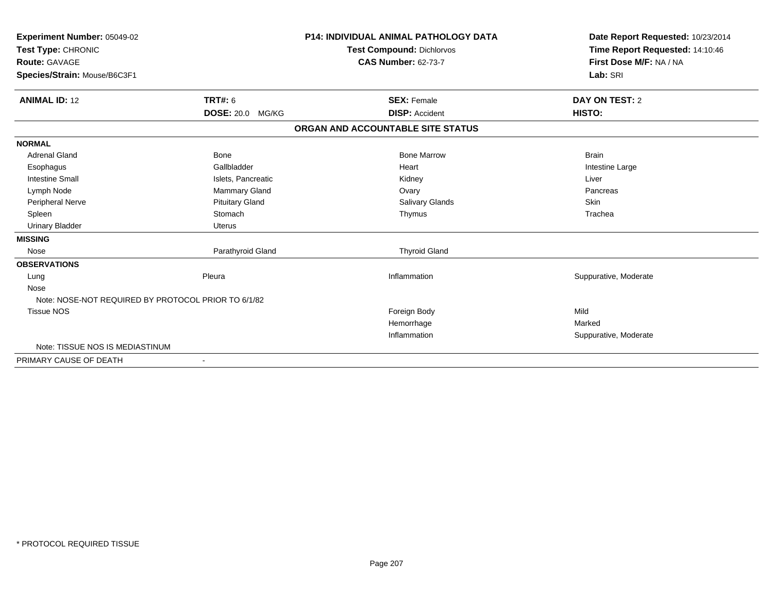| Experiment Number: 05049-02<br>Test Type: CHRONIC<br><b>Route: GAVAGE</b><br>Species/Strain: Mouse/B6C3F1 |                         | <b>P14: INDIVIDUAL ANIMAL PATHOLOGY DATA</b><br><b>Test Compound: Dichlorvos</b><br><b>CAS Number: 62-73-7</b> | Date Report Requested: 10/23/2014<br>Time Report Requested: 14:10:46<br>First Dose M/F: NA / NA<br>Lab: SRI |
|-----------------------------------------------------------------------------------------------------------|-------------------------|----------------------------------------------------------------------------------------------------------------|-------------------------------------------------------------------------------------------------------------|
| <b>ANIMAL ID: 12</b>                                                                                      | <b>TRT#: 6</b>          | <b>SEX: Female</b>                                                                                             | DAY ON TEST: 2                                                                                              |
|                                                                                                           | <b>DOSE: 20.0 MG/KG</b> | <b>DISP: Accident</b>                                                                                          | HISTO:                                                                                                      |
|                                                                                                           |                         | ORGAN AND ACCOUNTABLE SITE STATUS                                                                              |                                                                                                             |
| <b>NORMAL</b>                                                                                             |                         |                                                                                                                |                                                                                                             |
| <b>Adrenal Gland</b>                                                                                      | <b>Bone</b>             | <b>Bone Marrow</b>                                                                                             | <b>Brain</b>                                                                                                |
| Esophagus                                                                                                 | Gallbladder             | Heart                                                                                                          | Intestine Large                                                                                             |
| <b>Intestine Small</b>                                                                                    | Islets, Pancreatic      | Kidney                                                                                                         | Liver                                                                                                       |
| Lymph Node                                                                                                | Mammary Gland           | Ovary                                                                                                          | Pancreas                                                                                                    |
| Peripheral Nerve                                                                                          | <b>Pituitary Gland</b>  | <b>Salivary Glands</b>                                                                                         | <b>Skin</b>                                                                                                 |
| Spleen                                                                                                    | Stomach                 | Thymus                                                                                                         | Trachea                                                                                                     |
| <b>Urinary Bladder</b>                                                                                    | <b>Uterus</b>           |                                                                                                                |                                                                                                             |
| <b>MISSING</b>                                                                                            |                         |                                                                                                                |                                                                                                             |
| Nose                                                                                                      | Parathyroid Gland       | <b>Thyroid Gland</b>                                                                                           |                                                                                                             |
| <b>OBSERVATIONS</b>                                                                                       |                         |                                                                                                                |                                                                                                             |
| Lung                                                                                                      | Pleura                  | Inflammation                                                                                                   | Suppurative, Moderate                                                                                       |
| Nose                                                                                                      |                         |                                                                                                                |                                                                                                             |
| Note: NOSE-NOT REQUIRED BY PROTOCOL PRIOR TO 6/1/82                                                       |                         |                                                                                                                |                                                                                                             |
| <b>Tissue NOS</b>                                                                                         |                         | Foreign Body                                                                                                   | Mild                                                                                                        |
|                                                                                                           |                         | Hemorrhage                                                                                                     | Marked                                                                                                      |
|                                                                                                           |                         | Inflammation                                                                                                   | Suppurative, Moderate                                                                                       |
| Note: TISSUE NOS IS MEDIASTINUM                                                                           |                         |                                                                                                                |                                                                                                             |
| PRIMARY CAUSE OF DEATH                                                                                    | $\blacksquare$          |                                                                                                                |                                                                                                             |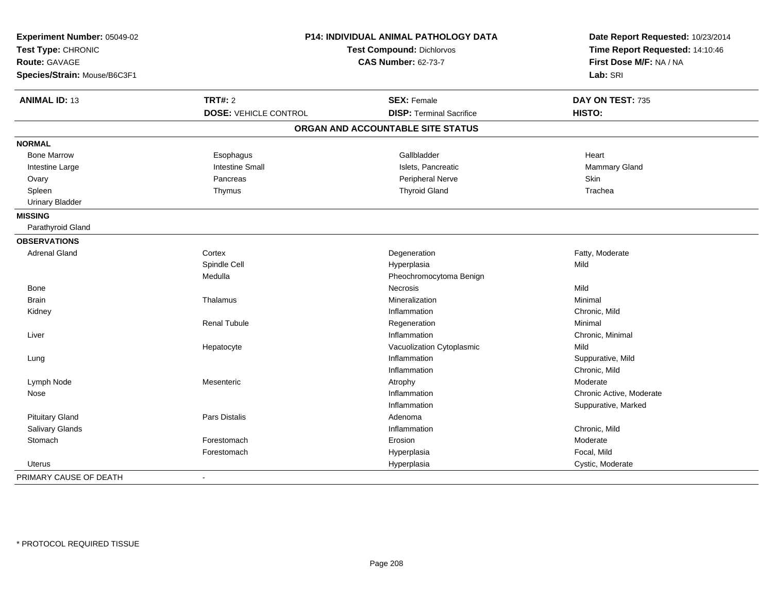| Experiment Number: 05049-02<br>Test Type: CHRONIC<br><b>Route: GAVAGE</b><br>Species/Strain: Mouse/B6C3F1 | P14: INDIVIDUAL ANIMAL PATHOLOGY DATA<br><b>Test Compound: Dichlorvos</b><br><b>CAS Number: 62-73-7</b> |                                   | Date Report Requested: 10/23/2014<br>Time Report Requested: 14:10:46<br>First Dose M/F: NA / NA<br>Lab: SRI |
|-----------------------------------------------------------------------------------------------------------|---------------------------------------------------------------------------------------------------------|-----------------------------------|-------------------------------------------------------------------------------------------------------------|
| <b>ANIMAL ID: 13</b>                                                                                      | <b>TRT#: 2</b>                                                                                          | <b>SEX: Female</b>                | DAY ON TEST: 735                                                                                            |
|                                                                                                           | <b>DOSE: VEHICLE CONTROL</b>                                                                            | <b>DISP: Terminal Sacrifice</b>   | HISTO:                                                                                                      |
|                                                                                                           |                                                                                                         | ORGAN AND ACCOUNTABLE SITE STATUS |                                                                                                             |
| <b>NORMAL</b>                                                                                             |                                                                                                         |                                   |                                                                                                             |
| <b>Bone Marrow</b>                                                                                        | Esophagus                                                                                               | Gallbladder                       | Heart                                                                                                       |
| Intestine Large                                                                                           | <b>Intestine Small</b>                                                                                  | Islets, Pancreatic                | Mammary Gland                                                                                               |
| Ovary                                                                                                     | Pancreas                                                                                                | Peripheral Nerve                  | Skin                                                                                                        |
| Spleen                                                                                                    | Thymus                                                                                                  | <b>Thyroid Gland</b>              | Trachea                                                                                                     |
| <b>Urinary Bladder</b>                                                                                    |                                                                                                         |                                   |                                                                                                             |
| <b>MISSING</b>                                                                                            |                                                                                                         |                                   |                                                                                                             |
| Parathyroid Gland                                                                                         |                                                                                                         |                                   |                                                                                                             |
| <b>OBSERVATIONS</b>                                                                                       |                                                                                                         |                                   |                                                                                                             |
| <b>Adrenal Gland</b>                                                                                      | Cortex                                                                                                  | Degeneration                      | Fatty, Moderate                                                                                             |
|                                                                                                           | Spindle Cell                                                                                            | Hyperplasia                       | Mild                                                                                                        |
|                                                                                                           | Medulla                                                                                                 | Pheochromocytoma Benign           |                                                                                                             |
| Bone                                                                                                      |                                                                                                         | <b>Necrosis</b>                   | Mild                                                                                                        |
| <b>Brain</b>                                                                                              | Thalamus                                                                                                | Mineralization                    | Minimal                                                                                                     |
| Kidney                                                                                                    |                                                                                                         | Inflammation                      | Chronic, Mild                                                                                               |
|                                                                                                           | <b>Renal Tubule</b>                                                                                     | Regeneration                      | Minimal                                                                                                     |
| Liver                                                                                                     |                                                                                                         | Inflammation                      | Chronic, Minimal                                                                                            |
|                                                                                                           | Hepatocyte                                                                                              | Vacuolization Cytoplasmic         | Mild                                                                                                        |
| Lung                                                                                                      |                                                                                                         | Inflammation                      | Suppurative, Mild                                                                                           |
|                                                                                                           |                                                                                                         | Inflammation                      | Chronic, Mild                                                                                               |
| Lymph Node                                                                                                | Mesenteric                                                                                              | Atrophy                           | Moderate                                                                                                    |
| Nose                                                                                                      |                                                                                                         | Inflammation                      | Chronic Active, Moderate                                                                                    |
|                                                                                                           |                                                                                                         | Inflammation                      | Suppurative, Marked                                                                                         |
| <b>Pituitary Gland</b>                                                                                    | Pars Distalis                                                                                           | Adenoma                           |                                                                                                             |
| Salivary Glands                                                                                           |                                                                                                         | Inflammation                      | Chronic, Mild                                                                                               |
| Stomach                                                                                                   | Forestomach                                                                                             | Erosion                           | Moderate                                                                                                    |
|                                                                                                           | Forestomach                                                                                             | Hyperplasia                       | Focal, Mild                                                                                                 |
| Uterus                                                                                                    |                                                                                                         | Hyperplasia                       | Cystic, Moderate                                                                                            |
| PRIMARY CAUSE OF DEATH                                                                                    | $\overline{\phantom{a}}$                                                                                |                                   |                                                                                                             |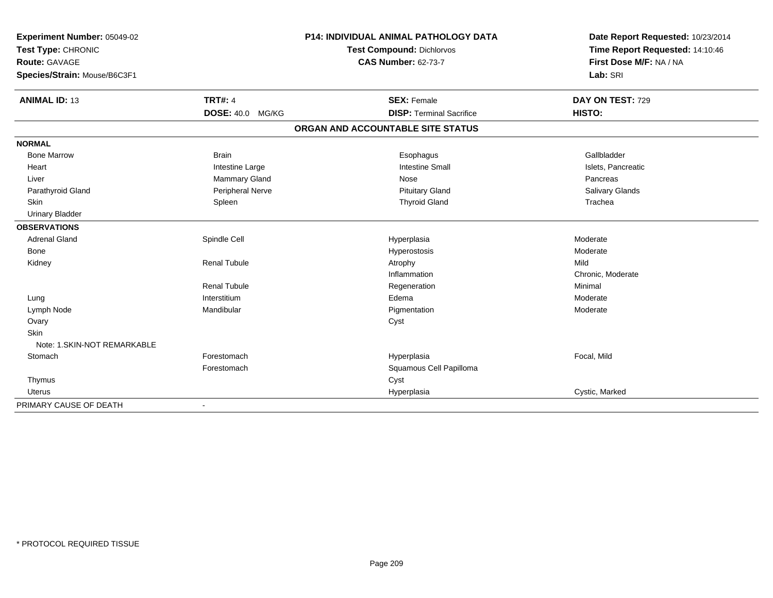| Experiment Number: 05049-02<br>Test Type: CHRONIC<br>Route: GAVAGE |                         | P14: INDIVIDUAL ANIMAL PATHOLOGY DATA | Date Report Requested: 10/23/2014<br>Time Report Requested: 14:10:46 |
|--------------------------------------------------------------------|-------------------------|---------------------------------------|----------------------------------------------------------------------|
|                                                                    |                         | <b>Test Compound: Dichlorvos</b>      |                                                                      |
|                                                                    |                         | <b>CAS Number: 62-73-7</b>            | First Dose M/F: NA / NA                                              |
| Species/Strain: Mouse/B6C3F1                                       |                         |                                       | Lab: SRI                                                             |
| <b>ANIMAL ID: 13</b>                                               | <b>TRT#: 4</b>          | <b>SEX: Female</b>                    | DAY ON TEST: 729                                                     |
|                                                                    | <b>DOSE: 40.0 MG/KG</b> | <b>DISP: Terminal Sacrifice</b>       | HISTO:                                                               |
|                                                                    |                         | ORGAN AND ACCOUNTABLE SITE STATUS     |                                                                      |
| <b>NORMAL</b>                                                      |                         |                                       |                                                                      |
| <b>Bone Marrow</b>                                                 | <b>Brain</b>            | Esophagus                             | Gallbladder                                                          |
| Heart                                                              | Intestine Large         | <b>Intestine Small</b>                | Islets, Pancreatic                                                   |
| Liver                                                              | Mammary Gland           | Nose                                  | Pancreas                                                             |
| Parathyroid Gland                                                  | Peripheral Nerve        | <b>Pituitary Gland</b>                | Salivary Glands                                                      |
| <b>Skin</b>                                                        | Spleen                  | <b>Thyroid Gland</b>                  | Trachea                                                              |
| <b>Urinary Bladder</b>                                             |                         |                                       |                                                                      |
| <b>OBSERVATIONS</b>                                                |                         |                                       |                                                                      |
| <b>Adrenal Gland</b>                                               | Spindle Cell            | Hyperplasia                           | Moderate                                                             |
| Bone                                                               |                         | Hyperostosis                          | Moderate                                                             |
| Kidney                                                             | <b>Renal Tubule</b>     | Atrophy                               | Mild                                                                 |
|                                                                    |                         | Inflammation                          | Chronic, Moderate                                                    |
|                                                                    | <b>Renal Tubule</b>     | Regeneration                          | Minimal                                                              |
| Lung                                                               | Interstitium            | Edema                                 | Moderate                                                             |
| Lymph Node                                                         | Mandibular              | Pigmentation                          | Moderate                                                             |
| Ovary                                                              |                         | Cyst                                  |                                                                      |
| <b>Skin</b>                                                        |                         |                                       |                                                                      |
| Note: 1. SKIN-NOT REMARKABLE                                       |                         |                                       |                                                                      |
| Stomach                                                            | Forestomach             | Hyperplasia                           | Focal, Mild                                                          |
|                                                                    | Forestomach             | Squamous Cell Papilloma               |                                                                      |
| Thymus                                                             |                         | Cyst                                  |                                                                      |
| Uterus                                                             |                         | Hyperplasia                           | Cystic, Marked                                                       |
| PRIMARY CAUSE OF DEATH                                             |                         |                                       |                                                                      |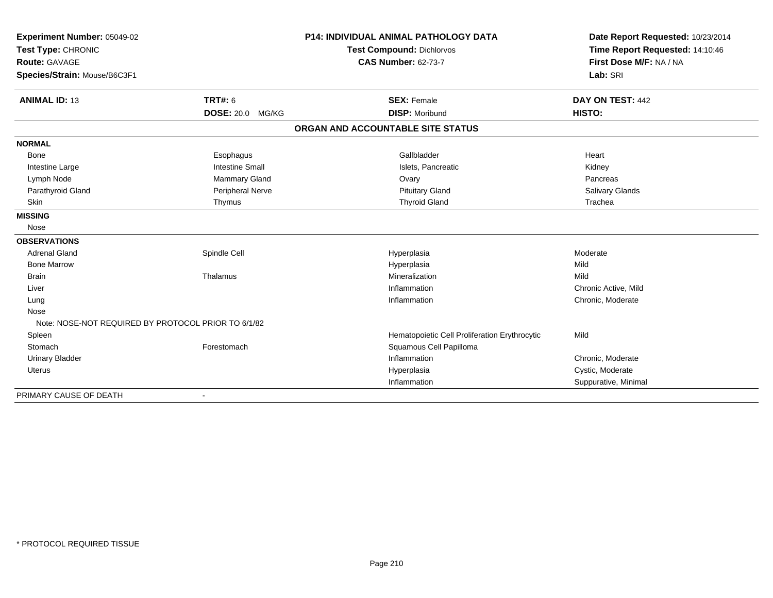| Experiment Number: 05049-02<br>Test Type: CHRONIC<br>Route: GAVAGE<br>Species/Strain: Mouse/B6C3F1 |                         | <b>P14: INDIVIDUAL ANIMAL PATHOLOGY DATA</b><br><b>Test Compound: Dichlorvos</b><br><b>CAS Number: 62-73-7</b> | Date Report Requested: 10/23/2014<br>Time Report Requested: 14:10:46<br>First Dose M/F: NA / NA<br>Lab: SRI |
|----------------------------------------------------------------------------------------------------|-------------------------|----------------------------------------------------------------------------------------------------------------|-------------------------------------------------------------------------------------------------------------|
| <b>ANIMAL ID: 13</b>                                                                               | <b>TRT#: 6</b>          | <b>SEX: Female</b>                                                                                             | DAY ON TEST: 442                                                                                            |
|                                                                                                    | <b>DOSE: 20.0 MG/KG</b> | <b>DISP: Moribund</b>                                                                                          | HISTO:                                                                                                      |
|                                                                                                    |                         | ORGAN AND ACCOUNTABLE SITE STATUS                                                                              |                                                                                                             |
| <b>NORMAL</b>                                                                                      |                         |                                                                                                                |                                                                                                             |
| <b>Bone</b>                                                                                        | Esophagus               | Gallbladder                                                                                                    | Heart                                                                                                       |
| Intestine Large                                                                                    | <b>Intestine Small</b>  | Islets. Pancreatic                                                                                             | Kidney                                                                                                      |
| Lymph Node                                                                                         | <b>Mammary Gland</b>    | Ovary                                                                                                          | Pancreas                                                                                                    |
| Parathyroid Gland                                                                                  | Peripheral Nerve        | <b>Pituitary Gland</b>                                                                                         | Salivary Glands                                                                                             |
| Skin                                                                                               | Thymus                  | <b>Thyroid Gland</b>                                                                                           | Trachea                                                                                                     |
| <b>MISSING</b>                                                                                     |                         |                                                                                                                |                                                                                                             |
| Nose                                                                                               |                         |                                                                                                                |                                                                                                             |
| <b>OBSERVATIONS</b>                                                                                |                         |                                                                                                                |                                                                                                             |
| <b>Adrenal Gland</b>                                                                               | Spindle Cell            | Hyperplasia                                                                                                    | Moderate                                                                                                    |
| <b>Bone Marrow</b>                                                                                 |                         | Hyperplasia                                                                                                    | Mild                                                                                                        |
| <b>Brain</b>                                                                                       | Thalamus                | Mineralization                                                                                                 | Mild                                                                                                        |
| Liver                                                                                              |                         | Inflammation                                                                                                   | Chronic Active, Mild                                                                                        |
| Lung                                                                                               |                         | Inflammation                                                                                                   | Chronic, Moderate                                                                                           |
| Nose                                                                                               |                         |                                                                                                                |                                                                                                             |
| Note: NOSE-NOT REQUIRED BY PROTOCOL PRIOR TO 6/1/82                                                |                         |                                                                                                                |                                                                                                             |
| Spleen                                                                                             |                         | Hematopoietic Cell Proliferation Erythrocytic                                                                  | Mild                                                                                                        |
| Stomach                                                                                            | Forestomach             | Squamous Cell Papilloma                                                                                        |                                                                                                             |
| <b>Urinary Bladder</b>                                                                             |                         | Inflammation                                                                                                   | Chronic, Moderate                                                                                           |
| Uterus                                                                                             |                         | Hyperplasia                                                                                                    | Cystic, Moderate                                                                                            |
|                                                                                                    |                         | Inflammation                                                                                                   | Suppurative, Minimal                                                                                        |

PRIMARY CAUSE OF DEATH-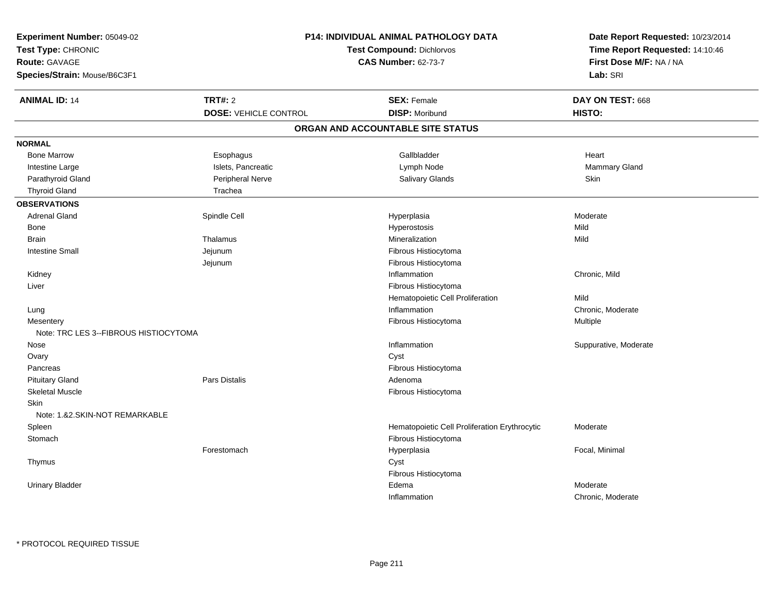| Experiment Number: 05049-02            |                                  | <b>P14: INDIVIDUAL ANIMAL PATHOLOGY DATA</b>  |                                     |
|----------------------------------------|----------------------------------|-----------------------------------------------|-------------------------------------|
| Test Type: CHRONIC                     | <b>Test Compound: Dichlorvos</b> |                                               | Time Report Requested: 14:10:46     |
| Route: GAVAGE                          |                                  | <b>CAS Number: 62-73-7</b>                    |                                     |
| Species/Strain: Mouse/B6C3F1           |                                  |                                               | First Dose M/F: NA / NA<br>Lab: SRI |
| <b>ANIMAL ID: 14</b>                   | <b>TRT#: 2</b>                   | <b>SEX: Female</b>                            | DAY ON TEST: 668                    |
|                                        | <b>DOSE: VEHICLE CONTROL</b>     | <b>DISP: Moribund</b>                         | HISTO:                              |
|                                        |                                  | ORGAN AND ACCOUNTABLE SITE STATUS             |                                     |
| <b>NORMAL</b>                          |                                  |                                               |                                     |
| <b>Bone Marrow</b>                     | Esophagus                        | Gallbladder                                   | Heart                               |
| Intestine Large                        | Islets, Pancreatic               | Lymph Node                                    | Mammary Gland                       |
| Parathyroid Gland                      | Peripheral Nerve                 | Salivary Glands                               | Skin                                |
| <b>Thyroid Gland</b>                   | Trachea                          |                                               |                                     |
| <b>OBSERVATIONS</b>                    |                                  |                                               |                                     |
| <b>Adrenal Gland</b>                   | Spindle Cell                     | Hyperplasia                                   | Moderate                            |
| Bone                                   |                                  | Hyperostosis                                  | Mild                                |
| <b>Brain</b>                           | Thalamus                         | Mineralization                                | Mild                                |
| <b>Intestine Small</b>                 | Jejunum                          | Fibrous Histiocytoma                          |                                     |
|                                        | Jejunum                          | Fibrous Histiocytoma                          |                                     |
| Kidney                                 |                                  | Inflammation                                  | Chronic, Mild                       |
| Liver                                  |                                  | Fibrous Histiocytoma                          |                                     |
|                                        |                                  | Hematopoietic Cell Proliferation              | Mild                                |
| Lung                                   |                                  | Inflammation                                  | Chronic, Moderate                   |
| Mesentery                              |                                  | Fibrous Histiocytoma                          | Multiple                            |
| Note: TRC LES 3--FIBROUS HISTIOCYTOMA  |                                  |                                               |                                     |
| Nose                                   |                                  | Inflammation                                  | Suppurative, Moderate               |
| Ovary                                  |                                  | Cyst                                          |                                     |
| Pancreas                               |                                  | Fibrous Histiocytoma                          |                                     |
| <b>Pituitary Gland</b>                 | Pars Distalis                    | Adenoma                                       |                                     |
| <b>Skeletal Muscle</b>                 |                                  | Fibrous Histiocytoma                          |                                     |
| Skin<br>Note: 1.&2.SKIN-NOT REMARKABLE |                                  |                                               |                                     |
| Spleen                                 |                                  | Hematopoietic Cell Proliferation Erythrocytic | Moderate                            |
| Stomach                                |                                  | Fibrous Histiocytoma                          |                                     |
|                                        | Forestomach                      | Hyperplasia                                   | Focal, Minimal                      |
| Thymus                                 |                                  | Cyst                                          |                                     |
|                                        |                                  | Fibrous Histiocytoma                          |                                     |
| <b>Urinary Bladder</b>                 |                                  | Edema                                         | Moderate                            |
|                                        |                                  | Inflammation                                  | Chronic, Moderate                   |
|                                        |                                  |                                               |                                     |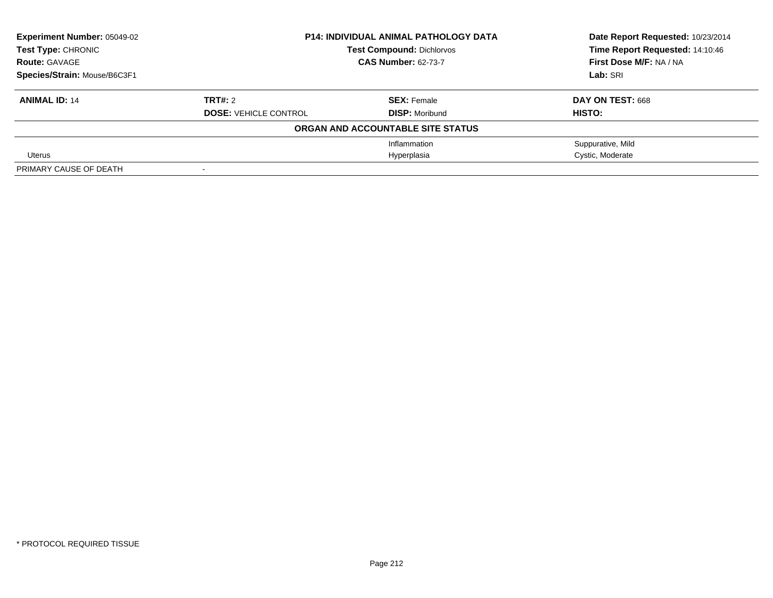| <b>Experiment Number: 05049-02</b> | <b>P14: INDIVIDUAL ANIMAL PATHOLOGY DATA</b> |                                   | Date Report Requested: 10/23/2014 |
|------------------------------------|----------------------------------------------|-----------------------------------|-----------------------------------|
| Test Type: CHRONIC                 |                                              | <b>Test Compound: Dichlorvos</b>  |                                   |
| <b>Route: GAVAGE</b>               |                                              | <b>CAS Number: 62-73-7</b>        | First Dose M/F: NA / NA           |
| Species/Strain: Mouse/B6C3F1       |                                              |                                   | Lab: SRI                          |
| <b>ANIMAL ID: 14</b>               | TRT#: 2                                      | <b>SEX: Female</b>                | DAY ON TEST: 668                  |
|                                    | <b>DOSE: VEHICLE CONTROL</b>                 | <b>DISP: Moribund</b>             | HISTO:                            |
|                                    |                                              | ORGAN AND ACCOUNTABLE SITE STATUS |                                   |
|                                    |                                              | Inflammation                      | Suppurative, Mild                 |
| Uterus                             |                                              | Hyperplasia                       | Cystic, Moderate                  |
| PRIMARY CAUSE OF DEATH             |                                              |                                   |                                   |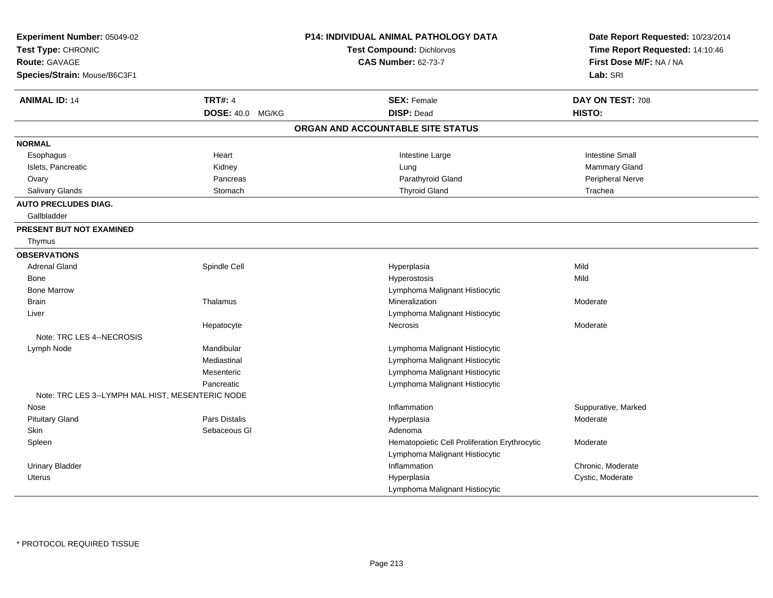| Experiment Number: 05049-02<br>Test Type: CHRONIC<br><b>Route: GAVAGE</b><br>Species/Strain: Mouse/B6C3F1 |                         | P14: INDIVIDUAL ANIMAL PATHOLOGY DATA<br><b>Test Compound: Dichlorvos</b><br><b>CAS Number: 62-73-7</b> | Date Report Requested: 10/23/2014<br>Time Report Requested: 14:10:46<br>First Dose M/F: NA / NA<br>Lab: SRI |
|-----------------------------------------------------------------------------------------------------------|-------------------------|---------------------------------------------------------------------------------------------------------|-------------------------------------------------------------------------------------------------------------|
| <b>ANIMAL ID: 14</b>                                                                                      | <b>TRT#: 4</b>          | <b>SEX: Female</b>                                                                                      | DAY ON TEST: 708                                                                                            |
|                                                                                                           | <b>DOSE: 40.0 MG/KG</b> | <b>DISP: Dead</b>                                                                                       | HISTO:                                                                                                      |
|                                                                                                           |                         | ORGAN AND ACCOUNTABLE SITE STATUS                                                                       |                                                                                                             |
| <b>NORMAL</b>                                                                                             |                         |                                                                                                         |                                                                                                             |
| Esophagus                                                                                                 | Heart                   | Intestine Large                                                                                         | <b>Intestine Small</b>                                                                                      |
| Islets, Pancreatic                                                                                        | Kidney                  | Lung                                                                                                    | <b>Mammary Gland</b>                                                                                        |
| Ovary                                                                                                     | Pancreas                | Parathyroid Gland                                                                                       | Peripheral Nerve                                                                                            |
| Salivary Glands                                                                                           | Stomach                 | <b>Thyroid Gland</b>                                                                                    | Trachea                                                                                                     |
| <b>AUTO PRECLUDES DIAG.</b><br>Gallbladder                                                                |                         |                                                                                                         |                                                                                                             |
| <b>PRESENT BUT NOT EXAMINED</b>                                                                           |                         |                                                                                                         |                                                                                                             |
| Thymus                                                                                                    |                         |                                                                                                         |                                                                                                             |
| <b>OBSERVATIONS</b>                                                                                       |                         |                                                                                                         |                                                                                                             |
| <b>Adrenal Gland</b>                                                                                      | Spindle Cell            | Hyperplasia                                                                                             | Mild                                                                                                        |
| Bone                                                                                                      |                         | Hyperostosis                                                                                            | Mild                                                                                                        |
| <b>Bone Marrow</b>                                                                                        |                         | Lymphoma Malignant Histiocytic                                                                          |                                                                                                             |
| <b>Brain</b>                                                                                              | Thalamus                | <b>Mineralization</b>                                                                                   | Moderate                                                                                                    |
| Liver                                                                                                     |                         | Lymphoma Malignant Histiocytic                                                                          |                                                                                                             |
|                                                                                                           | Hepatocyte              | Necrosis                                                                                                | Moderate                                                                                                    |
| Note: TRC LES 4--NECROSIS                                                                                 |                         |                                                                                                         |                                                                                                             |
| Lymph Node                                                                                                | Mandibular              | Lymphoma Malignant Histiocytic                                                                          |                                                                                                             |
|                                                                                                           | Mediastinal             | Lymphoma Malignant Histiocytic                                                                          |                                                                                                             |
|                                                                                                           | Mesenteric              | Lymphoma Malignant Histiocytic                                                                          |                                                                                                             |
|                                                                                                           | Pancreatic              | Lymphoma Malignant Histiocytic                                                                          |                                                                                                             |
| Note: TRC LES 3--LYMPH MAL HIST, MESENTERIC NODE                                                          |                         |                                                                                                         |                                                                                                             |
| Nose                                                                                                      |                         | Inflammation                                                                                            | Suppurative, Marked                                                                                         |
| <b>Pituitary Gland</b>                                                                                    | Pars Distalis           | Hyperplasia                                                                                             | Moderate                                                                                                    |
| Skin                                                                                                      | Sebaceous GI            | Adenoma                                                                                                 |                                                                                                             |
| Spleen                                                                                                    |                         | Hematopoietic Cell Proliferation Erythrocytic                                                           | Moderate                                                                                                    |
|                                                                                                           |                         | Lymphoma Malignant Histiocytic                                                                          |                                                                                                             |
| <b>Urinary Bladder</b>                                                                                    |                         | Inflammation                                                                                            | Chronic, Moderate                                                                                           |
| <b>Uterus</b>                                                                                             |                         | Hyperplasia                                                                                             | Cystic, Moderate                                                                                            |
|                                                                                                           |                         | Lymphoma Malignant Histiocytic                                                                          |                                                                                                             |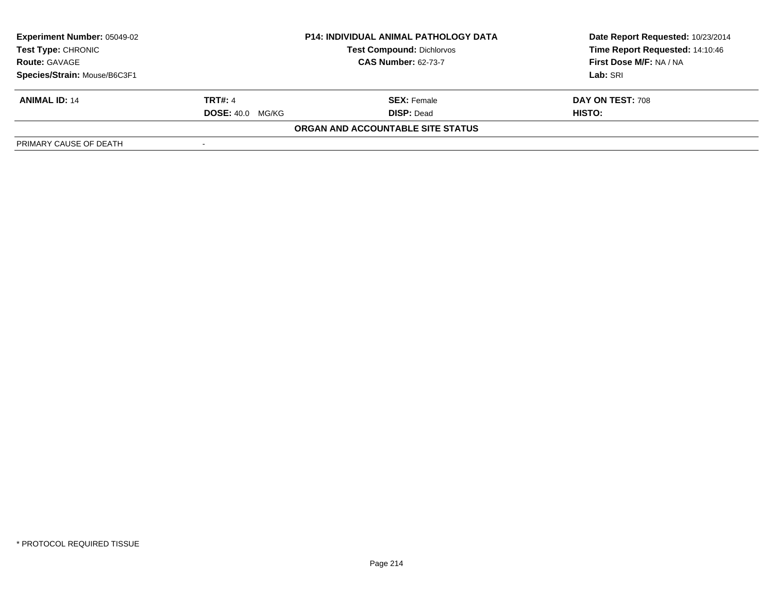| <b>Experiment Number: 05049-02</b><br><b>Test Type: CHRONIC</b> |                         | <b>P14: INDIVIDUAL ANIMAL PATHOLOGY DATA</b><br><b>Test Compound: Dichlorvos</b> | Date Report Requested: 10/23/2014<br>Time Report Requested: 14:10:46 |
|-----------------------------------------------------------------|-------------------------|----------------------------------------------------------------------------------|----------------------------------------------------------------------|
| <b>Route: GAVAGE</b>                                            |                         | <b>CAS Number: 62-73-7</b>                                                       | First Dose M/F: NA / NA                                              |
| Species/Strain: Mouse/B6C3F1                                    |                         |                                                                                  | Lab: SRI                                                             |
| <b>ANIMAL ID: 14</b>                                            | <b>TRT#: 4</b>          | <b>SEX: Female</b>                                                               | DAY ON TEST: 708                                                     |
|                                                                 | <b>DOSE: 40.0 MG/KG</b> | <b>DISP:</b> Dead                                                                | HISTO:                                                               |
|                                                                 |                         | <b>ORGAN AND ACCOUNTABLE SITE STATUS</b>                                         |                                                                      |
| PRIMARY CAUSE OF DEATH                                          |                         |                                                                                  |                                                                      |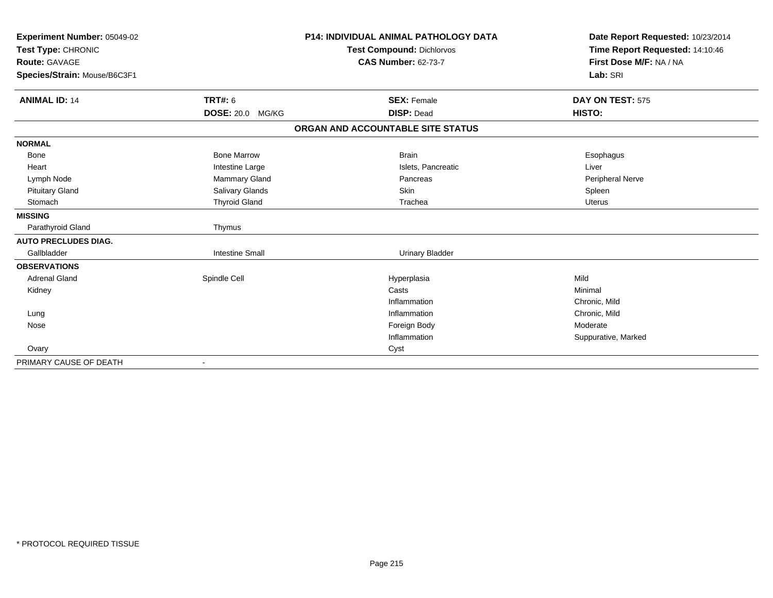| Experiment Number: 05049-02  |                        | <b>P14: INDIVIDUAL ANIMAL PATHOLOGY DATA</b> | Date Report Requested: 10/23/2014 |
|------------------------------|------------------------|----------------------------------------------|-----------------------------------|
| Test Type: CHRONIC           |                        | <b>Test Compound: Dichlorvos</b>             | Time Report Requested: 14:10:46   |
| <b>Route: GAVAGE</b>         |                        | <b>CAS Number: 62-73-7</b>                   | First Dose M/F: NA / NA           |
| Species/Strain: Mouse/B6C3F1 |                        |                                              | Lab: SRI                          |
| <b>ANIMAL ID: 14</b>         | TRT#: 6                | <b>SEX: Female</b>                           | DAY ON TEST: 575                  |
|                              | DOSE: 20.0 MG/KG       | <b>DISP: Dead</b>                            | <b>HISTO:</b>                     |
|                              |                        | ORGAN AND ACCOUNTABLE SITE STATUS            |                                   |
| <b>NORMAL</b>                |                        |                                              |                                   |
| <b>Bone</b>                  | <b>Bone Marrow</b>     | <b>Brain</b>                                 | Esophagus                         |
| Heart                        | Intestine Large        | Islets, Pancreatic                           | Liver                             |
| Lymph Node                   | <b>Mammary Gland</b>   | Pancreas                                     | <b>Peripheral Nerve</b>           |
| <b>Pituitary Gland</b>       | Salivary Glands        | Skin                                         | Spleen                            |
| Stomach                      | <b>Thyroid Gland</b>   | Trachea                                      | Uterus                            |
| <b>MISSING</b>               |                        |                                              |                                   |
| Parathyroid Gland            | Thymus                 |                                              |                                   |
| <b>AUTO PRECLUDES DIAG.</b>  |                        |                                              |                                   |
| Gallbladder                  | <b>Intestine Small</b> | <b>Urinary Bladder</b>                       |                                   |
| <b>OBSERVATIONS</b>          |                        |                                              |                                   |
| <b>Adrenal Gland</b>         | Spindle Cell           | Hyperplasia                                  | Mild                              |
| Kidney                       |                        | Casts                                        | Minimal                           |
|                              |                        | Inflammation                                 | Chronic, Mild                     |
| Lung                         |                        | Inflammation                                 | Chronic, Mild                     |
| Nose                         |                        | Foreign Body                                 | Moderate                          |
|                              |                        | Inflammation                                 | Suppurative, Marked               |
| Ovary                        |                        | Cyst                                         |                                   |
| PRIMARY CAUSE OF DEATH       |                        |                                              |                                   |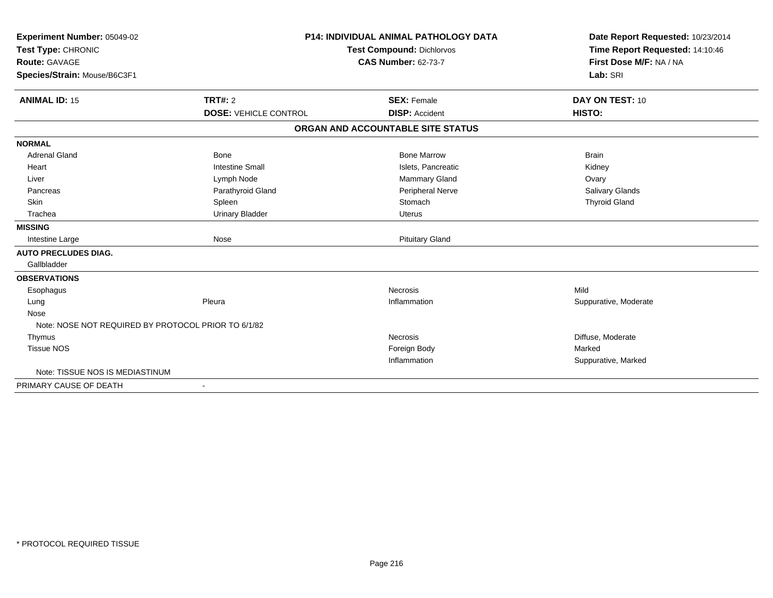| Experiment Number: 05049-02<br>Test Type: CHRONIC<br><b>Route: GAVAGE</b><br>Species/Strain: Mouse/B6C3F1 |                              | <b>P14: INDIVIDUAL ANIMAL PATHOLOGY DATA</b><br><b>Test Compound: Dichlorvos</b><br><b>CAS Number: 62-73-7</b> | Date Report Requested: 10/23/2014<br>Time Report Requested: 14:10:46<br>First Dose M/F: NA / NA<br>Lab: SRI |
|-----------------------------------------------------------------------------------------------------------|------------------------------|----------------------------------------------------------------------------------------------------------------|-------------------------------------------------------------------------------------------------------------|
| <b>ANIMAL ID: 15</b>                                                                                      | TRT#: 2                      | <b>SEX: Female</b>                                                                                             | DAY ON TEST: 10                                                                                             |
|                                                                                                           | <b>DOSE: VEHICLE CONTROL</b> | <b>DISP: Accident</b>                                                                                          | HISTO:                                                                                                      |
|                                                                                                           |                              | ORGAN AND ACCOUNTABLE SITE STATUS                                                                              |                                                                                                             |
| <b>NORMAL</b>                                                                                             |                              |                                                                                                                |                                                                                                             |
| <b>Adrenal Gland</b>                                                                                      | <b>Bone</b>                  | <b>Bone Marrow</b>                                                                                             | <b>Brain</b>                                                                                                |
| Heart                                                                                                     | <b>Intestine Small</b>       | Islets, Pancreatic                                                                                             | Kidney                                                                                                      |
| Liver                                                                                                     | Lymph Node                   | Mammary Gland                                                                                                  | Ovary                                                                                                       |
| Pancreas                                                                                                  | Parathyroid Gland            | Peripheral Nerve                                                                                               | Salivary Glands                                                                                             |
| Skin                                                                                                      | Spleen                       | Stomach                                                                                                        | <b>Thyroid Gland</b>                                                                                        |
| Trachea                                                                                                   | <b>Urinary Bladder</b>       | <b>Uterus</b>                                                                                                  |                                                                                                             |
| <b>MISSING</b>                                                                                            |                              |                                                                                                                |                                                                                                             |
| Intestine Large                                                                                           | Nose                         | <b>Pituitary Gland</b>                                                                                         |                                                                                                             |
| <b>AUTO PRECLUDES DIAG.</b>                                                                               |                              |                                                                                                                |                                                                                                             |
| Gallbladder                                                                                               |                              |                                                                                                                |                                                                                                             |
| <b>OBSERVATIONS</b>                                                                                       |                              |                                                                                                                |                                                                                                             |
| Esophagus                                                                                                 |                              | Necrosis                                                                                                       | Mild                                                                                                        |
| Lung                                                                                                      | Pleura                       | Inflammation                                                                                                   | Suppurative, Moderate                                                                                       |
| Nose                                                                                                      |                              |                                                                                                                |                                                                                                             |
| Note: NOSE NOT REQUIRED BY PROTOCOL PRIOR TO 6/1/82                                                       |                              |                                                                                                                |                                                                                                             |
| Thymus                                                                                                    |                              | Necrosis                                                                                                       | Diffuse, Moderate                                                                                           |
| <b>Tissue NOS</b>                                                                                         |                              | Foreign Body                                                                                                   | Marked                                                                                                      |
|                                                                                                           |                              | Inflammation                                                                                                   | Suppurative, Marked                                                                                         |
| Note: TISSUE NOS IS MEDIASTINUM                                                                           |                              |                                                                                                                |                                                                                                             |
| PRIMARY CAUSE OF DEATH                                                                                    | $\overline{\phantom{a}}$     |                                                                                                                |                                                                                                             |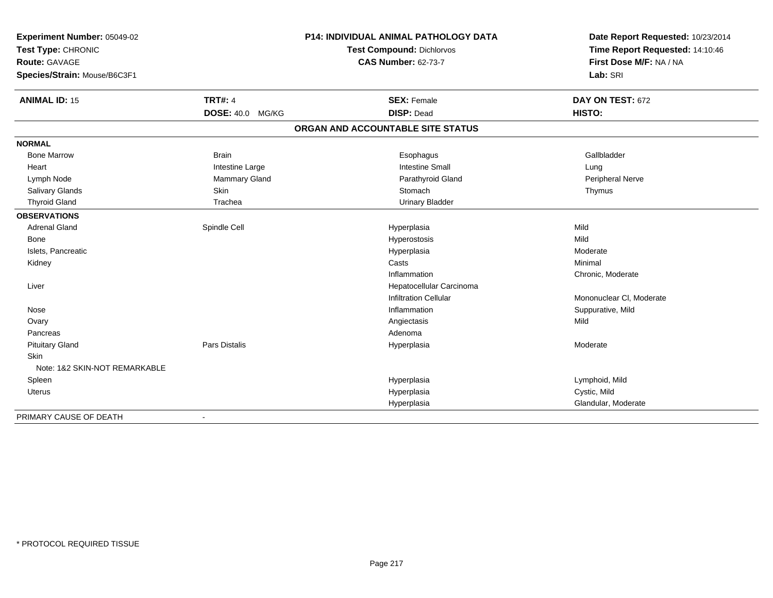| Experiment Number: 05049-02   | <b>P14: INDIVIDUAL ANIMAL PATHOLOGY DATA</b> |                                   | Date Report Requested: 10/23/2014                          |
|-------------------------------|----------------------------------------------|-----------------------------------|------------------------------------------------------------|
| Test Type: CHRONIC            |                                              | Test Compound: Dichlorvos         | Time Report Requested: 14:10:46<br>First Dose M/F: NA / NA |
| <b>Route: GAVAGE</b>          |                                              | <b>CAS Number: 62-73-7</b>        |                                                            |
| Species/Strain: Mouse/B6C3F1  |                                              |                                   | Lab: SRI                                                   |
| <b>ANIMAL ID: 15</b>          | <b>TRT#: 4</b>                               | <b>SEX: Female</b>                | DAY ON TEST: 672                                           |
|                               | DOSE: 40.0 MG/KG                             | <b>DISP: Dead</b>                 | HISTO:                                                     |
|                               |                                              | ORGAN AND ACCOUNTABLE SITE STATUS |                                                            |
| <b>NORMAL</b>                 |                                              |                                   |                                                            |
| <b>Bone Marrow</b>            | <b>Brain</b>                                 | Esophagus                         | Gallbladder                                                |
| Heart                         | Intestine Large                              | <b>Intestine Small</b>            | Lung                                                       |
| Lymph Node                    | <b>Mammary Gland</b>                         | Parathyroid Gland                 | Peripheral Nerve                                           |
| Salivary Glands               | Skin                                         | Stomach                           | Thymus                                                     |
| <b>Thyroid Gland</b>          | Trachea                                      | <b>Urinary Bladder</b>            |                                                            |
| <b>OBSERVATIONS</b>           |                                              |                                   |                                                            |
| <b>Adrenal Gland</b>          | Spindle Cell                                 | Hyperplasia                       | Mild                                                       |
| Bone                          |                                              | Hyperostosis                      | Mild                                                       |
| Islets, Pancreatic            |                                              | Hyperplasia                       | Moderate                                                   |
| Kidney                        |                                              | Casts                             | Minimal                                                    |
|                               |                                              | Inflammation                      | Chronic, Moderate                                          |
| Liver                         |                                              | Hepatocellular Carcinoma          |                                                            |
|                               |                                              | <b>Infiltration Cellular</b>      | Mononuclear CI, Moderate                                   |
| Nose                          |                                              | Inflammation                      | Suppurative, Mild                                          |
| Ovary                         |                                              | Angiectasis                       | Mild                                                       |
| Pancreas                      |                                              | Adenoma                           |                                                            |
| <b>Pituitary Gland</b>        | Pars Distalis                                | Hyperplasia                       | Moderate                                                   |
| <b>Skin</b>                   |                                              |                                   |                                                            |
| Note: 1&2 SKIN-NOT REMARKABLE |                                              |                                   |                                                            |
| Spleen                        |                                              | Hyperplasia                       | Lymphoid, Mild                                             |
| Uterus                        |                                              | Hyperplasia                       | Cystic, Mild                                               |
|                               |                                              | Hyperplasia                       | Glandular, Moderate                                        |
| PRIMARY CAUSE OF DEATH        | $\blacksquare$                               |                                   |                                                            |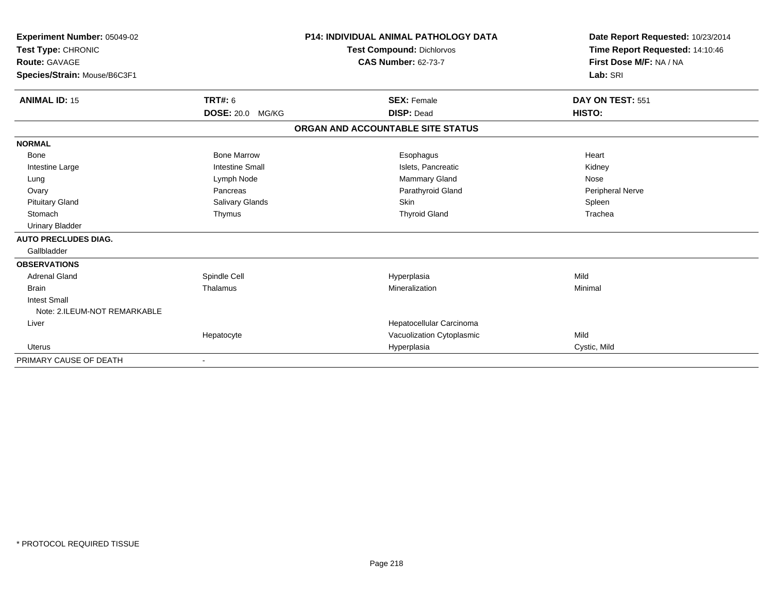| Experiment Number: 05049-02  |                         | <b>P14: INDIVIDUAL ANIMAL PATHOLOGY DATA</b> | Date Report Requested: 10/23/2014 |
|------------------------------|-------------------------|----------------------------------------------|-----------------------------------|
| Test Type: CHRONIC           |                         | <b>Test Compound: Dichlorvos</b>             | Time Report Requested: 14:10:46   |
| <b>Route: GAVAGE</b>         |                         | <b>CAS Number: 62-73-7</b>                   | First Dose M/F: NA / NA           |
| Species/Strain: Mouse/B6C3F1 |                         |                                              | Lab: SRI                          |
| <b>ANIMAL ID: 15</b>         | <b>TRT#: 6</b>          | <b>SEX: Female</b>                           | DAY ON TEST: 551                  |
|                              | <b>DOSE: 20.0 MG/KG</b> | <b>DISP: Dead</b>                            | HISTO:                            |
|                              |                         | ORGAN AND ACCOUNTABLE SITE STATUS            |                                   |
| <b>NORMAL</b>                |                         |                                              |                                   |
| <b>Bone</b>                  | <b>Bone Marrow</b>      | Esophagus                                    | Heart                             |
| Intestine Large              | <b>Intestine Small</b>  | Islets, Pancreatic                           | Kidney                            |
| Lung                         | Lymph Node              | Mammary Gland                                | Nose                              |
| Ovary                        | Pancreas                | Parathyroid Gland                            | Peripheral Nerve                  |
| <b>Pituitary Gland</b>       | Salivary Glands         | <b>Skin</b>                                  | Spleen                            |
| Stomach                      | Thymus                  | <b>Thyroid Gland</b>                         | Trachea                           |
| <b>Urinary Bladder</b>       |                         |                                              |                                   |
| <b>AUTO PRECLUDES DIAG.</b>  |                         |                                              |                                   |
| Gallbladder                  |                         |                                              |                                   |
| <b>OBSERVATIONS</b>          |                         |                                              |                                   |
| <b>Adrenal Gland</b>         | Spindle Cell            | Hyperplasia                                  | Mild                              |
| <b>Brain</b>                 | Thalamus                | Mineralization                               | Minimal                           |
| <b>Intest Small</b>          |                         |                                              |                                   |
| Note: 2.ILEUM-NOT REMARKABLE |                         |                                              |                                   |
| Liver                        |                         | Hepatocellular Carcinoma                     |                                   |
|                              | Hepatocyte              | Vacuolization Cytoplasmic                    | Mild                              |
| <b>Uterus</b>                |                         | Hyperplasia                                  | Cystic, Mild                      |
| PRIMARY CAUSE OF DEATH       |                         |                                              |                                   |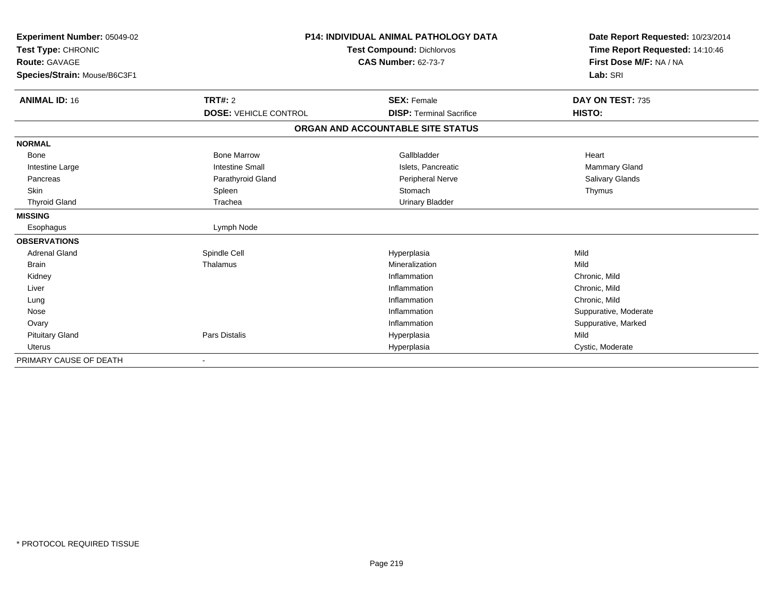| Experiment Number: 05049-02<br>Test Type: CHRONIC |                              | <b>P14: INDIVIDUAL ANIMAL PATHOLOGY DATA</b><br><b>Test Compound: Dichlorvos</b> | Date Report Requested: 10/23/2014<br>Time Report Requested: 14:10:46 |
|---------------------------------------------------|------------------------------|----------------------------------------------------------------------------------|----------------------------------------------------------------------|
| <b>Route: GAVAGE</b>                              |                              | <b>CAS Number: 62-73-7</b>                                                       | First Dose M/F: NA / NA                                              |
| Species/Strain: Mouse/B6C3F1                      |                              |                                                                                  | Lab: SRI                                                             |
| <b>ANIMAL ID: 16</b>                              | TRT#: 2                      | <b>SEX: Female</b>                                                               | DAY ON TEST: 735                                                     |
|                                                   | <b>DOSE: VEHICLE CONTROL</b> | <b>DISP: Terminal Sacrifice</b>                                                  | HISTO:                                                               |
|                                                   |                              | ORGAN AND ACCOUNTABLE SITE STATUS                                                |                                                                      |
| <b>NORMAL</b>                                     |                              |                                                                                  |                                                                      |
| <b>Bone</b>                                       | <b>Bone Marrow</b>           | Gallbladder                                                                      | Heart                                                                |
| Intestine Large                                   | <b>Intestine Small</b>       | Islets, Pancreatic                                                               | <b>Mammary Gland</b>                                                 |
| Pancreas                                          | Parathyroid Gland            | Peripheral Nerve                                                                 | Salivary Glands                                                      |
| <b>Skin</b>                                       | Spleen                       | Stomach                                                                          | Thymus                                                               |
| <b>Thyroid Gland</b>                              | Trachea                      | <b>Urinary Bladder</b>                                                           |                                                                      |
| <b>MISSING</b>                                    |                              |                                                                                  |                                                                      |
| Esophagus                                         | Lymph Node                   |                                                                                  |                                                                      |
| <b>OBSERVATIONS</b>                               |                              |                                                                                  |                                                                      |
| <b>Adrenal Gland</b>                              | Spindle Cell                 | Hyperplasia                                                                      | Mild                                                                 |
| Brain                                             | Thalamus                     | Mineralization                                                                   | Mild                                                                 |
| Kidney                                            |                              | Inflammation                                                                     | Chronic, Mild                                                        |
| Liver                                             |                              | Inflammation                                                                     | Chronic, Mild                                                        |
| Lung                                              |                              | Inflammation                                                                     | Chronic, Mild                                                        |
| Nose                                              |                              | Inflammation                                                                     | Suppurative, Moderate                                                |
| Ovary                                             |                              | Inflammation                                                                     | Suppurative, Marked                                                  |
| <b>Pituitary Gland</b>                            | <b>Pars Distalis</b>         | Hyperplasia                                                                      | Mild                                                                 |
| <b>Uterus</b>                                     |                              | Hyperplasia                                                                      | Cystic, Moderate                                                     |
| PRIMARY CAUSE OF DEATH                            |                              |                                                                                  |                                                                      |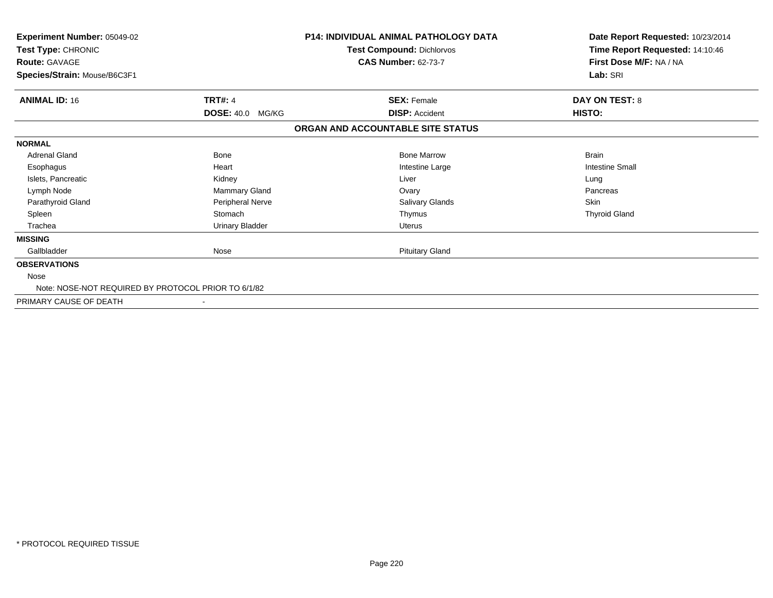| <b>Experiment Number: 05049-02</b><br>Test Type: CHRONIC<br>Route: GAVAGE<br>Species/Strain: Mouse/B6C3F1 |                            | <b>P14: INDIVIDUAL ANIMAL PATHOLOGY DATA</b><br>Test Compound: Dichlorvos<br><b>CAS Number: 62-73-7</b> | Date Report Requested: 10/23/2014<br>Time Report Requested: 14:10:46<br>First Dose M/F: NA / NA<br>Lab: SRI |
|-----------------------------------------------------------------------------------------------------------|----------------------------|---------------------------------------------------------------------------------------------------------|-------------------------------------------------------------------------------------------------------------|
| <b>ANIMAL ID: 16</b>                                                                                      | <b>TRT#: 4</b>             | <b>SEX: Female</b>                                                                                      | <b>DAY ON TEST: 8</b>                                                                                       |
|                                                                                                           | <b>DOSE: 40.0</b><br>MG/KG | <b>DISP: Accident</b>                                                                                   | HISTO:                                                                                                      |
|                                                                                                           |                            | ORGAN AND ACCOUNTABLE SITE STATUS                                                                       |                                                                                                             |
| <b>NORMAL</b>                                                                                             |                            |                                                                                                         |                                                                                                             |
| <b>Adrenal Gland</b>                                                                                      | <b>Bone</b>                | <b>Bone Marrow</b>                                                                                      | <b>Brain</b>                                                                                                |
| Esophagus                                                                                                 | Heart                      | Intestine Large                                                                                         | <b>Intestine Small</b>                                                                                      |
| Islets, Pancreatic                                                                                        | Kidney                     | Liver                                                                                                   | Lung                                                                                                        |
| Lymph Node                                                                                                | Mammary Gland              | Ovary                                                                                                   | Pancreas                                                                                                    |
| Parathyroid Gland                                                                                         | Peripheral Nerve           | Salivary Glands                                                                                         | <b>Skin</b>                                                                                                 |
| Spleen                                                                                                    | Stomach                    | Thymus                                                                                                  | <b>Thyroid Gland</b>                                                                                        |
| Trachea                                                                                                   | Urinary Bladder            | Uterus                                                                                                  |                                                                                                             |
| <b>MISSING</b>                                                                                            |                            |                                                                                                         |                                                                                                             |
| Gallbladder                                                                                               | Nose                       | <b>Pituitary Gland</b>                                                                                  |                                                                                                             |
| <b>OBSERVATIONS</b>                                                                                       |                            |                                                                                                         |                                                                                                             |
| Nose                                                                                                      |                            |                                                                                                         |                                                                                                             |
| Note: NOSE-NOT REQUIRED BY PROTOCOL PRIOR TO 6/1/82                                                       |                            |                                                                                                         |                                                                                                             |
| PRIMARY CAUSE OF DEATH                                                                                    |                            |                                                                                                         |                                                                                                             |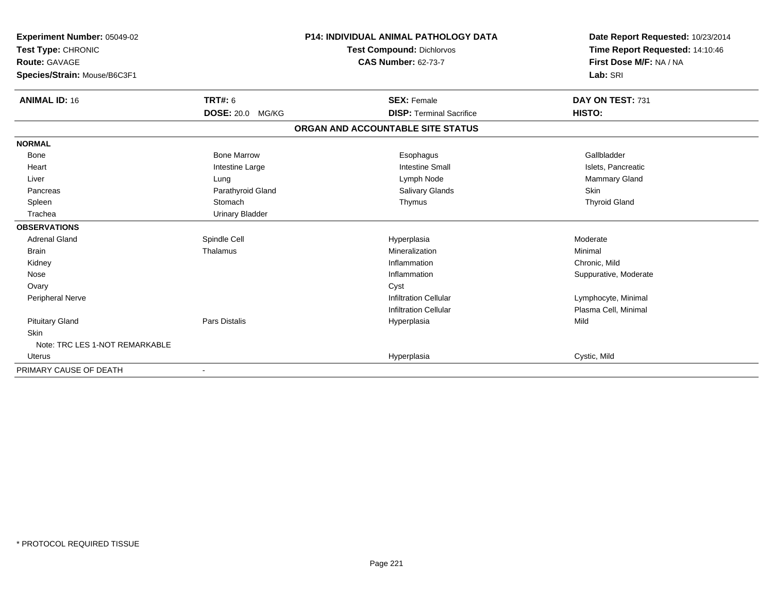| Experiment Number: 05049-02    |                            | <b>P14: INDIVIDUAL ANIMAL PATHOLOGY DATA</b> | Date Report Requested: 10/23/2014 |
|--------------------------------|----------------------------|----------------------------------------------|-----------------------------------|
| Test Type: CHRONIC             |                            | <b>Test Compound: Dichlorvos</b>             | Time Report Requested: 14:10:46   |
| Route: GAVAGE                  |                            | <b>CAS Number: 62-73-7</b>                   | First Dose M/F: NA / NA           |
| Species/Strain: Mouse/B6C3F1   |                            |                                              | Lab: SRI                          |
| <b>ANIMAL ID: 16</b>           | <b>TRT#: 6</b>             | <b>SEX: Female</b>                           | DAY ON TEST: 731                  |
|                                | <b>DOSE: 20.0</b><br>MG/KG | <b>DISP: Terminal Sacrifice</b>              | HISTO:                            |
|                                |                            | ORGAN AND ACCOUNTABLE SITE STATUS            |                                   |
| <b>NORMAL</b>                  |                            |                                              |                                   |
| <b>Bone</b>                    | <b>Bone Marrow</b>         | Esophagus                                    | Gallbladder                       |
| Heart                          | Intestine Large            | <b>Intestine Small</b>                       | Islets, Pancreatic                |
| Liver                          | Lung                       | Lymph Node                                   | <b>Mammary Gland</b>              |
| Pancreas                       | Parathyroid Gland          | <b>Salivary Glands</b>                       | Skin                              |
| Spleen                         | Stomach                    | Thymus                                       | <b>Thyroid Gland</b>              |
| Trachea                        | <b>Urinary Bladder</b>     |                                              |                                   |
| <b>OBSERVATIONS</b>            |                            |                                              |                                   |
| <b>Adrenal Gland</b>           | Spindle Cell               | Hyperplasia                                  | Moderate                          |
| <b>Brain</b>                   | Thalamus                   | Mineralization                               | Minimal                           |
| Kidney                         |                            | Inflammation                                 | Chronic, Mild                     |
| Nose                           |                            | Inflammation                                 | Suppurative, Moderate             |
| Ovary                          |                            | Cyst                                         |                                   |
| Peripheral Nerve               |                            | <b>Infiltration Cellular</b>                 | Lymphocyte, Minimal               |
|                                |                            | <b>Infiltration Cellular</b>                 | Plasma Cell, Minimal              |
| <b>Pituitary Gland</b>         | <b>Pars Distalis</b>       | Hyperplasia                                  | Mild                              |
| <b>Skin</b>                    |                            |                                              |                                   |
| Note: TRC LES 1-NOT REMARKABLE |                            |                                              |                                   |
| <b>Uterus</b>                  |                            | Hyperplasia                                  | Cystic, Mild                      |
| PRIMARY CAUSE OF DEATH         |                            |                                              |                                   |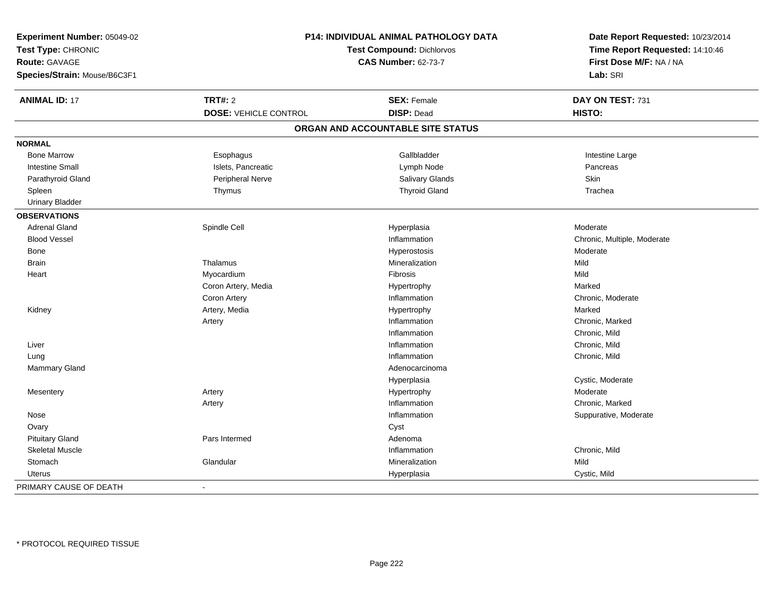| Experiment Number: 05049-02<br>Test Type: CHRONIC<br><b>Route: GAVAGE</b><br>Species/Strain: Mouse/B6C3F1 |                              | P14: INDIVIDUAL ANIMAL PATHOLOGY DATA<br><b>Test Compound: Dichlorvos</b><br><b>CAS Number: 62-73-7</b> | Date Report Requested: 10/23/2014<br>Time Report Requested: 14:10:46<br>First Dose M/F: NA / NA<br>Lab: SRI |
|-----------------------------------------------------------------------------------------------------------|------------------------------|---------------------------------------------------------------------------------------------------------|-------------------------------------------------------------------------------------------------------------|
| <b>ANIMAL ID: 17</b>                                                                                      | <b>TRT#: 2</b>               | <b>SEX: Female</b>                                                                                      | DAY ON TEST: 731                                                                                            |
|                                                                                                           | <b>DOSE: VEHICLE CONTROL</b> | <b>DISP: Dead</b>                                                                                       | HISTO:                                                                                                      |
|                                                                                                           |                              | ORGAN AND ACCOUNTABLE SITE STATUS                                                                       |                                                                                                             |
| <b>NORMAL</b>                                                                                             |                              |                                                                                                         |                                                                                                             |
| <b>Bone Marrow</b>                                                                                        | Esophagus                    | Gallbladder                                                                                             | Intestine Large                                                                                             |
| <b>Intestine Small</b>                                                                                    | Islets, Pancreatic           | Lymph Node                                                                                              | Pancreas                                                                                                    |
| Parathyroid Gland                                                                                         | Peripheral Nerve             | Salivary Glands                                                                                         | Skin                                                                                                        |
| Spleen                                                                                                    | Thymus                       | <b>Thyroid Gland</b>                                                                                    | Trachea                                                                                                     |
| <b>Urinary Bladder</b>                                                                                    |                              |                                                                                                         |                                                                                                             |
| <b>OBSERVATIONS</b>                                                                                       |                              |                                                                                                         |                                                                                                             |
| <b>Adrenal Gland</b>                                                                                      | Spindle Cell                 | Hyperplasia                                                                                             | Moderate                                                                                                    |
| <b>Blood Vessel</b>                                                                                       |                              | Inflammation                                                                                            | Chronic, Multiple, Moderate                                                                                 |
| Bone                                                                                                      |                              | Hyperostosis                                                                                            | Moderate                                                                                                    |
| <b>Brain</b>                                                                                              | Thalamus                     | Mineralization                                                                                          | Mild                                                                                                        |
| Heart                                                                                                     | Myocardium                   | Fibrosis                                                                                                | Mild                                                                                                        |
|                                                                                                           | Coron Artery, Media          | Hypertrophy                                                                                             | Marked                                                                                                      |
|                                                                                                           | Coron Artery                 | Inflammation                                                                                            | Chronic, Moderate                                                                                           |
| Kidney                                                                                                    | Artery, Media                | Hypertrophy                                                                                             | Marked                                                                                                      |
|                                                                                                           | Artery                       | Inflammation                                                                                            | Chronic, Marked                                                                                             |
|                                                                                                           |                              | Inflammation                                                                                            | Chronic, Mild                                                                                               |
| Liver                                                                                                     |                              | Inflammation                                                                                            | Chronic, Mild                                                                                               |
| Lung                                                                                                      |                              | Inflammation                                                                                            | Chronic, Mild                                                                                               |
| Mammary Gland                                                                                             |                              | Adenocarcinoma                                                                                          |                                                                                                             |
|                                                                                                           |                              | Hyperplasia                                                                                             | Cystic, Moderate                                                                                            |
| Mesentery                                                                                                 | Artery                       | Hypertrophy                                                                                             | Moderate                                                                                                    |
|                                                                                                           | Artery                       | Inflammation                                                                                            | Chronic, Marked                                                                                             |
| Nose                                                                                                      |                              | Inflammation                                                                                            | Suppurative, Moderate                                                                                       |
| Ovary                                                                                                     |                              | Cyst                                                                                                    |                                                                                                             |
| <b>Pituitary Gland</b>                                                                                    | Pars Intermed                | Adenoma                                                                                                 |                                                                                                             |
| <b>Skeletal Muscle</b>                                                                                    |                              | Inflammation                                                                                            | Chronic, Mild                                                                                               |
| Stomach                                                                                                   | Glandular                    | Mineralization                                                                                          | Mild                                                                                                        |
| <b>Uterus</b>                                                                                             |                              | Hyperplasia                                                                                             | Cystic, Mild                                                                                                |
| PRIMARY CAUSE OF DEATH                                                                                    |                              |                                                                                                         |                                                                                                             |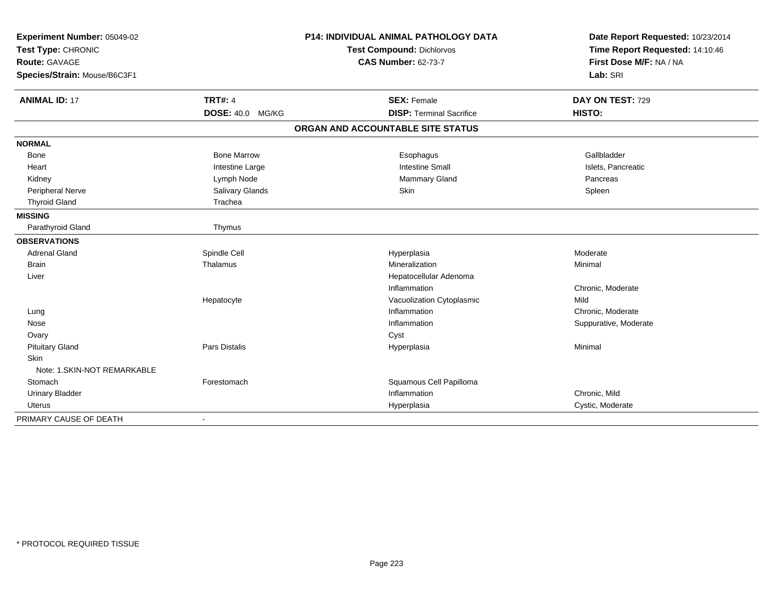| Experiment Number: 05049-02  |                         | <b>P14: INDIVIDUAL ANIMAL PATHOLOGY DATA</b> | Date Report Requested: 10/23/2014 |
|------------------------------|-------------------------|----------------------------------------------|-----------------------------------|
| Test Type: CHRONIC           |                         | Test Compound: Dichlorvos                    | Time Report Requested: 14:10:46   |
| Route: GAVAGE                |                         | <b>CAS Number: 62-73-7</b>                   | First Dose M/F: NA / NA           |
| Species/Strain: Mouse/B6C3F1 |                         |                                              | Lab: SRI                          |
| <b>ANIMAL ID: 17</b>         | <b>TRT#: 4</b>          | <b>SEX: Female</b>                           | DAY ON TEST: 729                  |
|                              | <b>DOSE: 40.0 MG/KG</b> | <b>DISP: Terminal Sacrifice</b>              | HISTO:                            |
|                              |                         | ORGAN AND ACCOUNTABLE SITE STATUS            |                                   |
| <b>NORMAL</b>                |                         |                                              |                                   |
| Bone                         | <b>Bone Marrow</b>      | Esophagus                                    | Gallbladder                       |
| Heart                        | Intestine Large         | <b>Intestine Small</b>                       | Islets, Pancreatic                |
| Kidney                       | Lymph Node              | Mammary Gland                                | Pancreas                          |
| Peripheral Nerve             | Salivary Glands         | Skin                                         | Spleen                            |
| <b>Thyroid Gland</b>         | Trachea                 |                                              |                                   |
| <b>MISSING</b>               |                         |                                              |                                   |
| Parathyroid Gland            | Thymus                  |                                              |                                   |
| <b>OBSERVATIONS</b>          |                         |                                              |                                   |
| <b>Adrenal Gland</b>         | Spindle Cell            | Hyperplasia                                  | Moderate                          |
| <b>Brain</b>                 | Thalamus                | Mineralization                               | Minimal                           |
| Liver                        |                         | Hepatocellular Adenoma                       |                                   |
|                              |                         | Inflammation                                 | Chronic, Moderate                 |
|                              | Hepatocyte              | Vacuolization Cytoplasmic                    | Mild                              |
| Lung                         |                         | Inflammation                                 | Chronic, Moderate                 |
| Nose                         |                         | Inflammation                                 | Suppurative, Moderate             |
| Ovary                        |                         | Cyst                                         |                                   |
| <b>Pituitary Gland</b>       | Pars Distalis           | Hyperplasia                                  | Minimal                           |
| Skin                         |                         |                                              |                                   |
| Note: 1.SKIN-NOT REMARKABLE  |                         |                                              |                                   |
| Stomach                      | Forestomach             | Squamous Cell Papilloma                      |                                   |
| <b>Urinary Bladder</b>       |                         | Inflammation                                 | Chronic, Mild                     |
| <b>Uterus</b>                |                         | Hyperplasia                                  | Cystic, Moderate                  |
| PRIMARY CAUSE OF DEATH       |                         |                                              |                                   |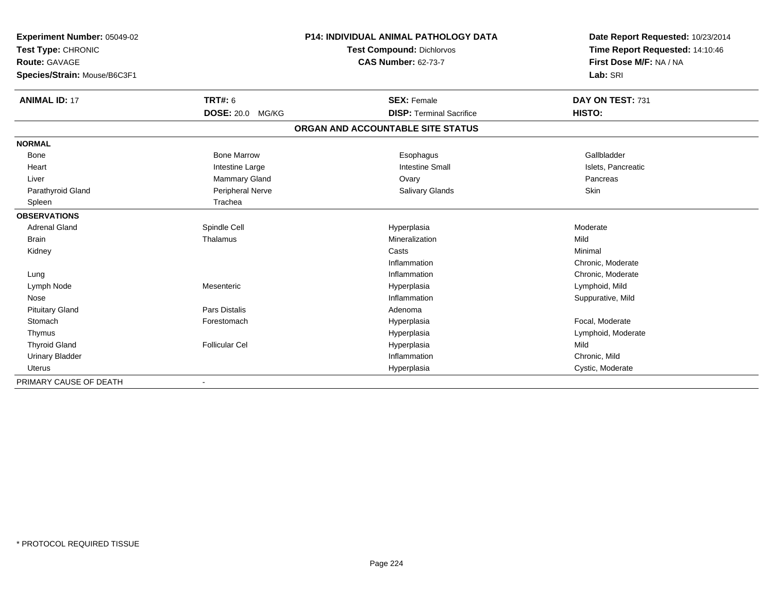| Experiment Number: 05049-02  | P14: INDIVIDUAL ANIMAL PATHOLOGY DATA |                                   | Date Report Requested: 10/23/2014 |
|------------------------------|---------------------------------------|-----------------------------------|-----------------------------------|
| Test Type: CHRONIC           |                                       | Test Compound: Dichlorvos         | Time Report Requested: 14:10:46   |
| <b>Route: GAVAGE</b>         |                                       | <b>CAS Number: 62-73-7</b>        | First Dose M/F: NA / NA           |
| Species/Strain: Mouse/B6C3F1 |                                       |                                   | Lab: SRI                          |
| <b>ANIMAL ID: 17</b>         | <b>TRT#: 6</b>                        | <b>SEX: Female</b>                | DAY ON TEST: 731                  |
|                              | <b>DOSE: 20.0</b><br>MG/KG            | <b>DISP: Terminal Sacrifice</b>   | HISTO:                            |
|                              |                                       | ORGAN AND ACCOUNTABLE SITE STATUS |                                   |
| <b>NORMAL</b>                |                                       |                                   |                                   |
| <b>Bone</b>                  | <b>Bone Marrow</b>                    | Esophagus                         | Gallbladder                       |
| Heart                        | Intestine Large                       | <b>Intestine Small</b>            | Islets, Pancreatic                |
| Liver                        | Mammary Gland                         | Ovary                             | Pancreas                          |
| Parathyroid Gland            | Peripheral Nerve                      | Salivary Glands                   | Skin                              |
| Spleen                       | Trachea                               |                                   |                                   |
| <b>OBSERVATIONS</b>          |                                       |                                   |                                   |
| <b>Adrenal Gland</b>         | Spindle Cell                          | Hyperplasia                       | Moderate                          |
| <b>Brain</b>                 | Thalamus                              | Mineralization                    | Mild                              |
| Kidney                       |                                       | Casts                             | Minimal                           |
|                              |                                       | Inflammation                      | Chronic, Moderate                 |
| Lung                         |                                       | Inflammation                      | Chronic, Moderate                 |
| Lymph Node                   | Mesenteric                            | Hyperplasia                       | Lymphoid, Mild                    |
| Nose                         |                                       | Inflammation                      | Suppurative, Mild                 |
| <b>Pituitary Gland</b>       | <b>Pars Distalis</b>                  | Adenoma                           |                                   |
| Stomach                      | Forestomach                           | Hyperplasia                       | Focal, Moderate                   |
| Thymus                       |                                       | Hyperplasia                       | Lymphoid, Moderate                |
| <b>Thyroid Gland</b>         | <b>Follicular Cel</b>                 | Hyperplasia                       | Mild                              |
| <b>Urinary Bladder</b>       |                                       | Inflammation                      | Chronic, Mild                     |
| <b>Uterus</b>                |                                       | Hyperplasia                       | Cystic, Moderate                  |
| PRIMARY CAUSE OF DEATH       |                                       |                                   |                                   |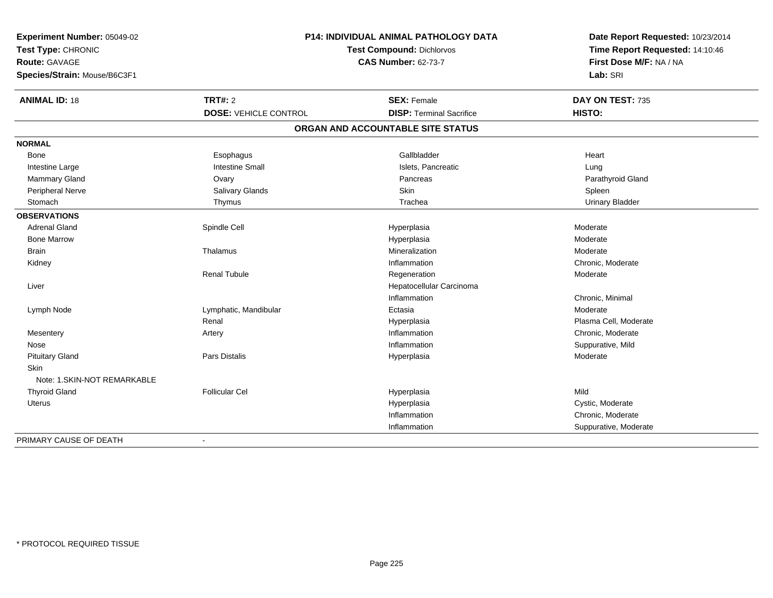| Experiment Number: 05049-02  | <b>P14: INDIVIDUAL ANIMAL PATHOLOGY DATA</b><br>Test Compound: Dichlorvos |                                   | Date Report Requested: 10/23/2014<br>Time Report Requested: 14:10:46 |
|------------------------------|---------------------------------------------------------------------------|-----------------------------------|----------------------------------------------------------------------|
| Test Type: CHRONIC           |                                                                           |                                   |                                                                      |
| <b>Route: GAVAGE</b>         |                                                                           | <b>CAS Number: 62-73-7</b>        | First Dose M/F: NA / NA                                              |
| Species/Strain: Mouse/B6C3F1 |                                                                           |                                   | Lab: SRI                                                             |
| <b>ANIMAL ID: 18</b>         | <b>TRT#: 2</b>                                                            | <b>SEX: Female</b>                | DAY ON TEST: 735                                                     |
|                              | <b>DOSE: VEHICLE CONTROL</b>                                              | <b>DISP: Terminal Sacrifice</b>   | HISTO:                                                               |
|                              |                                                                           | ORGAN AND ACCOUNTABLE SITE STATUS |                                                                      |
| <b>NORMAL</b>                |                                                                           |                                   |                                                                      |
| Bone                         | Esophagus                                                                 | Gallbladder                       | Heart                                                                |
| Intestine Large              | <b>Intestine Small</b>                                                    | Islets, Pancreatic                | Lung                                                                 |
| Mammary Gland                | Ovary                                                                     | Pancreas                          | Parathyroid Gland                                                    |
| Peripheral Nerve             | Salivary Glands                                                           | Skin                              | Spleen                                                               |
| Stomach                      | Thymus                                                                    | Trachea                           | <b>Urinary Bladder</b>                                               |
| <b>OBSERVATIONS</b>          |                                                                           |                                   |                                                                      |
| <b>Adrenal Gland</b>         | Spindle Cell                                                              | Hyperplasia                       | Moderate                                                             |
| <b>Bone Marrow</b>           |                                                                           | Hyperplasia                       | Moderate                                                             |
| <b>Brain</b>                 | Thalamus                                                                  | Mineralization                    | Moderate                                                             |
| Kidney                       |                                                                           | Inflammation                      | Chronic, Moderate                                                    |
|                              | <b>Renal Tubule</b>                                                       | Regeneration                      | Moderate                                                             |
| Liver                        |                                                                           | Hepatocellular Carcinoma          |                                                                      |
|                              |                                                                           | Inflammation                      | Chronic, Minimal                                                     |
| Lymph Node                   | Lymphatic, Mandibular                                                     | Ectasia                           | Moderate                                                             |
|                              | Renal                                                                     | Hyperplasia                       | Plasma Cell, Moderate                                                |
| Mesentery                    | Artery                                                                    | Inflammation                      | Chronic, Moderate                                                    |
| Nose                         |                                                                           | Inflammation                      | Suppurative, Mild                                                    |
| <b>Pituitary Gland</b>       | Pars Distalis                                                             | Hyperplasia                       | Moderate                                                             |
| Skin                         |                                                                           |                                   |                                                                      |
| Note: 1.SKIN-NOT REMARKABLE  |                                                                           |                                   |                                                                      |
| <b>Thyroid Gland</b>         | <b>Follicular Cel</b>                                                     | Hyperplasia                       | Mild                                                                 |
| Uterus                       |                                                                           | Hyperplasia                       | Cystic, Moderate                                                     |
|                              |                                                                           | Inflammation                      | Chronic, Moderate                                                    |
|                              |                                                                           | Inflammation                      | Suppurative, Moderate                                                |
| PRIMARY CAUSE OF DEATH       | $\blacksquare$                                                            |                                   |                                                                      |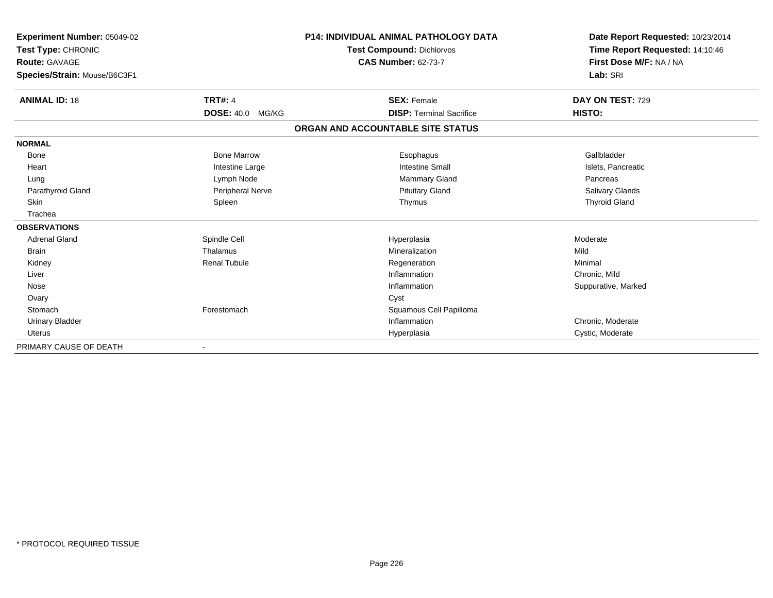| Experiment Number: 05049-02<br>Test Type: CHRONIC<br><b>Route: GAVAGE</b><br>Species/Strain: Mouse/B6C3F1 |                         | <b>P14: INDIVIDUAL ANIMAL PATHOLOGY DATA</b><br><b>Test Compound: Dichlorvos</b><br><b>CAS Number: 62-73-7</b> | Date Report Requested: 10/23/2014<br>Time Report Requested: 14:10:46<br>First Dose M/F: NA / NA<br>Lab: SRI |
|-----------------------------------------------------------------------------------------------------------|-------------------------|----------------------------------------------------------------------------------------------------------------|-------------------------------------------------------------------------------------------------------------|
|                                                                                                           |                         |                                                                                                                |                                                                                                             |
| <b>ANIMAL ID: 18</b>                                                                                      | <b>TRT#: 4</b>          | <b>SEX: Female</b>                                                                                             | DAY ON TEST: 729                                                                                            |
|                                                                                                           | <b>DOSE: 40.0 MG/KG</b> | <b>DISP: Terminal Sacrifice</b>                                                                                | HISTO:                                                                                                      |
|                                                                                                           |                         | ORGAN AND ACCOUNTABLE SITE STATUS                                                                              |                                                                                                             |
| <b>NORMAL</b>                                                                                             |                         |                                                                                                                |                                                                                                             |
| Bone                                                                                                      | <b>Bone Marrow</b>      | Esophagus                                                                                                      | Gallbladder                                                                                                 |
| Heart                                                                                                     | Intestine Large         | <b>Intestine Small</b>                                                                                         | Islets, Pancreatic                                                                                          |
| Lung                                                                                                      | Lymph Node              | Mammary Gland                                                                                                  | Pancreas                                                                                                    |
| Parathyroid Gland                                                                                         | Peripheral Nerve        | <b>Pituitary Gland</b>                                                                                         | Salivary Glands                                                                                             |
| Skin                                                                                                      | Spleen                  | Thymus                                                                                                         | <b>Thyroid Gland</b>                                                                                        |
| Trachea                                                                                                   |                         |                                                                                                                |                                                                                                             |
| <b>OBSERVATIONS</b>                                                                                       |                         |                                                                                                                |                                                                                                             |
| <b>Adrenal Gland</b>                                                                                      | Spindle Cell            | Hyperplasia                                                                                                    | Moderate                                                                                                    |
| <b>Brain</b>                                                                                              | Thalamus                | Mineralization                                                                                                 | Mild                                                                                                        |
| Kidney                                                                                                    | <b>Renal Tubule</b>     | Regeneration                                                                                                   | Minimal                                                                                                     |
| Liver                                                                                                     |                         | Inflammation                                                                                                   | Chronic, Mild                                                                                               |
| Nose                                                                                                      |                         | Inflammation                                                                                                   | Suppurative, Marked                                                                                         |
| Ovary                                                                                                     |                         | Cyst                                                                                                           |                                                                                                             |
| Stomach                                                                                                   | Forestomach             | Squamous Cell Papilloma                                                                                        |                                                                                                             |
| <b>Urinary Bladder</b>                                                                                    |                         | Inflammation                                                                                                   | Chronic, Moderate                                                                                           |
| Uterus                                                                                                    |                         | Hyperplasia                                                                                                    | Cystic, Moderate                                                                                            |
| PRIMARY CAUSE OF DEATH                                                                                    |                         |                                                                                                                |                                                                                                             |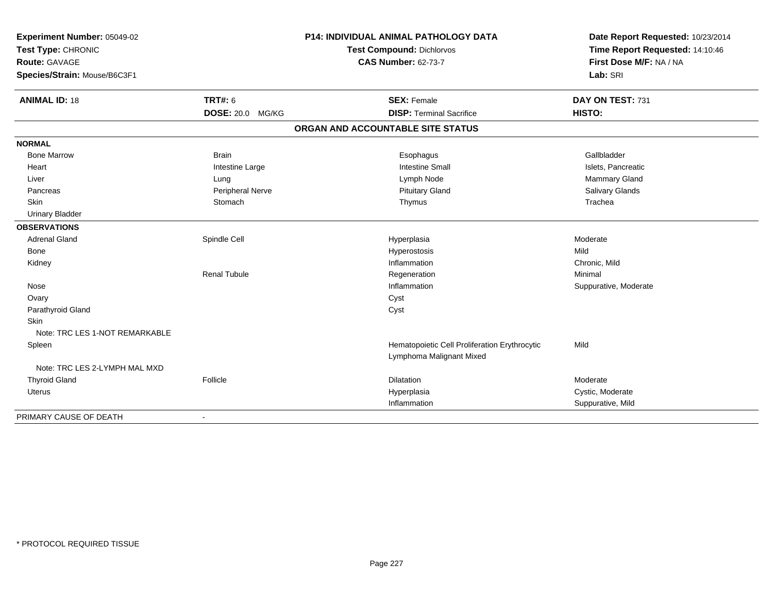| Experiment Number: 05049-02<br>Test Type: CHRONIC<br><b>Route: GAVAGE</b><br>Species/Strain: Mouse/B6C3F1 |                         | P14: INDIVIDUAL ANIMAL PATHOLOGY DATA<br><b>Test Compound: Dichlorvos</b><br><b>CAS Number: 62-73-7</b> | Date Report Requested: 10/23/2014<br>Time Report Requested: 14:10:46<br>First Dose M/F: NA / NA<br>Lab: SRI |
|-----------------------------------------------------------------------------------------------------------|-------------------------|---------------------------------------------------------------------------------------------------------|-------------------------------------------------------------------------------------------------------------|
| <b>ANIMAL ID: 18</b>                                                                                      | TRT#: 6                 | <b>SEX: Female</b>                                                                                      | DAY ON TEST: 731                                                                                            |
|                                                                                                           | <b>DOSE: 20.0 MG/KG</b> | <b>DISP: Terminal Sacrifice</b>                                                                         | HISTO:                                                                                                      |
|                                                                                                           |                         | ORGAN AND ACCOUNTABLE SITE STATUS                                                                       |                                                                                                             |
| <b>NORMAL</b>                                                                                             |                         |                                                                                                         |                                                                                                             |
| <b>Bone Marrow</b>                                                                                        | <b>Brain</b>            | Esophagus                                                                                               | Gallbladder                                                                                                 |
| Heart                                                                                                     | Intestine Large         | <b>Intestine Small</b>                                                                                  | Islets, Pancreatic                                                                                          |
| Liver                                                                                                     | Lung                    | Lymph Node                                                                                              | Mammary Gland                                                                                               |
| Pancreas                                                                                                  | Peripheral Nerve        | <b>Pituitary Gland</b>                                                                                  | Salivary Glands                                                                                             |
| Skin                                                                                                      | Stomach                 | Thymus                                                                                                  | Trachea                                                                                                     |
| <b>Urinary Bladder</b>                                                                                    |                         |                                                                                                         |                                                                                                             |
| <b>OBSERVATIONS</b>                                                                                       |                         |                                                                                                         |                                                                                                             |
| <b>Adrenal Gland</b>                                                                                      | Spindle Cell            | Hyperplasia                                                                                             | Moderate                                                                                                    |
| Bone                                                                                                      |                         | Hyperostosis                                                                                            | Mild                                                                                                        |
| Kidney                                                                                                    |                         | Inflammation                                                                                            | Chronic, Mild                                                                                               |
|                                                                                                           | <b>Renal Tubule</b>     | Regeneration                                                                                            | Minimal                                                                                                     |
| Nose                                                                                                      |                         | Inflammation                                                                                            | Suppurative, Moderate                                                                                       |
| Ovary                                                                                                     |                         | Cyst                                                                                                    |                                                                                                             |
| Parathyroid Gland                                                                                         |                         | Cyst                                                                                                    |                                                                                                             |
| Skin                                                                                                      |                         |                                                                                                         |                                                                                                             |
| Note: TRC LES 1-NOT REMARKABLE                                                                            |                         |                                                                                                         |                                                                                                             |
| Spleen                                                                                                    |                         | Hematopoietic Cell Proliferation Erythrocytic                                                           | Mild                                                                                                        |
|                                                                                                           |                         | Lymphoma Malignant Mixed                                                                                |                                                                                                             |
| Note: TRC LES 2-LYMPH MAL MXD                                                                             |                         |                                                                                                         |                                                                                                             |
| <b>Thyroid Gland</b>                                                                                      | Follicle                | Dilatation                                                                                              | Moderate                                                                                                    |
| <b>Uterus</b>                                                                                             |                         | Hyperplasia                                                                                             | Cystic, Moderate                                                                                            |
|                                                                                                           |                         | Inflammation                                                                                            | Suppurative, Mild                                                                                           |
| PRIMARY CAUSE OF DEATH                                                                                    | $\blacksquare$          |                                                                                                         |                                                                                                             |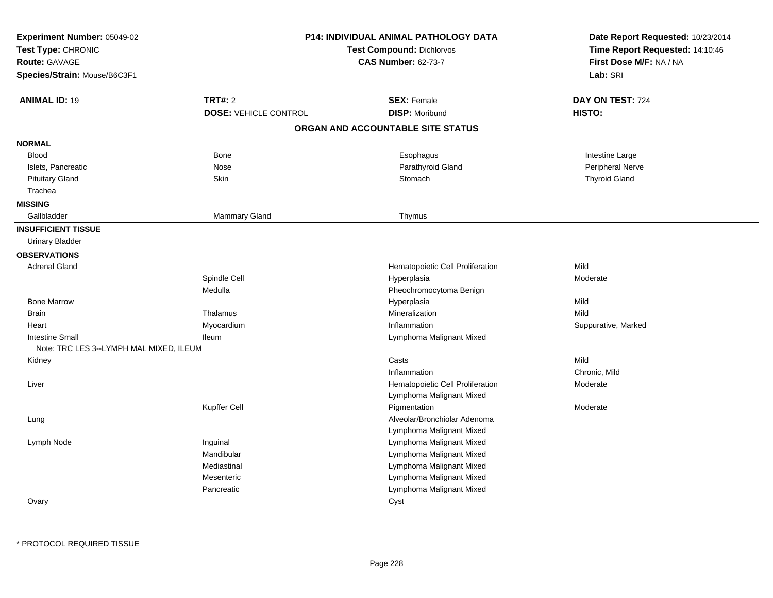| Experiment Number: 05049-02<br>Test Type: CHRONIC<br>Route: GAVAGE<br>Species/Strain: Mouse/B6C3F1 |                              | <b>P14: INDIVIDUAL ANIMAL PATHOLOGY DATA</b><br><b>Test Compound: Dichlorvos</b><br><b>CAS Number: 62-73-7</b> | Date Report Requested: 10/23/2014<br>Time Report Requested: 14:10:46<br>First Dose M/F: NA / NA<br>Lab: SRI |
|----------------------------------------------------------------------------------------------------|------------------------------|----------------------------------------------------------------------------------------------------------------|-------------------------------------------------------------------------------------------------------------|
| <b>ANIMAL ID: 19</b>                                                                               | <b>TRT#: 2</b>               | <b>SEX: Female</b>                                                                                             | DAY ON TEST: 724                                                                                            |
|                                                                                                    | <b>DOSE: VEHICLE CONTROL</b> | <b>DISP: Moribund</b>                                                                                          | HISTO:                                                                                                      |
|                                                                                                    |                              | ORGAN AND ACCOUNTABLE SITE STATUS                                                                              |                                                                                                             |
| <b>NORMAL</b>                                                                                      |                              |                                                                                                                |                                                                                                             |
| <b>Blood</b>                                                                                       | Bone                         | Esophagus                                                                                                      | Intestine Large                                                                                             |
| Islets, Pancreatic                                                                                 | Nose                         | Parathyroid Gland                                                                                              | Peripheral Nerve                                                                                            |
| <b>Pituitary Gland</b>                                                                             | Skin                         | Stomach                                                                                                        | <b>Thyroid Gland</b>                                                                                        |
| Trachea<br><b>MISSING</b>                                                                          |                              |                                                                                                                |                                                                                                             |
| Gallbladder                                                                                        | Mammary Gland                | Thymus                                                                                                         |                                                                                                             |
| <b>INSUFFICIENT TISSUE</b>                                                                         |                              |                                                                                                                |                                                                                                             |
| <b>Urinary Bladder</b>                                                                             |                              |                                                                                                                |                                                                                                             |
| <b>OBSERVATIONS</b>                                                                                |                              |                                                                                                                |                                                                                                             |
| <b>Adrenal Gland</b>                                                                               |                              | Hematopoietic Cell Proliferation                                                                               | Mild                                                                                                        |
|                                                                                                    | Spindle Cell                 | Hyperplasia                                                                                                    | Moderate                                                                                                    |
|                                                                                                    | Medulla                      | Pheochromocytoma Benign                                                                                        |                                                                                                             |
| <b>Bone Marrow</b>                                                                                 |                              | Hyperplasia                                                                                                    | Mild                                                                                                        |
| <b>Brain</b>                                                                                       | Thalamus                     | Mineralization                                                                                                 | Mild                                                                                                        |
| Heart                                                                                              | Myocardium                   | Inflammation                                                                                                   | Suppurative, Marked                                                                                         |
| <b>Intestine Small</b>                                                                             | lleum                        | Lymphoma Malignant Mixed                                                                                       |                                                                                                             |
| Note: TRC LES 3--LYMPH MAL MIXED, ILEUM                                                            |                              |                                                                                                                |                                                                                                             |
| Kidney                                                                                             |                              | Casts                                                                                                          | Mild                                                                                                        |
|                                                                                                    |                              | Inflammation                                                                                                   | Chronic, Mild                                                                                               |
| Liver                                                                                              |                              | Hematopoietic Cell Proliferation                                                                               | Moderate                                                                                                    |
|                                                                                                    |                              | Lymphoma Malignant Mixed                                                                                       |                                                                                                             |
|                                                                                                    | Kupffer Cell                 | Pigmentation                                                                                                   | Moderate                                                                                                    |
| Lung                                                                                               |                              | Alveolar/Bronchiolar Adenoma                                                                                   |                                                                                                             |
|                                                                                                    |                              | Lymphoma Malignant Mixed                                                                                       |                                                                                                             |
| Lymph Node                                                                                         | Inguinal                     | Lymphoma Malignant Mixed                                                                                       |                                                                                                             |
|                                                                                                    | Mandibular                   | Lymphoma Malignant Mixed                                                                                       |                                                                                                             |
|                                                                                                    | Mediastinal                  | Lymphoma Malignant Mixed                                                                                       |                                                                                                             |
|                                                                                                    | Mesenteric                   | Lymphoma Malignant Mixed                                                                                       |                                                                                                             |
|                                                                                                    | Pancreatic                   | Lymphoma Malignant Mixed                                                                                       |                                                                                                             |
| Ovary                                                                                              |                              | Cyst                                                                                                           |                                                                                                             |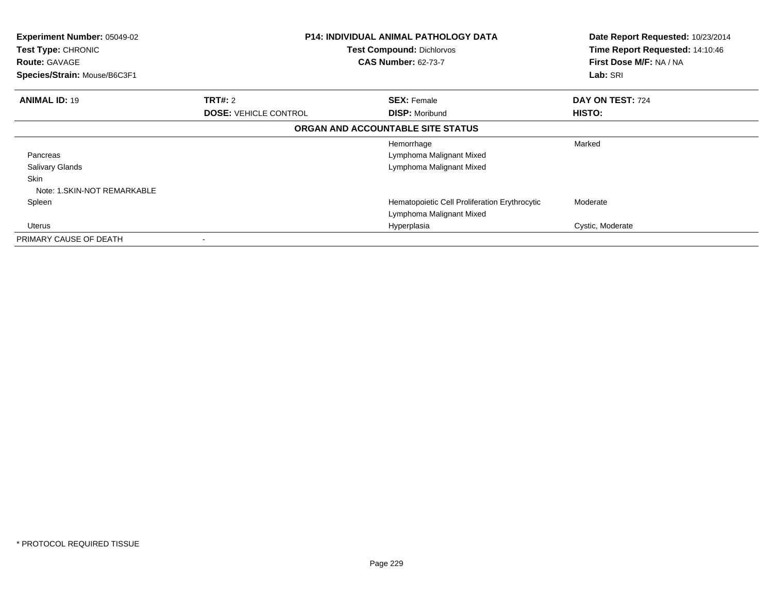| <b>Experiment Number: 05049-02</b><br><b>Test Type: CHRONIC</b><br><b>Route: GAVAGE</b><br>Species/Strain: Mouse/B6C3F1 |                              | <b>P14: INDIVIDUAL ANIMAL PATHOLOGY DATA</b><br><b>Test Compound: Dichlorvos</b><br><b>CAS Number: 62-73-7</b> | Date Report Requested: 10/23/2014<br>Time Report Requested: 14:10:46<br>First Dose M/F: NA / NA<br>Lab: SRI |
|-------------------------------------------------------------------------------------------------------------------------|------------------------------|----------------------------------------------------------------------------------------------------------------|-------------------------------------------------------------------------------------------------------------|
| <b>ANIMAL ID: 19</b>                                                                                                    | TRT#: 2                      | <b>SEX: Female</b>                                                                                             | DAY ON TEST: 724                                                                                            |
|                                                                                                                         | <b>DOSE: VEHICLE CONTROL</b> | <b>DISP: Moribund</b>                                                                                          | HISTO:                                                                                                      |
|                                                                                                                         |                              | ORGAN AND ACCOUNTABLE SITE STATUS                                                                              |                                                                                                             |
|                                                                                                                         |                              | Hemorrhage                                                                                                     | Marked                                                                                                      |
| Pancreas                                                                                                                |                              | Lymphoma Malignant Mixed                                                                                       |                                                                                                             |
| <b>Salivary Glands</b>                                                                                                  |                              | Lymphoma Malignant Mixed                                                                                       |                                                                                                             |
| Skin                                                                                                                    |                              |                                                                                                                |                                                                                                             |
| Note: 1.SKIN-NOT REMARKABLE                                                                                             |                              |                                                                                                                |                                                                                                             |
| Spleen                                                                                                                  |                              | Hematopoietic Cell Proliferation Erythrocytic                                                                  | Moderate                                                                                                    |
|                                                                                                                         |                              | Lymphoma Malignant Mixed                                                                                       |                                                                                                             |
| Uterus                                                                                                                  |                              | Hyperplasia                                                                                                    | Cystic, Moderate                                                                                            |
| PRIMARY CAUSE OF DEATH                                                                                                  |                              |                                                                                                                |                                                                                                             |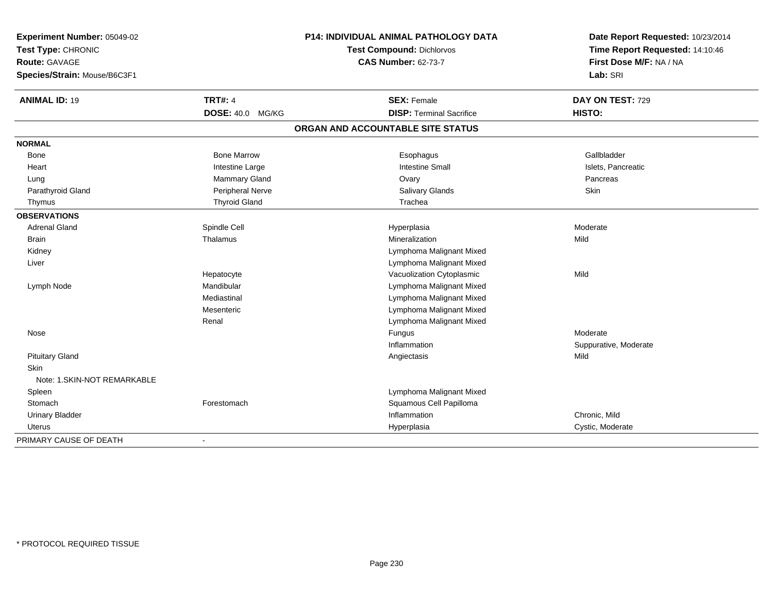| Experiment Number: 05049-02  | <b>P14: INDIVIDUAL ANIMAL PATHOLOGY DATA</b> |                                   | Date Report Requested: 10/23/2014 |  |
|------------------------------|----------------------------------------------|-----------------------------------|-----------------------------------|--|
| Test Type: CHRONIC           |                                              | Test Compound: Dichlorvos         | Time Report Requested: 14:10:46   |  |
| <b>Route: GAVAGE</b>         |                                              | <b>CAS Number: 62-73-7</b>        | First Dose M/F: NA / NA           |  |
| Species/Strain: Mouse/B6C3F1 |                                              |                                   | Lab: SRI                          |  |
| <b>ANIMAL ID: 19</b>         | <b>TRT#: 4</b>                               | <b>SEX: Female</b>                | DAY ON TEST: 729                  |  |
|                              | <b>DOSE: 40.0</b><br>MG/KG                   | <b>DISP: Terminal Sacrifice</b>   | <b>HISTO:</b>                     |  |
|                              |                                              | ORGAN AND ACCOUNTABLE SITE STATUS |                                   |  |
| <b>NORMAL</b>                |                                              |                                   |                                   |  |
| Bone                         | <b>Bone Marrow</b>                           | Esophagus                         | Gallbladder                       |  |
| Heart                        | Intestine Large                              | <b>Intestine Small</b>            | Islets, Pancreatic                |  |
| Lung                         | Mammary Gland                                | Ovary                             | Pancreas                          |  |
| Parathyroid Gland            | Peripheral Nerve                             | <b>Salivary Glands</b>            | <b>Skin</b>                       |  |
| Thymus                       | <b>Thyroid Gland</b>                         | Trachea                           |                                   |  |
| <b>OBSERVATIONS</b>          |                                              |                                   |                                   |  |
| <b>Adrenal Gland</b>         | Spindle Cell                                 | Hyperplasia                       | Moderate                          |  |
| <b>Brain</b>                 | Thalamus                                     | Mineralization                    | Mild                              |  |
| Kidney                       |                                              | Lymphoma Malignant Mixed          |                                   |  |
| Liver                        |                                              | Lymphoma Malignant Mixed          |                                   |  |
|                              | Hepatocyte                                   | Vacuolization Cytoplasmic         | Mild                              |  |
| Lymph Node                   | Mandibular                                   | Lymphoma Malignant Mixed          |                                   |  |
|                              | Mediastinal                                  | Lymphoma Malignant Mixed          |                                   |  |
|                              | Mesenteric                                   | Lymphoma Malignant Mixed          |                                   |  |
|                              | Renal                                        | Lymphoma Malignant Mixed          |                                   |  |
| Nose                         |                                              | Fungus                            | Moderate                          |  |
|                              |                                              | Inflammation                      | Suppurative, Moderate             |  |
| <b>Pituitary Gland</b>       |                                              | Angiectasis                       | Mild                              |  |
| <b>Skin</b>                  |                                              |                                   |                                   |  |
| Note: 1.SKIN-NOT REMARKABLE  |                                              |                                   |                                   |  |
| Spleen                       |                                              | Lymphoma Malignant Mixed          |                                   |  |
| Stomach                      | Forestomach                                  | Squamous Cell Papilloma           |                                   |  |
| <b>Urinary Bladder</b>       |                                              | Inflammation                      | Chronic, Mild                     |  |
| Uterus                       |                                              | Hyperplasia                       | Cystic, Moderate                  |  |
| PRIMARY CAUSE OF DEATH       | $\sim$                                       |                                   |                                   |  |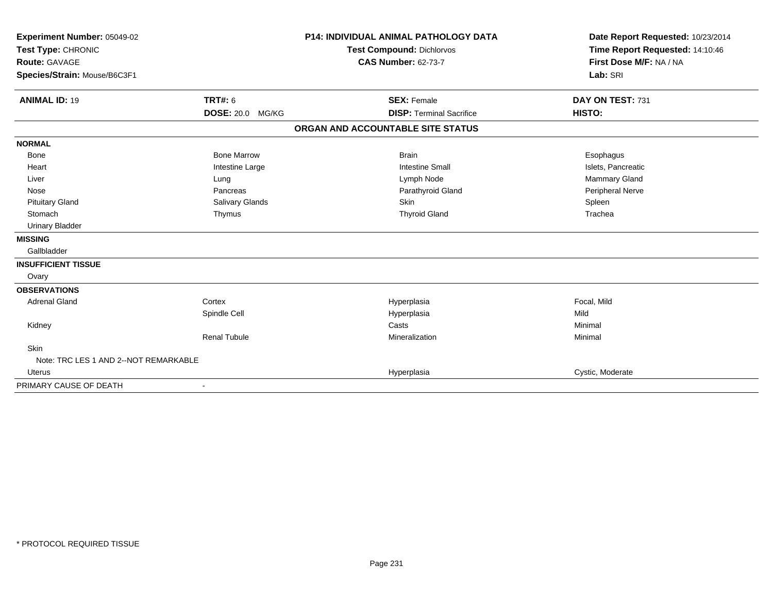| Experiment Number: 05049-02<br>Test Type: CHRONIC<br><b>Route: GAVAGE</b><br>Species/Strain: Mouse/B6C3F1 |                     | <b>P14: INDIVIDUAL ANIMAL PATHOLOGY DATA</b><br><b>Test Compound: Dichlorvos</b><br><b>CAS Number: 62-73-7</b> | Date Report Requested: 10/23/2014<br>Time Report Requested: 14:10:46<br>First Dose M/F: NA / NA<br>Lab: SRI |
|-----------------------------------------------------------------------------------------------------------|---------------------|----------------------------------------------------------------------------------------------------------------|-------------------------------------------------------------------------------------------------------------|
| <b>ANIMAL ID: 19</b>                                                                                      | TRT#: 6             | <b>SEX: Female</b>                                                                                             | DAY ON TEST: 731                                                                                            |
|                                                                                                           | DOSE: 20.0 MG/KG    | <b>DISP: Terminal Sacrifice</b>                                                                                | HISTO:                                                                                                      |
|                                                                                                           |                     | ORGAN AND ACCOUNTABLE SITE STATUS                                                                              |                                                                                                             |
| <b>NORMAL</b>                                                                                             |                     |                                                                                                                |                                                                                                             |
| <b>Bone</b>                                                                                               | <b>Bone Marrow</b>  | <b>Brain</b>                                                                                                   | Esophagus                                                                                                   |
| Heart                                                                                                     | Intestine Large     | <b>Intestine Small</b>                                                                                         | Islets, Pancreatic                                                                                          |
| Liver                                                                                                     | Lung                | Lymph Node                                                                                                     | Mammary Gland                                                                                               |
| Nose                                                                                                      | Pancreas            | Parathyroid Gland                                                                                              | Peripheral Nerve                                                                                            |
| <b>Pituitary Gland</b>                                                                                    | Salivary Glands     | Skin                                                                                                           | Spleen                                                                                                      |
| Stomach                                                                                                   | Thymus              | <b>Thyroid Gland</b>                                                                                           | Trachea                                                                                                     |
| <b>Urinary Bladder</b>                                                                                    |                     |                                                                                                                |                                                                                                             |
| <b>MISSING</b>                                                                                            |                     |                                                                                                                |                                                                                                             |
| Gallbladder                                                                                               |                     |                                                                                                                |                                                                                                             |
| <b>INSUFFICIENT TISSUE</b>                                                                                |                     |                                                                                                                |                                                                                                             |
| Ovary                                                                                                     |                     |                                                                                                                |                                                                                                             |
| <b>OBSERVATIONS</b>                                                                                       |                     |                                                                                                                |                                                                                                             |
| <b>Adrenal Gland</b>                                                                                      | Cortex              | Hyperplasia                                                                                                    | Focal, Mild                                                                                                 |
|                                                                                                           | Spindle Cell        | Hyperplasia                                                                                                    | Mild                                                                                                        |
| Kidney                                                                                                    |                     | Casts                                                                                                          | Minimal                                                                                                     |
|                                                                                                           | <b>Renal Tubule</b> | Mineralization                                                                                                 | Minimal                                                                                                     |
| Skin                                                                                                      |                     |                                                                                                                |                                                                                                             |
| Note: TRC LES 1 AND 2--NOT REMARKABLE                                                                     |                     |                                                                                                                |                                                                                                             |
| <b>Uterus</b>                                                                                             |                     | Hyperplasia                                                                                                    | Cystic, Moderate                                                                                            |
| PRIMARY CAUSE OF DEATH                                                                                    |                     |                                                                                                                |                                                                                                             |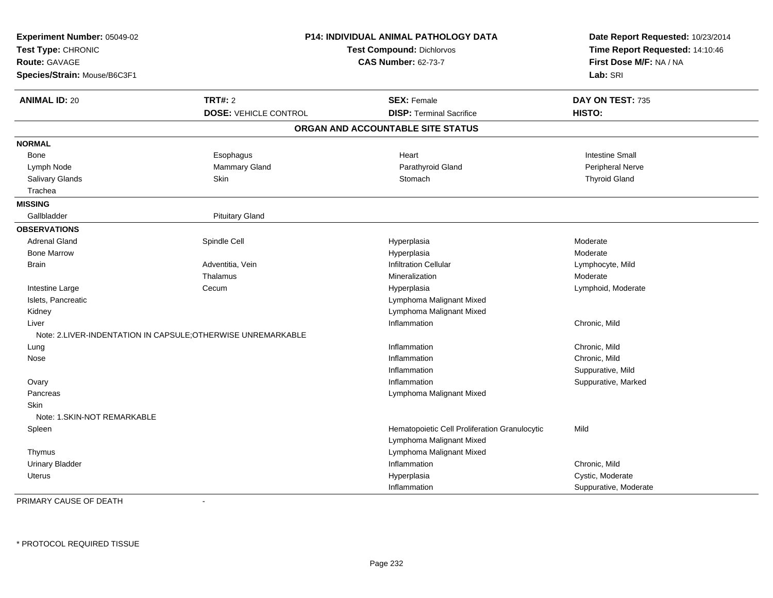| Experiment Number: 05049-02<br>Test Type: CHRONIC<br><b>Route: GAVAGE</b><br>Species/Strain: Mouse/B6C3F1 |                                                              | P14: INDIVIDUAL ANIMAL PATHOLOGY DATA<br>Test Compound: Dichlorvos<br><b>CAS Number: 62-73-7</b> | Date Report Requested: 10/23/2014<br>Time Report Requested: 14:10:46<br>First Dose M/F: NA / NA<br>Lab: SRI |
|-----------------------------------------------------------------------------------------------------------|--------------------------------------------------------------|--------------------------------------------------------------------------------------------------|-------------------------------------------------------------------------------------------------------------|
| <b>ANIMAL ID: 20</b>                                                                                      | <b>TRT#: 2</b>                                               | <b>SEX: Female</b>                                                                               | DAY ON TEST: 735                                                                                            |
|                                                                                                           | <b>DOSE: VEHICLE CONTROL</b>                                 | <b>DISP: Terminal Sacrifice</b>                                                                  | HISTO:                                                                                                      |
|                                                                                                           |                                                              | ORGAN AND ACCOUNTABLE SITE STATUS                                                                |                                                                                                             |
| <b>NORMAL</b>                                                                                             |                                                              |                                                                                                  |                                                                                                             |
| Bone                                                                                                      | Esophagus                                                    | Heart                                                                                            | <b>Intestine Small</b>                                                                                      |
| Lymph Node                                                                                                | Mammary Gland                                                | Parathyroid Gland                                                                                | Peripheral Nerve                                                                                            |
| Salivary Glands                                                                                           | Skin                                                         | Stomach                                                                                          | <b>Thyroid Gland</b>                                                                                        |
| Trachea                                                                                                   |                                                              |                                                                                                  |                                                                                                             |
| <b>MISSING</b>                                                                                            |                                                              |                                                                                                  |                                                                                                             |
| Gallbladder                                                                                               | <b>Pituitary Gland</b>                                       |                                                                                                  |                                                                                                             |
| <b>OBSERVATIONS</b>                                                                                       |                                                              |                                                                                                  |                                                                                                             |
| <b>Adrenal Gland</b>                                                                                      | Spindle Cell                                                 | Hyperplasia                                                                                      | Moderate                                                                                                    |
| <b>Bone Marrow</b>                                                                                        |                                                              | Hyperplasia                                                                                      | Moderate                                                                                                    |
| <b>Brain</b>                                                                                              | Adventitia, Vein                                             | <b>Infiltration Cellular</b>                                                                     | Lymphocyte, Mild                                                                                            |
|                                                                                                           | Thalamus                                                     | Mineralization                                                                                   | Moderate                                                                                                    |
| Intestine Large                                                                                           | Cecum                                                        | Hyperplasia                                                                                      | Lymphoid, Moderate                                                                                          |
| Islets, Pancreatic                                                                                        |                                                              | Lymphoma Malignant Mixed                                                                         |                                                                                                             |
| Kidney                                                                                                    |                                                              | Lymphoma Malignant Mixed                                                                         |                                                                                                             |
| Liver                                                                                                     |                                                              | Inflammation                                                                                     | Chronic, Mild                                                                                               |
|                                                                                                           | Note: 2.LIVER-INDENTATION IN CAPSULE; OTHERWISE UNREMARKABLE |                                                                                                  |                                                                                                             |
| Lung                                                                                                      |                                                              | Inflammation                                                                                     | Chronic, Mild                                                                                               |
| Nose                                                                                                      |                                                              | Inflammation                                                                                     | Chronic, Mild                                                                                               |
|                                                                                                           |                                                              | Inflammation                                                                                     | Suppurative, Mild                                                                                           |
| Ovary                                                                                                     |                                                              | Inflammation                                                                                     | Suppurative, Marked                                                                                         |
| Pancreas                                                                                                  |                                                              | Lymphoma Malignant Mixed                                                                         |                                                                                                             |
| <b>Skin</b>                                                                                               |                                                              |                                                                                                  |                                                                                                             |
| Note: 1. SKIN-NOT REMARKABLE                                                                              |                                                              |                                                                                                  |                                                                                                             |
| Spleen                                                                                                    |                                                              | Hematopoietic Cell Proliferation Granulocytic                                                    | Mild                                                                                                        |
|                                                                                                           |                                                              | Lymphoma Malignant Mixed                                                                         |                                                                                                             |
| Thymus                                                                                                    |                                                              | Lymphoma Malignant Mixed                                                                         |                                                                                                             |
| <b>Urinary Bladder</b>                                                                                    |                                                              | Inflammation                                                                                     | Chronic, Mild                                                                                               |
| Uterus                                                                                                    |                                                              | Hyperplasia                                                                                      | Cystic, Moderate                                                                                            |
|                                                                                                           |                                                              | Inflammation                                                                                     | Suppurative, Moderate                                                                                       |

PRIMARY CAUSE OF DEATH-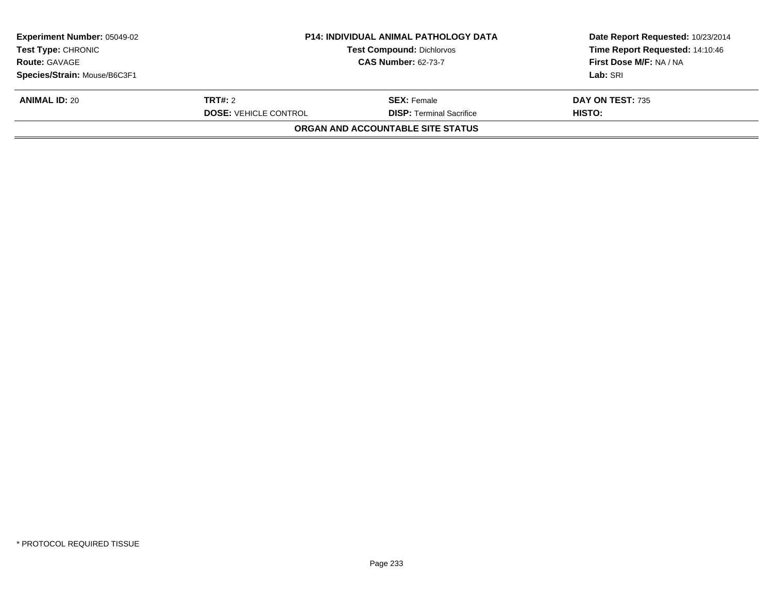| <b>Experiment Number: 05049-02</b><br><b>P14: INDIVIDUAL ANIMAL PATHOLOGY DATA</b><br><b>Test Type: CHRONIC</b><br><b>Test Compound: Dichlorvos</b> |                              |                                          | Date Report Requested: 10/23/2014 |
|-----------------------------------------------------------------------------------------------------------------------------------------------------|------------------------------|------------------------------------------|-----------------------------------|
|                                                                                                                                                     |                              |                                          | Time Report Requested: 14:10:46   |
| <b>Route: GAVAGE</b>                                                                                                                                |                              | <b>CAS Number: 62-73-7</b>               | First Dose M/F: NA / NA           |
| Species/Strain: Mouse/B6C3F1                                                                                                                        |                              |                                          | Lab: SRI                          |
| <b>ANIMAL ID: 20</b>                                                                                                                                | <b>TRT#:</b> 2               | <b>SEX:</b> Female                       | DAY ON TEST: 735                  |
|                                                                                                                                                     | <b>DOSE: VEHICLE CONTROL</b> | <b>DISP: Terminal Sacrifice</b>          | HISTO:                            |
|                                                                                                                                                     |                              | <b>ORGAN AND ACCOUNTABLE SITE STATUS</b> |                                   |
|                                                                                                                                                     |                              |                                          |                                   |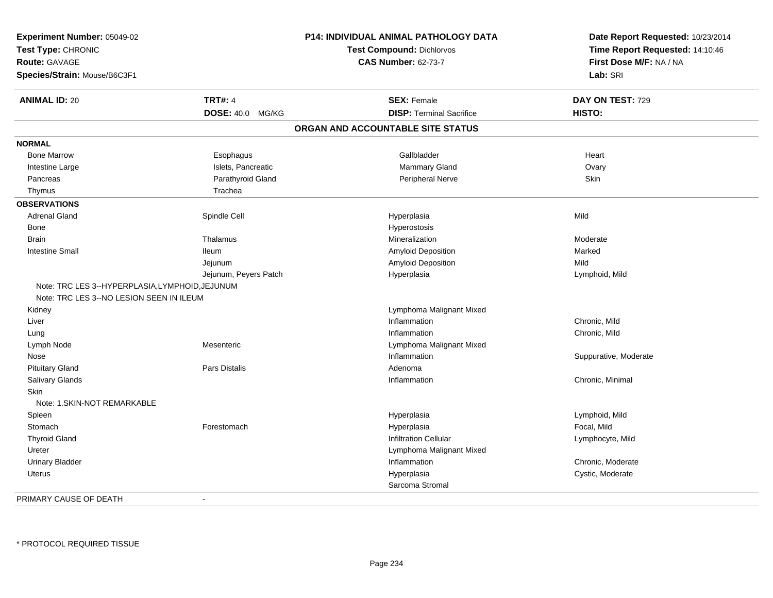| Experiment Number: 05049-02<br>Test Type: CHRONIC<br><b>Route: GAVAGE</b><br>Species/Strain: Mouse/B6C3F1 |                       | P14: INDIVIDUAL ANIMAL PATHOLOGY DATA<br><b>Test Compound: Dichlorvos</b><br><b>CAS Number: 62-73-7</b> | Date Report Requested: 10/23/2014<br>Time Report Requested: 14:10:46<br>First Dose M/F: NA / NA<br>Lab: SRI |
|-----------------------------------------------------------------------------------------------------------|-----------------------|---------------------------------------------------------------------------------------------------------|-------------------------------------------------------------------------------------------------------------|
| <b>ANIMAL ID: 20</b>                                                                                      | <b>TRT#: 4</b>        | <b>SEX: Female</b>                                                                                      | DAY ON TEST: 729                                                                                            |
|                                                                                                           | DOSE: 40.0 MG/KG      | <b>DISP: Terminal Sacrifice</b>                                                                         | HISTO:                                                                                                      |
|                                                                                                           |                       | ORGAN AND ACCOUNTABLE SITE STATUS                                                                       |                                                                                                             |
| <b>NORMAL</b>                                                                                             |                       |                                                                                                         |                                                                                                             |
| <b>Bone Marrow</b>                                                                                        | Esophagus             | Gallbladder                                                                                             | Heart                                                                                                       |
| Intestine Large                                                                                           | Islets, Pancreatic    | Mammary Gland                                                                                           | Ovary                                                                                                       |
| Pancreas                                                                                                  | Parathyroid Gland     | Peripheral Nerve                                                                                        | Skin                                                                                                        |
| Thymus                                                                                                    | Trachea               |                                                                                                         |                                                                                                             |
| <b>OBSERVATIONS</b>                                                                                       |                       |                                                                                                         |                                                                                                             |
| <b>Adrenal Gland</b>                                                                                      | Spindle Cell          | Hyperplasia                                                                                             | Mild                                                                                                        |
| Bone                                                                                                      |                       | Hyperostosis                                                                                            |                                                                                                             |
| <b>Brain</b>                                                                                              | Thalamus              | Mineralization                                                                                          | Moderate                                                                                                    |
| <b>Intestine Small</b>                                                                                    | lleum                 | Amyloid Deposition                                                                                      | Marked                                                                                                      |
|                                                                                                           | Jejunum               | Amyloid Deposition                                                                                      | Mild                                                                                                        |
|                                                                                                           | Jejunum, Peyers Patch | Hyperplasia                                                                                             | Lymphoid, Mild                                                                                              |
| Note: TRC LES 3--HYPERPLASIA, LYMPHOID, JEJUNUM                                                           |                       |                                                                                                         |                                                                                                             |
| Note: TRC LES 3--NO LESION SEEN IN ILEUM                                                                  |                       |                                                                                                         |                                                                                                             |
| Kidney                                                                                                    |                       | Lymphoma Malignant Mixed                                                                                |                                                                                                             |
| Liver                                                                                                     |                       | Inflammation                                                                                            | Chronic, Mild                                                                                               |
| Lung                                                                                                      |                       | Inflammation                                                                                            | Chronic, Mild                                                                                               |
| Lymph Node                                                                                                | Mesenteric            | Lymphoma Malignant Mixed                                                                                |                                                                                                             |
| Nose                                                                                                      |                       | Inflammation                                                                                            | Suppurative, Moderate                                                                                       |
| <b>Pituitary Gland</b>                                                                                    | Pars Distalis         | Adenoma                                                                                                 |                                                                                                             |
| Salivary Glands                                                                                           |                       | Inflammation                                                                                            | Chronic, Minimal                                                                                            |
| Skin                                                                                                      |                       |                                                                                                         |                                                                                                             |
| Note: 1.SKIN-NOT REMARKABLE                                                                               |                       |                                                                                                         |                                                                                                             |
| Spleen                                                                                                    |                       | Hyperplasia                                                                                             | Lymphoid, Mild                                                                                              |
| Stomach                                                                                                   | Forestomach           | Hyperplasia                                                                                             | Focal, Mild                                                                                                 |
| <b>Thyroid Gland</b>                                                                                      |                       | <b>Infiltration Cellular</b>                                                                            | Lymphocyte, Mild                                                                                            |
| Ureter                                                                                                    |                       | Lymphoma Malignant Mixed                                                                                |                                                                                                             |
| <b>Urinary Bladder</b>                                                                                    |                       | Inflammation                                                                                            | Chronic. Moderate                                                                                           |
| Uterus                                                                                                    |                       | Hyperplasia                                                                                             | Cystic, Moderate                                                                                            |
|                                                                                                           |                       | Sarcoma Stromal                                                                                         |                                                                                                             |
| PRIMARY CAUSE OF DEATH                                                                                    |                       |                                                                                                         |                                                                                                             |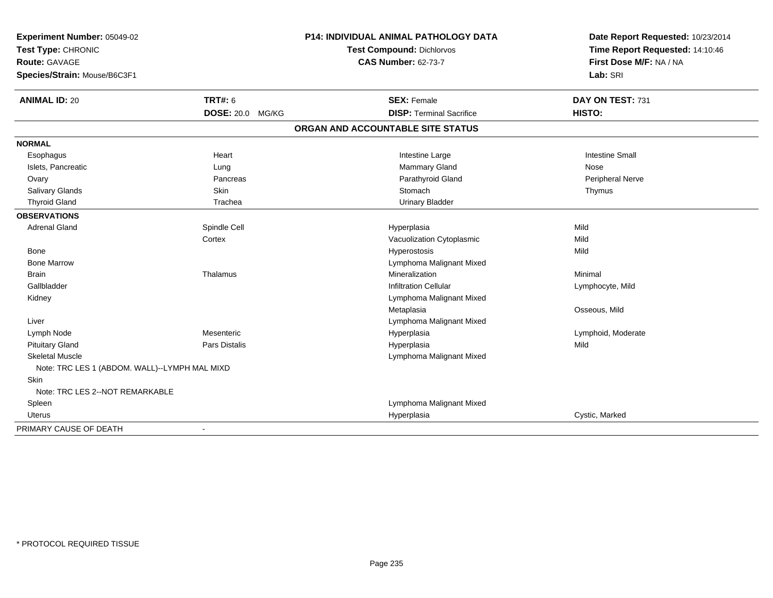| Experiment Number: 05049-02                   | P14: INDIVIDUAL ANIMAL PATHOLOGY DATA |                                   | Date Report Requested: 10/23/2014                          |  |
|-----------------------------------------------|---------------------------------------|-----------------------------------|------------------------------------------------------------|--|
| Test Type: CHRONIC<br>Route: GAVAGE           |                                       | Test Compound: Dichlorvos         | Time Report Requested: 14:10:46<br>First Dose M/F: NA / NA |  |
|                                               |                                       | <b>CAS Number: 62-73-7</b>        |                                                            |  |
| Species/Strain: Mouse/B6C3F1                  |                                       |                                   | Lab: SRI                                                   |  |
| <b>ANIMAL ID: 20</b>                          | <b>TRT#: 6</b>                        | <b>SEX: Female</b>                | DAY ON TEST: 731                                           |  |
|                                               | DOSE: 20.0 MG/KG                      | <b>DISP: Terminal Sacrifice</b>   | HISTO:                                                     |  |
|                                               |                                       | ORGAN AND ACCOUNTABLE SITE STATUS |                                                            |  |
| <b>NORMAL</b>                                 |                                       |                                   |                                                            |  |
| Esophagus                                     | Heart                                 | Intestine Large                   | <b>Intestine Small</b>                                     |  |
| Islets, Pancreatic                            | Lung                                  | Mammary Gland                     | Nose                                                       |  |
| Ovary                                         | Pancreas                              | Parathyroid Gland                 | <b>Peripheral Nerve</b>                                    |  |
| Salivary Glands                               | Skin                                  | Stomach                           | Thymus                                                     |  |
| <b>Thyroid Gland</b>                          | Trachea                               | <b>Urinary Bladder</b>            |                                                            |  |
| <b>OBSERVATIONS</b>                           |                                       |                                   |                                                            |  |
| <b>Adrenal Gland</b>                          | Spindle Cell                          | Hyperplasia                       | Mild                                                       |  |
|                                               | Cortex                                | Vacuolization Cytoplasmic         | Mild                                                       |  |
| Bone                                          |                                       | Hyperostosis                      | Mild                                                       |  |
| <b>Bone Marrow</b>                            |                                       | Lymphoma Malignant Mixed          |                                                            |  |
| <b>Brain</b>                                  | Thalamus                              | Mineralization                    | Minimal                                                    |  |
| Gallbladder                                   |                                       | <b>Infiltration Cellular</b>      | Lymphocyte, Mild                                           |  |
| Kidney                                        |                                       | Lymphoma Malignant Mixed          |                                                            |  |
|                                               |                                       | Metaplasia                        | Osseous, Mild                                              |  |
| Liver                                         |                                       | Lymphoma Malignant Mixed          |                                                            |  |
| Lymph Node                                    | Mesenteric                            | Hyperplasia                       | Lymphoid, Moderate                                         |  |
| <b>Pituitary Gland</b>                        | Pars Distalis                         | Hyperplasia                       | Mild                                                       |  |
| <b>Skeletal Muscle</b>                        |                                       | Lymphoma Malignant Mixed          |                                                            |  |
| Note: TRC LES 1 (ABDOM. WALL)--LYMPH MAL MIXD |                                       |                                   |                                                            |  |
| Skin                                          |                                       |                                   |                                                            |  |
| Note: TRC LES 2--NOT REMARKABLE               |                                       |                                   |                                                            |  |
| Spleen                                        |                                       | Lymphoma Malignant Mixed          |                                                            |  |
| Uterus                                        |                                       | Hyperplasia                       | Cystic, Marked                                             |  |
| PRIMARY CAUSE OF DEATH                        | $\blacksquare$                        |                                   |                                                            |  |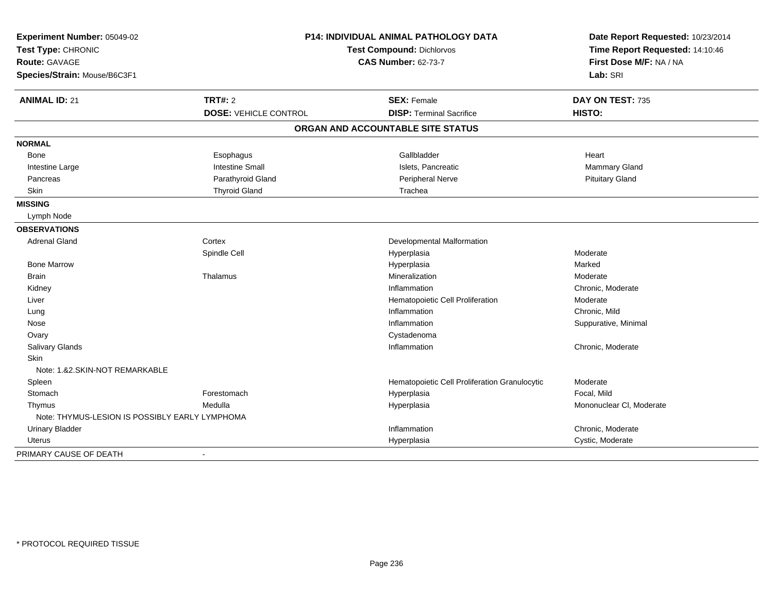| Experiment Number: 05049-02<br>Test Type: CHRONIC<br><b>Route: GAVAGE</b><br>Species/Strain: Mouse/B6C3F1 | P14: INDIVIDUAL ANIMAL PATHOLOGY DATA<br>Test Compound: Dichlorvos<br><b>CAS Number: 62-73-7</b> |                                                       | Date Report Requested: 10/23/2014<br>Time Report Requested: 14:10:46<br>First Dose M/F: NA / NA<br>Lab: SRI |
|-----------------------------------------------------------------------------------------------------------|--------------------------------------------------------------------------------------------------|-------------------------------------------------------|-------------------------------------------------------------------------------------------------------------|
| <b>ANIMAL ID: 21</b>                                                                                      | <b>TRT#: 2</b><br><b>DOSE: VEHICLE CONTROL</b>                                                   | <b>SEX: Female</b><br><b>DISP: Terminal Sacrifice</b> | DAY ON TEST: 735<br>HISTO:                                                                                  |
|                                                                                                           |                                                                                                  | ORGAN AND ACCOUNTABLE SITE STATUS                     |                                                                                                             |
|                                                                                                           |                                                                                                  |                                                       |                                                                                                             |
| <b>NORMAL</b>                                                                                             |                                                                                                  |                                                       |                                                                                                             |
| Bone                                                                                                      | Esophagus                                                                                        | Gallbladder                                           | Heart                                                                                                       |
| Intestine Large                                                                                           | <b>Intestine Small</b>                                                                           | Islets, Pancreatic                                    | Mammary Gland                                                                                               |
| Pancreas                                                                                                  | Parathyroid Gland                                                                                | Peripheral Nerve                                      | <b>Pituitary Gland</b>                                                                                      |
| Skin                                                                                                      | <b>Thyroid Gland</b>                                                                             | Trachea                                               |                                                                                                             |
| <b>MISSING</b>                                                                                            |                                                                                                  |                                                       |                                                                                                             |
| Lymph Node                                                                                                |                                                                                                  |                                                       |                                                                                                             |
| <b>OBSERVATIONS</b>                                                                                       |                                                                                                  |                                                       |                                                                                                             |
| <b>Adrenal Gland</b>                                                                                      | Cortex                                                                                           | Developmental Malformation                            |                                                                                                             |
|                                                                                                           | Spindle Cell                                                                                     | Hyperplasia                                           | Moderate                                                                                                    |
| <b>Bone Marrow</b>                                                                                        |                                                                                                  | Hyperplasia                                           | Marked                                                                                                      |
| <b>Brain</b>                                                                                              | Thalamus                                                                                         | Mineralization                                        | Moderate                                                                                                    |
| Kidney                                                                                                    |                                                                                                  | Inflammation                                          | Chronic, Moderate                                                                                           |
| Liver                                                                                                     |                                                                                                  | Hematopoietic Cell Proliferation                      | Moderate                                                                                                    |
| Lung                                                                                                      |                                                                                                  | Inflammation                                          | Chronic, Mild                                                                                               |
| Nose                                                                                                      |                                                                                                  | Inflammation                                          | Suppurative, Minimal                                                                                        |
| Ovary                                                                                                     |                                                                                                  | Cystadenoma                                           |                                                                                                             |
| Salivary Glands                                                                                           |                                                                                                  | Inflammation                                          | Chronic, Moderate                                                                                           |
| <b>Skin</b>                                                                                               |                                                                                                  |                                                       |                                                                                                             |
| Note: 1.&2.SKIN-NOT REMARKABLE                                                                            |                                                                                                  |                                                       |                                                                                                             |
| Spleen                                                                                                    |                                                                                                  | Hematopoietic Cell Proliferation Granulocytic         | Moderate                                                                                                    |
| Stomach                                                                                                   | Forestomach                                                                                      | Hyperplasia                                           | Focal, Mild                                                                                                 |
| Thymus                                                                                                    | Medulla                                                                                          | Hyperplasia                                           | Mononuclear CI, Moderate                                                                                    |
| Note: THYMUS-LESION IS POSSIBLY EARLY LYMPHOMA                                                            |                                                                                                  |                                                       |                                                                                                             |
| Urinary Bladder                                                                                           |                                                                                                  | Inflammation                                          | Chronic, Moderate                                                                                           |
| <b>Uterus</b>                                                                                             |                                                                                                  | Hyperplasia                                           | Cystic, Moderate                                                                                            |
| PRIMARY CAUSE OF DEATH                                                                                    | $\blacksquare$                                                                                   |                                                       |                                                                                                             |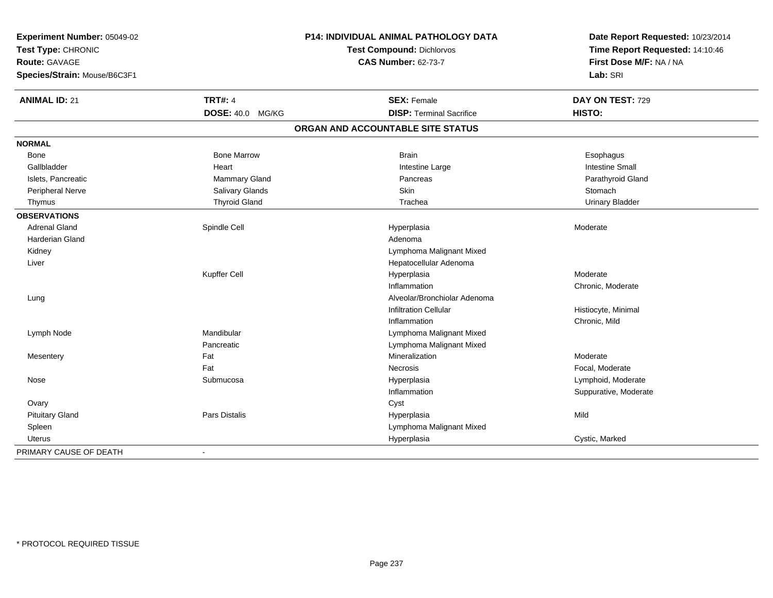| Experiment Number: 05049-02  | P14: INDIVIDUAL ANIMAL PATHOLOGY DATA |                                   | Date Report Requested: 10/23/2014                          |  |
|------------------------------|---------------------------------------|-----------------------------------|------------------------------------------------------------|--|
| Test Type: CHRONIC           |                                       | Test Compound: Dichlorvos         | Time Report Requested: 14:10:46<br>First Dose M/F: NA / NA |  |
| <b>Route: GAVAGE</b>         |                                       | <b>CAS Number: 62-73-7</b>        |                                                            |  |
| Species/Strain: Mouse/B6C3F1 |                                       |                                   | Lab: SRI                                                   |  |
| <b>ANIMAL ID: 21</b>         | <b>TRT#: 4</b>                        | <b>SEX: Female</b>                | DAY ON TEST: 729                                           |  |
|                              | <b>DOSE: 40.0</b><br>MG/KG            | <b>DISP: Terminal Sacrifice</b>   | HISTO:                                                     |  |
|                              |                                       | ORGAN AND ACCOUNTABLE SITE STATUS |                                                            |  |
| <b>NORMAL</b>                |                                       |                                   |                                                            |  |
| Bone                         | <b>Bone Marrow</b>                    | <b>Brain</b>                      | Esophagus                                                  |  |
| Gallbladder                  | Heart                                 | Intestine Large                   | <b>Intestine Small</b>                                     |  |
| Islets, Pancreatic           | Mammary Gland                         | Pancreas                          | Parathyroid Gland                                          |  |
| <b>Peripheral Nerve</b>      | <b>Salivary Glands</b>                | Skin                              | Stomach                                                    |  |
| Thymus                       | <b>Thyroid Gland</b>                  | Trachea                           | <b>Urinary Bladder</b>                                     |  |
| <b>OBSERVATIONS</b>          |                                       |                                   |                                                            |  |
| <b>Adrenal Gland</b>         | Spindle Cell                          | Hyperplasia                       | Moderate                                                   |  |
| <b>Harderian Gland</b>       |                                       | Adenoma                           |                                                            |  |
| Kidney                       |                                       | Lymphoma Malignant Mixed          |                                                            |  |
| Liver                        |                                       | Hepatocellular Adenoma            |                                                            |  |
|                              | Kupffer Cell                          | Hyperplasia                       | Moderate                                                   |  |
|                              |                                       | Inflammation                      | Chronic, Moderate                                          |  |
| Lung                         |                                       | Alveolar/Bronchiolar Adenoma      |                                                            |  |
|                              |                                       | <b>Infiltration Cellular</b>      | Histiocyte, Minimal                                        |  |
|                              |                                       | Inflammation                      | Chronic, Mild                                              |  |
| Lymph Node                   | Mandibular                            | Lymphoma Malignant Mixed          |                                                            |  |
|                              | Pancreatic                            | Lymphoma Malignant Mixed          |                                                            |  |
| Mesentery                    | Fat                                   | Mineralization                    | Moderate                                                   |  |
|                              | Fat                                   | <b>Necrosis</b>                   | Focal, Moderate                                            |  |
| Nose                         | Submucosa                             | Hyperplasia                       | Lymphoid, Moderate                                         |  |
|                              |                                       | Inflammation                      | Suppurative, Moderate                                      |  |
| Ovary                        |                                       | Cyst                              |                                                            |  |
| <b>Pituitary Gland</b>       | <b>Pars Distalis</b>                  | Hyperplasia                       | Mild                                                       |  |
| Spleen                       |                                       | Lymphoma Malignant Mixed          |                                                            |  |
| <b>Uterus</b>                |                                       | Hyperplasia                       | Cystic, Marked                                             |  |
| PRIMARY CAUSE OF DEATH       | $\blacksquare$                        |                                   |                                                            |  |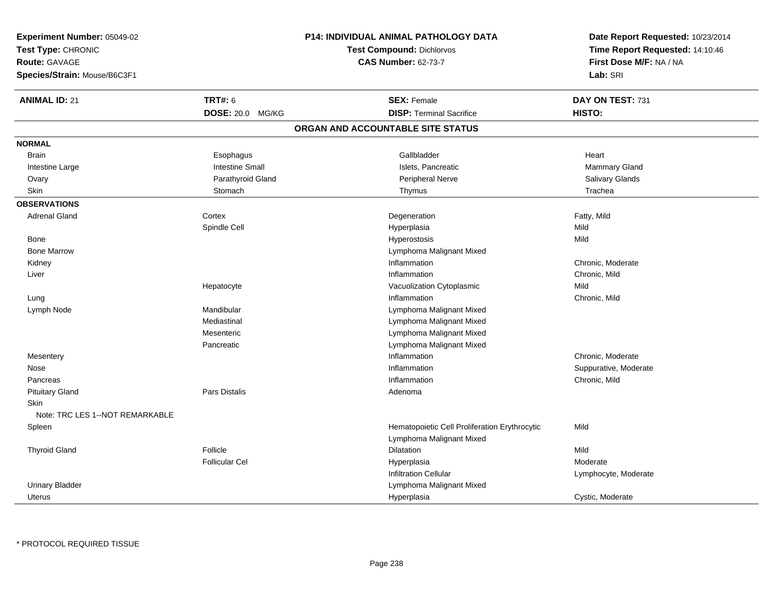| Experiment Number: 05049-02     |                        | P14: INDIVIDUAL ANIMAL PATHOLOGY DATA         | Date Report Requested: 10/23/2014<br>Time Report Requested: 14:10:46<br>First Dose M/F: NA / NA |  |
|---------------------------------|------------------------|-----------------------------------------------|-------------------------------------------------------------------------------------------------|--|
| Test Type: CHRONIC              |                        | <b>Test Compound: Dichlorvos</b>              |                                                                                                 |  |
| Route: GAVAGE                   |                        | <b>CAS Number: 62-73-7</b>                    |                                                                                                 |  |
| Species/Strain: Mouse/B6C3F1    |                        |                                               | Lab: SRI                                                                                        |  |
| <b>ANIMAL ID: 21</b>            | <b>TRT#: 6</b>         | <b>SEX: Female</b>                            | DAY ON TEST: 731                                                                                |  |
|                                 | DOSE: 20.0 MG/KG       | <b>DISP: Terminal Sacrifice</b>               | HISTO:                                                                                          |  |
|                                 |                        | ORGAN AND ACCOUNTABLE SITE STATUS             |                                                                                                 |  |
| <b>NORMAL</b>                   |                        |                                               |                                                                                                 |  |
| <b>Brain</b>                    | Esophagus              | Gallbladder                                   | Heart                                                                                           |  |
| Intestine Large                 | <b>Intestine Small</b> | Islets, Pancreatic                            | Mammary Gland                                                                                   |  |
| Ovary                           | Parathyroid Gland      | Peripheral Nerve                              | Salivary Glands                                                                                 |  |
| Skin                            | Stomach                | Thymus                                        | Trachea                                                                                         |  |
| <b>OBSERVATIONS</b>             |                        |                                               |                                                                                                 |  |
| <b>Adrenal Gland</b>            | Cortex                 | Degeneration                                  | Fatty, Mild                                                                                     |  |
|                                 | Spindle Cell           | Hyperplasia                                   | Mild                                                                                            |  |
| Bone                            |                        | Hyperostosis                                  | Mild                                                                                            |  |
| <b>Bone Marrow</b>              |                        | Lymphoma Malignant Mixed                      |                                                                                                 |  |
| Kidney                          |                        | Inflammation                                  | Chronic, Moderate                                                                               |  |
| Liver                           |                        | Inflammation                                  | Chronic, Mild                                                                                   |  |
|                                 | Hepatocyte             | Vacuolization Cytoplasmic                     | Mild                                                                                            |  |
| Lung                            |                        | Inflammation                                  | Chronic, Mild                                                                                   |  |
| Lymph Node                      | Mandibular             | Lymphoma Malignant Mixed                      |                                                                                                 |  |
|                                 | Mediastinal            | Lymphoma Malignant Mixed                      |                                                                                                 |  |
|                                 | Mesenteric             | Lymphoma Malignant Mixed                      |                                                                                                 |  |
|                                 | Pancreatic             | Lymphoma Malignant Mixed                      |                                                                                                 |  |
| Mesentery                       |                        | Inflammation                                  | Chronic, Moderate                                                                               |  |
| Nose                            |                        | Inflammation                                  | Suppurative, Moderate                                                                           |  |
| Pancreas                        |                        | Inflammation                                  | Chronic, Mild                                                                                   |  |
| <b>Pituitary Gland</b>          | <b>Pars Distalis</b>   | Adenoma                                       |                                                                                                 |  |
| Skin                            |                        |                                               |                                                                                                 |  |
| Note: TRC LES 1--NOT REMARKABLE |                        |                                               |                                                                                                 |  |
| Spleen                          |                        | Hematopoietic Cell Proliferation Erythrocytic | Mild                                                                                            |  |
|                                 |                        | Lymphoma Malignant Mixed                      |                                                                                                 |  |
| <b>Thyroid Gland</b>            | Follicle               | <b>Dilatation</b>                             | Mild                                                                                            |  |
|                                 | <b>Follicular Cel</b>  | Hyperplasia                                   | Moderate                                                                                        |  |
|                                 |                        | <b>Infiltration Cellular</b>                  | Lymphocyte, Moderate                                                                            |  |
| <b>Urinary Bladder</b>          |                        | Lymphoma Malignant Mixed                      |                                                                                                 |  |
| Uterus                          |                        | Hyperplasia                                   | Cystic, Moderate                                                                                |  |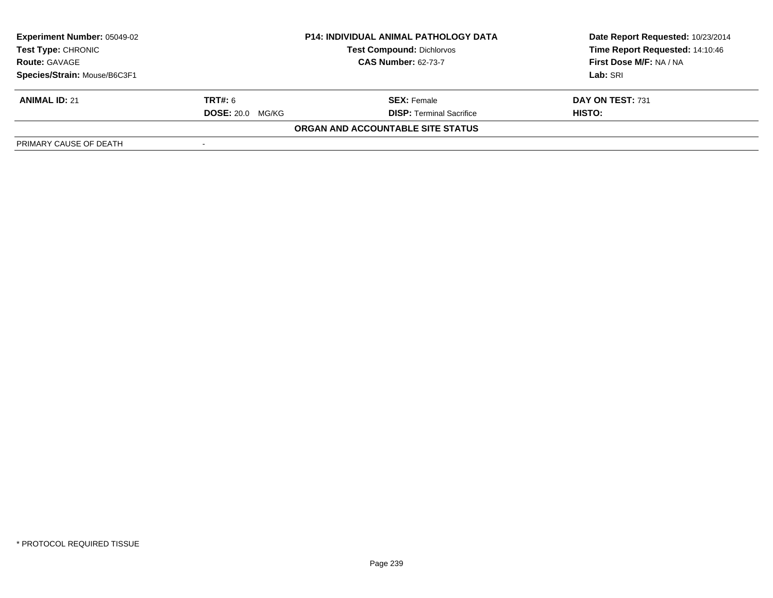| <b>Experiment Number: 05049-02</b><br>Test Type: CHRONIC |                            | <b>P14: INDIVIDUAL ANIMAL PATHOLOGY DATA</b><br><b>Test Compound: Dichlorvos</b> | Date Report Requested: 10/23/2014<br>Time Report Requested: 14:10:46 |
|----------------------------------------------------------|----------------------------|----------------------------------------------------------------------------------|----------------------------------------------------------------------|
| <b>Route: GAVAGE</b>                                     | <b>CAS Number: 62-73-7</b> |                                                                                  | First Dose M/F: NA / NA                                              |
| Species/Strain: Mouse/B6C3F1                             |                            |                                                                                  | Lab: SRI                                                             |
| <b>ANIMAL ID: 21</b>                                     | <b>TRT#: 6</b>             | <b>SEX: Female</b>                                                               | DAY ON TEST: 731                                                     |
|                                                          | <b>DOSE: 20.0</b><br>MG/KG | <b>DISP: Terminal Sacrifice</b>                                                  | HISTO:                                                               |
|                                                          |                            | ORGAN AND ACCOUNTABLE SITE STATUS                                                |                                                                      |
| PRIMARY CAUSE OF DEATH                                   |                            |                                                                                  |                                                                      |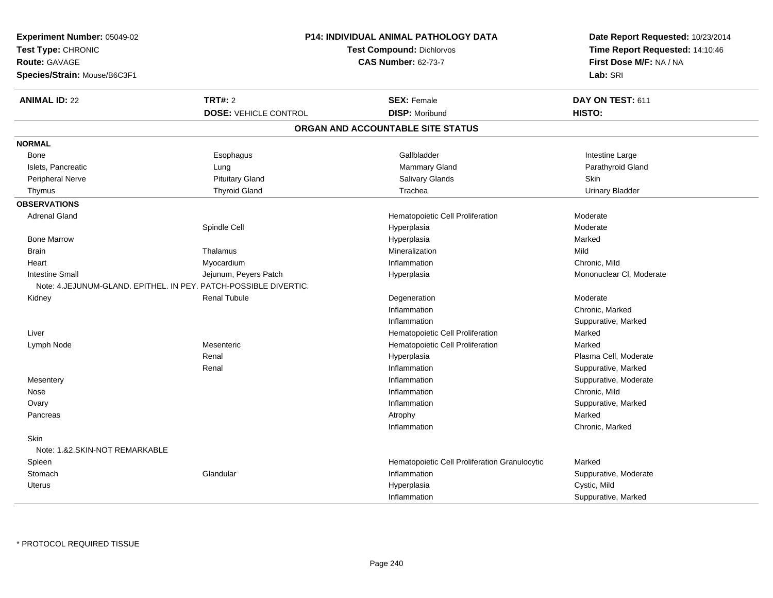| Experiment Number: 05049-02    | P14: INDIVIDUAL ANIMAL PATHOLOGY DATA                            |                                                                | Date Report Requested: 10/23/2014<br>Time Report Requested: 14:10:46 |  |
|--------------------------------|------------------------------------------------------------------|----------------------------------------------------------------|----------------------------------------------------------------------|--|
| Test Type: CHRONIC             |                                                                  |                                                                |                                                                      |  |
| <b>Route: GAVAGE</b>           |                                                                  | <b>Test Compound: Dichlorvos</b><br><b>CAS Number: 62-73-7</b> |                                                                      |  |
| Species/Strain: Mouse/B6C3F1   |                                                                  |                                                                | First Dose M/F: NA / NA<br>Lab: SRI                                  |  |
| <b>ANIMAL ID: 22</b>           | <b>TRT#: 2</b>                                                   | <b>SEX: Female</b>                                             | DAY ON TEST: 611                                                     |  |
|                                | <b>DOSE: VEHICLE CONTROL</b>                                     | <b>DISP: Moribund</b>                                          | <b>HISTO:</b>                                                        |  |
|                                |                                                                  | ORGAN AND ACCOUNTABLE SITE STATUS                              |                                                                      |  |
| <b>NORMAL</b>                  |                                                                  |                                                                |                                                                      |  |
| <b>Bone</b>                    | Esophagus                                                        | Gallbladder                                                    | Intestine Large                                                      |  |
| Islets, Pancreatic             | Lung                                                             | <b>Mammary Gland</b>                                           | Parathyroid Gland                                                    |  |
| Peripheral Nerve               | <b>Pituitary Gland</b>                                           | Salivary Glands                                                | <b>Skin</b>                                                          |  |
| Thymus                         | <b>Thyroid Gland</b>                                             | Trachea                                                        | <b>Urinary Bladder</b>                                               |  |
| <b>OBSERVATIONS</b>            |                                                                  |                                                                |                                                                      |  |
| <b>Adrenal Gland</b>           |                                                                  | Hematopoietic Cell Proliferation                               | Moderate                                                             |  |
|                                | Spindle Cell                                                     | Hyperplasia                                                    | Moderate                                                             |  |
| <b>Bone Marrow</b>             |                                                                  | Hyperplasia                                                    | Marked                                                               |  |
| <b>Brain</b>                   | Thalamus                                                         | Mineralization                                                 | Mild                                                                 |  |
| Heart                          | Myocardium                                                       | Inflammation                                                   | Chronic. Mild                                                        |  |
| <b>Intestine Small</b>         | Jejunum, Peyers Patch                                            | Hyperplasia                                                    | Mononuclear CI, Moderate                                             |  |
|                                | Note: 4.JEJUNUM-GLAND. EPITHEL. IN PEY. PATCH-POSSIBLE DIVERTIC. |                                                                |                                                                      |  |
| Kidney                         | <b>Renal Tubule</b>                                              | Degeneration                                                   | Moderate                                                             |  |
|                                |                                                                  | Inflammation                                                   | Chronic, Marked                                                      |  |
|                                |                                                                  | Inflammation                                                   | Suppurative, Marked                                                  |  |
| Liver                          |                                                                  | Hematopoietic Cell Proliferation                               | Marked                                                               |  |
| Lymph Node                     | Mesenteric                                                       | Hematopoietic Cell Proliferation                               | Marked                                                               |  |
|                                | Renal                                                            | Hyperplasia                                                    | Plasma Cell, Moderate                                                |  |
|                                | Renal                                                            | Inflammation                                                   | Suppurative, Marked                                                  |  |
| Mesentery                      |                                                                  | Inflammation                                                   | Suppurative, Moderate                                                |  |
| Nose                           |                                                                  | Inflammation                                                   | Chronic, Mild                                                        |  |
| Ovary                          |                                                                  | Inflammation                                                   | Suppurative, Marked                                                  |  |
| Pancreas                       |                                                                  | Atrophy                                                        | Marked                                                               |  |
|                                |                                                                  | Inflammation                                                   | Chronic, Marked                                                      |  |
| Skin                           |                                                                  |                                                                |                                                                      |  |
| Note: 1.&2.SKIN-NOT REMARKABLE |                                                                  |                                                                |                                                                      |  |
| Spleen                         |                                                                  | Hematopoietic Cell Proliferation Granulocytic                  | Marked                                                               |  |
| Stomach                        | Glandular                                                        | Inflammation                                                   | Suppurative, Moderate                                                |  |
| Uterus                         |                                                                  | Hyperplasia                                                    | Cystic, Mild                                                         |  |
|                                |                                                                  | Inflammation                                                   | Suppurative, Marked                                                  |  |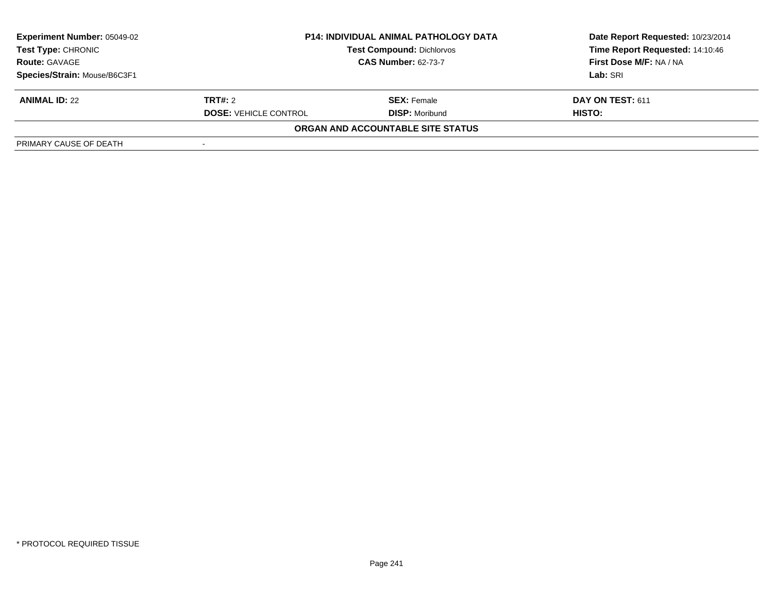| <b>Experiment Number: 05049-02</b><br>Test Type: CHRONIC<br><b>Route: GAVAGE</b> | <b>P14: INDIVIDUAL ANIMAL PATHOLOGY DATA</b><br><b>Test Compound: Dichlorvos</b><br><b>CAS Number: 62-73-7</b> |                                   | Date Report Requested: 10/23/2014<br>Time Report Requested: 14:10:46<br>First Dose M/F: NA / NA |
|----------------------------------------------------------------------------------|----------------------------------------------------------------------------------------------------------------|-----------------------------------|-------------------------------------------------------------------------------------------------|
|                                                                                  |                                                                                                                |                                   |                                                                                                 |
| Species/Strain: Mouse/B6C3F1                                                     |                                                                                                                |                                   | Lab: SRI                                                                                        |
| <b>ANIMAL ID: 22</b>                                                             | TRT#: 2                                                                                                        | <b>SEX: Female</b>                | DAY ON TEST: 611                                                                                |
|                                                                                  | <b>DOSE: VEHICLE CONTROL</b>                                                                                   | <b>DISP:</b> Moribund             | <b>HISTO:</b>                                                                                   |
|                                                                                  |                                                                                                                | ORGAN AND ACCOUNTABLE SITE STATUS |                                                                                                 |
| PRIMARY CAUSE OF DEATH                                                           |                                                                                                                |                                   |                                                                                                 |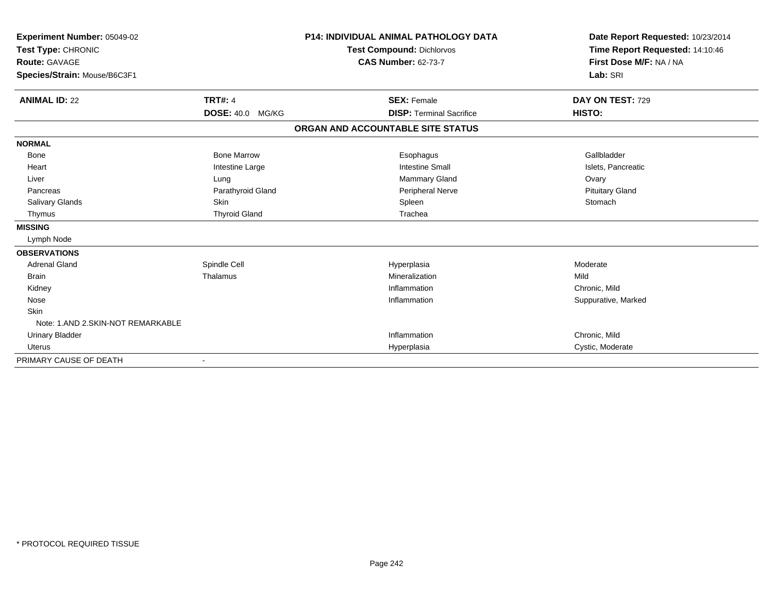| Experiment Number: 05049-02<br>Test Type: CHRONIC<br><b>Route: GAVAGE</b><br>Species/Strain: Mouse/B6C3F1 |                         | <b>P14: INDIVIDUAL ANIMAL PATHOLOGY DATA</b><br><b>Test Compound: Dichlorvos</b><br><b>CAS Number: 62-73-7</b> | Date Report Requested: 10/23/2014<br>Time Report Requested: 14:10:46<br>First Dose M/F: NA / NA<br>Lab: SRI |
|-----------------------------------------------------------------------------------------------------------|-------------------------|----------------------------------------------------------------------------------------------------------------|-------------------------------------------------------------------------------------------------------------|
| <b>ANIMAL ID: 22</b>                                                                                      | <b>TRT#: 4</b>          | <b>SEX: Female</b>                                                                                             | DAY ON TEST: 729                                                                                            |
|                                                                                                           | <b>DOSE: 40.0 MG/KG</b> | <b>DISP: Terminal Sacrifice</b>                                                                                | HISTO:                                                                                                      |
|                                                                                                           |                         | ORGAN AND ACCOUNTABLE SITE STATUS                                                                              |                                                                                                             |
| <b>NORMAL</b>                                                                                             |                         |                                                                                                                |                                                                                                             |
| <b>Bone</b>                                                                                               | <b>Bone Marrow</b>      | Esophagus                                                                                                      | Gallbladder                                                                                                 |
| Heart                                                                                                     | Intestine Large         | <b>Intestine Small</b>                                                                                         | Islets, Pancreatic                                                                                          |
| Liver                                                                                                     | Lung                    | <b>Mammary Gland</b>                                                                                           | Ovary                                                                                                       |
| Pancreas                                                                                                  | Parathyroid Gland       | Peripheral Nerve                                                                                               | <b>Pituitary Gland</b>                                                                                      |
| Salivary Glands                                                                                           | <b>Skin</b>             | Spleen                                                                                                         | Stomach                                                                                                     |
| Thymus                                                                                                    | <b>Thyroid Gland</b>    | Trachea                                                                                                        |                                                                                                             |
| <b>MISSING</b>                                                                                            |                         |                                                                                                                |                                                                                                             |
| Lymph Node                                                                                                |                         |                                                                                                                |                                                                                                             |
| <b>OBSERVATIONS</b>                                                                                       |                         |                                                                                                                |                                                                                                             |
| <b>Adrenal Gland</b>                                                                                      | Spindle Cell            | Hyperplasia                                                                                                    | Moderate                                                                                                    |
| <b>Brain</b>                                                                                              | Thalamus                | Mineralization                                                                                                 | Mild                                                                                                        |
| Kidney                                                                                                    |                         | Inflammation                                                                                                   | Chronic, Mild                                                                                               |
| Nose                                                                                                      |                         | Inflammation                                                                                                   | Suppurative, Marked                                                                                         |
| Skin                                                                                                      |                         |                                                                                                                |                                                                                                             |
| Note: 1.AND 2.SKIN-NOT REMARKABLE                                                                         |                         |                                                                                                                |                                                                                                             |
| <b>Urinary Bladder</b>                                                                                    |                         | Inflammation                                                                                                   | Chronic, Mild                                                                                               |
| <b>Uterus</b>                                                                                             |                         | Hyperplasia                                                                                                    | Cystic, Moderate                                                                                            |
| PRIMARY CAUSE OF DEATH                                                                                    |                         |                                                                                                                |                                                                                                             |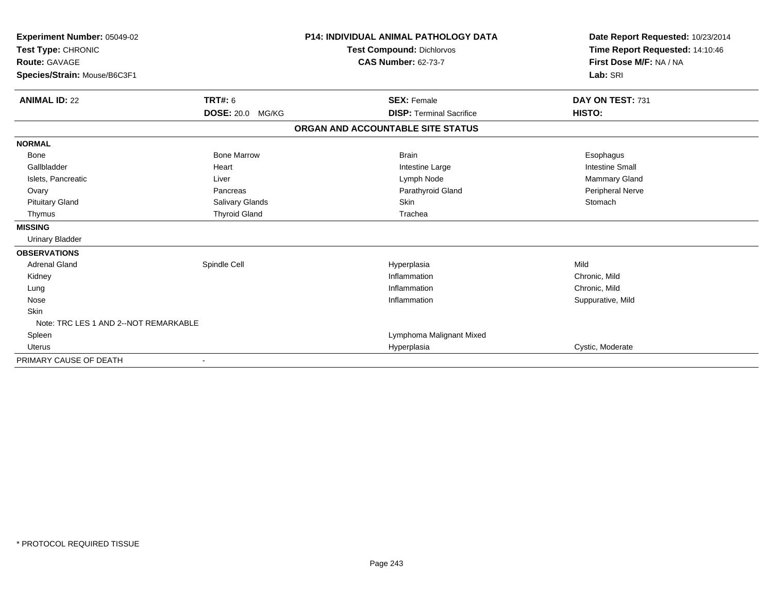| Experiment Number: 05049-02<br>Test Type: CHRONIC    |                         | <b>P14: INDIVIDUAL ANIMAL PATHOLOGY DATA</b><br>Test Compound: Dichlorvos | Date Report Requested: 10/23/2014<br>Time Report Requested: 14:10:46 |
|------------------------------------------------------|-------------------------|---------------------------------------------------------------------------|----------------------------------------------------------------------|
| <b>Route: GAVAGE</b><br>Species/Strain: Mouse/B6C3F1 |                         | <b>CAS Number: 62-73-7</b>                                                | First Dose M/F: NA / NA<br>Lab: SRI                                  |
|                                                      |                         |                                                                           |                                                                      |
| <b>ANIMAL ID: 22</b>                                 | <b>TRT#: 6</b>          | <b>SEX: Female</b>                                                        | DAY ON TEST: 731                                                     |
|                                                      | <b>DOSE: 20.0 MG/KG</b> | <b>DISP: Terminal Sacrifice</b>                                           | HISTO:                                                               |
|                                                      |                         | ORGAN AND ACCOUNTABLE SITE STATUS                                         |                                                                      |
| <b>NORMAL</b>                                        |                         |                                                                           |                                                                      |
| <b>Bone</b>                                          | <b>Bone Marrow</b>      | <b>Brain</b>                                                              | Esophagus                                                            |
| Gallbladder                                          | Heart                   | Intestine Large                                                           | <b>Intestine Small</b>                                               |
| Islets, Pancreatic                                   | Liver                   | Lymph Node                                                                | Mammary Gland                                                        |
| Ovary                                                | Pancreas                | Parathyroid Gland                                                         | Peripheral Nerve                                                     |
| <b>Pituitary Gland</b>                               | Salivary Glands         | <b>Skin</b>                                                               | Stomach                                                              |
| Thymus                                               | <b>Thyroid Gland</b>    | Trachea                                                                   |                                                                      |
| <b>MISSING</b>                                       |                         |                                                                           |                                                                      |
| <b>Urinary Bladder</b>                               |                         |                                                                           |                                                                      |
| <b>OBSERVATIONS</b>                                  |                         |                                                                           |                                                                      |
| <b>Adrenal Gland</b>                                 | Spindle Cell            | Hyperplasia                                                               | Mild                                                                 |
| Kidney                                               |                         | Inflammation                                                              | Chronic, Mild                                                        |
| Lung                                                 |                         | Inflammation                                                              | Chronic, Mild                                                        |
| Nose                                                 |                         | Inflammation                                                              | Suppurative, Mild                                                    |
| <b>Skin</b>                                          |                         |                                                                           |                                                                      |
| Note: TRC LES 1 AND 2--NOT REMARKABLE                |                         |                                                                           |                                                                      |
| Spleen                                               |                         | Lymphoma Malignant Mixed                                                  |                                                                      |
| <b>Uterus</b>                                        |                         | Hyperplasia                                                               | Cystic, Moderate                                                     |
| PRIMARY CAUSE OF DEATH                               |                         |                                                                           |                                                                      |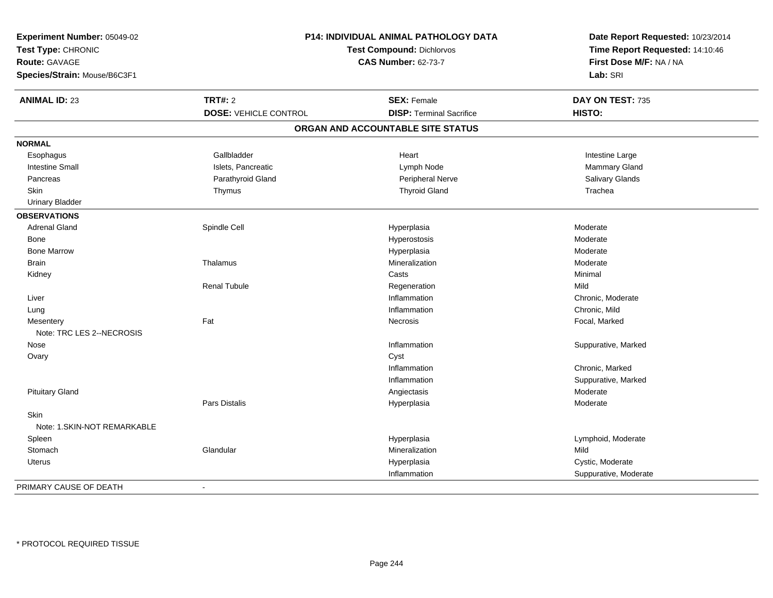| Experiment Number: 05049-02<br>Test Type: CHRONIC<br>Route: GAVAGE<br>Species/Strain: Mouse/B6C3F1 |                              | <b>P14: INDIVIDUAL ANIMAL PATHOLOGY DATA</b><br><b>Test Compound: Dichlorvos</b><br><b>CAS Number: 62-73-7</b> | Date Report Requested: 10/23/2014<br>Time Report Requested: 14:10:46<br>First Dose M/F: NA / NA<br>Lab: SRI |
|----------------------------------------------------------------------------------------------------|------------------------------|----------------------------------------------------------------------------------------------------------------|-------------------------------------------------------------------------------------------------------------|
| <b>ANIMAL ID: 23</b>                                                                               | <b>TRT#: 2</b>               | <b>SEX: Female</b>                                                                                             | DAY ON TEST: 735                                                                                            |
|                                                                                                    | <b>DOSE: VEHICLE CONTROL</b> | <b>DISP: Terminal Sacrifice</b>                                                                                | HISTO:                                                                                                      |
|                                                                                                    |                              | ORGAN AND ACCOUNTABLE SITE STATUS                                                                              |                                                                                                             |
| <b>NORMAL</b>                                                                                      |                              |                                                                                                                |                                                                                                             |
| Esophagus                                                                                          | Gallbladder                  | Heart                                                                                                          | Intestine Large                                                                                             |
| <b>Intestine Small</b>                                                                             | Islets, Pancreatic           | Lymph Node                                                                                                     | Mammary Gland                                                                                               |
| Pancreas                                                                                           | Parathyroid Gland            | <b>Peripheral Nerve</b>                                                                                        | Salivary Glands                                                                                             |
| <b>Skin</b>                                                                                        | Thymus                       | <b>Thyroid Gland</b>                                                                                           | Trachea                                                                                                     |
| <b>Urinary Bladder</b>                                                                             |                              |                                                                                                                |                                                                                                             |
| <b>OBSERVATIONS</b>                                                                                |                              |                                                                                                                |                                                                                                             |
| <b>Adrenal Gland</b>                                                                               | Spindle Cell                 | Hyperplasia                                                                                                    | Moderate                                                                                                    |
| Bone                                                                                               |                              | Hyperostosis                                                                                                   | Moderate                                                                                                    |
| <b>Bone Marrow</b>                                                                                 |                              | Hyperplasia                                                                                                    | Moderate                                                                                                    |
| <b>Brain</b>                                                                                       | Thalamus                     | Mineralization                                                                                                 | Moderate                                                                                                    |
| Kidney                                                                                             |                              | Casts                                                                                                          | Minimal                                                                                                     |
|                                                                                                    | <b>Renal Tubule</b>          | Regeneration                                                                                                   | Mild                                                                                                        |
| Liver                                                                                              |                              | Inflammation                                                                                                   | Chronic, Moderate                                                                                           |
| Lung                                                                                               |                              | Inflammation                                                                                                   | Chronic, Mild                                                                                               |
| Mesentery<br>Note: TRC LES 2--NECROSIS                                                             | Fat                          | Necrosis                                                                                                       | Focal, Marked                                                                                               |
| Nose                                                                                               |                              | Inflammation                                                                                                   | Suppurative, Marked                                                                                         |
| Ovary                                                                                              |                              | Cyst                                                                                                           |                                                                                                             |
|                                                                                                    |                              | Inflammation                                                                                                   | Chronic, Marked                                                                                             |
|                                                                                                    |                              | Inflammation                                                                                                   | Suppurative, Marked                                                                                         |
| <b>Pituitary Gland</b>                                                                             |                              | Angiectasis                                                                                                    | Moderate                                                                                                    |
|                                                                                                    | <b>Pars Distalis</b>         | Hyperplasia                                                                                                    | Moderate                                                                                                    |
| Skin                                                                                               |                              |                                                                                                                |                                                                                                             |
| Note: 1. SKIN-NOT REMARKABLE                                                                       |                              |                                                                                                                |                                                                                                             |
| Spleen                                                                                             |                              | Hyperplasia                                                                                                    | Lymphoid, Moderate                                                                                          |
| Stomach                                                                                            | Glandular                    | Mineralization                                                                                                 | Mild                                                                                                        |
| <b>Uterus</b>                                                                                      |                              | Hyperplasia                                                                                                    | Cystic, Moderate                                                                                            |
|                                                                                                    |                              | Inflammation                                                                                                   | Suppurative, Moderate                                                                                       |
| PRIMARY CAUSE OF DEATH                                                                             | ä,                           |                                                                                                                |                                                                                                             |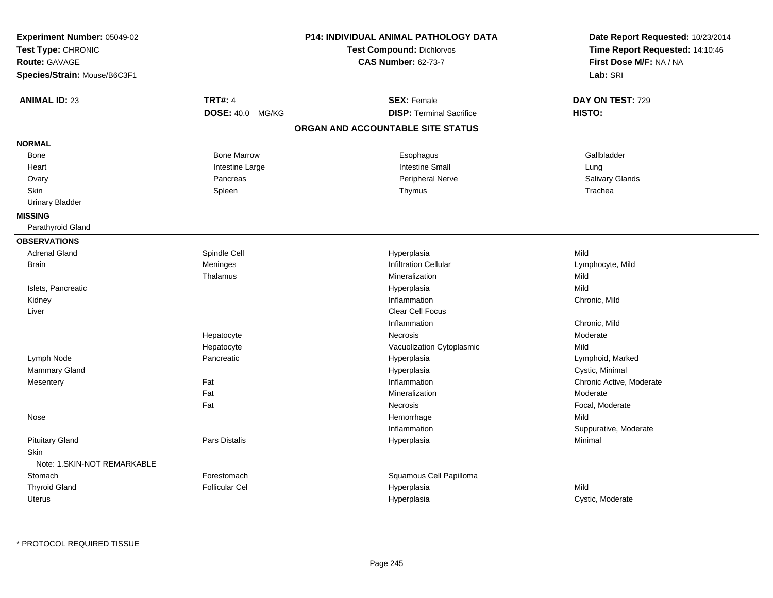| Experiment Number: 05049-02<br>Test Type: CHRONIC<br><b>Route: GAVAGE</b><br>Species/Strain: Mouse/B6C3F1 |                       | P14: INDIVIDUAL ANIMAL PATHOLOGY DATA<br>Test Compound: Dichlorvos<br><b>CAS Number: 62-73-7</b> | Date Report Requested: 10/23/2014<br>Time Report Requested: 14:10:46<br>First Dose M/F: NA / NA<br>Lab: SRI |
|-----------------------------------------------------------------------------------------------------------|-----------------------|--------------------------------------------------------------------------------------------------|-------------------------------------------------------------------------------------------------------------|
| <b>ANIMAL ID: 23</b>                                                                                      | <b>TRT#: 4</b>        | <b>SEX: Female</b>                                                                               | DAY ON TEST: 729                                                                                            |
|                                                                                                           | DOSE: 40.0 MG/KG      | <b>DISP: Terminal Sacrifice</b><br>ORGAN AND ACCOUNTABLE SITE STATUS                             | HISTO:                                                                                                      |
|                                                                                                           |                       |                                                                                                  |                                                                                                             |
| <b>NORMAL</b>                                                                                             |                       |                                                                                                  |                                                                                                             |
| Bone                                                                                                      | <b>Bone Marrow</b>    | Esophagus                                                                                        | Gallbladder                                                                                                 |
| Heart                                                                                                     | Intestine Large       | <b>Intestine Small</b>                                                                           | Lung                                                                                                        |
| Ovary                                                                                                     | Pancreas              | Peripheral Nerve                                                                                 | Salivary Glands                                                                                             |
| <b>Skin</b>                                                                                               | Spleen                | Thymus                                                                                           | Trachea                                                                                                     |
| <b>Urinary Bladder</b>                                                                                    |                       |                                                                                                  |                                                                                                             |
| <b>MISSING</b>                                                                                            |                       |                                                                                                  |                                                                                                             |
| Parathyroid Gland                                                                                         |                       |                                                                                                  |                                                                                                             |
| <b>OBSERVATIONS</b>                                                                                       |                       |                                                                                                  |                                                                                                             |
| <b>Adrenal Gland</b>                                                                                      | Spindle Cell          | Hyperplasia                                                                                      | Mild                                                                                                        |
| <b>Brain</b>                                                                                              | Meninges              | <b>Infiltration Cellular</b>                                                                     | Lymphocyte, Mild                                                                                            |
|                                                                                                           | Thalamus              | Mineralization                                                                                   | Mild                                                                                                        |
| Islets, Pancreatic                                                                                        |                       | Hyperplasia                                                                                      | Mild                                                                                                        |
| Kidney                                                                                                    |                       | Inflammation                                                                                     | Chronic, Mild                                                                                               |
| Liver                                                                                                     |                       | <b>Clear Cell Focus</b>                                                                          |                                                                                                             |
|                                                                                                           |                       | Inflammation                                                                                     | Chronic, Mild                                                                                               |
|                                                                                                           | Hepatocyte            | Necrosis                                                                                         | Moderate                                                                                                    |
|                                                                                                           | Hepatocyte            | Vacuolization Cytoplasmic                                                                        | Mild                                                                                                        |
| Lymph Node                                                                                                | Pancreatic            | Hyperplasia                                                                                      | Lymphoid, Marked                                                                                            |
| Mammary Gland                                                                                             |                       | Hyperplasia                                                                                      | Cystic, Minimal                                                                                             |
| Mesentery                                                                                                 | Fat                   | Inflammation                                                                                     | Chronic Active, Moderate                                                                                    |
|                                                                                                           | Fat                   | Mineralization                                                                                   | Moderate                                                                                                    |
|                                                                                                           | Fat                   | Necrosis                                                                                         | Focal, Moderate                                                                                             |
| Nose                                                                                                      |                       | Hemorrhage                                                                                       | Mild                                                                                                        |
|                                                                                                           |                       | Inflammation                                                                                     | Suppurative, Moderate                                                                                       |
| <b>Pituitary Gland</b>                                                                                    | Pars Distalis         | Hyperplasia                                                                                      | Minimal                                                                                                     |
| Skin                                                                                                      |                       |                                                                                                  |                                                                                                             |
| Note: 1.SKIN-NOT REMARKABLE                                                                               |                       |                                                                                                  |                                                                                                             |
| Stomach                                                                                                   | Forestomach           | Squamous Cell Papilloma                                                                          |                                                                                                             |
| <b>Thyroid Gland</b>                                                                                      | <b>Follicular Cel</b> | Hyperplasia                                                                                      | Mild                                                                                                        |
| <b>Uterus</b>                                                                                             |                       | Hyperplasia                                                                                      | Cystic, Moderate                                                                                            |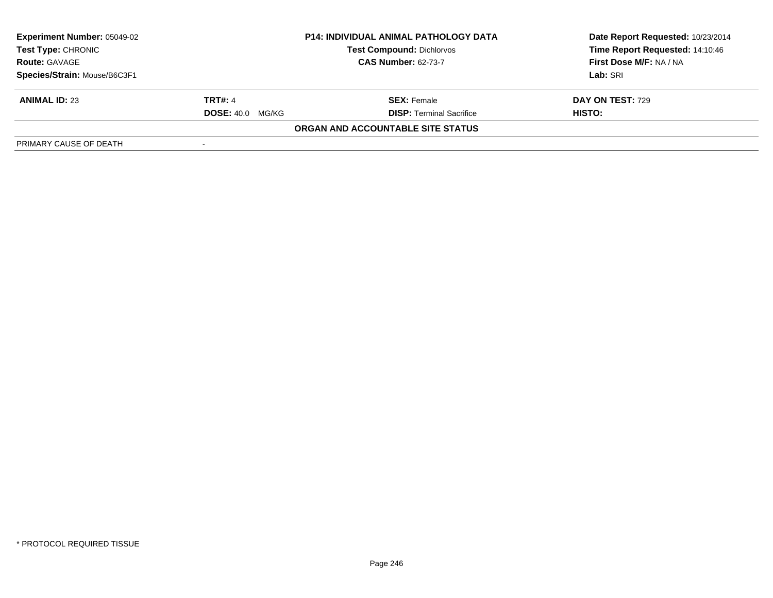| <b>Experiment Number: 05049-02</b><br>Test Type: CHRONIC<br><b>Route: GAVAGE</b> | <b>P14: INDIVIDUAL ANIMAL PATHOLOGY DATA</b><br><b>Test Compound: Dichlorvos</b><br><b>CAS Number: 62-73-7</b> |                                   | Date Report Requested: 10/23/2014<br>Time Report Requested: 14:10:46<br>First Dose M/F: NA / NA |
|----------------------------------------------------------------------------------|----------------------------------------------------------------------------------------------------------------|-----------------------------------|-------------------------------------------------------------------------------------------------|
| Species/Strain: Mouse/B6C3F1                                                     |                                                                                                                |                                   | Lab: SRI                                                                                        |
| <b>ANIMAL ID: 23</b>                                                             | <b>TRT#: 4</b>                                                                                                 | <b>SEX:</b> Female                | DAY ON TEST: 729                                                                                |
|                                                                                  | <b>DOSE: 40.0 MG/KG</b>                                                                                        | <b>DISP: Terminal Sacrifice</b>   | HISTO:                                                                                          |
|                                                                                  |                                                                                                                | ORGAN AND ACCOUNTABLE SITE STATUS |                                                                                                 |
| PRIMARY CAUSE OF DEATH                                                           |                                                                                                                |                                   |                                                                                                 |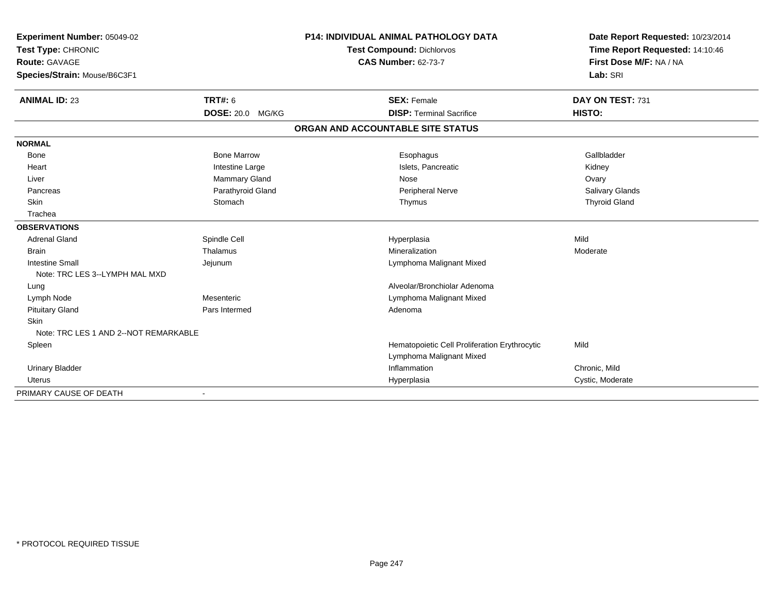| Experiment Number: 05049-02<br>Test Type: CHRONIC |                         | <b>P14: INDIVIDUAL ANIMAL PATHOLOGY DATA</b><br><b>Test Compound: Dichlorvos</b> |                                               | Date Report Requested: 10/23/2014 |
|---------------------------------------------------|-------------------------|----------------------------------------------------------------------------------|-----------------------------------------------|-----------------------------------|
|                                                   |                         |                                                                                  |                                               | Time Report Requested: 14:10:46   |
| <b>Route: GAVAGE</b>                              |                         | <b>CAS Number: 62-73-7</b>                                                       |                                               | First Dose M/F: NA / NA           |
| Species/Strain: Mouse/B6C3F1                      |                         |                                                                                  |                                               | Lab: SRI                          |
| <b>ANIMAL ID: 23</b>                              | <b>TRT#: 6</b>          |                                                                                  | <b>SEX: Female</b>                            | DAY ON TEST: 731                  |
|                                                   | <b>DOSE: 20.0 MG/KG</b> |                                                                                  | <b>DISP: Terminal Sacrifice</b>               | HISTO:                            |
|                                                   |                         |                                                                                  | ORGAN AND ACCOUNTABLE SITE STATUS             |                                   |
| <b>NORMAL</b>                                     |                         |                                                                                  |                                               |                                   |
| <b>Bone</b>                                       | <b>Bone Marrow</b>      |                                                                                  | Esophagus                                     | Gallbladder                       |
| Heart                                             | Intestine Large         |                                                                                  | Islets, Pancreatic                            | Kidney                            |
| Liver                                             | Mammary Gland           |                                                                                  | Nose                                          | Ovary                             |
| Pancreas                                          | Parathyroid Gland       |                                                                                  | Peripheral Nerve                              | Salivary Glands                   |
| Skin                                              | Stomach                 |                                                                                  | Thymus                                        | <b>Thyroid Gland</b>              |
| Trachea                                           |                         |                                                                                  |                                               |                                   |
| <b>OBSERVATIONS</b>                               |                         |                                                                                  |                                               |                                   |
| <b>Adrenal Gland</b>                              | Spindle Cell            |                                                                                  | Hyperplasia                                   | Mild                              |
| <b>Brain</b>                                      | Thalamus                |                                                                                  | Mineralization                                | Moderate                          |
| <b>Intestine Small</b>                            | Jejunum                 |                                                                                  | Lymphoma Malignant Mixed                      |                                   |
| Note: TRC LES 3--LYMPH MAL MXD                    |                         |                                                                                  |                                               |                                   |
| Lung                                              |                         |                                                                                  | Alveolar/Bronchiolar Adenoma                  |                                   |
| Lymph Node                                        | Mesenteric              |                                                                                  | Lymphoma Malignant Mixed                      |                                   |
| <b>Pituitary Gland</b>                            | Pars Intermed           |                                                                                  | Adenoma                                       |                                   |
| <b>Skin</b>                                       |                         |                                                                                  |                                               |                                   |
| Note: TRC LES 1 AND 2--NOT REMARKABLE             |                         |                                                                                  |                                               |                                   |
| Spleen                                            |                         |                                                                                  | Hematopoietic Cell Proliferation Erythrocytic | Mild                              |
|                                                   |                         |                                                                                  | Lymphoma Malignant Mixed                      |                                   |
| <b>Urinary Bladder</b>                            |                         |                                                                                  | Inflammation                                  | Chronic, Mild                     |
| Uterus                                            |                         |                                                                                  | Hyperplasia                                   | Cystic, Moderate                  |
| PRIMARY CAUSE OF DEATH                            |                         |                                                                                  |                                               |                                   |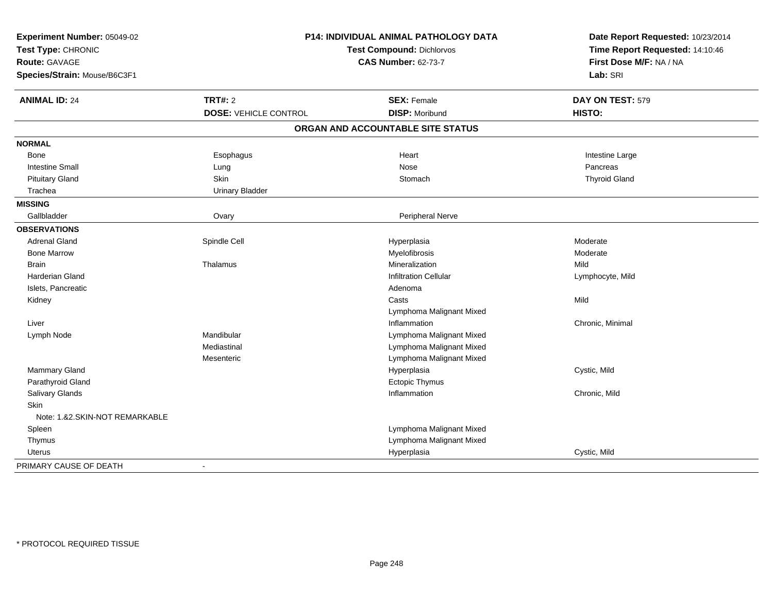| Experiment Number: 05049-02<br>Test Type: CHRONIC<br>Route: GAVAGE<br>Species/Strain: Mouse/B6C3F1 | <b>P14: INDIVIDUAL ANIMAL PATHOLOGY DATA</b><br>Test Compound: Dichlorvos<br><b>CAS Number: 62-73-7</b> |                                   | Date Report Requested: 10/23/2014<br>Time Report Requested: 14:10:46<br>First Dose M/F: NA / NA<br>Lab: SRI |
|----------------------------------------------------------------------------------------------------|---------------------------------------------------------------------------------------------------------|-----------------------------------|-------------------------------------------------------------------------------------------------------------|
| <b>ANIMAL ID: 24</b>                                                                               | <b>TRT#: 2</b>                                                                                          | <b>SEX: Female</b>                | DAY ON TEST: 579                                                                                            |
|                                                                                                    | <b>DOSE: VEHICLE CONTROL</b>                                                                            | <b>DISP: Moribund</b>             | HISTO:                                                                                                      |
|                                                                                                    |                                                                                                         | ORGAN AND ACCOUNTABLE SITE STATUS |                                                                                                             |
| <b>NORMAL</b>                                                                                      |                                                                                                         |                                   |                                                                                                             |
| Bone                                                                                               | Esophagus                                                                                               | Heart                             | Intestine Large                                                                                             |
| <b>Intestine Small</b>                                                                             | Lung                                                                                                    | Nose                              | Pancreas                                                                                                    |
| <b>Pituitary Gland</b>                                                                             | Skin                                                                                                    | Stomach                           | <b>Thyroid Gland</b>                                                                                        |
| Trachea                                                                                            | <b>Urinary Bladder</b>                                                                                  |                                   |                                                                                                             |
| <b>MISSING</b>                                                                                     |                                                                                                         |                                   |                                                                                                             |
| Gallbladder                                                                                        | Ovary                                                                                                   | Peripheral Nerve                  |                                                                                                             |
| <b>OBSERVATIONS</b>                                                                                |                                                                                                         |                                   |                                                                                                             |
| <b>Adrenal Gland</b>                                                                               | Spindle Cell                                                                                            | Hyperplasia                       | Moderate                                                                                                    |
| <b>Bone Marrow</b>                                                                                 |                                                                                                         | Myelofibrosis                     | Moderate                                                                                                    |
| <b>Brain</b>                                                                                       | Thalamus                                                                                                | Mineralization                    | Mild                                                                                                        |
| <b>Harderian Gland</b>                                                                             |                                                                                                         | <b>Infiltration Cellular</b>      | Lymphocyte, Mild                                                                                            |
| Islets, Pancreatic                                                                                 |                                                                                                         | Adenoma                           |                                                                                                             |
| Kidney                                                                                             |                                                                                                         | Casts                             | Mild                                                                                                        |
|                                                                                                    |                                                                                                         | Lymphoma Malignant Mixed          |                                                                                                             |
| Liver                                                                                              |                                                                                                         | Inflammation                      | Chronic, Minimal                                                                                            |
| Lymph Node                                                                                         | Mandibular                                                                                              | Lymphoma Malignant Mixed          |                                                                                                             |
|                                                                                                    | Mediastinal                                                                                             | Lymphoma Malignant Mixed          |                                                                                                             |
|                                                                                                    | Mesenteric                                                                                              | Lymphoma Malignant Mixed          |                                                                                                             |
| Mammary Gland                                                                                      |                                                                                                         | Hyperplasia                       | Cystic, Mild                                                                                                |
| Parathyroid Gland                                                                                  |                                                                                                         | <b>Ectopic Thymus</b>             |                                                                                                             |
| Salivary Glands                                                                                    |                                                                                                         | Inflammation                      | Chronic, Mild                                                                                               |
| <b>Skin</b>                                                                                        |                                                                                                         |                                   |                                                                                                             |
| Note: 1.&2.SKIN-NOT REMARKABLE                                                                     |                                                                                                         |                                   |                                                                                                             |
| Spleen                                                                                             |                                                                                                         | Lymphoma Malignant Mixed          |                                                                                                             |
| Thymus                                                                                             |                                                                                                         | Lymphoma Malignant Mixed          |                                                                                                             |
| <b>Uterus</b>                                                                                      |                                                                                                         | Hyperplasia                       | Cystic, Mild                                                                                                |
| PRIMARY CAUSE OF DEATH                                                                             | $\overline{a}$                                                                                          |                                   |                                                                                                             |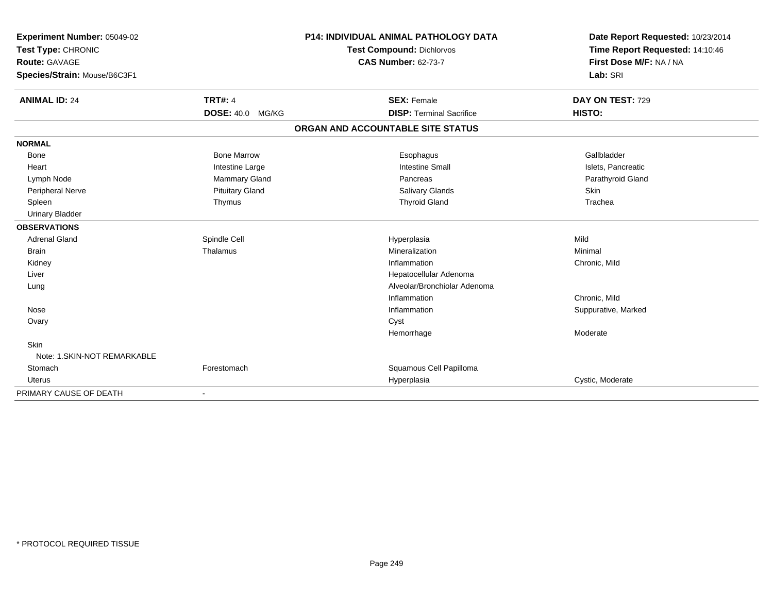| Experiment Number: 05049-02  |                         | <b>P14: INDIVIDUAL ANIMAL PATHOLOGY DATA</b> | Date Report Requested: 10/23/2014 |
|------------------------------|-------------------------|----------------------------------------------|-----------------------------------|
| Test Type: CHRONIC           |                         | <b>Test Compound: Dichlorvos</b>             | Time Report Requested: 14:10:46   |
| <b>Route: GAVAGE</b>         |                         | <b>CAS Number: 62-73-7</b>                   | First Dose M/F: NA / NA           |
| Species/Strain: Mouse/B6C3F1 |                         |                                              | Lab: SRI                          |
| <b>ANIMAL ID: 24</b>         | <b>TRT#: 4</b>          | <b>SEX: Female</b>                           | DAY ON TEST: 729                  |
|                              | <b>DOSE: 40.0 MG/KG</b> | <b>DISP: Terminal Sacrifice</b>              | HISTO:                            |
|                              |                         | ORGAN AND ACCOUNTABLE SITE STATUS            |                                   |
| <b>NORMAL</b>                |                         |                                              |                                   |
| <b>Bone</b>                  | <b>Bone Marrow</b>      | Esophagus                                    | Gallbladder                       |
| Heart                        | Intestine Large         | <b>Intestine Small</b>                       | Islets, Pancreatic                |
| Lymph Node                   | <b>Mammary Gland</b>    | Pancreas                                     | Parathyroid Gland                 |
| Peripheral Nerve             | <b>Pituitary Gland</b>  | Salivary Glands                              | Skin                              |
| Spleen                       | Thymus                  | <b>Thyroid Gland</b>                         | Trachea                           |
| <b>Urinary Bladder</b>       |                         |                                              |                                   |
| <b>OBSERVATIONS</b>          |                         |                                              |                                   |
| <b>Adrenal Gland</b>         | Spindle Cell            | Hyperplasia                                  | Mild                              |
| <b>Brain</b>                 | Thalamus                | Mineralization                               | Minimal                           |
| Kidney                       |                         | Inflammation                                 | Chronic, Mild                     |
| Liver                        |                         | Hepatocellular Adenoma                       |                                   |
| Lung                         |                         | Alveolar/Bronchiolar Adenoma                 |                                   |
|                              |                         | Inflammation                                 | Chronic, Mild                     |
| Nose                         |                         | Inflammation                                 | Suppurative, Marked               |
| Ovary                        |                         | Cyst                                         |                                   |
|                              |                         | Hemorrhage                                   | Moderate                          |
| <b>Skin</b>                  |                         |                                              |                                   |
| Note: 1.SKIN-NOT REMARKABLE  |                         |                                              |                                   |
| Stomach                      | Forestomach             | Squamous Cell Papilloma                      |                                   |
| Uterus                       |                         | Hyperplasia                                  | Cystic, Moderate                  |
| PRIMARY CAUSE OF DEATH       |                         |                                              |                                   |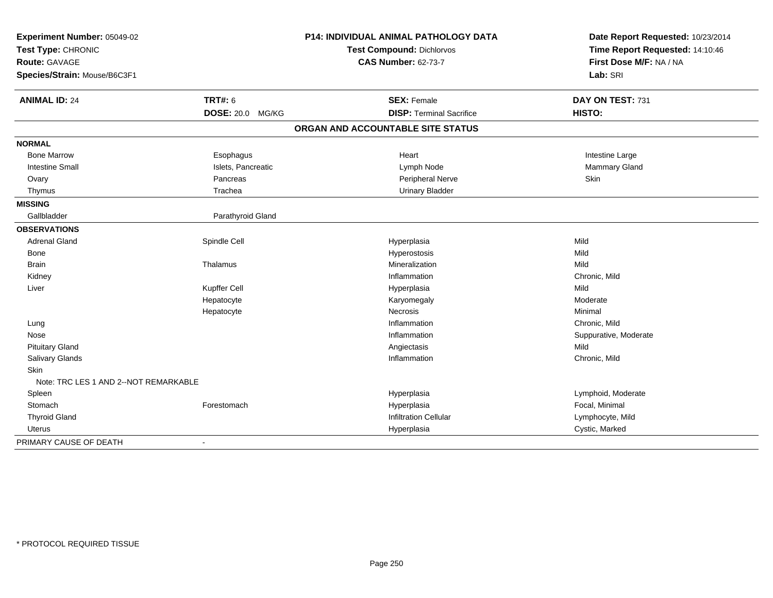| Experiment Number: 05049-02<br>Test Type: CHRONIC |                    | <b>P14: INDIVIDUAL ANIMAL PATHOLOGY DATA</b> | Date Report Requested: 10/23/2014 |
|---------------------------------------------------|--------------------|----------------------------------------------|-----------------------------------|
|                                                   |                    | <b>Test Compound: Dichlorvos</b>             | Time Report Requested: 14:10:46   |
| Route: GAVAGE                                     |                    | <b>CAS Number: 62-73-7</b>                   | First Dose M/F: NA / NA           |
| Species/Strain: Mouse/B6C3F1                      |                    |                                              | Lab: SRI                          |
| <b>ANIMAL ID: 24</b>                              | <b>TRT#: 6</b>     | <b>SEX: Female</b>                           | DAY ON TEST: 731                  |
|                                                   | DOSE: 20.0 MG/KG   | <b>DISP: Terminal Sacrifice</b>              | HISTO:                            |
|                                                   |                    | ORGAN AND ACCOUNTABLE SITE STATUS            |                                   |
| <b>NORMAL</b>                                     |                    |                                              |                                   |
| <b>Bone Marrow</b>                                | Esophagus          | Heart                                        | Intestine Large                   |
| <b>Intestine Small</b>                            | Islets, Pancreatic | Lymph Node                                   | Mammary Gland                     |
| Ovary                                             | Pancreas           | Peripheral Nerve                             | Skin                              |
| Thymus                                            | Trachea            | <b>Urinary Bladder</b>                       |                                   |
| <b>MISSING</b>                                    |                    |                                              |                                   |
| Gallbladder                                       | Parathyroid Gland  |                                              |                                   |
| <b>OBSERVATIONS</b>                               |                    |                                              |                                   |
| <b>Adrenal Gland</b>                              | Spindle Cell       | Hyperplasia                                  | Mild                              |
| <b>Bone</b>                                       |                    | Hyperostosis                                 | Mild                              |
| <b>Brain</b>                                      | Thalamus           | Mineralization                               | Mild                              |
| Kidney                                            |                    | Inflammation                                 | Chronic, Mild                     |
| Liver                                             | Kupffer Cell       | Hyperplasia                                  | Mild                              |
|                                                   | Hepatocyte         | Karyomegaly                                  | Moderate                          |
|                                                   | Hepatocyte         | <b>Necrosis</b>                              | Minimal                           |
| Lung                                              |                    | Inflammation                                 | Chronic, Mild                     |
| Nose                                              |                    | Inflammation                                 | Suppurative, Moderate             |
| <b>Pituitary Gland</b>                            |                    | Angiectasis                                  | Mild                              |
| Salivary Glands                                   |                    | Inflammation                                 | Chronic, Mild                     |
| <b>Skin</b>                                       |                    |                                              |                                   |
| Note: TRC LES 1 AND 2--NOT REMARKABLE             |                    |                                              |                                   |
| Spleen                                            |                    | Hyperplasia                                  | Lymphoid, Moderate                |
| Stomach                                           | Forestomach        | Hyperplasia                                  | Focal, Minimal                    |
| <b>Thyroid Gland</b>                              |                    | <b>Infiltration Cellular</b>                 | Lymphocyte, Mild                  |
| Uterus                                            |                    | Hyperplasia                                  | Cystic, Marked                    |
| PRIMARY CAUSE OF DEATH                            | $\blacksquare$     |                                              |                                   |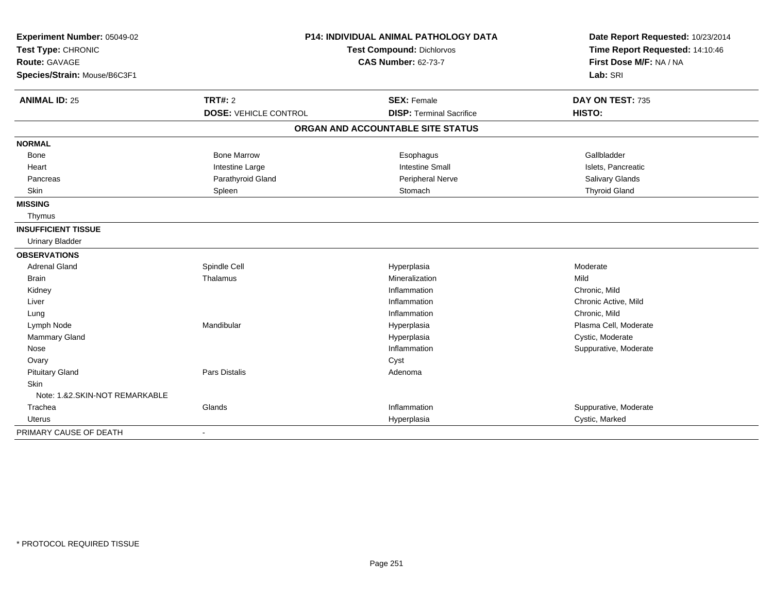| Experiment Number: 05049-02<br>Test Type: CHRONIC |                              | P14: INDIVIDUAL ANIMAL PATHOLOGY DATA<br>Test Compound: Dichlorvos | Date Report Requested: 10/23/2014<br>Time Report Requested: 14:10:46 |
|---------------------------------------------------|------------------------------|--------------------------------------------------------------------|----------------------------------------------------------------------|
| Route: GAVAGE<br>Species/Strain: Mouse/B6C3F1     |                              | <b>CAS Number: 62-73-7</b>                                         | First Dose M/F: NA / NA<br>Lab: SRI                                  |
| <b>ANIMAL ID: 25</b>                              | <b>TRT#: 2</b>               | <b>SEX: Female</b>                                                 | DAY ON TEST: 735                                                     |
|                                                   | <b>DOSE: VEHICLE CONTROL</b> | <b>DISP: Terminal Sacrifice</b>                                    | HISTO:                                                               |
|                                                   |                              | ORGAN AND ACCOUNTABLE SITE STATUS                                  |                                                                      |
| <b>NORMAL</b>                                     |                              |                                                                    |                                                                      |
| Bone                                              | <b>Bone Marrow</b>           | Esophagus                                                          | Gallbladder                                                          |
| Heart                                             | Intestine Large              | <b>Intestine Small</b>                                             | Islets, Pancreatic                                                   |
| Pancreas                                          | Parathyroid Gland            | Peripheral Nerve                                                   | Salivary Glands                                                      |
| Skin                                              | Spleen                       | Stomach                                                            | <b>Thyroid Gland</b>                                                 |
| <b>MISSING</b>                                    |                              |                                                                    |                                                                      |
| Thymus                                            |                              |                                                                    |                                                                      |
| <b>INSUFFICIENT TISSUE</b>                        |                              |                                                                    |                                                                      |
| <b>Urinary Bladder</b>                            |                              |                                                                    |                                                                      |
| <b>OBSERVATIONS</b>                               |                              |                                                                    |                                                                      |
| <b>Adrenal Gland</b>                              | Spindle Cell                 | Hyperplasia                                                        | Moderate                                                             |
| <b>Brain</b>                                      | Thalamus                     | Mineralization                                                     | Mild                                                                 |
| Kidney                                            |                              | Inflammation                                                       | Chronic, Mild                                                        |
| Liver                                             |                              | Inflammation                                                       | Chronic Active, Mild                                                 |
| Lung                                              |                              | Inflammation                                                       | Chronic, Mild                                                        |
| Lymph Node                                        | Mandibular                   | Hyperplasia                                                        | Plasma Cell, Moderate                                                |
| <b>Mammary Gland</b>                              |                              | Hyperplasia                                                        | Cystic, Moderate                                                     |
| Nose                                              |                              | Inflammation                                                       | Suppurative, Moderate                                                |
| Ovary                                             |                              | Cyst                                                               |                                                                      |
| <b>Pituitary Gland</b>                            | <b>Pars Distalis</b>         | Adenoma                                                            |                                                                      |
| <b>Skin</b>                                       |                              |                                                                    |                                                                      |
| Note: 1.&2.SKIN-NOT REMARKABLE                    |                              |                                                                    |                                                                      |
| Trachea                                           | Glands                       | Inflammation                                                       | Suppurative, Moderate                                                |
| <b>Uterus</b>                                     |                              | Hyperplasia                                                        | Cystic, Marked                                                       |
| PRIMARY CAUSE OF DEATH                            | $\blacksquare$               |                                                                    |                                                                      |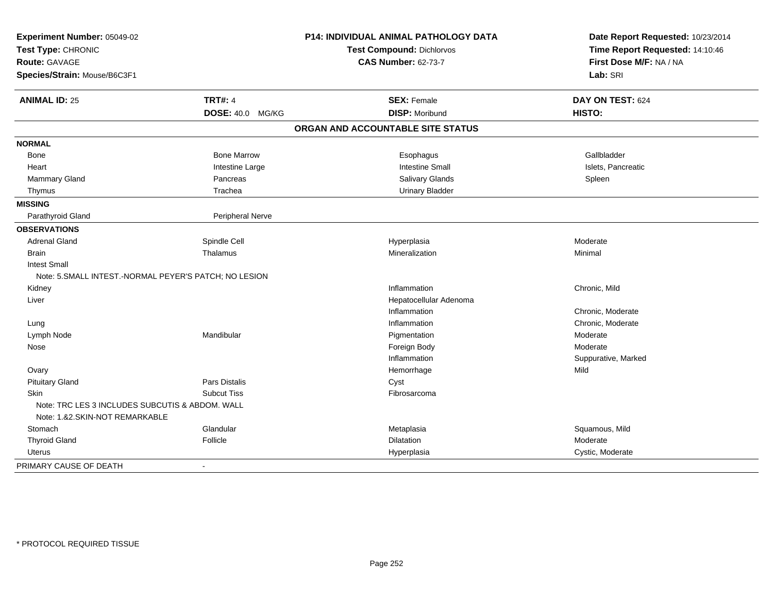| Experiment Number: 05049-02<br>Test Type: CHRONIC<br><b>Route: GAVAGE</b> |                         | <b>P14: INDIVIDUAL ANIMAL PATHOLOGY DATA</b> | Date Report Requested: 10/23/2014 |  |
|---------------------------------------------------------------------------|-------------------------|----------------------------------------------|-----------------------------------|--|
|                                                                           |                         | <b>Test Compound: Dichlorvos</b>             | Time Report Requested: 14:10:46   |  |
|                                                                           |                         | <b>CAS Number: 62-73-7</b>                   | First Dose M/F: NA / NA           |  |
| Species/Strain: Mouse/B6C3F1                                              |                         |                                              | Lab: SRI                          |  |
| <b>ANIMAL ID: 25</b>                                                      | <b>TRT#: 4</b>          | <b>SEX: Female</b>                           | DAY ON TEST: 624                  |  |
|                                                                           | <b>DOSE: 40.0 MG/KG</b> | <b>DISP: Moribund</b>                        | HISTO:                            |  |
|                                                                           |                         | ORGAN AND ACCOUNTABLE SITE STATUS            |                                   |  |
| <b>NORMAL</b>                                                             |                         |                                              |                                   |  |
| Bone                                                                      | <b>Bone Marrow</b>      | Esophagus                                    | Gallbladder                       |  |
| Heart                                                                     | Intestine Large         | <b>Intestine Small</b>                       | Islets, Pancreatic                |  |
| Mammary Gland                                                             | Pancreas                | Salivary Glands                              | Spleen                            |  |
| Thymus                                                                    | Trachea                 | <b>Urinary Bladder</b>                       |                                   |  |
| <b>MISSING</b>                                                            |                         |                                              |                                   |  |
| Parathyroid Gland                                                         | Peripheral Nerve        |                                              |                                   |  |
| <b>OBSERVATIONS</b>                                                       |                         |                                              |                                   |  |
| <b>Adrenal Gland</b>                                                      | Spindle Cell            | Hyperplasia                                  | Moderate                          |  |
| <b>Brain</b>                                                              | Thalamus                | Mineralization                               | Minimal                           |  |
| <b>Intest Small</b>                                                       |                         |                                              |                                   |  |
| Note: 5. SMALL INTEST.-NORMAL PEYER'S PATCH; NO LESION                    |                         |                                              |                                   |  |
| Kidney                                                                    |                         | Inflammation                                 | Chronic, Mild                     |  |
| Liver                                                                     |                         | Hepatocellular Adenoma                       |                                   |  |
|                                                                           |                         | Inflammation                                 | Chronic, Moderate                 |  |
| Lung                                                                      |                         | Inflammation                                 | Chronic, Moderate                 |  |
| Lymph Node                                                                | Mandibular              | Pigmentation                                 | Moderate                          |  |
| Nose                                                                      |                         | Foreign Body                                 | Moderate                          |  |
|                                                                           |                         | Inflammation                                 | Suppurative, Marked               |  |
| Ovary                                                                     |                         | Hemorrhage                                   | Mild                              |  |
| <b>Pituitary Gland</b>                                                    | Pars Distalis           | Cyst                                         |                                   |  |
| <b>Skin</b>                                                               | <b>Subcut Tiss</b>      | Fibrosarcoma                                 |                                   |  |
| Note: TRC LES 3 INCLUDES SUBCUTIS & ABDOM, WALL                           |                         |                                              |                                   |  |
| Note: 1.&2.SKIN-NOT REMARKABLE                                            |                         |                                              |                                   |  |
| Stomach                                                                   | Glandular               | Metaplasia                                   | Squamous, Mild                    |  |
| <b>Thyroid Gland</b>                                                      | Follicle                | Dilatation                                   | Moderate                          |  |
| Uterus                                                                    |                         | Hyperplasia                                  | Cystic, Moderate                  |  |
| PRIMARY CAUSE OF DEATH                                                    | $\blacksquare$          |                                              |                                   |  |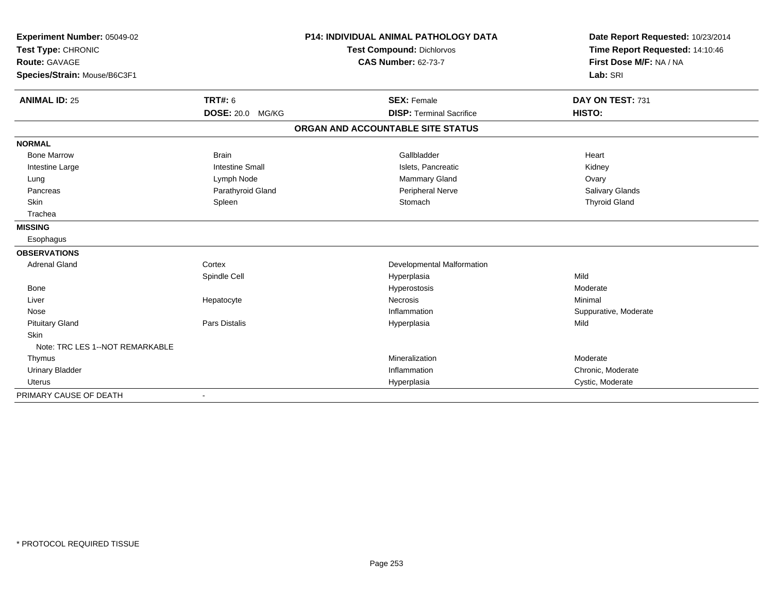| Experiment Number: 05049-02<br>Test Type: CHRONIC |                            | <b>P14: INDIVIDUAL ANIMAL PATHOLOGY DATA</b> | Date Report Requested: 10/23/2014<br>Time Report Requested: 14:10:46 |
|---------------------------------------------------|----------------------------|----------------------------------------------|----------------------------------------------------------------------|
|                                                   |                            | <b>Test Compound: Dichlorvos</b>             |                                                                      |
| <b>Route: GAVAGE</b>                              | <b>CAS Number: 62-73-7</b> |                                              | First Dose M/F: NA / NA                                              |
| Species/Strain: Mouse/B6C3F1                      |                            |                                              | Lab: SRI                                                             |
| <b>ANIMAL ID: 25</b>                              | <b>TRT#: 6</b>             | <b>SEX: Female</b>                           | DAY ON TEST: 731                                                     |
|                                                   | DOSE: 20.0 MG/KG           | <b>DISP: Terminal Sacrifice</b>              | HISTO:                                                               |
|                                                   |                            | ORGAN AND ACCOUNTABLE SITE STATUS            |                                                                      |
| <b>NORMAL</b>                                     |                            |                                              |                                                                      |
| <b>Bone Marrow</b>                                | <b>Brain</b>               | Gallbladder                                  | Heart                                                                |
| Intestine Large                                   | <b>Intestine Small</b>     | Islets, Pancreatic                           | Kidney                                                               |
| Lung                                              | Lymph Node                 | Mammary Gland                                | Ovary                                                                |
| Pancreas                                          | Parathyroid Gland          | Peripheral Nerve                             | Salivary Glands                                                      |
| <b>Skin</b>                                       | Spleen                     | Stomach                                      | <b>Thyroid Gland</b>                                                 |
| Trachea                                           |                            |                                              |                                                                      |
| <b>MISSING</b>                                    |                            |                                              |                                                                      |
| Esophagus                                         |                            |                                              |                                                                      |
| <b>OBSERVATIONS</b>                               |                            |                                              |                                                                      |
| <b>Adrenal Gland</b>                              | Cortex                     | Developmental Malformation                   |                                                                      |
|                                                   | Spindle Cell               | Hyperplasia                                  | Mild                                                                 |
| Bone                                              |                            | Hyperostosis                                 | Moderate                                                             |
| Liver                                             | Hepatocyte                 | Necrosis                                     | Minimal                                                              |
| Nose                                              |                            | Inflammation                                 | Suppurative, Moderate                                                |
| <b>Pituitary Gland</b>                            | Pars Distalis              | Hyperplasia                                  | Mild                                                                 |
| <b>Skin</b>                                       |                            |                                              |                                                                      |
| Note: TRC LES 1--NOT REMARKABLE                   |                            |                                              |                                                                      |
| Thymus                                            |                            | Mineralization                               | Moderate                                                             |
| <b>Urinary Bladder</b>                            |                            | Inflammation                                 | Chronic, Moderate                                                    |
| <b>Uterus</b>                                     |                            | Hyperplasia                                  | Cystic, Moderate                                                     |
| PRIMARY CAUSE OF DEATH                            |                            |                                              |                                                                      |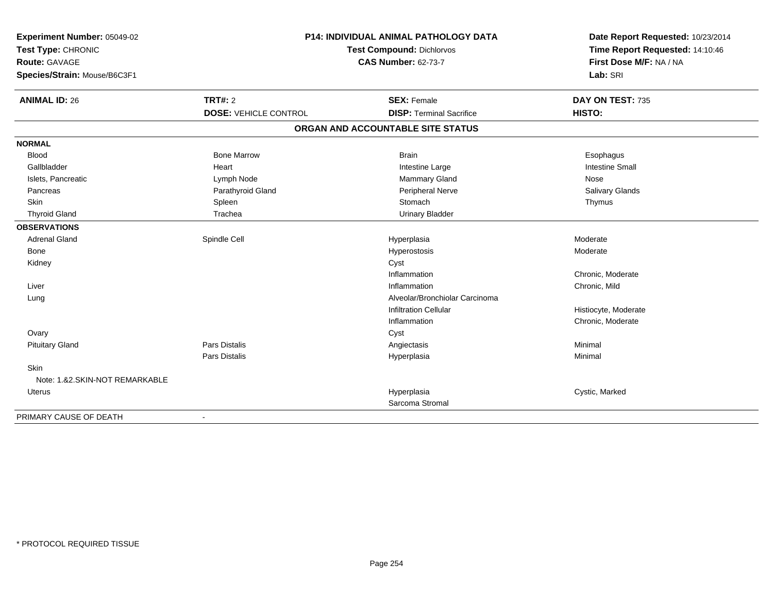| Experiment Number: 05049-02<br>Test Type: CHRONIC<br>Route: GAVAGE<br>Species/Strain: Mouse/B6C3F1 | P14: INDIVIDUAL ANIMAL PATHOLOGY DATA<br>Test Compound: Dichlorvos<br><b>CAS Number: 62-73-7</b> |                                   | Date Report Requested: 10/23/2014<br>Time Report Requested: 14:10:46<br>First Dose M/F: NA / NA<br>Lab: SRI |
|----------------------------------------------------------------------------------------------------|--------------------------------------------------------------------------------------------------|-----------------------------------|-------------------------------------------------------------------------------------------------------------|
|                                                                                                    |                                                                                                  |                                   |                                                                                                             |
| <b>ANIMAL ID: 26</b>                                                                               | <b>TRT#: 2</b>                                                                                   | <b>SEX: Female</b>                | DAY ON TEST: 735                                                                                            |
|                                                                                                    | <b>DOSE: VEHICLE CONTROL</b>                                                                     | <b>DISP: Terminal Sacrifice</b>   | HISTO:                                                                                                      |
|                                                                                                    |                                                                                                  | ORGAN AND ACCOUNTABLE SITE STATUS |                                                                                                             |
| <b>NORMAL</b>                                                                                      |                                                                                                  |                                   |                                                                                                             |
| <b>Blood</b>                                                                                       | <b>Bone Marrow</b>                                                                               | <b>Brain</b>                      | Esophagus                                                                                                   |
| Gallbladder                                                                                        | Heart                                                                                            | Intestine Large                   | <b>Intestine Small</b>                                                                                      |
| Islets, Pancreatic                                                                                 | Lymph Node                                                                                       | Mammary Gland                     | Nose                                                                                                        |
| Pancreas                                                                                           | Parathyroid Gland                                                                                | Peripheral Nerve                  | <b>Salivary Glands</b>                                                                                      |
| <b>Skin</b>                                                                                        | Spleen                                                                                           | Stomach                           | Thymus                                                                                                      |
| <b>Thyroid Gland</b>                                                                               | Trachea                                                                                          | <b>Urinary Bladder</b>            |                                                                                                             |
| <b>OBSERVATIONS</b>                                                                                |                                                                                                  |                                   |                                                                                                             |
| <b>Adrenal Gland</b>                                                                               | Spindle Cell                                                                                     | Hyperplasia                       | Moderate                                                                                                    |
| Bone                                                                                               |                                                                                                  | Hyperostosis                      | Moderate                                                                                                    |
| Kidney                                                                                             |                                                                                                  | Cyst                              |                                                                                                             |
|                                                                                                    |                                                                                                  | Inflammation                      | Chronic, Moderate                                                                                           |
| Liver                                                                                              |                                                                                                  | Inflammation                      | Chronic, Mild                                                                                               |
| Lung                                                                                               |                                                                                                  | Alveolar/Bronchiolar Carcinoma    |                                                                                                             |
|                                                                                                    |                                                                                                  | <b>Infiltration Cellular</b>      | Histiocyte, Moderate                                                                                        |
|                                                                                                    |                                                                                                  | Inflammation                      | Chronic, Moderate                                                                                           |
| Ovary                                                                                              |                                                                                                  | Cyst                              |                                                                                                             |
| <b>Pituitary Gland</b>                                                                             | Pars Distalis                                                                                    | Angiectasis                       | Minimal                                                                                                     |
|                                                                                                    | Pars Distalis                                                                                    | Hyperplasia                       | Minimal                                                                                                     |
| Skin                                                                                               |                                                                                                  |                                   |                                                                                                             |
| Note: 1.&2.SKIN-NOT REMARKABLE                                                                     |                                                                                                  |                                   |                                                                                                             |
| <b>Uterus</b>                                                                                      |                                                                                                  | Hyperplasia                       | Cystic, Marked                                                                                              |
|                                                                                                    |                                                                                                  | Sarcoma Stromal                   |                                                                                                             |
| PRIMARY CAUSE OF DEATH                                                                             | $\blacksquare$                                                                                   |                                   |                                                                                                             |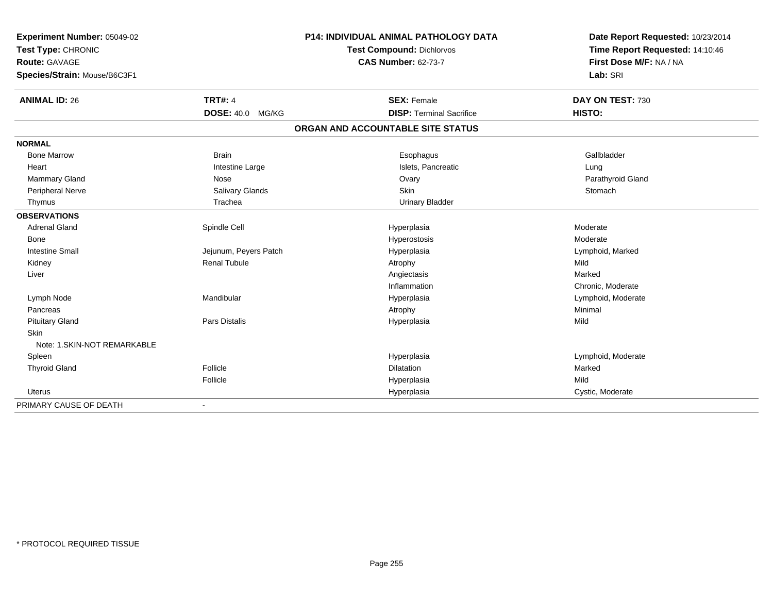| Experiment Number: 05049-02<br>Test Type: CHRONIC |                         | <b>P14: INDIVIDUAL ANIMAL PATHOLOGY DATA</b> | Date Report Requested: 10/23/2014<br>Time Report Requested: 14:10:46 |  |
|---------------------------------------------------|-------------------------|----------------------------------------------|----------------------------------------------------------------------|--|
|                                                   |                         | <b>Test Compound: Dichlorvos</b>             |                                                                      |  |
| Route: GAVAGE                                     |                         | <b>CAS Number: 62-73-7</b>                   | First Dose M/F: NA / NA                                              |  |
| Species/Strain: Mouse/B6C3F1                      |                         |                                              | Lab: SRI                                                             |  |
| <b>ANIMAL ID: 26</b>                              | <b>TRT#: 4</b>          | <b>SEX: Female</b>                           | DAY ON TEST: 730                                                     |  |
|                                                   | <b>DOSE: 40.0 MG/KG</b> | <b>DISP: Terminal Sacrifice</b>              | HISTO:                                                               |  |
|                                                   |                         | ORGAN AND ACCOUNTABLE SITE STATUS            |                                                                      |  |
| <b>NORMAL</b>                                     |                         |                                              |                                                                      |  |
| <b>Bone Marrow</b>                                | <b>Brain</b>            | Esophagus                                    | Gallbladder                                                          |  |
| Heart                                             | Intestine Large         | Islets, Pancreatic                           | Lung                                                                 |  |
| Mammary Gland                                     | Nose                    | Ovary                                        | Parathyroid Gland                                                    |  |
| Peripheral Nerve                                  | Salivary Glands         | Skin                                         | Stomach                                                              |  |
| Thymus                                            | Trachea                 | <b>Urinary Bladder</b>                       |                                                                      |  |
| <b>OBSERVATIONS</b>                               |                         |                                              |                                                                      |  |
| <b>Adrenal Gland</b>                              | Spindle Cell            | Hyperplasia                                  | Moderate                                                             |  |
| Bone                                              |                         | Hyperostosis                                 | Moderate                                                             |  |
| <b>Intestine Small</b>                            | Jejunum, Peyers Patch   | Hyperplasia                                  | Lymphoid, Marked                                                     |  |
| Kidney                                            | <b>Renal Tubule</b>     | Atrophy                                      | Mild                                                                 |  |
| Liver                                             |                         | Angiectasis                                  | Marked                                                               |  |
|                                                   |                         | Inflammation                                 | Chronic, Moderate                                                    |  |
| Lymph Node                                        | Mandibular              | Hyperplasia                                  | Lymphoid, Moderate                                                   |  |
| Pancreas                                          |                         | Atrophy                                      | Minimal                                                              |  |
| <b>Pituitary Gland</b>                            | <b>Pars Distalis</b>    | Hyperplasia                                  | Mild                                                                 |  |
| <b>Skin</b>                                       |                         |                                              |                                                                      |  |
| Note: 1. SKIN-NOT REMARKABLE                      |                         |                                              |                                                                      |  |
| Spleen                                            |                         | Hyperplasia                                  | Lymphoid, Moderate                                                   |  |
| <b>Thyroid Gland</b>                              | Follicle                | Dilatation                                   | Marked                                                               |  |
|                                                   | Follicle                | Hyperplasia                                  | Mild                                                                 |  |
| <b>Uterus</b>                                     |                         | Hyperplasia                                  | Cystic, Moderate                                                     |  |
| PRIMARY CAUSE OF DEATH                            |                         |                                              |                                                                      |  |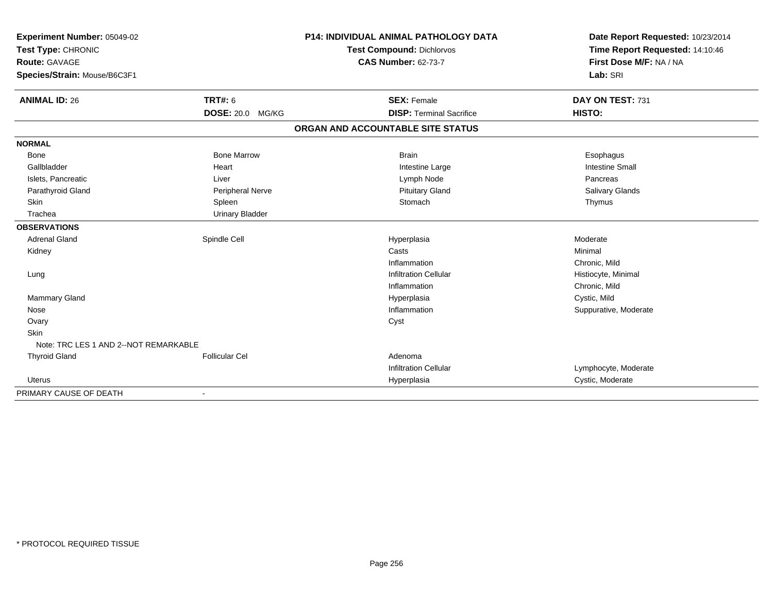| Experiment Number: 05049-02<br>Test Type: CHRONIC |                         | P14: INDIVIDUAL ANIMAL PATHOLOGY DATA | Date Report Requested: 10/23/2014<br>Time Report Requested: 14:10:46 |
|---------------------------------------------------|-------------------------|---------------------------------------|----------------------------------------------------------------------|
|                                                   |                         | <b>Test Compound: Dichlorvos</b>      |                                                                      |
| <b>Route: GAVAGE</b>                              |                         | <b>CAS Number: 62-73-7</b>            | First Dose M/F: NA / NA                                              |
| Species/Strain: Mouse/B6C3F1                      |                         |                                       | Lab: SRI                                                             |
| <b>ANIMAL ID: 26</b>                              | <b>TRT#: 6</b>          | <b>SEX: Female</b>                    | DAY ON TEST: 731                                                     |
|                                                   | <b>DOSE: 20.0 MG/KG</b> | <b>DISP: Terminal Sacrifice</b>       | HISTO:                                                               |
|                                                   |                         | ORGAN AND ACCOUNTABLE SITE STATUS     |                                                                      |
| <b>NORMAL</b>                                     |                         |                                       |                                                                      |
| <b>Bone</b>                                       | <b>Bone Marrow</b>      | <b>Brain</b>                          | Esophagus                                                            |
| Gallbladder                                       | Heart                   | Intestine Large                       | <b>Intestine Small</b>                                               |
| Islets, Pancreatic                                | Liver                   | Lymph Node                            | Pancreas                                                             |
| Parathyroid Gland                                 | Peripheral Nerve        | <b>Pituitary Gland</b>                | <b>Salivary Glands</b>                                               |
| Skin                                              | Spleen                  | Stomach                               | Thymus                                                               |
| Trachea                                           | <b>Urinary Bladder</b>  |                                       |                                                                      |
| <b>OBSERVATIONS</b>                               |                         |                                       |                                                                      |
| <b>Adrenal Gland</b>                              | Spindle Cell            | Hyperplasia                           | Moderate                                                             |
| Kidney                                            |                         | Casts                                 | Minimal                                                              |
|                                                   |                         | Inflammation                          | Chronic, Mild                                                        |
| Lung                                              |                         | <b>Infiltration Cellular</b>          | Histiocyte, Minimal                                                  |
|                                                   |                         | Inflammation                          | Chronic, Mild                                                        |
| <b>Mammary Gland</b>                              |                         | Hyperplasia                           | Cystic, Mild                                                         |
| Nose                                              |                         | Inflammation                          | Suppurative, Moderate                                                |
| Ovary                                             |                         | Cyst                                  |                                                                      |
| <b>Skin</b>                                       |                         |                                       |                                                                      |
| Note: TRC LES 1 AND 2--NOT REMARKABLE             |                         |                                       |                                                                      |
| <b>Thyroid Gland</b>                              | <b>Follicular Cel</b>   | Adenoma                               |                                                                      |
|                                                   |                         | <b>Infiltration Cellular</b>          | Lymphocyte, Moderate                                                 |
| <b>Uterus</b>                                     |                         | Hyperplasia                           | Cystic, Moderate                                                     |
| PRIMARY CAUSE OF DEATH                            |                         |                                       |                                                                      |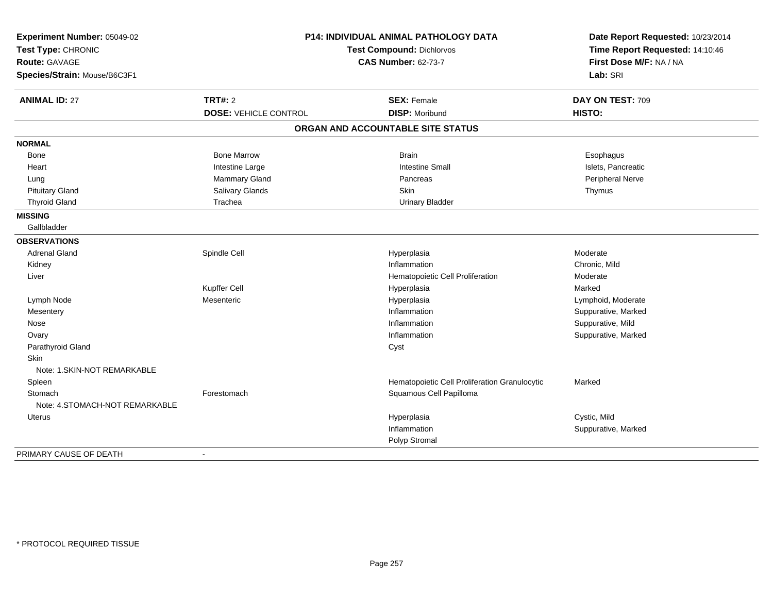| Experiment Number: 05049-02<br>Test Type: CHRONIC<br><b>Route: GAVAGE</b><br>Species/Strain: Mouse/B6C3F1 | P14: INDIVIDUAL ANIMAL PATHOLOGY DATA<br>Test Compound: Dichlorvos<br><b>CAS Number: 62-73-7</b> |                                               | Date Report Requested: 10/23/2014<br>Time Report Requested: 14:10:46<br>First Dose M/F: NA / NA<br>Lab: SRI |
|-----------------------------------------------------------------------------------------------------------|--------------------------------------------------------------------------------------------------|-----------------------------------------------|-------------------------------------------------------------------------------------------------------------|
| <b>ANIMAL ID: 27</b>                                                                                      | <b>TRT#: 2</b><br><b>DOSE: VEHICLE CONTROL</b>                                                   | <b>SEX: Female</b><br><b>DISP: Moribund</b>   | DAY ON TEST: 709<br>HISTO:                                                                                  |
|                                                                                                           |                                                                                                  |                                               |                                                                                                             |
|                                                                                                           |                                                                                                  | ORGAN AND ACCOUNTABLE SITE STATUS             |                                                                                                             |
| <b>NORMAL</b>                                                                                             |                                                                                                  |                                               |                                                                                                             |
| Bone                                                                                                      | <b>Bone Marrow</b>                                                                               | <b>Brain</b>                                  | Esophagus                                                                                                   |
| Heart                                                                                                     | Intestine Large                                                                                  | <b>Intestine Small</b>                        | Islets, Pancreatic                                                                                          |
| Lung                                                                                                      | Mammary Gland                                                                                    | Pancreas                                      | Peripheral Nerve                                                                                            |
| <b>Pituitary Gland</b>                                                                                    | Salivary Glands                                                                                  | Skin                                          | Thymus                                                                                                      |
| <b>Thyroid Gland</b>                                                                                      | Trachea                                                                                          | <b>Urinary Bladder</b>                        |                                                                                                             |
| <b>MISSING</b>                                                                                            |                                                                                                  |                                               |                                                                                                             |
| Gallbladder                                                                                               |                                                                                                  |                                               |                                                                                                             |
| <b>OBSERVATIONS</b>                                                                                       |                                                                                                  |                                               |                                                                                                             |
| <b>Adrenal Gland</b>                                                                                      | Spindle Cell                                                                                     | Hyperplasia                                   | Moderate                                                                                                    |
| Kidney                                                                                                    |                                                                                                  | Inflammation                                  | Chronic, Mild                                                                                               |
| Liver                                                                                                     |                                                                                                  | Hematopoietic Cell Proliferation              | Moderate                                                                                                    |
|                                                                                                           | Kupffer Cell                                                                                     | Hyperplasia                                   | Marked                                                                                                      |
| Lymph Node                                                                                                | Mesenteric                                                                                       | Hyperplasia                                   | Lymphoid, Moderate                                                                                          |
| Mesentery                                                                                                 |                                                                                                  | Inflammation                                  | Suppurative, Marked                                                                                         |
| Nose                                                                                                      |                                                                                                  | Inflammation                                  | Suppurative, Mild                                                                                           |
| Ovary                                                                                                     |                                                                                                  | Inflammation                                  | Suppurative, Marked                                                                                         |
| Parathyroid Gland                                                                                         |                                                                                                  | Cyst                                          |                                                                                                             |
| <b>Skin</b>                                                                                               |                                                                                                  |                                               |                                                                                                             |
| Note: 1.SKIN-NOT REMARKABLE                                                                               |                                                                                                  |                                               |                                                                                                             |
| Spleen                                                                                                    |                                                                                                  | Hematopoietic Cell Proliferation Granulocytic | Marked                                                                                                      |
| Stomach                                                                                                   | Forestomach                                                                                      | Squamous Cell Papilloma                       |                                                                                                             |
| Note: 4.STOMACH-NOT REMARKABLE                                                                            |                                                                                                  |                                               |                                                                                                             |
| <b>Uterus</b>                                                                                             |                                                                                                  | Hyperplasia                                   | Cystic, Mild                                                                                                |
|                                                                                                           |                                                                                                  | Inflammation                                  | Suppurative, Marked                                                                                         |
|                                                                                                           |                                                                                                  | Polyp Stromal                                 |                                                                                                             |
| PRIMARY CAUSE OF DEATH                                                                                    | $\blacksquare$                                                                                   |                                               |                                                                                                             |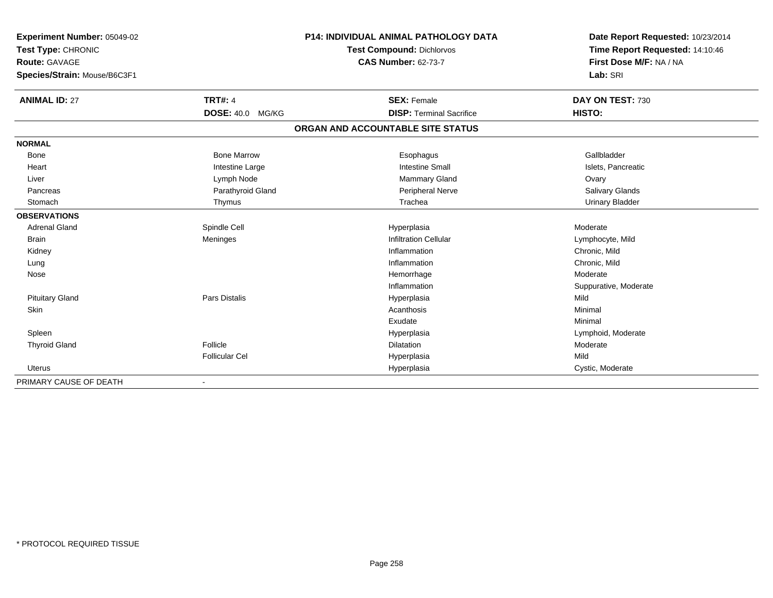| Experiment Number: 05049-02  | <b>P14: INDIVIDUAL ANIMAL PATHOLOGY DATA</b> |                                   | Date Report Requested: 10/23/2014<br>Time Report Requested: 14:10:46 |
|------------------------------|----------------------------------------------|-----------------------------------|----------------------------------------------------------------------|
| Test Type: CHRONIC           |                                              | <b>Test Compound: Dichlorvos</b>  |                                                                      |
| <b>Route: GAVAGE</b>         | <b>CAS Number: 62-73-7</b>                   |                                   | First Dose M/F: NA / NA                                              |
| Species/Strain: Mouse/B6C3F1 |                                              |                                   | Lab: SRI                                                             |
| <b>ANIMAL ID: 27</b>         | <b>TRT#: 4</b>                               | <b>SEX: Female</b>                | DAY ON TEST: 730                                                     |
|                              | DOSE: 40.0 MG/KG                             | <b>DISP: Terminal Sacrifice</b>   | HISTO:                                                               |
|                              |                                              | ORGAN AND ACCOUNTABLE SITE STATUS |                                                                      |
| <b>NORMAL</b>                |                                              |                                   |                                                                      |
| Bone                         | <b>Bone Marrow</b>                           | Esophagus                         | Gallbladder                                                          |
| Heart                        | Intestine Large                              | <b>Intestine Small</b>            | Islets, Pancreatic                                                   |
| Liver                        | Lymph Node                                   | <b>Mammary Gland</b>              | Ovary                                                                |
| Pancreas                     | Parathyroid Gland                            | Peripheral Nerve                  | <b>Salivary Glands</b>                                               |
| Stomach                      | Thymus                                       | Trachea                           | <b>Urinary Bladder</b>                                               |
| <b>OBSERVATIONS</b>          |                                              |                                   |                                                                      |
| <b>Adrenal Gland</b>         | Spindle Cell                                 | Hyperplasia                       | Moderate                                                             |
| <b>Brain</b>                 | Meninges                                     | <b>Infiltration Cellular</b>      | Lymphocyte, Mild                                                     |
| Kidney                       |                                              | Inflammation                      | Chronic, Mild                                                        |
| Lung                         |                                              | Inflammation                      | Chronic. Mild                                                        |
| Nose                         |                                              | Hemorrhage                        | Moderate                                                             |
|                              |                                              | Inflammation                      | Suppurative, Moderate                                                |
| <b>Pituitary Gland</b>       | Pars Distalis                                | Hyperplasia                       | Mild                                                                 |
| <b>Skin</b>                  |                                              | Acanthosis                        | Minimal                                                              |
|                              |                                              | Exudate                           | Minimal                                                              |
| Spleen                       |                                              | Hyperplasia                       | Lymphoid, Moderate                                                   |
| <b>Thyroid Gland</b>         | Follicle                                     | <b>Dilatation</b>                 | Moderate                                                             |
|                              | <b>Follicular Cel</b>                        | Hyperplasia                       | Mild                                                                 |
| <b>Uterus</b>                |                                              | Hyperplasia                       | Cystic, Moderate                                                     |
| PRIMARY CAUSE OF DEATH       | $\blacksquare$                               |                                   |                                                                      |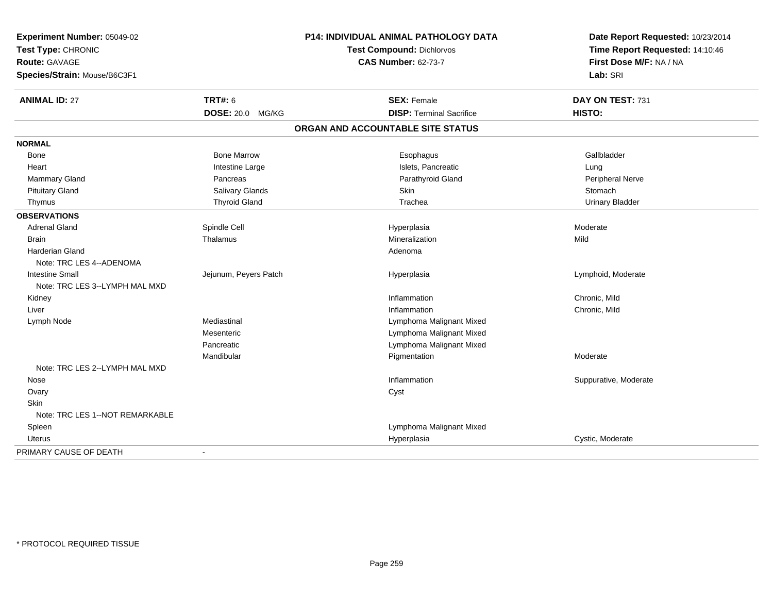| Experiment Number: 05049-02<br>Test Type: CHRONIC |                       | P14: INDIVIDUAL ANIMAL PATHOLOGY DATA | Date Report Requested: 10/23/2014<br>Time Report Requested: 14:10:46 |
|---------------------------------------------------|-----------------------|---------------------------------------|----------------------------------------------------------------------|
|                                                   |                       | <b>Test Compound: Dichlorvos</b>      |                                                                      |
| <b>Route: GAVAGE</b>                              |                       | <b>CAS Number: 62-73-7</b>            | First Dose M/F: NA / NA                                              |
| Species/Strain: Mouse/B6C3F1                      |                       |                                       | Lab: SRI                                                             |
| <b>ANIMAL ID: 27</b>                              | <b>TRT#: 6</b>        | <b>SEX: Female</b>                    | DAY ON TEST: 731                                                     |
|                                                   | DOSE: 20.0 MG/KG      | <b>DISP: Terminal Sacrifice</b>       | HISTO:                                                               |
|                                                   |                       | ORGAN AND ACCOUNTABLE SITE STATUS     |                                                                      |
| <b>NORMAL</b>                                     |                       |                                       |                                                                      |
| Bone                                              | <b>Bone Marrow</b>    | Esophagus                             | Gallbladder                                                          |
| Heart                                             | Intestine Large       | Islets, Pancreatic                    | Lung                                                                 |
| Mammary Gland                                     | Pancreas              | Parathyroid Gland                     | Peripheral Nerve                                                     |
| <b>Pituitary Gland</b>                            | Salivary Glands       | Skin                                  | Stomach                                                              |
| Thymus                                            | <b>Thyroid Gland</b>  | Trachea                               | <b>Urinary Bladder</b>                                               |
| <b>OBSERVATIONS</b>                               |                       |                                       |                                                                      |
| <b>Adrenal Gland</b>                              | Spindle Cell          | Hyperplasia                           | Moderate                                                             |
| <b>Brain</b>                                      | Thalamus              | Mineralization                        | Mild                                                                 |
| <b>Harderian Gland</b>                            |                       | Adenoma                               |                                                                      |
| Note: TRC LES 4--ADENOMA                          |                       |                                       |                                                                      |
| <b>Intestine Small</b>                            | Jejunum, Peyers Patch | Hyperplasia                           | Lymphoid, Moderate                                                   |
| Note: TRC LES 3--LYMPH MAL MXD                    |                       |                                       |                                                                      |
| Kidney                                            |                       | Inflammation                          | Chronic, Mild                                                        |
| Liver                                             |                       | Inflammation                          | Chronic, Mild                                                        |
| Lymph Node                                        | Mediastinal           | Lymphoma Malignant Mixed              |                                                                      |
|                                                   | Mesenteric            | Lymphoma Malignant Mixed              |                                                                      |
|                                                   | Pancreatic            | Lymphoma Malignant Mixed              |                                                                      |
|                                                   | Mandibular            | Pigmentation                          | Moderate                                                             |
| Note: TRC LES 2--LYMPH MAL MXD                    |                       |                                       |                                                                      |
| Nose                                              |                       | Inflammation                          | Suppurative, Moderate                                                |
| Ovary                                             |                       | Cyst                                  |                                                                      |
| Skin                                              |                       |                                       |                                                                      |
| Note: TRC LES 1--NOT REMARKABLE                   |                       |                                       |                                                                      |
| Spleen                                            |                       | Lymphoma Malignant Mixed              |                                                                      |
| Uterus                                            |                       | Hyperplasia                           | Cystic, Moderate                                                     |
| PRIMARY CAUSE OF DEATH                            |                       |                                       |                                                                      |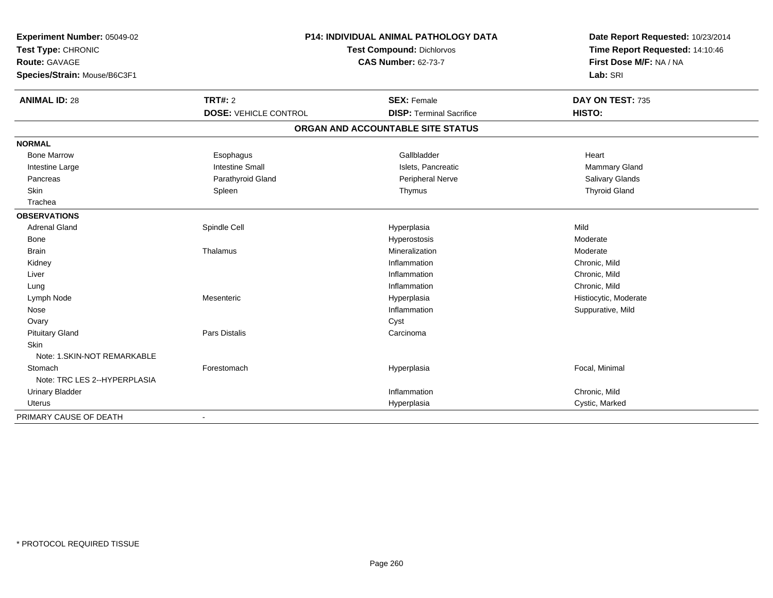| Experiment Number: 05049-02<br>Test Type: CHRONIC<br><b>Route: GAVAGE</b><br>Species/Strain: Mouse/B6C3F1 | <b>P14: INDIVIDUAL ANIMAL PATHOLOGY DATA</b><br>Test Compound: Dichlorvos<br><b>CAS Number: 62-73-7</b> |                                   | Date Report Requested: 10/23/2014<br>Time Report Requested: 14:10:46<br>First Dose M/F: NA / NA<br>Lab: SRI |  |
|-----------------------------------------------------------------------------------------------------------|---------------------------------------------------------------------------------------------------------|-----------------------------------|-------------------------------------------------------------------------------------------------------------|--|
| <b>ANIMAL ID: 28</b>                                                                                      | <b>TRT#: 2</b>                                                                                          | <b>SEX: Female</b>                | DAY ON TEST: 735                                                                                            |  |
|                                                                                                           | <b>DOSE: VEHICLE CONTROL</b>                                                                            | <b>DISP: Terminal Sacrifice</b>   | HISTO:                                                                                                      |  |
|                                                                                                           |                                                                                                         | ORGAN AND ACCOUNTABLE SITE STATUS |                                                                                                             |  |
| <b>NORMAL</b>                                                                                             |                                                                                                         |                                   |                                                                                                             |  |
| <b>Bone Marrow</b>                                                                                        | Esophagus                                                                                               | Gallbladder                       | Heart                                                                                                       |  |
| Intestine Large                                                                                           | <b>Intestine Small</b>                                                                                  | Islets, Pancreatic                | Mammary Gland                                                                                               |  |
| Pancreas                                                                                                  | Parathyroid Gland                                                                                       | Peripheral Nerve                  | Salivary Glands                                                                                             |  |
| Skin                                                                                                      | Spleen                                                                                                  | Thymus                            | <b>Thyroid Gland</b>                                                                                        |  |
| Trachea                                                                                                   |                                                                                                         |                                   |                                                                                                             |  |
| <b>OBSERVATIONS</b>                                                                                       |                                                                                                         |                                   |                                                                                                             |  |
| <b>Adrenal Gland</b>                                                                                      | Spindle Cell                                                                                            | Hyperplasia                       | Mild                                                                                                        |  |
| Bone                                                                                                      |                                                                                                         | Hyperostosis                      | Moderate                                                                                                    |  |
| <b>Brain</b>                                                                                              | Thalamus                                                                                                | Mineralization                    | Moderate                                                                                                    |  |
| Kidney                                                                                                    |                                                                                                         | Inflammation                      | Chronic, Mild                                                                                               |  |
| Liver                                                                                                     |                                                                                                         | Inflammation                      | Chronic, Mild                                                                                               |  |
| Lung                                                                                                      |                                                                                                         | Inflammation                      | Chronic, Mild                                                                                               |  |
| Lymph Node                                                                                                | Mesenteric                                                                                              | Hyperplasia                       | Histiocytic, Moderate                                                                                       |  |
| Nose                                                                                                      |                                                                                                         | Inflammation                      | Suppurative, Mild                                                                                           |  |
| Ovary                                                                                                     |                                                                                                         | Cyst                              |                                                                                                             |  |
| <b>Pituitary Gland</b>                                                                                    | Pars Distalis                                                                                           | Carcinoma                         |                                                                                                             |  |
| <b>Skin</b>                                                                                               |                                                                                                         |                                   |                                                                                                             |  |
| Note: 1.SKIN-NOT REMARKABLE                                                                               |                                                                                                         |                                   |                                                                                                             |  |
| Stomach                                                                                                   | Forestomach                                                                                             | Hyperplasia                       | Focal, Minimal                                                                                              |  |
| Note: TRC LES 2--HYPERPLASIA                                                                              |                                                                                                         |                                   |                                                                                                             |  |
| <b>Urinary Bladder</b>                                                                                    |                                                                                                         | Inflammation                      | Chronic, Mild                                                                                               |  |
| <b>Uterus</b>                                                                                             |                                                                                                         | Hyperplasia                       | Cystic, Marked                                                                                              |  |
| PRIMARY CAUSE OF DEATH                                                                                    | $\blacksquare$                                                                                          |                                   |                                                                                                             |  |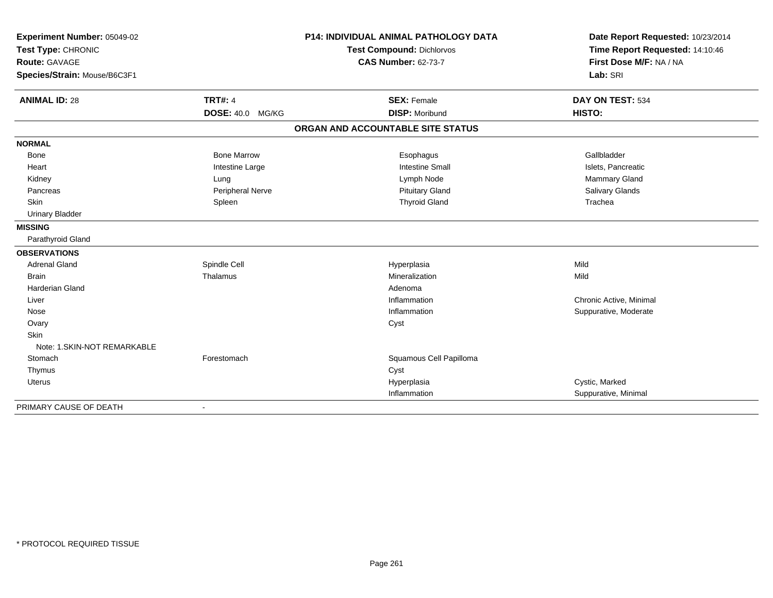| Experiment Number: 05049-02  |                         | <b>P14: INDIVIDUAL ANIMAL PATHOLOGY DATA</b> | Date Report Requested: 10/23/2014                          |
|------------------------------|-------------------------|----------------------------------------------|------------------------------------------------------------|
| Test Type: CHRONIC           |                         | Test Compound: Dichlorvos                    | Time Report Requested: 14:10:46<br>First Dose M/F: NA / NA |
| <b>Route: GAVAGE</b>         |                         | <b>CAS Number: 62-73-7</b>                   |                                                            |
| Species/Strain: Mouse/B6C3F1 |                         |                                              | Lab: SRI                                                   |
| <b>ANIMAL ID: 28</b>         | <b>TRT#: 4</b>          | <b>SEX: Female</b>                           | DAY ON TEST: 534                                           |
|                              | <b>DOSE: 40.0 MG/KG</b> | <b>DISP: Moribund</b>                        | HISTO:                                                     |
|                              |                         | ORGAN AND ACCOUNTABLE SITE STATUS            |                                                            |
| <b>NORMAL</b>                |                         |                                              |                                                            |
| <b>Bone</b>                  | <b>Bone Marrow</b>      | Esophagus                                    | Gallbladder                                                |
| Heart                        | Intestine Large         | <b>Intestine Small</b>                       | Islets, Pancreatic                                         |
| Kidney                       | Lung                    | Lymph Node                                   | <b>Mammary Gland</b>                                       |
| Pancreas                     | Peripheral Nerve        | <b>Pituitary Gland</b>                       | Salivary Glands                                            |
| <b>Skin</b>                  | Spleen                  | <b>Thyroid Gland</b>                         | Trachea                                                    |
| <b>Urinary Bladder</b>       |                         |                                              |                                                            |
| <b>MISSING</b>               |                         |                                              |                                                            |
| Parathyroid Gland            |                         |                                              |                                                            |
| <b>OBSERVATIONS</b>          |                         |                                              |                                                            |
| <b>Adrenal Gland</b>         | Spindle Cell            | Hyperplasia                                  | Mild                                                       |
| <b>Brain</b>                 | Thalamus                | Mineralization                               | Mild                                                       |
| <b>Harderian Gland</b>       |                         | Adenoma                                      |                                                            |
| Liver                        |                         | Inflammation                                 | Chronic Active, Minimal                                    |
| Nose                         |                         | Inflammation                                 | Suppurative, Moderate                                      |
| Ovary                        |                         | Cyst                                         |                                                            |
| Skin                         |                         |                                              |                                                            |
| Note: 1.SKIN-NOT REMARKABLE  |                         |                                              |                                                            |
| Stomach                      | Forestomach             | Squamous Cell Papilloma                      |                                                            |
| Thymus                       |                         | Cyst                                         |                                                            |
| <b>Uterus</b>                |                         | Hyperplasia                                  | Cystic, Marked                                             |
|                              |                         | Inflammation                                 | Suppurative, Minimal                                       |
| PRIMARY CAUSE OF DEATH       |                         |                                              |                                                            |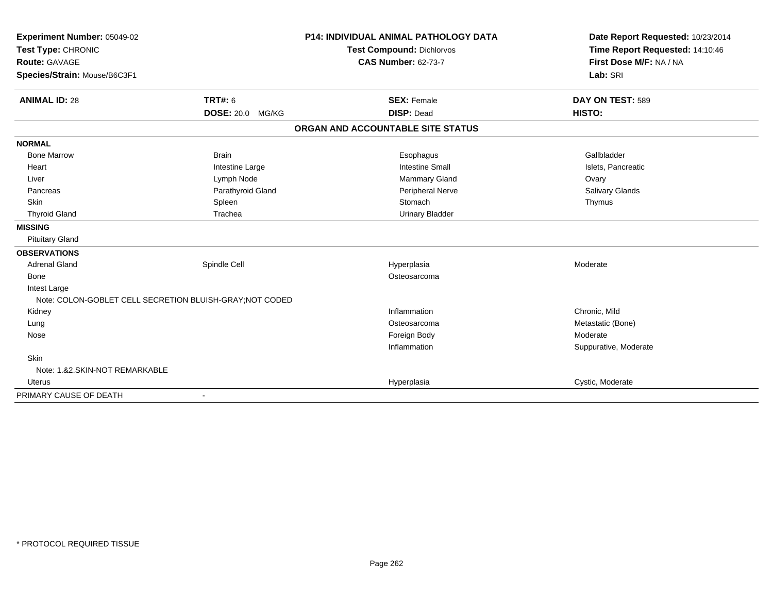| Experiment Number: 05049-02<br>Test Type: CHRONIC        |                         | <b>P14: INDIVIDUAL ANIMAL PATHOLOGY DATA</b> | Date Report Requested: 10/23/2014<br>Time Report Requested: 14:10:46 |
|----------------------------------------------------------|-------------------------|----------------------------------------------|----------------------------------------------------------------------|
|                                                          |                         | Test Compound: Dichlorvos                    |                                                                      |
| <b>Route: GAVAGE</b>                                     |                         | <b>CAS Number: 62-73-7</b>                   | First Dose M/F: NA / NA                                              |
| Species/Strain: Mouse/B6C3F1                             |                         |                                              | Lab: SRI                                                             |
| <b>ANIMAL ID: 28</b>                                     | TRT#: 6                 | <b>SEX: Female</b>                           | DAY ON TEST: 589                                                     |
|                                                          | <b>DOSE: 20.0 MG/KG</b> | <b>DISP: Dead</b>                            | HISTO:                                                               |
|                                                          |                         | ORGAN AND ACCOUNTABLE SITE STATUS            |                                                                      |
| <b>NORMAL</b>                                            |                         |                                              |                                                                      |
| <b>Bone Marrow</b>                                       | <b>Brain</b>            | Esophagus                                    | Gallbladder                                                          |
| Heart                                                    | Intestine Large         | <b>Intestine Small</b>                       | Islets, Pancreatic                                                   |
| Liver                                                    | Lymph Node              | Mammary Gland                                | Ovary                                                                |
| Pancreas                                                 | Parathyroid Gland       | <b>Peripheral Nerve</b>                      | Salivary Glands                                                      |
| <b>Skin</b>                                              | Spleen                  | Stomach                                      | Thymus                                                               |
| <b>Thyroid Gland</b>                                     | Trachea                 | <b>Urinary Bladder</b>                       |                                                                      |
| <b>MISSING</b>                                           |                         |                                              |                                                                      |
| <b>Pituitary Gland</b>                                   |                         |                                              |                                                                      |
| <b>OBSERVATIONS</b>                                      |                         |                                              |                                                                      |
| <b>Adrenal Gland</b>                                     | Spindle Cell            | Hyperplasia                                  | Moderate                                                             |
| <b>Bone</b>                                              |                         | Osteosarcoma                                 |                                                                      |
| Intest Large                                             |                         |                                              |                                                                      |
| Note: COLON-GOBLET CELL SECRETION BLUISH-GRAY; NOT CODED |                         |                                              |                                                                      |
| Kidney                                                   |                         | Inflammation                                 | Chronic, Mild                                                        |
| Lung                                                     |                         | Osteosarcoma                                 | Metastatic (Bone)                                                    |
| Nose                                                     |                         | Foreign Body                                 | Moderate                                                             |
|                                                          |                         | Inflammation                                 | Suppurative, Moderate                                                |
| Skin                                                     |                         |                                              |                                                                      |
| Note: 1.&2.SKIN-NOT REMARKABLE                           |                         |                                              |                                                                      |
| <b>Uterus</b>                                            |                         | Hyperplasia                                  | Cystic, Moderate                                                     |
| PRIMARY CAUSE OF DEATH                                   |                         |                                              |                                                                      |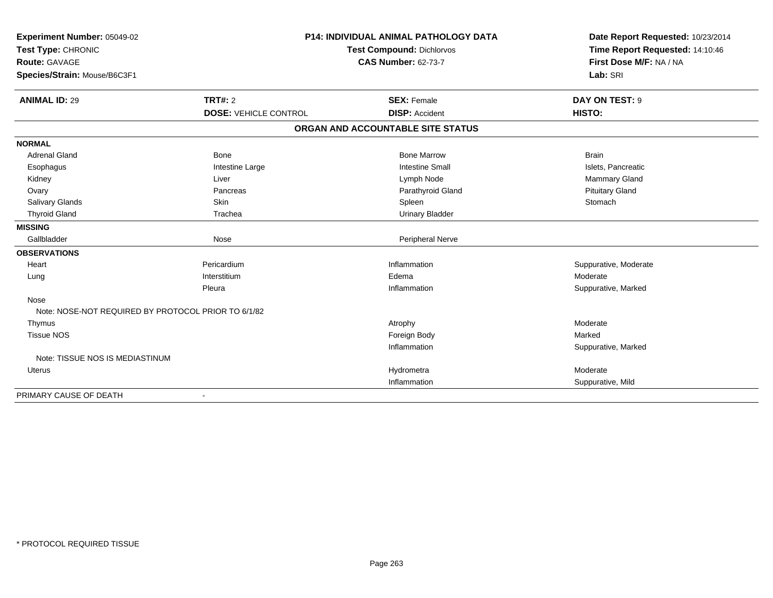| Experiment Number: 05049-02                         | <b>P14: INDIVIDUAL ANIMAL PATHOLOGY DATA</b><br><b>Test Compound: Dichlorvos</b> |                                   | Date Report Requested: 10/23/2014 |
|-----------------------------------------------------|----------------------------------------------------------------------------------|-----------------------------------|-----------------------------------|
| Test Type: CHRONIC                                  |                                                                                  |                                   | Time Report Requested: 14:10:46   |
| <b>Route: GAVAGE</b>                                |                                                                                  | <b>CAS Number: 62-73-7</b>        | First Dose M/F: NA / NA           |
| Species/Strain: Mouse/B6C3F1                        |                                                                                  |                                   | Lab: SRI                          |
| <b>ANIMAL ID: 29</b>                                | <b>TRT#: 2</b>                                                                   | <b>SEX: Female</b>                | DAY ON TEST: 9                    |
|                                                     | <b>DOSE: VEHICLE CONTROL</b>                                                     | <b>DISP: Accident</b>             | HISTO:                            |
|                                                     |                                                                                  | ORGAN AND ACCOUNTABLE SITE STATUS |                                   |
| <b>NORMAL</b>                                       |                                                                                  |                                   |                                   |
| <b>Adrenal Gland</b>                                | Bone                                                                             | <b>Bone Marrow</b>                | <b>Brain</b>                      |
| Esophagus                                           | Intestine Large                                                                  | <b>Intestine Small</b>            | Islets, Pancreatic                |
| Kidney                                              | Liver                                                                            | Lymph Node                        | Mammary Gland                     |
| Ovary                                               | Pancreas                                                                         | Parathyroid Gland                 | <b>Pituitary Gland</b>            |
| Salivary Glands                                     | Skin                                                                             | Spleen                            | Stomach                           |
| <b>Thyroid Gland</b>                                | Trachea                                                                          | <b>Urinary Bladder</b>            |                                   |
| <b>MISSING</b>                                      |                                                                                  |                                   |                                   |
| Gallbladder                                         | Nose                                                                             | Peripheral Nerve                  |                                   |
| <b>OBSERVATIONS</b>                                 |                                                                                  |                                   |                                   |
| Heart                                               | Pericardium                                                                      | Inflammation                      | Suppurative, Moderate             |
| Lung                                                | Interstitium                                                                     | Edema                             | Moderate                          |
|                                                     | Pleura                                                                           | Inflammation                      | Suppurative, Marked               |
| Nose                                                |                                                                                  |                                   |                                   |
| Note: NOSE-NOT REQUIRED BY PROTOCOL PRIOR TO 6/1/82 |                                                                                  |                                   |                                   |
| Thymus                                              |                                                                                  | Atrophy                           | Moderate                          |
| <b>Tissue NOS</b>                                   |                                                                                  | Foreign Body                      | Marked                            |
|                                                     |                                                                                  | Inflammation                      | Suppurative, Marked               |
| Note: TISSUE NOS IS MEDIASTINUM                     |                                                                                  |                                   |                                   |
| Uterus                                              |                                                                                  | Hydrometra                        | Moderate                          |
|                                                     |                                                                                  | Inflammation                      | Suppurative, Mild                 |
| PRIMARY CAUSE OF DEATH                              | $\overline{\phantom{a}}$                                                         |                                   |                                   |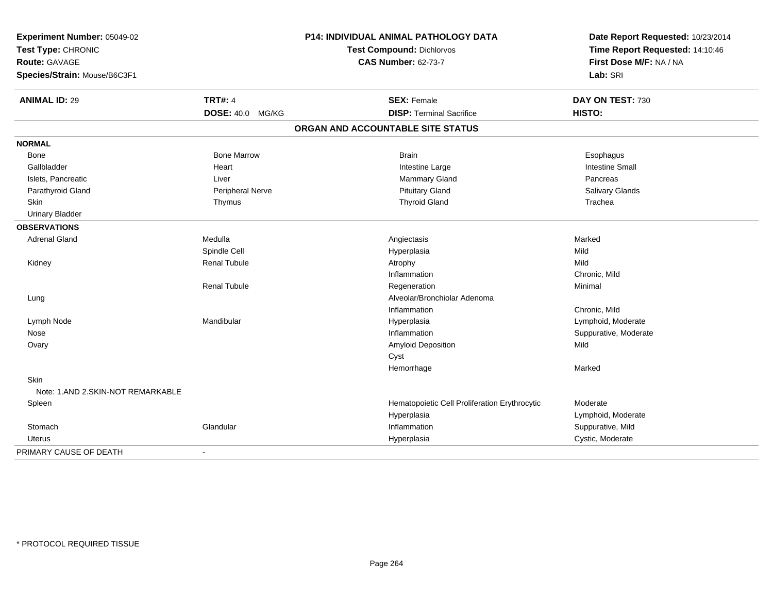| Experiment Number: 05049-02<br>Test Type: CHRONIC<br><b>Route: GAVAGE</b> |                         | P14: INDIVIDUAL ANIMAL PATHOLOGY DATA         | Date Report Requested: 10/23/2014<br>Time Report Requested: 14:10:46 |
|---------------------------------------------------------------------------|-------------------------|-----------------------------------------------|----------------------------------------------------------------------|
|                                                                           |                         | Test Compound: Dichlorvos                     |                                                                      |
|                                                                           |                         | <b>CAS Number: 62-73-7</b>                    | First Dose M/F: NA / NA                                              |
| Species/Strain: Mouse/B6C3F1                                              |                         |                                               | Lab: SRI                                                             |
| <b>ANIMAL ID: 29</b>                                                      | <b>TRT#: 4</b>          | <b>SEX: Female</b>                            | DAY ON TEST: 730                                                     |
|                                                                           | <b>DOSE: 40.0 MG/KG</b> | <b>DISP: Terminal Sacrifice</b>               | HISTO:                                                               |
|                                                                           |                         | ORGAN AND ACCOUNTABLE SITE STATUS             |                                                                      |
| <b>NORMAL</b>                                                             |                         |                                               |                                                                      |
| Bone                                                                      | <b>Bone Marrow</b>      | <b>Brain</b>                                  | Esophagus                                                            |
| Gallbladder                                                               | Heart                   | Intestine Large                               | <b>Intestine Small</b>                                               |
| Islets, Pancreatic                                                        | Liver                   | Mammary Gland                                 | Pancreas                                                             |
| Parathyroid Gland                                                         | <b>Peripheral Nerve</b> | <b>Pituitary Gland</b>                        | Salivary Glands                                                      |
| Skin                                                                      | Thymus                  | <b>Thyroid Gland</b>                          | Trachea                                                              |
| <b>Urinary Bladder</b>                                                    |                         |                                               |                                                                      |
| <b>OBSERVATIONS</b>                                                       |                         |                                               |                                                                      |
| <b>Adrenal Gland</b>                                                      | Medulla                 | Angiectasis                                   | Marked                                                               |
|                                                                           | Spindle Cell            | Hyperplasia                                   | Mild                                                                 |
| Kidney                                                                    | <b>Renal Tubule</b>     | Atrophy                                       | Mild                                                                 |
|                                                                           |                         | Inflammation                                  | Chronic, Mild                                                        |
|                                                                           | <b>Renal Tubule</b>     | Regeneration                                  | Minimal                                                              |
| Lung                                                                      |                         | Alveolar/Bronchiolar Adenoma                  |                                                                      |
|                                                                           |                         | Inflammation                                  | Chronic, Mild                                                        |
| Lymph Node                                                                | Mandibular              | Hyperplasia                                   | Lymphoid, Moderate                                                   |
| Nose                                                                      |                         | Inflammation                                  | Suppurative, Moderate                                                |
| Ovary                                                                     |                         | Amyloid Deposition                            | Mild                                                                 |
|                                                                           |                         | Cyst                                          |                                                                      |
|                                                                           |                         | Hemorrhage                                    | Marked                                                               |
| Skin                                                                      |                         |                                               |                                                                      |
| Note: 1.AND 2.SKIN-NOT REMARKABLE                                         |                         |                                               |                                                                      |
| Spleen                                                                    |                         | Hematopoietic Cell Proliferation Erythrocytic | Moderate                                                             |
|                                                                           |                         | Hyperplasia                                   | Lymphoid, Moderate                                                   |
| Stomach                                                                   | Glandular               | Inflammation                                  | Suppurative, Mild                                                    |
| <b>Uterus</b>                                                             |                         | Hyperplasia                                   | Cystic, Moderate                                                     |
| PRIMARY CAUSE OF DEATH                                                    | $\blacksquare$          |                                               |                                                                      |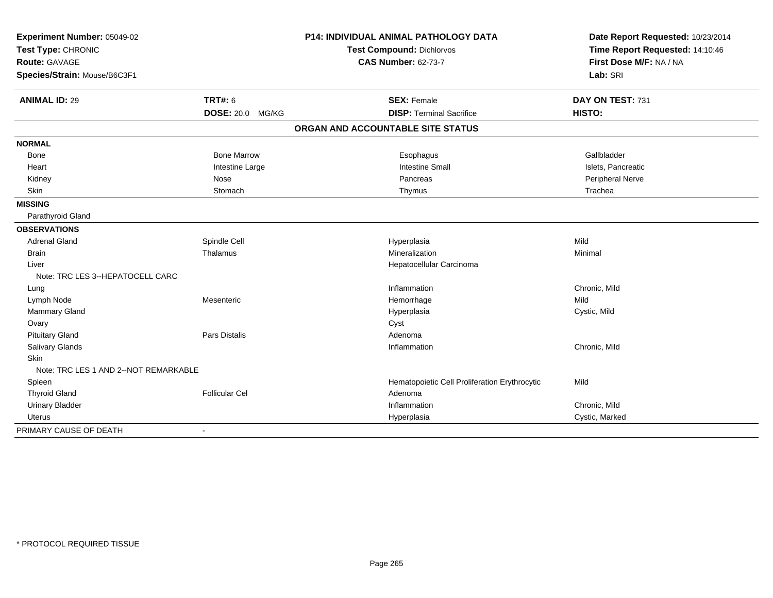| Experiment Number: 05049-02<br>Test Type: CHRONIC |                       | P14: INDIVIDUAL ANIMAL PATHOLOGY DATA<br><b>Test Compound: Dichlorvos</b> | Date Report Requested: 10/23/2014<br>Time Report Requested: 14:10:46 |
|---------------------------------------------------|-----------------------|---------------------------------------------------------------------------|----------------------------------------------------------------------|
| <b>Route: GAVAGE</b>                              |                       | <b>CAS Number: 62-73-7</b>                                                | First Dose M/F: NA / NA                                              |
| Species/Strain: Mouse/B6C3F1                      |                       |                                                                           | Lab: SRI                                                             |
| <b>ANIMAL ID: 29</b>                              | <b>TRT#: 6</b>        | <b>SEX: Female</b>                                                        | DAY ON TEST: 731                                                     |
|                                                   | DOSE: 20.0 MG/KG      | <b>DISP: Terminal Sacrifice</b>                                           | HISTO:                                                               |
|                                                   |                       | ORGAN AND ACCOUNTABLE SITE STATUS                                         |                                                                      |
| <b>NORMAL</b>                                     |                       |                                                                           |                                                                      |
| <b>Bone</b>                                       | <b>Bone Marrow</b>    | Esophagus                                                                 | Gallbladder                                                          |
| Heart                                             | Intestine Large       | <b>Intestine Small</b>                                                    | Islets, Pancreatic                                                   |
| Kidney                                            | Nose                  | Pancreas                                                                  | Peripheral Nerve                                                     |
| <b>Skin</b>                                       | Stomach               | Thymus                                                                    | Trachea                                                              |
| <b>MISSING</b>                                    |                       |                                                                           |                                                                      |
| Parathyroid Gland                                 |                       |                                                                           |                                                                      |
| <b>OBSERVATIONS</b>                               |                       |                                                                           |                                                                      |
| <b>Adrenal Gland</b>                              | Spindle Cell          | Hyperplasia                                                               | Mild                                                                 |
| <b>Brain</b>                                      | Thalamus              | Mineralization                                                            | Minimal                                                              |
| Liver                                             |                       | Hepatocellular Carcinoma                                                  |                                                                      |
| Note: TRC LES 3--HEPATOCELL CARC                  |                       |                                                                           |                                                                      |
| Lung                                              |                       | Inflammation                                                              | Chronic, Mild                                                        |
| Lymph Node                                        | Mesenteric            | Hemorrhage                                                                | Mild                                                                 |
| Mammary Gland                                     |                       | Hyperplasia                                                               | Cystic, Mild                                                         |
| Ovary                                             |                       | Cyst                                                                      |                                                                      |
| <b>Pituitary Gland</b>                            | Pars Distalis         | Adenoma                                                                   |                                                                      |
| Salivary Glands                                   |                       | Inflammation                                                              | Chronic, Mild                                                        |
| <b>Skin</b>                                       |                       |                                                                           |                                                                      |
| Note: TRC LES 1 AND 2--NOT REMARKABLE             |                       |                                                                           |                                                                      |
| Spleen                                            |                       | Hematopoietic Cell Proliferation Erythrocytic                             | Mild                                                                 |
| <b>Thyroid Gland</b>                              | <b>Follicular Cel</b> | Adenoma                                                                   |                                                                      |
| <b>Urinary Bladder</b>                            |                       | Inflammation                                                              | Chronic, Mild                                                        |
| Uterus                                            |                       | Hyperplasia                                                               | Cystic, Marked                                                       |
| PRIMARY CAUSE OF DEATH                            | $\blacksquare$        |                                                                           |                                                                      |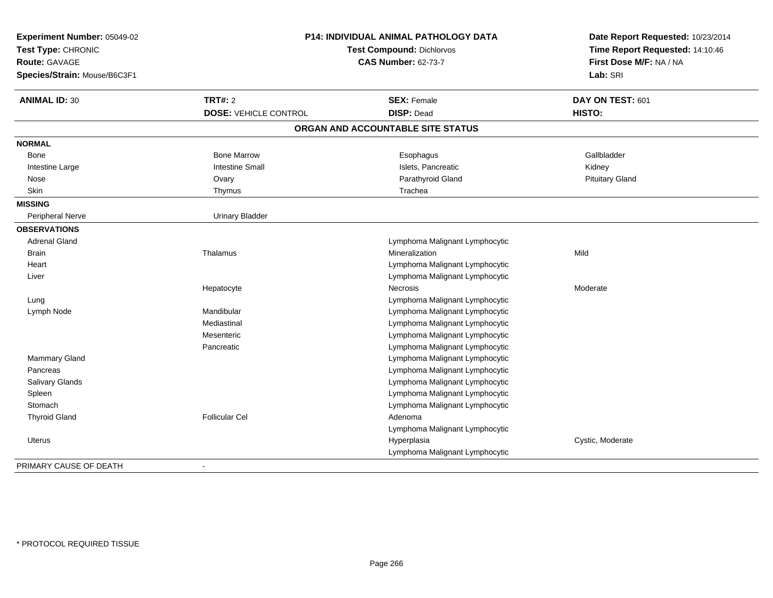| Experiment Number: 05049-02<br>Test Type: CHRONIC<br><b>Route: GAVAGE</b><br>Species/Strain: Mouse/B6C3F1 |                              | P14: INDIVIDUAL ANIMAL PATHOLOGY DATA<br>Test Compound: Dichlorvos<br><b>CAS Number: 62-73-7</b> | Date Report Requested: 10/23/2014<br>Time Report Requested: 14:10:46<br>First Dose M/F: NA / NA<br>Lab: SRI |
|-----------------------------------------------------------------------------------------------------------|------------------------------|--------------------------------------------------------------------------------------------------|-------------------------------------------------------------------------------------------------------------|
| <b>ANIMAL ID: 30</b>                                                                                      | <b>TRT#: 2</b>               | <b>SEX: Female</b>                                                                               | DAY ON TEST: 601                                                                                            |
|                                                                                                           | <b>DOSE: VEHICLE CONTROL</b> | <b>DISP: Dead</b>                                                                                | HISTO:                                                                                                      |
|                                                                                                           |                              | ORGAN AND ACCOUNTABLE SITE STATUS                                                                |                                                                                                             |
| <b>NORMAL</b>                                                                                             |                              |                                                                                                  |                                                                                                             |
| Bone                                                                                                      | <b>Bone Marrow</b>           | Esophagus                                                                                        | Gallbladder                                                                                                 |
| Intestine Large                                                                                           | <b>Intestine Small</b>       | Islets, Pancreatic                                                                               | Kidney                                                                                                      |
| Nose                                                                                                      | Ovary                        | Parathyroid Gland                                                                                | <b>Pituitary Gland</b>                                                                                      |
| Skin                                                                                                      | Thymus                       | Trachea                                                                                          |                                                                                                             |
| <b>MISSING</b>                                                                                            |                              |                                                                                                  |                                                                                                             |
| Peripheral Nerve                                                                                          | <b>Urinary Bladder</b>       |                                                                                                  |                                                                                                             |
| <b>OBSERVATIONS</b>                                                                                       |                              |                                                                                                  |                                                                                                             |
| <b>Adrenal Gland</b>                                                                                      |                              | Lymphoma Malignant Lymphocytic                                                                   |                                                                                                             |
| <b>Brain</b>                                                                                              | Thalamus                     | Mineralization                                                                                   | Mild                                                                                                        |
| Heart                                                                                                     |                              | Lymphoma Malignant Lymphocytic                                                                   |                                                                                                             |
| Liver                                                                                                     |                              | Lymphoma Malignant Lymphocytic                                                                   |                                                                                                             |
|                                                                                                           | Hepatocyte                   | <b>Necrosis</b>                                                                                  | Moderate                                                                                                    |
| Lung                                                                                                      |                              | Lymphoma Malignant Lymphocytic                                                                   |                                                                                                             |
| Lymph Node                                                                                                | Mandibular                   | Lymphoma Malignant Lymphocytic                                                                   |                                                                                                             |
|                                                                                                           | Mediastinal                  | Lymphoma Malignant Lymphocytic                                                                   |                                                                                                             |
|                                                                                                           | Mesenteric                   | Lymphoma Malignant Lymphocytic                                                                   |                                                                                                             |
|                                                                                                           | Pancreatic                   | Lymphoma Malignant Lymphocytic                                                                   |                                                                                                             |
| <b>Mammary Gland</b>                                                                                      |                              | Lymphoma Malignant Lymphocytic                                                                   |                                                                                                             |
| Pancreas                                                                                                  |                              | Lymphoma Malignant Lymphocytic                                                                   |                                                                                                             |
| Salivary Glands                                                                                           |                              | Lymphoma Malignant Lymphocytic                                                                   |                                                                                                             |
| Spleen                                                                                                    |                              | Lymphoma Malignant Lymphocytic                                                                   |                                                                                                             |
| Stomach                                                                                                   |                              | Lymphoma Malignant Lymphocytic                                                                   |                                                                                                             |
| <b>Thyroid Gland</b>                                                                                      | <b>Follicular Cel</b>        | Adenoma                                                                                          |                                                                                                             |
|                                                                                                           |                              | Lymphoma Malignant Lymphocytic                                                                   |                                                                                                             |
| <b>Uterus</b>                                                                                             |                              | Hyperplasia                                                                                      | Cystic, Moderate                                                                                            |
|                                                                                                           |                              | Lymphoma Malignant Lymphocytic                                                                   |                                                                                                             |
| PRIMARY CAUSE OF DEATH                                                                                    |                              |                                                                                                  |                                                                                                             |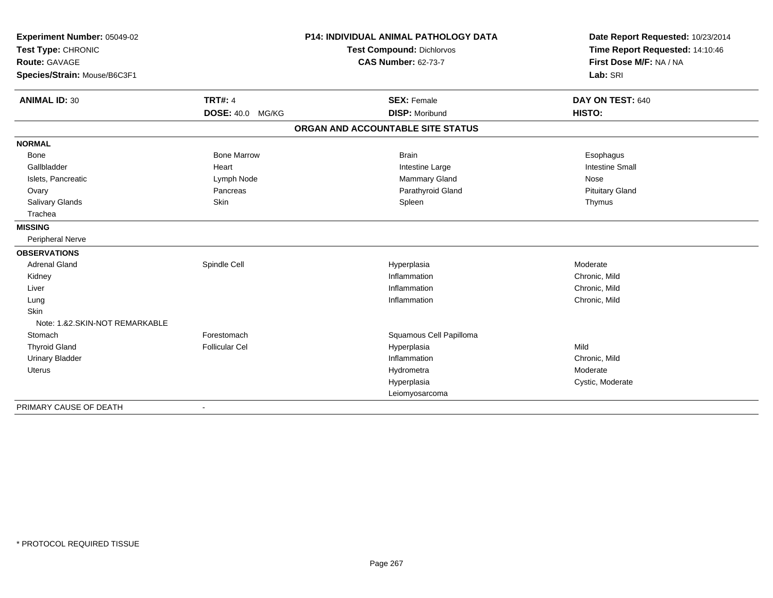| Experiment Number: 05049-02                |                         | <b>P14: INDIVIDUAL ANIMAL PATHOLOGY DATA</b> | Date Report Requested: 10/23/2014                          |
|--------------------------------------------|-------------------------|----------------------------------------------|------------------------------------------------------------|
| Test Type: CHRONIC<br><b>Route: GAVAGE</b> |                         | Test Compound: Dichlorvos                    | Time Report Requested: 14:10:46<br>First Dose M/F: NA / NA |
|                                            |                         | <b>CAS Number: 62-73-7</b>                   |                                                            |
| Species/Strain: Mouse/B6C3F1               |                         |                                              | Lab: SRI                                                   |
| <b>ANIMAL ID: 30</b>                       | <b>TRT#: 4</b>          | <b>SEX: Female</b>                           | DAY ON TEST: 640                                           |
|                                            | <b>DOSE: 40.0 MG/KG</b> | <b>DISP: Moribund</b>                        | HISTO:                                                     |
|                                            |                         | ORGAN AND ACCOUNTABLE SITE STATUS            |                                                            |
| <b>NORMAL</b>                              |                         |                                              |                                                            |
| <b>Bone</b>                                | <b>Bone Marrow</b>      | <b>Brain</b>                                 | Esophagus                                                  |
| Gallbladder                                | Heart                   | Intestine Large                              | <b>Intestine Small</b>                                     |
| Islets, Pancreatic                         | Lymph Node              | Mammary Gland                                | Nose                                                       |
| Ovary                                      | Pancreas                | Parathyroid Gland                            | <b>Pituitary Gland</b>                                     |
| Salivary Glands                            | <b>Skin</b>             | Spleen                                       | Thymus                                                     |
| Trachea                                    |                         |                                              |                                                            |
| <b>MISSING</b>                             |                         |                                              |                                                            |
| Peripheral Nerve                           |                         |                                              |                                                            |
| <b>OBSERVATIONS</b>                        |                         |                                              |                                                            |
| <b>Adrenal Gland</b>                       | Spindle Cell            | Hyperplasia                                  | Moderate                                                   |
| Kidney                                     |                         | Inflammation                                 | Chronic, Mild                                              |
| Liver                                      |                         | Inflammation                                 | Chronic, Mild                                              |
| Lung                                       |                         | Inflammation                                 | Chronic, Mild                                              |
| Skin                                       |                         |                                              |                                                            |
| Note: 1.&2.SKIN-NOT REMARKABLE             |                         |                                              |                                                            |
| Stomach                                    | Forestomach             | Squamous Cell Papilloma                      |                                                            |
| <b>Thyroid Gland</b>                       | <b>Follicular Cel</b>   | Hyperplasia                                  | Mild                                                       |
| <b>Urinary Bladder</b>                     |                         | Inflammation                                 | Chronic, Mild                                              |
| <b>Uterus</b>                              |                         | Hydrometra                                   | Moderate                                                   |
|                                            |                         | Hyperplasia                                  | Cystic, Moderate                                           |
|                                            |                         | Leiomyosarcoma                               |                                                            |
| PRIMARY CAUSE OF DEATH                     |                         |                                              |                                                            |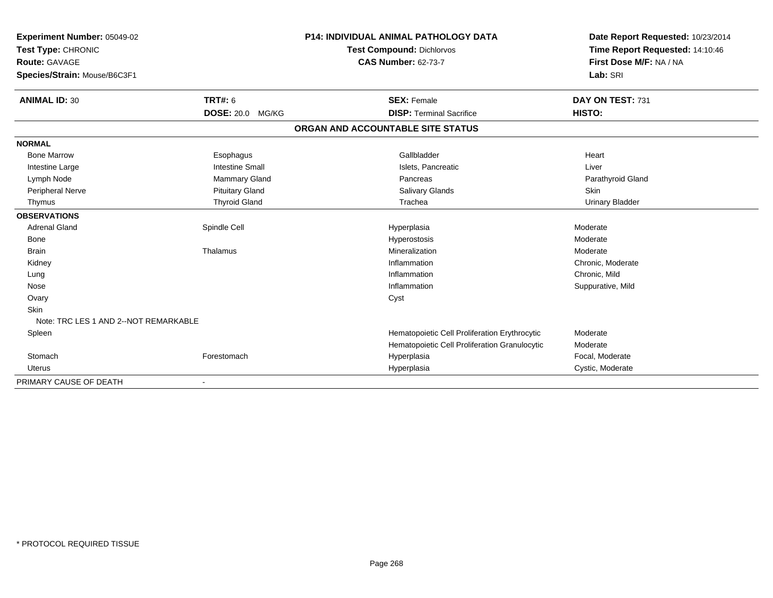| Experiment Number: 05049-02           |                         | <b>P14: INDIVIDUAL ANIMAL PATHOLOGY DATA</b>  | Date Report Requested: 10/23/2014 |
|---------------------------------------|-------------------------|-----------------------------------------------|-----------------------------------|
| Test Type: CHRONIC                    |                         | <b>Test Compound: Dichlorvos</b>              | Time Report Requested: 14:10:46   |
| Route: GAVAGE                         |                         | <b>CAS Number: 62-73-7</b>                    | First Dose M/F: NA / NA           |
| Species/Strain: Mouse/B6C3F1          |                         |                                               | Lab: SRI                          |
| <b>ANIMAL ID: 30</b>                  | <b>TRT#: 6</b>          | <b>SEX: Female</b>                            | DAY ON TEST: 731                  |
|                                       | <b>DOSE: 20.0 MG/KG</b> | <b>DISP: Terminal Sacrifice</b>               | HISTO:                            |
|                                       |                         | ORGAN AND ACCOUNTABLE SITE STATUS             |                                   |
| <b>NORMAL</b>                         |                         |                                               |                                   |
| <b>Bone Marrow</b>                    | Esophagus               | Gallbladder                                   | Heart                             |
| Intestine Large                       | <b>Intestine Small</b>  | Islets, Pancreatic                            | Liver                             |
| Lymph Node                            | Mammary Gland           | Pancreas                                      | Parathyroid Gland                 |
| Peripheral Nerve                      | <b>Pituitary Gland</b>  | Salivary Glands                               | <b>Skin</b>                       |
| Thymus                                | <b>Thyroid Gland</b>    | Trachea                                       | <b>Urinary Bladder</b>            |
| <b>OBSERVATIONS</b>                   |                         |                                               |                                   |
| <b>Adrenal Gland</b>                  | Spindle Cell            | Hyperplasia                                   | Moderate                          |
| <b>Bone</b>                           |                         | Hyperostosis                                  | Moderate                          |
| <b>Brain</b>                          | Thalamus                | Mineralization                                | Moderate                          |
| Kidney                                |                         | Inflammation                                  | Chronic, Moderate                 |
| Lung                                  |                         | Inflammation                                  | Chronic, Mild                     |
| Nose                                  |                         | Inflammation                                  | Suppurative, Mild                 |
| Ovary                                 |                         | Cyst                                          |                                   |
| <b>Skin</b>                           |                         |                                               |                                   |
| Note: TRC LES 1 AND 2--NOT REMARKABLE |                         |                                               |                                   |
| Spleen                                |                         | Hematopoietic Cell Proliferation Erythrocytic | Moderate                          |
|                                       |                         | Hematopoietic Cell Proliferation Granulocytic | Moderate                          |
| Stomach                               | Forestomach             | Hyperplasia                                   | Focal, Moderate                   |
| <b>Uterus</b>                         |                         | Hyperplasia                                   | Cystic, Moderate                  |
| PRIMARY CAUSE OF DEATH                |                         |                                               |                                   |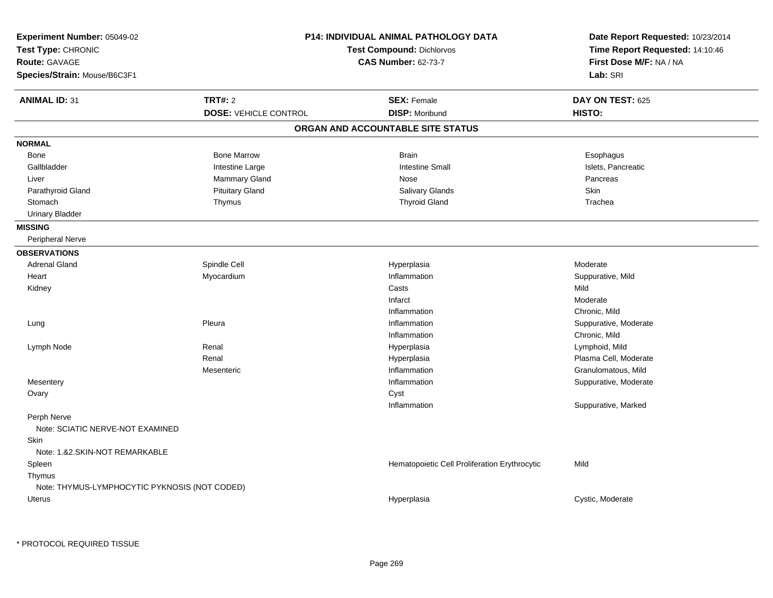| Experiment Number: 05049-02<br>Test Type: CHRONIC<br>Route: GAVAGE<br>Species/Strain: Mouse/B6C3F1 |                              | <b>P14: INDIVIDUAL ANIMAL PATHOLOGY DATA</b><br><b>Test Compound: Dichlorvos</b><br><b>CAS Number: 62-73-7</b> | Date Report Requested: 10/23/2014<br>Time Report Requested: 14:10:46<br>First Dose M/F: NA / NA<br>Lab: SRI |
|----------------------------------------------------------------------------------------------------|------------------------------|----------------------------------------------------------------------------------------------------------------|-------------------------------------------------------------------------------------------------------------|
| <b>ANIMAL ID: 31</b>                                                                               | TRT#: 2                      | <b>SEX: Female</b>                                                                                             | DAY ON TEST: 625                                                                                            |
|                                                                                                    | <b>DOSE: VEHICLE CONTROL</b> | <b>DISP: Moribund</b>                                                                                          | HISTO:                                                                                                      |
|                                                                                                    |                              | ORGAN AND ACCOUNTABLE SITE STATUS                                                                              |                                                                                                             |
| <b>NORMAL</b>                                                                                      |                              |                                                                                                                |                                                                                                             |
| Bone                                                                                               | <b>Bone Marrow</b>           | <b>Brain</b>                                                                                                   | Esophagus                                                                                                   |
| Gallbladder                                                                                        | Intestine Large              | <b>Intestine Small</b>                                                                                         | Islets, Pancreatic                                                                                          |
| Liver                                                                                              | Mammary Gland                | Nose                                                                                                           | Pancreas                                                                                                    |
| Parathyroid Gland                                                                                  | <b>Pituitary Gland</b>       | Salivary Glands                                                                                                | Skin                                                                                                        |
| Stomach                                                                                            | Thymus                       | <b>Thyroid Gland</b>                                                                                           | Trachea                                                                                                     |
| <b>Urinary Bladder</b>                                                                             |                              |                                                                                                                |                                                                                                             |
| <b>MISSING</b>                                                                                     |                              |                                                                                                                |                                                                                                             |
| Peripheral Nerve                                                                                   |                              |                                                                                                                |                                                                                                             |
| <b>OBSERVATIONS</b>                                                                                |                              |                                                                                                                |                                                                                                             |
| <b>Adrenal Gland</b>                                                                               | Spindle Cell                 | Hyperplasia                                                                                                    | Moderate                                                                                                    |
| Heart                                                                                              | Myocardium                   | Inflammation                                                                                                   | Suppurative, Mild                                                                                           |
| Kidney                                                                                             |                              | Casts                                                                                                          | Mild                                                                                                        |
|                                                                                                    |                              | Infarct                                                                                                        | Moderate                                                                                                    |
|                                                                                                    |                              | Inflammation                                                                                                   | Chronic, Mild                                                                                               |
| Lung                                                                                               | Pleura                       | Inflammation                                                                                                   | Suppurative, Moderate                                                                                       |
|                                                                                                    |                              | Inflammation                                                                                                   | Chronic, Mild                                                                                               |
| Lymph Node                                                                                         | Renal                        | Hyperplasia                                                                                                    | Lymphoid, Mild                                                                                              |
|                                                                                                    | Renal                        | Hyperplasia                                                                                                    | Plasma Cell, Moderate                                                                                       |
|                                                                                                    | Mesenteric                   | Inflammation                                                                                                   | Granulomatous, Mild                                                                                         |
| Mesentery                                                                                          |                              | Inflammation                                                                                                   | Suppurative, Moderate                                                                                       |
| Ovary                                                                                              |                              | Cyst                                                                                                           |                                                                                                             |
|                                                                                                    |                              | Inflammation                                                                                                   | Suppurative, Marked                                                                                         |
| Perph Nerve                                                                                        |                              |                                                                                                                |                                                                                                             |
| Note: SCIATIC NERVE-NOT EXAMINED                                                                   |                              |                                                                                                                |                                                                                                             |
| Skin                                                                                               |                              |                                                                                                                |                                                                                                             |
| Note: 1.&2.SKIN-NOT REMARKABLE                                                                     |                              |                                                                                                                |                                                                                                             |
| Spleen                                                                                             |                              | Hematopoietic Cell Proliferation Erythrocytic                                                                  | Mild                                                                                                        |
| Thymus                                                                                             |                              |                                                                                                                |                                                                                                             |
| Note: THYMUS-LYMPHOCYTIC PYKNOSIS (NOT CODED)                                                      |                              |                                                                                                                |                                                                                                             |
| Uterus                                                                                             |                              | Hyperplasia                                                                                                    | Cystic, Moderate                                                                                            |
|                                                                                                    |                              |                                                                                                                |                                                                                                             |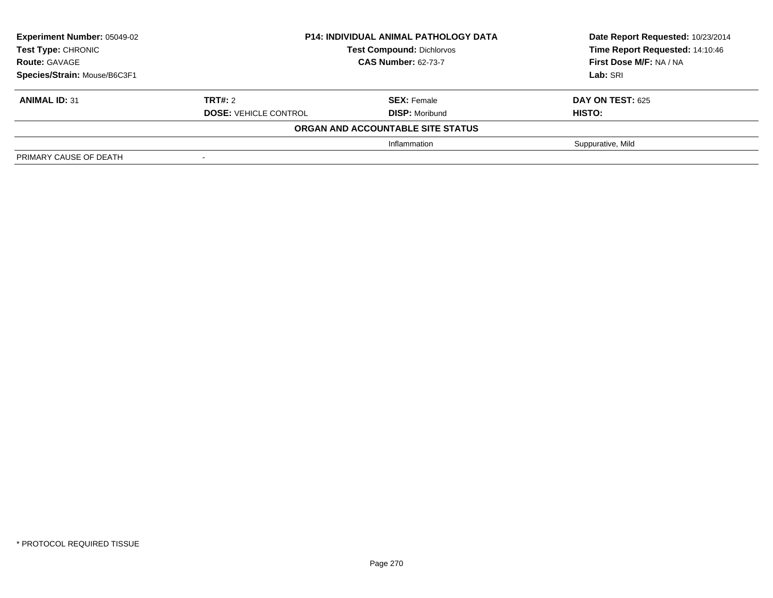| <b>Experiment Number: 05049-02</b><br>Test Type: CHRONIC<br><b>Route: GAVAGE</b> |                              | <b>P14: INDIVIDUAL ANIMAL PATHOLOGY DATA</b><br><b>Test Compound: Dichlorvos</b><br><b>CAS Number: 62-73-7</b> | Date Report Requested: 10/23/2014<br>Time Report Requested: 14:10:46<br>First Dose M/F: NA / NA |
|----------------------------------------------------------------------------------|------------------------------|----------------------------------------------------------------------------------------------------------------|-------------------------------------------------------------------------------------------------|
| Species/Strain: Mouse/B6C3F1                                                     |                              |                                                                                                                | Lab: SRI                                                                                        |
| <b>ANIMAL ID: 31</b>                                                             | TRT#: 2                      | <b>SEX: Female</b>                                                                                             | <b>DAY ON TEST: 625</b>                                                                         |
|                                                                                  | <b>DOSE: VEHICLE CONTROL</b> | <b>DISP: Moribund</b>                                                                                          | <b>HISTO:</b>                                                                                   |
|                                                                                  |                              | ORGAN AND ACCOUNTABLE SITE STATUS                                                                              |                                                                                                 |
|                                                                                  |                              | Inflammation                                                                                                   | Suppurative, Mild                                                                               |
| PRIMARY CAUSE OF DEATH                                                           | $\,$                         |                                                                                                                |                                                                                                 |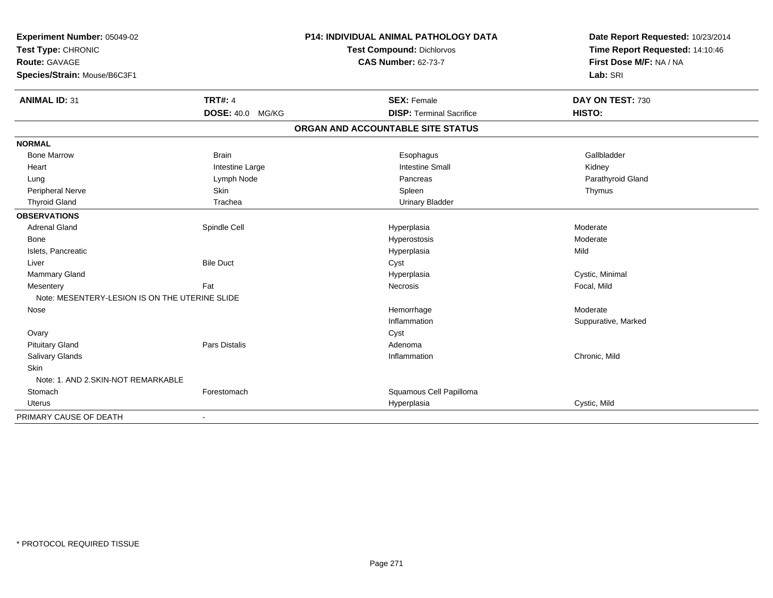| Experiment Number: 05049-02                    |                         | <b>P14: INDIVIDUAL ANIMAL PATHOLOGY DATA</b> | Date Report Requested: 10/23/2014 |
|------------------------------------------------|-------------------------|----------------------------------------------|-----------------------------------|
| Test Type: CHRONIC                             |                         | Test Compound: Dichlorvos                    | Time Report Requested: 14:10:46   |
| <b>Route: GAVAGE</b>                           |                         | <b>CAS Number: 62-73-7</b>                   | First Dose M/F: NA / NA           |
| Species/Strain: Mouse/B6C3F1                   |                         |                                              | Lab: SRI                          |
| <b>ANIMAL ID: 31</b>                           | <b>TRT#: 4</b>          | <b>SEX: Female</b>                           | DAY ON TEST: 730                  |
|                                                | <b>DOSE: 40.0 MG/KG</b> | <b>DISP: Terminal Sacrifice</b>              | HISTO:                            |
|                                                |                         | ORGAN AND ACCOUNTABLE SITE STATUS            |                                   |
| <b>NORMAL</b>                                  |                         |                                              |                                   |
| <b>Bone Marrow</b>                             | <b>Brain</b>            | Esophagus                                    | Gallbladder                       |
| Heart                                          | Intestine Large         | <b>Intestine Small</b>                       | Kidney                            |
| Lung                                           | Lymph Node              | Pancreas                                     | Parathyroid Gland                 |
| <b>Peripheral Nerve</b>                        | Skin                    | Spleen                                       | Thymus                            |
| <b>Thyroid Gland</b>                           | Trachea                 | <b>Urinary Bladder</b>                       |                                   |
| <b>OBSERVATIONS</b>                            |                         |                                              |                                   |
| <b>Adrenal Gland</b>                           | Spindle Cell            | Hyperplasia                                  | Moderate                          |
| Bone                                           |                         | Hyperostosis                                 | Moderate                          |
| Islets, Pancreatic                             |                         | Hyperplasia                                  | Mild                              |
| Liver                                          | <b>Bile Duct</b>        | Cyst                                         |                                   |
| Mammary Gland                                  |                         | Hyperplasia                                  | Cystic, Minimal                   |
| Mesentery                                      | Fat                     | Necrosis                                     | Focal, Mild                       |
| Note: MESENTERY-LESION IS ON THE UTERINE SLIDE |                         |                                              |                                   |
| Nose                                           |                         | Hemorrhage                                   | Moderate                          |
|                                                |                         | Inflammation                                 | Suppurative, Marked               |
| Ovary                                          |                         | Cyst                                         |                                   |
| <b>Pituitary Gland</b>                         | Pars Distalis           | Adenoma                                      |                                   |
| Salivary Glands                                |                         | Inflammation                                 | Chronic, Mild                     |
| Skin                                           |                         |                                              |                                   |
| Note: 1. AND 2.SKIN-NOT REMARKABLE             |                         |                                              |                                   |
| Stomach                                        | Forestomach             | Squamous Cell Papilloma                      |                                   |
| Uterus                                         |                         | Hyperplasia                                  | Cystic, Mild                      |
| PRIMARY CAUSE OF DEATH                         | $\blacksquare$          |                                              |                                   |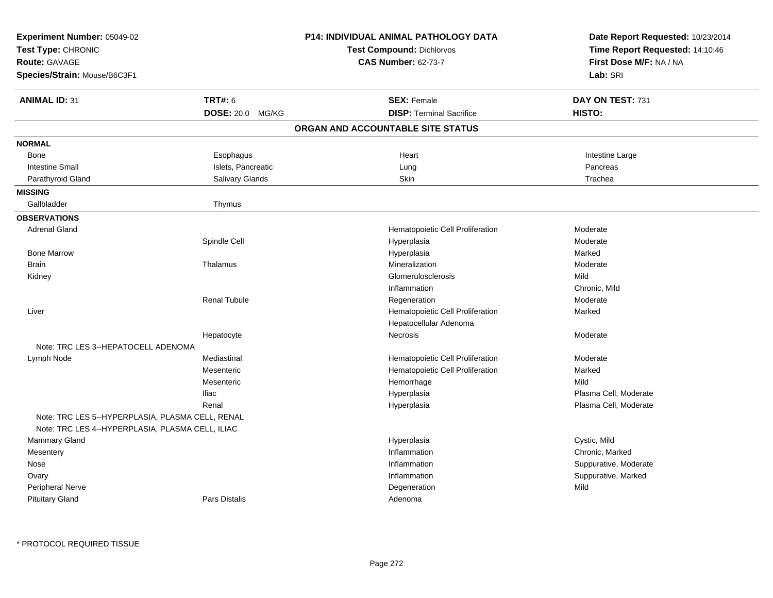| <b>CAS Number: 62-73-7</b><br><b>Route: GAVAGE</b><br>Species/Strain: Mouse/B6C3F1                   | First Dose M/F: NA / NA<br>Lab: SRI |
|------------------------------------------------------------------------------------------------------|-------------------------------------|
| <b>TRT#: 6</b><br><b>ANIMAL ID: 31</b><br><b>SEX: Female</b>                                         | DAY ON TEST: 731                    |
| <b>DISP: Terminal Sacrifice</b><br><b>DOSE: 20.0 MG/KG</b>                                           | HISTO:                              |
| ORGAN AND ACCOUNTABLE SITE STATUS                                                                    |                                     |
| <b>NORMAL</b>                                                                                        |                                     |
| Heart<br>Bone<br>Esophagus                                                                           | Intestine Large                     |
| <b>Intestine Small</b><br>Islets, Pancreatic<br>Lung                                                 | Pancreas                            |
| Parathyroid Gland<br>Salivary Glands<br>Skin                                                         | Trachea                             |
| <b>MISSING</b>                                                                                       |                                     |
| Gallbladder<br>Thymus                                                                                |                                     |
| <b>OBSERVATIONS</b>                                                                                  |                                     |
| <b>Adrenal Gland</b><br>Hematopoietic Cell Proliferation                                             | Moderate                            |
| Spindle Cell<br>Hyperplasia                                                                          | Moderate                            |
| <b>Bone Marrow</b><br>Hyperplasia                                                                    | Marked                              |
| <b>Brain</b><br>Mineralization<br>Thalamus                                                           | Moderate                            |
| Glomerulosclerosis<br>Kidney                                                                         | Mild                                |
| Inflammation                                                                                         | Chronic, Mild                       |
| <b>Renal Tubule</b><br>Regeneration                                                                  | Moderate                            |
| Hematopoietic Cell Proliferation<br>Liver                                                            | Marked                              |
| Hepatocellular Adenoma                                                                               |                                     |
| Hepatocyte<br><b>Necrosis</b>                                                                        | Moderate                            |
| Note: TRC LES 3--HEPATOCELL ADENOMA                                                                  |                                     |
| Mediastinal<br>Lymph Node<br>Hematopoietic Cell Proliferation                                        | Moderate                            |
| Mesenteric<br>Hematopoietic Cell Proliferation                                                       | Marked                              |
| Hemorrhage<br>Mesenteric                                                                             | Mild                                |
| Hyperplasia<br>Iliac                                                                                 | Plasma Cell, Moderate               |
| Renal<br>Hyperplasia                                                                                 | Plasma Cell, Moderate               |
| Note: TRC LES 5--HYPERPLASIA, PLASMA CELL, RENAL<br>Note: TRC LES 4--HYPERPLASIA, PLASMA CELL, ILIAC |                                     |
| Mammary Gland<br>Hyperplasia                                                                         | Cystic, Mild                        |
| Inflammation<br>Mesentery                                                                            | Chronic, Marked                     |
| Nose<br>Inflammation                                                                                 | Suppurative, Moderate               |
| Ovary<br>Inflammation                                                                                | Suppurative, Marked                 |
| Degeneration<br><b>Peripheral Nerve</b>                                                              | Mild                                |
| <b>Pars Distalis</b><br><b>Pituitary Gland</b><br>Adenoma                                            |                                     |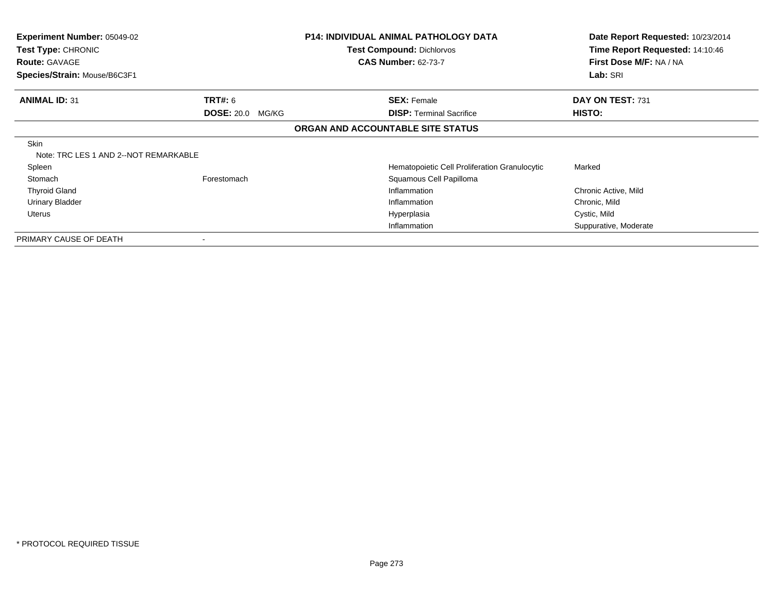| <b>Experiment Number: 05049-02</b><br><b>Test Type: CHRONIC</b><br><b>Route: GAVAGE</b> |                         | P14: INDIVIDUAL ANIMAL PATHOLOGY DATA<br><b>Test Compound: Dichlorvos</b><br><b>CAS Number: 62-73-7</b> | Date Report Requested: 10/23/2014<br>Time Report Requested: 14:10:46<br>First Dose M/F: NA / NA |
|-----------------------------------------------------------------------------------------|-------------------------|---------------------------------------------------------------------------------------------------------|-------------------------------------------------------------------------------------------------|
| Species/Strain: Mouse/B6C3F1                                                            |                         |                                                                                                         | Lab: SRI                                                                                        |
| <b>ANIMAL ID: 31</b>                                                                    | <b>TRT#: 6</b>          | <b>SEX: Female</b>                                                                                      | DAY ON TEST: 731                                                                                |
|                                                                                         | <b>DOSE: 20.0 MG/KG</b> | <b>DISP:</b> Terminal Sacrifice                                                                         | HISTO:                                                                                          |
|                                                                                         |                         | ORGAN AND ACCOUNTABLE SITE STATUS                                                                       |                                                                                                 |
| <b>Skin</b><br>Note: TRC LES 1 AND 2--NOT REMARKABLE                                    |                         |                                                                                                         |                                                                                                 |
| Spleen                                                                                  |                         | Hematopoietic Cell Proliferation Granulocytic                                                           | Marked                                                                                          |
| Stomach                                                                                 | Forestomach             | Squamous Cell Papilloma                                                                                 |                                                                                                 |
| <b>Thyroid Gland</b>                                                                    |                         | Inflammation                                                                                            | Chronic Active, Mild                                                                            |
| <b>Urinary Bladder</b>                                                                  |                         | Inflammation                                                                                            | Chronic, Mild                                                                                   |
| Uterus                                                                                  |                         | Hyperplasia                                                                                             | Cystic, Mild                                                                                    |
|                                                                                         |                         | Inflammation                                                                                            | Suppurative, Moderate                                                                           |
| PRIMARY CAUSE OF DEATH                                                                  |                         |                                                                                                         |                                                                                                 |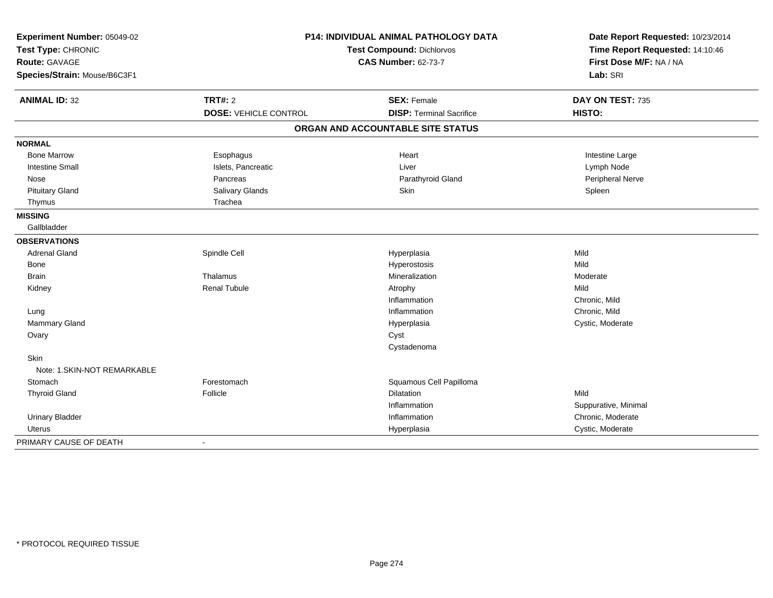| Experiment Number: 05049-02  |                              | <b>P14: INDIVIDUAL ANIMAL PATHOLOGY DATA</b> | Date Report Requested: 10/23/2014 |  |
|------------------------------|------------------------------|----------------------------------------------|-----------------------------------|--|
| Test Type: CHRONIC           |                              | Test Compound: Dichlorvos                    | Time Report Requested: 14:10:46   |  |
| Route: GAVAGE                |                              | <b>CAS Number: 62-73-7</b>                   | First Dose M/F: NA / NA           |  |
| Species/Strain: Mouse/B6C3F1 |                              |                                              | Lab: SRI                          |  |
| <b>ANIMAL ID: 32</b>         | <b>TRT#: 2</b>               | <b>SEX: Female</b>                           | DAY ON TEST: 735                  |  |
|                              | <b>DOSE: VEHICLE CONTROL</b> | <b>DISP: Terminal Sacrifice</b>              | HISTO:                            |  |
|                              |                              | ORGAN AND ACCOUNTABLE SITE STATUS            |                                   |  |
| <b>NORMAL</b>                |                              |                                              |                                   |  |
| <b>Bone Marrow</b>           | Esophagus                    | Heart                                        | Intestine Large                   |  |
| <b>Intestine Small</b>       | Islets, Pancreatic           | Liver                                        | Lymph Node                        |  |
| Nose                         | Pancreas                     | Parathyroid Gland                            | Peripheral Nerve                  |  |
| <b>Pituitary Gland</b>       | Salivary Glands              | Skin                                         | Spleen                            |  |
| Thymus                       | Trachea                      |                                              |                                   |  |
| <b>MISSING</b>               |                              |                                              |                                   |  |
| Gallbladder                  |                              |                                              |                                   |  |
| <b>OBSERVATIONS</b>          |                              |                                              |                                   |  |
| <b>Adrenal Gland</b>         | Spindle Cell                 | Hyperplasia                                  | Mild                              |  |
| Bone                         |                              | Hyperostosis                                 | Mild                              |  |
| <b>Brain</b>                 | Thalamus                     | Mineralization                               | Moderate                          |  |
| Kidney                       | <b>Renal Tubule</b>          | Atrophy                                      | Mild                              |  |
|                              |                              | Inflammation                                 | Chronic, Mild                     |  |
| Lung                         |                              | Inflammation                                 | Chronic, Mild                     |  |
| Mammary Gland                |                              | Hyperplasia                                  | Cystic, Moderate                  |  |
| Ovary                        |                              | Cyst                                         |                                   |  |
|                              |                              | Cystadenoma                                  |                                   |  |
| Skin                         |                              |                                              |                                   |  |
| Note: 1.SKIN-NOT REMARKABLE  |                              |                                              |                                   |  |
| Stomach                      | Forestomach                  | Squamous Cell Papilloma                      |                                   |  |
| <b>Thyroid Gland</b>         | Follicle                     | <b>Dilatation</b>                            | Mild                              |  |
|                              |                              | Inflammation                                 | Suppurative, Minimal              |  |
| <b>Urinary Bladder</b>       |                              | Inflammation                                 | Chronic, Moderate                 |  |
| <b>Uterus</b>                |                              | Hyperplasia                                  | Cystic, Moderate                  |  |
| PRIMARY CAUSE OF DEATH       | $\blacksquare$               |                                              |                                   |  |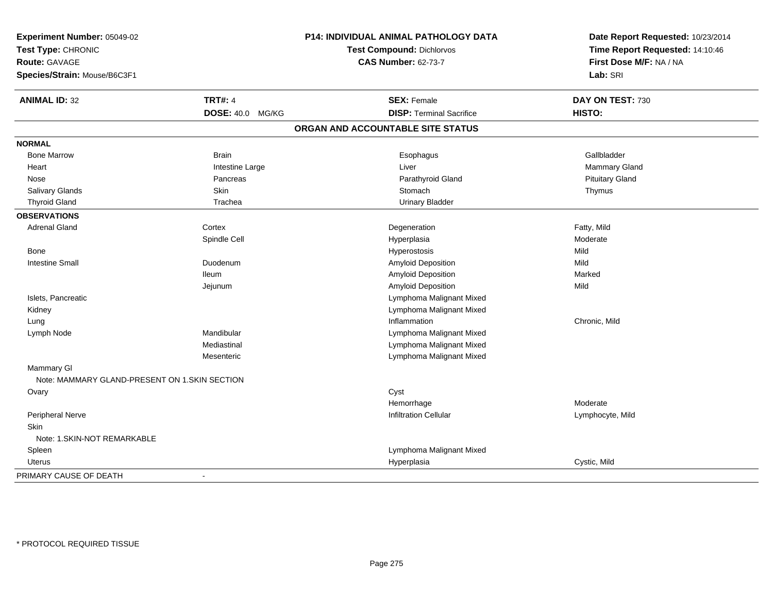| Experiment Number: 05049-02                   |                         | <b>P14: INDIVIDUAL ANIMAL PATHOLOGY DATA</b> | Date Report Requested: 10/23/2014 |
|-----------------------------------------------|-------------------------|----------------------------------------------|-----------------------------------|
| Test Type: CHRONIC                            |                         | <b>Test Compound: Dichlorvos</b>             | Time Report Requested: 14:10:46   |
| <b>Route: GAVAGE</b>                          |                         | <b>CAS Number: 62-73-7</b>                   | First Dose M/F: NA / NA           |
| Species/Strain: Mouse/B6C3F1                  |                         |                                              | Lab: SRI                          |
| <b>ANIMAL ID: 32</b>                          | <b>TRT#: 4</b>          | <b>SEX: Female</b>                           | DAY ON TEST: 730                  |
|                                               | <b>DOSE: 40.0 MG/KG</b> | <b>DISP: Terminal Sacrifice</b>              | HISTO:                            |
|                                               |                         | ORGAN AND ACCOUNTABLE SITE STATUS            |                                   |
| <b>NORMAL</b>                                 |                         |                                              |                                   |
| <b>Bone Marrow</b>                            | <b>Brain</b>            | Esophagus                                    | Gallbladder                       |
| Heart                                         | Intestine Large         | Liver                                        | Mammary Gland                     |
| Nose                                          | Pancreas                | Parathyroid Gland                            | <b>Pituitary Gland</b>            |
| Salivary Glands                               | Skin                    | Stomach                                      | Thymus                            |
| <b>Thyroid Gland</b>                          | Trachea                 | <b>Urinary Bladder</b>                       |                                   |
| <b>OBSERVATIONS</b>                           |                         |                                              |                                   |
| <b>Adrenal Gland</b>                          | Cortex                  | Degeneration                                 | Fatty, Mild                       |
|                                               | Spindle Cell            | Hyperplasia                                  | Moderate                          |
| Bone                                          |                         | Hyperostosis                                 | Mild                              |
| <b>Intestine Small</b>                        | Duodenum                | Amyloid Deposition                           | Mild                              |
|                                               | <b>Ileum</b>            | Amyloid Deposition                           | Marked                            |
|                                               | Jejunum                 | Amyloid Deposition                           | Mild                              |
| Islets, Pancreatic                            |                         | Lymphoma Malignant Mixed                     |                                   |
| Kidney                                        |                         | Lymphoma Malignant Mixed                     |                                   |
| Lung                                          |                         | Inflammation                                 | Chronic, Mild                     |
| Lymph Node                                    | Mandibular              | Lymphoma Malignant Mixed                     |                                   |
|                                               | Mediastinal             | Lymphoma Malignant Mixed                     |                                   |
|                                               | Mesenteric              | Lymphoma Malignant Mixed                     |                                   |
| Mammary GI                                    |                         |                                              |                                   |
| Note: MAMMARY GLAND-PRESENT ON 1.SKIN SECTION |                         |                                              |                                   |
| Ovary                                         |                         | Cyst                                         |                                   |
|                                               |                         | Hemorrhage                                   | Moderate                          |
| Peripheral Nerve                              |                         | <b>Infiltration Cellular</b>                 | Lymphocyte, Mild                  |
| <b>Skin</b>                                   |                         |                                              |                                   |
| Note: 1.SKIN-NOT REMARKABLE                   |                         |                                              |                                   |
| Spleen                                        |                         | Lymphoma Malignant Mixed                     |                                   |
| Uterus                                        |                         | Hyperplasia                                  | Cystic, Mild                      |
| PRIMARY CAUSE OF DEATH                        | $\sim$                  |                                              |                                   |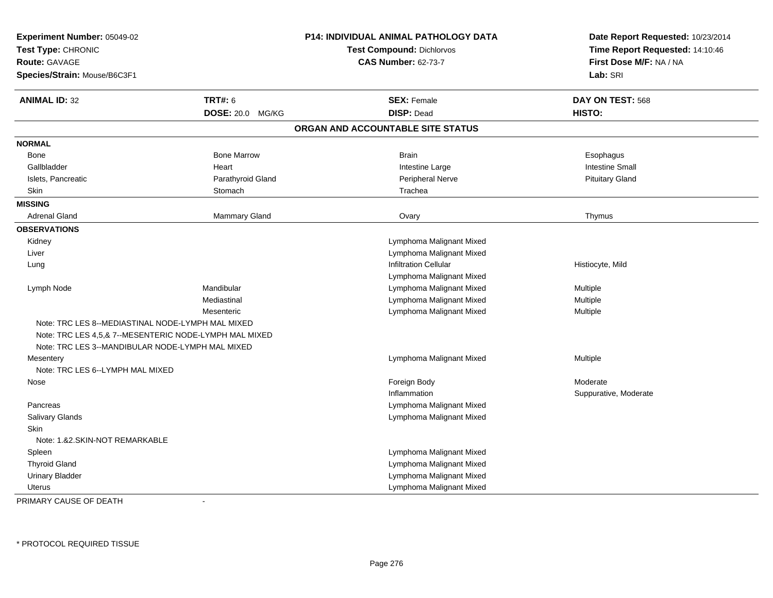| Experiment Number: 05049-02<br>Test Type: CHRONIC<br><b>Route: GAVAGE</b><br>Species/Strain: Mouse/B6C3F1                                                       |                    | P14: INDIVIDUAL ANIMAL PATHOLOGY DATA<br><b>Test Compound: Dichlorvos</b><br><b>CAS Number: 62-73-7</b> | Date Report Requested: 10/23/2014<br>Time Report Requested: 14:10:46<br>First Dose M/F: NA / NA<br>Lab: SRI |
|-----------------------------------------------------------------------------------------------------------------------------------------------------------------|--------------------|---------------------------------------------------------------------------------------------------------|-------------------------------------------------------------------------------------------------------------|
| <b>ANIMAL ID: 32</b>                                                                                                                                            | <b>TRT#: 6</b>     | <b>SEX: Female</b>                                                                                      | DAY ON TEST: 568                                                                                            |
|                                                                                                                                                                 | DOSE: 20.0 MG/KG   | <b>DISP: Dead</b>                                                                                       | HISTO:                                                                                                      |
|                                                                                                                                                                 |                    | ORGAN AND ACCOUNTABLE SITE STATUS                                                                       |                                                                                                             |
| <b>NORMAL</b>                                                                                                                                                   |                    |                                                                                                         |                                                                                                             |
| Bone                                                                                                                                                            | <b>Bone Marrow</b> | <b>Brain</b>                                                                                            | Esophagus                                                                                                   |
| Gallbladder                                                                                                                                                     | Heart              | Intestine Large                                                                                         | <b>Intestine Small</b>                                                                                      |
| Islets, Pancreatic                                                                                                                                              | Parathyroid Gland  | Peripheral Nerve                                                                                        | <b>Pituitary Gland</b>                                                                                      |
| Skin                                                                                                                                                            | Stomach            | Trachea                                                                                                 |                                                                                                             |
| <b>MISSING</b>                                                                                                                                                  |                    |                                                                                                         |                                                                                                             |
| <b>Adrenal Gland</b>                                                                                                                                            | Mammary Gland      | Ovary                                                                                                   | Thymus                                                                                                      |
| <b>OBSERVATIONS</b>                                                                                                                                             |                    |                                                                                                         |                                                                                                             |
| Kidney                                                                                                                                                          |                    | Lymphoma Malignant Mixed                                                                                |                                                                                                             |
| Liver                                                                                                                                                           |                    | Lymphoma Malignant Mixed                                                                                |                                                                                                             |
| Lung                                                                                                                                                            |                    | <b>Infiltration Cellular</b>                                                                            | Histiocyte, Mild                                                                                            |
|                                                                                                                                                                 |                    | Lymphoma Malignant Mixed                                                                                |                                                                                                             |
| Lymph Node                                                                                                                                                      | Mandibular         | Lymphoma Malignant Mixed                                                                                | Multiple                                                                                                    |
|                                                                                                                                                                 | Mediastinal        | Lymphoma Malignant Mixed                                                                                | Multiple                                                                                                    |
|                                                                                                                                                                 | Mesenteric         | Lymphoma Malignant Mixed                                                                                | Multiple                                                                                                    |
| Note: TRC LES 8--MEDIASTINAL NODE-LYMPH MAL MIXED<br>Note: TRC LES 4,5,& 7--MESENTERIC NODE-LYMPH MAL MIXED<br>Note: TRC LES 3--MANDIBULAR NODE-LYMPH MAL MIXED |                    |                                                                                                         |                                                                                                             |
| Mesentery                                                                                                                                                       |                    | Lymphoma Malignant Mixed                                                                                | Multiple                                                                                                    |
| Note: TRC LES 6--LYMPH MAL MIXED                                                                                                                                |                    |                                                                                                         |                                                                                                             |
| Nose                                                                                                                                                            |                    | Foreign Body                                                                                            | Moderate                                                                                                    |
|                                                                                                                                                                 |                    | Inflammation                                                                                            | Suppurative, Moderate                                                                                       |
| Pancreas                                                                                                                                                        |                    | Lymphoma Malignant Mixed                                                                                |                                                                                                             |
| Salivary Glands                                                                                                                                                 |                    | Lymphoma Malignant Mixed                                                                                |                                                                                                             |
| <b>Skin</b>                                                                                                                                                     |                    |                                                                                                         |                                                                                                             |
| Note: 1.&2.SKIN-NOT REMARKABLE                                                                                                                                  |                    |                                                                                                         |                                                                                                             |
| Spleen                                                                                                                                                          |                    | Lymphoma Malignant Mixed                                                                                |                                                                                                             |
| <b>Thyroid Gland</b>                                                                                                                                            |                    | Lymphoma Malignant Mixed                                                                                |                                                                                                             |
| <b>Urinary Bladder</b>                                                                                                                                          |                    | Lymphoma Malignant Mixed                                                                                |                                                                                                             |
| <b>Uterus</b>                                                                                                                                                   |                    | Lymphoma Malignant Mixed                                                                                |                                                                                                             |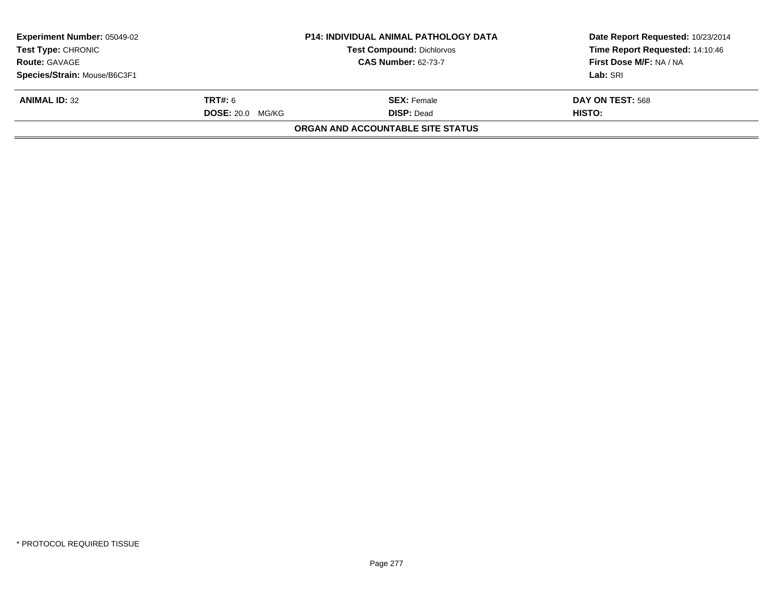| <b>Experiment Number: 05049-02</b><br><b>Test Type: CHRONIC</b><br><b>Route: GAVAGE</b> | <b>P14: INDIVIDUAL ANIMAL PATHOLOGY DATA</b><br>Test Compound: Dichlorvos<br><b>CAS Number: 62-73-7</b> |                                                               | Date Report Requested: 10/23/2014<br>Time Report Requested: 14:10:46<br>First Dose M/F: NA / NA |
|-----------------------------------------------------------------------------------------|---------------------------------------------------------------------------------------------------------|---------------------------------------------------------------|-------------------------------------------------------------------------------------------------|
| Species/Strain: Mouse/B6C3F1<br><b>ANIMAL ID: 32</b>                                    | <b>TRT#: 6</b>                                                                                          | <b>SEX: Female</b>                                            | Lab: SRI<br>DAY ON TEST: 568                                                                    |
|                                                                                         | <b>DOSE: 20.0 MG/KG</b>                                                                                 | <b>DISP: Dead</b><br><b>ORGAN AND ACCOUNTABLE SITE STATUS</b> | HISTO:                                                                                          |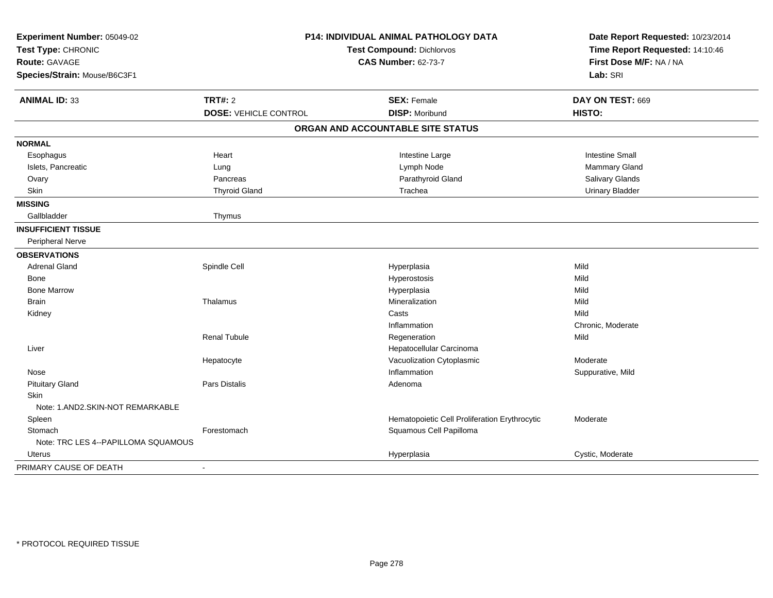| Experiment Number: 05049-02<br>Test Type: CHRONIC<br><b>Route: GAVAGE</b><br>Species/Strain: Mouse/B6C3F1 | P14: INDIVIDUAL ANIMAL PATHOLOGY DATA<br><b>Test Compound: Dichlorvos</b><br><b>CAS Number: 62-73-7</b> |                                               | Date Report Requested: 10/23/2014<br>Time Report Requested: 14:10:46<br>First Dose M/F: NA / NA<br>Lab: SRI |  |
|-----------------------------------------------------------------------------------------------------------|---------------------------------------------------------------------------------------------------------|-----------------------------------------------|-------------------------------------------------------------------------------------------------------------|--|
| <b>ANIMAL ID: 33</b>                                                                                      | TRT#: 2                                                                                                 | <b>SEX: Female</b>                            | DAY ON TEST: 669                                                                                            |  |
|                                                                                                           | <b>DOSE: VEHICLE CONTROL</b>                                                                            | <b>DISP: Moribund</b>                         | HISTO:                                                                                                      |  |
|                                                                                                           |                                                                                                         | ORGAN AND ACCOUNTABLE SITE STATUS             |                                                                                                             |  |
| <b>NORMAL</b>                                                                                             |                                                                                                         |                                               |                                                                                                             |  |
| Esophagus                                                                                                 | Heart                                                                                                   | Intestine Large                               | <b>Intestine Small</b>                                                                                      |  |
| Islets, Pancreatic                                                                                        | Lung                                                                                                    | Lymph Node                                    | Mammary Gland                                                                                               |  |
| Ovary                                                                                                     | Pancreas                                                                                                | Parathyroid Gland                             | Salivary Glands                                                                                             |  |
| Skin                                                                                                      | <b>Thyroid Gland</b>                                                                                    | Trachea                                       | <b>Urinary Bladder</b>                                                                                      |  |
| <b>MISSING</b>                                                                                            |                                                                                                         |                                               |                                                                                                             |  |
| Gallbladder                                                                                               | Thymus                                                                                                  |                                               |                                                                                                             |  |
| <b>INSUFFICIENT TISSUE</b>                                                                                |                                                                                                         |                                               |                                                                                                             |  |
| Peripheral Nerve                                                                                          |                                                                                                         |                                               |                                                                                                             |  |
| <b>OBSERVATIONS</b>                                                                                       |                                                                                                         |                                               |                                                                                                             |  |
| <b>Adrenal Gland</b>                                                                                      | Spindle Cell                                                                                            | Hyperplasia                                   | Mild                                                                                                        |  |
| Bone                                                                                                      |                                                                                                         | Hyperostosis                                  | Mild                                                                                                        |  |
| <b>Bone Marrow</b>                                                                                        |                                                                                                         | Hyperplasia                                   | Mild                                                                                                        |  |
| <b>Brain</b>                                                                                              | Thalamus                                                                                                | Mineralization                                | Mild                                                                                                        |  |
| Kidney                                                                                                    |                                                                                                         | Casts                                         | Mild                                                                                                        |  |
|                                                                                                           |                                                                                                         | Inflammation                                  | Chronic, Moderate                                                                                           |  |
|                                                                                                           | <b>Renal Tubule</b>                                                                                     | Regeneration                                  | Mild                                                                                                        |  |
| Liver                                                                                                     |                                                                                                         | Hepatocellular Carcinoma                      |                                                                                                             |  |
|                                                                                                           | Hepatocyte                                                                                              | Vacuolization Cytoplasmic                     | Moderate                                                                                                    |  |
| Nose                                                                                                      |                                                                                                         | Inflammation                                  | Suppurative, Mild                                                                                           |  |
| <b>Pituitary Gland</b>                                                                                    | Pars Distalis                                                                                           | Adenoma                                       |                                                                                                             |  |
| <b>Skin</b>                                                                                               |                                                                                                         |                                               |                                                                                                             |  |
| Note: 1.AND2.SKIN-NOT REMARKABLE                                                                          |                                                                                                         |                                               |                                                                                                             |  |
| Spleen                                                                                                    |                                                                                                         | Hematopoietic Cell Proliferation Erythrocytic | Moderate                                                                                                    |  |
| Stomach                                                                                                   | Forestomach                                                                                             | Squamous Cell Papilloma                       |                                                                                                             |  |
| Note: TRC LES 4--PAPILLOMA SQUAMOUS                                                                       |                                                                                                         |                                               |                                                                                                             |  |
| Uterus                                                                                                    |                                                                                                         | Hyperplasia                                   | Cystic, Moderate                                                                                            |  |
| PRIMARY CAUSE OF DEATH                                                                                    | $\blacksquare$                                                                                          |                                               |                                                                                                             |  |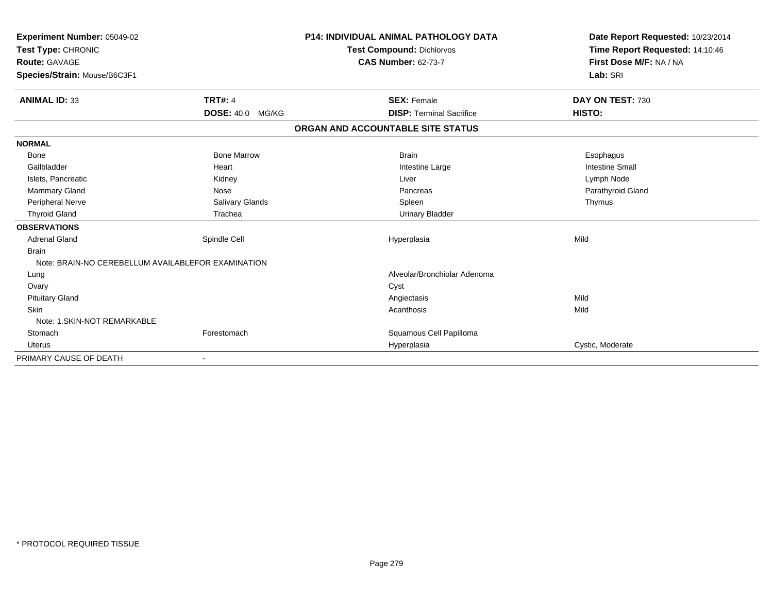| <b>Experiment Number: 05049-02</b><br>Test Type: CHRONIC<br>Route: GAVAGE |                         | P14: INDIVIDUAL ANIMAL PATHOLOGY DATA<br><b>Test Compound: Dichlorvos</b> | Date Report Requested: 10/23/2014<br>Time Report Requested: 14:10:46<br>First Dose M/F: NA / NA |
|---------------------------------------------------------------------------|-------------------------|---------------------------------------------------------------------------|-------------------------------------------------------------------------------------------------|
|                                                                           |                         | <b>CAS Number: 62-73-7</b>                                                |                                                                                                 |
| Species/Strain: Mouse/B6C3F1                                              |                         |                                                                           | Lab: SRI                                                                                        |
|                                                                           |                         |                                                                           |                                                                                                 |
| <b>ANIMAL ID: 33</b>                                                      | <b>TRT#: 4</b>          | <b>SEX: Female</b>                                                        | DAY ON TEST: 730                                                                                |
|                                                                           | <b>DOSE: 40.0 MG/KG</b> | <b>DISP: Terminal Sacrifice</b>                                           | HISTO:                                                                                          |
|                                                                           |                         | ORGAN AND ACCOUNTABLE SITE STATUS                                         |                                                                                                 |
| <b>NORMAL</b>                                                             |                         |                                                                           |                                                                                                 |
| <b>Bone</b>                                                               | <b>Bone Marrow</b>      | <b>Brain</b>                                                              | Esophagus                                                                                       |
| Gallbladder                                                               | Heart                   | Intestine Large                                                           | <b>Intestine Small</b>                                                                          |
| Islets, Pancreatic                                                        | Kidney                  | Liver                                                                     | Lymph Node                                                                                      |
| <b>Mammary Gland</b>                                                      | Nose                    | Pancreas                                                                  | Parathyroid Gland                                                                               |
| Peripheral Nerve                                                          | Salivary Glands         | Spleen                                                                    | Thymus                                                                                          |
| <b>Thyroid Gland</b>                                                      | Trachea                 | <b>Urinary Bladder</b>                                                    |                                                                                                 |
| <b>OBSERVATIONS</b>                                                       |                         |                                                                           |                                                                                                 |
| <b>Adrenal Gland</b>                                                      | Spindle Cell            | Hyperplasia                                                               | Mild                                                                                            |
| <b>Brain</b>                                                              |                         |                                                                           |                                                                                                 |
| Note: BRAIN-NO CEREBELLUM AVAILABLEFOR EXAMINATION                        |                         |                                                                           |                                                                                                 |
| Lung                                                                      |                         | Alveolar/Bronchiolar Adenoma                                              |                                                                                                 |
| Ovary                                                                     |                         | Cyst                                                                      |                                                                                                 |
| <b>Pituitary Gland</b>                                                    |                         | Angiectasis                                                               | Mild                                                                                            |
| <b>Skin</b>                                                               |                         | Acanthosis                                                                | Mild                                                                                            |
| Note: 1. SKIN-NOT REMARKABLE                                              |                         |                                                                           |                                                                                                 |
| Stomach                                                                   | Forestomach             | Squamous Cell Papilloma                                                   |                                                                                                 |
| <b>Uterus</b>                                                             |                         | Hyperplasia                                                               | Cystic, Moderate                                                                                |
| PRIMARY CAUSE OF DEATH                                                    |                         |                                                                           |                                                                                                 |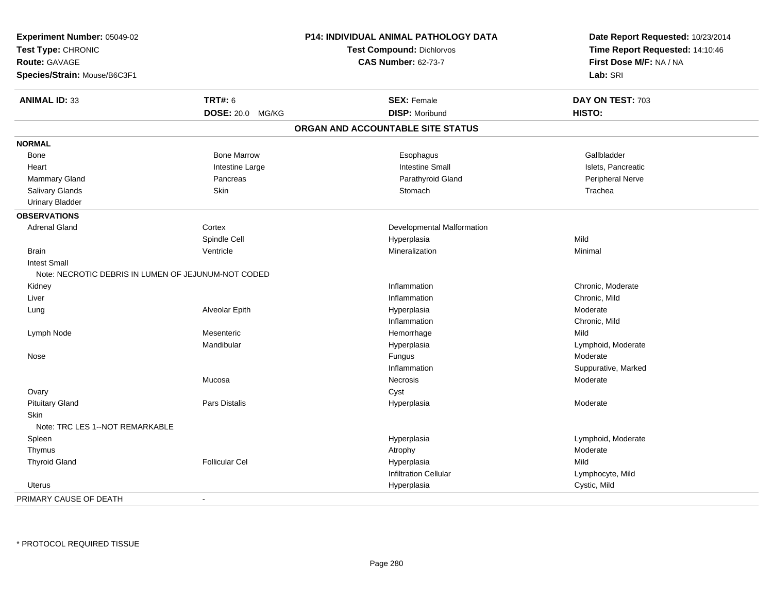| Experiment Number: 05049-02                         |                       | P14: INDIVIDUAL ANIMAL PATHOLOGY DATA | Date Report Requested: 10/23/2014 |  |
|-----------------------------------------------------|-----------------------|---------------------------------------|-----------------------------------|--|
| Test Type: CHRONIC<br><b>Route: GAVAGE</b>          |                       | <b>Test Compound: Dichlorvos</b>      | Time Report Requested: 14:10:46   |  |
|                                                     |                       | <b>CAS Number: 62-73-7</b>            | First Dose M/F: NA / NA           |  |
| Species/Strain: Mouse/B6C3F1                        |                       |                                       | Lab: SRI                          |  |
| <b>ANIMAL ID: 33</b>                                | <b>TRT#: 6</b>        | <b>SEX: Female</b>                    | DAY ON TEST: 703                  |  |
|                                                     | DOSE: 20.0 MG/KG      | <b>DISP: Moribund</b>                 | HISTO:                            |  |
|                                                     |                       | ORGAN AND ACCOUNTABLE SITE STATUS     |                                   |  |
| <b>NORMAL</b>                                       |                       |                                       |                                   |  |
| Bone                                                | <b>Bone Marrow</b>    | Esophagus                             | Gallbladder                       |  |
| Heart                                               | Intestine Large       | <b>Intestine Small</b>                | Islets, Pancreatic                |  |
| <b>Mammary Gland</b>                                | Pancreas              | Parathyroid Gland                     | <b>Peripheral Nerve</b>           |  |
| Salivary Glands                                     | Skin                  | Stomach                               | Trachea                           |  |
| <b>Urinary Bladder</b>                              |                       |                                       |                                   |  |
| <b>OBSERVATIONS</b>                                 |                       |                                       |                                   |  |
| <b>Adrenal Gland</b>                                | Cortex                | Developmental Malformation            |                                   |  |
|                                                     | Spindle Cell          | Hyperplasia                           | Mild                              |  |
| <b>Brain</b>                                        | Ventricle             | Mineralization                        | Minimal                           |  |
| <b>Intest Small</b>                                 |                       |                                       |                                   |  |
| Note: NECROTIC DEBRIS IN LUMEN OF JEJUNUM-NOT CODED |                       |                                       |                                   |  |
| Kidney                                              |                       | Inflammation                          | Chronic, Moderate                 |  |
| Liver                                               |                       | Inflammation                          | Chronic, Mild                     |  |
| Lung                                                | Alveolar Epith        | Hyperplasia                           | Moderate                          |  |
|                                                     |                       | Inflammation                          | Chronic, Mild                     |  |
| Lymph Node                                          | Mesenteric            | Hemorrhage                            | Mild                              |  |
|                                                     | Mandibular            | Hyperplasia                           | Lymphoid, Moderate                |  |
| Nose                                                |                       | Fungus                                | Moderate                          |  |
|                                                     |                       | Inflammation                          | Suppurative, Marked               |  |
|                                                     | Mucosa                | Necrosis                              | Moderate                          |  |
| Ovary                                               |                       | Cyst                                  |                                   |  |
| <b>Pituitary Gland</b>                              | Pars Distalis         | Hyperplasia                           | Moderate                          |  |
| <b>Skin</b>                                         |                       |                                       |                                   |  |
| Note: TRC LES 1--NOT REMARKABLE                     |                       |                                       |                                   |  |
| Spleen                                              |                       | Hyperplasia                           | Lymphoid, Moderate                |  |
| Thymus                                              |                       | Atrophy                               | Moderate                          |  |
| <b>Thyroid Gland</b>                                | <b>Follicular Cel</b> | Hyperplasia                           | Mild                              |  |
|                                                     |                       | <b>Infiltration Cellular</b>          | Lymphocyte, Mild                  |  |
| Uterus                                              |                       | Hyperplasia                           | Cystic, Mild                      |  |
| PRIMARY CAUSE OF DEATH                              | $\blacksquare$        |                                       |                                   |  |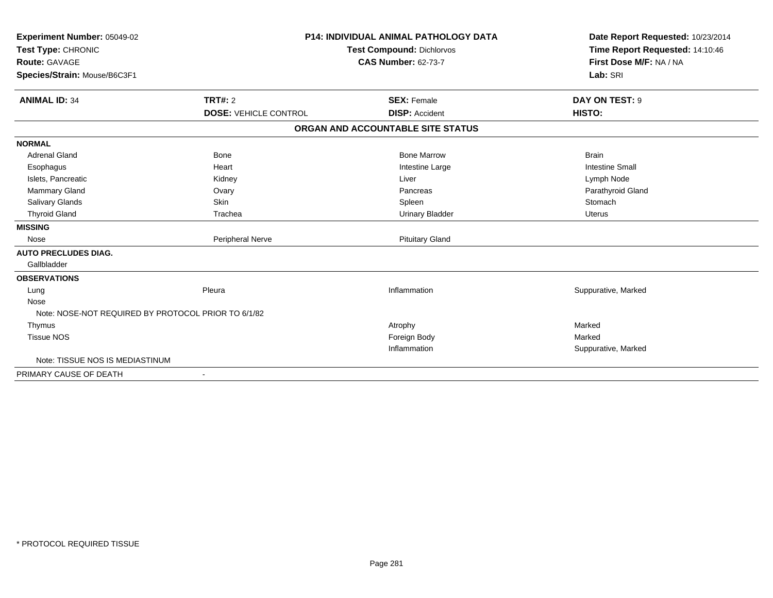| Experiment Number: 05049-02<br>Test Type: CHRONIC<br><b>Route: GAVAGE</b><br>Species/Strain: Mouse/B6C3F1 |                                                | <b>P14: INDIVIDUAL ANIMAL PATHOLOGY DATA</b><br><b>Test Compound: Dichlorvos</b><br><b>CAS Number: 62-73-7</b> | Date Report Requested: 10/23/2014<br>Time Report Requested: 14:10:46<br>First Dose M/F: NA / NA<br>Lab: SRI |  |
|-----------------------------------------------------------------------------------------------------------|------------------------------------------------|----------------------------------------------------------------------------------------------------------------|-------------------------------------------------------------------------------------------------------------|--|
| <b>ANIMAL ID: 34</b>                                                                                      | <b>TRT#: 2</b><br><b>DOSE: VEHICLE CONTROL</b> | <b>SEX: Female</b><br><b>DISP: Accident</b>                                                                    | DAY ON TEST: 9<br>HISTO:                                                                                    |  |
|                                                                                                           |                                                | ORGAN AND ACCOUNTABLE SITE STATUS                                                                              |                                                                                                             |  |
| <b>NORMAL</b>                                                                                             |                                                |                                                                                                                |                                                                                                             |  |
| Adrenal Gland                                                                                             | <b>Bone</b>                                    | <b>Bone Marrow</b>                                                                                             | <b>Brain</b>                                                                                                |  |
| Esophagus                                                                                                 | Heart                                          | Intestine Large                                                                                                | <b>Intestine Small</b>                                                                                      |  |
| Islets, Pancreatic                                                                                        | Kidney                                         | Liver                                                                                                          | Lymph Node                                                                                                  |  |
| <b>Mammary Gland</b>                                                                                      | Ovary                                          | Pancreas                                                                                                       | Parathyroid Gland                                                                                           |  |
| Salivary Glands                                                                                           | Skin                                           | Spleen                                                                                                         | Stomach                                                                                                     |  |
| <b>Thyroid Gland</b>                                                                                      | Trachea                                        | <b>Urinary Bladder</b>                                                                                         | <b>Uterus</b>                                                                                               |  |
| <b>MISSING</b>                                                                                            |                                                |                                                                                                                |                                                                                                             |  |
| Nose                                                                                                      | Peripheral Nerve                               | <b>Pituitary Gland</b>                                                                                         |                                                                                                             |  |
| <b>AUTO PRECLUDES DIAG.</b>                                                                               |                                                |                                                                                                                |                                                                                                             |  |
| Gallbladder                                                                                               |                                                |                                                                                                                |                                                                                                             |  |
| <b>OBSERVATIONS</b>                                                                                       |                                                |                                                                                                                |                                                                                                             |  |
| Lung                                                                                                      | Pleura                                         | Inflammation                                                                                                   | Suppurative, Marked                                                                                         |  |
| Nose                                                                                                      |                                                |                                                                                                                |                                                                                                             |  |
| Note: NOSE-NOT REQUIRED BY PROTOCOL PRIOR TO 6/1/82                                                       |                                                |                                                                                                                |                                                                                                             |  |
| Thymus                                                                                                    |                                                | Atrophy                                                                                                        | Marked                                                                                                      |  |
| <b>Tissue NOS</b>                                                                                         |                                                | Foreign Body                                                                                                   | Marked                                                                                                      |  |
|                                                                                                           |                                                | Inflammation                                                                                                   | Suppurative, Marked                                                                                         |  |
| Note: TISSUE NOS IS MEDIASTINUM                                                                           |                                                |                                                                                                                |                                                                                                             |  |
| PRIMARY CAUSE OF DEATH                                                                                    |                                                |                                                                                                                |                                                                                                             |  |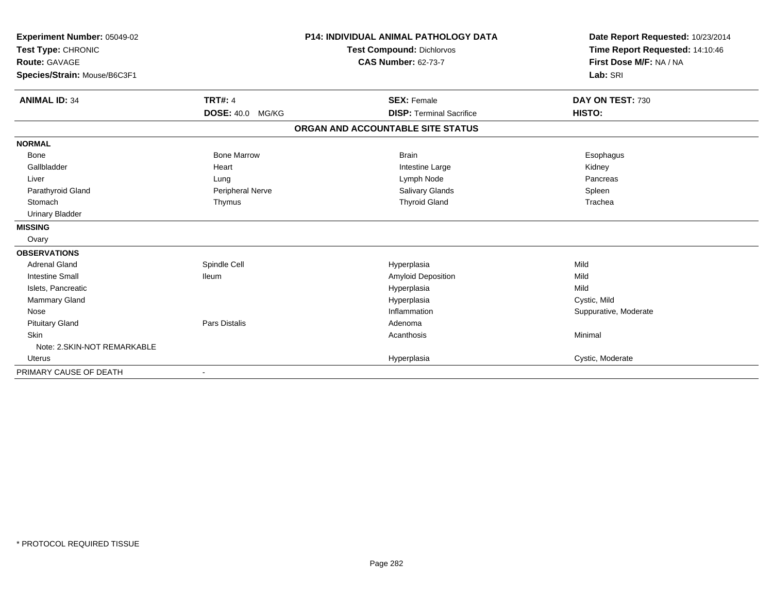| Experiment Number: 05049-02<br>Test Type: CHRONIC |                         | <b>P14: INDIVIDUAL ANIMAL PATHOLOGY DATA</b><br><b>Test Compound: Dichlorvos</b> | Date Report Requested: 10/23/2014<br>Time Report Requested: 14:10:46 |
|---------------------------------------------------|-------------------------|----------------------------------------------------------------------------------|----------------------------------------------------------------------|
| <b>Route: GAVAGE</b>                              |                         | <b>CAS Number: 62-73-7</b>                                                       | First Dose M/F: NA / NA                                              |
| Species/Strain: Mouse/B6C3F1                      |                         |                                                                                  | Lab: SRI                                                             |
| <b>ANIMAL ID: 34</b>                              | <b>TRT#: 4</b>          | <b>SEX: Female</b>                                                               | DAY ON TEST: 730                                                     |
|                                                   | <b>DOSE: 40.0 MG/KG</b> | <b>DISP: Terminal Sacrifice</b>                                                  | HISTO:                                                               |
|                                                   |                         | ORGAN AND ACCOUNTABLE SITE STATUS                                                |                                                                      |
| <b>NORMAL</b>                                     |                         |                                                                                  |                                                                      |
| <b>Bone</b>                                       | <b>Bone Marrow</b>      | <b>Brain</b>                                                                     | Esophagus                                                            |
| Gallbladder                                       | Heart                   | Intestine Large                                                                  | Kidney                                                               |
| Liver                                             | Lung                    | Lymph Node                                                                       | Pancreas                                                             |
| Parathyroid Gland                                 | Peripheral Nerve        | Salivary Glands                                                                  | Spleen                                                               |
| Stomach                                           | Thymus                  | <b>Thyroid Gland</b>                                                             | Trachea                                                              |
| <b>Urinary Bladder</b>                            |                         |                                                                                  |                                                                      |
| <b>MISSING</b>                                    |                         |                                                                                  |                                                                      |
| Ovary                                             |                         |                                                                                  |                                                                      |
| <b>OBSERVATIONS</b>                               |                         |                                                                                  |                                                                      |
| <b>Adrenal Gland</b>                              | Spindle Cell            | Hyperplasia                                                                      | Mild                                                                 |
| <b>Intestine Small</b>                            | lleum                   | Amyloid Deposition                                                               | Mild                                                                 |
| Islets, Pancreatic                                |                         | Hyperplasia                                                                      | Mild                                                                 |
| <b>Mammary Gland</b>                              |                         | Hyperplasia                                                                      | Cystic, Mild                                                         |
| Nose                                              |                         | Inflammation                                                                     | Suppurative, Moderate                                                |
| <b>Pituitary Gland</b>                            | <b>Pars Distalis</b>    | Adenoma                                                                          |                                                                      |
| <b>Skin</b>                                       |                         | Acanthosis                                                                       | Minimal                                                              |
| Note: 2. SKIN-NOT REMARKABLE                      |                         |                                                                                  |                                                                      |
| Uterus                                            |                         | Hyperplasia                                                                      | Cystic, Moderate                                                     |
| PRIMARY CAUSE OF DEATH                            |                         |                                                                                  |                                                                      |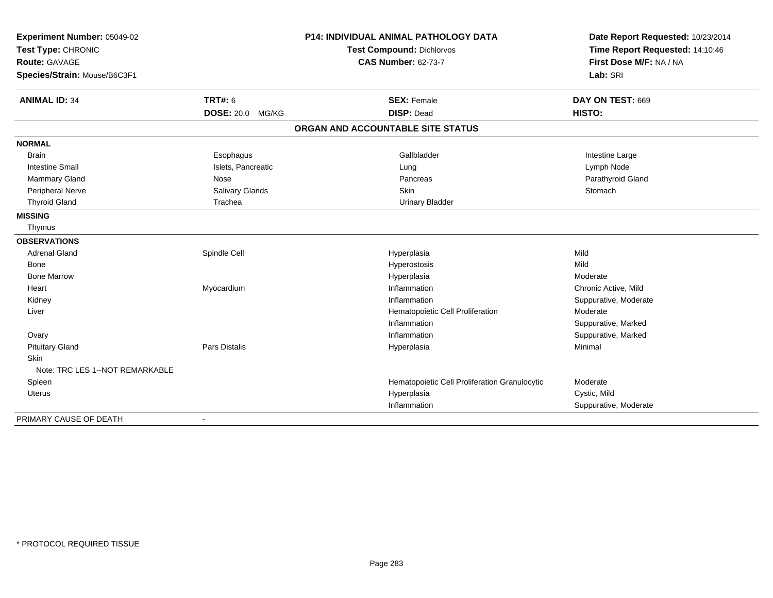| Experiment Number: 05049-02<br>Test Type: CHRONIC |                         | <b>P14: INDIVIDUAL ANIMAL PATHOLOGY DATA</b>  | Date Report Requested: 10/23/2014<br>Time Report Requested: 14:10:46 |
|---------------------------------------------------|-------------------------|-----------------------------------------------|----------------------------------------------------------------------|
|                                                   |                         | Test Compound: Dichlorvos                     |                                                                      |
| Route: GAVAGE                                     |                         | <b>CAS Number: 62-73-7</b>                    | First Dose M/F: NA / NA                                              |
| Species/Strain: Mouse/B6C3F1                      |                         |                                               | Lab: SRI                                                             |
| <b>ANIMAL ID: 34</b>                              | <b>TRT#: 6</b>          | <b>SEX: Female</b>                            | DAY ON TEST: 669                                                     |
|                                                   | <b>DOSE: 20.0 MG/KG</b> | <b>DISP: Dead</b>                             | HISTO:                                                               |
|                                                   |                         | ORGAN AND ACCOUNTABLE SITE STATUS             |                                                                      |
| <b>NORMAL</b>                                     |                         |                                               |                                                                      |
| <b>Brain</b>                                      | Esophagus               | Gallbladder                                   | Intestine Large                                                      |
| <b>Intestine Small</b>                            | Islets, Pancreatic      | Lung                                          | Lymph Node                                                           |
| Mammary Gland                                     | Nose                    | Pancreas                                      | Parathyroid Gland                                                    |
| Peripheral Nerve                                  | Salivary Glands         | Skin                                          | Stomach                                                              |
| <b>Thyroid Gland</b>                              | Trachea                 | <b>Urinary Bladder</b>                        |                                                                      |
| <b>MISSING</b>                                    |                         |                                               |                                                                      |
| Thymus                                            |                         |                                               |                                                                      |
| <b>OBSERVATIONS</b>                               |                         |                                               |                                                                      |
| <b>Adrenal Gland</b>                              | Spindle Cell            | Hyperplasia                                   | Mild                                                                 |
| Bone                                              |                         | Hyperostosis                                  | Mild                                                                 |
| <b>Bone Marrow</b>                                |                         | Hyperplasia                                   | Moderate                                                             |
| Heart                                             | Myocardium              | Inflammation                                  | Chronic Active, Mild                                                 |
| Kidney                                            |                         | Inflammation                                  | Suppurative, Moderate                                                |
| Liver                                             |                         | Hematopoietic Cell Proliferation              | Moderate                                                             |
|                                                   |                         | Inflammation                                  | Suppurative, Marked                                                  |
| Ovary                                             |                         | Inflammation                                  | Suppurative, Marked                                                  |
| <b>Pituitary Gland</b>                            | <b>Pars Distalis</b>    | Hyperplasia                                   | Minimal                                                              |
| <b>Skin</b>                                       |                         |                                               |                                                                      |
| Note: TRC LES 1--NOT REMARKABLE                   |                         |                                               |                                                                      |
| Spleen                                            |                         | Hematopoietic Cell Proliferation Granulocytic | Moderate                                                             |
| Uterus                                            |                         | Hyperplasia                                   | Cystic, Mild                                                         |
|                                                   |                         | Inflammation                                  | Suppurative, Moderate                                                |
| PRIMARY CAUSE OF DEATH                            |                         |                                               |                                                                      |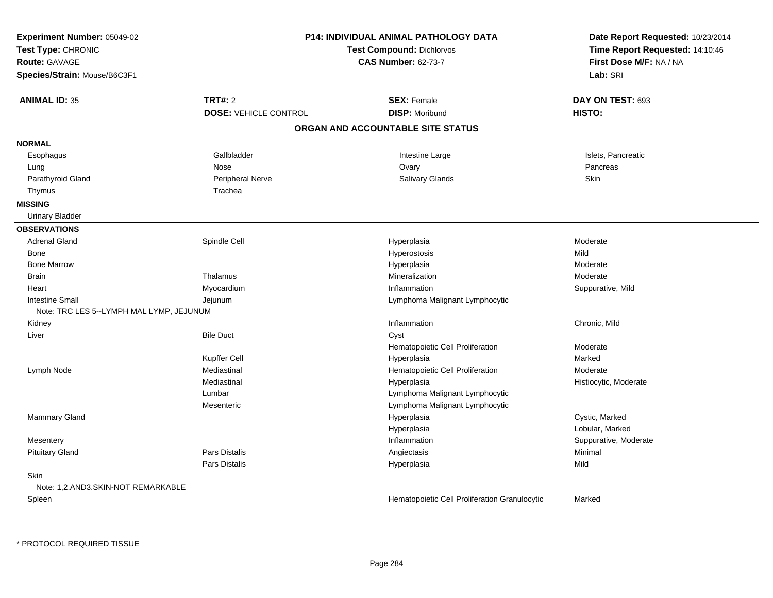| Experiment Number: 05049-02<br>Test Type: CHRONIC<br><b>Route: GAVAGE</b><br>Species/Strain: Mouse/B6C3F1 |                              | <b>P14: INDIVIDUAL ANIMAL PATHOLOGY DATA</b><br><b>Test Compound: Dichlorvos</b><br><b>CAS Number: 62-73-7</b> | Date Report Requested: 10/23/2014<br>Time Report Requested: 14:10:46<br>First Dose M/F: NA / NA<br>Lab: SRI |
|-----------------------------------------------------------------------------------------------------------|------------------------------|----------------------------------------------------------------------------------------------------------------|-------------------------------------------------------------------------------------------------------------|
| <b>ANIMAL ID: 35</b>                                                                                      | <b>TRT#: 2</b>               | <b>SEX: Female</b>                                                                                             | DAY ON TEST: 693                                                                                            |
|                                                                                                           | <b>DOSE: VEHICLE CONTROL</b> | <b>DISP: Moribund</b>                                                                                          | HISTO:                                                                                                      |
|                                                                                                           |                              | ORGAN AND ACCOUNTABLE SITE STATUS                                                                              |                                                                                                             |
| <b>NORMAL</b>                                                                                             |                              |                                                                                                                |                                                                                                             |
| Esophagus                                                                                                 | Gallbladder                  | Intestine Large                                                                                                | Islets, Pancreatic                                                                                          |
| Lung                                                                                                      | Nose                         | Ovary                                                                                                          | Pancreas                                                                                                    |
| Parathyroid Gland                                                                                         | Peripheral Nerve             | Salivary Glands                                                                                                | Skin                                                                                                        |
| Thymus                                                                                                    | Trachea                      |                                                                                                                |                                                                                                             |
| <b>MISSING</b>                                                                                            |                              |                                                                                                                |                                                                                                             |
| <b>Urinary Bladder</b>                                                                                    |                              |                                                                                                                |                                                                                                             |
| <b>OBSERVATIONS</b>                                                                                       |                              |                                                                                                                |                                                                                                             |
| <b>Adrenal Gland</b>                                                                                      | Spindle Cell                 | Hyperplasia                                                                                                    | Moderate                                                                                                    |
| Bone                                                                                                      |                              | Hyperostosis                                                                                                   | Mild                                                                                                        |
| <b>Bone Marrow</b>                                                                                        |                              | Hyperplasia                                                                                                    | Moderate                                                                                                    |
| <b>Brain</b>                                                                                              | Thalamus                     | Mineralization                                                                                                 | Moderate                                                                                                    |
| Heart                                                                                                     | Myocardium                   | Inflammation                                                                                                   | Suppurative, Mild                                                                                           |
| <b>Intestine Small</b>                                                                                    | Jejunum                      | Lymphoma Malignant Lymphocytic                                                                                 |                                                                                                             |
| Note: TRC LES 5--LYMPH MAL LYMP, JEJUNUM                                                                  |                              |                                                                                                                |                                                                                                             |
| Kidney                                                                                                    |                              | Inflammation                                                                                                   | Chronic, Mild                                                                                               |
| Liver                                                                                                     | <b>Bile Duct</b>             | Cyst                                                                                                           |                                                                                                             |
|                                                                                                           |                              | Hematopoietic Cell Proliferation                                                                               | Moderate                                                                                                    |
|                                                                                                           | Kupffer Cell                 | Hyperplasia                                                                                                    | Marked                                                                                                      |
| Lymph Node                                                                                                | Mediastinal                  | Hematopoietic Cell Proliferation                                                                               | Moderate                                                                                                    |
|                                                                                                           | Mediastinal                  | Hyperplasia                                                                                                    | Histiocytic, Moderate                                                                                       |
|                                                                                                           | Lumbar                       | Lymphoma Malignant Lymphocytic                                                                                 |                                                                                                             |
|                                                                                                           | Mesenteric                   | Lymphoma Malignant Lymphocytic                                                                                 |                                                                                                             |
| Mammary Gland                                                                                             |                              | Hyperplasia                                                                                                    | Cystic, Marked                                                                                              |
|                                                                                                           |                              | Hyperplasia                                                                                                    | Lobular, Marked                                                                                             |
| Mesentery                                                                                                 |                              | Inflammation                                                                                                   | Suppurative, Moderate                                                                                       |
| <b>Pituitary Gland</b>                                                                                    | Pars Distalis                | Angiectasis                                                                                                    | Minimal                                                                                                     |
|                                                                                                           | <b>Pars Distalis</b>         | Hyperplasia                                                                                                    | Mild                                                                                                        |
| Skin                                                                                                      |                              |                                                                                                                |                                                                                                             |
| Note: 1,2.AND3.SKIN-NOT REMARKABLE                                                                        |                              |                                                                                                                |                                                                                                             |
| Spleen                                                                                                    |                              | Hematopoietic Cell Proliferation Granulocytic                                                                  | Marked                                                                                                      |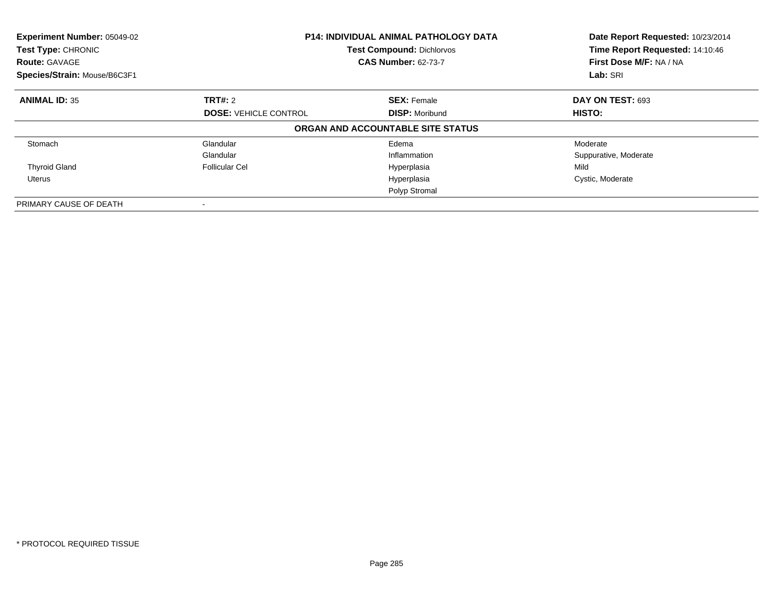| Experiment Number: 05049-02<br>Test Type: CHRONIC<br><b>Route: GAVAGE</b><br>Species/Strain: Mouse/B6C3F1 |                              | <b>P14: INDIVIDUAL ANIMAL PATHOLOGY DATA</b><br><b>Test Compound: Dichlorvos</b><br><b>CAS Number: 62-73-7</b> | Date Report Requested: 10/23/2014<br>Time Report Requested: 14:10:46<br>First Dose M/F: NA / NA<br>Lab: SRI |
|-----------------------------------------------------------------------------------------------------------|------------------------------|----------------------------------------------------------------------------------------------------------------|-------------------------------------------------------------------------------------------------------------|
| <b>ANIMAL ID: 35</b>                                                                                      | TRT#: 2                      | <b>SEX: Female</b>                                                                                             | <b>DAY ON TEST: 693</b>                                                                                     |
|                                                                                                           | <b>DOSE: VEHICLE CONTROL</b> | <b>DISP: Moribund</b>                                                                                          | <b>HISTO:</b>                                                                                               |
|                                                                                                           |                              | ORGAN AND ACCOUNTABLE SITE STATUS                                                                              |                                                                                                             |
| Stomach                                                                                                   | Glandular                    | Edema                                                                                                          | Moderate                                                                                                    |
|                                                                                                           | Glandular                    | Inflammation                                                                                                   | Suppurative, Moderate                                                                                       |
| <b>Thyroid Gland</b>                                                                                      | <b>Follicular Cel</b>        | Hyperplasia                                                                                                    | Mild                                                                                                        |
| Uterus                                                                                                    |                              | Hyperplasia                                                                                                    | Cystic, Moderate                                                                                            |
|                                                                                                           |                              | Polyp Stromal                                                                                                  |                                                                                                             |
| PRIMARY CAUSE OF DEATH                                                                                    |                              |                                                                                                                |                                                                                                             |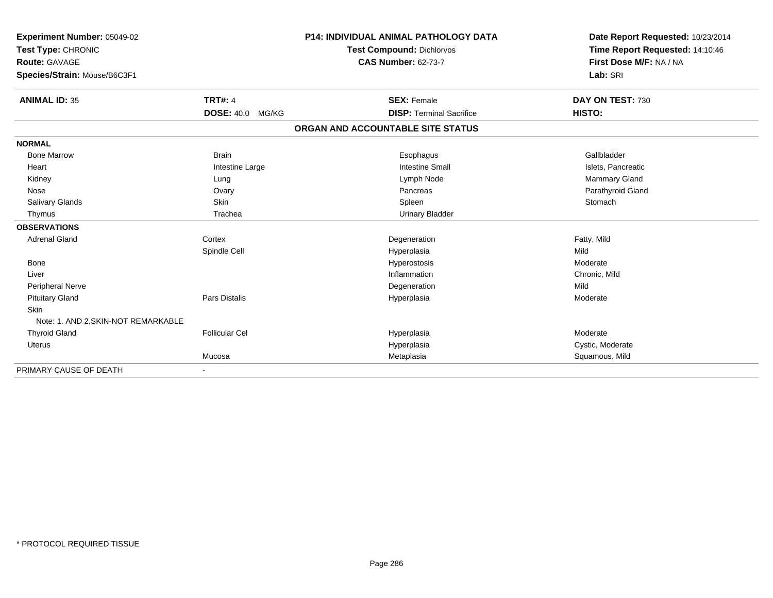| Experiment Number: 05049-02<br>Test Type: CHRONIC |                       | <b>P14: INDIVIDUAL ANIMAL PATHOLOGY DATA</b><br><b>Test Compound: Dichlorvos</b> |                                   | Date Report Requested: 10/23/2014 |
|---------------------------------------------------|-----------------------|----------------------------------------------------------------------------------|-----------------------------------|-----------------------------------|
|                                                   |                       |                                                                                  |                                   | Time Report Requested: 14:10:46   |
| <b>Route: GAVAGE</b>                              |                       | <b>CAS Number: 62-73-7</b>                                                       |                                   | First Dose M/F: NA / NA           |
| Species/Strain: Mouse/B6C3F1                      |                       |                                                                                  |                                   | Lab: SRI                          |
| <b>ANIMAL ID: 35</b>                              | <b>TRT#: 4</b>        |                                                                                  | <b>SEX: Female</b>                | DAY ON TEST: 730                  |
|                                                   | DOSE: 40.0 MG/KG      |                                                                                  | <b>DISP: Terminal Sacrifice</b>   | HISTO:                            |
|                                                   |                       |                                                                                  | ORGAN AND ACCOUNTABLE SITE STATUS |                                   |
| <b>NORMAL</b>                                     |                       |                                                                                  |                                   |                                   |
| <b>Bone Marrow</b>                                | <b>Brain</b>          |                                                                                  | Esophagus                         | Gallbladder                       |
| Heart                                             | Intestine Large       |                                                                                  | <b>Intestine Small</b>            | Islets, Pancreatic                |
| Kidney                                            | Lung                  |                                                                                  | Lymph Node                        | Mammary Gland                     |
| Nose                                              | Ovary                 |                                                                                  | Pancreas                          | Parathyroid Gland                 |
| Salivary Glands                                   | Skin                  |                                                                                  | Spleen                            | Stomach                           |
| Thymus                                            | Trachea               |                                                                                  | <b>Urinary Bladder</b>            |                                   |
| <b>OBSERVATIONS</b>                               |                       |                                                                                  |                                   |                                   |
| <b>Adrenal Gland</b>                              | Cortex                |                                                                                  | Degeneration                      | Fatty, Mild                       |
|                                                   | Spindle Cell          |                                                                                  | Hyperplasia                       | Mild                              |
| Bone                                              |                       |                                                                                  | Hyperostosis                      | Moderate                          |
| Liver                                             |                       |                                                                                  | Inflammation                      | Chronic, Mild                     |
| Peripheral Nerve                                  |                       |                                                                                  | Degeneration                      | Mild                              |
| <b>Pituitary Gland</b>                            | Pars Distalis         |                                                                                  | Hyperplasia                       | Moderate                          |
| <b>Skin</b>                                       |                       |                                                                                  |                                   |                                   |
| Note: 1. AND 2. SKIN-NOT REMARKABLE               |                       |                                                                                  |                                   |                                   |
| <b>Thyroid Gland</b>                              | <b>Follicular Cel</b> |                                                                                  | Hyperplasia                       | Moderate                          |
| <b>Uterus</b>                                     |                       |                                                                                  | Hyperplasia                       | Cystic, Moderate                  |
|                                                   | Mucosa                |                                                                                  | Metaplasia                        | Squamous, Mild                    |
| PRIMARY CAUSE OF DEATH                            |                       |                                                                                  |                                   |                                   |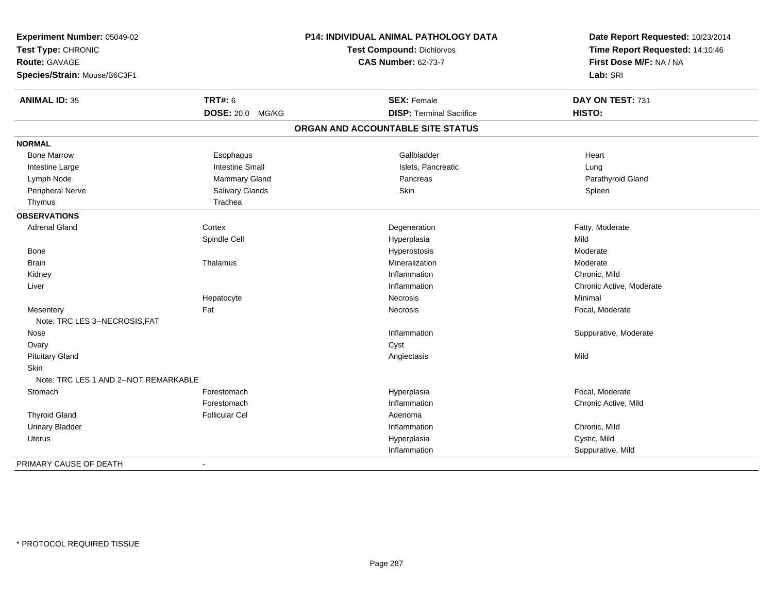| Experiment Number: 05049-02<br>Test Type: CHRONIC<br>Route: GAVAGE<br>Species/Strain: Mouse/B6C3F1 |                        | <b>P14: INDIVIDUAL ANIMAL PATHOLOGY DATA</b><br><b>Test Compound: Dichlorvos</b><br><b>CAS Number: 62-73-7</b> | Date Report Requested: 10/23/2014<br>Time Report Requested: 14:10:46<br>First Dose M/F: NA / NA<br>Lab: SRI |
|----------------------------------------------------------------------------------------------------|------------------------|----------------------------------------------------------------------------------------------------------------|-------------------------------------------------------------------------------------------------------------|
|                                                                                                    |                        |                                                                                                                |                                                                                                             |
| <b>ANIMAL ID: 35</b>                                                                               | <b>TRT#: 6</b>         | <b>SEX: Female</b>                                                                                             | DAY ON TEST: 731                                                                                            |
|                                                                                                    | DOSE: 20.0 MG/KG       | <b>DISP: Terminal Sacrifice</b>                                                                                | HISTO:                                                                                                      |
|                                                                                                    |                        | ORGAN AND ACCOUNTABLE SITE STATUS                                                                              |                                                                                                             |
| <b>NORMAL</b>                                                                                      |                        |                                                                                                                |                                                                                                             |
| <b>Bone Marrow</b>                                                                                 | Esophagus              | Gallbladder                                                                                                    | Heart                                                                                                       |
| Intestine Large                                                                                    | <b>Intestine Small</b> | Islets, Pancreatic                                                                                             | Lung                                                                                                        |
| Lymph Node                                                                                         | Mammary Gland          | Pancreas                                                                                                       | Parathyroid Gland                                                                                           |
| Peripheral Nerve                                                                                   | Salivary Glands        | Skin                                                                                                           | Spleen                                                                                                      |
| Thymus                                                                                             | Trachea                |                                                                                                                |                                                                                                             |
| <b>OBSERVATIONS</b>                                                                                |                        |                                                                                                                |                                                                                                             |
| <b>Adrenal Gland</b>                                                                               | Cortex                 | Degeneration                                                                                                   | Fatty, Moderate                                                                                             |
|                                                                                                    | Spindle Cell           | Hyperplasia                                                                                                    | Mild                                                                                                        |
| Bone                                                                                               |                        | Hyperostosis                                                                                                   | Moderate                                                                                                    |
| <b>Brain</b>                                                                                       | Thalamus               | Mineralization                                                                                                 | Moderate                                                                                                    |
| Kidney                                                                                             |                        | Inflammation                                                                                                   | Chronic, Mild                                                                                               |
| Liver                                                                                              |                        | Inflammation                                                                                                   | Chronic Active, Moderate                                                                                    |
|                                                                                                    | Hepatocyte             | Necrosis                                                                                                       | Minimal                                                                                                     |
| Mesentery                                                                                          | Fat                    | Necrosis                                                                                                       | Focal, Moderate                                                                                             |
| Note: TRC LES 3--NECROSIS, FAT                                                                     |                        |                                                                                                                |                                                                                                             |
| Nose                                                                                               |                        | Inflammation                                                                                                   | Suppurative, Moderate                                                                                       |
| Ovary                                                                                              |                        | Cyst                                                                                                           |                                                                                                             |
| <b>Pituitary Gland</b>                                                                             |                        | Angiectasis                                                                                                    | Mild                                                                                                        |
| Skin                                                                                               |                        |                                                                                                                |                                                                                                             |
| Note: TRC LES 1 AND 2--NOT REMARKABLE                                                              |                        |                                                                                                                |                                                                                                             |
| Stomach                                                                                            | Forestomach            | Hyperplasia                                                                                                    | Focal, Moderate                                                                                             |
|                                                                                                    | Forestomach            | Inflammation                                                                                                   | Chronic Active, Mild                                                                                        |
| <b>Thyroid Gland</b>                                                                               | <b>Follicular Cel</b>  | Adenoma                                                                                                        |                                                                                                             |
| <b>Urinary Bladder</b>                                                                             |                        | Inflammation                                                                                                   | Chronic, Mild                                                                                               |
| Uterus                                                                                             |                        | Hyperplasia                                                                                                    | Cystic, Mild                                                                                                |
|                                                                                                    |                        | Inflammation                                                                                                   | Suppurative, Mild                                                                                           |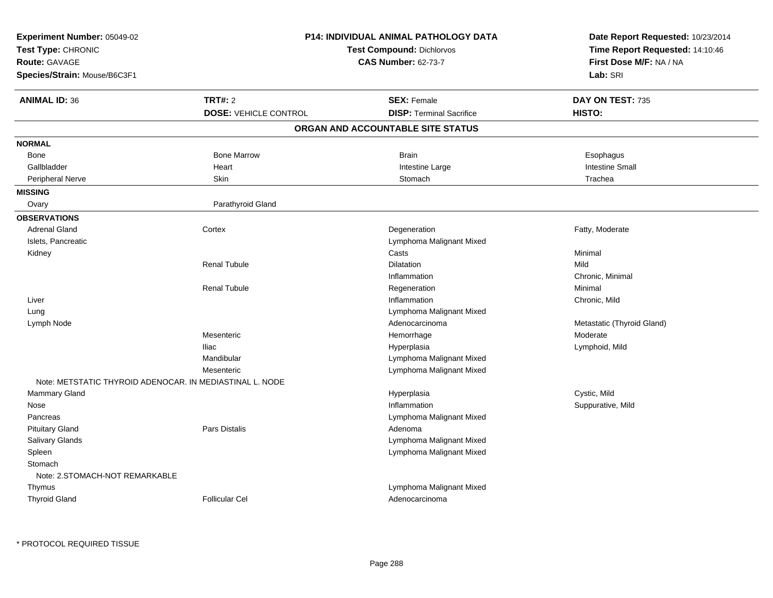| Experiment Number: 05049-02                              |                              | P14: INDIVIDUAL ANIMAL PATHOLOGY DATA | Date Report Requested: 10/23/2014                          |
|----------------------------------------------------------|------------------------------|---------------------------------------|------------------------------------------------------------|
| Test Type: CHRONIC                                       |                              | <b>Test Compound: Dichlorvos</b>      |                                                            |
| <b>Route: GAVAGE</b>                                     |                              | <b>CAS Number: 62-73-7</b>            | Time Report Requested: 14:10:46<br>First Dose M/F: NA / NA |
| Species/Strain: Mouse/B6C3F1                             |                              |                                       | Lab: SRI                                                   |
|                                                          |                              |                                       |                                                            |
| <b>ANIMAL ID: 36</b>                                     | <b>TRT#: 2</b>               | <b>SEX: Female</b>                    | DAY ON TEST: 735                                           |
|                                                          | <b>DOSE: VEHICLE CONTROL</b> | <b>DISP: Terminal Sacrifice</b>       | HISTO:                                                     |
|                                                          |                              | ORGAN AND ACCOUNTABLE SITE STATUS     |                                                            |
| <b>NORMAL</b>                                            |                              |                                       |                                                            |
| Bone                                                     | <b>Bone Marrow</b>           | <b>Brain</b>                          | Esophagus                                                  |
| Gallbladder                                              | Heart                        | Intestine Large                       | <b>Intestine Small</b>                                     |
| Peripheral Nerve                                         | Skin                         | Stomach                               | Trachea                                                    |
| <b>MISSING</b>                                           |                              |                                       |                                                            |
| Ovary                                                    | Parathyroid Gland            |                                       |                                                            |
| <b>OBSERVATIONS</b>                                      |                              |                                       |                                                            |
| <b>Adrenal Gland</b>                                     | Cortex                       | Degeneration                          | Fatty, Moderate                                            |
| Islets, Pancreatic                                       |                              | Lymphoma Malignant Mixed              |                                                            |
| Kidney                                                   |                              | Casts                                 | Minimal                                                    |
|                                                          | <b>Renal Tubule</b>          | Dilatation                            | Mild                                                       |
|                                                          |                              | Inflammation                          | Chronic, Minimal                                           |
|                                                          | <b>Renal Tubule</b>          | Regeneration                          | Minimal                                                    |
| Liver                                                    |                              | Inflammation                          | Chronic, Mild                                              |
| Lung                                                     |                              | Lymphoma Malignant Mixed              |                                                            |
| Lymph Node                                               |                              | Adenocarcinoma                        | Metastatic (Thyroid Gland)                                 |
|                                                          | Mesenteric                   | Hemorrhage                            | Moderate                                                   |
|                                                          | <b>Iliac</b>                 | Hyperplasia                           | Lymphoid, Mild                                             |
|                                                          | Mandibular                   | Lymphoma Malignant Mixed              |                                                            |
|                                                          | Mesenteric                   | Lymphoma Malignant Mixed              |                                                            |
| Note: METSTATIC THYROID ADENOCAR. IN MEDIASTINAL L. NODE |                              |                                       |                                                            |
| Mammary Gland                                            |                              | Hyperplasia                           | Cystic, Mild                                               |
| Nose                                                     |                              | Inflammation                          | Suppurative, Mild                                          |
| Pancreas                                                 |                              | Lymphoma Malignant Mixed              |                                                            |
| <b>Pituitary Gland</b>                                   | Pars Distalis                | Adenoma                               |                                                            |
| Salivary Glands                                          |                              | Lymphoma Malignant Mixed              |                                                            |
| Spleen                                                   |                              | Lymphoma Malignant Mixed              |                                                            |
| Stomach                                                  |                              |                                       |                                                            |
| Note: 2.STOMACH-NOT REMARKABLE                           |                              |                                       |                                                            |
| Thymus                                                   |                              | Lymphoma Malignant Mixed              |                                                            |
| <b>Thyroid Gland</b>                                     | <b>Follicular Cel</b>        | Adenocarcinoma                        |                                                            |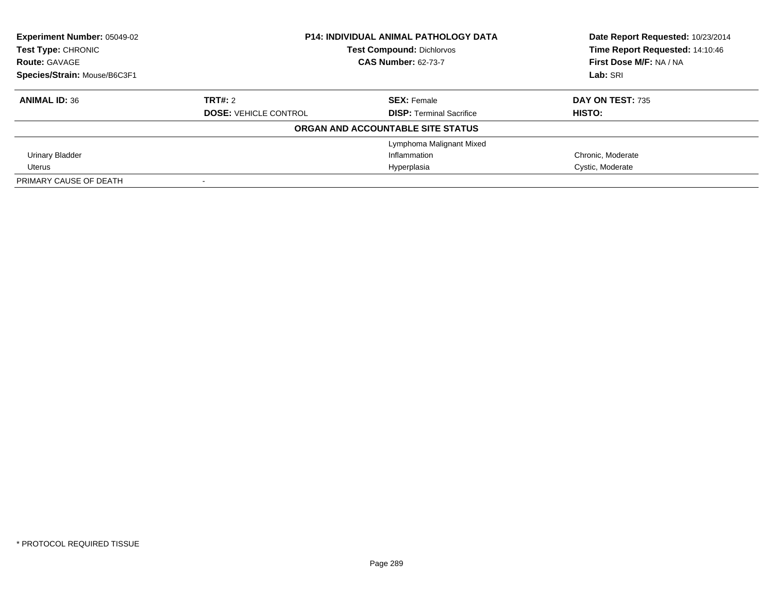| <b>Experiment Number: 05049-02</b> | <b>P14: INDIVIDUAL ANIMAL PATHOLOGY DATA</b><br><b>Test Compound: Dichlorvos</b> |                                   | Date Report Requested: 10/23/2014 |
|------------------------------------|----------------------------------------------------------------------------------|-----------------------------------|-----------------------------------|
| <b>Test Type: CHRONIC</b>          |                                                                                  |                                   | Time Report Requested: 14:10:46   |
| <b>Route: GAVAGE</b>               |                                                                                  | <b>CAS Number: 62-73-7</b>        | First Dose M/F: NA / NA           |
| Species/Strain: Mouse/B6C3F1       |                                                                                  |                                   | Lab: SRI                          |
| <b>ANIMAL ID: 36</b>               | TRT#: 2                                                                          | <b>SEX: Female</b>                | DAY ON TEST: 735                  |
|                                    | <b>DOSE: VEHICLE CONTROL</b>                                                     | <b>DISP:</b> Terminal Sacrifice   | HISTO:                            |
|                                    |                                                                                  | ORGAN AND ACCOUNTABLE SITE STATUS |                                   |
|                                    |                                                                                  | Lymphoma Malignant Mixed          |                                   |
| <b>Urinary Bladder</b>             |                                                                                  | Inflammation                      | Chronic, Moderate                 |
| Uterus                             | Hyperplasia                                                                      |                                   | Cystic, Moderate                  |
| PRIMARY CAUSE OF DEATH             |                                                                                  |                                   |                                   |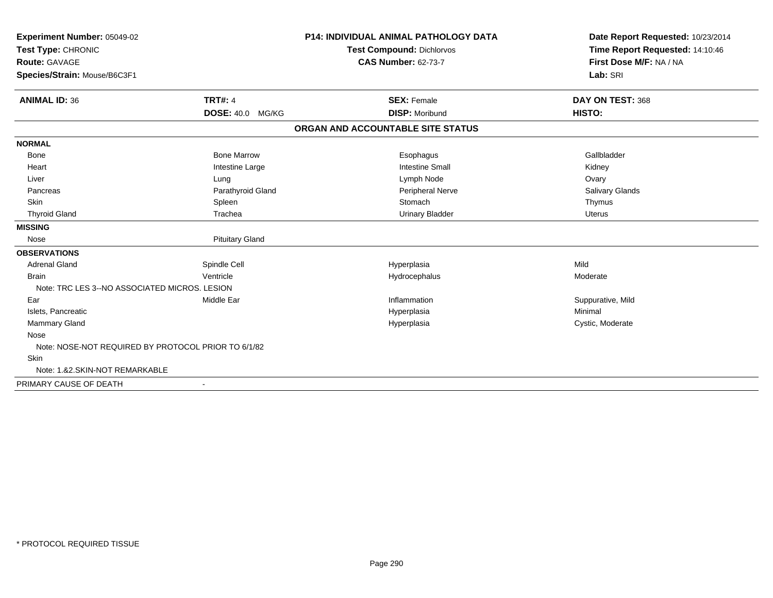| Experiment Number: 05049-02<br>Test Type: CHRONIC<br>Route: GAVAGE |                          | <b>P14: INDIVIDUAL ANIMAL PATHOLOGY DATA</b> | Date Report Requested: 10/23/2014 |  |
|--------------------------------------------------------------------|--------------------------|----------------------------------------------|-----------------------------------|--|
|                                                                    |                          | Test Compound: Dichlorvos                    | Time Report Requested: 14:10:46   |  |
|                                                                    |                          | <b>CAS Number: 62-73-7</b>                   | First Dose M/F: NA / NA           |  |
| Species/Strain: Mouse/B6C3F1                                       |                          |                                              | Lab: SRI                          |  |
| <b>ANIMAL ID: 36</b>                                               | <b>TRT#: 4</b>           | <b>SEX: Female</b>                           | DAY ON TEST: 368                  |  |
|                                                                    | DOSE: 40.0 MG/KG         | <b>DISP: Moribund</b>                        | HISTO:                            |  |
|                                                                    |                          | ORGAN AND ACCOUNTABLE SITE STATUS            |                                   |  |
| <b>NORMAL</b>                                                      |                          |                                              |                                   |  |
| Bone                                                               | <b>Bone Marrow</b>       | Esophagus                                    | Gallbladder                       |  |
| Heart                                                              | Intestine Large          | <b>Intestine Small</b>                       | Kidney                            |  |
| Liver                                                              | Lung                     | Lymph Node                                   | Ovary                             |  |
| Pancreas                                                           | Parathyroid Gland        | Peripheral Nerve                             | Salivary Glands                   |  |
| <b>Skin</b>                                                        | Spleen                   | Stomach                                      | Thymus                            |  |
| <b>Thyroid Gland</b>                                               | Trachea                  | <b>Urinary Bladder</b>                       | <b>Uterus</b>                     |  |
| <b>MISSING</b>                                                     |                          |                                              |                                   |  |
| Nose                                                               | <b>Pituitary Gland</b>   |                                              |                                   |  |
| <b>OBSERVATIONS</b>                                                |                          |                                              |                                   |  |
| <b>Adrenal Gland</b>                                               | Spindle Cell             | Hyperplasia                                  | Mild                              |  |
| <b>Brain</b>                                                       | Ventricle                | Hydrocephalus                                | Moderate                          |  |
| Note: TRC LES 3--NO ASSOCIATED MICROS, LESION                      |                          |                                              |                                   |  |
| Ear                                                                | Middle Ear               | Inflammation                                 | Suppurative, Mild                 |  |
| Islets, Pancreatic                                                 |                          | Hyperplasia                                  | Minimal                           |  |
| Mammary Gland                                                      |                          | Hyperplasia                                  | Cystic, Moderate                  |  |
| Nose                                                               |                          |                                              |                                   |  |
| Note: NOSE-NOT REQUIRED BY PROTOCOL PRIOR TO 6/1/82                |                          |                                              |                                   |  |
| <b>Skin</b>                                                        |                          |                                              |                                   |  |
| Note: 1.&2.SKIN-NOT REMARKABLE                                     |                          |                                              |                                   |  |
| PRIMARY CAUSE OF DEATH                                             | $\overline{\phantom{a}}$ |                                              |                                   |  |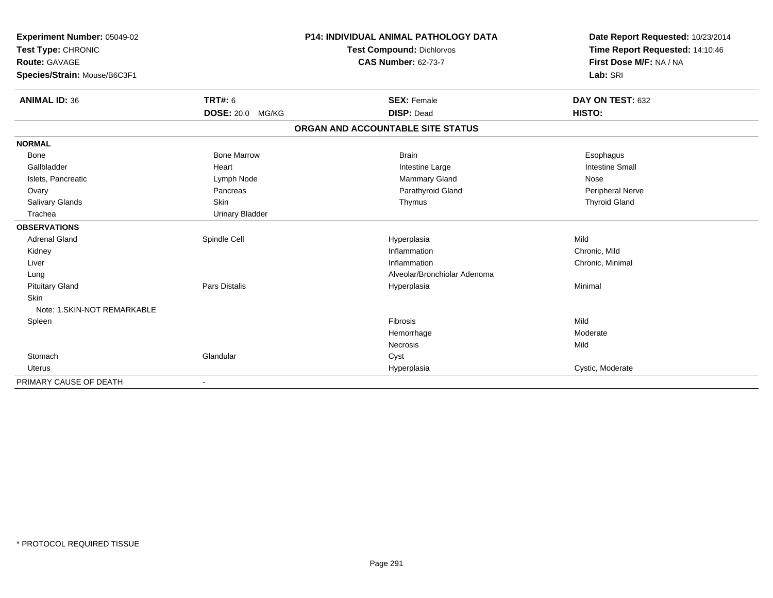| Experiment Number: 05049-02<br>Test Type: CHRONIC<br><b>Route: GAVAGE</b> |                         | <b>P14: INDIVIDUAL ANIMAL PATHOLOGY DATA</b> | Date Report Requested: 10/23/2014 |  |
|---------------------------------------------------------------------------|-------------------------|----------------------------------------------|-----------------------------------|--|
|                                                                           |                         | <b>Test Compound: Dichlorvos</b>             | Time Report Requested: 14:10:46   |  |
|                                                                           |                         | <b>CAS Number: 62-73-7</b>                   | First Dose M/F: NA / NA           |  |
| Species/Strain: Mouse/B6C3F1                                              |                         |                                              | Lab: SRI                          |  |
| <b>ANIMAL ID: 36</b>                                                      | <b>TRT#: 6</b>          | <b>SEX: Female</b>                           | DAY ON TEST: 632                  |  |
|                                                                           | <b>DOSE: 20.0 MG/KG</b> | <b>DISP: Dead</b>                            | HISTO:                            |  |
|                                                                           |                         | ORGAN AND ACCOUNTABLE SITE STATUS            |                                   |  |
| <b>NORMAL</b>                                                             |                         |                                              |                                   |  |
| <b>Bone</b>                                                               | <b>Bone Marrow</b>      | <b>Brain</b>                                 | Esophagus                         |  |
| Gallbladder                                                               | Heart                   | Intestine Large                              | <b>Intestine Small</b>            |  |
| Islets, Pancreatic                                                        | Lymph Node              | Mammary Gland                                | Nose                              |  |
| Ovary                                                                     | Pancreas                | Parathyroid Gland                            | <b>Peripheral Nerve</b>           |  |
| Salivary Glands                                                           | Skin                    | Thymus                                       | <b>Thyroid Gland</b>              |  |
| Trachea                                                                   | <b>Urinary Bladder</b>  |                                              |                                   |  |
| <b>OBSERVATIONS</b>                                                       |                         |                                              |                                   |  |
| <b>Adrenal Gland</b>                                                      | Spindle Cell            | Hyperplasia                                  | Mild                              |  |
| Kidney                                                                    |                         | Inflammation                                 | Chronic, Mild                     |  |
| Liver                                                                     |                         | Inflammation                                 | Chronic, Minimal                  |  |
| Lung                                                                      |                         | Alveolar/Bronchiolar Adenoma                 |                                   |  |
| <b>Pituitary Gland</b>                                                    | <b>Pars Distalis</b>    | Hyperplasia                                  | Minimal                           |  |
| Skin                                                                      |                         |                                              |                                   |  |
| Note: 1.SKIN-NOT REMARKABLE                                               |                         |                                              |                                   |  |
| Spleen                                                                    |                         | Fibrosis                                     | Mild                              |  |
|                                                                           |                         | Hemorrhage                                   | Moderate                          |  |
|                                                                           |                         | Necrosis                                     | Mild                              |  |
| Stomach                                                                   | Glandular               | Cyst                                         |                                   |  |
| <b>Uterus</b>                                                             |                         | Hyperplasia                                  | Cystic, Moderate                  |  |
| PRIMARY CAUSE OF DEATH                                                    |                         |                                              |                                   |  |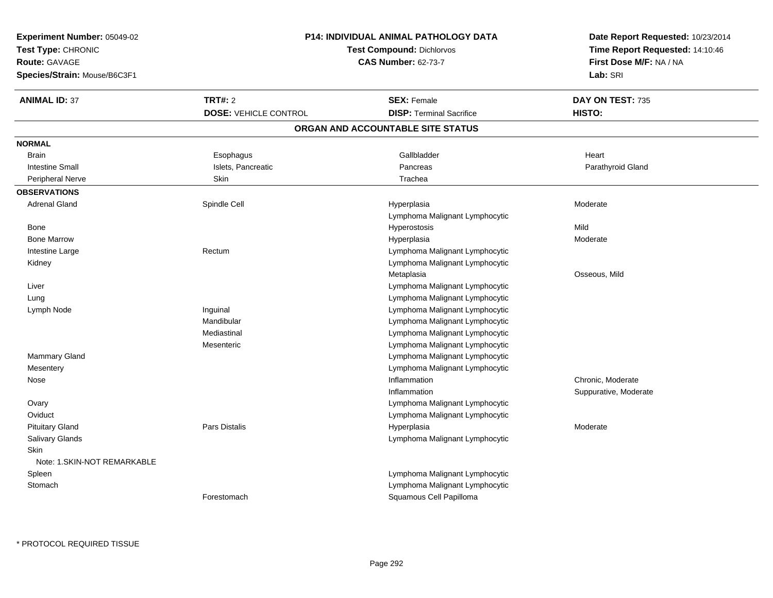| Experiment Number: 05049-02  |                              | <b>P14: INDIVIDUAL ANIMAL PATHOLOGY DATA</b>               | Date Report Requested: 10/23/2014 |
|------------------------------|------------------------------|------------------------------------------------------------|-----------------------------------|
| Test Type: CHRONIC           |                              | Time Report Requested: 14:10:46<br>First Dose M/F: NA / NA |                                   |
| <b>Route: GAVAGE</b>         | <b>CAS Number: 62-73-7</b>   |                                                            |                                   |
| Species/Strain: Mouse/B6C3F1 |                              |                                                            | Lab: SRI                          |
| <b>ANIMAL ID: 37</b>         | <b>TRT#: 2</b>               | <b>SEX: Female</b>                                         | DAY ON TEST: 735                  |
|                              | <b>DOSE: VEHICLE CONTROL</b> | <b>DISP: Terminal Sacrifice</b>                            | HISTO:                            |
|                              |                              | ORGAN AND ACCOUNTABLE SITE STATUS                          |                                   |
| <b>NORMAL</b>                |                              |                                                            |                                   |
| <b>Brain</b>                 | Esophagus                    | Gallbladder                                                | Heart                             |
| <b>Intestine Small</b>       | Islets, Pancreatic           | Pancreas                                                   | Parathyroid Gland                 |
| <b>Peripheral Nerve</b>      | Skin                         | Trachea                                                    |                                   |
| <b>OBSERVATIONS</b>          |                              |                                                            |                                   |
| <b>Adrenal Gland</b>         | Spindle Cell                 | Hyperplasia                                                | Moderate                          |
|                              |                              | Lymphoma Malignant Lymphocytic                             |                                   |
| Bone                         |                              | Hyperostosis                                               | Mild                              |
| <b>Bone Marrow</b>           |                              | Hyperplasia                                                | Moderate                          |
| Intestine Large              | Rectum                       | Lymphoma Malignant Lymphocytic                             |                                   |
| Kidney                       |                              | Lymphoma Malignant Lymphocytic                             |                                   |
|                              |                              | Metaplasia                                                 | Osseous, Mild                     |
| Liver                        |                              | Lymphoma Malignant Lymphocytic                             |                                   |
| Lung                         |                              | Lymphoma Malignant Lymphocytic                             |                                   |
| Lymph Node                   | Inguinal                     | Lymphoma Malignant Lymphocytic                             |                                   |
|                              | Mandibular                   | Lymphoma Malignant Lymphocytic                             |                                   |
|                              | Mediastinal                  | Lymphoma Malignant Lymphocytic                             |                                   |
|                              | Mesenteric                   | Lymphoma Malignant Lymphocytic                             |                                   |
| <b>Mammary Gland</b>         |                              | Lymphoma Malignant Lymphocytic                             |                                   |
| Mesentery                    |                              | Lymphoma Malignant Lymphocytic                             |                                   |
| Nose                         |                              | Inflammation                                               | Chronic, Moderate                 |
|                              |                              | Inflammation                                               | Suppurative, Moderate             |
| Ovary                        |                              | Lymphoma Malignant Lymphocytic                             |                                   |
| Oviduct                      |                              | Lymphoma Malignant Lymphocytic                             |                                   |
| <b>Pituitary Gland</b>       | <b>Pars Distalis</b>         | Hyperplasia                                                | Moderate                          |
| <b>Salivary Glands</b>       |                              | Lymphoma Malignant Lymphocytic                             |                                   |
| <b>Skin</b>                  |                              |                                                            |                                   |
| Note: 1.SKIN-NOT REMARKABLE  |                              |                                                            |                                   |
| Spleen                       |                              | Lymphoma Malignant Lymphocytic                             |                                   |
| Stomach                      |                              | Lymphoma Malignant Lymphocytic                             |                                   |
|                              | Forestomach                  | Squamous Cell Papilloma                                    |                                   |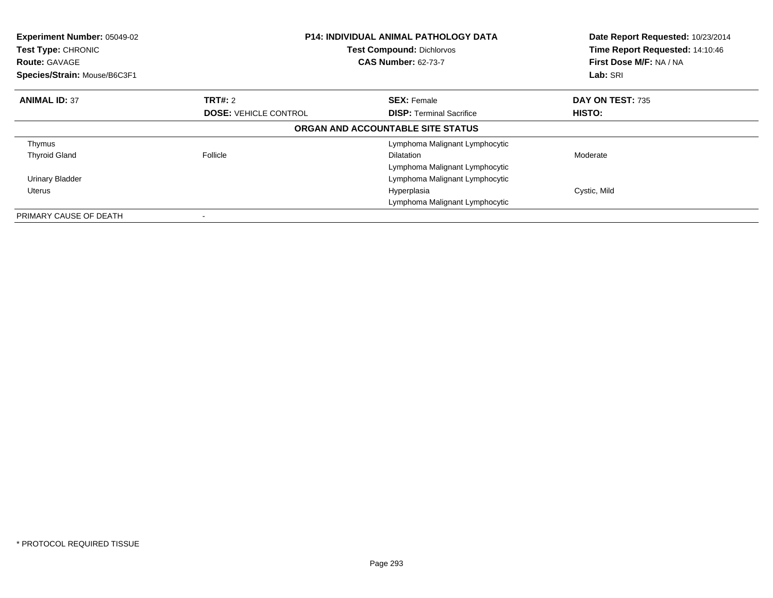| Experiment Number: 05049-02<br>Test Type: CHRONIC<br><b>Route: GAVAGE</b><br>Species/Strain: Mouse/B6C3F1 | <b>P14: INDIVIDUAL ANIMAL PATHOLOGY DATA</b><br><b>Test Compound: Dichlorvos</b><br><b>CAS Number: 62-73-7</b> |                                   | Date Report Requested: 10/23/2014<br>Time Report Requested: 14:10:46<br>First Dose M/F: NA / NA<br>Lab: SRI |
|-----------------------------------------------------------------------------------------------------------|----------------------------------------------------------------------------------------------------------------|-----------------------------------|-------------------------------------------------------------------------------------------------------------|
| <b>ANIMAL ID: 37</b>                                                                                      | TRT#: 2                                                                                                        | <b>SEX: Female</b>                | <b>DAY ON TEST: 735</b>                                                                                     |
|                                                                                                           | <b>DOSE: VEHICLE CONTROL</b>                                                                                   | <b>DISP:</b> Terminal Sacrifice   | HISTO:                                                                                                      |
|                                                                                                           |                                                                                                                | ORGAN AND ACCOUNTABLE SITE STATUS |                                                                                                             |
| Thymus                                                                                                    |                                                                                                                | Lymphoma Malignant Lymphocytic    |                                                                                                             |
| <b>Thyroid Gland</b>                                                                                      | Follicle                                                                                                       | <b>Dilatation</b>                 | Moderate                                                                                                    |
|                                                                                                           |                                                                                                                | Lymphoma Malignant Lymphocytic    |                                                                                                             |
| <b>Urinary Bladder</b>                                                                                    | Lymphoma Malignant Lymphocytic                                                                                 |                                   |                                                                                                             |
| Uterus                                                                                                    |                                                                                                                | Hyperplasia                       | Cystic, Mild                                                                                                |
|                                                                                                           |                                                                                                                | Lymphoma Malignant Lymphocytic    |                                                                                                             |
| PRIMARY CAUSE OF DEATH                                                                                    |                                                                                                                |                                   |                                                                                                             |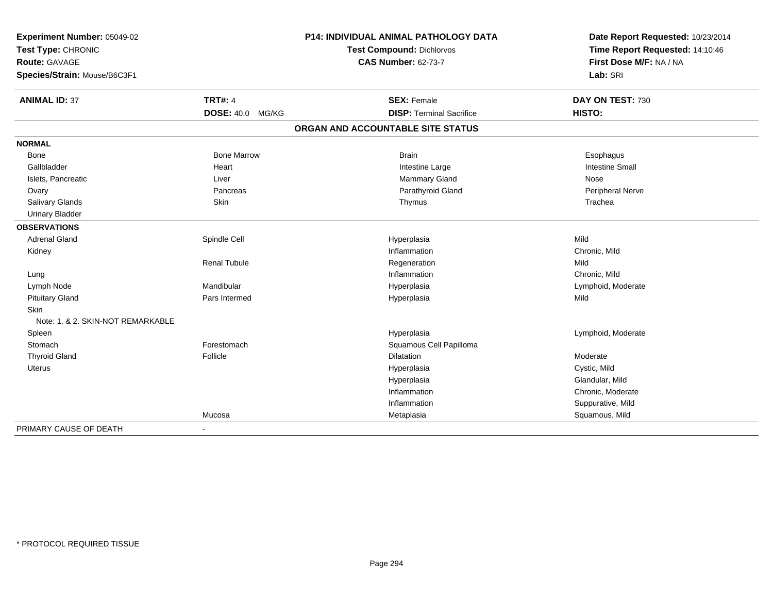| Experiment Number: 05049-02<br>Test Type: CHRONIC<br>Route: GAVAGE<br>Species/Strain: Mouse/B6C3F1 |                         | P14: INDIVIDUAL ANIMAL PATHOLOGY DATA<br><b>Test Compound: Dichlorvos</b> | Date Report Requested: 10/23/2014<br>Time Report Requested: 14:10:46 |
|----------------------------------------------------------------------------------------------------|-------------------------|---------------------------------------------------------------------------|----------------------------------------------------------------------|
|                                                                                                    |                         | <b>CAS Number: 62-73-7</b>                                                | First Dose M/F: NA / NA<br>Lab: SRI                                  |
| <b>ANIMAL ID: 37</b>                                                                               | <b>TRT#: 4</b>          | <b>SEX: Female</b>                                                        | DAY ON TEST: 730                                                     |
|                                                                                                    | <b>DOSE: 40.0 MG/KG</b> | <b>DISP: Terminal Sacrifice</b>                                           | HISTO:                                                               |
|                                                                                                    |                         | ORGAN AND ACCOUNTABLE SITE STATUS                                         |                                                                      |
| <b>NORMAL</b>                                                                                      |                         |                                                                           |                                                                      |
| <b>Bone</b>                                                                                        | <b>Bone Marrow</b>      | <b>Brain</b>                                                              | Esophagus                                                            |
| Gallbladder                                                                                        | Heart                   | Intestine Large                                                           | <b>Intestine Small</b>                                               |
| Islets, Pancreatic                                                                                 | Liver                   | Mammary Gland                                                             | Nose                                                                 |
| Ovary                                                                                              | Pancreas                | Parathyroid Gland                                                         | Peripheral Nerve                                                     |
| Salivary Glands                                                                                    | Skin                    | Thymus                                                                    | Trachea                                                              |
| <b>Urinary Bladder</b>                                                                             |                         |                                                                           |                                                                      |
| <b>OBSERVATIONS</b>                                                                                |                         |                                                                           |                                                                      |
| <b>Adrenal Gland</b>                                                                               | Spindle Cell            | Hyperplasia                                                               | Mild                                                                 |
| Kidney                                                                                             |                         | Inflammation                                                              | Chronic, Mild                                                        |
|                                                                                                    | <b>Renal Tubule</b>     | Regeneration                                                              | Mild                                                                 |
| Lung                                                                                               |                         | Inflammation                                                              | Chronic, Mild                                                        |
| Lymph Node                                                                                         | Mandibular              | Hyperplasia                                                               | Lymphoid, Moderate                                                   |
| <b>Pituitary Gland</b>                                                                             | Pars Intermed           | Hyperplasia                                                               | Mild                                                                 |
| <b>Skin</b>                                                                                        |                         |                                                                           |                                                                      |
| Note: 1, & 2, SKIN-NOT REMARKABLE                                                                  |                         |                                                                           |                                                                      |
| Spleen                                                                                             |                         | Hyperplasia                                                               | Lymphoid, Moderate                                                   |
| Stomach                                                                                            | Forestomach             | Squamous Cell Papilloma                                                   |                                                                      |
| <b>Thyroid Gland</b>                                                                               | Follicle                | Dilatation                                                                | Moderate                                                             |
| Uterus                                                                                             |                         | Hyperplasia                                                               | Cystic, Mild                                                         |
|                                                                                                    |                         | Hyperplasia                                                               | Glandular, Mild                                                      |
|                                                                                                    |                         | Inflammation                                                              | Chronic, Moderate                                                    |
|                                                                                                    |                         | Inflammation                                                              | Suppurative, Mild                                                    |
|                                                                                                    | Mucosa                  | Metaplasia                                                                | Squamous, Mild                                                       |
| PRIMARY CAUSE OF DEATH                                                                             | $\sim$                  |                                                                           |                                                                      |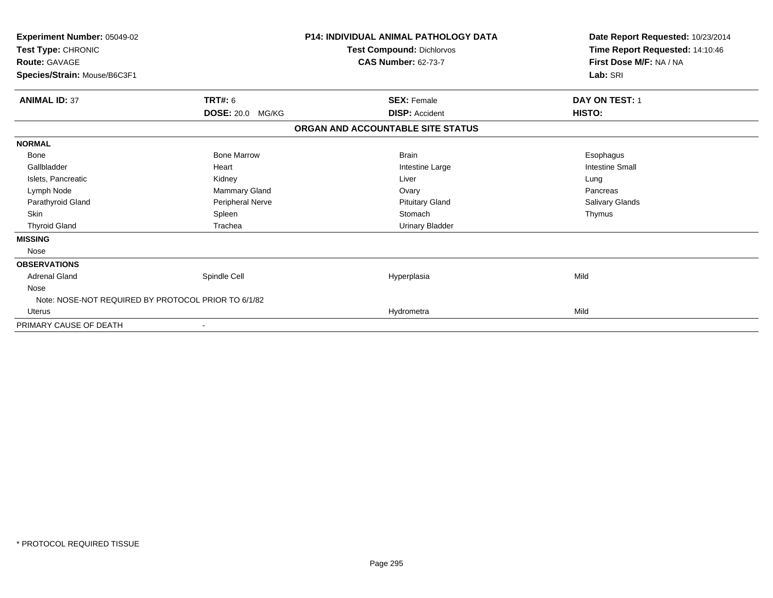| Experiment Number: 05049-02<br>Test Type: CHRONIC<br><b>Route: GAVAGE</b><br>Species/Strain: Mouse/B6C3F1 |                         | <b>P14: INDIVIDUAL ANIMAL PATHOLOGY DATA</b><br>Test Compound: Dichlorvos<br><b>CAS Number: 62-73-7</b> | Date Report Requested: 10/23/2014<br>Time Report Requested: 14:10:46<br>First Dose M/F: NA / NA<br>Lab: SRI |  |
|-----------------------------------------------------------------------------------------------------------|-------------------------|---------------------------------------------------------------------------------------------------------|-------------------------------------------------------------------------------------------------------------|--|
| <b>ANIMAL ID: 37</b>                                                                                      | <b>TRT#: 6</b>          | <b>SEX: Female</b>                                                                                      | <b>DAY ON TEST: 1</b>                                                                                       |  |
|                                                                                                           | <b>DOSE: 20.0 MG/KG</b> | <b>DISP: Accident</b>                                                                                   | HISTO:                                                                                                      |  |
|                                                                                                           |                         | ORGAN AND ACCOUNTABLE SITE STATUS                                                                       |                                                                                                             |  |
| <b>NORMAL</b>                                                                                             |                         |                                                                                                         |                                                                                                             |  |
| <b>Bone</b>                                                                                               | <b>Bone Marrow</b>      | <b>Brain</b>                                                                                            | Esophagus                                                                                                   |  |
| Gallbladder                                                                                               | Heart                   | Intestine Large                                                                                         | <b>Intestine Small</b>                                                                                      |  |
| Islets, Pancreatic                                                                                        | Kidney                  | Liver                                                                                                   | Lung                                                                                                        |  |
| Lymph Node                                                                                                | Mammary Gland           | Ovary                                                                                                   | Pancreas                                                                                                    |  |
| Parathyroid Gland                                                                                         | Peripheral Nerve        | <b>Pituitary Gland</b>                                                                                  | Salivary Glands                                                                                             |  |
| <b>Skin</b>                                                                                               | Spleen                  | Stomach                                                                                                 | Thymus                                                                                                      |  |
| <b>Thyroid Gland</b>                                                                                      | Trachea                 | <b>Urinary Bladder</b>                                                                                  |                                                                                                             |  |
| <b>MISSING</b>                                                                                            |                         |                                                                                                         |                                                                                                             |  |
| Nose                                                                                                      |                         |                                                                                                         |                                                                                                             |  |
| <b>OBSERVATIONS</b>                                                                                       |                         |                                                                                                         |                                                                                                             |  |
| <b>Adrenal Gland</b>                                                                                      | Spindle Cell            | Hyperplasia                                                                                             | Mild                                                                                                        |  |
| Nose                                                                                                      |                         |                                                                                                         |                                                                                                             |  |
| Note: NOSE-NOT REQUIRED BY PROTOCOL PRIOR TO 6/1/82                                                       |                         |                                                                                                         |                                                                                                             |  |
| Uterus                                                                                                    |                         | Hydrometra                                                                                              | Mild                                                                                                        |  |
| PRIMARY CAUSE OF DEATH                                                                                    |                         |                                                                                                         |                                                                                                             |  |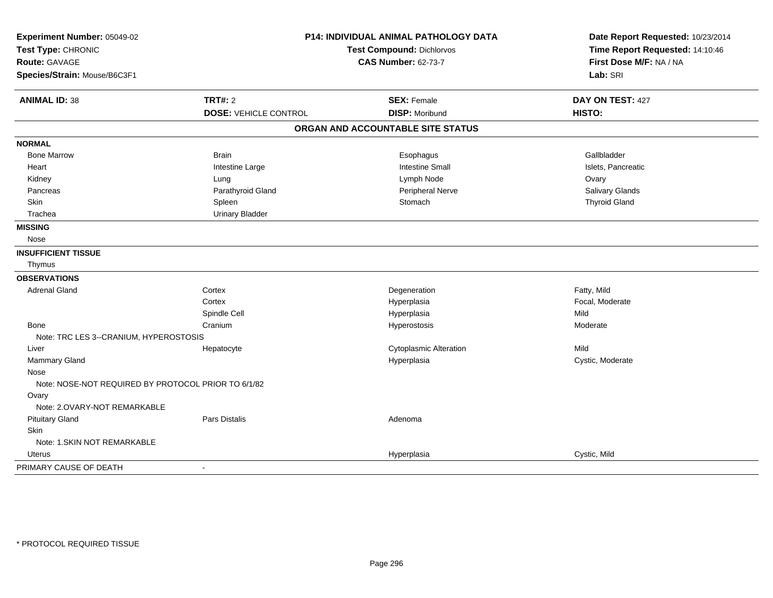| Experiment Number: 05049-02<br>Test Type: CHRONIC<br>Route: GAVAGE<br>Species/Strain: Mouse/B6C3F1 |                              | P14: INDIVIDUAL ANIMAL PATHOLOGY DATA<br>Test Compound: Dichlorvos<br><b>CAS Number: 62-73-7</b> | Date Report Requested: 10/23/2014<br>Time Report Requested: 14:10:46<br>First Dose M/F: NA / NA<br>Lab: SRI |
|----------------------------------------------------------------------------------------------------|------------------------------|--------------------------------------------------------------------------------------------------|-------------------------------------------------------------------------------------------------------------|
| <b>ANIMAL ID: 38</b>                                                                               | <b>TRT#: 2</b>               | <b>SEX: Female</b>                                                                               | DAY ON TEST: 427                                                                                            |
|                                                                                                    | <b>DOSE: VEHICLE CONTROL</b> | <b>DISP: Moribund</b>                                                                            | HISTO:                                                                                                      |
|                                                                                                    |                              | ORGAN AND ACCOUNTABLE SITE STATUS                                                                |                                                                                                             |
| <b>NORMAL</b>                                                                                      |                              |                                                                                                  |                                                                                                             |
| <b>Bone Marrow</b>                                                                                 | <b>Brain</b>                 | Esophagus                                                                                        | Gallbladder                                                                                                 |
| Heart                                                                                              | Intestine Large              | <b>Intestine Small</b>                                                                           | Islets, Pancreatic                                                                                          |
| Kidney                                                                                             | Lung                         | Lymph Node                                                                                       | Ovary                                                                                                       |
| Pancreas                                                                                           | Parathyroid Gland            | Peripheral Nerve                                                                                 | Salivary Glands                                                                                             |
| <b>Skin</b>                                                                                        | Spleen                       | Stomach                                                                                          | <b>Thyroid Gland</b>                                                                                        |
| Trachea                                                                                            | <b>Urinary Bladder</b>       |                                                                                                  |                                                                                                             |
| <b>MISSING</b>                                                                                     |                              |                                                                                                  |                                                                                                             |
| Nose                                                                                               |                              |                                                                                                  |                                                                                                             |
| <b>INSUFFICIENT TISSUE</b>                                                                         |                              |                                                                                                  |                                                                                                             |
| Thymus                                                                                             |                              |                                                                                                  |                                                                                                             |
| <b>OBSERVATIONS</b>                                                                                |                              |                                                                                                  |                                                                                                             |
| <b>Adrenal Gland</b>                                                                               | Cortex                       | Degeneration                                                                                     | Fatty, Mild                                                                                                 |
|                                                                                                    | Cortex                       | Hyperplasia                                                                                      | Focal, Moderate                                                                                             |
|                                                                                                    | Spindle Cell                 | Hyperplasia                                                                                      | Mild                                                                                                        |
| Bone                                                                                               | Cranium                      | Hyperostosis                                                                                     | Moderate                                                                                                    |
| Note: TRC LES 3--CRANIUM, HYPEROSTOSIS                                                             |                              |                                                                                                  |                                                                                                             |
| Liver                                                                                              | Hepatocyte                   | <b>Cytoplasmic Alteration</b>                                                                    | Mild                                                                                                        |
| Mammary Gland                                                                                      |                              | Hyperplasia                                                                                      | Cystic, Moderate                                                                                            |
| Nose                                                                                               |                              |                                                                                                  |                                                                                                             |
| Note: NOSE-NOT REQUIRED BY PROTOCOL PRIOR TO 6/1/82                                                |                              |                                                                                                  |                                                                                                             |
| Ovary                                                                                              |                              |                                                                                                  |                                                                                                             |
| Note: 2.OVARY-NOT REMARKABLE                                                                       |                              |                                                                                                  |                                                                                                             |
| <b>Pituitary Gland</b>                                                                             | Pars Distalis                | Adenoma                                                                                          |                                                                                                             |
| <b>Skin</b>                                                                                        |                              |                                                                                                  |                                                                                                             |
| Note: 1.SKIN NOT REMARKABLE                                                                        |                              |                                                                                                  |                                                                                                             |
| Uterus                                                                                             |                              | Hyperplasia                                                                                      | Cystic, Mild                                                                                                |
| PRIMARY CAUSE OF DEATH                                                                             | $\blacksquare$               |                                                                                                  |                                                                                                             |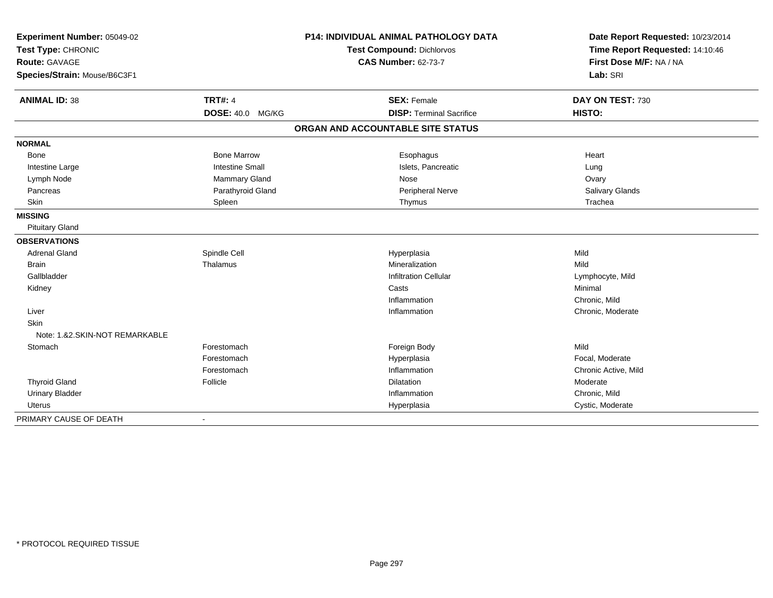| Experiment Number: 05049-02<br>Test Type: CHRONIC<br>Route: GAVAGE |                         | <b>P14: INDIVIDUAL ANIMAL PATHOLOGY DATA</b> | Date Report Requested: 10/23/2014 |  |
|--------------------------------------------------------------------|-------------------------|----------------------------------------------|-----------------------------------|--|
|                                                                    |                         | <b>Test Compound: Dichlorvos</b>             | Time Report Requested: 14:10:46   |  |
|                                                                    |                         | <b>CAS Number: 62-73-7</b>                   | First Dose M/F: NA / NA           |  |
| Species/Strain: Mouse/B6C3F1                                       |                         |                                              | Lab: SRI                          |  |
| <b>ANIMAL ID: 38</b>                                               | <b>TRT#: 4</b>          | <b>SEX: Female</b>                           | DAY ON TEST: 730                  |  |
|                                                                    | <b>DOSE: 40.0 MG/KG</b> | <b>DISP: Terminal Sacrifice</b>              | HISTO:                            |  |
|                                                                    |                         | ORGAN AND ACCOUNTABLE SITE STATUS            |                                   |  |
| <b>NORMAL</b>                                                      |                         |                                              |                                   |  |
| Bone                                                               | <b>Bone Marrow</b>      | Esophagus                                    | Heart                             |  |
| Intestine Large                                                    | <b>Intestine Small</b>  | Islets, Pancreatic                           | Lung                              |  |
| Lymph Node                                                         | Mammary Gland           | Nose                                         | Ovary                             |  |
| Pancreas                                                           | Parathyroid Gland       | Peripheral Nerve                             | Salivary Glands                   |  |
| Skin                                                               | Spleen                  | Thymus                                       | Trachea                           |  |
| <b>MISSING</b>                                                     |                         |                                              |                                   |  |
| <b>Pituitary Gland</b>                                             |                         |                                              |                                   |  |
| <b>OBSERVATIONS</b>                                                |                         |                                              |                                   |  |
| <b>Adrenal Gland</b>                                               | Spindle Cell            | Hyperplasia                                  | Mild                              |  |
| <b>Brain</b>                                                       | Thalamus                | Mineralization                               | Mild                              |  |
| Gallbladder                                                        |                         | <b>Infiltration Cellular</b>                 | Lymphocyte, Mild                  |  |
| Kidney                                                             |                         | Casts                                        | Minimal                           |  |
|                                                                    |                         | Inflammation                                 | Chronic, Mild                     |  |
| Liver                                                              |                         | Inflammation                                 | Chronic, Moderate                 |  |
| <b>Skin</b>                                                        |                         |                                              |                                   |  |
| Note: 1.&2.SKIN-NOT REMARKABLE                                     |                         |                                              |                                   |  |
| Stomach                                                            | Forestomach             | Foreign Body                                 | Mild                              |  |
|                                                                    | Forestomach             | Hyperplasia                                  | Focal, Moderate                   |  |
|                                                                    | Forestomach             | Inflammation                                 | Chronic Active, Mild              |  |
| <b>Thyroid Gland</b>                                               | Follicle                | <b>Dilatation</b>                            | Moderate                          |  |
| <b>Urinary Bladder</b>                                             |                         | Inflammation                                 | Chronic. Mild                     |  |
| <b>Uterus</b>                                                      |                         | Hyperplasia                                  | Cystic, Moderate                  |  |
| PRIMARY CAUSE OF DEATH                                             |                         |                                              |                                   |  |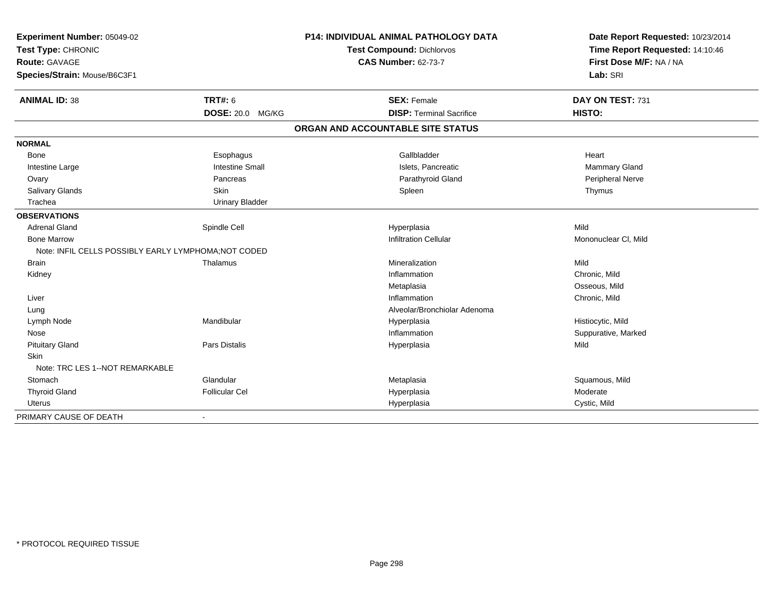| Experiment Number: 05049-02<br>Test Type: CHRONIC<br><b>Route: GAVAGE</b> |                        | <b>P14: INDIVIDUAL ANIMAL PATHOLOGY DATA</b> | Date Report Requested: 10/23/2014                          |
|---------------------------------------------------------------------------|------------------------|----------------------------------------------|------------------------------------------------------------|
|                                                                           |                        | Test Compound: Dichlorvos                    | Time Report Requested: 14:10:46<br>First Dose M/F: NA / NA |
|                                                                           |                        | <b>CAS Number: 62-73-7</b>                   |                                                            |
| Species/Strain: Mouse/B6C3F1                                              |                        |                                              | Lab: SRI                                                   |
| <b>ANIMAL ID: 38</b>                                                      | <b>TRT#: 6</b>         | <b>SEX: Female</b>                           | DAY ON TEST: 731                                           |
|                                                                           | DOSE: 20.0 MG/KG       | <b>DISP: Terminal Sacrifice</b>              | HISTO:                                                     |
|                                                                           |                        | ORGAN AND ACCOUNTABLE SITE STATUS            |                                                            |
| <b>NORMAL</b>                                                             |                        |                                              |                                                            |
| Bone                                                                      | Esophagus              | Gallbladder                                  | Heart                                                      |
| Intestine Large                                                           | <b>Intestine Small</b> | Islets, Pancreatic                           | Mammary Gland                                              |
| Ovary                                                                     | Pancreas               | Parathyroid Gland                            | Peripheral Nerve                                           |
| Salivary Glands                                                           | Skin                   | Spleen                                       | Thymus                                                     |
| Trachea                                                                   | <b>Urinary Bladder</b> |                                              |                                                            |
| <b>OBSERVATIONS</b>                                                       |                        |                                              |                                                            |
| <b>Adrenal Gland</b>                                                      | Spindle Cell           | Hyperplasia                                  | Mild                                                       |
| <b>Bone Marrow</b>                                                        |                        | <b>Infiltration Cellular</b>                 | Mononuclear CI, Mild                                       |
| Note: INFIL CELLS POSSIBLY EARLY LYMPHOMA; NOT CODED                      |                        |                                              |                                                            |
| <b>Brain</b>                                                              | Thalamus               | Mineralization                               | Mild                                                       |
| Kidney                                                                    |                        | Inflammation                                 | Chronic, Mild                                              |
|                                                                           |                        | Metaplasia                                   | Osseous, Mild                                              |
| Liver                                                                     |                        | Inflammation                                 | Chronic, Mild                                              |
| Lung                                                                      |                        | Alveolar/Bronchiolar Adenoma                 |                                                            |
| Lymph Node                                                                | Mandibular             | Hyperplasia                                  | Histiocytic, Mild                                          |
| Nose                                                                      |                        | Inflammation                                 | Suppurative, Marked                                        |
| <b>Pituitary Gland</b>                                                    | Pars Distalis          | Hyperplasia                                  | Mild                                                       |
| <b>Skin</b>                                                               |                        |                                              |                                                            |
| Note: TRC LES 1--NOT REMARKABLE                                           |                        |                                              |                                                            |
| Stomach                                                                   | Glandular              | Metaplasia                                   | Squamous, Mild                                             |
| <b>Thyroid Gland</b>                                                      | <b>Follicular Cel</b>  | Hyperplasia                                  | Moderate                                                   |
| <b>Uterus</b>                                                             |                        | Hyperplasia                                  | Cystic, Mild                                               |
| PRIMARY CAUSE OF DEATH                                                    | $\blacksquare$         |                                              |                                                            |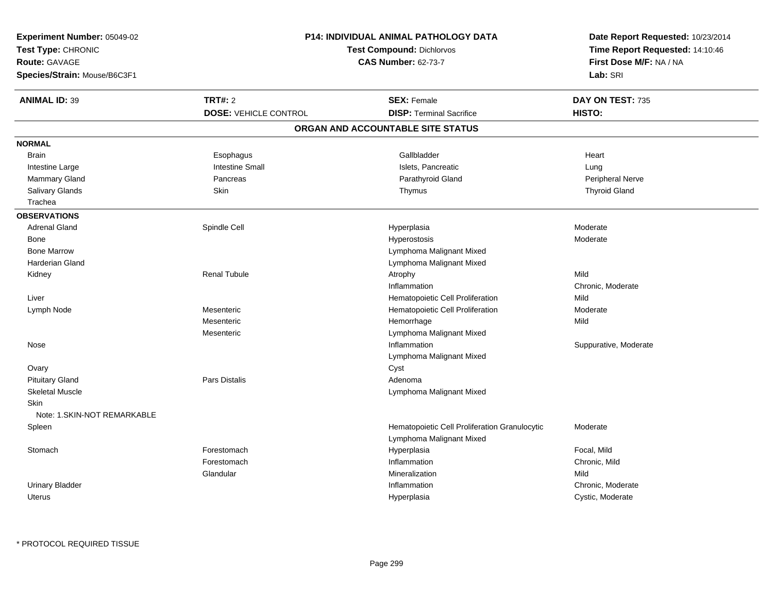| Experiment Number: 05049-02                | <b>P14: INDIVIDUAL ANIMAL PATHOLOGY DATA</b> | Date Report Requested: 10/23/2014                                         |                                       |
|--------------------------------------------|----------------------------------------------|---------------------------------------------------------------------------|---------------------------------------|
| Test Type: CHRONIC                         |                                              | <b>Test Compound: Dichlorvos</b>                                          | Time Report Requested: 14:10:46       |
| Route: GAVAGE                              | <b>CAS Number: 62-73-7</b>                   |                                                                           | First Dose M/F: NA / NA               |
| Species/Strain: Mouse/B6C3F1               |                                              |                                                                           | Lab: SRI                              |
| <b>ANIMAL ID: 39</b>                       | <b>TRT#: 2</b>                               | <b>SEX: Female</b>                                                        | DAY ON TEST: 735                      |
|                                            | <b>DOSE: VEHICLE CONTROL</b>                 | <b>DISP: Terminal Sacrifice</b>                                           | HISTO:                                |
|                                            |                                              | ORGAN AND ACCOUNTABLE SITE STATUS                                         |                                       |
| <b>NORMAL</b>                              |                                              |                                                                           |                                       |
| <b>Brain</b>                               | Esophagus                                    | Gallbladder                                                               | Heart                                 |
| Intestine Large                            | <b>Intestine Small</b>                       | Islets, Pancreatic                                                        | Lung                                  |
| Mammary Gland                              | Pancreas                                     | Parathyroid Gland                                                         | Peripheral Nerve                      |
| Salivary Glands                            | Skin                                         | Thymus                                                                    | <b>Thyroid Gland</b>                  |
| Trachea                                    |                                              |                                                                           |                                       |
| <b>OBSERVATIONS</b>                        |                                              |                                                                           |                                       |
| <b>Adrenal Gland</b>                       | Spindle Cell                                 | Hyperplasia                                                               | Moderate                              |
| Bone                                       |                                              | Hyperostosis                                                              | Moderate                              |
| <b>Bone Marrow</b>                         |                                              | Lymphoma Malignant Mixed                                                  |                                       |
| Harderian Gland                            |                                              | Lymphoma Malignant Mixed                                                  |                                       |
| Kidney                                     | <b>Renal Tubule</b>                          | Atrophy                                                                   | Mild                                  |
|                                            |                                              | Inflammation                                                              | Chronic, Moderate                     |
| Liver                                      |                                              | Hematopoietic Cell Proliferation                                          | Mild                                  |
| Lymph Node                                 | Mesenteric                                   | Hematopoietic Cell Proliferation                                          | Moderate                              |
|                                            | Mesenteric                                   | Hemorrhage                                                                | Mild                                  |
|                                            | Mesenteric                                   | Lymphoma Malignant Mixed                                                  |                                       |
| Nose                                       |                                              | Inflammation                                                              | Suppurative, Moderate                 |
|                                            |                                              | Lymphoma Malignant Mixed                                                  |                                       |
| Ovary                                      |                                              | Cyst                                                                      |                                       |
| <b>Pituitary Gland</b>                     | <b>Pars Distalis</b>                         | Adenoma                                                                   |                                       |
| <b>Skeletal Muscle</b>                     |                                              | Lymphoma Malignant Mixed                                                  |                                       |
| <b>Skin</b><br>Note: 1.SKIN-NOT REMARKABLE |                                              |                                                                           |                                       |
| Spleen                                     |                                              | Hematopoietic Cell Proliferation Granulocytic<br>Lymphoma Malignant Mixed | Moderate                              |
| Stomach                                    | Forestomach                                  | Hyperplasia                                                               | Focal, Mild                           |
|                                            | Forestomach                                  | Inflammation                                                              | Chronic, Mild                         |
|                                            | Glandular                                    | Mineralization                                                            | Mild                                  |
|                                            |                                              |                                                                           |                                       |
| <b>Urinary Bladder</b>                     |                                              | Inflammation                                                              | Chronic, Moderate<br>Cystic, Moderate |
| Uterus                                     |                                              | Hyperplasia                                                               |                                       |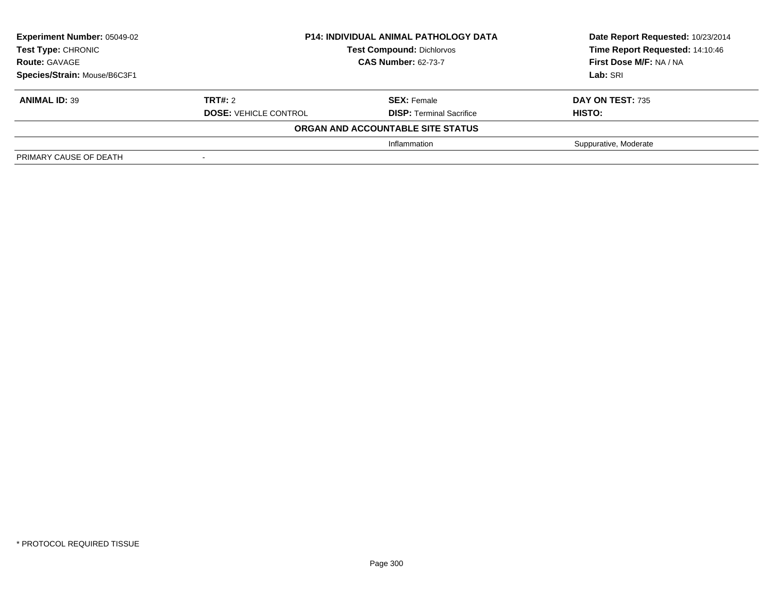| <b>Experiment Number: 05049-02</b> | <b>P14: INDIVIDUAL ANIMAL PATHOLOGY DATA</b><br><b>Test Compound: Dichlorvos</b><br><b>CAS Number: 62-73-7</b> |                                   | Date Report Requested: 10/23/2014 |
|------------------------------------|----------------------------------------------------------------------------------------------------------------|-----------------------------------|-----------------------------------|
| <b>Test Type: CHRONIC</b>          |                                                                                                                |                                   | Time Report Requested: 14:10:46   |
| <b>Route: GAVAGE</b>               |                                                                                                                |                                   | First Dose M/F: NA / NA           |
| Species/Strain: Mouse/B6C3F1       |                                                                                                                |                                   | Lab: SRI                          |
| <b>ANIMAL ID: 39</b>               | <b>TRT#: 2</b>                                                                                                 | <b>SEX: Female</b>                | DAY ON TEST: 735                  |
|                                    | <b>DOSE: VEHICLE CONTROL</b>                                                                                   | <b>DISP: Terminal Sacrifice</b>   | HISTO:                            |
|                                    |                                                                                                                | ORGAN AND ACCOUNTABLE SITE STATUS |                                   |
|                                    |                                                                                                                | Inflammation                      | Suppurative, Moderate             |
| PRIMARY CAUSE OF DEATH             |                                                                                                                |                                   |                                   |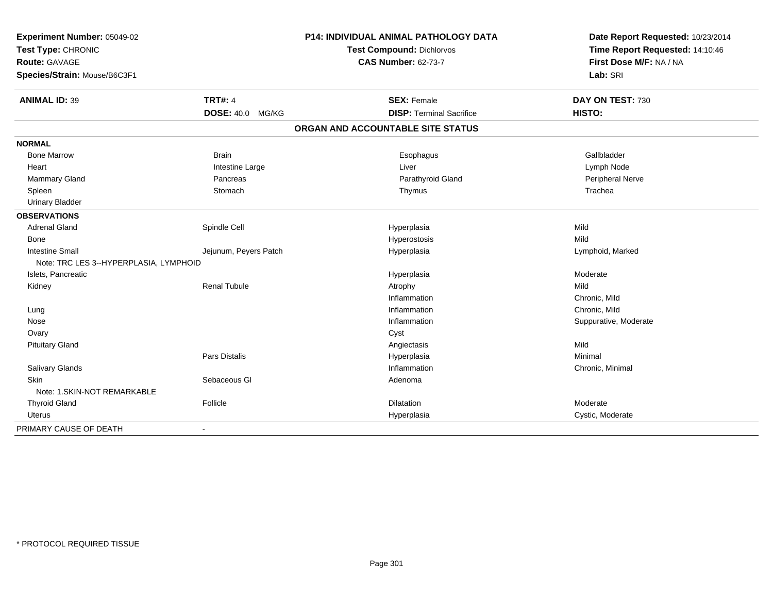| Experiment Number: 05049-02<br>Test Type: CHRONIC |                       | P14: INDIVIDUAL ANIMAL PATHOLOGY DATA | Date Report Requested: 10/23/2014<br>Time Report Requested: 14:10:46 |
|---------------------------------------------------|-----------------------|---------------------------------------|----------------------------------------------------------------------|
|                                                   |                       | Test Compound: Dichlorvos             |                                                                      |
| <b>Route: GAVAGE</b>                              |                       | <b>CAS Number: 62-73-7</b>            | First Dose M/F: NA / NA                                              |
| Species/Strain: Mouse/B6C3F1                      |                       |                                       | Lab: SRI                                                             |
| <b>ANIMAL ID: 39</b>                              | <b>TRT#: 4</b>        | <b>SEX: Female</b>                    | DAY ON TEST: 730                                                     |
|                                                   | DOSE: 40.0 MG/KG      | <b>DISP: Terminal Sacrifice</b>       | HISTO:                                                               |
|                                                   |                       | ORGAN AND ACCOUNTABLE SITE STATUS     |                                                                      |
| <b>NORMAL</b>                                     |                       |                                       |                                                                      |
| <b>Bone Marrow</b>                                | <b>Brain</b>          | Esophagus                             | Gallbladder                                                          |
| Heart                                             | Intestine Large       | Liver                                 | Lymph Node                                                           |
| Mammary Gland                                     | Pancreas              | Parathyroid Gland                     | Peripheral Nerve                                                     |
| Spleen                                            | Stomach               | Thymus                                | Trachea                                                              |
| <b>Urinary Bladder</b>                            |                       |                                       |                                                                      |
| <b>OBSERVATIONS</b>                               |                       |                                       |                                                                      |
| <b>Adrenal Gland</b>                              | Spindle Cell          | Hyperplasia                           | Mild                                                                 |
| Bone                                              |                       | Hyperostosis                          | Mild                                                                 |
| <b>Intestine Small</b>                            | Jejunum, Peyers Patch | Hyperplasia                           | Lymphoid, Marked                                                     |
| Note: TRC LES 3--HYPERPLASIA, LYMPHOID            |                       |                                       |                                                                      |
| Islets, Pancreatic                                |                       | Hyperplasia                           | Moderate                                                             |
| Kidney                                            | <b>Renal Tubule</b>   | Atrophy                               | Mild                                                                 |
|                                                   |                       | Inflammation                          | Chronic, Mild                                                        |
| Lung                                              |                       | Inflammation                          | Chronic, Mild                                                        |
| Nose                                              |                       | Inflammation                          | Suppurative, Moderate                                                |
| Ovary                                             |                       | Cyst                                  |                                                                      |
| <b>Pituitary Gland</b>                            |                       | Angiectasis                           | Mild                                                                 |
|                                                   | Pars Distalis         | Hyperplasia                           | Minimal                                                              |
| Salivary Glands                                   |                       | Inflammation                          | Chronic, Minimal                                                     |
| Skin                                              | Sebaceous GI          | Adenoma                               |                                                                      |
| Note: 1.SKIN-NOT REMARKABLE                       |                       |                                       |                                                                      |
| <b>Thyroid Gland</b>                              | Follicle              | <b>Dilatation</b>                     | Moderate                                                             |
| <b>Uterus</b>                                     |                       | Hyperplasia                           | Cystic, Moderate                                                     |
| PRIMARY CAUSE OF DEATH                            | $\blacksquare$        |                                       |                                                                      |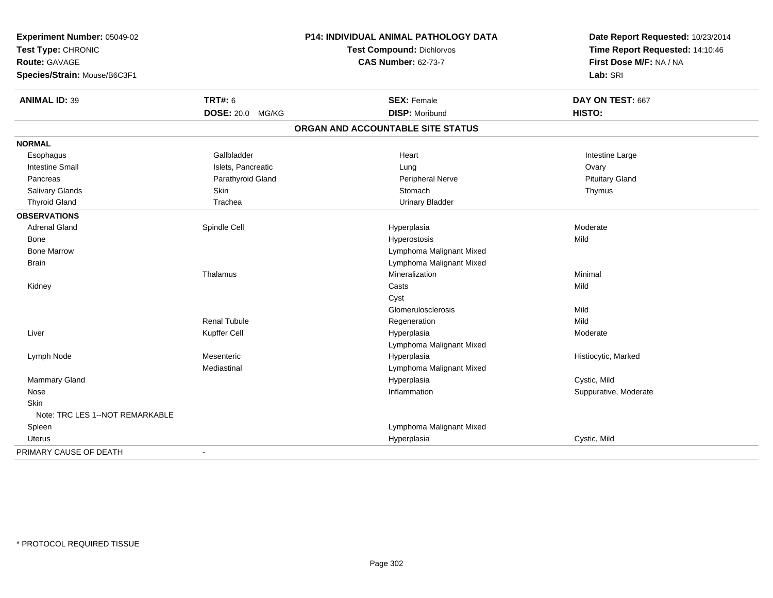| Experiment Number: 05049-02     | P14: INDIVIDUAL ANIMAL PATHOLOGY DATA<br>Test Compound: Dichlorvos |                                   | Date Report Requested: 10/23/2014<br>Time Report Requested: 14:10:46 |
|---------------------------------|--------------------------------------------------------------------|-----------------------------------|----------------------------------------------------------------------|
| Test Type: CHRONIC              |                                                                    |                                   |                                                                      |
| Route: GAVAGE                   |                                                                    | <b>CAS Number: 62-73-7</b>        | First Dose M/F: NA / NA                                              |
| Species/Strain: Mouse/B6C3F1    |                                                                    |                                   | Lab: SRI                                                             |
| <b>ANIMAL ID: 39</b>            | <b>TRT#: 6</b>                                                     | <b>SEX: Female</b>                | DAY ON TEST: 667                                                     |
|                                 | DOSE: 20.0 MG/KG                                                   | <b>DISP: Moribund</b>             | HISTO:                                                               |
|                                 |                                                                    | ORGAN AND ACCOUNTABLE SITE STATUS |                                                                      |
| <b>NORMAL</b>                   |                                                                    |                                   |                                                                      |
| Esophagus                       | Gallbladder                                                        | Heart                             | Intestine Large                                                      |
| <b>Intestine Small</b>          | Islets, Pancreatic                                                 | Lung                              | Ovary                                                                |
| Pancreas                        | Parathyroid Gland                                                  | Peripheral Nerve                  | <b>Pituitary Gland</b>                                               |
| Salivary Glands                 | Skin                                                               | Stomach                           | Thymus                                                               |
| <b>Thyroid Gland</b>            | Trachea                                                            | <b>Urinary Bladder</b>            |                                                                      |
| <b>OBSERVATIONS</b>             |                                                                    |                                   |                                                                      |
| <b>Adrenal Gland</b>            | Spindle Cell                                                       | Hyperplasia                       | Moderate                                                             |
| Bone                            |                                                                    | Hyperostosis                      | Mild                                                                 |
| <b>Bone Marrow</b>              |                                                                    | Lymphoma Malignant Mixed          |                                                                      |
| <b>Brain</b>                    |                                                                    | Lymphoma Malignant Mixed          |                                                                      |
|                                 | Thalamus                                                           | Mineralization                    | Minimal                                                              |
| Kidney                          |                                                                    | Casts                             | Mild                                                                 |
|                                 |                                                                    | Cyst                              |                                                                      |
|                                 |                                                                    | Glomerulosclerosis                | Mild                                                                 |
|                                 | <b>Renal Tubule</b>                                                | Regeneration                      | Mild                                                                 |
| Liver                           | Kupffer Cell                                                       | Hyperplasia                       | Moderate                                                             |
|                                 |                                                                    | Lymphoma Malignant Mixed          |                                                                      |
| Lymph Node                      | Mesenteric                                                         | Hyperplasia                       | Histiocytic, Marked                                                  |
|                                 | Mediastinal                                                        | Lymphoma Malignant Mixed          |                                                                      |
| Mammary Gland                   |                                                                    | Hyperplasia                       | Cystic, Mild                                                         |
| Nose                            |                                                                    | Inflammation                      | Suppurative, Moderate                                                |
| Skin                            |                                                                    |                                   |                                                                      |
| Note: TRC LES 1--NOT REMARKABLE |                                                                    |                                   |                                                                      |
| Spleen                          |                                                                    | Lymphoma Malignant Mixed          |                                                                      |
| Uterus                          |                                                                    | Hyperplasia                       | Cystic, Mild                                                         |
| PRIMARY CAUSE OF DEATH          |                                                                    |                                   |                                                                      |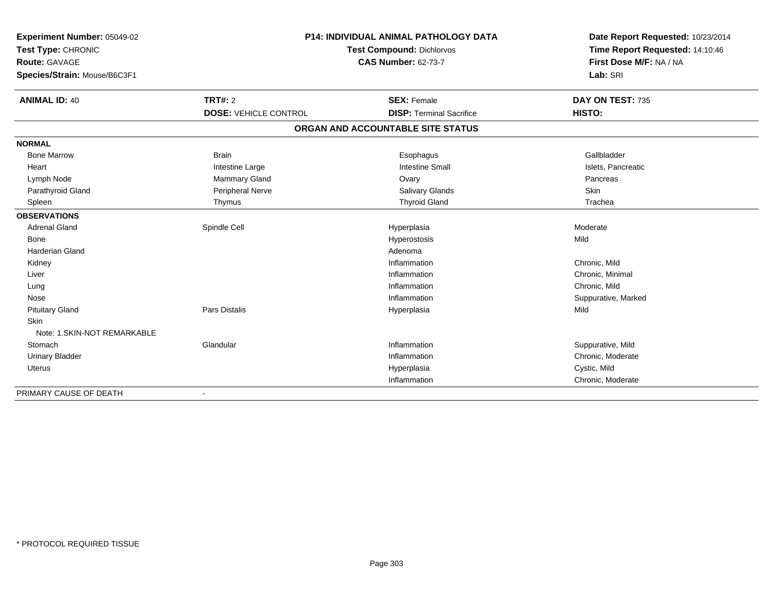| <b>Experiment Number: 05049-02</b> | <b>P14: INDIVIDUAL ANIMAL PATHOLOGY DATA</b><br>Test Compound: Dichlorvos |                                   | Date Report Requested: 10/23/2014 |  |
|------------------------------------|---------------------------------------------------------------------------|-----------------------------------|-----------------------------------|--|
| Test Type: CHRONIC                 |                                                                           |                                   | Time Report Requested: 14:10:46   |  |
| <b>Route: GAVAGE</b>               |                                                                           | <b>CAS Number: 62-73-7</b>        | First Dose M/F: NA / NA           |  |
| Species/Strain: Mouse/B6C3F1       |                                                                           |                                   | Lab: SRI                          |  |
| <b>ANIMAL ID: 40</b>               | <b>TRT#: 2</b>                                                            | <b>SEX: Female</b>                | DAY ON TEST: 735                  |  |
|                                    | <b>DOSE: VEHICLE CONTROL</b>                                              | <b>DISP: Terminal Sacrifice</b>   | HISTO:                            |  |
|                                    |                                                                           | ORGAN AND ACCOUNTABLE SITE STATUS |                                   |  |
| <b>NORMAL</b>                      |                                                                           |                                   |                                   |  |
| <b>Bone Marrow</b>                 | <b>Brain</b>                                                              | Esophagus                         | Gallbladder                       |  |
| Heart                              | Intestine Large                                                           | <b>Intestine Small</b>            | Islets, Pancreatic                |  |
| Lymph Node                         | <b>Mammary Gland</b>                                                      | Ovary                             | Pancreas                          |  |
| Parathyroid Gland                  | Peripheral Nerve                                                          | <b>Salivary Glands</b>            | Skin                              |  |
| Spleen                             | Thymus                                                                    | <b>Thyroid Gland</b>              | Trachea                           |  |
| <b>OBSERVATIONS</b>                |                                                                           |                                   |                                   |  |
| <b>Adrenal Gland</b>               | Spindle Cell                                                              | Hyperplasia                       | Moderate                          |  |
| <b>Bone</b>                        |                                                                           | Hyperostosis                      | Mild                              |  |
| <b>Harderian Gland</b>             |                                                                           | Adenoma                           |                                   |  |
| Kidney                             |                                                                           | Inflammation                      | Chronic, Mild                     |  |
| Liver                              |                                                                           | Inflammation                      | Chronic, Minimal                  |  |
| Lung                               |                                                                           | Inflammation                      | Chronic, Mild                     |  |
| Nose                               |                                                                           | Inflammation                      | Suppurative, Marked               |  |
| <b>Pituitary Gland</b>             | Pars Distalis                                                             | Hyperplasia                       | Mild                              |  |
| <b>Skin</b>                        |                                                                           |                                   |                                   |  |
| Note: 1. SKIN-NOT REMARKABLE       |                                                                           |                                   |                                   |  |
| Stomach                            | Glandular                                                                 | Inflammation                      | Suppurative, Mild                 |  |
| <b>Urinary Bladder</b>             |                                                                           | Inflammation                      | Chronic, Moderate                 |  |
| Uterus                             |                                                                           | Hyperplasia                       | Cystic, Mild                      |  |
|                                    |                                                                           | Inflammation                      | Chronic, Moderate                 |  |
| PRIMARY CAUSE OF DEATH             |                                                                           |                                   |                                   |  |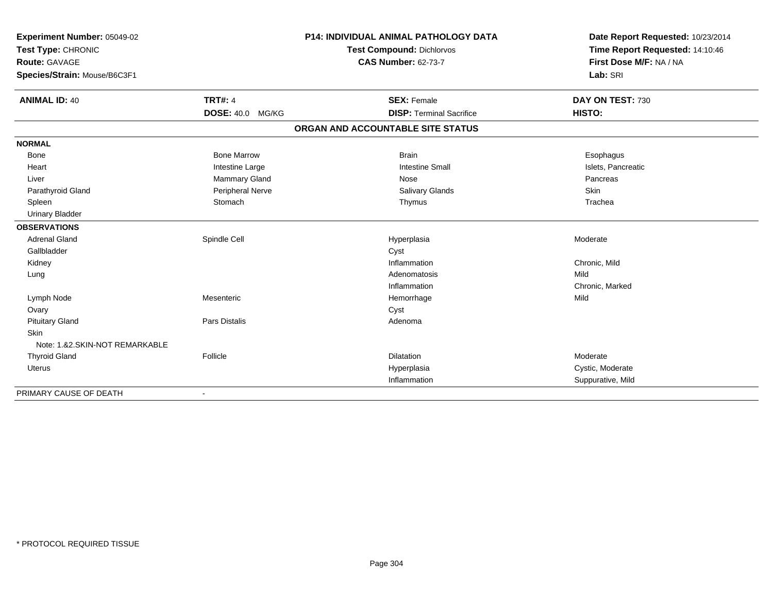| Experiment Number: 05049-02<br>Test Type: CHRONIC |                         | P14: INDIVIDUAL ANIMAL PATHOLOGY DATA | Date Report Requested: 10/23/2014 |
|---------------------------------------------------|-------------------------|---------------------------------------|-----------------------------------|
|                                                   |                         | <b>Test Compound: Dichlorvos</b>      | Time Report Requested: 14:10:46   |
| <b>Route: GAVAGE</b>                              |                         | <b>CAS Number: 62-73-7</b>            | First Dose M/F: NA / NA           |
| Species/Strain: Mouse/B6C3F1                      |                         |                                       | Lab: SRI                          |
| <b>ANIMAL ID: 40</b>                              | <b>TRT#: 4</b>          | <b>SEX: Female</b>                    | DAY ON TEST: 730                  |
|                                                   | <b>DOSE: 40.0 MG/KG</b> | <b>DISP: Terminal Sacrifice</b>       | HISTO:                            |
|                                                   |                         | ORGAN AND ACCOUNTABLE SITE STATUS     |                                   |
| <b>NORMAL</b>                                     |                         |                                       |                                   |
| Bone                                              | <b>Bone Marrow</b>      | <b>Brain</b>                          | Esophagus                         |
| Heart                                             | Intestine Large         | <b>Intestine Small</b>                | Islets, Pancreatic                |
| Liver                                             | Mammary Gland           | Nose                                  | Pancreas                          |
| Parathyroid Gland                                 | Peripheral Nerve        | Salivary Glands                       | <b>Skin</b>                       |
| Spleen                                            | Stomach                 | Thymus                                | Trachea                           |
| <b>Urinary Bladder</b>                            |                         |                                       |                                   |
| <b>OBSERVATIONS</b>                               |                         |                                       |                                   |
| <b>Adrenal Gland</b>                              | Spindle Cell            | Hyperplasia                           | Moderate                          |
| Gallbladder                                       |                         | Cyst                                  |                                   |
| Kidney                                            |                         | Inflammation                          | Chronic, Mild                     |
| Lung                                              |                         | Adenomatosis                          | Mild                              |
|                                                   |                         | Inflammation                          | Chronic, Marked                   |
| Lymph Node                                        | Mesenteric              | Hemorrhage                            | Mild                              |
| Ovary                                             |                         | Cyst                                  |                                   |
| <b>Pituitary Gland</b>                            | Pars Distalis           | Adenoma                               |                                   |
| <b>Skin</b>                                       |                         |                                       |                                   |
| Note: 1.&2.SKIN-NOT REMARKABLE                    |                         |                                       |                                   |
| <b>Thyroid Gland</b>                              | Follicle                | Dilatation                            | Moderate                          |
| <b>Uterus</b>                                     |                         | Hyperplasia                           | Cystic, Moderate                  |
|                                                   |                         | Inflammation                          | Suppurative, Mild                 |
| PRIMARY CAUSE OF DEATH                            | $\blacksquare$          |                                       |                                   |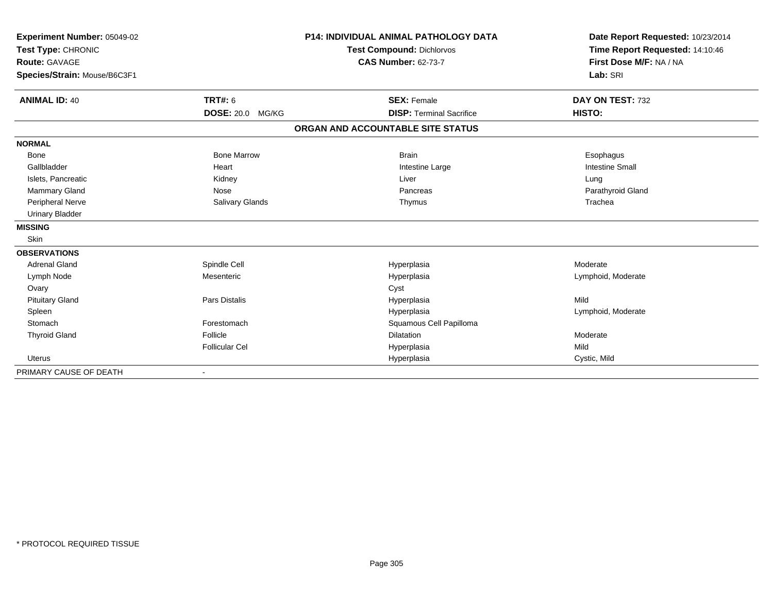| Experiment Number: 05049-02<br>Test Type: CHRONIC |                         | <b>P14: INDIVIDUAL ANIMAL PATHOLOGY DATA</b> | Date Report Requested: 10/23/2014<br>Time Report Requested: 14:10:46 |
|---------------------------------------------------|-------------------------|----------------------------------------------|----------------------------------------------------------------------|
|                                                   |                         | <b>Test Compound: Dichlorvos</b>             |                                                                      |
| Route: GAVAGE                                     |                         | <b>CAS Number: 62-73-7</b>                   | First Dose M/F: NA / NA                                              |
| Species/Strain: Mouse/B6C3F1                      |                         |                                              | Lab: SRI                                                             |
| <b>ANIMAL ID: 40</b>                              | <b>TRT#: 6</b>          | <b>SEX: Female</b>                           | DAY ON TEST: 732                                                     |
|                                                   | <b>DOSE: 20.0 MG/KG</b> | <b>DISP: Terminal Sacrifice</b>              | HISTO:                                                               |
|                                                   |                         | ORGAN AND ACCOUNTABLE SITE STATUS            |                                                                      |
| <b>NORMAL</b>                                     |                         |                                              |                                                                      |
| <b>Bone</b>                                       | <b>Bone Marrow</b>      | <b>Brain</b>                                 | Esophagus                                                            |
| Gallbladder                                       | Heart                   | Intestine Large                              | <b>Intestine Small</b>                                               |
| Islets, Pancreatic                                | Kidney                  | Liver                                        | Lung                                                                 |
| <b>Mammary Gland</b>                              | Nose                    | Pancreas                                     | Parathyroid Gland                                                    |
| Peripheral Nerve                                  | Salivary Glands         | Thymus                                       | Trachea                                                              |
| <b>Urinary Bladder</b>                            |                         |                                              |                                                                      |
| <b>MISSING</b>                                    |                         |                                              |                                                                      |
| <b>Skin</b>                                       |                         |                                              |                                                                      |
| <b>OBSERVATIONS</b>                               |                         |                                              |                                                                      |
| <b>Adrenal Gland</b>                              | Spindle Cell            | Hyperplasia                                  | Moderate                                                             |
| Lymph Node                                        | Mesenteric              | Hyperplasia                                  | Lymphoid, Moderate                                                   |
| Ovary                                             |                         | Cyst                                         |                                                                      |
| <b>Pituitary Gland</b>                            | Pars Distalis           | Hyperplasia                                  | Mild                                                                 |
| Spleen                                            |                         | Hyperplasia                                  | Lymphoid, Moderate                                                   |
| Stomach                                           | Forestomach             | Squamous Cell Papilloma                      |                                                                      |
| <b>Thyroid Gland</b>                              | Follicle                | <b>Dilatation</b>                            | Moderate                                                             |
|                                                   | <b>Follicular Cel</b>   | Hyperplasia                                  | Mild                                                                 |
| Uterus                                            |                         | Hyperplasia                                  | Cystic, Mild                                                         |
| PRIMARY CAUSE OF DEATH                            |                         |                                              |                                                                      |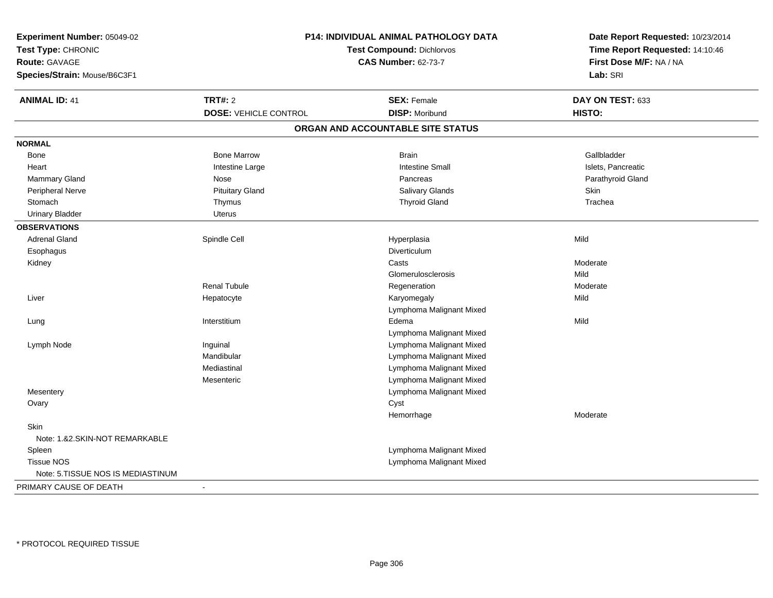| Experiment Number: 05049-02       | P14: INDIVIDUAL ANIMAL PATHOLOGY DATA                          |                                   | Date Report Requested: 10/23/2014<br>Time Report Requested: 14:10:46<br>First Dose M/F: NA / NA |
|-----------------------------------|----------------------------------------------------------------|-----------------------------------|-------------------------------------------------------------------------------------------------|
| Test Type: CHRONIC                |                                                                |                                   |                                                                                                 |
| Route: GAVAGE                     | <b>Test Compound: Dichlorvos</b><br><b>CAS Number: 62-73-7</b> |                                   |                                                                                                 |
| Species/Strain: Mouse/B6C3F1      |                                                                |                                   | Lab: SRI                                                                                        |
| <b>ANIMAL ID: 41</b>              | <b>TRT#: 2</b>                                                 | <b>SEX: Female</b>                | DAY ON TEST: 633                                                                                |
|                                   | <b>DOSE: VEHICLE CONTROL</b>                                   | <b>DISP: Moribund</b>             | HISTO:                                                                                          |
|                                   |                                                                | ORGAN AND ACCOUNTABLE SITE STATUS |                                                                                                 |
| <b>NORMAL</b>                     |                                                                |                                   |                                                                                                 |
| Bone                              | <b>Bone Marrow</b>                                             | <b>Brain</b>                      | Gallbladder                                                                                     |
| Heart                             | Intestine Large                                                | <b>Intestine Small</b>            | Islets, Pancreatic                                                                              |
| Mammary Gland                     | Nose                                                           | Pancreas                          | Parathyroid Gland                                                                               |
| Peripheral Nerve                  | <b>Pituitary Gland</b>                                         | Salivary Glands                   | Skin                                                                                            |
| Stomach                           | Thymus                                                         | <b>Thyroid Gland</b>              | Trachea                                                                                         |
| <b>Urinary Bladder</b>            | <b>Uterus</b>                                                  |                                   |                                                                                                 |
| <b>OBSERVATIONS</b>               |                                                                |                                   |                                                                                                 |
| <b>Adrenal Gland</b>              | Spindle Cell                                                   | Hyperplasia                       | Mild                                                                                            |
| Esophagus                         |                                                                | Diverticulum                      |                                                                                                 |
| Kidney                            |                                                                | Casts                             | Moderate                                                                                        |
|                                   |                                                                | Glomerulosclerosis                | Mild                                                                                            |
|                                   | <b>Renal Tubule</b>                                            | Regeneration                      | Moderate                                                                                        |
| Liver                             | Hepatocyte                                                     | Karyomegaly                       | Mild                                                                                            |
|                                   |                                                                | Lymphoma Malignant Mixed          |                                                                                                 |
| Lung                              | Interstitium                                                   | Edema                             | Mild                                                                                            |
|                                   |                                                                | Lymphoma Malignant Mixed          |                                                                                                 |
| Lymph Node                        | Inguinal                                                       | Lymphoma Malignant Mixed          |                                                                                                 |
|                                   | Mandibular                                                     | Lymphoma Malignant Mixed          |                                                                                                 |
|                                   | Mediastinal                                                    | Lymphoma Malignant Mixed          |                                                                                                 |
|                                   | Mesenteric                                                     | Lymphoma Malignant Mixed          |                                                                                                 |
| Mesentery                         |                                                                | Lymphoma Malignant Mixed          |                                                                                                 |
| Ovary                             |                                                                | Cyst                              |                                                                                                 |
|                                   |                                                                | Hemorrhage                        | Moderate                                                                                        |
| <b>Skin</b>                       |                                                                |                                   |                                                                                                 |
| Note: 1.&2.SKIN-NOT REMARKABLE    |                                                                |                                   |                                                                                                 |
| Spleen                            |                                                                | Lymphoma Malignant Mixed          |                                                                                                 |
| <b>Tissue NOS</b>                 |                                                                | Lymphoma Malignant Mixed          |                                                                                                 |
| Note: 5.TISSUE NOS IS MEDIASTINUM |                                                                |                                   |                                                                                                 |
| PRIMARY CAUSE OF DEATH            | ÷                                                              |                                   |                                                                                                 |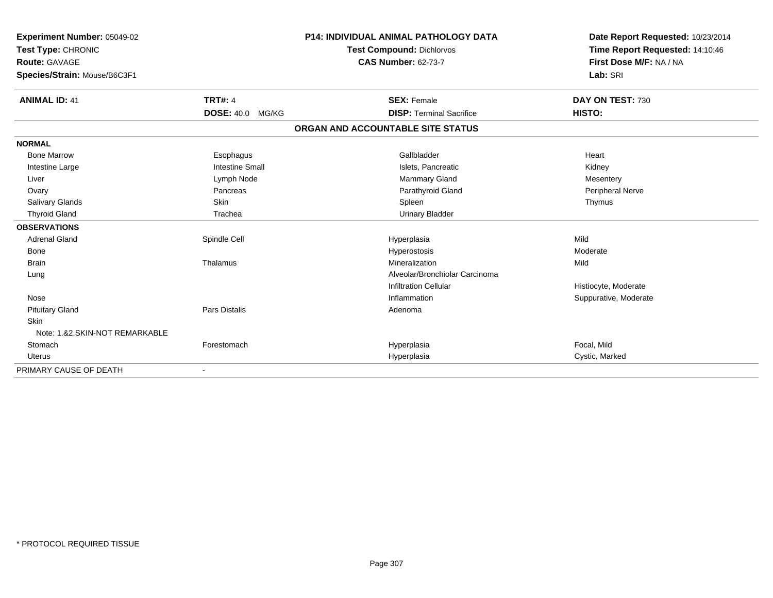| Experiment Number: 05049-02<br>Test Type: CHRONIC<br><b>Route: GAVAGE</b><br>Species/Strain: Mouse/B6C3F1 |                         | <b>P14: INDIVIDUAL ANIMAL PATHOLOGY DATA</b><br><b>Test Compound: Dichlorvos</b><br><b>CAS Number: 62-73-7</b> | Date Report Requested: 10/23/2014<br>Time Report Requested: 14:10:46<br>First Dose M/F: NA / NA<br>Lab: SRI |
|-----------------------------------------------------------------------------------------------------------|-------------------------|----------------------------------------------------------------------------------------------------------------|-------------------------------------------------------------------------------------------------------------|
| <b>ANIMAL ID: 41</b>                                                                                      | <b>TRT#: 4</b>          | <b>SEX: Female</b>                                                                                             | DAY ON TEST: 730                                                                                            |
|                                                                                                           | <b>DOSE: 40.0 MG/KG</b> | <b>DISP: Terminal Sacrifice</b>                                                                                | HISTO:                                                                                                      |
|                                                                                                           |                         | ORGAN AND ACCOUNTABLE SITE STATUS                                                                              |                                                                                                             |
| <b>NORMAL</b>                                                                                             |                         |                                                                                                                |                                                                                                             |
| <b>Bone Marrow</b>                                                                                        | Esophagus               | Gallbladder                                                                                                    | Heart                                                                                                       |
| Intestine Large                                                                                           | <b>Intestine Small</b>  | Islets, Pancreatic                                                                                             | Kidney                                                                                                      |
| Liver                                                                                                     | Lymph Node              | Mammary Gland                                                                                                  | Mesentery                                                                                                   |
| Ovary                                                                                                     | Pancreas                | Parathyroid Gland                                                                                              | Peripheral Nerve                                                                                            |
| <b>Salivary Glands</b>                                                                                    | Skin                    | Spleen                                                                                                         | Thymus                                                                                                      |
| <b>Thyroid Gland</b>                                                                                      | Trachea                 | <b>Urinary Bladder</b>                                                                                         |                                                                                                             |
| <b>OBSERVATIONS</b>                                                                                       |                         |                                                                                                                |                                                                                                             |
| <b>Adrenal Gland</b>                                                                                      | Spindle Cell            | Hyperplasia                                                                                                    | Mild                                                                                                        |
| <b>Bone</b>                                                                                               |                         | Hyperostosis                                                                                                   | Moderate                                                                                                    |
| <b>Brain</b>                                                                                              | Thalamus                | Mineralization                                                                                                 | Mild                                                                                                        |
| Lung                                                                                                      |                         | Alveolar/Bronchiolar Carcinoma                                                                                 |                                                                                                             |
|                                                                                                           |                         | <b>Infiltration Cellular</b>                                                                                   | Histiocyte, Moderate                                                                                        |
| Nose                                                                                                      |                         | Inflammation                                                                                                   | Suppurative, Moderate                                                                                       |
| <b>Pituitary Gland</b>                                                                                    | Pars Distalis           | Adenoma                                                                                                        |                                                                                                             |
| Skin                                                                                                      |                         |                                                                                                                |                                                                                                             |
| Note: 1.82. SKIN-NOT REMARKABLE                                                                           |                         |                                                                                                                |                                                                                                             |
| Stomach                                                                                                   | Forestomach             | Hyperplasia                                                                                                    | Focal, Mild                                                                                                 |
| <b>Uterus</b>                                                                                             |                         | Hyperplasia                                                                                                    | Cystic, Marked                                                                                              |
| PRIMARY CAUSE OF DEATH                                                                                    | $\blacksquare$          |                                                                                                                |                                                                                                             |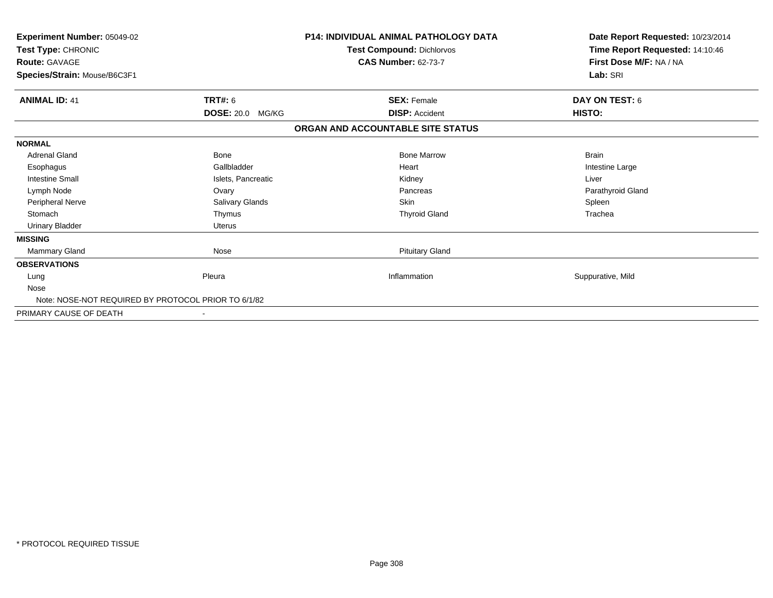| Experiment Number: 05049-02<br>Test Type: CHRONIC<br><b>Route: GAVAGE</b><br>Species/Strain: Mouse/B6C3F1 |                         | <b>P14: INDIVIDUAL ANIMAL PATHOLOGY DATA</b><br>Test Compound: Dichlorvos<br><b>CAS Number: 62-73-7</b> | Date Report Requested: 10/23/2014<br>Time Report Requested: 14:10:46<br>First Dose M/F: NA / NA<br>Lab: SRI |
|-----------------------------------------------------------------------------------------------------------|-------------------------|---------------------------------------------------------------------------------------------------------|-------------------------------------------------------------------------------------------------------------|
| <b>ANIMAL ID: 41</b>                                                                                      | <b>TRT#: 6</b>          | <b>SEX: Female</b>                                                                                      | DAY ON TEST: 6                                                                                              |
|                                                                                                           | <b>DOSE: 20.0 MG/KG</b> | <b>DISP: Accident</b>                                                                                   | HISTO:                                                                                                      |
|                                                                                                           |                         | ORGAN AND ACCOUNTABLE SITE STATUS                                                                       |                                                                                                             |
| <b>NORMAL</b>                                                                                             |                         |                                                                                                         |                                                                                                             |
| <b>Adrenal Gland</b>                                                                                      | Bone                    | <b>Bone Marrow</b>                                                                                      | <b>Brain</b>                                                                                                |
| Esophagus                                                                                                 | Gallbladder             | Heart                                                                                                   | Intestine Large                                                                                             |
| <b>Intestine Small</b>                                                                                    | Islets, Pancreatic      | Kidney                                                                                                  | Liver                                                                                                       |
| Lymph Node                                                                                                | Ovary                   | Pancreas                                                                                                | Parathyroid Gland                                                                                           |
| <b>Peripheral Nerve</b>                                                                                   | Salivary Glands         | Skin                                                                                                    | Spleen                                                                                                      |
| Stomach                                                                                                   | Thymus                  | <b>Thyroid Gland</b>                                                                                    | Trachea                                                                                                     |
| <b>Urinary Bladder</b>                                                                                    | <b>Uterus</b>           |                                                                                                         |                                                                                                             |
| <b>MISSING</b>                                                                                            |                         |                                                                                                         |                                                                                                             |
| <b>Mammary Gland</b>                                                                                      | Nose                    | <b>Pituitary Gland</b>                                                                                  |                                                                                                             |
| <b>OBSERVATIONS</b>                                                                                       |                         |                                                                                                         |                                                                                                             |
| Lung                                                                                                      | Pleura                  | Inflammation                                                                                            | Suppurative, Mild                                                                                           |
| Nose                                                                                                      |                         |                                                                                                         |                                                                                                             |
| Note: NOSE-NOT REQUIRED BY PROTOCOL PRIOR TO 6/1/82                                                       |                         |                                                                                                         |                                                                                                             |
| PRIMARY CAUSE OF DEATH                                                                                    |                         |                                                                                                         |                                                                                                             |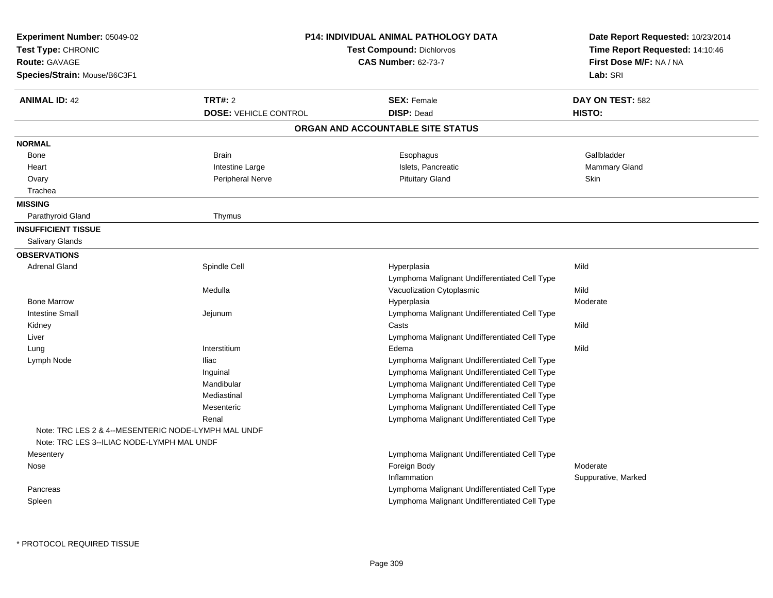| Experiment Number: 05049-02<br>Test Type: CHRONIC<br>Route: GAVAGE<br>Species/Strain: Mouse/B6C3F1 |                                                | <b>P14: INDIVIDUAL ANIMAL PATHOLOGY DATA</b><br><b>Test Compound: Dichlorvos</b><br><b>CAS Number: 62-73-7</b> | Date Report Requested: 10/23/2014<br>Time Report Requested: 14:10:46<br>First Dose M/F: NA / NA<br>Lab: SRI |
|----------------------------------------------------------------------------------------------------|------------------------------------------------|----------------------------------------------------------------------------------------------------------------|-------------------------------------------------------------------------------------------------------------|
| <b>ANIMAL ID: 42</b>                                                                               | <b>TRT#: 2</b><br><b>DOSE: VEHICLE CONTROL</b> | <b>SEX: Female</b><br><b>DISP: Dead</b>                                                                        | DAY ON TEST: 582<br>HISTO:                                                                                  |
|                                                                                                    |                                                | ORGAN AND ACCOUNTABLE SITE STATUS                                                                              |                                                                                                             |
| <b>NORMAL</b>                                                                                      |                                                |                                                                                                                |                                                                                                             |
| Bone                                                                                               | <b>Brain</b>                                   | Esophagus                                                                                                      | Gallbladder                                                                                                 |
| Heart                                                                                              | Intestine Large                                | Islets, Pancreatic                                                                                             | Mammary Gland                                                                                               |
| Ovary                                                                                              | <b>Peripheral Nerve</b>                        | <b>Pituitary Gland</b>                                                                                         | Skin                                                                                                        |
| Trachea                                                                                            |                                                |                                                                                                                |                                                                                                             |
| <b>MISSING</b>                                                                                     |                                                |                                                                                                                |                                                                                                             |
| Parathyroid Gland                                                                                  | Thymus                                         |                                                                                                                |                                                                                                             |
| <b>INSUFFICIENT TISSUE</b>                                                                         |                                                |                                                                                                                |                                                                                                             |
| Salivary Glands                                                                                    |                                                |                                                                                                                |                                                                                                             |
| <b>OBSERVATIONS</b>                                                                                |                                                |                                                                                                                |                                                                                                             |
| Adrenal Gland                                                                                      | Spindle Cell                                   | Hyperplasia                                                                                                    | Mild                                                                                                        |
|                                                                                                    |                                                | Lymphoma Malignant Undifferentiated Cell Type                                                                  |                                                                                                             |
|                                                                                                    | Medulla                                        | Vacuolization Cytoplasmic                                                                                      | Mild                                                                                                        |
| <b>Bone Marrow</b>                                                                                 |                                                | Hyperplasia                                                                                                    | Moderate                                                                                                    |
| <b>Intestine Small</b>                                                                             | Jejunum                                        | Lymphoma Malignant Undifferentiated Cell Type                                                                  |                                                                                                             |
| Kidney                                                                                             |                                                | Casts                                                                                                          | Mild                                                                                                        |
| Liver                                                                                              |                                                | Lymphoma Malignant Undifferentiated Cell Type                                                                  |                                                                                                             |
| Lung                                                                                               | Interstitium                                   | Edema                                                                                                          | Mild                                                                                                        |
| Lymph Node                                                                                         | Iliac                                          | Lymphoma Malignant Undifferentiated Cell Type                                                                  |                                                                                                             |
|                                                                                                    | Inguinal                                       | Lymphoma Malignant Undifferentiated Cell Type                                                                  |                                                                                                             |
|                                                                                                    | Mandibular                                     | Lymphoma Malignant Undifferentiated Cell Type                                                                  |                                                                                                             |
|                                                                                                    | Mediastinal                                    | Lymphoma Malignant Undifferentiated Cell Type                                                                  |                                                                                                             |
|                                                                                                    | Mesenteric                                     | Lymphoma Malignant Undifferentiated Cell Type                                                                  |                                                                                                             |
|                                                                                                    | Renal                                          | Lymphoma Malignant Undifferentiated Cell Type                                                                  |                                                                                                             |
| Note: TRC LES 2 & 4--MESENTERIC NODE-LYMPH MAL UNDF                                                |                                                |                                                                                                                |                                                                                                             |
| Note: TRC LES 3--ILIAC NODE-LYMPH MAL UNDF                                                         |                                                |                                                                                                                |                                                                                                             |
| Mesentery                                                                                          |                                                | Lymphoma Malignant Undifferentiated Cell Type                                                                  | Moderate                                                                                                    |
| Nose                                                                                               |                                                | Foreign Body<br>Inflammation                                                                                   | Suppurative, Marked                                                                                         |
|                                                                                                    |                                                | Lymphoma Malignant Undifferentiated Cell Type                                                                  |                                                                                                             |
| Pancreas<br>Spleen                                                                                 |                                                | Lymphoma Malignant Undifferentiated Cell Type                                                                  |                                                                                                             |
|                                                                                                    |                                                |                                                                                                                |                                                                                                             |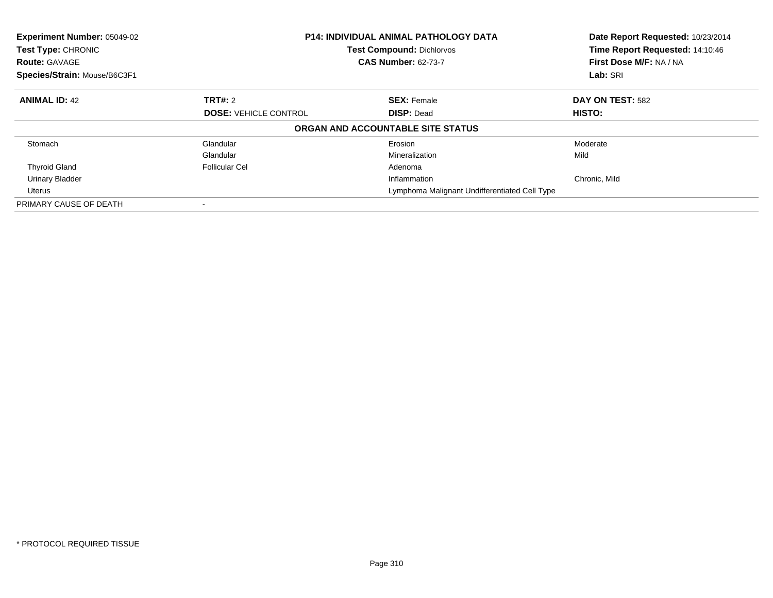| Experiment Number: 05049-02<br><b>Test Type: CHRONIC</b><br><b>Route: GAVAGE</b><br>Species/Strain: Mouse/B6C3F1 |                                                   | <b>P14: INDIVIDUAL ANIMAL PATHOLOGY DATA</b><br><b>Test Compound: Dichlorvos</b><br><b>CAS Number: 62-73-7</b> | Date Report Requested: 10/23/2014<br>Time Report Requested: 14:10:46<br>First Dose M/F: NA / NA<br>Lab: SRI |  |
|------------------------------------------------------------------------------------------------------------------|---------------------------------------------------|----------------------------------------------------------------------------------------------------------------|-------------------------------------------------------------------------------------------------------------|--|
|                                                                                                                  |                                                   |                                                                                                                |                                                                                                             |  |
| <b>ANIMAL ID: 42</b>                                                                                             | TRT#: 2                                           | <b>SEX: Female</b>                                                                                             | DAY ON TEST: 582                                                                                            |  |
|                                                                                                                  | <b>DOSE: VEHICLE CONTROL</b><br><b>DISP: Dead</b> |                                                                                                                | <b>HISTO:</b>                                                                                               |  |
|                                                                                                                  |                                                   | ORGAN AND ACCOUNTABLE SITE STATUS                                                                              |                                                                                                             |  |
| Stomach                                                                                                          | Glandular                                         | Erosion                                                                                                        | Moderate                                                                                                    |  |
|                                                                                                                  | Glandular                                         | Mineralization                                                                                                 | Mild                                                                                                        |  |
| <b>Thyroid Gland</b>                                                                                             | <b>Follicular Cel</b>                             | Adenoma                                                                                                        |                                                                                                             |  |
| <b>Urinary Bladder</b>                                                                                           |                                                   | Inflammation                                                                                                   | Chronic, Mild                                                                                               |  |
| Uterus                                                                                                           |                                                   | Lymphoma Malignant Undifferentiated Cell Type                                                                  |                                                                                                             |  |
| PRIMARY CAUSE OF DEATH                                                                                           |                                                   |                                                                                                                |                                                                                                             |  |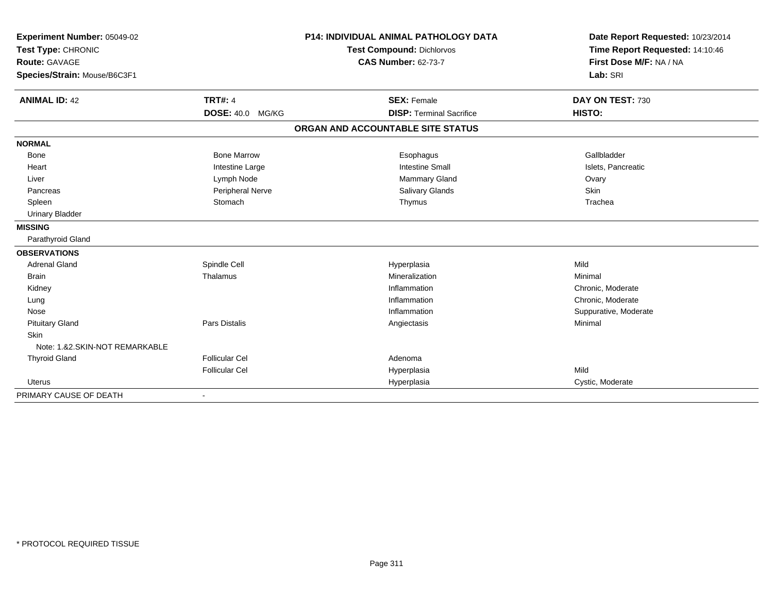| Experiment Number: 05049-02<br>Test Type: CHRONIC |                         | <b>P14: INDIVIDUAL ANIMAL PATHOLOGY DATA</b> | Date Report Requested: 10/23/2014<br>Time Report Requested: 14:10:46 |
|---------------------------------------------------|-------------------------|----------------------------------------------|----------------------------------------------------------------------|
|                                                   |                         | <b>Test Compound: Dichlorvos</b>             |                                                                      |
| <b>Route: GAVAGE</b>                              |                         | <b>CAS Number: 62-73-7</b>                   | First Dose M/F: NA / NA                                              |
| Species/Strain: Mouse/B6C3F1                      |                         |                                              | Lab: SRI                                                             |
|                                                   |                         |                                              |                                                                      |
| <b>ANIMAL ID: 42</b>                              | <b>TRT#: 4</b>          | <b>SEX: Female</b>                           | DAY ON TEST: 730                                                     |
|                                                   | DOSE: 40.0 MG/KG        | <b>DISP: Terminal Sacrifice</b>              | HISTO:                                                               |
|                                                   |                         | ORGAN AND ACCOUNTABLE SITE STATUS            |                                                                      |
| <b>NORMAL</b>                                     |                         |                                              |                                                                      |
| <b>Bone</b>                                       | <b>Bone Marrow</b>      | Esophagus                                    | Gallbladder                                                          |
| Heart                                             | Intestine Large         | <b>Intestine Small</b>                       | Islets, Pancreatic                                                   |
| Liver                                             | Lymph Node              | <b>Mammary Gland</b>                         | Ovary                                                                |
| Pancreas                                          | <b>Peripheral Nerve</b> | Salivary Glands                              | Skin                                                                 |
| Spleen                                            | Stomach                 | Thymus                                       | Trachea                                                              |
| <b>Urinary Bladder</b>                            |                         |                                              |                                                                      |
| <b>MISSING</b>                                    |                         |                                              |                                                                      |
| Parathyroid Gland                                 |                         |                                              |                                                                      |
| <b>OBSERVATIONS</b>                               |                         |                                              |                                                                      |
| <b>Adrenal Gland</b>                              | Spindle Cell            | Hyperplasia                                  | Mild                                                                 |
| Brain                                             | Thalamus                | Mineralization                               | Minimal                                                              |
| Kidney                                            |                         | Inflammation                                 | Chronic, Moderate                                                    |
| Lung                                              |                         | Inflammation                                 | Chronic, Moderate                                                    |
| Nose                                              |                         | Inflammation                                 | Suppurative, Moderate                                                |
| <b>Pituitary Gland</b>                            | Pars Distalis           | Angiectasis                                  | Minimal                                                              |
| <b>Skin</b>                                       |                         |                                              |                                                                      |
| Note: 1.&2.SKIN-NOT REMARKABLE                    |                         |                                              |                                                                      |
| <b>Thyroid Gland</b>                              | <b>Follicular Cel</b>   | Adenoma                                      |                                                                      |
|                                                   | <b>Follicular Cel</b>   | Hyperplasia                                  | Mild                                                                 |
| <b>Uterus</b>                                     |                         | Hyperplasia                                  | Cystic, Moderate                                                     |
| PRIMARY CAUSE OF DEATH                            |                         |                                              |                                                                      |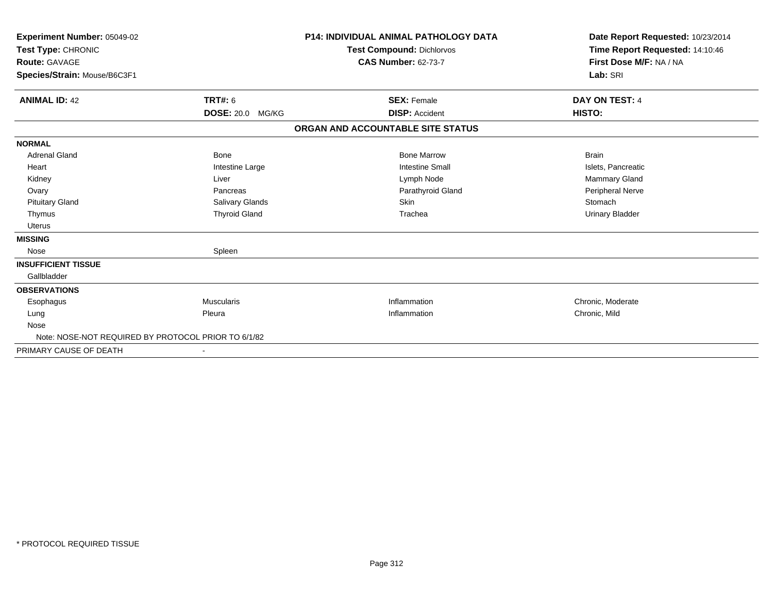| Experiment Number: 05049-02<br>Test Type: CHRONIC<br><b>Route: GAVAGE</b><br>Species/Strain: Mouse/B6C3F1 |                      | <b>P14: INDIVIDUAL ANIMAL PATHOLOGY DATA</b><br><b>Test Compound: Dichlorvos</b><br><b>CAS Number: 62-73-7</b> | Date Report Requested: 10/23/2014<br>Time Report Requested: 14:10:46<br>First Dose M/F: NA / NA<br>Lab: SRI |
|-----------------------------------------------------------------------------------------------------------|----------------------|----------------------------------------------------------------------------------------------------------------|-------------------------------------------------------------------------------------------------------------|
| <b>ANIMAL ID: 42</b>                                                                                      | TRT#: 6              | <b>SEX: Female</b>                                                                                             | DAY ON TEST: 4                                                                                              |
|                                                                                                           | DOSE: 20.0 MG/KG     | <b>DISP: Accident</b>                                                                                          | HISTO:                                                                                                      |
|                                                                                                           |                      | ORGAN AND ACCOUNTABLE SITE STATUS                                                                              |                                                                                                             |
| <b>NORMAL</b>                                                                                             |                      |                                                                                                                |                                                                                                             |
| <b>Adrenal Gland</b>                                                                                      | Bone                 | <b>Bone Marrow</b>                                                                                             | <b>Brain</b>                                                                                                |
| Heart                                                                                                     | Intestine Large      | <b>Intestine Small</b>                                                                                         | Islets, Pancreatic                                                                                          |
| Kidney                                                                                                    | Liver                | Lymph Node                                                                                                     | Mammary Gland                                                                                               |
| Ovary                                                                                                     | Pancreas             | Parathyroid Gland                                                                                              | Peripheral Nerve                                                                                            |
| <b>Pituitary Gland</b>                                                                                    | Salivary Glands      | Skin                                                                                                           | Stomach                                                                                                     |
| Thymus                                                                                                    | <b>Thyroid Gland</b> | Trachea                                                                                                        | <b>Urinary Bladder</b>                                                                                      |
| Uterus                                                                                                    |                      |                                                                                                                |                                                                                                             |
| <b>MISSING</b>                                                                                            |                      |                                                                                                                |                                                                                                             |
| Nose                                                                                                      | Spleen               |                                                                                                                |                                                                                                             |
| <b>INSUFFICIENT TISSUE</b>                                                                                |                      |                                                                                                                |                                                                                                             |
| Gallbladder                                                                                               |                      |                                                                                                                |                                                                                                             |
| <b>OBSERVATIONS</b>                                                                                       |                      |                                                                                                                |                                                                                                             |
| Esophagus                                                                                                 | <b>Muscularis</b>    | Inflammation                                                                                                   | Chronic, Moderate                                                                                           |
| Lung                                                                                                      | Pleura               | Inflammation                                                                                                   | Chronic, Mild                                                                                               |
| Nose                                                                                                      |                      |                                                                                                                |                                                                                                             |
| Note: NOSE-NOT REQUIRED BY PROTOCOL PRIOR TO 6/1/82                                                       |                      |                                                                                                                |                                                                                                             |
| PRIMARY CAUSE OF DEATH                                                                                    |                      |                                                                                                                |                                                                                                             |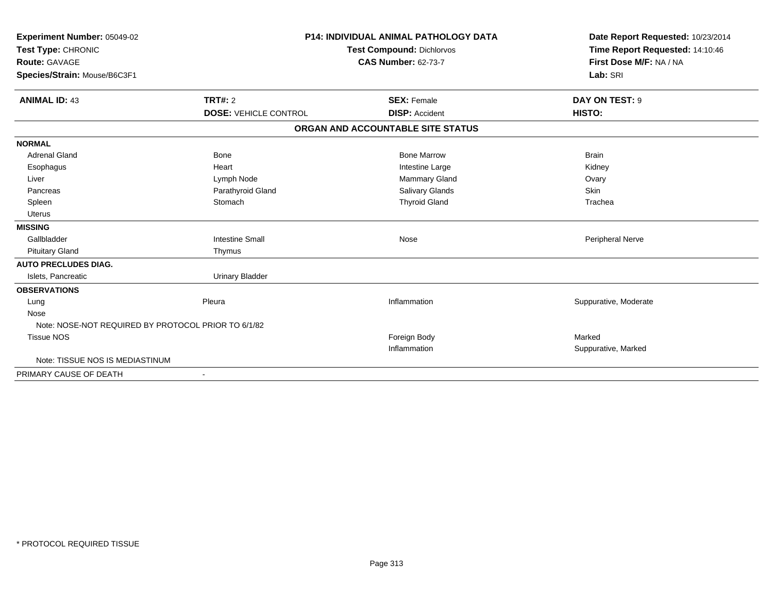| Experiment Number: 05049-02<br>Test Type: CHRONIC<br><b>Route: GAVAGE</b> |                              | <b>P14: INDIVIDUAL ANIMAL PATHOLOGY DATA</b><br><b>Test Compound: Dichlorvos</b><br><b>CAS Number: 62-73-7</b> | Date Report Requested: 10/23/2014<br>Time Report Requested: 14:10:46<br>First Dose M/F: NA / NA |
|---------------------------------------------------------------------------|------------------------------|----------------------------------------------------------------------------------------------------------------|-------------------------------------------------------------------------------------------------|
| Species/Strain: Mouse/B6C3F1                                              |                              |                                                                                                                | Lab: SRI                                                                                        |
| <b>ANIMAL ID: 43</b>                                                      | TRT#: 2                      | <b>SEX: Female</b>                                                                                             | DAY ON TEST: 9                                                                                  |
|                                                                           | <b>DOSE: VEHICLE CONTROL</b> | <b>DISP:</b> Accident                                                                                          | HISTO:                                                                                          |
|                                                                           |                              | ORGAN AND ACCOUNTABLE SITE STATUS                                                                              |                                                                                                 |
| <b>NORMAL</b>                                                             |                              |                                                                                                                |                                                                                                 |
| <b>Adrenal Gland</b>                                                      | Bone                         | <b>Bone Marrow</b>                                                                                             | <b>Brain</b>                                                                                    |
| Esophagus                                                                 | Heart                        | Intestine Large                                                                                                | Kidney                                                                                          |
| Liver                                                                     | Lymph Node                   | Mammary Gland                                                                                                  | Ovary                                                                                           |
| Pancreas                                                                  | Parathyroid Gland            | <b>Salivary Glands</b>                                                                                         | <b>Skin</b>                                                                                     |
| Spleen                                                                    | Stomach                      | <b>Thyroid Gland</b>                                                                                           | Trachea                                                                                         |
| <b>Uterus</b>                                                             |                              |                                                                                                                |                                                                                                 |
| <b>MISSING</b>                                                            |                              |                                                                                                                |                                                                                                 |
| Gallbladder                                                               | <b>Intestine Small</b>       | Nose                                                                                                           | Peripheral Nerve                                                                                |
| <b>Pituitary Gland</b>                                                    | Thymus                       |                                                                                                                |                                                                                                 |
| <b>AUTO PRECLUDES DIAG.</b>                                               |                              |                                                                                                                |                                                                                                 |
| Islets, Pancreatic                                                        | <b>Urinary Bladder</b>       |                                                                                                                |                                                                                                 |
| <b>OBSERVATIONS</b>                                                       |                              |                                                                                                                |                                                                                                 |
| Lung                                                                      | Pleura                       | Inflammation                                                                                                   | Suppurative, Moderate                                                                           |
| Nose                                                                      |                              |                                                                                                                |                                                                                                 |
| Note: NOSE-NOT REQUIRED BY PROTOCOL PRIOR TO 6/1/82                       |                              |                                                                                                                |                                                                                                 |
| <b>Tissue NOS</b>                                                         |                              | Foreign Body                                                                                                   | Marked                                                                                          |
|                                                                           |                              | Inflammation                                                                                                   | Suppurative, Marked                                                                             |
| Note: TISSUE NOS IS MEDIASTINUM                                           |                              |                                                                                                                |                                                                                                 |
| PRIMARY CAUSE OF DEATH                                                    |                              |                                                                                                                |                                                                                                 |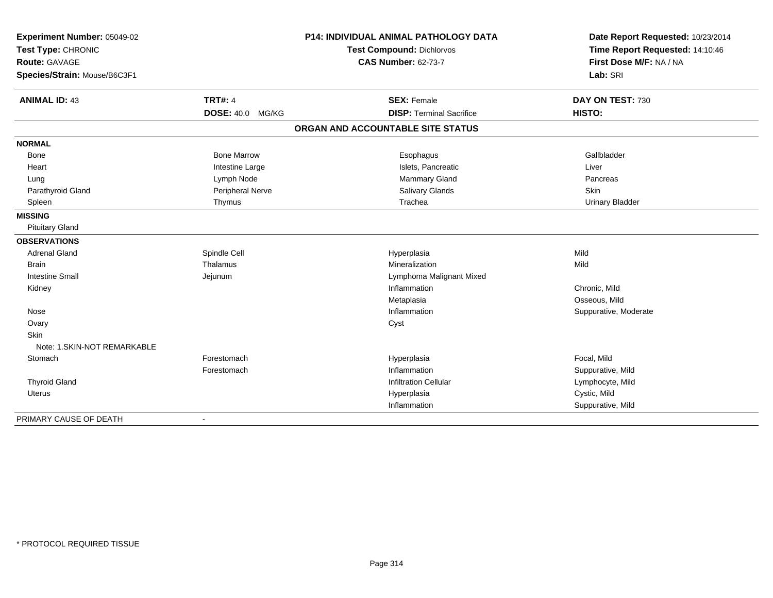| Experiment Number: 05049-02<br>Test Type: CHRONIC<br><b>Route: GAVAGE</b> |                         | P14: INDIVIDUAL ANIMAL PATHOLOGY DATA<br><b>Test Compound: Dichlorvos</b> | Date Report Requested: 10/23/2014<br>Time Report Requested: 14:10:46 |  |
|---------------------------------------------------------------------------|-------------------------|---------------------------------------------------------------------------|----------------------------------------------------------------------|--|
|                                                                           |                         | <b>CAS Number: 62-73-7</b>                                                | First Dose M/F: NA / NA                                              |  |
| Species/Strain: Mouse/B6C3F1                                              |                         |                                                                           | Lab: SRI                                                             |  |
| <b>ANIMAL ID: 43</b>                                                      | <b>TRT#: 4</b>          | <b>SEX: Female</b>                                                        | DAY ON TEST: 730                                                     |  |
|                                                                           | <b>DOSE: 40.0 MG/KG</b> | <b>DISP: Terminal Sacrifice</b>                                           | HISTO:                                                               |  |
|                                                                           |                         | ORGAN AND ACCOUNTABLE SITE STATUS                                         |                                                                      |  |
| <b>NORMAL</b>                                                             |                         |                                                                           |                                                                      |  |
| Bone                                                                      | <b>Bone Marrow</b>      | Esophagus                                                                 | Gallbladder                                                          |  |
| Heart                                                                     | Intestine Large         | Islets, Pancreatic                                                        | Liver                                                                |  |
| Lung                                                                      | Lymph Node              | Mammary Gland                                                             | Pancreas                                                             |  |
| Parathyroid Gland                                                         | Peripheral Nerve        | Salivary Glands                                                           | Skin                                                                 |  |
| Spleen                                                                    | Thymus                  | Trachea                                                                   | <b>Urinary Bladder</b>                                               |  |
| <b>MISSING</b>                                                            |                         |                                                                           |                                                                      |  |
| <b>Pituitary Gland</b>                                                    |                         |                                                                           |                                                                      |  |
| <b>OBSERVATIONS</b>                                                       |                         |                                                                           |                                                                      |  |
| <b>Adrenal Gland</b>                                                      | Spindle Cell            | Hyperplasia                                                               | Mild                                                                 |  |
| <b>Brain</b>                                                              | Thalamus                | Mineralization                                                            | Mild                                                                 |  |
| <b>Intestine Small</b>                                                    | Jejunum                 | Lymphoma Malignant Mixed                                                  |                                                                      |  |
| Kidney                                                                    |                         | Inflammation                                                              | Chronic, Mild                                                        |  |
|                                                                           |                         | Metaplasia                                                                | Osseous, Mild                                                        |  |
| Nose                                                                      |                         | Inflammation                                                              | Suppurative, Moderate                                                |  |
| Ovary                                                                     |                         | Cyst                                                                      |                                                                      |  |
| Skin                                                                      |                         |                                                                           |                                                                      |  |
| Note: 1.SKIN-NOT REMARKABLE                                               |                         |                                                                           |                                                                      |  |
| Stomach                                                                   | Forestomach             | Hyperplasia                                                               | Focal, Mild                                                          |  |
|                                                                           | Forestomach             | Inflammation                                                              | Suppurative, Mild                                                    |  |
| <b>Thyroid Gland</b>                                                      |                         | <b>Infiltration Cellular</b>                                              | Lymphocyte, Mild                                                     |  |
| Uterus                                                                    |                         | Hyperplasia                                                               | Cystic, Mild                                                         |  |
|                                                                           |                         | Inflammation                                                              | Suppurative, Mild                                                    |  |
| PRIMARY CAUSE OF DEATH                                                    | $\sim$                  |                                                                           |                                                                      |  |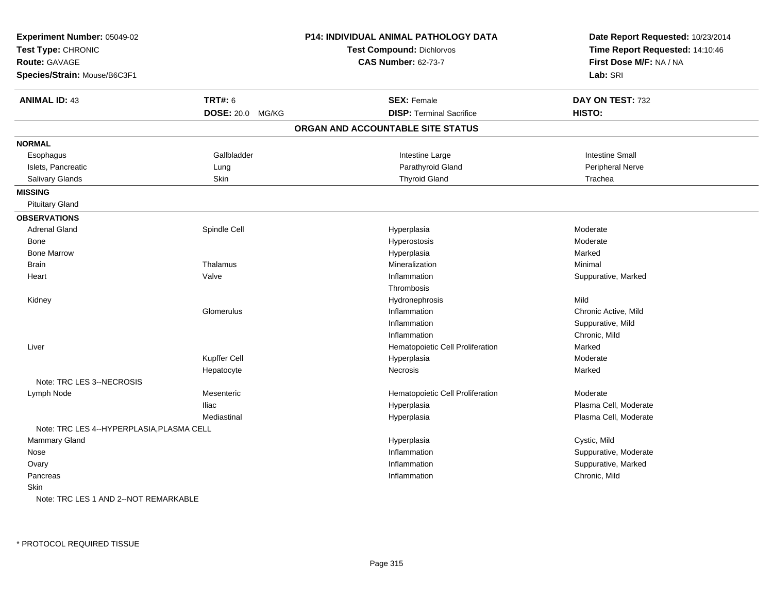| Experiment Number: 05049-02<br>Test Type: CHRONIC<br><b>Route: GAVAGE</b><br>Species/Strain: Mouse/B6C3F1 |                  | P14: INDIVIDUAL ANIMAL PATHOLOGY DATA<br>Test Compound: Dichlorvos<br><b>CAS Number: 62-73-7</b> | Date Report Requested: 10/23/2014<br>Time Report Requested: 14:10:46<br>First Dose M/F: NA / NA<br>Lab: SRI |
|-----------------------------------------------------------------------------------------------------------|------------------|--------------------------------------------------------------------------------------------------|-------------------------------------------------------------------------------------------------------------|
| <b>ANIMAL ID: 43</b>                                                                                      | <b>TRT#: 6</b>   | <b>SEX: Female</b>                                                                               | DAY ON TEST: 732                                                                                            |
|                                                                                                           | DOSE: 20.0 MG/KG | <b>DISP: Terminal Sacrifice</b>                                                                  | HISTO:                                                                                                      |
|                                                                                                           |                  | ORGAN AND ACCOUNTABLE SITE STATUS                                                                |                                                                                                             |
| <b>NORMAL</b>                                                                                             |                  |                                                                                                  |                                                                                                             |
| Esophagus                                                                                                 | Gallbladder      | Intestine Large                                                                                  | <b>Intestine Small</b>                                                                                      |
| Islets, Pancreatic                                                                                        | Lung             | Parathyroid Gland                                                                                | Peripheral Nerve                                                                                            |
| Salivary Glands                                                                                           | Skin             | <b>Thyroid Gland</b>                                                                             | Trachea                                                                                                     |
| <b>MISSING</b>                                                                                            |                  |                                                                                                  |                                                                                                             |
| <b>Pituitary Gland</b>                                                                                    |                  |                                                                                                  |                                                                                                             |
| <b>OBSERVATIONS</b>                                                                                       |                  |                                                                                                  |                                                                                                             |
| <b>Adrenal Gland</b>                                                                                      | Spindle Cell     | Hyperplasia                                                                                      | Moderate                                                                                                    |
| Bone                                                                                                      |                  | Hyperostosis                                                                                     | Moderate                                                                                                    |
| <b>Bone Marrow</b>                                                                                        |                  | Hyperplasia                                                                                      | Marked                                                                                                      |
| <b>Brain</b>                                                                                              | Thalamus         | Mineralization                                                                                   | Minimal                                                                                                     |
| Heart                                                                                                     | Valve            | Inflammation                                                                                     | Suppurative, Marked                                                                                         |
|                                                                                                           |                  | Thrombosis                                                                                       |                                                                                                             |
| Kidney                                                                                                    |                  | Hydronephrosis                                                                                   | Mild                                                                                                        |
|                                                                                                           | Glomerulus       | Inflammation                                                                                     | Chronic Active, Mild                                                                                        |
|                                                                                                           |                  | Inflammation                                                                                     | Suppurative, Mild                                                                                           |
|                                                                                                           |                  | Inflammation                                                                                     | Chronic, Mild                                                                                               |
| Liver                                                                                                     |                  | Hematopoietic Cell Proliferation                                                                 | Marked                                                                                                      |
|                                                                                                           | Kupffer Cell     | Hyperplasia                                                                                      | Moderate                                                                                                    |
|                                                                                                           | Hepatocyte       | <b>Necrosis</b>                                                                                  | Marked                                                                                                      |
| Note: TRC LES 3--NECROSIS                                                                                 |                  |                                                                                                  |                                                                                                             |
| Lymph Node                                                                                                | Mesenteric       | Hematopoietic Cell Proliferation                                                                 | Moderate                                                                                                    |
|                                                                                                           | <b>Iliac</b>     | Hyperplasia                                                                                      | Plasma Cell, Moderate                                                                                       |
|                                                                                                           | Mediastinal      | Hyperplasia                                                                                      | Plasma Cell, Moderate                                                                                       |
| Note: TRC LES 4--HYPERPLASIA, PLASMA CELL                                                                 |                  |                                                                                                  |                                                                                                             |
| <b>Mammary Gland</b>                                                                                      |                  | Hyperplasia                                                                                      | Cystic, Mild                                                                                                |
| Nose                                                                                                      |                  | Inflammation                                                                                     | Suppurative, Moderate                                                                                       |
| Ovary                                                                                                     |                  | Inflammation                                                                                     | Suppurative, Marked                                                                                         |
| Pancreas                                                                                                  |                  | Inflammation                                                                                     | Chronic, Mild                                                                                               |
| Skin                                                                                                      |                  |                                                                                                  |                                                                                                             |
| Note: TRC LES 1 AND 2--NOT REMARKABLE                                                                     |                  |                                                                                                  |                                                                                                             |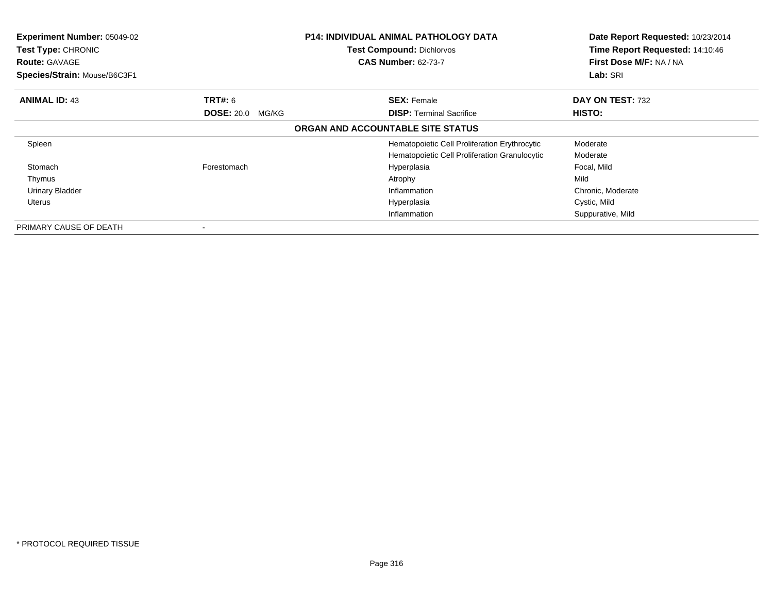| Experiment Number: 05049-02<br>Test Type: CHRONIC<br><b>Route: GAVAGE</b><br>Species/Strain: Mouse/B6C3F1 |                         | <b>P14: INDIVIDUAL ANIMAL PATHOLOGY DATA</b><br><b>Test Compound: Dichlorvos</b><br><b>CAS Number: 62-73-7</b> | Date Report Requested: 10/23/2014<br>Time Report Requested: 14:10:46<br>First Dose M/F: NA / NA<br>Lab: SRI |
|-----------------------------------------------------------------------------------------------------------|-------------------------|----------------------------------------------------------------------------------------------------------------|-------------------------------------------------------------------------------------------------------------|
| <b>ANIMAL ID: 43</b>                                                                                      | <b>TRT#:</b> 6          | <b>SEX: Female</b>                                                                                             | DAY ON TEST: 732                                                                                            |
|                                                                                                           | <b>DOSE: 20.0 MG/KG</b> | <b>DISP:</b> Terminal Sacrifice                                                                                | HISTO:                                                                                                      |
|                                                                                                           |                         | ORGAN AND ACCOUNTABLE SITE STATUS                                                                              |                                                                                                             |
| Spleen                                                                                                    |                         | Hematopoietic Cell Proliferation Erythrocytic                                                                  | Moderate                                                                                                    |
|                                                                                                           |                         | Hematopoietic Cell Proliferation Granulocytic                                                                  | Moderate                                                                                                    |
| Stomach                                                                                                   | Forestomach             | Hyperplasia                                                                                                    | Focal, Mild                                                                                                 |
| Thymus                                                                                                    |                         | Atrophy                                                                                                        | Mild                                                                                                        |
| <b>Urinary Bladder</b>                                                                                    |                         | Inflammation                                                                                                   | Chronic, Moderate                                                                                           |
| Uterus                                                                                                    |                         | Hyperplasia                                                                                                    | Cystic, Mild                                                                                                |
|                                                                                                           |                         | Inflammation                                                                                                   | Suppurative, Mild                                                                                           |
| PRIMARY CAUSE OF DEATH                                                                                    |                         |                                                                                                                |                                                                                                             |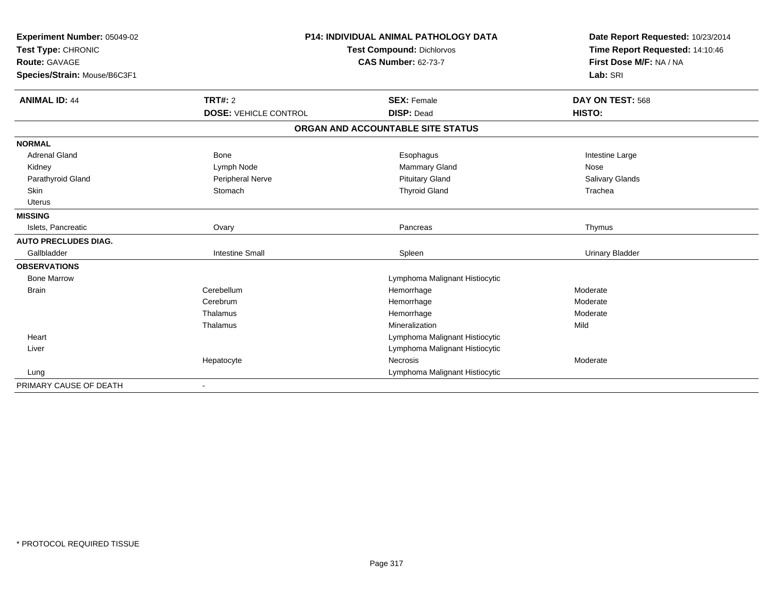| Experiment Number: 05049-02  |                              | <b>P14: INDIVIDUAL ANIMAL PATHOLOGY DATA</b> | Date Report Requested: 10/23/2014                          |
|------------------------------|------------------------------|----------------------------------------------|------------------------------------------------------------|
| Test Type: CHRONIC           |                              | <b>Test Compound: Dichlorvos</b>             | Time Report Requested: 14:10:46<br>First Dose M/F: NA / NA |
| <b>Route: GAVAGE</b>         |                              | <b>CAS Number: 62-73-7</b>                   |                                                            |
| Species/Strain: Mouse/B6C3F1 |                              |                                              | Lab: SRI                                                   |
|                              |                              |                                              |                                                            |
| <b>ANIMAL ID: 44</b>         | <b>TRT#: 2</b>               | <b>SEX: Female</b>                           | DAY ON TEST: 568                                           |
|                              | <b>DOSE: VEHICLE CONTROL</b> | <b>DISP: Dead</b>                            | HISTO:                                                     |
|                              |                              | ORGAN AND ACCOUNTABLE SITE STATUS            |                                                            |
| <b>NORMAL</b>                |                              |                                              |                                                            |
| <b>Adrenal Gland</b>         | <b>Bone</b>                  | Esophagus                                    | Intestine Large                                            |
| Kidney                       | Lymph Node                   | Mammary Gland                                | Nose                                                       |
| Parathyroid Gland            | Peripheral Nerve             | <b>Pituitary Gland</b>                       | Salivary Glands                                            |
| <b>Skin</b>                  | Stomach                      | <b>Thyroid Gland</b>                         | Trachea                                                    |
| <b>Uterus</b>                |                              |                                              |                                                            |
| <b>MISSING</b>               |                              |                                              |                                                            |
| Islets, Pancreatic           | Ovary                        | Pancreas                                     | Thymus                                                     |
| <b>AUTO PRECLUDES DIAG.</b>  |                              |                                              |                                                            |
| Gallbladder                  | <b>Intestine Small</b>       | Spleen                                       | <b>Urinary Bladder</b>                                     |
| <b>OBSERVATIONS</b>          |                              |                                              |                                                            |
| <b>Bone Marrow</b>           |                              | Lymphoma Malignant Histiocytic               |                                                            |
| <b>Brain</b>                 | Cerebellum                   | Hemorrhage                                   | Moderate                                                   |
|                              | Cerebrum                     | Hemorrhage                                   | Moderate                                                   |
|                              | Thalamus                     | Hemorrhage                                   | Moderate                                                   |
|                              | Thalamus                     | Mineralization                               | Mild                                                       |
| Heart                        |                              | Lymphoma Malignant Histiocytic               |                                                            |
| Liver                        |                              | Lymphoma Malignant Histiocytic               |                                                            |
|                              | Hepatocyte                   | Necrosis                                     | Moderate                                                   |
| Lung                         |                              | Lymphoma Malignant Histiocytic               |                                                            |
| PRIMARY CAUSE OF DEATH       |                              |                                              |                                                            |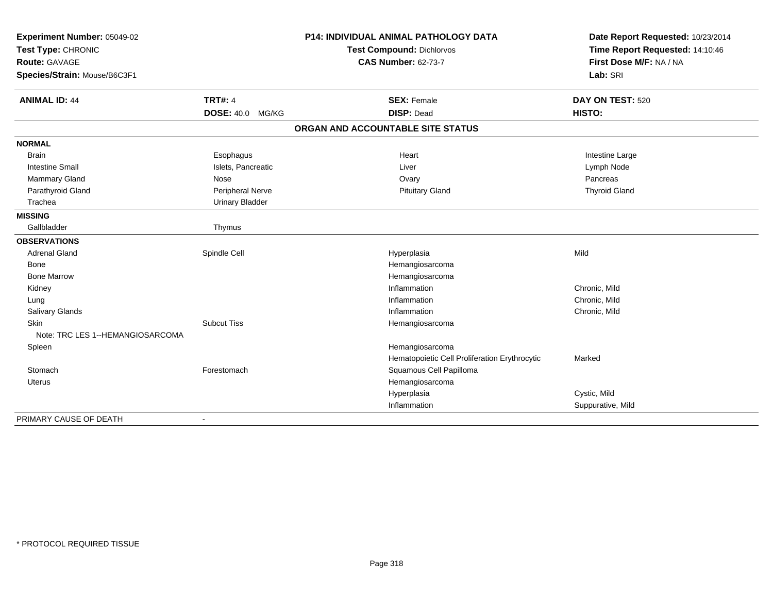| Experiment Number: 05049-02      |                        | <b>P14: INDIVIDUAL ANIMAL PATHOLOGY DATA</b>  | Date Report Requested: 10/23/2014 |
|----------------------------------|------------------------|-----------------------------------------------|-----------------------------------|
| Test Type: CHRONIC               |                        | <b>Test Compound: Dichlorvos</b>              | Time Report Requested: 14:10:46   |
| <b>Route: GAVAGE</b>             |                        | <b>CAS Number: 62-73-7</b>                    | First Dose M/F: NA / NA           |
| Species/Strain: Mouse/B6C3F1     |                        |                                               | Lab: SRI                          |
| <b>ANIMAL ID: 44</b>             | <b>TRT#: 4</b>         | <b>SEX: Female</b>                            | DAY ON TEST: 520                  |
|                                  | DOSE: 40.0 MG/KG       | <b>DISP: Dead</b>                             | HISTO:                            |
|                                  |                        | ORGAN AND ACCOUNTABLE SITE STATUS             |                                   |
| <b>NORMAL</b>                    |                        |                                               |                                   |
| <b>Brain</b>                     | Esophagus              | Heart                                         | Intestine Large                   |
| <b>Intestine Small</b>           | Islets, Pancreatic     | Liver                                         | Lymph Node                        |
| <b>Mammary Gland</b>             | Nose                   | Ovary                                         | Pancreas                          |
| Parathyroid Gland                | Peripheral Nerve       | <b>Pituitary Gland</b>                        | <b>Thyroid Gland</b>              |
| Trachea                          | <b>Urinary Bladder</b> |                                               |                                   |
| <b>MISSING</b>                   |                        |                                               |                                   |
| Gallbladder                      | Thymus                 |                                               |                                   |
| <b>OBSERVATIONS</b>              |                        |                                               |                                   |
| <b>Adrenal Gland</b>             | Spindle Cell           | Hyperplasia                                   | Mild                              |
| Bone                             |                        | Hemangiosarcoma                               |                                   |
| <b>Bone Marrow</b>               |                        | Hemangiosarcoma                               |                                   |
| Kidney                           |                        | Inflammation                                  | Chronic, Mild                     |
| Lung                             |                        | Inflammation                                  | Chronic, Mild                     |
| Salivary Glands                  |                        | Inflammation                                  | Chronic, Mild                     |
| <b>Skin</b>                      | <b>Subcut Tiss</b>     | Hemangiosarcoma                               |                                   |
| Note: TRC LES 1--HEMANGIOSARCOMA |                        |                                               |                                   |
| Spleen                           |                        | Hemangiosarcoma                               |                                   |
|                                  |                        | Hematopoietic Cell Proliferation Erythrocytic | Marked                            |
| Stomach                          | Forestomach            | Squamous Cell Papilloma                       |                                   |
| <b>Uterus</b>                    |                        | Hemangiosarcoma                               |                                   |
|                                  |                        | Hyperplasia                                   | Cystic, Mild                      |
|                                  |                        | Inflammation                                  | Suppurative, Mild                 |
| PRIMARY CAUSE OF DEATH           |                        |                                               |                                   |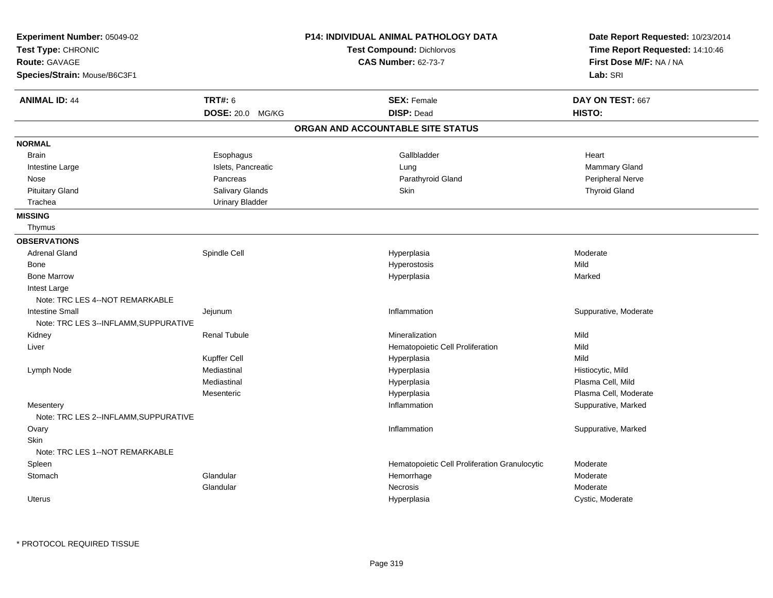| Experiment Number: 05049-02<br>Test Type: CHRONIC<br>Route: GAVAGE<br>Species/Strain: Mouse/B6C3F1 |                        | <b>P14: INDIVIDUAL ANIMAL PATHOLOGY DATA</b><br><b>Test Compound: Dichlorvos</b><br><b>CAS Number: 62-73-7</b> | Date Report Requested: 10/23/2014<br>Time Report Requested: 14:10:46<br>First Dose M/F: NA / NA<br>Lab: SRI |
|----------------------------------------------------------------------------------------------------|------------------------|----------------------------------------------------------------------------------------------------------------|-------------------------------------------------------------------------------------------------------------|
| <b>ANIMAL ID: 44</b>                                                                               | <b>TRT#: 6</b>         | <b>SEX: Female</b>                                                                                             | DAY ON TEST: 667                                                                                            |
|                                                                                                    | DOSE: 20.0 MG/KG       | <b>DISP: Dead</b>                                                                                              | HISTO:                                                                                                      |
|                                                                                                    |                        | ORGAN AND ACCOUNTABLE SITE STATUS                                                                              |                                                                                                             |
| <b>NORMAL</b>                                                                                      |                        |                                                                                                                |                                                                                                             |
| <b>Brain</b>                                                                                       | Esophagus              | Gallbladder                                                                                                    | Heart                                                                                                       |
| Intestine Large                                                                                    | Islets, Pancreatic     | Lung                                                                                                           | Mammary Gland                                                                                               |
| Nose                                                                                               | Pancreas               | Parathyroid Gland                                                                                              | Peripheral Nerve                                                                                            |
| <b>Pituitary Gland</b>                                                                             | Salivary Glands        | Skin                                                                                                           | <b>Thyroid Gland</b>                                                                                        |
| Trachea                                                                                            | <b>Urinary Bladder</b> |                                                                                                                |                                                                                                             |
| <b>MISSING</b>                                                                                     |                        |                                                                                                                |                                                                                                             |
| Thymus                                                                                             |                        |                                                                                                                |                                                                                                             |
| <b>OBSERVATIONS</b>                                                                                |                        |                                                                                                                |                                                                                                             |
| <b>Adrenal Gland</b>                                                                               | Spindle Cell           | Hyperplasia                                                                                                    | Moderate                                                                                                    |
| Bone                                                                                               |                        | Hyperostosis                                                                                                   | Mild                                                                                                        |
| <b>Bone Marrow</b>                                                                                 |                        | Hyperplasia                                                                                                    | Marked                                                                                                      |
| Intest Large                                                                                       |                        |                                                                                                                |                                                                                                             |
| Note: TRC LES 4--NOT REMARKABLE                                                                    |                        |                                                                                                                |                                                                                                             |
| <b>Intestine Small</b>                                                                             | Jejunum                | Inflammation                                                                                                   | Suppurative, Moderate                                                                                       |
| Note: TRC LES 3--INFLAMM, SUPPURATIVE                                                              |                        |                                                                                                                |                                                                                                             |
| Kidney                                                                                             | <b>Renal Tubule</b>    | Mineralization                                                                                                 | Mild                                                                                                        |
| Liver                                                                                              |                        | Hematopoietic Cell Proliferation                                                                               | Mild                                                                                                        |
|                                                                                                    | Kupffer Cell           | Hyperplasia                                                                                                    | Mild                                                                                                        |
| Lymph Node                                                                                         | Mediastinal            | Hyperplasia                                                                                                    | Histiocytic, Mild                                                                                           |
|                                                                                                    | Mediastinal            | Hyperplasia                                                                                                    | Plasma Cell, Mild                                                                                           |
|                                                                                                    | Mesenteric             | Hyperplasia                                                                                                    | Plasma Cell, Moderate                                                                                       |
| Mesentery<br>Note: TRC LES 2--INFLAMM, SUPPURATIVE                                                 |                        | Inflammation                                                                                                   | Suppurative, Marked                                                                                         |
| Ovary                                                                                              |                        | Inflammation                                                                                                   | Suppurative, Marked                                                                                         |
| Skin<br>Note: TRC LES 1--NOT REMARKABLE                                                            |                        |                                                                                                                |                                                                                                             |
| Spleen                                                                                             |                        | Hematopoietic Cell Proliferation Granulocytic                                                                  | Moderate                                                                                                    |
| Stomach                                                                                            | Glandular              | Hemorrhage                                                                                                     | Moderate                                                                                                    |
|                                                                                                    | Glandular              | Necrosis                                                                                                       | Moderate                                                                                                    |
| <b>Uterus</b>                                                                                      |                        | Hyperplasia                                                                                                    | Cystic, Moderate                                                                                            |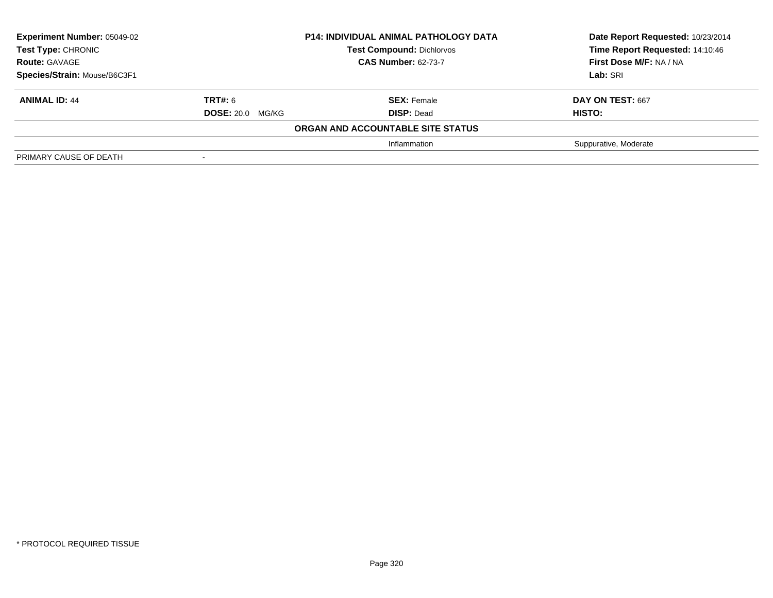| <b>Experiment Number: 05049-02</b><br><b>Test Type: CHRONIC</b><br><b>Route: GAVAGE</b> | <b>P14: INDIVIDUAL ANIMAL PATHOLOGY DATA</b><br><b>Test Compound: Dichlorvos</b><br><b>CAS Number: 62-73-7</b> |                                   | Date Report Requested: 10/23/2014<br>Time Report Requested: 14:10:46<br>First Dose M/F: NA / NA |
|-----------------------------------------------------------------------------------------|----------------------------------------------------------------------------------------------------------------|-----------------------------------|-------------------------------------------------------------------------------------------------|
| Species/Strain: Mouse/B6C3F1                                                            |                                                                                                                |                                   | Lab: SRI                                                                                        |
| <b>ANIMAL ID: 44</b>                                                                    | <b>TRT#: 6</b>                                                                                                 | <b>SEX: Female</b>                | DAY ON TEST: 667                                                                                |
|                                                                                         | <b>DOSE: 20.0 MG/KG</b>                                                                                        | <b>DISP: Dead</b>                 | <b>HISTO:</b>                                                                                   |
|                                                                                         |                                                                                                                | ORGAN AND ACCOUNTABLE SITE STATUS |                                                                                                 |
|                                                                                         |                                                                                                                | Inflammation                      | Suppurative, Moderate                                                                           |
| PRIMARY CAUSE OF DEATH                                                                  |                                                                                                                |                                   |                                                                                                 |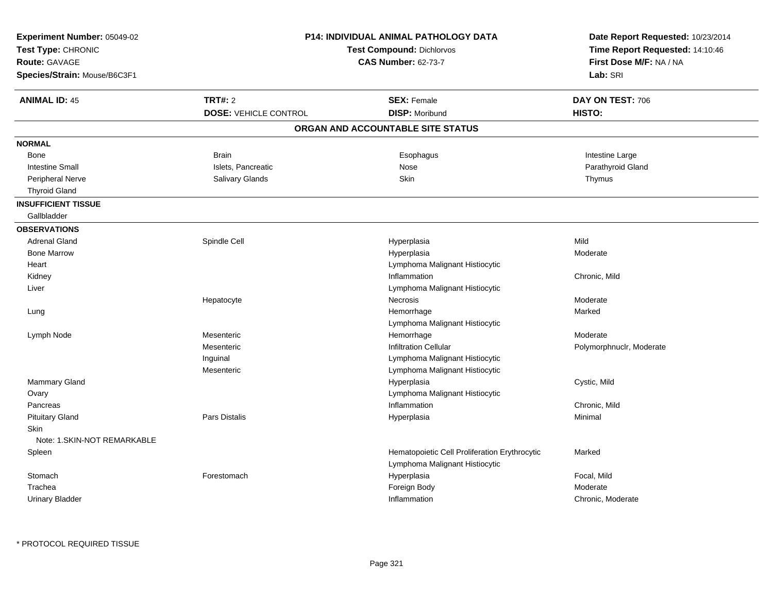| <b>P14: INDIVIDUAL ANIMAL PATHOLOGY DATA</b><br>Experiment Number: 05049-02<br>Test Type: CHRONIC<br><b>Test Compound: Dichlorvos</b><br><b>CAS Number: 62-73-7</b><br><b>Route: GAVAGE</b><br>Species/Strain: Mouse/B6C3F1 |                                                |                                                                                 | Date Report Requested: 10/23/2014<br>Time Report Requested: 14:10:46<br>First Dose M/F: NA / NA<br>Lab: SRI |
|-----------------------------------------------------------------------------------------------------------------------------------------------------------------------------------------------------------------------------|------------------------------------------------|---------------------------------------------------------------------------------|-------------------------------------------------------------------------------------------------------------|
| <b>ANIMAL ID: 45</b>                                                                                                                                                                                                        | <b>TRT#: 2</b><br><b>DOSE: VEHICLE CONTROL</b> | <b>SEX: Female</b><br><b>DISP: Moribund</b>                                     | DAY ON TEST: 706<br>HISTO:                                                                                  |
|                                                                                                                                                                                                                             |                                                | ORGAN AND ACCOUNTABLE SITE STATUS                                               |                                                                                                             |
|                                                                                                                                                                                                                             |                                                |                                                                                 |                                                                                                             |
| <b>NORMAL</b>                                                                                                                                                                                                               |                                                |                                                                                 |                                                                                                             |
| Bone                                                                                                                                                                                                                        | <b>Brain</b>                                   | Esophagus                                                                       | Intestine Large                                                                                             |
| <b>Intestine Small</b>                                                                                                                                                                                                      | Islets, Pancreatic                             | Nose                                                                            | Parathyroid Gland                                                                                           |
| Peripheral Nerve<br><b>Thyroid Gland</b>                                                                                                                                                                                    | Salivary Glands                                | Skin                                                                            | Thymus                                                                                                      |
| <b>INSUFFICIENT TISSUE</b>                                                                                                                                                                                                  |                                                |                                                                                 |                                                                                                             |
| Gallbladder                                                                                                                                                                                                                 |                                                |                                                                                 |                                                                                                             |
| <b>OBSERVATIONS</b>                                                                                                                                                                                                         |                                                |                                                                                 |                                                                                                             |
| <b>Adrenal Gland</b>                                                                                                                                                                                                        | Spindle Cell                                   | Hyperplasia                                                                     | Mild                                                                                                        |
| <b>Bone Marrow</b>                                                                                                                                                                                                          |                                                | Hyperplasia                                                                     | Moderate                                                                                                    |
| Heart                                                                                                                                                                                                                       |                                                | Lymphoma Malignant Histiocytic                                                  |                                                                                                             |
| Kidney                                                                                                                                                                                                                      |                                                | Inflammation                                                                    | Chronic, Mild                                                                                               |
| Liver                                                                                                                                                                                                                       |                                                | Lymphoma Malignant Histiocytic                                                  |                                                                                                             |
|                                                                                                                                                                                                                             | Hepatocyte                                     | Necrosis                                                                        | Moderate                                                                                                    |
| Lung                                                                                                                                                                                                                        |                                                | Hemorrhage                                                                      | Marked                                                                                                      |
|                                                                                                                                                                                                                             |                                                | Lymphoma Malignant Histiocytic                                                  |                                                                                                             |
| Lymph Node                                                                                                                                                                                                                  | Mesenteric                                     | Hemorrhage                                                                      | Moderate                                                                                                    |
|                                                                                                                                                                                                                             | Mesenteric                                     | <b>Infiltration Cellular</b>                                                    | Polymorphnuclr, Moderate                                                                                    |
|                                                                                                                                                                                                                             | Inguinal                                       | Lymphoma Malignant Histiocytic                                                  |                                                                                                             |
|                                                                                                                                                                                                                             | Mesenteric                                     | Lymphoma Malignant Histiocytic                                                  |                                                                                                             |
| Mammary Gland                                                                                                                                                                                                               |                                                | Hyperplasia                                                                     | Cystic, Mild                                                                                                |
| Ovary                                                                                                                                                                                                                       |                                                | Lymphoma Malignant Histiocytic                                                  |                                                                                                             |
| Pancreas                                                                                                                                                                                                                    |                                                | Inflammation                                                                    | Chronic, Mild                                                                                               |
| <b>Pituitary Gland</b>                                                                                                                                                                                                      | <b>Pars Distalis</b>                           | Hyperplasia                                                                     | Minimal                                                                                                     |
| Skin                                                                                                                                                                                                                        |                                                |                                                                                 |                                                                                                             |
| Note: 1.SKIN-NOT REMARKABLE                                                                                                                                                                                                 |                                                |                                                                                 |                                                                                                             |
| Spleen                                                                                                                                                                                                                      |                                                | Hematopoietic Cell Proliferation Erythrocytic<br>Lymphoma Malignant Histiocytic | Marked                                                                                                      |
| Stomach                                                                                                                                                                                                                     | Forestomach                                    | Hyperplasia                                                                     | Focal, Mild                                                                                                 |
| Trachea                                                                                                                                                                                                                     |                                                | Foreign Body                                                                    | Moderate                                                                                                    |
| <b>Urinary Bladder</b>                                                                                                                                                                                                      |                                                | Inflammation                                                                    | Chronic, Moderate                                                                                           |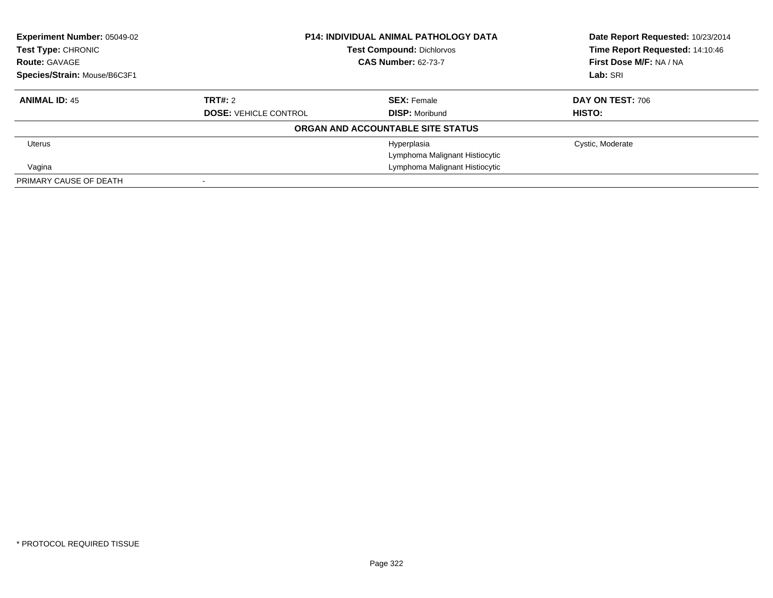| Experiment Number: 05049-02<br>Test Type: CHRONIC | <b>P14: INDIVIDUAL ANIMAL PATHOLOGY DATA</b><br><b>Test Compound: Dichlorvos</b><br><b>CAS Number: 62-73-7</b> |                                   | Date Report Requested: 10/23/2014<br>Time Report Requested: 14:10:46 |
|---------------------------------------------------|----------------------------------------------------------------------------------------------------------------|-----------------------------------|----------------------------------------------------------------------|
| <b>Route: GAVAGE</b>                              |                                                                                                                |                                   | First Dose M/F: NA / NA                                              |
| Species/Strain: Mouse/B6C3F1                      |                                                                                                                |                                   | Lab: SRI                                                             |
| <b>ANIMAL ID: 45</b>                              | TRT#: 2                                                                                                        | <b>SEX: Female</b>                | DAY ON TEST: 706                                                     |
|                                                   | <b>DOSE: VEHICLE CONTROL</b>                                                                                   | <b>DISP:</b> Moribund             | HISTO:                                                               |
|                                                   |                                                                                                                | ORGAN AND ACCOUNTABLE SITE STATUS |                                                                      |
| Uterus                                            |                                                                                                                | Hyperplasia                       | Cystic, Moderate                                                     |
|                                                   |                                                                                                                | Lymphoma Malignant Histiocytic    |                                                                      |
| Vagina                                            |                                                                                                                | Lymphoma Malignant Histiocytic    |                                                                      |
| PRIMARY CAUSE OF DEATH                            |                                                                                                                |                                   |                                                                      |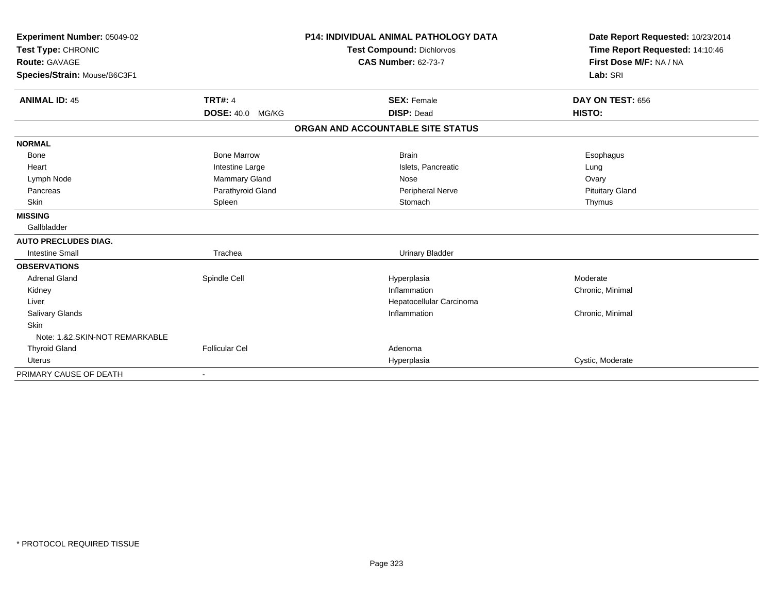| Experiment Number: 05049-02<br>Test Type: CHRONIC<br>Route: GAVAGE<br>Species/Strain: Mouse/B6C3F1 |                         | <b>P14: INDIVIDUAL ANIMAL PATHOLOGY DATA</b><br><b>Test Compound: Dichlorvos</b><br><b>CAS Number: 62-73-7</b> | Date Report Requested: 10/23/2014<br>Time Report Requested: 14:10:46<br>First Dose M/F: NA / NA<br>Lab: SRI |
|----------------------------------------------------------------------------------------------------|-------------------------|----------------------------------------------------------------------------------------------------------------|-------------------------------------------------------------------------------------------------------------|
|                                                                                                    |                         |                                                                                                                |                                                                                                             |
| <b>ANIMAL ID: 45</b>                                                                               | <b>TRT#: 4</b>          | <b>SEX: Female</b>                                                                                             | DAY ON TEST: 656                                                                                            |
|                                                                                                    | <b>DOSE: 40.0 MG/KG</b> | <b>DISP: Dead</b>                                                                                              | HISTO:                                                                                                      |
|                                                                                                    |                         | ORGAN AND ACCOUNTABLE SITE STATUS                                                                              |                                                                                                             |
| <b>NORMAL</b>                                                                                      |                         |                                                                                                                |                                                                                                             |
| Bone                                                                                               | <b>Bone Marrow</b>      | <b>Brain</b>                                                                                                   | Esophagus                                                                                                   |
| Heart                                                                                              | Intestine Large         | Islets, Pancreatic                                                                                             | Lung                                                                                                        |
| Lymph Node                                                                                         | <b>Mammary Gland</b>    | Nose                                                                                                           | Ovary                                                                                                       |
| Pancreas                                                                                           | Parathyroid Gland       | Peripheral Nerve                                                                                               | <b>Pituitary Gland</b>                                                                                      |
| Skin                                                                                               | Spleen                  | Stomach                                                                                                        | Thymus                                                                                                      |
| <b>MISSING</b>                                                                                     |                         |                                                                                                                |                                                                                                             |
| Gallbladder                                                                                        |                         |                                                                                                                |                                                                                                             |
| <b>AUTO PRECLUDES DIAG.</b>                                                                        |                         |                                                                                                                |                                                                                                             |
| <b>Intestine Small</b>                                                                             | Trachea                 | <b>Urinary Bladder</b>                                                                                         |                                                                                                             |
| <b>OBSERVATIONS</b>                                                                                |                         |                                                                                                                |                                                                                                             |
| <b>Adrenal Gland</b>                                                                               | Spindle Cell            | Hyperplasia                                                                                                    | Moderate                                                                                                    |
| Kidney                                                                                             |                         | Inflammation                                                                                                   | Chronic, Minimal                                                                                            |
| Liver                                                                                              |                         | Hepatocellular Carcinoma                                                                                       |                                                                                                             |
| <b>Salivary Glands</b>                                                                             |                         | Inflammation                                                                                                   | Chronic, Minimal                                                                                            |
| Skin                                                                                               |                         |                                                                                                                |                                                                                                             |
| Note: 1.&2.SKIN-NOT REMARKABLE                                                                     |                         |                                                                                                                |                                                                                                             |
| <b>Thyroid Gland</b>                                                                               | <b>Follicular Cel</b>   | Adenoma                                                                                                        |                                                                                                             |
| <b>Uterus</b>                                                                                      |                         | Hyperplasia                                                                                                    | Cystic, Moderate                                                                                            |
| PRIMARY CAUSE OF DEATH                                                                             | $\blacksquare$          |                                                                                                                |                                                                                                             |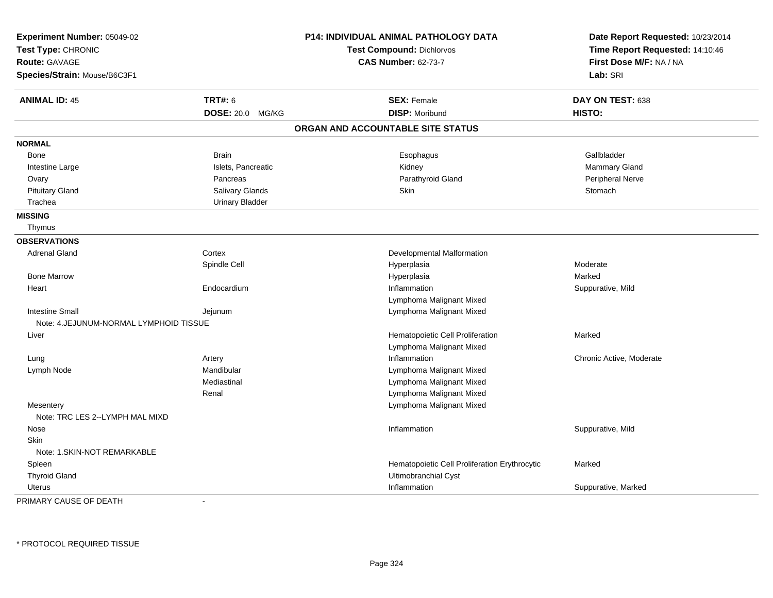| Experiment Number: 05049-02<br>Test Type: CHRONIC<br><b>Route: GAVAGE</b><br>Species/Strain: Mouse/B6C3F1 |                        | P14: INDIVIDUAL ANIMAL PATHOLOGY DATA<br><b>Test Compound: Dichlorvos</b><br><b>CAS Number: 62-73-7</b> | Date Report Requested: 10/23/2014<br>Time Report Requested: 14:10:46<br>First Dose M/F: NA / NA<br>Lab: SRI |
|-----------------------------------------------------------------------------------------------------------|------------------------|---------------------------------------------------------------------------------------------------------|-------------------------------------------------------------------------------------------------------------|
|                                                                                                           |                        |                                                                                                         |                                                                                                             |
| <b>ANIMAL ID: 45</b>                                                                                      | <b>TRT#: 6</b>         | <b>SEX: Female</b>                                                                                      | DAY ON TEST: 638                                                                                            |
|                                                                                                           | DOSE: 20.0 MG/KG       | <b>DISP: Moribund</b>                                                                                   | HISTO:                                                                                                      |
|                                                                                                           |                        | ORGAN AND ACCOUNTABLE SITE STATUS                                                                       |                                                                                                             |
| <b>NORMAL</b>                                                                                             |                        |                                                                                                         |                                                                                                             |
| Bone                                                                                                      | <b>Brain</b>           | Esophagus                                                                                               | Gallbladder                                                                                                 |
| Intestine Large                                                                                           | Islets, Pancreatic     | Kidney                                                                                                  | Mammary Gland                                                                                               |
| Ovary                                                                                                     | Pancreas               | Parathyroid Gland                                                                                       | Peripheral Nerve                                                                                            |
| <b>Pituitary Gland</b>                                                                                    | Salivary Glands        | Skin                                                                                                    | Stomach                                                                                                     |
| Trachea                                                                                                   | <b>Urinary Bladder</b> |                                                                                                         |                                                                                                             |
| <b>MISSING</b>                                                                                            |                        |                                                                                                         |                                                                                                             |
| Thymus                                                                                                    |                        |                                                                                                         |                                                                                                             |
| <b>OBSERVATIONS</b>                                                                                       |                        |                                                                                                         |                                                                                                             |
| <b>Adrenal Gland</b>                                                                                      | Cortex                 | Developmental Malformation                                                                              |                                                                                                             |
|                                                                                                           | Spindle Cell           | Hyperplasia                                                                                             | Moderate                                                                                                    |
| <b>Bone Marrow</b>                                                                                        |                        | Hyperplasia                                                                                             | Marked                                                                                                      |
| Heart                                                                                                     | Endocardium            | Inflammation                                                                                            | Suppurative, Mild                                                                                           |
|                                                                                                           |                        | Lymphoma Malignant Mixed                                                                                |                                                                                                             |
| <b>Intestine Small</b>                                                                                    | Jejunum                | Lymphoma Malignant Mixed                                                                                |                                                                                                             |
| Note: 4. JEJUNUM-NORMAL LYMPHOID TISSUE                                                                   |                        |                                                                                                         |                                                                                                             |
| Liver                                                                                                     |                        | Hematopoietic Cell Proliferation                                                                        | Marked                                                                                                      |
|                                                                                                           |                        | Lymphoma Malignant Mixed                                                                                |                                                                                                             |
| Lung                                                                                                      | Artery                 | Inflammation                                                                                            | Chronic Active, Moderate                                                                                    |
| Lymph Node                                                                                                | Mandibular             | Lymphoma Malignant Mixed                                                                                |                                                                                                             |
|                                                                                                           | Mediastinal            | Lymphoma Malignant Mixed                                                                                |                                                                                                             |
|                                                                                                           | Renal                  | Lymphoma Malignant Mixed                                                                                |                                                                                                             |
| Mesentery                                                                                                 |                        | Lymphoma Malignant Mixed                                                                                |                                                                                                             |
| Note: TRC LES 2--LYMPH MAL MIXD                                                                           |                        |                                                                                                         |                                                                                                             |
| Nose                                                                                                      |                        | Inflammation                                                                                            | Suppurative, Mild                                                                                           |
| Skin                                                                                                      |                        |                                                                                                         |                                                                                                             |
| Note: 1.SKIN-NOT REMARKABLE                                                                               |                        |                                                                                                         |                                                                                                             |
| Spleen                                                                                                    |                        | Hematopoietic Cell Proliferation Erythrocytic                                                           | Marked                                                                                                      |
| <b>Thyroid Gland</b>                                                                                      |                        | Ultimobranchial Cyst                                                                                    |                                                                                                             |
| <b>Uterus</b>                                                                                             |                        | Inflammation                                                                                            | Suppurative, Marked                                                                                         |

PRIMARY CAUSE OF DEATH-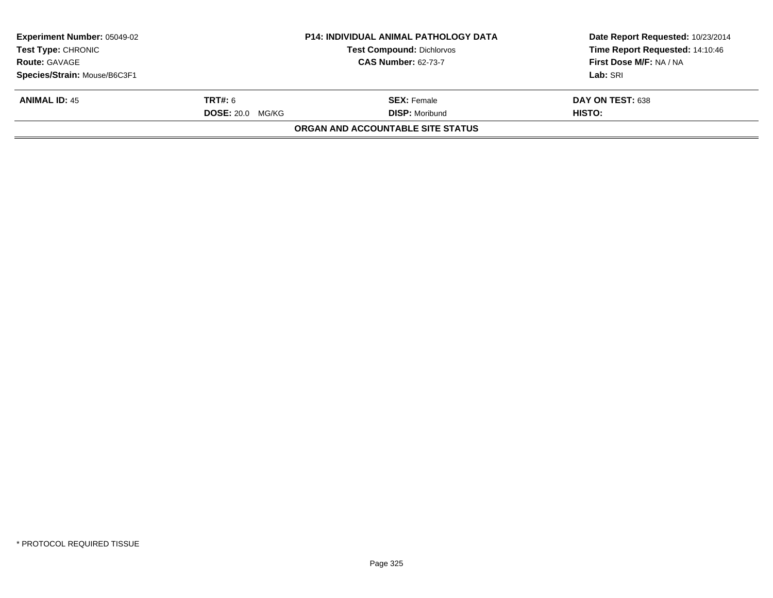| <b>Experiment Number: 05049-02</b><br><b>Test Type: CHRONIC</b> |                         | <b>P14: INDIVIDUAL ANIMAL PATHOLOGY DATA</b><br>Test Compound: Dichlorvos | Date Report Requested: 10/23/2014<br>Time Report Requested: 14:10:46 |
|-----------------------------------------------------------------|-------------------------|---------------------------------------------------------------------------|----------------------------------------------------------------------|
| <b>Route: GAVAGE</b>                                            |                         | <b>CAS Number: 62-73-7</b>                                                | First Dose M/F: NA / NA                                              |
| Species/Strain: Mouse/B6C3F1                                    |                         |                                                                           | Lab: SRI                                                             |
| <b>ANIMAL ID: 45</b>                                            | <b>TRT#:</b> 6          | <b>SEX: Female</b>                                                        | DAY ON TEST: 638                                                     |
|                                                                 | <b>DOSE: 20.0 MG/KG</b> | <b>DISP: Moribund</b>                                                     | HISTO:                                                               |
|                                                                 |                         | ORGAN AND ACCOUNTABLE SITE STATUS                                         |                                                                      |
|                                                                 |                         |                                                                           |                                                                      |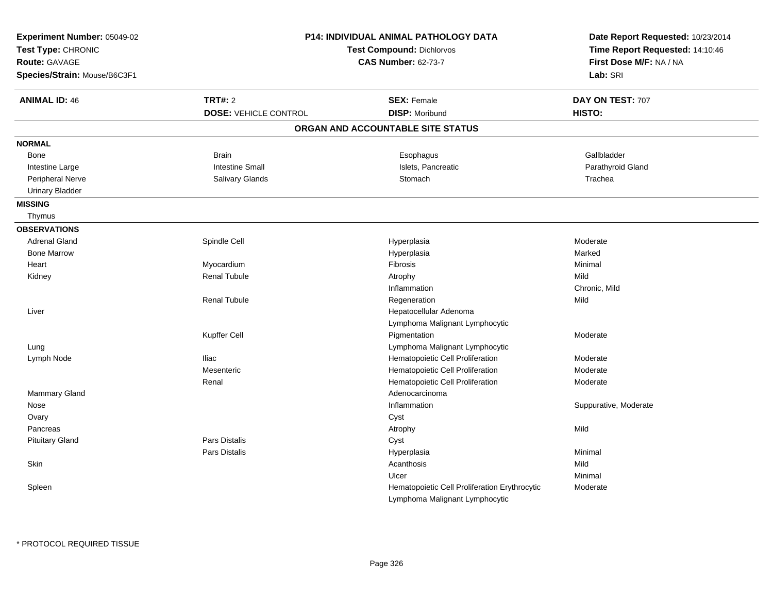| Experiment Number: 05049-02<br>Test Type: CHRONIC<br>Route: GAVAGE<br>Species/Strain: Mouse/B6C3F1 |                              | <b>P14: INDIVIDUAL ANIMAL PATHOLOGY DATA</b><br><b>Test Compound: Dichlorvos</b><br><b>CAS Number: 62-73-7</b> | Date Report Requested: 10/23/2014<br>Time Report Requested: 14:10:46<br>First Dose M/F: NA / NA<br>Lab: SRI |
|----------------------------------------------------------------------------------------------------|------------------------------|----------------------------------------------------------------------------------------------------------------|-------------------------------------------------------------------------------------------------------------|
| <b>ANIMAL ID: 46</b>                                                                               | <b>TRT#: 2</b>               | <b>SEX: Female</b>                                                                                             | DAY ON TEST: 707                                                                                            |
|                                                                                                    | <b>DOSE: VEHICLE CONTROL</b> | <b>DISP: Moribund</b>                                                                                          | HISTO:                                                                                                      |
|                                                                                                    |                              | ORGAN AND ACCOUNTABLE SITE STATUS                                                                              |                                                                                                             |
| <b>NORMAL</b>                                                                                      |                              |                                                                                                                |                                                                                                             |
| Bone                                                                                               | <b>Brain</b>                 | Esophagus                                                                                                      | Gallbladder                                                                                                 |
| Intestine Large                                                                                    | <b>Intestine Small</b>       | Islets, Pancreatic                                                                                             | Parathyroid Gland                                                                                           |
| Peripheral Nerve                                                                                   | <b>Salivary Glands</b>       | Stomach                                                                                                        | Trachea                                                                                                     |
| <b>Urinary Bladder</b>                                                                             |                              |                                                                                                                |                                                                                                             |
| <b>MISSING</b>                                                                                     |                              |                                                                                                                |                                                                                                             |
| Thymus                                                                                             |                              |                                                                                                                |                                                                                                             |
| <b>OBSERVATIONS</b>                                                                                |                              |                                                                                                                |                                                                                                             |
| <b>Adrenal Gland</b>                                                                               | Spindle Cell                 | Hyperplasia                                                                                                    | Moderate                                                                                                    |
| <b>Bone Marrow</b>                                                                                 |                              | Hyperplasia                                                                                                    | Marked                                                                                                      |
| Heart                                                                                              | Myocardium                   | Fibrosis                                                                                                       | Minimal                                                                                                     |
| Kidney                                                                                             | <b>Renal Tubule</b>          | Atrophy                                                                                                        | Mild                                                                                                        |
|                                                                                                    |                              | Inflammation                                                                                                   | Chronic, Mild                                                                                               |
|                                                                                                    | <b>Renal Tubule</b>          | Regeneration                                                                                                   | Mild                                                                                                        |
| Liver                                                                                              |                              | Hepatocellular Adenoma                                                                                         |                                                                                                             |
|                                                                                                    |                              | Lymphoma Malignant Lymphocytic                                                                                 |                                                                                                             |
|                                                                                                    | Kupffer Cell                 | Pigmentation                                                                                                   | Moderate                                                                                                    |
| Lung                                                                                               |                              | Lymphoma Malignant Lymphocytic                                                                                 |                                                                                                             |
| Lymph Node                                                                                         | <b>Iliac</b>                 | Hematopoietic Cell Proliferation                                                                               | Moderate                                                                                                    |
|                                                                                                    | Mesenteric                   | Hematopoietic Cell Proliferation                                                                               | Moderate                                                                                                    |
|                                                                                                    | Renal                        | Hematopoietic Cell Proliferation                                                                               | Moderate                                                                                                    |
| Mammary Gland                                                                                      |                              | Adenocarcinoma                                                                                                 |                                                                                                             |
| Nose                                                                                               |                              | Inflammation                                                                                                   | Suppurative, Moderate                                                                                       |
| Ovary                                                                                              |                              | Cyst                                                                                                           |                                                                                                             |
| Pancreas                                                                                           |                              | Atrophy                                                                                                        | Mild                                                                                                        |
| <b>Pituitary Gland</b>                                                                             | <b>Pars Distalis</b>         | Cyst                                                                                                           |                                                                                                             |
|                                                                                                    | Pars Distalis                | Hyperplasia                                                                                                    | Minimal                                                                                                     |
| Skin                                                                                               |                              | Acanthosis                                                                                                     | Mild                                                                                                        |
|                                                                                                    |                              | Ulcer                                                                                                          | Minimal                                                                                                     |
| Spleen                                                                                             |                              | Hematopoietic Cell Proliferation Erythrocytic                                                                  | Moderate                                                                                                    |
|                                                                                                    |                              | Lymphoma Malignant Lymphocytic                                                                                 |                                                                                                             |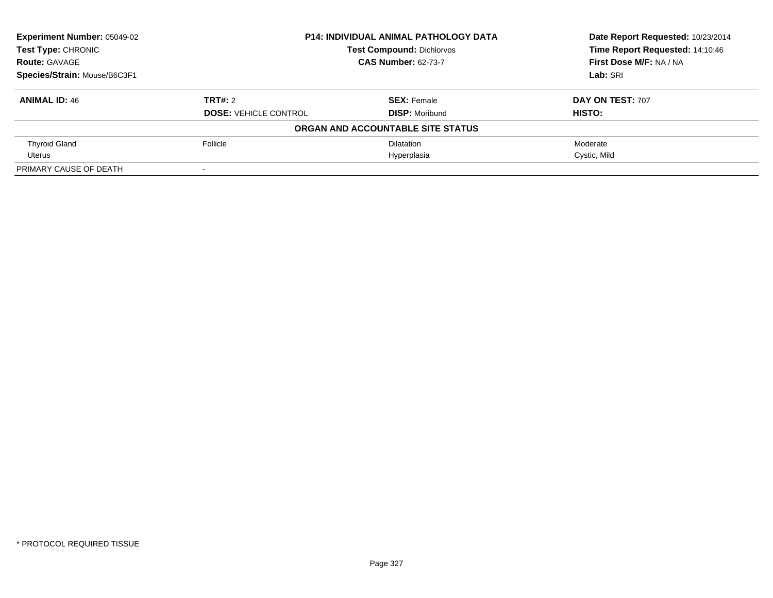| <b>Experiment Number: 05049-02</b> |                              | <b>P14: INDIVIDUAL ANIMAL PATHOLOGY DATA</b> | Date Report Requested: 10/23/2014 |
|------------------------------------|------------------------------|----------------------------------------------|-----------------------------------|
| <b>Test Type: CHRONIC</b>          |                              | <b>Test Compound: Dichlorvos</b>             | Time Report Requested: 14:10:46   |
| <b>Route: GAVAGE</b>               |                              | <b>CAS Number: 62-73-7</b>                   | First Dose M/F: NA / NA           |
| Species/Strain: Mouse/B6C3F1       |                              |                                              | Lab: SRI                          |
| <b>ANIMAL ID: 46</b>               | TRT#: 2                      | <b>SEX:</b> Female                           | DAY ON TEST: 707                  |
|                                    | <b>DOSE: VEHICLE CONTROL</b> | <b>DISP: Moribund</b>                        | HISTO:                            |
|                                    |                              | ORGAN AND ACCOUNTABLE SITE STATUS            |                                   |
| <b>Thyroid Gland</b>               | Follicle                     | <b>Dilatation</b>                            | Moderate                          |
| Uterus                             |                              | Hyperplasia                                  | Cystic, Mild                      |
| PRIMARY CAUSE OF DEATH             | $\blacksquare$               |                                              |                                   |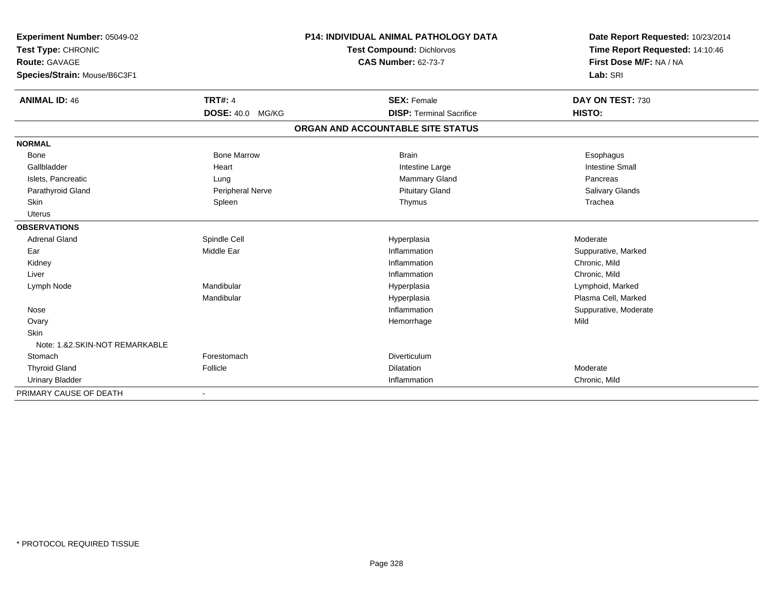| Experiment Number: 05049-02    |                         |                            | <b>P14: INDIVIDUAL ANIMAL PATHOLOGY DATA</b> | Date Report Requested: 10/23/2014 |
|--------------------------------|-------------------------|----------------------------|----------------------------------------------|-----------------------------------|
| Test Type: CHRONIC             |                         |                            | <b>Test Compound: Dichlorvos</b>             | Time Report Requested: 14:10:46   |
| <b>Route: GAVAGE</b>           |                         | <b>CAS Number: 62-73-7</b> |                                              | First Dose M/F: NA / NA           |
| Species/Strain: Mouse/B6C3F1   |                         |                            |                                              | Lab: SRI                          |
| <b>ANIMAL ID: 46</b>           | <b>TRT#: 4</b>          |                            | <b>SEX: Female</b>                           | DAY ON TEST: 730                  |
|                                | <b>DOSE: 40.0 MG/KG</b> |                            | <b>DISP: Terminal Sacrifice</b>              | HISTO:                            |
|                                |                         |                            | ORGAN AND ACCOUNTABLE SITE STATUS            |                                   |
| <b>NORMAL</b>                  |                         |                            |                                              |                                   |
| Bone                           | <b>Bone Marrow</b>      |                            | <b>Brain</b>                                 | Esophagus                         |
| Gallbladder                    | Heart                   |                            | Intestine Large                              | <b>Intestine Small</b>            |
| Islets, Pancreatic             | Lung                    |                            | <b>Mammary Gland</b>                         | Pancreas                          |
| Parathyroid Gland              | Peripheral Nerve        |                            | <b>Pituitary Gland</b>                       | <b>Salivary Glands</b>            |
| Skin                           | Spleen                  |                            | Thymus                                       | Trachea                           |
| <b>Uterus</b>                  |                         |                            |                                              |                                   |
| <b>OBSERVATIONS</b>            |                         |                            |                                              |                                   |
| <b>Adrenal Gland</b>           | Spindle Cell            |                            | Hyperplasia                                  | Moderate                          |
| Ear                            | Middle Ear              |                            | Inflammation                                 | Suppurative, Marked               |
| Kidney                         |                         |                            | Inflammation                                 | Chronic, Mild                     |
| Liver                          |                         |                            | Inflammation                                 | Chronic, Mild                     |
| Lymph Node                     | Mandibular              |                            | Hyperplasia                                  | Lymphoid, Marked                  |
|                                | Mandibular              |                            | Hyperplasia                                  | Plasma Cell, Marked               |
| Nose                           |                         |                            | Inflammation                                 | Suppurative, Moderate             |
| Ovary                          |                         |                            | Hemorrhage                                   | Mild                              |
| <b>Skin</b>                    |                         |                            |                                              |                                   |
| Note: 1.&2.SKIN-NOT REMARKABLE |                         |                            |                                              |                                   |
| Stomach                        | Forestomach             |                            | Diverticulum                                 |                                   |
| <b>Thyroid Gland</b>           | Follicle                |                            | Dilatation                                   | Moderate                          |
| <b>Urinary Bladder</b>         |                         |                            | Inflammation                                 | Chronic, Mild                     |
| PRIMARY CAUSE OF DEATH         |                         |                            |                                              |                                   |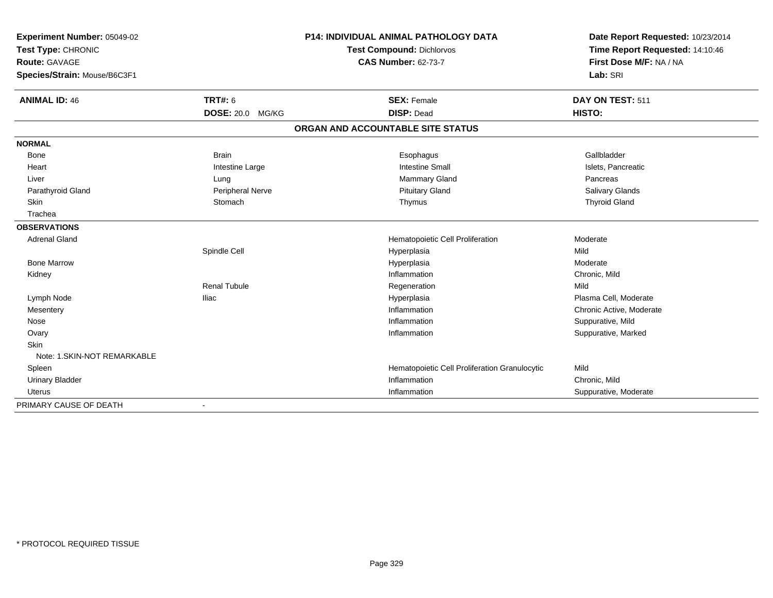| Experiment Number: 05049-02<br>Test Type: CHRONIC |                         | <b>P14: INDIVIDUAL ANIMAL PATHOLOGY DATA</b>  | Date Report Requested: 10/23/2014<br>Time Report Requested: 14:10:46 |
|---------------------------------------------------|-------------------------|-----------------------------------------------|----------------------------------------------------------------------|
|                                                   |                         | <b>Test Compound: Dichlorvos</b>              |                                                                      |
| Route: GAVAGE                                     |                         | <b>CAS Number: 62-73-7</b>                    | First Dose M/F: NA / NA                                              |
| Species/Strain: Mouse/B6C3F1                      |                         |                                               | Lab: SRI                                                             |
| <b>ANIMAL ID: 46</b>                              | <b>TRT#: 6</b>          | <b>SEX: Female</b>                            | DAY ON TEST: 511                                                     |
|                                                   | <b>DOSE: 20.0 MG/KG</b> | <b>DISP: Dead</b>                             | HISTO:                                                               |
|                                                   |                         | ORGAN AND ACCOUNTABLE SITE STATUS             |                                                                      |
| <b>NORMAL</b>                                     |                         |                                               |                                                                      |
| Bone                                              | <b>Brain</b>            | Esophagus                                     | Gallbladder                                                          |
| Heart                                             | Intestine Large         | <b>Intestine Small</b>                        | Islets, Pancreatic                                                   |
| Liver                                             | Lung                    | <b>Mammary Gland</b>                          | Pancreas                                                             |
| Parathyroid Gland                                 | Peripheral Nerve        | <b>Pituitary Gland</b>                        | Salivary Glands                                                      |
| Skin                                              | Stomach                 | Thymus                                        | <b>Thyroid Gland</b>                                                 |
| Trachea                                           |                         |                                               |                                                                      |
| <b>OBSERVATIONS</b>                               |                         |                                               |                                                                      |
| <b>Adrenal Gland</b>                              |                         | Hematopoietic Cell Proliferation              | Moderate                                                             |
|                                                   | Spindle Cell            | Hyperplasia                                   | Mild                                                                 |
| <b>Bone Marrow</b>                                |                         | Hyperplasia                                   | Moderate                                                             |
| Kidney                                            |                         | Inflammation                                  | Chronic, Mild                                                        |
|                                                   | <b>Renal Tubule</b>     | Regeneration                                  | Mild                                                                 |
| Lymph Node                                        | <b>Iliac</b>            | Hyperplasia                                   | Plasma Cell, Moderate                                                |
| Mesentery                                         |                         | Inflammation                                  | Chronic Active, Moderate                                             |
| Nose                                              |                         | Inflammation                                  | Suppurative, Mild                                                    |
| Ovary                                             |                         | Inflammation                                  | Suppurative, Marked                                                  |
| <b>Skin</b>                                       |                         |                                               |                                                                      |
| Note: 1. SKIN-NOT REMARKABLE                      |                         |                                               |                                                                      |
| Spleen                                            |                         | Hematopoietic Cell Proliferation Granulocytic | Mild                                                                 |
| <b>Urinary Bladder</b>                            |                         | Inflammation                                  | Chronic, Mild                                                        |
| <b>Uterus</b>                                     |                         | Inflammation                                  | Suppurative, Moderate                                                |
| PRIMARY CAUSE OF DEATH                            |                         |                                               |                                                                      |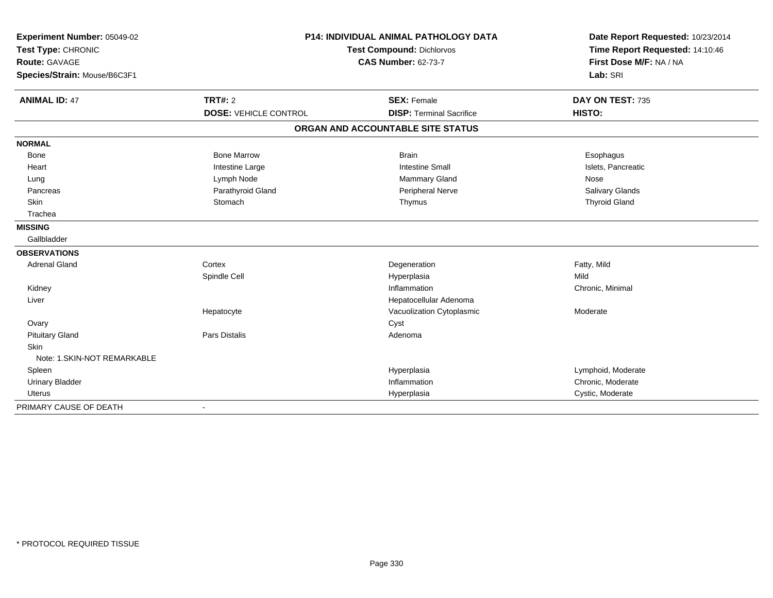| Experiment Number: 05049-02  | <b>P14: INDIVIDUAL ANIMAL PATHOLOGY DATA</b><br>Test Type: CHRONIC<br>Test Compound: Dichlorvos |                                   | Date Report Requested: 10/23/2014 |  |
|------------------------------|-------------------------------------------------------------------------------------------------|-----------------------------------|-----------------------------------|--|
|                              |                                                                                                 |                                   | Time Report Requested: 14:10:46   |  |
| <b>Route: GAVAGE</b>         |                                                                                                 | <b>CAS Number: 62-73-7</b>        | First Dose M/F: NA / NA           |  |
| Species/Strain: Mouse/B6C3F1 |                                                                                                 |                                   | Lab: SRI                          |  |
| <b>ANIMAL ID: 47</b>         | <b>TRT#: 2</b>                                                                                  | <b>SEX: Female</b>                | DAY ON TEST: 735                  |  |
|                              | <b>DOSE: VEHICLE CONTROL</b>                                                                    | <b>DISP: Terminal Sacrifice</b>   | HISTO:                            |  |
|                              |                                                                                                 | ORGAN AND ACCOUNTABLE SITE STATUS |                                   |  |
| <b>NORMAL</b>                |                                                                                                 |                                   |                                   |  |
| Bone                         | <b>Bone Marrow</b>                                                                              | <b>Brain</b>                      | Esophagus                         |  |
| Heart                        | Intestine Large                                                                                 | <b>Intestine Small</b>            | Islets, Pancreatic                |  |
| Lung                         | Lymph Node                                                                                      | <b>Mammary Gland</b>              | Nose                              |  |
| Pancreas                     | Parathyroid Gland                                                                               | Peripheral Nerve                  | Salivary Glands                   |  |
| Skin                         | Stomach                                                                                         | Thymus                            | <b>Thyroid Gland</b>              |  |
| Trachea                      |                                                                                                 |                                   |                                   |  |
| <b>MISSING</b>               |                                                                                                 |                                   |                                   |  |
| Gallbladder                  |                                                                                                 |                                   |                                   |  |
| <b>OBSERVATIONS</b>          |                                                                                                 |                                   |                                   |  |
| <b>Adrenal Gland</b>         | Cortex                                                                                          | Degeneration                      | Fatty, Mild                       |  |
|                              | Spindle Cell                                                                                    | Hyperplasia                       | Mild                              |  |
| Kidney                       |                                                                                                 | Inflammation                      | Chronic, Minimal                  |  |
| Liver                        |                                                                                                 | Hepatocellular Adenoma            |                                   |  |
|                              | Hepatocyte                                                                                      | Vacuolization Cytoplasmic         | Moderate                          |  |
| Ovary                        |                                                                                                 | Cyst                              |                                   |  |
| <b>Pituitary Gland</b>       | Pars Distalis                                                                                   | Adenoma                           |                                   |  |
| Skin                         |                                                                                                 |                                   |                                   |  |
| Note: 1.SKIN-NOT REMARKABLE  |                                                                                                 |                                   |                                   |  |
| Spleen                       |                                                                                                 | Hyperplasia                       | Lymphoid, Moderate                |  |
| <b>Urinary Bladder</b>       |                                                                                                 | Inflammation                      | Chronic, Moderate                 |  |
| <b>Uterus</b>                |                                                                                                 | Hyperplasia                       | Cystic, Moderate                  |  |
| PRIMARY CAUSE OF DEATH       | $\blacksquare$                                                                                  |                                   |                                   |  |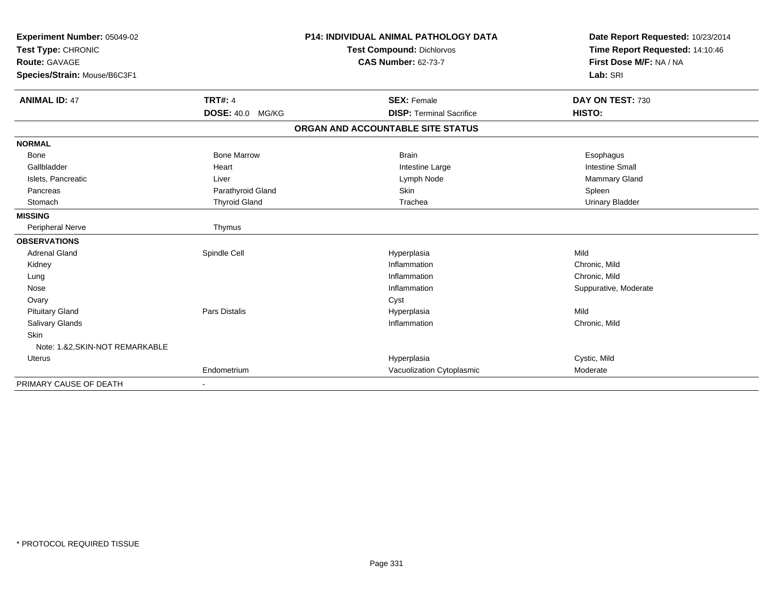| Experiment Number: 05049-02                |                      | <b>P14: INDIVIDUAL ANIMAL PATHOLOGY DATA</b> | Date Report Requested: 10/23/2014                          |
|--------------------------------------------|----------------------|----------------------------------------------|------------------------------------------------------------|
| Test Type: CHRONIC<br><b>Route: GAVAGE</b> |                      | <b>Test Compound: Dichlorvos</b>             | Time Report Requested: 14:10:46<br>First Dose M/F: NA / NA |
|                                            |                      | <b>CAS Number: 62-73-7</b>                   |                                                            |
| Species/Strain: Mouse/B6C3F1               |                      |                                              | Lab: SRI                                                   |
| <b>ANIMAL ID: 47</b>                       | <b>TRT#: 4</b>       | <b>SEX: Female</b>                           | DAY ON TEST: 730                                           |
|                                            | DOSE: 40.0 MG/KG     | <b>DISP: Terminal Sacrifice</b>              | HISTO:                                                     |
|                                            |                      | ORGAN AND ACCOUNTABLE SITE STATUS            |                                                            |
| <b>NORMAL</b>                              |                      |                                              |                                                            |
| <b>Bone</b>                                | <b>Bone Marrow</b>   | <b>Brain</b>                                 | Esophagus                                                  |
| Gallbladder                                | Heart                | Intestine Large                              | <b>Intestine Small</b>                                     |
| Islets, Pancreatic                         | Liver                | Lymph Node                                   | Mammary Gland                                              |
| Pancreas                                   | Parathyroid Gland    | Skin                                         | Spleen                                                     |
| Stomach                                    | <b>Thyroid Gland</b> | Trachea                                      | <b>Urinary Bladder</b>                                     |
| <b>MISSING</b>                             |                      |                                              |                                                            |
| Peripheral Nerve                           | Thymus               |                                              |                                                            |
| <b>OBSERVATIONS</b>                        |                      |                                              |                                                            |
| <b>Adrenal Gland</b>                       | Spindle Cell         | Hyperplasia                                  | Mild                                                       |
| Kidney                                     |                      | Inflammation                                 | Chronic, Mild                                              |
| Lung                                       |                      | Inflammation                                 | Chronic, Mild                                              |
| Nose                                       |                      | Inflammation                                 | Suppurative, Moderate                                      |
| Ovary                                      |                      | Cyst                                         |                                                            |
| <b>Pituitary Gland</b>                     | Pars Distalis        | Hyperplasia                                  | Mild                                                       |
| Salivary Glands                            |                      | Inflammation                                 | Chronic, Mild                                              |
| Skin                                       |                      |                                              |                                                            |
| Note: 1.&2, SKIN-NOT REMARKABLE            |                      |                                              |                                                            |
| <b>Uterus</b>                              |                      | Hyperplasia                                  | Cystic, Mild                                               |
|                                            | Endometrium          | Vacuolization Cytoplasmic                    | Moderate                                                   |
| PRIMARY CAUSE OF DEATH                     |                      |                                              |                                                            |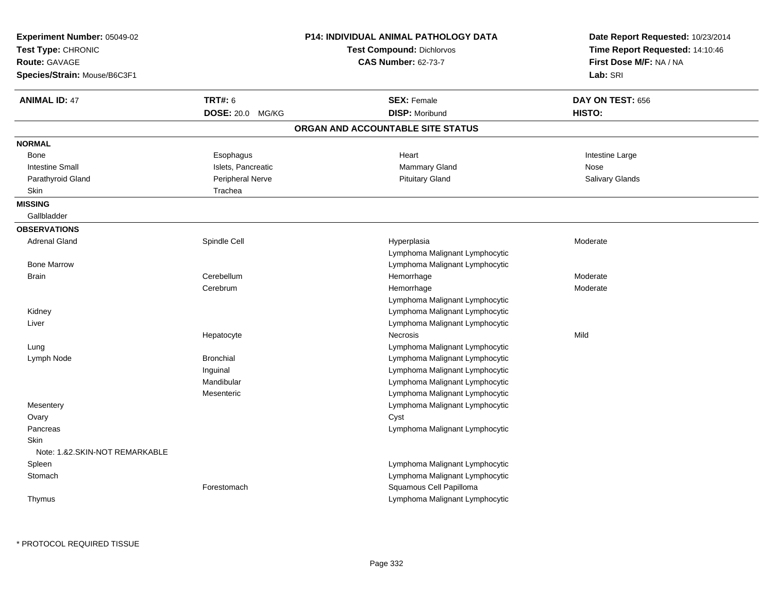| Experiment Number: 05049-02<br>Test Type: CHRONIC<br>Route: GAVAGE<br>Species/Strain: Mouse/B6C3F1 |                                    | <b>P14: INDIVIDUAL ANIMAL PATHOLOGY DATA</b><br><b>Test Compound: Dichlorvos</b><br><b>CAS Number: 62-73-7</b> | Date Report Requested: 10/23/2014<br>Time Report Requested: 14:10:46<br>First Dose M/F: NA / NA<br>Lab: SRI |
|----------------------------------------------------------------------------------------------------|------------------------------------|----------------------------------------------------------------------------------------------------------------|-------------------------------------------------------------------------------------------------------------|
| <b>ANIMAL ID: 47</b>                                                                               | <b>TRT#: 6</b><br>DOSE: 20.0 MG/KG | <b>SEX: Female</b><br><b>DISP: Moribund</b>                                                                    | DAY ON TEST: 656<br>HISTO:                                                                                  |
|                                                                                                    |                                    | ORGAN AND ACCOUNTABLE SITE STATUS                                                                              |                                                                                                             |
|                                                                                                    |                                    |                                                                                                                |                                                                                                             |
| <b>NORMAL</b>                                                                                      |                                    |                                                                                                                |                                                                                                             |
| Bone                                                                                               | Esophagus                          | Heart                                                                                                          | Intestine Large                                                                                             |
| <b>Intestine Small</b>                                                                             | Islets, Pancreatic                 | Mammary Gland                                                                                                  | Nose                                                                                                        |
| Parathyroid Gland<br>Skin                                                                          | Peripheral Nerve<br>Trachea        | <b>Pituitary Gland</b>                                                                                         | Salivary Glands                                                                                             |
| <b>MISSING</b>                                                                                     |                                    |                                                                                                                |                                                                                                             |
| Gallbladder                                                                                        |                                    |                                                                                                                |                                                                                                             |
| <b>OBSERVATIONS</b>                                                                                |                                    |                                                                                                                |                                                                                                             |
| <b>Adrenal Gland</b>                                                                               | Spindle Cell                       | Hyperplasia                                                                                                    | Moderate                                                                                                    |
|                                                                                                    |                                    | Lymphoma Malignant Lymphocytic                                                                                 |                                                                                                             |
| <b>Bone Marrow</b>                                                                                 |                                    | Lymphoma Malignant Lymphocytic                                                                                 |                                                                                                             |
| <b>Brain</b>                                                                                       | Cerebellum                         | Hemorrhage                                                                                                     | Moderate                                                                                                    |
|                                                                                                    | Cerebrum                           | Hemorrhage                                                                                                     | Moderate                                                                                                    |
|                                                                                                    |                                    | Lymphoma Malignant Lymphocytic                                                                                 |                                                                                                             |
| Kidney                                                                                             |                                    | Lymphoma Malignant Lymphocytic                                                                                 |                                                                                                             |
| Liver                                                                                              |                                    | Lymphoma Malignant Lymphocytic                                                                                 |                                                                                                             |
|                                                                                                    | Hepatocyte                         | Necrosis                                                                                                       | Mild                                                                                                        |
| Lung                                                                                               |                                    | Lymphoma Malignant Lymphocytic                                                                                 |                                                                                                             |
| Lymph Node                                                                                         | <b>Bronchial</b>                   | Lymphoma Malignant Lymphocytic                                                                                 |                                                                                                             |
|                                                                                                    | Inguinal                           | Lymphoma Malignant Lymphocytic                                                                                 |                                                                                                             |
|                                                                                                    | Mandibular                         | Lymphoma Malignant Lymphocytic                                                                                 |                                                                                                             |
|                                                                                                    | Mesenteric                         | Lymphoma Malignant Lymphocytic                                                                                 |                                                                                                             |
| Mesentery                                                                                          |                                    | Lymphoma Malignant Lymphocytic                                                                                 |                                                                                                             |
| Ovary                                                                                              |                                    | Cyst                                                                                                           |                                                                                                             |
| Pancreas                                                                                           |                                    | Lymphoma Malignant Lymphocytic                                                                                 |                                                                                                             |
| <b>Skin</b>                                                                                        |                                    |                                                                                                                |                                                                                                             |
| Note: 1.&2.SKIN-NOT REMARKABLE                                                                     |                                    |                                                                                                                |                                                                                                             |
| Spleen                                                                                             |                                    | Lymphoma Malignant Lymphocytic                                                                                 |                                                                                                             |
| Stomach                                                                                            |                                    | Lymphoma Malignant Lymphocytic                                                                                 |                                                                                                             |
|                                                                                                    | Forestomach                        | Squamous Cell Papilloma                                                                                        |                                                                                                             |
| Thymus                                                                                             |                                    | Lymphoma Malignant Lymphocytic                                                                                 |                                                                                                             |
|                                                                                                    |                                    |                                                                                                                |                                                                                                             |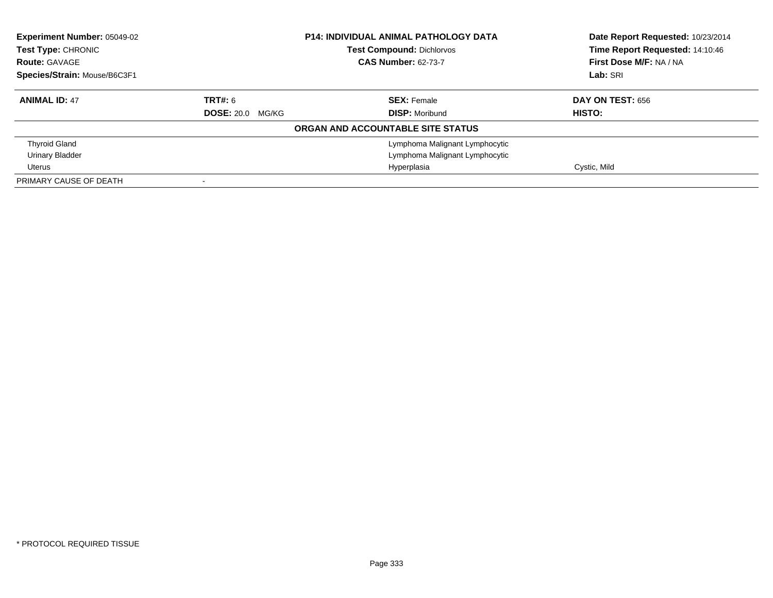| Experiment Number: 05049-02<br>Test Type: CHRONIC<br><b>Route: GAVAGE</b><br>Species/Strain: Mouse/B6C3F1 | <b>P14: INDIVIDUAL ANIMAL PATHOLOGY DATA</b><br><b>Test Compound: Dichlorvos</b><br><b>CAS Number: 62-73-7</b> |                                   | Date Report Requested: 10/23/2014<br>Time Report Requested: 14:10:46<br>First Dose M/F: NA / NA<br>Lab: SRI |
|-----------------------------------------------------------------------------------------------------------|----------------------------------------------------------------------------------------------------------------|-----------------------------------|-------------------------------------------------------------------------------------------------------------|
| <b>ANIMAL ID: 47</b>                                                                                      | <b>TRT#: 6</b>                                                                                                 | <b>SEX:</b> Female                | DAY ON TEST: 656                                                                                            |
|                                                                                                           | <b>DOSE: 20.0 MG/KG</b>                                                                                        | <b>DISP:</b> Moribund             | <b>HISTO:</b>                                                                                               |
|                                                                                                           |                                                                                                                | ORGAN AND ACCOUNTABLE SITE STATUS |                                                                                                             |
| <b>Thyroid Gland</b>                                                                                      |                                                                                                                | Lymphoma Malignant Lymphocytic    |                                                                                                             |
| <b>Urinary Bladder</b>                                                                                    |                                                                                                                | Lymphoma Malignant Lymphocytic    |                                                                                                             |
| Uterus                                                                                                    |                                                                                                                | Hyperplasia                       | Cystic, Mild                                                                                                |
| PRIMARY CAUSE OF DEATH                                                                                    |                                                                                                                |                                   |                                                                                                             |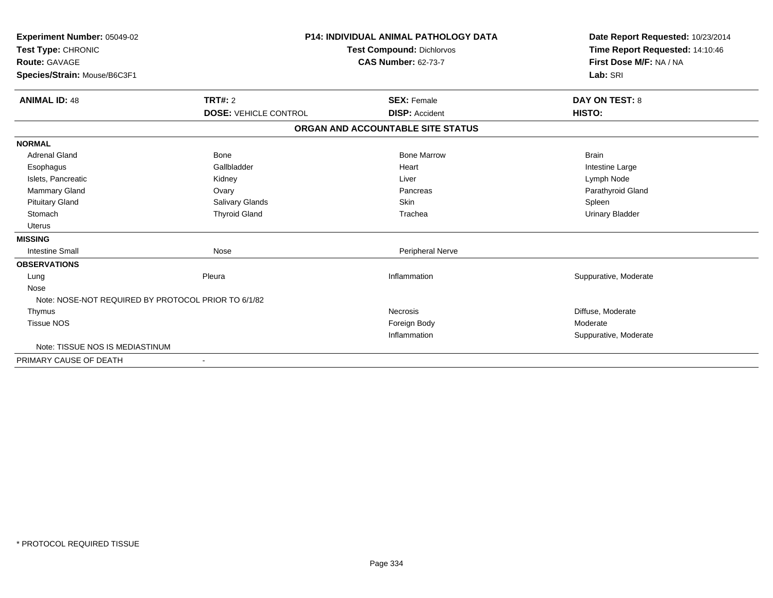| Experiment Number: 05049-02                         |                              | P14: INDIVIDUAL ANIMAL PATHOLOGY DATA | Date Report Requested: 10/23/2014 |
|-----------------------------------------------------|------------------------------|---------------------------------------|-----------------------------------|
| Test Type: CHRONIC                                  |                              | <b>Test Compound: Dichlorvos</b>      | Time Report Requested: 14:10:46   |
| <b>Route: GAVAGE</b>                                |                              | <b>CAS Number: 62-73-7</b>            | First Dose M/F: NA / NA           |
| Species/Strain: Mouse/B6C3F1                        |                              |                                       | Lab: SRI                          |
| <b>ANIMAL ID: 48</b>                                | <b>TRT#: 2</b>               | <b>SEX: Female</b>                    | <b>DAY ON TEST: 8</b>             |
|                                                     | <b>DOSE: VEHICLE CONTROL</b> | <b>DISP: Accident</b>                 | HISTO:                            |
|                                                     |                              | ORGAN AND ACCOUNTABLE SITE STATUS     |                                   |
| <b>NORMAL</b>                                       |                              |                                       |                                   |
| <b>Adrenal Gland</b>                                | Bone                         | <b>Bone Marrow</b>                    | <b>Brain</b>                      |
| Esophagus                                           | Gallbladder                  | Heart                                 | Intestine Large                   |
| Islets, Pancreatic                                  | Kidney                       | Liver                                 | Lymph Node                        |
| Mammary Gland                                       | Ovary                        | Pancreas                              | Parathyroid Gland                 |
| <b>Pituitary Gland</b>                              | <b>Salivary Glands</b>       | Skin                                  | Spleen                            |
| Stomach                                             | <b>Thyroid Gland</b>         | Trachea                               | <b>Urinary Bladder</b>            |
| <b>Uterus</b>                                       |                              |                                       |                                   |
| <b>MISSING</b>                                      |                              |                                       |                                   |
| <b>Intestine Small</b>                              | Nose                         | <b>Peripheral Nerve</b>               |                                   |
| <b>OBSERVATIONS</b>                                 |                              |                                       |                                   |
| Lung                                                | Pleura                       | Inflammation                          | Suppurative, Moderate             |
| Nose                                                |                              |                                       |                                   |
| Note: NOSE-NOT REQUIRED BY PROTOCOL PRIOR TO 6/1/82 |                              |                                       |                                   |
| Thymus                                              |                              | Necrosis                              | Diffuse, Moderate                 |
| <b>Tissue NOS</b>                                   |                              | Foreign Body                          | Moderate                          |
|                                                     |                              | Inflammation                          | Suppurative, Moderate             |
| Note: TISSUE NOS IS MEDIASTINUM                     |                              |                                       |                                   |
| PRIMARY CAUSE OF DEATH                              | $\overline{\phantom{a}}$     |                                       |                                   |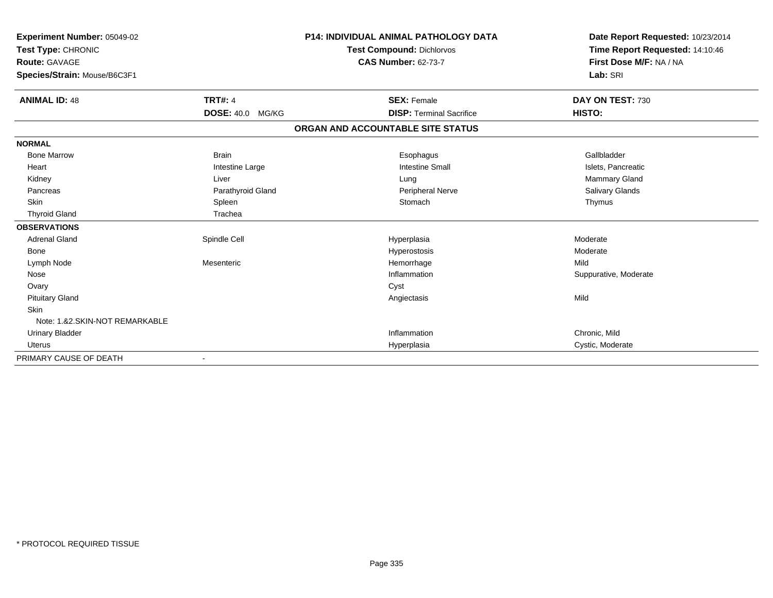| <b>Experiment Number: 05049-02</b> |                         | <b>P14: INDIVIDUAL ANIMAL PATHOLOGY DATA</b> | Date Report Requested: 10/23/2014 |
|------------------------------------|-------------------------|----------------------------------------------|-----------------------------------|
| Test Type: CHRONIC                 |                         | <b>Test Compound: Dichlorvos</b>             | Time Report Requested: 14:10:46   |
| <b>Route: GAVAGE</b>               |                         | <b>CAS Number: 62-73-7</b>                   | First Dose M/F: NA / NA           |
| Species/Strain: Mouse/B6C3F1       |                         |                                              | Lab: SRI                          |
| <b>ANIMAL ID: 48</b>               | <b>TRT#: 4</b>          | <b>SEX: Female</b>                           | DAY ON TEST: 730                  |
|                                    | <b>DOSE: 40.0 MG/KG</b> | <b>DISP: Terminal Sacrifice</b>              | HISTO:                            |
|                                    |                         | ORGAN AND ACCOUNTABLE SITE STATUS            |                                   |
| <b>NORMAL</b>                      |                         |                                              |                                   |
| <b>Bone Marrow</b>                 | <b>Brain</b>            | Esophagus                                    | Gallbladder                       |
| Heart                              | Intestine Large         | <b>Intestine Small</b>                       | Islets, Pancreatic                |
| Kidney                             | Liver                   | Lung                                         | <b>Mammary Gland</b>              |
| Pancreas                           | Parathyroid Gland       | <b>Peripheral Nerve</b>                      | <b>Salivary Glands</b>            |
| Skin                               | Spleen                  | Stomach                                      | Thymus                            |
| <b>Thyroid Gland</b>               | Trachea                 |                                              |                                   |
| <b>OBSERVATIONS</b>                |                         |                                              |                                   |
| <b>Adrenal Gland</b>               | Spindle Cell            | Hyperplasia                                  | Moderate                          |
| <b>Bone</b>                        |                         | Hyperostosis                                 | Moderate                          |
| Lymph Node                         | Mesenteric              | Hemorrhage                                   | Mild                              |
| Nose                               |                         | Inflammation                                 | Suppurative, Moderate             |
| Ovary                              |                         | Cyst                                         |                                   |
| <b>Pituitary Gland</b>             |                         | Angiectasis                                  | Mild                              |
| <b>Skin</b>                        |                         |                                              |                                   |
| Note: 1.&2.SKIN-NOT REMARKABLE     |                         |                                              |                                   |
| <b>Urinary Bladder</b>             |                         | Inflammation                                 | Chronic, Mild                     |
| Uterus                             |                         | Hyperplasia                                  | Cystic, Moderate                  |
| PRIMARY CAUSE OF DEATH             |                         |                                              |                                   |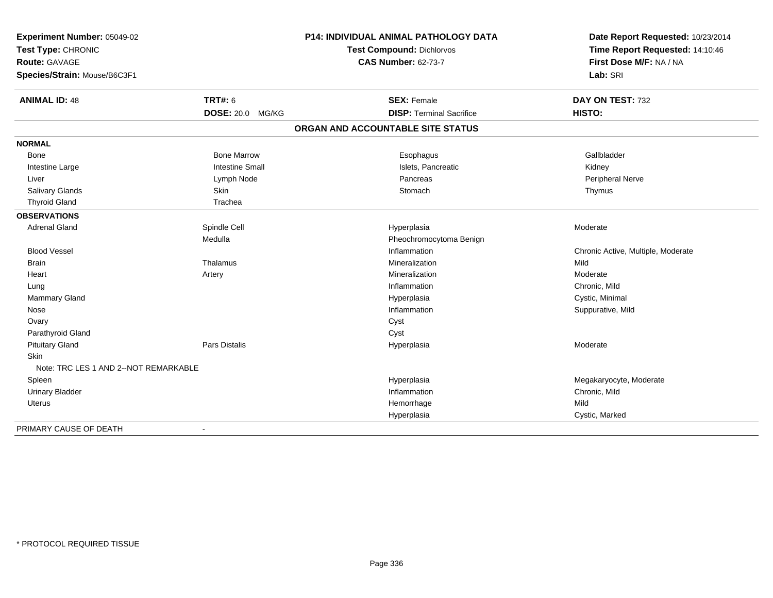| Experiment Number: 05049-02<br>Test Type: CHRONIC<br>Route: GAVAGE<br>Species/Strain: Mouse/B6C3F1 | P14: INDIVIDUAL ANIMAL PATHOLOGY DATA<br>Test Compound: Dichlorvos<br><b>CAS Number: 62-73-7</b> |                                   | Date Report Requested: 10/23/2014<br>Time Report Requested: 14:10:46<br>First Dose M/F: NA / NA<br>Lab: SRI |  |
|----------------------------------------------------------------------------------------------------|--------------------------------------------------------------------------------------------------|-----------------------------------|-------------------------------------------------------------------------------------------------------------|--|
| <b>ANIMAL ID: 48</b>                                                                               | <b>TRT#: 6</b>                                                                                   | <b>SEX: Female</b>                | DAY ON TEST: 732                                                                                            |  |
|                                                                                                    | <b>DOSE: 20.0 MG/KG</b>                                                                          | <b>DISP: Terminal Sacrifice</b>   | HISTO:                                                                                                      |  |
|                                                                                                    |                                                                                                  | ORGAN AND ACCOUNTABLE SITE STATUS |                                                                                                             |  |
| <b>NORMAL</b>                                                                                      |                                                                                                  |                                   |                                                                                                             |  |
| Bone                                                                                               | <b>Bone Marrow</b>                                                                               | Esophagus                         | Gallbladder                                                                                                 |  |
| Intestine Large                                                                                    | <b>Intestine Small</b>                                                                           | Islets, Pancreatic                | Kidney                                                                                                      |  |
| Liver                                                                                              | Lymph Node                                                                                       | Pancreas                          | Peripheral Nerve                                                                                            |  |
| Salivary Glands                                                                                    | Skin                                                                                             | Stomach                           | Thymus                                                                                                      |  |
| <b>Thyroid Gland</b>                                                                               | Trachea                                                                                          |                                   |                                                                                                             |  |
| <b>OBSERVATIONS</b>                                                                                |                                                                                                  |                                   |                                                                                                             |  |
| <b>Adrenal Gland</b>                                                                               | Spindle Cell                                                                                     | Hyperplasia                       | Moderate                                                                                                    |  |
|                                                                                                    | Medulla                                                                                          | Pheochromocytoma Benign           |                                                                                                             |  |
| <b>Blood Vessel</b>                                                                                |                                                                                                  | Inflammation                      | Chronic Active, Multiple, Moderate                                                                          |  |
| <b>Brain</b>                                                                                       | Thalamus                                                                                         | Mineralization                    | Mild                                                                                                        |  |
| Heart                                                                                              | Artery                                                                                           | Mineralization                    | Moderate                                                                                                    |  |
| Lung                                                                                               |                                                                                                  | Inflammation                      | Chronic, Mild                                                                                               |  |
| Mammary Gland                                                                                      |                                                                                                  | Hyperplasia                       | Cystic, Minimal                                                                                             |  |
| Nose                                                                                               |                                                                                                  | Inflammation                      | Suppurative, Mild                                                                                           |  |
| Ovary                                                                                              |                                                                                                  | Cyst                              |                                                                                                             |  |
| Parathyroid Gland                                                                                  |                                                                                                  | Cyst                              |                                                                                                             |  |
| <b>Pituitary Gland</b>                                                                             | Pars Distalis                                                                                    | Hyperplasia                       | Moderate                                                                                                    |  |
| Skin                                                                                               |                                                                                                  |                                   |                                                                                                             |  |
| Note: TRC LES 1 AND 2--NOT REMARKABLE                                                              |                                                                                                  |                                   |                                                                                                             |  |
| Spleen                                                                                             |                                                                                                  | Hyperplasia                       | Megakaryocyte, Moderate                                                                                     |  |
| <b>Urinary Bladder</b>                                                                             |                                                                                                  | Inflammation                      | Chronic, Mild                                                                                               |  |
| <b>Uterus</b>                                                                                      |                                                                                                  | Hemorrhage                        | Mild                                                                                                        |  |
|                                                                                                    |                                                                                                  | Hyperplasia                       | Cystic, Marked                                                                                              |  |
| PRIMARY CAUSE OF DEATH                                                                             | $\blacksquare$                                                                                   |                                   |                                                                                                             |  |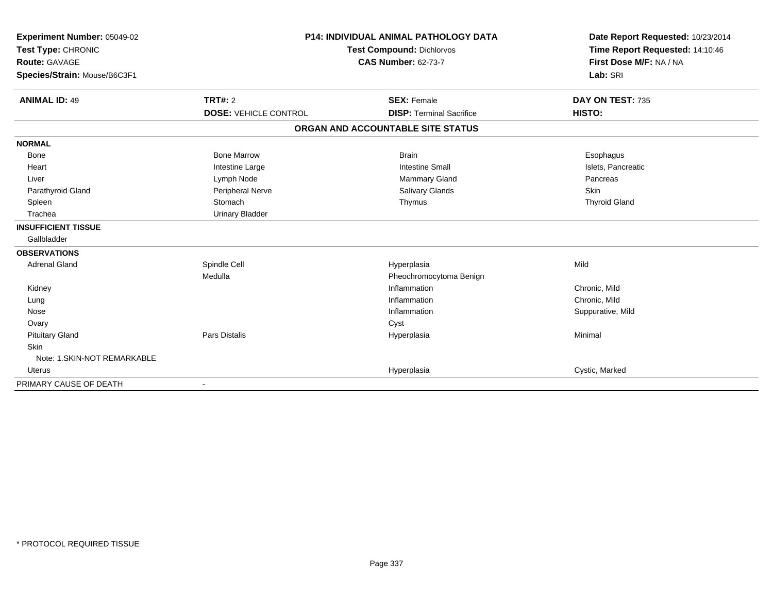| Experiment Number: 05049-02<br>Test Type: CHRONIC<br>Route: GAVAGE<br>Species/Strain: Mouse/B6C3F1 | <b>P14: INDIVIDUAL ANIMAL PATHOLOGY DATA</b><br>Test Compound: Dichlorvos<br><b>CAS Number: 62-73-7</b> |                                   | Date Report Requested: 10/23/2014<br>Time Report Requested: 14:10:46<br>First Dose M/F: NA / NA<br>Lab: SRI |
|----------------------------------------------------------------------------------------------------|---------------------------------------------------------------------------------------------------------|-----------------------------------|-------------------------------------------------------------------------------------------------------------|
| <b>ANIMAL ID: 49</b>                                                                               | TRT#: 2                                                                                                 | <b>SEX: Female</b>                | DAY ON TEST: 735                                                                                            |
|                                                                                                    | <b>DOSE: VEHICLE CONTROL</b>                                                                            | <b>DISP: Terminal Sacrifice</b>   | HISTO:                                                                                                      |
|                                                                                                    |                                                                                                         | ORGAN AND ACCOUNTABLE SITE STATUS |                                                                                                             |
| <b>NORMAL</b>                                                                                      |                                                                                                         |                                   |                                                                                                             |
| Bone                                                                                               | <b>Bone Marrow</b>                                                                                      | <b>Brain</b>                      | Esophagus                                                                                                   |
| Heart                                                                                              | Intestine Large                                                                                         | <b>Intestine Small</b>            | Islets, Pancreatic                                                                                          |
| Liver                                                                                              | Lymph Node                                                                                              | <b>Mammary Gland</b>              | Pancreas                                                                                                    |
| Parathyroid Gland                                                                                  | Peripheral Nerve                                                                                        | Salivary Glands                   | Skin                                                                                                        |
| Spleen                                                                                             | Stomach                                                                                                 | Thymus                            | <b>Thyroid Gland</b>                                                                                        |
| Trachea                                                                                            | <b>Urinary Bladder</b>                                                                                  |                                   |                                                                                                             |
| <b>INSUFFICIENT TISSUE</b>                                                                         |                                                                                                         |                                   |                                                                                                             |
| Gallbladder                                                                                        |                                                                                                         |                                   |                                                                                                             |
| <b>OBSERVATIONS</b>                                                                                |                                                                                                         |                                   |                                                                                                             |
| <b>Adrenal Gland</b>                                                                               | Spindle Cell                                                                                            | Hyperplasia                       | Mild                                                                                                        |
|                                                                                                    | Medulla                                                                                                 | Pheochromocytoma Benign           |                                                                                                             |
| Kidney                                                                                             |                                                                                                         | Inflammation                      | Chronic, Mild                                                                                               |
| Lung                                                                                               |                                                                                                         | Inflammation                      | Chronic, Mild                                                                                               |
| Nose                                                                                               |                                                                                                         | Inflammation                      | Suppurative, Mild                                                                                           |
| Ovary                                                                                              |                                                                                                         | Cyst                              |                                                                                                             |
| <b>Pituitary Gland</b>                                                                             | <b>Pars Distalis</b>                                                                                    | Hyperplasia                       | Minimal                                                                                                     |
| Skin                                                                                               |                                                                                                         |                                   |                                                                                                             |
| Note: 1.SKIN-NOT REMARKABLE                                                                        |                                                                                                         |                                   |                                                                                                             |
| <b>Uterus</b>                                                                                      |                                                                                                         | Hyperplasia                       | Cystic, Marked                                                                                              |
| PRIMARY CAUSE OF DEATH                                                                             |                                                                                                         |                                   |                                                                                                             |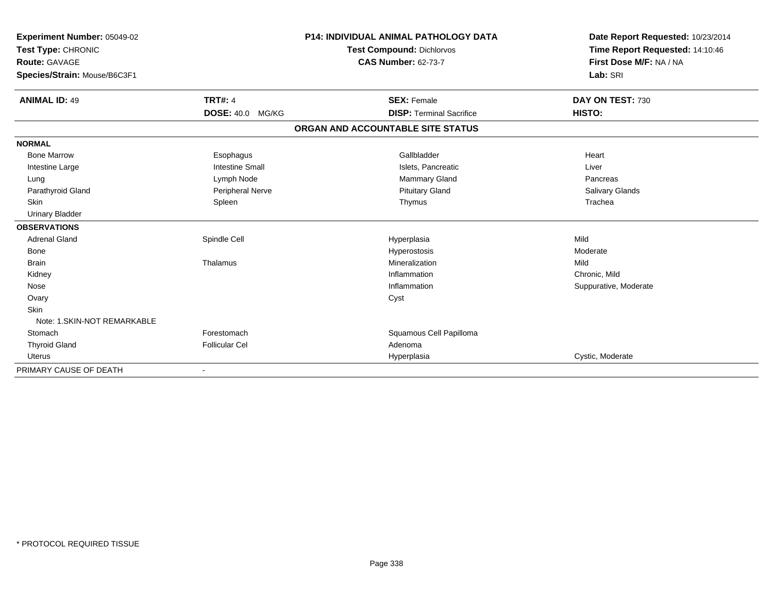| Experiment Number: 05049-02<br>Test Type: CHRONIC<br><b>Route: GAVAGE</b> |                         | <b>P14: INDIVIDUAL ANIMAL PATHOLOGY DATA</b><br><b>Test Compound: Dichlorvos</b><br><b>CAS Number: 62-73-7</b> | Date Report Requested: 10/23/2014<br>Time Report Requested: 14:10:46<br>First Dose M/F: NA / NA |
|---------------------------------------------------------------------------|-------------------------|----------------------------------------------------------------------------------------------------------------|-------------------------------------------------------------------------------------------------|
| Species/Strain: Mouse/B6C3F1                                              |                         |                                                                                                                | Lab: SRI                                                                                        |
| <b>ANIMAL ID: 49</b>                                                      | <b>TRT#: 4</b>          | <b>SEX: Female</b>                                                                                             | DAY ON TEST: 730                                                                                |
|                                                                           | <b>DOSE: 40.0 MG/KG</b> | <b>DISP: Terminal Sacrifice</b>                                                                                | HISTO:                                                                                          |
|                                                                           |                         | ORGAN AND ACCOUNTABLE SITE STATUS                                                                              |                                                                                                 |
| <b>NORMAL</b>                                                             |                         |                                                                                                                |                                                                                                 |
| <b>Bone Marrow</b>                                                        | Esophagus               | Gallbladder                                                                                                    | Heart                                                                                           |
| Intestine Large                                                           | <b>Intestine Small</b>  | Islets, Pancreatic                                                                                             | Liver                                                                                           |
| Lung                                                                      | Lymph Node              | <b>Mammary Gland</b>                                                                                           | Pancreas                                                                                        |
| Parathyroid Gland                                                         | Peripheral Nerve        | <b>Pituitary Gland</b>                                                                                         | <b>Salivary Glands</b>                                                                          |
| <b>Skin</b>                                                               | Spleen                  | Thymus                                                                                                         | Trachea                                                                                         |
| <b>Urinary Bladder</b>                                                    |                         |                                                                                                                |                                                                                                 |
| <b>OBSERVATIONS</b>                                                       |                         |                                                                                                                |                                                                                                 |
| <b>Adrenal Gland</b>                                                      | Spindle Cell            | Hyperplasia                                                                                                    | Mild                                                                                            |
| Bone                                                                      |                         | Hyperostosis                                                                                                   | Moderate                                                                                        |
| <b>Brain</b>                                                              | Thalamus                | Mineralization                                                                                                 | Mild                                                                                            |
| Kidney                                                                    |                         | Inflammation                                                                                                   | Chronic, Mild                                                                                   |
| Nose                                                                      |                         | Inflammation                                                                                                   | Suppurative, Moderate                                                                           |
| Ovary                                                                     |                         | Cyst                                                                                                           |                                                                                                 |
| <b>Skin</b>                                                               |                         |                                                                                                                |                                                                                                 |
| Note: 1.SKIN-NOT REMARKABLE                                               |                         |                                                                                                                |                                                                                                 |
| Stomach                                                                   | Forestomach             | Squamous Cell Papilloma                                                                                        |                                                                                                 |
| <b>Thyroid Gland</b>                                                      | <b>Follicular Cel</b>   | Adenoma                                                                                                        |                                                                                                 |
| Uterus                                                                    |                         | Hyperplasia                                                                                                    | Cystic, Moderate                                                                                |
| PRIMARY CAUSE OF DEATH                                                    |                         |                                                                                                                |                                                                                                 |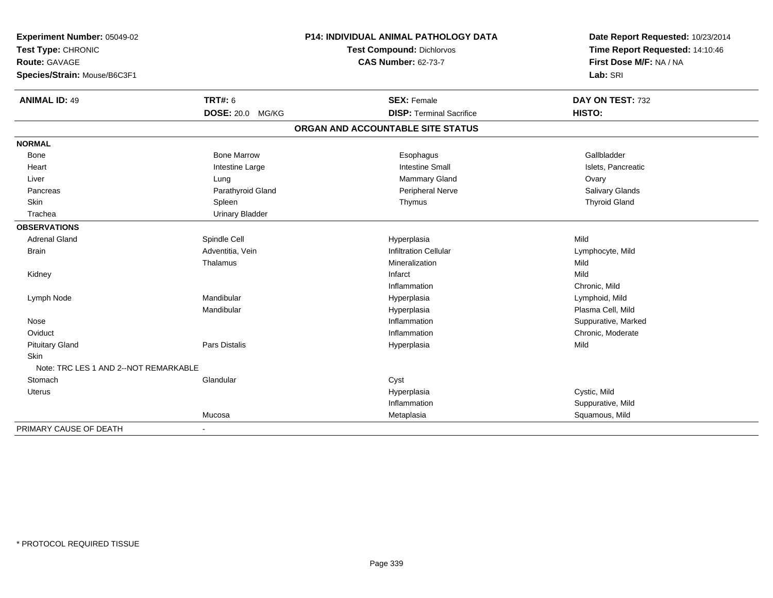| Experiment Number: 05049-02<br>Test Type: CHRONIC<br>Route: GAVAGE |                        | P14: INDIVIDUAL ANIMAL PATHOLOGY DATA | Date Report Requested: 10/23/2014<br>Time Report Requested: 14:10:46<br>First Dose M/F: NA / NA |
|--------------------------------------------------------------------|------------------------|---------------------------------------|-------------------------------------------------------------------------------------------------|
|                                                                    |                        | <b>Test Compound: Dichlorvos</b>      |                                                                                                 |
|                                                                    |                        | <b>CAS Number: 62-73-7</b>            |                                                                                                 |
| Species/Strain: Mouse/B6C3F1                                       |                        |                                       | Lab: SRI                                                                                        |
|                                                                    |                        |                                       |                                                                                                 |
| <b>ANIMAL ID: 49</b>                                               | TRT#: 6                | <b>SEX: Female</b>                    | DAY ON TEST: 732                                                                                |
|                                                                    | DOSE: 20.0 MG/KG       | <b>DISP: Terminal Sacrifice</b>       | HISTO:                                                                                          |
|                                                                    |                        | ORGAN AND ACCOUNTABLE SITE STATUS     |                                                                                                 |
| <b>NORMAL</b>                                                      |                        |                                       |                                                                                                 |
| Bone                                                               | <b>Bone Marrow</b>     | Esophagus                             | Gallbladder                                                                                     |
| Heart                                                              | Intestine Large        | <b>Intestine Small</b>                | Islets, Pancreatic                                                                              |
| Liver                                                              | Lung                   | Mammary Gland                         | Ovary                                                                                           |
| Pancreas                                                           | Parathyroid Gland      | Peripheral Nerve                      | Salivary Glands                                                                                 |
| Skin                                                               | Spleen                 | Thymus                                | <b>Thyroid Gland</b>                                                                            |
| Trachea                                                            | <b>Urinary Bladder</b> |                                       |                                                                                                 |
| <b>OBSERVATIONS</b>                                                |                        |                                       |                                                                                                 |
| <b>Adrenal Gland</b>                                               | Spindle Cell           | Hyperplasia                           | Mild                                                                                            |
| <b>Brain</b>                                                       | Adventitia, Vein       | <b>Infiltration Cellular</b>          | Lymphocyte, Mild                                                                                |
|                                                                    | Thalamus               | Mineralization                        | Mild                                                                                            |
| Kidney                                                             |                        | Infarct                               | Mild                                                                                            |
|                                                                    |                        | Inflammation                          | Chronic, Mild                                                                                   |
| Lymph Node                                                         | Mandibular             | Hyperplasia                           | Lymphoid, Mild                                                                                  |
|                                                                    | Mandibular             | Hyperplasia                           | Plasma Cell, Mild                                                                               |
| Nose                                                               |                        | Inflammation                          | Suppurative, Marked                                                                             |
| Oviduct                                                            |                        | Inflammation                          | Chronic, Moderate                                                                               |
| <b>Pituitary Gland</b>                                             | <b>Pars Distalis</b>   | Hyperplasia                           | Mild                                                                                            |
| Skin                                                               |                        |                                       |                                                                                                 |
| Note: TRC LES 1 AND 2--NOT REMARKABLE                              |                        |                                       |                                                                                                 |
| Stomach                                                            | Glandular              | Cyst                                  |                                                                                                 |
| Uterus                                                             |                        | Hyperplasia                           | Cystic, Mild                                                                                    |
|                                                                    |                        | Inflammation                          | Suppurative, Mild                                                                               |
|                                                                    | Mucosa                 | Metaplasia                            | Squamous, Mild                                                                                  |
| PRIMARY CAUSE OF DEATH                                             | $\blacksquare$         |                                       |                                                                                                 |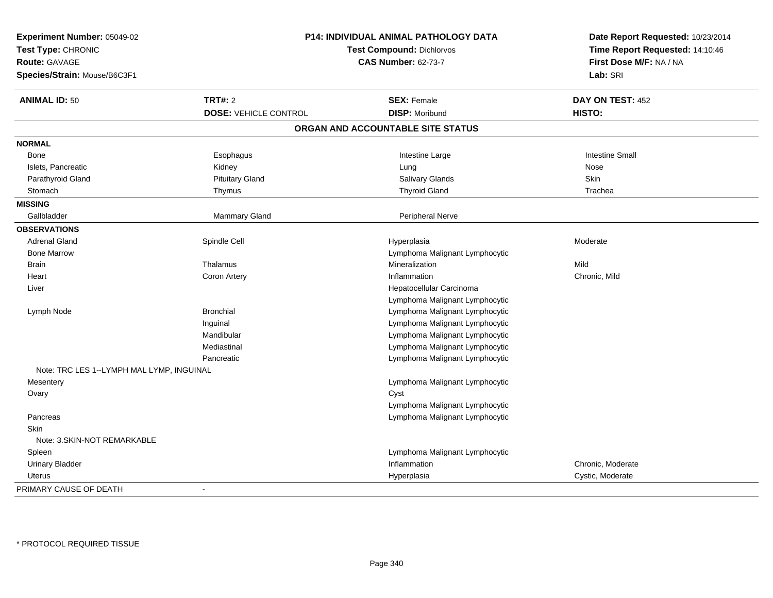| Experiment Number: 05049-02<br>Test Type: CHRONIC<br><b>Route: GAVAGE</b><br>Species/Strain: Mouse/B6C3F1 | <b>P14: INDIVIDUAL ANIMAL PATHOLOGY DATA</b><br><b>Test Compound: Dichlorvos</b><br><b>CAS Number: 62-73-7</b> |                                   | Date Report Requested: 10/23/2014<br>Time Report Requested: 14:10:46<br>First Dose M/F: NA / NA<br>Lab: SRI |
|-----------------------------------------------------------------------------------------------------------|----------------------------------------------------------------------------------------------------------------|-----------------------------------|-------------------------------------------------------------------------------------------------------------|
| <b>ANIMAL ID: 50</b>                                                                                      | <b>TRT#: 2</b>                                                                                                 | <b>SEX: Female</b>                | DAY ON TEST: 452                                                                                            |
|                                                                                                           | <b>DOSE: VEHICLE CONTROL</b>                                                                                   | <b>DISP: Moribund</b>             | <b>HISTO:</b>                                                                                               |
|                                                                                                           |                                                                                                                | ORGAN AND ACCOUNTABLE SITE STATUS |                                                                                                             |
| <b>NORMAL</b>                                                                                             |                                                                                                                |                                   |                                                                                                             |
| Bone                                                                                                      | Esophagus                                                                                                      | Intestine Large                   | <b>Intestine Small</b>                                                                                      |
| Islets, Pancreatic                                                                                        | Kidney                                                                                                         | Lung                              | Nose                                                                                                        |
| Parathyroid Gland                                                                                         | <b>Pituitary Gland</b>                                                                                         | Salivary Glands                   | <b>Skin</b>                                                                                                 |
| Stomach                                                                                                   | Thymus                                                                                                         | <b>Thyroid Gland</b>              | Trachea                                                                                                     |
| <b>MISSING</b>                                                                                            |                                                                                                                |                                   |                                                                                                             |
| Gallbladder                                                                                               | Mammary Gland                                                                                                  | Peripheral Nerve                  |                                                                                                             |
| <b>OBSERVATIONS</b>                                                                                       |                                                                                                                |                                   |                                                                                                             |
| <b>Adrenal Gland</b>                                                                                      | Spindle Cell                                                                                                   | Hyperplasia                       | Moderate                                                                                                    |
| <b>Bone Marrow</b>                                                                                        |                                                                                                                | Lymphoma Malignant Lymphocytic    |                                                                                                             |
| <b>Brain</b>                                                                                              | Thalamus                                                                                                       | Mineralization                    | Mild                                                                                                        |
| Heart                                                                                                     | Coron Artery                                                                                                   | Inflammation                      | Chronic, Mild                                                                                               |
| Liver                                                                                                     |                                                                                                                | Hepatocellular Carcinoma          |                                                                                                             |
|                                                                                                           |                                                                                                                | Lymphoma Malignant Lymphocytic    |                                                                                                             |
| Lymph Node                                                                                                | <b>Bronchial</b>                                                                                               | Lymphoma Malignant Lymphocytic    |                                                                                                             |
|                                                                                                           | Inguinal                                                                                                       | Lymphoma Malignant Lymphocytic    |                                                                                                             |
|                                                                                                           | Mandibular                                                                                                     | Lymphoma Malignant Lymphocytic    |                                                                                                             |
|                                                                                                           | Mediastinal                                                                                                    | Lymphoma Malignant Lymphocytic    |                                                                                                             |
|                                                                                                           | Pancreatic                                                                                                     | Lymphoma Malignant Lymphocytic    |                                                                                                             |
| Note: TRC LES 1--LYMPH MAL LYMP, INGUINAL                                                                 |                                                                                                                |                                   |                                                                                                             |
| Mesentery                                                                                                 |                                                                                                                | Lymphoma Malignant Lymphocytic    |                                                                                                             |
| Ovary                                                                                                     |                                                                                                                | Cyst                              |                                                                                                             |
|                                                                                                           |                                                                                                                | Lymphoma Malignant Lymphocytic    |                                                                                                             |
| Pancreas                                                                                                  |                                                                                                                | Lymphoma Malignant Lymphocytic    |                                                                                                             |
| <b>Skin</b>                                                                                               |                                                                                                                |                                   |                                                                                                             |
| Note: 3.SKIN-NOT REMARKABLE                                                                               |                                                                                                                |                                   |                                                                                                             |
| Spleen                                                                                                    |                                                                                                                | Lymphoma Malignant Lymphocytic    |                                                                                                             |
| <b>Urinary Bladder</b>                                                                                    |                                                                                                                | Inflammation                      | Chronic, Moderate                                                                                           |
| Uterus                                                                                                    |                                                                                                                | Hyperplasia                       | Cystic, Moderate                                                                                            |
| PRIMARY CAUSE OF DEATH                                                                                    |                                                                                                                |                                   |                                                                                                             |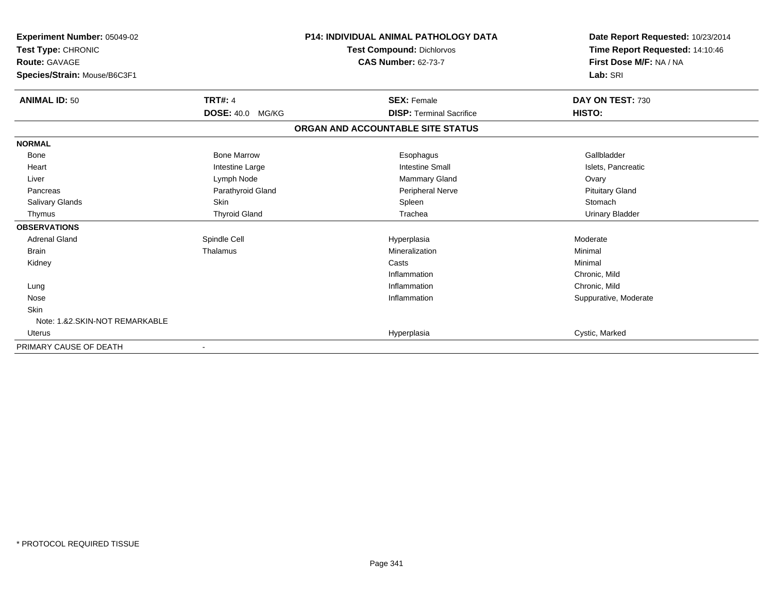| Experiment Number: 05049-02<br>Test Type: CHRONIC<br><b>Route: GAVAGE</b><br>Species/Strain: Mouse/B6C3F1 |                         | <b>P14: INDIVIDUAL ANIMAL PATHOLOGY DATA</b><br><b>Test Compound: Dichlorvos</b><br><b>CAS Number: 62-73-7</b> | Date Report Requested: 10/23/2014<br>Time Report Requested: 14:10:46<br>First Dose M/F: NA / NA<br>Lab: SRI |
|-----------------------------------------------------------------------------------------------------------|-------------------------|----------------------------------------------------------------------------------------------------------------|-------------------------------------------------------------------------------------------------------------|
| <b>ANIMAL ID: 50</b>                                                                                      | <b>TRT#: 4</b>          | <b>SEX: Female</b>                                                                                             | DAY ON TEST: 730                                                                                            |
|                                                                                                           | <b>DOSE: 40.0 MG/KG</b> | <b>DISP: Terminal Sacrifice</b>                                                                                | HISTO:                                                                                                      |
|                                                                                                           |                         | ORGAN AND ACCOUNTABLE SITE STATUS                                                                              |                                                                                                             |
| <b>NORMAL</b>                                                                                             |                         |                                                                                                                |                                                                                                             |
| Bone                                                                                                      | <b>Bone Marrow</b>      | Esophagus                                                                                                      | Gallbladder                                                                                                 |
| Heart                                                                                                     | Intestine Large         | <b>Intestine Small</b>                                                                                         | Islets, Pancreatic                                                                                          |
| Liver                                                                                                     | Lymph Node              | <b>Mammary Gland</b>                                                                                           | Ovary                                                                                                       |
| Pancreas                                                                                                  | Parathyroid Gland       | Peripheral Nerve                                                                                               | <b>Pituitary Gland</b>                                                                                      |
| Salivary Glands                                                                                           | <b>Skin</b>             | Spleen                                                                                                         | Stomach                                                                                                     |
| Thymus                                                                                                    | <b>Thyroid Gland</b>    | Trachea                                                                                                        | <b>Urinary Bladder</b>                                                                                      |
| <b>OBSERVATIONS</b>                                                                                       |                         |                                                                                                                |                                                                                                             |
| <b>Adrenal Gland</b>                                                                                      | Spindle Cell            | Hyperplasia                                                                                                    | Moderate                                                                                                    |
| <b>Brain</b>                                                                                              | Thalamus                | Mineralization                                                                                                 | Minimal                                                                                                     |
| Kidney                                                                                                    |                         | Casts                                                                                                          | Minimal                                                                                                     |
|                                                                                                           |                         | Inflammation                                                                                                   | Chronic, Mild                                                                                               |
| Lung                                                                                                      |                         | Inflammation                                                                                                   | Chronic, Mild                                                                                               |
| Nose                                                                                                      |                         | Inflammation                                                                                                   | Suppurative, Moderate                                                                                       |
| <b>Skin</b>                                                                                               |                         |                                                                                                                |                                                                                                             |
| Note: 1.&2.SKIN-NOT REMARKABLE                                                                            |                         |                                                                                                                |                                                                                                             |
| Uterus                                                                                                    |                         | Hyperplasia                                                                                                    | Cystic, Marked                                                                                              |
| PRIMARY CAUSE OF DEATH                                                                                    |                         |                                                                                                                |                                                                                                             |